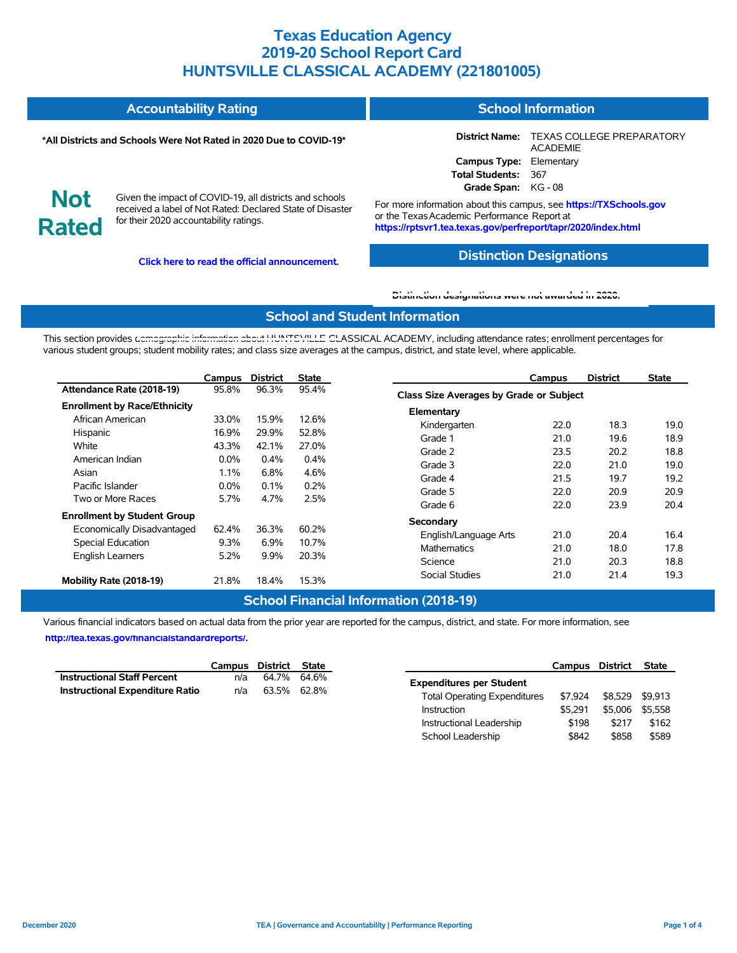|                            | <b>Accountability Rating</b>                                                                                                                                   | <b>School Information</b>                                                                                                                                                         |                                                     |  |  |  |  |
|----------------------------|----------------------------------------------------------------------------------------------------------------------------------------------------------------|-----------------------------------------------------------------------------------------------------------------------------------------------------------------------------------|-----------------------------------------------------|--|--|--|--|
|                            | *All Districts and Schools Were Not Rated in 2020 Due to COVID-19*                                                                                             | <b>District Name:</b>                                                                                                                                                             | <b>TEXAS COLLEGE PREPARATORY</b><br><b>ACADEMIE</b> |  |  |  |  |
|                            |                                                                                                                                                                | <b>Campus Type:</b>                                                                                                                                                               | Elementary                                          |  |  |  |  |
|                            |                                                                                                                                                                | Total Students:                                                                                                                                                                   | -367                                                |  |  |  |  |
|                            |                                                                                                                                                                | Grade Span: KG - 08                                                                                                                                                               |                                                     |  |  |  |  |
| <b>Not</b><br><b>Rated</b> | Given the impact of COVID-19, all districts and schools<br>received a label of Not Rated: Declared State of Disaster<br>for their 2020 accountability ratings. | For more information about this campus, see https://TXSchools.gov<br>or the Texas Academic Performance Report at<br>https://rptsvr1.tea.texas.gov/perfreport/tapr/2020/index.html |                                                     |  |  |  |  |
|                            |                                                                                                                                                                |                                                                                                                                                                                   |                                                     |  |  |  |  |

**Click here to read the official announcement.**

### **Distinction Designations**

School Leadership  $$842$  \$858 \$589

#### **[Distinction designations were not awarded in 2020.](https://rptsvr1.tea.texas.gov/perfreport/tapr/2020/index.html)**

#### **School and Student Information**

This section provides [demographic information about HUNTSVILLE CL](https://tea.texas.gov/about-tea/news-and-multimedia/correspondence/taa-letters/every-student-succeeds-act-essa-waiver-approval-2020-state-academic-accountability)ASSICAL ACADEMY, including attendance rates; enrollment percentages for various student groups; student mobility rates; and class size averages at the campus, district, and state level, where applicable.

|                                     | Campus  | <b>District</b> | <b>State</b> | <b>District</b><br>Campus               | <b>State</b> |
|-------------------------------------|---------|-----------------|--------------|-----------------------------------------|--------------|
| Attendance Rate (2018-19)           | 95.8%   | 96.3%           | 95.4%        | Class Size Averages by Grade or Subject |              |
| <b>Enrollment by Race/Ethnicity</b> |         |                 |              | Elementary                              |              |
| African American                    | 33.0%   | 15.9%           | 12.6%        | 18.3<br>Kindergarten<br>22.0            | 19.0         |
| Hispanic                            | 16.9%   | 29.9%           | 52.8%        | 19.6<br>21.0<br>Grade 1                 | 18.9         |
| White                               | 43.3%   | 42.1%           | 27.0%        |                                         |              |
| American Indian                     | $0.0\%$ | 0.4%            | 0.4%         | 20.2<br>23.5<br>Grade 2                 | 18.8         |
| Asian                               | 1.1%    | 6.8%            | 4.6%         | 22.0<br>21.0<br>Grade 3                 | 19.0         |
| Pacific Islander                    | $0.0\%$ | 0.1%            | 0.2%         | 19.7<br>21.5<br>Grade 4                 | 19.2         |
| Two or More Races                   | 5.7%    | 4.7%            | 2.5%         | 20.9<br>Grade 5<br>22.0                 | 20.9         |
|                                     |         |                 |              | 23.9<br>Grade 6<br>22.0                 | 20.4         |
| <b>Enrollment by Student Group</b>  |         |                 |              | Secondary                               |              |
| Economically Disadvantaged          | 62.4%   | 36.3%           | 60.2%        | 21.0<br>20.4<br>English/Language Arts   | 16.4         |
| <b>Special Education</b>            | 9.3%    | 6.9%            | 10.7%        | 18.0<br><b>Mathematics</b><br>21.0      | 17.8         |
| <b>English Learners</b>             | 5.2%    | 9.9%            | 20.3%        |                                         |              |
|                                     |         |                 |              | 20.3<br>Science<br>21.0                 | 18.8         |
| Mobility Rate (2018-19)             | 21.8%   | 18.4%           | 15.3%        | Social Studies<br>21.4<br>21.0          | 19.3         |

#### **School Financial Information (2018-19)**

Various financial indicators based on actual data from the prior year are reported for the campus, district, and state. For more information, see

|                                        | Campus | District State |             |                                     | Campus  | District        | State   |
|----------------------------------------|--------|----------------|-------------|-------------------------------------|---------|-----------------|---------|
| <b>Instructional Staff Percent</b>     | n/a    |                | 64.7% 64.6% | <b>Expenditures per Student</b>     |         |                 |         |
| <b>Instructional Expenditure Ratio</b> | n/a    |                | 63.5% 62.8% | <b>Total Operating Expenditures</b> | \$7.924 | \$8.529 \$9.913 |         |
|                                        |        |                |             | <b>Instruction</b>                  | \$5.291 | \$5,006         | \$5.558 |
|                                        |        |                |             | Instructional Leadership            | \$198   | \$217           | \$162   |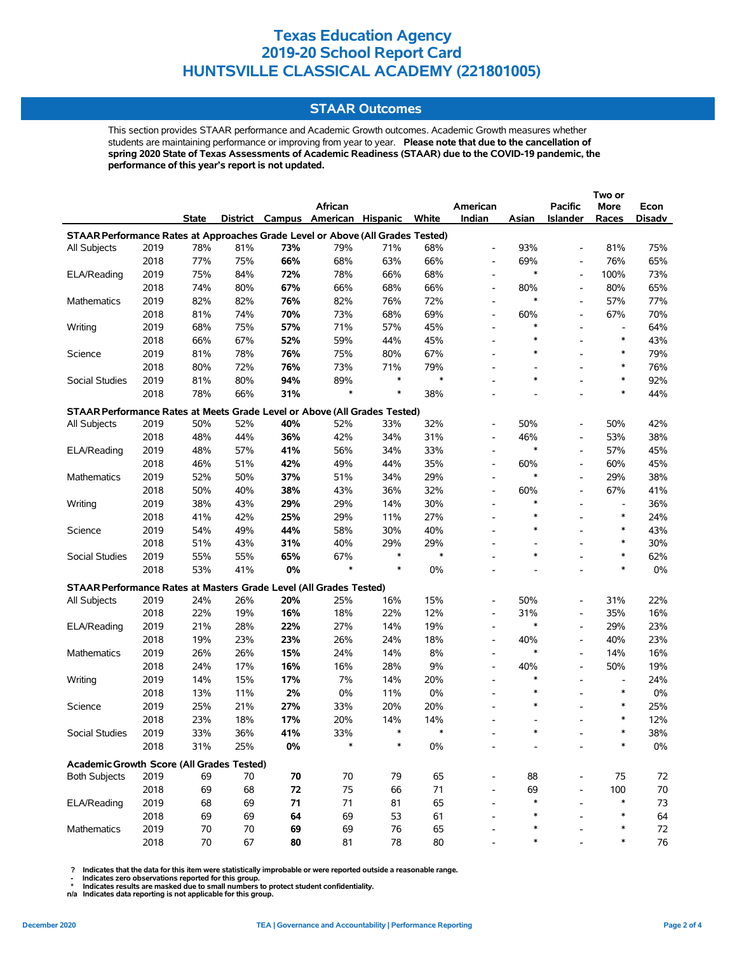### **STAAR Outcomes**

This section provides STAAR performance and Academic Growth outcomes. Academic Growth measures whether students are maintaining performance or improving from year to year. **Please note that due to the cancellation of spring 2020 State of Texas Assessments of Academic Readiness (STAAR) due to the COVID-19 pandemic, the performance of this year's report is not updated.**

|                                                                                |      |       |     |     |                                   |        |        |                          |        |                          | Two or                   |        |
|--------------------------------------------------------------------------------|------|-------|-----|-----|-----------------------------------|--------|--------|--------------------------|--------|--------------------------|--------------------------|--------|
|                                                                                |      |       |     |     | African                           |        |        | American                 |        | <b>Pacific</b>           | More                     | Econ   |
|                                                                                |      | State |     |     | District Campus American Hispanic |        | White  | Indian                   | Asian  | <b>Islander</b>          | Races                    | Disadv |
| STAAR Performance Rates at Approaches Grade Level or Above (All Grades Tested) |      |       |     |     |                                   |        |        |                          |        |                          |                          |        |
| All Subjects                                                                   | 2019 | 78%   | 81% | 73% | 79%                               | 71%    | 68%    | $\overline{\phantom{a}}$ | 93%    | $\overline{a}$           | 81%                      | 75%    |
|                                                                                | 2018 | 77%   | 75% | 66% | 68%                               | 63%    | 66%    | $\blacksquare$           | 69%    | $\overline{\phantom{a}}$ | 76%                      | 65%    |
| ELA/Reading                                                                    | 2019 | 75%   | 84% | 72% | 78%                               | 66%    | 68%    | $\overline{\phantom{a}}$ | $\ast$ | $\overline{a}$           | 100%                     | 73%    |
|                                                                                | 2018 | 74%   | 80% | 67% | 66%                               | 68%    | 66%    | $\overline{\phantom{a}}$ | 80%    | $\overline{\phantom{0}}$ | 80%                      | 65%    |
| Mathematics                                                                    | 2019 | 82%   | 82% | 76% | 82%                               | 76%    | 72%    | $\overline{\phantom{a}}$ | *      | $\overline{\phantom{0}}$ | 57%                      | 77%    |
|                                                                                | 2018 | 81%   | 74% | 70% | 73%                               | 68%    | 69%    | $\overline{\phantom{a}}$ | 60%    | $\overline{\phantom{0}}$ | 67%                      | 70%    |
| Writing                                                                        | 2019 | 68%   | 75% | 57% | 71%                               | 57%    | 45%    | $\overline{\phantom{a}}$ | *      | $\overline{\phantom{0}}$ | $\overline{\phantom{a}}$ | 64%    |
|                                                                                | 2018 | 66%   | 67% | 52% | 59%                               | 44%    | 45%    | $\overline{a}$           | *      |                          | $\ast$                   | 43%    |
| Science                                                                        | 2019 | 81%   | 78% | 76% | 75%                               | 80%    | 67%    | $\overline{a}$           | $\ast$ | $\overline{a}$           | $\ast$                   | 79%    |
|                                                                                | 2018 | 80%   | 72% | 76% | 73%                               | 71%    | 79%    | $\overline{\phantom{a}}$ |        | $\overline{\phantom{0}}$ | $\ast$                   | 76%    |
| Social Studies                                                                 | 2019 | 81%   | 80% | 94% | 89%                               | $\ast$ | $\ast$ |                          | $\ast$ | $\overline{a}$           | $\ast$                   | 92%    |
|                                                                                | 2018 | 78%   | 66% | 31% | $\ast$                            | $\ast$ | 38%    | $\overline{\phantom{a}}$ |        | $\overline{a}$           | $\ast$                   | 44%    |
| STAAR Performance Rates at Meets Grade Level or Above (All Grades Tested)      |      |       |     |     |                                   |        |        |                          |        |                          |                          |        |
| All Subjects                                                                   | 2019 | 50%   | 52% | 40% | 52%                               | 33%    | 32%    | $\overline{a}$           | 50%    | $\overline{a}$           | 50%                      | 42%    |
|                                                                                | 2018 | 48%   | 44% | 36% | 42%                               | 34%    | 31%    | $\overline{\phantom{a}}$ | 46%    | $\overline{\phantom{a}}$ | 53%                      | 38%    |
| ELA/Reading                                                                    | 2019 | 48%   | 57% | 41% | 56%                               | 34%    | 33%    | $\overline{\phantom{a}}$ | $\ast$ | $\overline{\phantom{a}}$ | 57%                      | 45%    |
|                                                                                | 2018 | 46%   | 51% | 42% | 49%                               | 44%    | 35%    | $\blacksquare$           | 60%    | $\overline{a}$           | 60%                      | 45%    |
| <b>Mathematics</b>                                                             | 2019 | 52%   | 50% | 37% | 51%                               | 34%    | 29%    | $\overline{\phantom{a}}$ | *      | $\overline{a}$           | 29%                      | 38%    |
|                                                                                | 2018 | 50%   | 40% | 38% | 43%                               | 36%    | 32%    | $\overline{\phantom{a}}$ | 60%    | $\overline{a}$           | 67%                      | 41%    |
| Writing                                                                        | 2019 | 38%   | 43% | 29% | 29%                               | 14%    | 30%    | $\overline{a}$           | *      | $\overline{\phantom{a}}$ | $\overline{\phantom{a}}$ | 36%    |
|                                                                                | 2018 | 41%   | 42% | 25% | 29%                               | 11%    | 27%    | $\blacksquare$           | $\ast$ | $\overline{\phantom{a}}$ | $\ast$                   | 24%    |
| Science                                                                        | 2019 | 54%   | 49% | 44% | 58%                               | 30%    | 40%    | $\overline{\phantom{a}}$ | *      |                          | $\ast$                   | 43%    |
|                                                                                | 2018 | 51%   | 43% | 31% | 40%                               | 29%    | 29%    |                          |        |                          | $\ast$                   | 30%    |
| Social Studies                                                                 | 2019 | 55%   | 55% | 65% | 67%                               | $\ast$ | $\ast$ | $\overline{\phantom{a}}$ | $\ast$ | $\overline{a}$           | $\ast$                   | 62%    |
|                                                                                | 2018 | 53%   | 41% | 0%  | $\ast$                            | $\ast$ | 0%     |                          |        |                          | $\ast$                   | 0%     |
| STAAR Performance Rates at Masters Grade Level (All Grades Tested)             |      |       |     |     |                                   |        |        |                          |        |                          |                          |        |
| All Subjects                                                                   | 2019 | 24%   | 26% | 20% | 25%                               | 16%    | 15%    | $\overline{\phantom{a}}$ | 50%    | $\overline{a}$           | 31%                      | 22%    |
|                                                                                | 2018 | 22%   | 19% | 16% | 18%                               | 22%    | 12%    | $\overline{\phantom{a}}$ | 31%    | $\overline{a}$           | 35%                      | 16%    |
| ELA/Reading                                                                    | 2019 | 21%   | 28% | 22% | 27%                               | 14%    | 19%    | $\overline{\phantom{a}}$ | $\ast$ | $\overline{\phantom{0}}$ | 29%                      | 23%    |
|                                                                                | 2018 | 19%   | 23% | 23% | 26%                               | 24%    | 18%    | $\overline{\phantom{a}}$ | 40%    | $\overline{\phantom{0}}$ | 40%                      | 23%    |
| Mathematics                                                                    | 2019 | 26%   | 26% | 15% | 24%                               | 14%    | 8%     | $\overline{\phantom{a}}$ | *      | $\overline{\phantom{0}}$ | 14%                      | 16%    |
|                                                                                | 2018 | 24%   | 17% | 16% | 16%                               | 28%    | 9%     | $\overline{\phantom{a}}$ | 40%    | $\overline{\phantom{a}}$ | 50%                      | 19%    |
| Writing                                                                        | 2019 | 14%   | 15% | 17% | 7%                                | 14%    | 20%    | $\overline{\phantom{a}}$ | *      | $\overline{a}$           | $\overline{\phantom{a}}$ | 24%    |
|                                                                                | 2018 | 13%   | 11% | 2%  | 0%                                | 11%    | 0%     | $\overline{\phantom{a}}$ | $\ast$ | $\overline{a}$           | $\ast$                   | 0%     |
| Science                                                                        | 2019 | 25%   | 21% | 27% | 33%                               | 20%    | 20%    | $\overline{\phantom{a}}$ | *      | $\overline{a}$           | $\ast$                   | 25%    |
|                                                                                | 2018 | 23%   | 18% | 17% | 20%                               | 14%    | 14%    |                          |        |                          | $\ast$                   | 12%    |
| Social Studies                                                                 | 2019 | 33%   | 36% | 41% | 33%                               |        |        |                          |        |                          |                          | 38%    |
|                                                                                | 2018 | 31%   | 25% | 0%  | $\ast$                            |        | 0%     |                          |        |                          |                          | $0\%$  |
| Academic Growth Score (All Grades Tested)                                      |      |       |     |     |                                   |        |        |                          |        |                          |                          |        |
| <b>Both Subjects</b>                                                           | 2019 | 69    | 70  | 70  | 70                                | 79     | 65     |                          | 88     | $\overline{\phantom{0}}$ | 75                       | 72     |
|                                                                                | 2018 | 69    | 68  | 72  | 75                                | 66     | 71     |                          | 69     |                          | 100                      | 70     |
| ELA/Reading                                                                    | 2019 | 68    | 69  | 71  | 71                                | 81     | 65     |                          | ∗      |                          | ∗                        | 73     |
|                                                                                | 2018 | 69    | 69  | 64  | 69                                | 53     | 61     |                          | ∗      |                          | $\ast$                   | 64     |
| Mathematics                                                                    | 2019 | 70    | 70  | 69  | 69                                | 76     | 65     |                          |        |                          | ∗                        | 72     |
|                                                                                | 2018 | 70    | 67  | 80  | 81                                | 78     | 80     |                          | ∗      |                          | $\ast$                   | 76     |

 **? Indicates that the data for this item were statistically improbable or were reported outside a reasonable range.**

 **- Indicates zero observations reported for this group. \* Indicates results are masked due to small numbers to protect student confidentiality.**

**n/a Indicates data reporting is not applicable for this group.**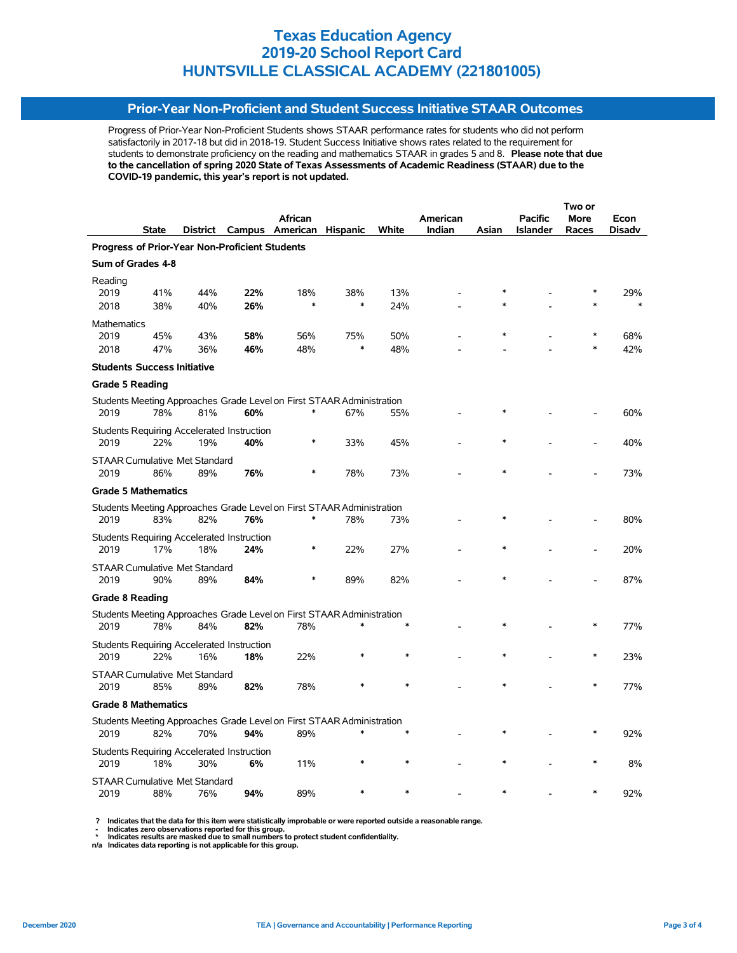### **Prior-Year Non-Proficient and Student Success Initiative STAAR Outcomes**

Progress of Prior-Year Non-Proficient Students shows STAAR performance rates for students who did not perform satisfactorily in 2017-18 but did in 2018-19. Student Success Initiative shows rates related to the requirement for students to demonstrate proficiency on the reading and mathematics STAAR in grades 5 and 8. **Please note that due to the cancellation of spring 2020 State of Texas Assessments of Academic Readiness (STAAR) due to the COVID-19 pandemic, this year's report is not updated.**

|                        |                                                          |          |     |                                                                              |     |       |          |        |                 | Two or      |        |
|------------------------|----------------------------------------------------------|----------|-----|------------------------------------------------------------------------------|-----|-------|----------|--------|-----------------|-------------|--------|
|                        |                                                          |          |     | <b>African</b>                                                               |     |       | American |        | <b>Pacific</b>  | <b>More</b> | Econ   |
|                        | <b>State</b>                                             | District |     | Campus American Hispanic                                                     |     | White | Indian   | Asian  | <b>Islander</b> | Races       | Disadv |
|                        | <b>Progress of Prior-Year Non-Proficient Students</b>    |          |     |                                                                              |     |       |          |        |                 |             |        |
| Sum of Grades 4-8      |                                                          |          |     |                                                                              |     |       |          |        |                 |             |        |
| Reading                |                                                          |          |     |                                                                              |     |       |          |        |                 |             |        |
| 2019                   | 41%                                                      | 44%      | 22% | 18%                                                                          | 38% | 13%   |          |        |                 |             | 29%    |
| 2018                   | 38%                                                      | 40%      | 26% | $\ast$                                                                       | *   | 24%   |          |        |                 |             |        |
| <b>Mathematics</b>     |                                                          |          |     |                                                                              |     |       |          |        |                 |             |        |
| 2019                   | 45%                                                      | 43%      | 58% | 56%                                                                          | 75% | 50%   |          |        |                 |             | 68%    |
| 2018                   | 47%                                                      | 36%      | 46% | 48%                                                                          | *   | 48%   |          |        |                 |             | 42%    |
|                        | <b>Students Success Initiative</b>                       |          |     |                                                                              |     |       |          |        |                 |             |        |
| <b>Grade 5 Reading</b> |                                                          |          |     |                                                                              |     |       |          |        |                 |             |        |
|                        |                                                          |          |     | Students Meeting Approaches Grade Level on First STAAR Administration        |     |       |          |        |                 |             |        |
| 2019                   | 78%                                                      | 81%      | 60% | *                                                                            | 67% | 55%   |          |        |                 |             | 60%    |
|                        | <b>Students Requiring Accelerated Instruction</b>        |          |     |                                                                              |     |       |          |        |                 |             |        |
| 2019                   | 22%                                                      | 19%      | 40% |                                                                              | 33% | 45%   |          |        |                 |             | 40%    |
|                        | <b>STAAR Cumulative Met Standard</b>                     |          |     |                                                                              |     |       |          |        |                 |             |        |
| 2019                   | 86%                                                      | 89%      | 76% |                                                                              | 78% | 73%   |          |        |                 |             | 73%    |
|                        | <b>Grade 5 Mathematics</b>                               |          |     |                                                                              |     |       |          |        |                 |             |        |
|                        |                                                          |          |     | Students Meeting Approaches Grade Level on First STAAR Administration        |     |       |          |        |                 |             |        |
| 2019                   | 83%                                                      | 82%      | 76% |                                                                              | 78% | 73%   |          |        |                 |             | 80%    |
|                        | <b>Students Requiring Accelerated Instruction</b>        |          |     |                                                                              |     |       |          |        |                 |             |        |
| 2019                   | 17%                                                      | 18%      | 24% | *                                                                            | 22% | 27%   |          | $\ast$ |                 |             | 20%    |
|                        | <b>STAAR Cumulative Met Standard</b>                     |          |     |                                                                              |     |       |          |        |                 |             |        |
| 2019                   | 90%                                                      | 89%      | 84% |                                                                              | 89% | 82%   |          |        |                 |             | 87%    |
|                        |                                                          |          |     |                                                                              |     |       |          |        |                 |             |        |
| Grade 8 Reading        |                                                          |          |     |                                                                              |     |       |          |        |                 |             |        |
| 2019                   | 78%                                                      | 84%      | 82% | Students Meeting Approaches Grade Level on First STAAR Administration<br>78% |     |       |          |        |                 |             | 77%    |
|                        |                                                          |          |     |                                                                              |     |       |          |        |                 |             |        |
|                        | <b>Students Requiring Accelerated Instruction</b><br>22% | 16%      | 18% | 22%                                                                          |     |       |          | $\ast$ |                 | *           |        |
| 2019                   |                                                          |          |     |                                                                              |     |       |          |        |                 |             | 23%    |
|                        | <b>STAAR Cumulative Met Standard</b>                     |          |     |                                                                              |     |       |          |        |                 | $\ast$      |        |
| 2019                   | 85%                                                      | 89%      | 82% | 78%                                                                          |     |       |          |        |                 |             | 77%    |
|                        | <b>Grade 8 Mathematics</b>                               |          |     |                                                                              |     |       |          |        |                 |             |        |
|                        |                                                          |          |     | Students Meeting Approaches Grade Level on First STAAR Administration        |     |       |          |        |                 |             |        |
| 2019                   | 82%                                                      | 70%      | 94% | 89%                                                                          |     |       |          |        |                 |             | 92%    |
|                        | Students Requiring Accelerated Instruction               |          |     |                                                                              |     |       |          |        |                 |             |        |
| 2019                   | 18%                                                      | 30%      | 6%  | 11%                                                                          |     |       |          |        |                 |             | 8%     |
|                        | <b>STAAR Cumulative Met Standard</b>                     |          |     |                                                                              |     |       |          |        |                 |             |        |
| 2019                   | 88%                                                      | 76%      | 94% | 89%                                                                          |     |       |          |        |                 |             | 92%    |

 **? Indicates that the data for this item were statistically improbable or were reported outside a reasonable range.**

 **- Indicates zero observations reported for this group.**

 **\* Indicates results are masked due to small numbers to protect student confidentiality. n/a Indicates data reporting is not applicable for this group.**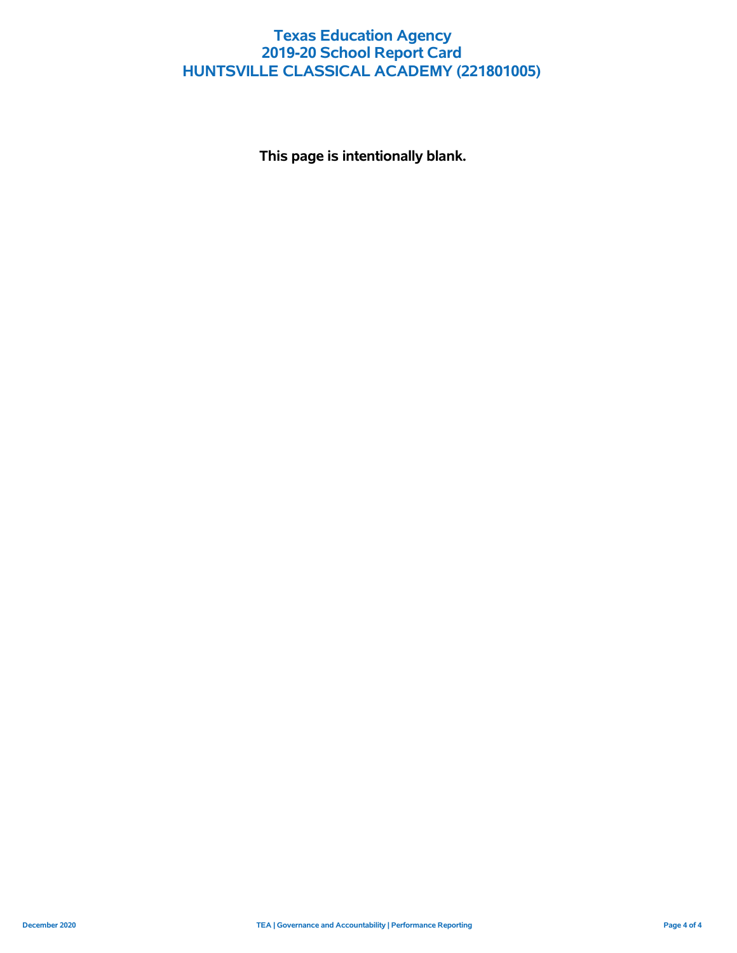**This page is intentionally blank.**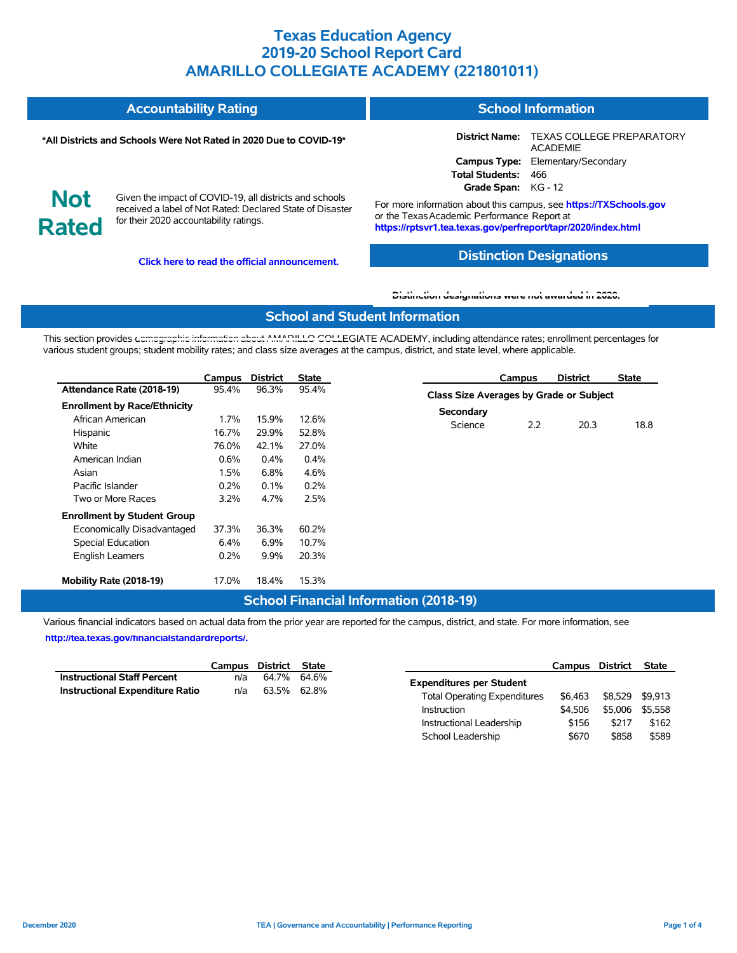|                            | <b>Accountability Rating</b>                                                                                                                                   | <b>School Information</b>                                                                                                                                                         |                                              |  |  |  |  |
|----------------------------|----------------------------------------------------------------------------------------------------------------------------------------------------------------|-----------------------------------------------------------------------------------------------------------------------------------------------------------------------------------|----------------------------------------------|--|--|--|--|
|                            | *All Districts and Schools Were Not Rated in 2020 Due to COVID-19*                                                                                             | <b>District Name:</b>                                                                                                                                                             | TEXAS COLLEGE PREPARATORY<br><b>ACADEMIE</b> |  |  |  |  |
|                            |                                                                                                                                                                |                                                                                                                                                                                   | Campus Type: Elementary/Secondary            |  |  |  |  |
|                            |                                                                                                                                                                | <b>Total Students: 466</b>                                                                                                                                                        |                                              |  |  |  |  |
|                            |                                                                                                                                                                | Grade Span: KG - 12                                                                                                                                                               |                                              |  |  |  |  |
| <b>Not</b><br><b>Rated</b> | Given the impact of COVID-19, all districts and schools<br>received a label of Not Rated: Declared State of Disaster<br>for their 2020 accountability ratings. | For more information about this campus, see https://TXSchools.gov<br>or the Texas Academic Performance Report at<br>https://rptsvr1.tea.texas.gov/perfreport/tapr/2020/index.html |                                              |  |  |  |  |

**Click here to read the official announcement.**

### **Distinction Designations**

Instructional Leadership  $$156$  \$217 \$162 School Leadership  $$670$  \$858 \$589

#### **[Distinction designations were not awarded in 2020.](https://rptsvr1.tea.texas.gov/perfreport/tapr/2020/index.html)**

#### **School and Student Information**

This section provides [demographic information about AMARILLO COLL](https://tea.texas.gov/about-tea/news-and-multimedia/correspondence/taa-letters/every-student-succeeds-act-essa-waiver-approval-2020-state-academic-accountability)EGIATE ACADEMY, including attendance rates; enrollment percentages for various student groups; student mobility rates; and class size averages at the campus, district, and state level, where applicable.

|                                                                                                                                       | Campus                                               | <b>District</b>                                 | <b>State</b>                                    |                                         | Campus | <b>District</b> | State |
|---------------------------------------------------------------------------------------------------------------------------------------|------------------------------------------------------|-------------------------------------------------|-------------------------------------------------|-----------------------------------------|--------|-----------------|-------|
| Attendance Rate (2018-19)                                                                                                             | 95.4%                                                | 96.3%                                           | 95.4%                                           | Class Size Averages by Grade or Subject |        |                 |       |
| <b>Enrollment by Race/Ethnicity</b><br>African American<br>Hispanic<br>White<br>American Indian<br>Asian<br>Pacific Islander          | $1.7\%$<br>16.7%<br>76.0%<br>$0.6\%$<br>1.5%<br>0.2% | 15.9%<br>29.9%<br>42.1%<br>0.4%<br>6.8%<br>0.1% | 12.6%<br>52.8%<br>27.0%<br>0.4%<br>4.6%<br>0.2% | Secondary<br>Science                    | 2.2    | 20.3            | 18.8  |
| Two or More Races<br><b>Enrollment by Student Group</b><br>Economically Disadvantaged<br>Special Education<br><b>English Learners</b> | 3.2%<br>37.3%<br>6.4%<br>0.2%                        | 4.7%<br>36.3%<br>6.9%<br>9.9%                   | 2.5%<br>60.2%<br>10.7%<br>20.3%                 |                                         |        |                 |       |
| Mobility Rate (2018-19)                                                                                                               | 17.0%                                                | 18.4%                                           | 15.3%                                           |                                         |        |                 |       |

#### **School Financial Information (2018-19)**

Various financial indicators based on actual data from the prior year are reported for the campus, district, and state. For more information, see

|                                    |     | Campus District State | Campus                                         | District        | State |
|------------------------------------|-----|-----------------------|------------------------------------------------|-----------------|-------|
| <b>Instructional Staff Percent</b> | n/a | 64.7% 64.6%           | <b>Expenditures per Student</b>                |                 |       |
| Instructional Expenditure Ratio    | n/a | 63.5% 62.8%           | \$6.463<br><b>Total Operating Expenditures</b> | \$8,529 \$9,913 |       |
|                                    |     |                       | \$4.506<br>Instruction                         | \$5,006 \$5,558 |       |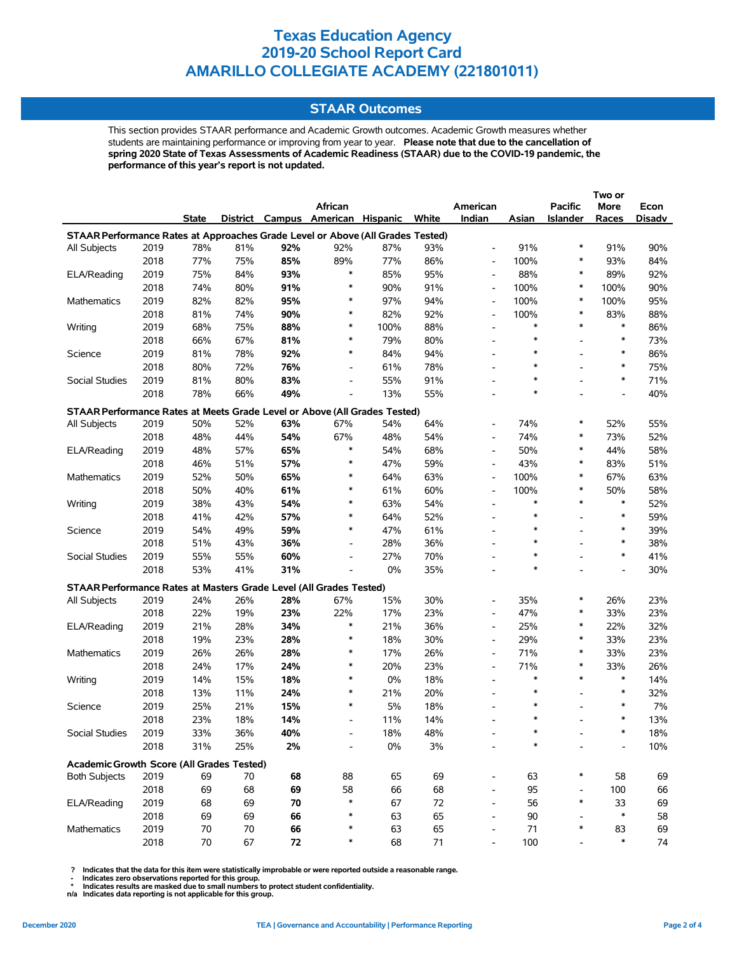### **STAAR Outcomes**

This section provides STAAR performance and Academic Growth outcomes. Academic Growth measures whether students are maintaining performance or improving from year to year. **Please note that due to the cancellation of spring 2020 State of Texas Assessments of Academic Readiness (STAAR) due to the COVID-19 pandemic, the performance of this year's report is not updated.**

|                                                                                |      |       |     |     |                                   |      |       |                          |        |                          | Two or                   |        |
|--------------------------------------------------------------------------------|------|-------|-----|-----|-----------------------------------|------|-------|--------------------------|--------|--------------------------|--------------------------|--------|
|                                                                                |      |       |     |     | African                           |      |       | American                 |        | <b>Pacific</b>           | More                     | Econ   |
|                                                                                |      | State |     |     | District Campus American Hispanic |      | White | Indian                   | Asian  | <b>Islander</b>          | Races                    | Disadv |
| STAAR Performance Rates at Approaches Grade Level or Above (All Grades Tested) |      |       |     |     |                                   |      |       |                          |        |                          |                          |        |
| All Subjects                                                                   | 2019 | 78%   | 81% | 92% | 92%                               | 87%  | 93%   | $\blacksquare$           | 91%    | $\ast$                   | 91%                      | 90%    |
|                                                                                | 2018 | 77%   | 75% | 85% | 89%                               | 77%  | 86%   | $\overline{\phantom{a}}$ | 100%   | *                        | 93%                      | 84%    |
| ELA/Reading                                                                    | 2019 | 75%   | 84% | 93% | $\ast$                            | 85%  | 95%   | $\overline{\phantom{a}}$ | 88%    | $\ast$                   | 89%                      | 92%    |
|                                                                                | 2018 | 74%   | 80% | 91% | $\ast$                            | 90%  | 91%   | $\overline{\phantom{a}}$ | 100%   | $\ast$                   | 100%                     | 90%    |
| Mathematics                                                                    | 2019 | 82%   | 82% | 95% | $\ast$                            | 97%  | 94%   | $\overline{\phantom{a}}$ | 100%   | $\ast$                   | 100%                     | 95%    |
|                                                                                | 2018 | 81%   | 74% | 90% | $\ast$                            | 82%  | 92%   | $\overline{\phantom{a}}$ | 100%   | $\ast$                   | 83%                      | 88%    |
| Writing                                                                        | 2019 | 68%   | 75% | 88% | $\ast$                            | 100% | 88%   | $\overline{\phantom{a}}$ | $\ast$ | $\ast$                   | $\ast$                   | 86%    |
|                                                                                | 2018 | 66%   | 67% | 81% | $\ast$                            | 79%  | 80%   |                          | *      | $\overline{a}$           | $\ast$                   | 73%    |
| Science                                                                        | 2019 | 81%   | 78% | 92% | $\ast$                            | 84%  | 94%   | $\overline{a}$           | $\ast$ | $\overline{a}$           | $\ast$                   | 86%    |
|                                                                                | 2018 | 80%   | 72% | 76% | $\overline{\phantom{a}}$          | 61%  | 78%   | $\overline{\phantom{a}}$ | $\ast$ |                          | $\ast$                   | 75%    |
| Social Studies                                                                 | 2019 | 81%   | 80% | 83% | $\overline{\phantom{a}}$          | 55%  | 91%   |                          | $\ast$ |                          | $\ast$                   | 71%    |
|                                                                                | 2018 | 78%   | 66% | 49% | $\overline{\phantom{a}}$          | 13%  | 55%   | $\blacksquare$           | $\ast$ |                          | $\overline{\phantom{a}}$ | 40%    |
| STAAR Performance Rates at Meets Grade Level or Above (All Grades Tested)      |      |       |     |     |                                   |      |       |                          |        |                          |                          |        |
| All Subjects                                                                   | 2019 | 50%   | 52% | 63% | 67%                               | 54%  | 64%   | $\overline{\phantom{a}}$ | 74%    | $\ast$                   | 52%                      | 55%    |
|                                                                                | 2018 | 48%   | 44% | 54% | 67%                               | 48%  | 54%   | $\overline{\phantom{a}}$ | 74%    | $\ast$                   | 73%                      | 52%    |
| ELA/Reading                                                                    | 2019 | 48%   | 57% | 65% | $\ast$                            | 54%  | 68%   | $\overline{\phantom{a}}$ | 50%    | *                        | 44%                      | 58%    |
|                                                                                | 2018 | 46%   | 51% | 57% | $\ast$                            | 47%  | 59%   | $\overline{\phantom{a}}$ | 43%    | *                        | 83%                      | 51%    |
| <b>Mathematics</b>                                                             | 2019 | 52%   | 50% | 65% | $\ast$                            | 64%  | 63%   | $\blacksquare$           | 100%   | $\ast$                   | 67%                      | 63%    |
|                                                                                | 2018 | 50%   | 40% | 61% | $\ast$                            | 61%  | 60%   | $\overline{\phantom{a}}$ | 100%   | *                        | 50%                      | 58%    |
| Writing                                                                        | 2019 | 38%   | 43% | 54% | $\ast$                            | 63%  | 54%   | $\overline{a}$           | $\ast$ | $\ast$                   | $\ast$                   | 52%    |
|                                                                                | 2018 | 41%   | 42% | 57% | $\ast$                            | 64%  | 52%   | $\blacksquare$           | $\ast$ | $\overline{\phantom{a}}$ | $\ast$                   | 59%    |
| Science                                                                        | 2019 | 54%   | 49% | 59% | $\ast$                            | 47%  | 61%   | $\overline{\phantom{a}}$ | ∗      |                          | $\ast$                   | 39%    |
|                                                                                | 2018 | 51%   | 43% | 36% | $\overline{\phantom{a}}$          | 28%  | 36%   |                          | $\ast$ |                          | $\ast$                   | 38%    |
| Social Studies                                                                 | 2019 | 55%   | 55% | 60% | $\overline{\phantom{a}}$          | 27%  | 70%   | $\overline{\phantom{a}}$ | $\ast$ |                          | $\ast$                   | 41%    |
|                                                                                | 2018 | 53%   | 41% | 31% |                                   | 0%   | 35%   |                          | $\ast$ |                          |                          | 30%    |
| STAAR Performance Rates at Masters Grade Level (All Grades Tested)             |      |       |     |     |                                   |      |       |                          |        |                          |                          |        |
| All Subjects                                                                   | 2019 | 24%   | 26% | 28% | 67%                               | 15%  | 30%   | $\blacksquare$           | 35%    | *                        | 26%                      | 23%    |
|                                                                                | 2018 | 22%   | 19% | 23% | 22%                               | 17%  | 23%   | $\blacksquare$           | 47%    | *                        | 33%                      | 23%    |
| ELA/Reading                                                                    | 2019 | 21%   | 28% | 34% | $\ast$                            | 21%  | 36%   | $\overline{\phantom{a}}$ | 25%    | $\ast$                   | 22%                      | 32%    |
|                                                                                | 2018 | 19%   | 23% | 28% | $\ast$                            | 18%  | 30%   | $\overline{\phantom{a}}$ | 29%    | $\ast$                   | 33%                      | 23%    |
| Mathematics                                                                    | 2019 | 26%   | 26% | 28% | $\ast$                            | 17%  | 26%   | $\overline{\phantom{a}}$ | 71%    | *                        | 33%                      | 23%    |
|                                                                                | 2018 | 24%   | 17% | 24% | $\ast$                            | 20%  | 23%   | $\overline{\phantom{a}}$ | 71%    | $\ast$                   | 33%                      | 26%    |
| Writing                                                                        | 2019 | 14%   | 15% | 18% | $\ast$                            | 0%   | 18%   | $\overline{\phantom{a}}$ | $\ast$ | $\ast$                   | $\ast$                   | 14%    |
|                                                                                | 2018 | 13%   | 11% | 24% | $\ast$                            | 21%  | 20%   | $\overline{\phantom{a}}$ | $\ast$ | $\overline{a}$           | $\ast$                   | 32%    |
| Science                                                                        | 2019 | 25%   | 21% | 15% | $\ast$                            | 5%   | 18%   | $\overline{a}$           | $\ast$ | $\overline{a}$           | $\ast$                   | 7%     |
|                                                                                | 2018 | 23%   | 18% | 14% | $\overline{\phantom{a}}$          | 11%  | 14%   |                          | *      |                          | $\ast$                   | 13%    |
| Social Studies                                                                 | 2019 | 33%   | 36% | 40% | $\overline{\phantom{0}}$          | 18%  | 48%   |                          |        |                          |                          | 18%    |
|                                                                                | 2018 | 31%   | 25% | 2%  |                                   | 0%   | 3%    |                          |        |                          |                          | 10%    |
|                                                                                |      |       |     |     |                                   |      |       |                          |        |                          |                          |        |
| Academic Growth Score (All Grades Tested)                                      |      |       |     |     |                                   |      |       |                          |        |                          |                          |        |
| <b>Both Subjects</b>                                                           | 2019 | 69    | 70  | 68  | 88                                | 65   | 69    | $\overline{\phantom{a}}$ | 63     | *                        | 58                       | 69     |
|                                                                                | 2018 | 69    | 68  | 69  | 58                                | 66   | 68    |                          | 95     | -<br>*                   | 100                      | 66     |
| ELA/Reading                                                                    | 2019 | 68    | 69  | 70  | $\ast$<br>∗                       | 67   | 72    | $\overline{\phantom{a}}$ | 56     |                          | 33<br>$\ast$             | 69     |
|                                                                                | 2018 | 69    | 69  | 66  | ∗                                 | 63   | 65    | $\overline{\phantom{a}}$ | 90     | *                        |                          | 58     |
| Mathematics                                                                    | 2019 | 70    | 70  | 66  | $\ast$                            | 63   | 65    |                          | 71     |                          | 83<br>$\ast$             | 69     |
|                                                                                | 2018 | 70    | 67  | 72  |                                   | 68   | $71$  |                          | 100    |                          |                          | 74     |

 **? Indicates that the data for this item were statistically improbable or were reported outside a reasonable range.**

 **- Indicates zero observations reported for this group. \* Indicates results are masked due to small numbers to protect student confidentiality.**

**n/a Indicates data reporting is not applicable for this group.**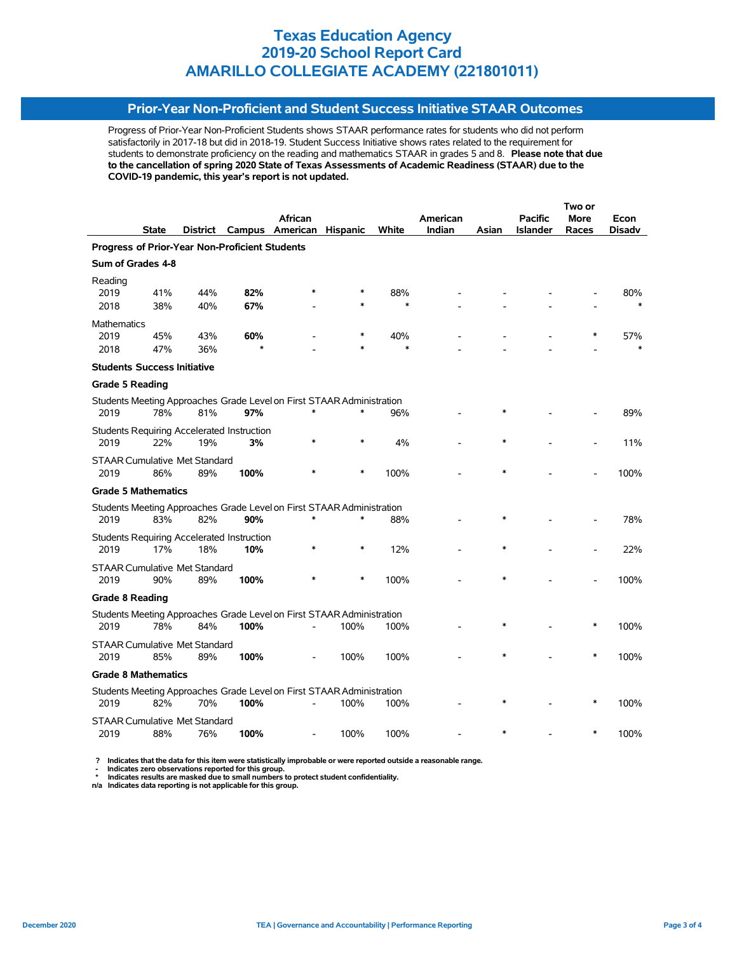### **Prior-Year Non-Proficient and Student Success Initiative STAAR Outcomes**

Progress of Prior-Year Non-Proficient Students shows STAAR performance rates for students who did not perform satisfactorily in 2017-18 but did in 2018-19. Student Success Initiative shows rates related to the requirement for students to demonstrate proficiency on the reading and mathematics STAAR in grades 5 and 8. **Please note that due to the cancellation of spring 2020 State of Texas Assessments of Academic Readiness (STAAR) due to the COVID-19 pandemic, this year's report is not updated.**

|                                    |              |                                      |                                                   |                                                                       |                 |               |          |        |                 | Two or      |        |
|------------------------------------|--------------|--------------------------------------|---------------------------------------------------|-----------------------------------------------------------------------|-----------------|---------------|----------|--------|-----------------|-------------|--------|
|                                    |              |                                      |                                                   | African                                                               |                 |               | American |        | <b>Pacific</b>  | <b>More</b> | Econ   |
|                                    | <b>State</b> | District                             |                                                   | Campus American                                                       | <b>Hispanic</b> | White         | Indian   | Asian  | <b>Islander</b> | Races       | Disadv |
|                                    |              |                                      | Progress of Prior-Year Non-Proficient Students    |                                                                       |                 |               |          |        |                 |             |        |
| Sum of Grades 4-8                  |              |                                      |                                                   |                                                                       |                 |               |          |        |                 |             |        |
| Reading                            |              |                                      |                                                   |                                                                       |                 |               |          |        |                 |             |        |
| 2019                               | 41%          | 44%                                  | 82%<br>67%                                        |                                                                       |                 | 88%<br>$\ast$ |          |        |                 |             | 80%    |
| 2018                               | 38%          | 40%                                  |                                                   |                                                                       |                 |               |          |        |                 |             |        |
| <b>Mathematics</b><br>2019         | 45%          | 43%                                  | 60%                                               |                                                                       |                 | 40%           |          |        |                 |             | 57%    |
| 2018                               | 47%          | 36%                                  | ÷.                                                |                                                                       |                 | $\ast$        |          |        |                 |             |        |
| <b>Students Success Initiative</b> |              |                                      |                                                   |                                                                       |                 |               |          |        |                 |             |        |
|                                    |              |                                      |                                                   |                                                                       |                 |               |          |        |                 |             |        |
| <b>Grade 5 Reading</b>             |              |                                      |                                                   |                                                                       |                 |               |          |        |                 |             |        |
| 2019                               | 78%          | 81%                                  | 97%                                               | Students Meeting Approaches Grade Level on First STAAR Administration |                 | 96%           |          |        |                 |             | 89%    |
|                                    |              |                                      |                                                   |                                                                       |                 |               |          |        |                 |             |        |
| 2019                               | 22%          | 19%                                  | Students Requiring Accelerated Instruction<br>3%  |                                                                       | *               | 4%            |          | $\ast$ |                 |             | 11%    |
|                                    |              | <b>STAAR Cumulative Met Standard</b> |                                                   |                                                                       |                 |               |          |        |                 |             |        |
| 2019                               | 86%          | 89%                                  | 100%                                              |                                                                       | $\ast$          | 100%          |          | $\ast$ |                 |             | 100%   |
| <b>Grade 5 Mathematics</b>         |              |                                      |                                                   |                                                                       |                 |               |          |        |                 |             |        |
|                                    |              |                                      |                                                   | Students Meeting Approaches Grade Level on First STAAR Administration |                 |               |          |        |                 |             |        |
| 2019                               | 83%          | 82%                                  | 90%                                               | $\ast$                                                                | ∗               | 88%           |          |        |                 |             | 78%    |
|                                    |              |                                      | <b>Students Requiring Accelerated Instruction</b> |                                                                       |                 |               |          |        |                 |             |        |
| 2019                               | 17%          | 18%                                  | 10%                                               |                                                                       |                 | 12%           |          |        |                 |             | 22%    |
|                                    |              | <b>STAAR Cumulative Met Standard</b> |                                                   |                                                                       |                 |               |          |        |                 |             |        |
| 2019                               | 90%          | 89%                                  | 100%                                              |                                                                       | $\ast$          | 100%          |          |        |                 |             | 100%   |
| <b>Grade 8 Reading</b>             |              |                                      |                                                   |                                                                       |                 |               |          |        |                 |             |        |
|                                    |              |                                      |                                                   | Students Meeting Approaches Grade Level on First STAAR Administration |                 |               |          |        |                 |             |        |
| 2019                               | 78%          | 84%                                  | 100%                                              |                                                                       | 100%            | 100%          |          | $\ast$ |                 | ∗           | 100%   |
|                                    |              | <b>STAAR Cumulative Met Standard</b> |                                                   |                                                                       |                 |               |          |        |                 |             |        |
| 2019                               | 85%          | 89%                                  | 100%                                              |                                                                       | 100%            | 100%          |          |        |                 | *           | 100%   |
| <b>Grade 8 Mathematics</b>         |              |                                      |                                                   |                                                                       |                 |               |          |        |                 |             |        |
|                                    |              |                                      |                                                   | Students Meeting Approaches Grade Level on First STAAR Administration |                 |               |          |        |                 |             |        |
| 2019                               | 82%          | 70%                                  | 100%                                              |                                                                       | 100%            | 100%          |          |        |                 |             | 100%   |
|                                    |              | <b>STAAR Cumulative Met Standard</b> |                                                   |                                                                       |                 |               |          |        |                 |             |        |
| 2019                               | 88%          | 76%                                  | 100%                                              |                                                                       | 100%            | 100%          |          |        |                 |             | 100%   |

 **? Indicates that the data for this item were statistically improbable or were reported outside a reasonable range.**

 **- Indicates zero observations reported for this group.**

 **\* Indicates results are masked due to small numbers to protect student confidentiality. n/a Indicates data reporting is not applicable for this group.**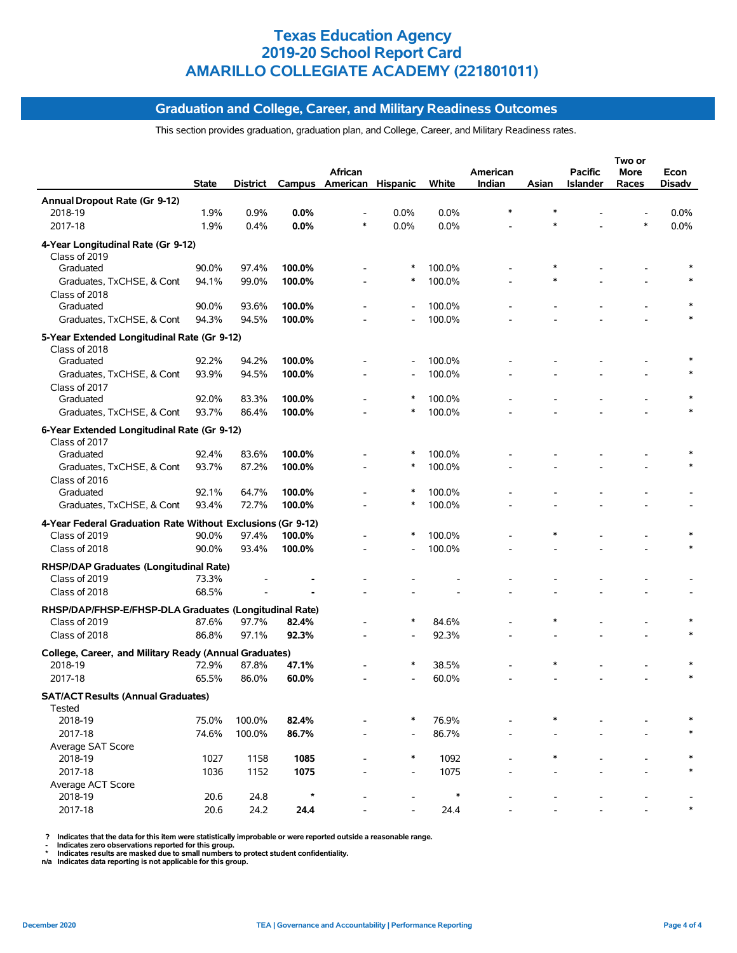### **Graduation and College, Career, and Military Readiness Outcomes**

This section provides graduation, graduation plan, and College, Career, and Military Readiness rates.

|                                                                              |              |        |         |                                   |                          |        |          |        |          | Two or |        |
|------------------------------------------------------------------------------|--------------|--------|---------|-----------------------------------|--------------------------|--------|----------|--------|----------|--------|--------|
|                                                                              |              |        |         | African                           |                          |        | American |        | Pacific  | More   | Econ   |
|                                                                              | <b>State</b> |        |         | District Campus American Hispanic |                          | White  | Indian   | Asian  | Islander | Races  | Disadv |
| Annual Dropout Rate (Gr 9-12)                                                |              |        |         |                                   |                          |        |          |        |          |        |        |
| 2018-19                                                                      | 1.9%         | 0.9%   | 0.0%    |                                   | 0.0%                     | 0.0%   | $\ast$   |        |          |        | 0.0%   |
| 2017-18                                                                      | 1.9%         | 0.4%   | 0.0%    | $\ast$                            | 0.0%                     | 0.0%   |          | $\ast$ |          | $\ast$ | 0.0%   |
| 4-Year Longitudinal Rate (Gr 9-12)                                           |              |        |         |                                   |                          |        |          |        |          |        |        |
| Class of 2019                                                                |              |        |         |                                   |                          |        |          |        |          |        |        |
| Graduated                                                                    | 90.0%        | 97.4%  | 100.0%  |                                   | ∗                        | 100.0% |          |        |          |        |        |
| Graduates, TxCHSE, & Cont                                                    | 94.1%        | 99.0%  | 100.0%  |                                   | ∗                        | 100.0% |          |        |          |        |        |
| Class of 2018                                                                |              |        |         |                                   |                          |        |          |        |          |        |        |
| Graduated                                                                    | 90.0%        | 93.6%  | 100.0%  |                                   | $\overline{\phantom{a}}$ | 100.0% |          |        |          |        |        |
| Graduates, TxCHSE, & Cont                                                    | 94.3%        | 94.5%  | 100.0%  |                                   |                          | 100.0% |          |        |          |        |        |
| 5-Year Extended Longitudinal Rate (Gr 9-12)                                  |              |        |         |                                   |                          |        |          |        |          |        |        |
| Class of 2018                                                                |              |        |         |                                   |                          |        |          |        |          |        |        |
| Graduated                                                                    | 92.2%        | 94.2%  | 100.0%  |                                   |                          | 100.0% |          |        |          |        |        |
| Graduates, TxCHSE, & Cont                                                    | 93.9%        | 94.5%  | 100.0%  |                                   | $\overline{\phantom{a}}$ | 100.0% |          |        |          |        |        |
| Class of 2017                                                                |              |        |         |                                   |                          |        |          |        |          |        |        |
| Graduated                                                                    | 92.0%        | 83.3%  | 100.0%  |                                   | $\ast$                   | 100.0% |          |        |          |        |        |
| Graduates, TxCHSE, & Cont                                                    | 93.7%        | 86.4%  | 100.0%  |                                   | ∗                        | 100.0% |          |        |          |        |        |
| 6-Year Extended Longitudinal Rate (Gr 9-12)                                  |              |        |         |                                   |                          |        |          |        |          |        |        |
| Class of 2017                                                                |              |        |         |                                   |                          |        |          |        |          |        |        |
| Graduated                                                                    | 92.4%        | 83.6%  | 100.0%  |                                   |                          | 100.0% |          |        |          |        |        |
| Graduates, TxCHSE, & Cont                                                    | 93.7%        | 87.2%  | 100.0%  |                                   | $\ast$                   | 100.0% |          |        |          |        |        |
| Class of 2016                                                                |              |        |         |                                   |                          |        |          |        |          |        |        |
| Graduated                                                                    | 92.1%        | 64.7%  | 100.0%  |                                   | ∗                        | 100.0% |          |        |          |        |        |
| Graduates, TxCHSE, & Cont                                                    | 93.4%        | 72.7%  | 100.0%  |                                   | $\ast$                   | 100.0% |          |        |          |        |        |
|                                                                              |              |        |         |                                   |                          |        |          |        |          |        |        |
| 4-Year Federal Graduation Rate Without Exclusions (Gr 9-12)<br>Class of 2019 | 90.0%        |        |         |                                   | ∗                        |        |          |        |          |        |        |
|                                                                              |              | 97.4%  | 100.0%  |                                   |                          | 100.0% |          |        |          |        |        |
| Class of 2018                                                                | 90.0%        | 93.4%  | 100.0%  |                                   |                          | 100.0% |          |        |          |        |        |
| RHSP/DAP Graduates (Longitudinal Rate)                                       |              |        |         |                                   |                          |        |          |        |          |        |        |
| Class of 2019                                                                | 73.3%        |        |         |                                   |                          |        |          |        |          |        |        |
| Class of 2018                                                                | 68.5%        |        |         |                                   |                          |        |          |        |          |        |        |
| RHSP/DAP/FHSP-E/FHSP-DLA Graduates (Longitudinal Rate)                       |              |        |         |                                   |                          |        |          |        |          |        |        |
| Class of 2019                                                                | 87.6%        | 97.7%  | 82.4%   |                                   | $\ast$                   | 84.6%  |          |        |          |        |        |
| Class of 2018                                                                | 86.8%        | 97.1%  | 92.3%   |                                   |                          | 92.3%  |          |        |          |        |        |
|                                                                              |              |        |         |                                   |                          |        |          |        |          |        |        |
| College, Career, and Military Ready (Annual Graduates)<br>2018-19            | 72.9%        | 87.8%  | 47.1%   |                                   | $\ast$                   | 38.5%  |          |        |          |        |        |
| 2017-18                                                                      |              | 86.0%  |         |                                   |                          | 60.0%  |          |        |          |        |        |
|                                                                              | 65.5%        |        | 60.0%   |                                   |                          |        |          |        |          |        |        |
| <b>SAT/ACT Results (Annual Graduates)</b>                                    |              |        |         |                                   |                          |        |          |        |          |        |        |
| Tested                                                                       |              |        |         |                                   |                          |        |          |        |          |        |        |
| 2018-19                                                                      | 75.0%        | 100.0% | 82.4%   |                                   | $\ast$                   | 76.9%  |          |        |          |        |        |
| 2017-18                                                                      | 74.6%        | 100.0% | 86.7%   |                                   |                          | 86.7%  |          |        |          |        |        |
| Average SAT Score                                                            |              |        |         |                                   |                          |        |          |        |          |        |        |
| 2018-19                                                                      | 1027         | 1158   | 1085    |                                   | $\ast$                   | 1092   |          |        |          |        |        |
| 2017-18                                                                      | 1036         | 1152   | 1075    |                                   | $\overline{\phantom{a}}$ | 1075   |          |        |          |        | $\ast$ |
| Average ACT Score                                                            |              |        | $\star$ |                                   |                          | $\ast$ |          |        |          |        |        |
| 2018-19                                                                      | 20.6         | 24.8   |         |                                   |                          |        |          |        |          |        | $\ast$ |
| 2017-18                                                                      | 20.6         | 24.2   | 24.4    |                                   |                          | 24.4   |          |        |          |        |        |

? Indicates that the data for this item were statistically improbable or were reported outside a reasonable range.<br>- Indicates zero observations reported for this group.<br>\* Indicates results are masked due to small numbers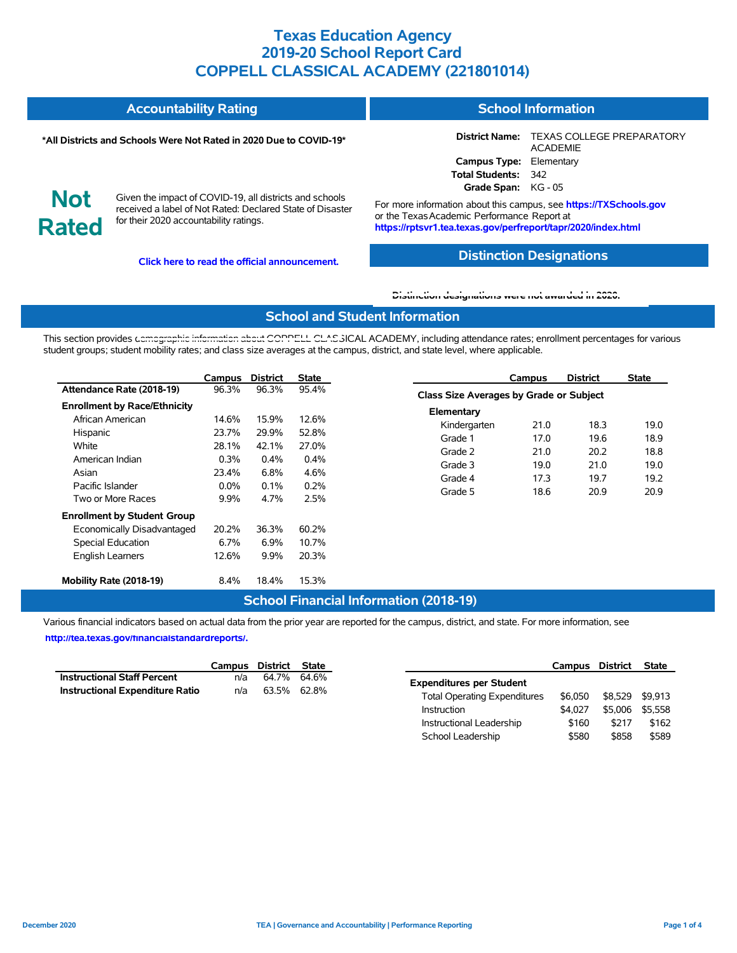|                            | <b>Accountability Rating</b>                                                                                                                                   | <b>School Information</b>                                                                                                                                                         |                                                     |  |  |  |  |
|----------------------------|----------------------------------------------------------------------------------------------------------------------------------------------------------------|-----------------------------------------------------------------------------------------------------------------------------------------------------------------------------------|-----------------------------------------------------|--|--|--|--|
|                            | *All Districts and Schools Were Not Rated in 2020 Due to COVID-19*                                                                                             | <b>District Name:</b>                                                                                                                                                             | <b>TEXAS COLLEGE PREPARATORY</b><br><b>ACADEMIE</b> |  |  |  |  |
|                            |                                                                                                                                                                | Campus Type: Elementary                                                                                                                                                           |                                                     |  |  |  |  |
|                            |                                                                                                                                                                | <b>Total Students: 342</b>                                                                                                                                                        |                                                     |  |  |  |  |
|                            |                                                                                                                                                                | Grade Span: KG - 05                                                                                                                                                               |                                                     |  |  |  |  |
| <b>Not</b><br><b>Rated</b> | Given the impact of COVID-19, all districts and schools<br>received a label of Not Rated: Declared State of Disaster<br>for their 2020 accountability ratings. | For more information about this campus, see https://TXSchools.gov<br>or the Texas Academic Performance Report at<br>https://rptsvr1.tea.texas.gov/perfreport/tapr/2020/index.html |                                                     |  |  |  |  |

**Click here to read the official announcement.**

### **Distinction Designations**

Instructional Leadership  $$160$  \$217 \$162 School Leadership  $$580$  \$858 \$589

#### **[Distinction designations were not awarded in 2020.](https://rptsvr1.tea.texas.gov/perfreport/tapr/2020/index.html)**

#### **School and Student Information**

This section provides [demographic information about COPPELL CLASS](https://tea.texas.gov/about-tea/news-and-multimedia/correspondence/taa-letters/every-student-succeeds-act-essa-waiver-approval-2020-state-academic-accountability)ICAL ACADEMY, including attendance rates; enrollment percentages for various student groups; student mobility rates; and class size averages at the campus, district, and state level, where applicable.

|                                                                     | Campus                    | <b>District</b>       | <b>State</b>            |                                         | Campus       | <b>District</b> | <b>State</b> |
|---------------------------------------------------------------------|---------------------------|-----------------------|-------------------------|-----------------------------------------|--------------|-----------------|--------------|
| Attendance Rate (2018-19)                                           | 96.3%                     | 96.3%                 | 95.4%                   | Class Size Averages by Grade or Subject |              |                 |              |
| <b>Enrollment by Race/Ethnicity</b><br>African American             | 14.6%                     | 15.9%                 | 12.6%                   | Elementary                              |              |                 |              |
| Hispanic                                                            | 23.7%                     | 29.9%                 | 52.8%                   | Kindergarten<br>Grade 1                 | 21.0<br>17.0 | 18.3<br>19.6    | 19.0<br>18.9 |
| White<br>American Indian                                            | 28.1%<br>0.3%             | 42.1%<br>0.4%         | 27.0%<br>0.4%           | Grade 2<br>Grade 3                      | 21.0<br>19.0 | 20.2<br>21.0    | 18.8<br>19.0 |
| Asian<br>Pacific Islander                                           | 23.4%<br>$0.0\%$          | 6.8%<br>0.1%          | 4.6%<br>0.2%            | Grade 4<br>Grade 5                      | 17.3<br>18.6 | 19.7<br>20.9    | 19.2<br>20.9 |
| Two or More Races<br><b>Enrollment by Student Group</b>             | $9.9\%$                   | 4.7%                  | 2.5%                    |                                         |              |                 |              |
| Economically Disadvantaged<br>Special Education<br>English Learners | 20.2%<br>$6.7\%$<br>12.6% | 36.3%<br>6.9%<br>9.9% | 60.2%<br>10.7%<br>20.3% |                                         |              |                 |              |
| Mobility Rate (2018-19)                                             | 8.4%                      | 18.4%                 | 15.3%                   |                                         |              |                 |              |

#### **School Financial Information (2018-19)**

Various financial indicators based on actual data from the prior year are reported for the campus, district, and state. For more information, see

|                                        |     | Campus District State |                                                | Campus District | State           |
|----------------------------------------|-----|-----------------------|------------------------------------------------|-----------------|-----------------|
| <b>Instructional Staff Percent</b>     | n/a | 64.7% 64.6%           | <b>Expenditures per Student</b>                |                 |                 |
| <b>Instructional Expenditure Ratio</b> | n/a | 63.5% 62.8%           | \$6.050<br><b>Total Operating Expenditures</b> | \$8,529 \$9,913 |                 |
|                                        |     |                       | \$4.027<br>Instruction                         |                 | \$5,006 \$5,558 |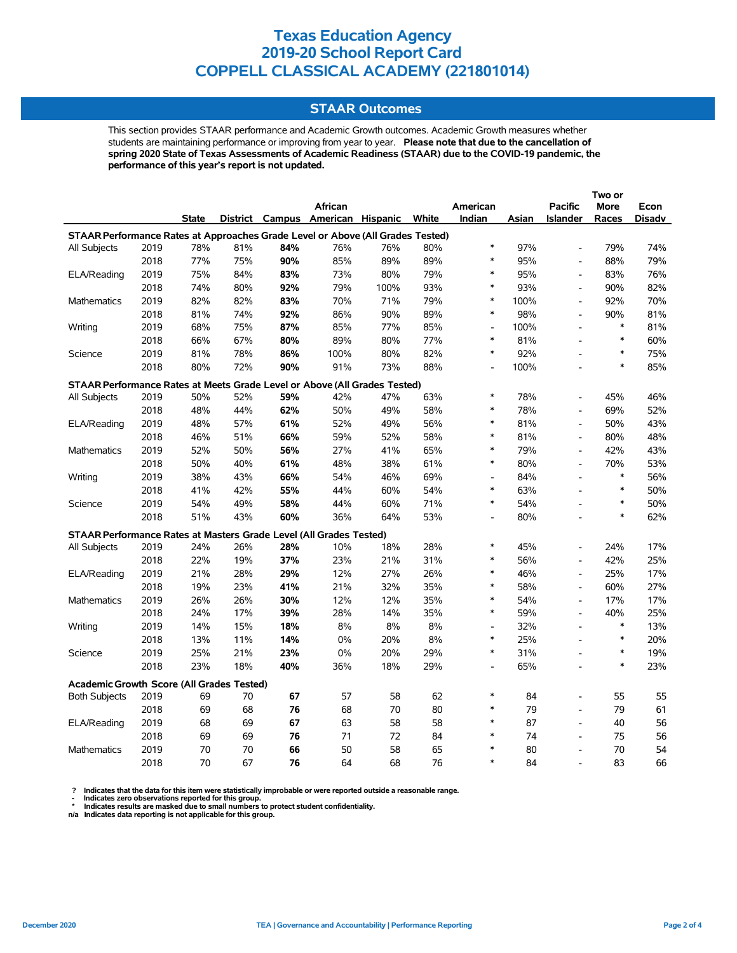### **STAAR Outcomes**

This section provides STAAR performance and Academic Growth outcomes. Academic Growth measures whether students are maintaining performance or improving from year to year. **Please note that due to the cancellation of spring 2020 State of Texas Assessments of Academic Readiness (STAAR) due to the COVID-19 pandemic, the performance of this year's report is not updated.**

|                                                                                |              |            |            |            |                                   |            |            |                          |       |                                                | Two or      |            |
|--------------------------------------------------------------------------------|--------------|------------|------------|------------|-----------------------------------|------------|------------|--------------------------|-------|------------------------------------------------|-------------|------------|
|                                                                                |              |            |            |            | African                           |            |            | American                 |       | <b>Pacific</b>                                 | <b>More</b> | Econ       |
|                                                                                |              | State      |            |            | District Campus American Hispanic |            | White      | Indian                   | Asian | <b>Islander</b>                                | Races       | Disadv     |
| STAAR Performance Rates at Approaches Grade Level or Above (All Grades Tested) |              |            |            |            |                                   |            |            |                          |       |                                                |             |            |
| All Subjects                                                                   | 2019         | 78%        | 81%        | 84%        | 76%                               | 76%        | 80%        | $\ast$                   | 97%   | $\frac{1}{2}$                                  | 79%         | 74%        |
|                                                                                | 2018         | 77%        | 75%        | 90%        | 85%                               | 89%        | 89%        | *                        | 95%   | $\qquad \qquad \blacksquare$                   | 88%         | 79%        |
| ELA/Reading                                                                    | 2019         | 75%        | 84%        | 83%        | 73%                               | 80%        | 79%        | *                        | 95%   | $\overline{a}$                                 | 83%         | 76%        |
|                                                                                | 2018         | 74%        | 80%        | 92%        | 79%                               | 100%       | 93%        | $\ast$                   | 93%   | $\frac{1}{2}$                                  | 90%         | 82%        |
| Mathematics                                                                    | 2019         | 82%        | 82%        | 83%        | 70%                               | 71%        | 79%        | $\ast$                   | 100%  | $\qquad \qquad \blacksquare$                   | 92%         | 70%        |
|                                                                                | 2018         | 81%        | 74%        | 92%        | 86%                               | 90%        | 89%        | $\ast$                   | 98%   | $\qquad \qquad \blacksquare$                   | 90%         | 81%        |
| Writing                                                                        | 2019         | 68%        | 75%        | 87%        | 85%                               | 77%        | 85%        | $\overline{a}$           | 100%  | L,                                             | $\ast$      | 81%        |
|                                                                                | 2018         | 66%        | 67%        | 80%        | 89%                               | 80%        | 77%        | $\ast$                   | 81%   | $\overline{a}$                                 | $\ast$      | 60%        |
| Science                                                                        | 2019         | 81%        | 78%        | 86%        | 100%                              | 80%        | 82%        | $\ast$                   | 92%   | $\overline{a}$                                 | $\ast$      | 75%        |
|                                                                                | 2018         | 80%        | 72%        | 90%        | 91%                               | 73%        | 88%        | $\overline{a}$           | 100%  |                                                | $\ast$      | 85%        |
| STAAR Performance Rates at Meets Grade Level or Above (All Grades Tested)      |              |            |            |            |                                   |            |            |                          |       |                                                |             |            |
| All Subjects                                                                   | 2019         | 50%        | 52%        | 59%        | 42%                               | 47%        | 63%        | $\ast$                   | 78%   |                                                | 45%         | 46%        |
|                                                                                | 2018         | 48%        | 44%        | 62%        | 50%                               | 49%        | 58%        | $\ast$                   | 78%   | $\overline{a}$                                 | 69%         | 52%        |
| ELA/Reading                                                                    | 2019         | 48%        | 57%        | 61%        | 52%                               | 49%        | 56%        | $\ast$                   | 81%   | $\frac{1}{2}$                                  | 50%         | 43%        |
|                                                                                | 2018         | 46%        | 51%        | 66%        | 59%                               | 52%        | 58%        | $\ast$                   | 81%   | $\overline{a}$                                 | 80%         | 48%        |
| Mathematics                                                                    | 2019         | 52%        | 50%        | 56%        | 27%                               | 41%        | 65%        | $\ast$                   | 79%   | $\overline{a}$                                 | 42%         | 43%        |
|                                                                                | 2018         | 50%        | 40%        | 61%        | 48%                               | 38%        | 61%        | $\ast$                   | 80%   | $\overline{\phantom{a}}$                       | 70%         | 53%        |
| Writing                                                                        | 2019         | 38%        | 43%        | 66%        | 54%                               | 46%        | 69%        | $\overline{a}$           | 84%   | $\blacksquare$                                 | $\ast$      | 56%        |
|                                                                                | 2018         | 41%        | 42%        | 55%        | 44%                               | 60%        | 54%        | $\ast$                   | 63%   | $\overline{\phantom{a}}$                       | $\ast$      | 50%        |
| Science                                                                        | 2019         | 54%        | 49%        | 58%        | 44%                               | 60%        | 71%        | $\ast$                   | 54%   | $\overline{a}$                                 | $\ast$      | 50%        |
|                                                                                | 2018         | 51%        | 43%        | 60%        | 36%                               | 64%        | 53%        | $\overline{a}$           | 80%   | $\overline{a}$                                 | $\ast$      | 62%        |
|                                                                                |              |            |            |            |                                   |            |            |                          |       |                                                |             |            |
| STAAR Performance Rates at Masters Grade Level (All Grades Tested)             |              |            |            |            |                                   |            |            | *                        | 45%   |                                                | 24%         | 17%        |
| <b>All Subjects</b>                                                            | 2019<br>2018 | 24%<br>22% | 26%<br>19% | 28%<br>37% | 10%<br>23%                        | 18%        | 28%<br>31% | $\ast$                   | 56%   | $\qquad \qquad \blacksquare$<br>$\overline{a}$ | 42%         | 25%        |
|                                                                                | 2019         | 21%        |            | 29%        |                                   | 21%        | 26%        | $\ast$                   | 46%   | $\frac{1}{2}$                                  |             | 17%        |
| ELA/Reading                                                                    | 2018         | 19%        | 28%<br>23% | 41%        | 12%                               | 27%        |            | $\ast$                   | 58%   | $\frac{1}{2}$                                  | 25%<br>60%  | 27%        |
|                                                                                |              |            | 26%        |            | 21%                               | 32%        | 35%<br>35% | $\ast$                   | 54%   | $\overline{a}$                                 | 17%         |            |
| Mathematics                                                                    | 2019<br>2018 | 26%<br>24% | 17%        | 30%<br>39% | 12%<br>28%                        | 12%<br>14% | 35%        | $\ast$                   | 59%   | $\overline{a}$                                 | 40%         | 17%<br>25% |
| Writing                                                                        | 2019         | 14%        | 15%        | 18%        | 8%                                | 8%         | 8%         | $\overline{\phantom{a}}$ | 32%   | $\blacksquare$                                 | $\ast$      | 13%        |
|                                                                                | 2018         | 13%        | 11%        | 14%        | 0%                                | 20%        | 8%         | *                        | 25%   | $\overline{a}$                                 | $\ast$      | 20%        |
| Science                                                                        | 2019         | 25%        | 21%        | 23%        | 0%                                | 20%        | 29%        | $\ast$                   | 31%   | $\overline{a}$                                 | $\ast$      | 19%        |
|                                                                                | 2018         | 23%        | 18%        | 40%        | 36%                               | 18%        | 29%        | $\overline{a}$           | 65%   | $\overline{a}$                                 | $\ast$      | 23%        |
|                                                                                |              |            |            |            |                                   |            |            |                          |       |                                                |             |            |
| <b>Academic Growth Score (All Grades Tested)</b>                               |              |            |            |            |                                   |            |            |                          |       |                                                |             |            |
| <b>Both Subjects</b>                                                           | 2019         | 69         | 70         | 67         | 57                                | 58         | 62         | $\ast$                   | 84    | $\overline{a}$                                 | 55          | 55         |
|                                                                                | 2018         | 69         | 68         | 76         | 68                                | 70         | 80         | *                        | 79    | $\overline{a}$                                 | 79          | 61         |
| ELA/Reading                                                                    | 2019         | 68         | 69         | 67         | 63                                | 58         | 58         | $\ast$                   | 87    | ÷.                                             | 40          | 56         |
|                                                                                | 2018         | 69         | 69         | 76         | 71                                | 72         | 84         | $\ast$                   | 74    | $\overline{a}$                                 | 75          | 56         |
| <b>Mathematics</b>                                                             | 2019         | 70         | 70         | 66         | 50                                | 58         | 65         | $\ast$                   | 80    | $\overline{a}$                                 | 70          | 54         |
|                                                                                | 2018         | 70         | 67         | 76         | 64                                | 68         | 76         | $\ast$                   | 84    |                                                | 83          | 66         |

? Indicates that the data for this item were statistically improbable or were reported outside a reasonable range.<br>- Indicates zero observations reported for this group.<br>\* Indicates results are masked due to small numbers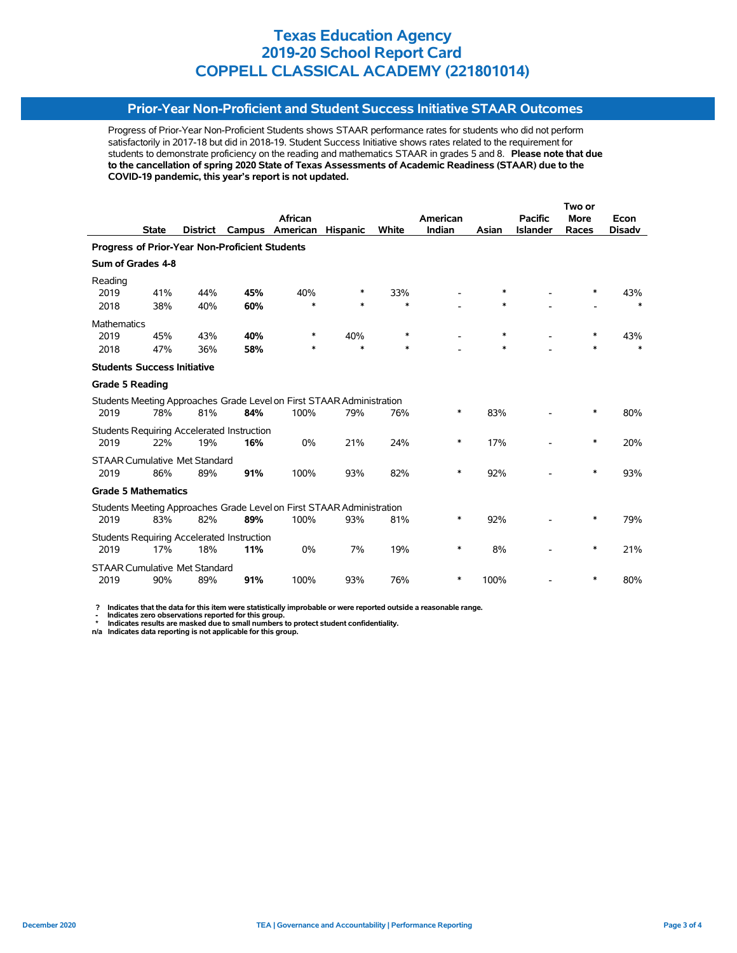### **Prior-Year Non-Proficient and Student Success Initiative STAAR Outcomes**

Progress of Prior-Year Non-Proficient Students shows STAAR performance rates for students who did not perform satisfactorily in 2017-18 but did in 2018-19. Student Success Initiative shows rates related to the requirement for students to demonstrate proficiency on the reading and mathematics STAAR in grades 5 and 8. **Please note that due to the cancellation of spring 2020 State of Texas Assessments of Academic Readiness (STAAR) due to the COVID-19 pandemic, this year's report is not updated.**

|                                    |              |                                             |                                                          |                                                                               |                 |              |          |        |                 | Two or      |               |
|------------------------------------|--------------|---------------------------------------------|----------------------------------------------------------|-------------------------------------------------------------------------------|-----------------|--------------|----------|--------|-----------------|-------------|---------------|
|                                    |              |                                             |                                                          | African                                                                       |                 |              | American |        | <b>Pacific</b>  | <b>More</b> | Econ          |
|                                    | <b>State</b> | <b>District</b>                             | Campus                                                   | American                                                                      | <b>Hispanic</b> | <b>White</b> | Indian   | Asian  | <b>Islander</b> | Races       | <b>Disadv</b> |
|                                    |              |                                             | Progress of Prior-Year Non-Proficient Students           |                                                                               |                 |              |          |        |                 |             |               |
| Sum of Grades 4-8                  |              |                                             |                                                          |                                                                               |                 |              |          |        |                 |             |               |
| Reading<br>2019                    | 41%          | 44%                                         | 45%                                                      | 40%                                                                           | ∗               | 33%          |          | $\ast$ |                 | *           | 43%           |
| 2018                               | 38%          | 40%                                         | 60%                                                      | $\ast$                                                                        | *               | $\ast$       |          | *      |                 |             | $\ast$        |
| <b>Mathematics</b>                 |              |                                             |                                                          |                                                                               |                 |              |          |        |                 |             |               |
| 2019                               | 45%          | 43%                                         | 40%                                                      | *                                                                             | 40%             | $\ast$       |          | *      |                 | *           | 43%           |
| 2018                               | 47%          | 36%                                         | 58%                                                      |                                                                               | $\ast$          | *            |          | *      |                 | $\ast$      | $\ast$        |
| <b>Students Success Initiative</b> |              |                                             |                                                          |                                                                               |                 |              |          |        |                 |             |               |
| <b>Grade 5 Reading</b>             |              |                                             |                                                          |                                                                               |                 |              |          |        |                 |             |               |
| 2019                               | 78%          | 81%                                         | 84%                                                      | Students Meeting Approaches Grade Level on First STAAR Administration<br>100% | 79%             | 76%          | *        | 83%    |                 | ∗           | 80%           |
| 2019                               | 22%          | 19%                                         | Students Requiring Accelerated Instruction<br>16%        | 0%                                                                            | 21%             | 24%          | *        | 17%    |                 | ∗           | 20%           |
| 2019                               | 86%          | <b>STAAR Cumulative Met Standard</b><br>89% | 91%                                                      | 100%                                                                          | 93%             | 82%          | *        | 92%    |                 | $\ast$      | 93%           |
| <b>Grade 5 Mathematics</b>         |              |                                             |                                                          |                                                                               |                 |              |          |        |                 |             |               |
|                                    |              |                                             |                                                          | Students Meeting Approaches Grade Level on First STAAR Administration         |                 |              |          |        |                 |             |               |
| 2019                               | 83%          | 82%                                         | 89%                                                      | 100%                                                                          | 93%             | 81%          | *        | 92%    |                 | *           | 79%           |
| 2019                               | 17%          | 18%                                         | <b>Students Requiring Accelerated Instruction</b><br>11% | 0%                                                                            | 7%              | 19%          | *        | 8%     |                 | ∗           | 21%           |
|                                    |              | <b>STAAR Cumulative Met Standard</b>        |                                                          |                                                                               |                 |              |          |        |                 |             |               |
| 2019                               | 90%          | 89%                                         | 91%                                                      | 100%                                                                          | 93%             | 76%          | *        | 100%   |                 | ∗           | 80%           |

 **? Indicates that the data for this item were statistically improbable or were reported outside a reasonable range.**

 **- Indicates zero observations reported for this group. \* Indicates results are masked due to small numbers to protect student confidentiality.**

**n/a Indicates data reporting is not applicable for this group.**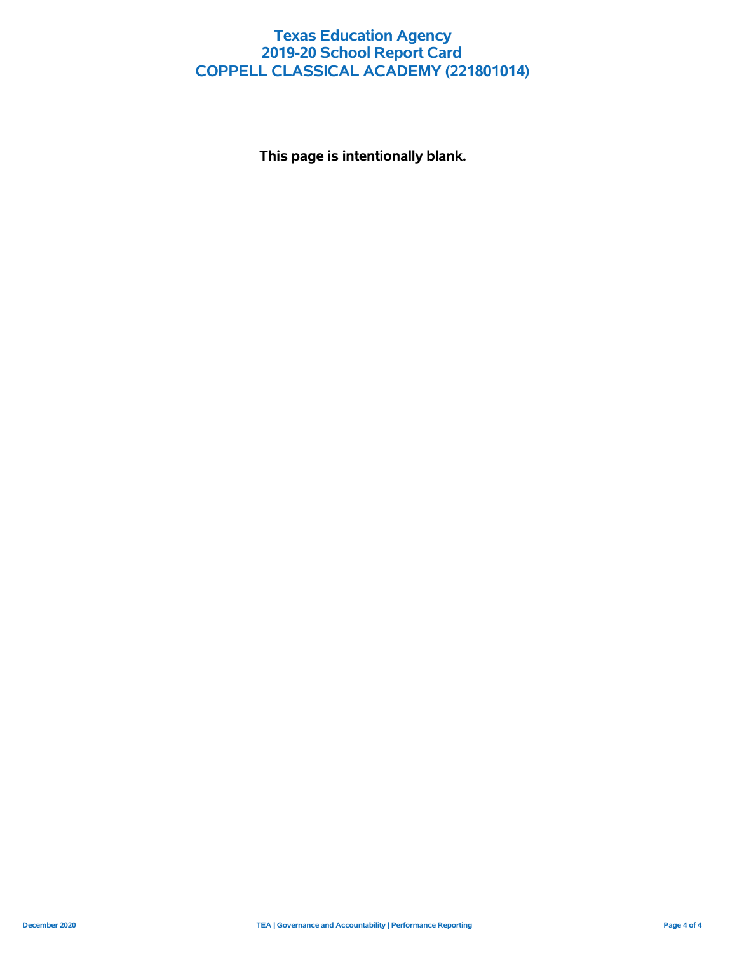**This page is intentionally blank.**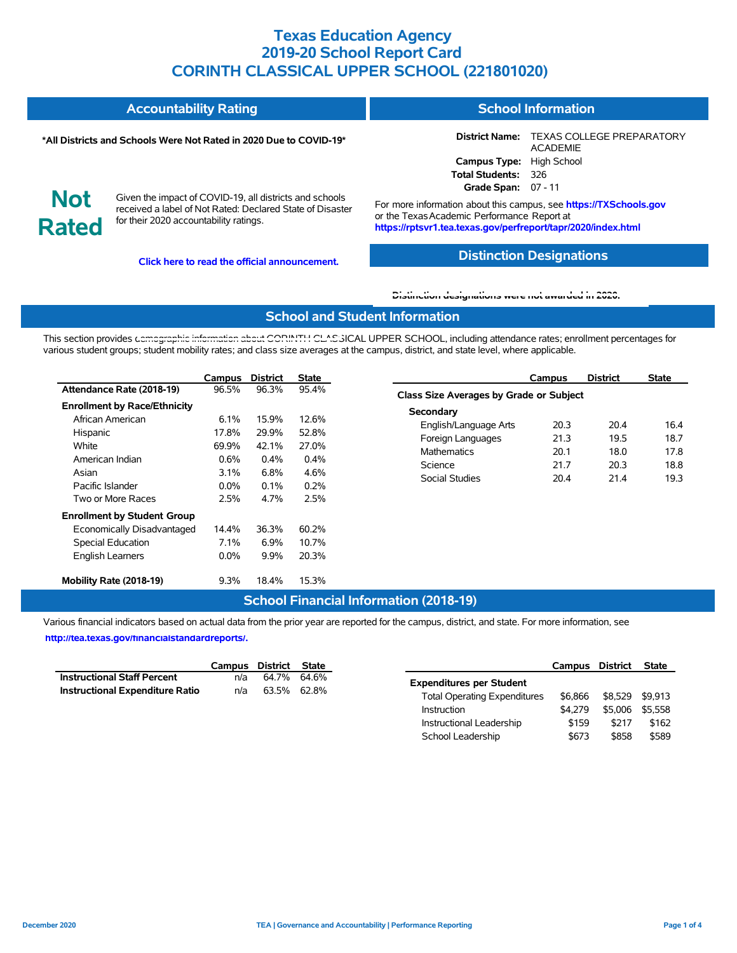|                            | <b>Accountability Rating</b>                                                                                                                                   |                                                                                                                                                                                   | <b>School Information</b>                           |
|----------------------------|----------------------------------------------------------------------------------------------------------------------------------------------------------------|-----------------------------------------------------------------------------------------------------------------------------------------------------------------------------------|-----------------------------------------------------|
|                            | *All Districts and Schools Were Not Rated in 2020 Due to COVID-19*                                                                                             | <b>District Name:</b>                                                                                                                                                             | <b>TEXAS COLLEGE PREPARATORY</b><br><b>ACADEMIE</b> |
|                            |                                                                                                                                                                | <b>Campus Type:</b>                                                                                                                                                               | High School                                         |
|                            |                                                                                                                                                                | <b>Total Students: 326</b>                                                                                                                                                        |                                                     |
|                            |                                                                                                                                                                | <b>Grade Span: 07 - 11</b>                                                                                                                                                        |                                                     |
| <b>Not</b><br><b>Rated</b> | Given the impact of COVID-19, all districts and schools<br>received a label of Not Rated: Declared State of Disaster<br>for their 2020 accountability ratings. | For more information about this campus, see https://TXSchools.gov<br>or the Texas Academic Performance Report at<br>https://rptsvr1.tea.texas.gov/perfreport/tapr/2020/index.html |                                                     |

**Click here to read the official announcement.**

### **Distinction Designations**

Instructional Leadership  $$159$  \$217 \$162 School Leadership  $$673$  \$858 \$589

#### **[Distinction designations were not awarded in 2020.](https://rptsvr1.tea.texas.gov/perfreport/tapr/2020/index.html)**

#### **School and Student Information**

This section provides [demographic information about CORINTH CLASS](https://tea.texas.gov/about-tea/news-and-multimedia/correspondence/taa-letters/every-student-succeeds-act-essa-waiver-approval-2020-state-academic-accountability)ICAL UPPER SCHOOL, including attendance rates; enrollment percentages for various student groups; student mobility rates; and class size averages at the campus, district, and state level, where applicable.

|                                                                                                                              | Campus                                         | <b>District</b>                                 | <b>State</b>                                    | Campus                                                                                                                                             | <b>District</b>                      | <b>State</b>                         |
|------------------------------------------------------------------------------------------------------------------------------|------------------------------------------------|-------------------------------------------------|-------------------------------------------------|----------------------------------------------------------------------------------------------------------------------------------------------------|--------------------------------------|--------------------------------------|
| Attendance Rate (2018-19)                                                                                                    | 96.5%                                          | 96.3%                                           | 95.4%                                           | Class Size Averages by Grade or Subject                                                                                                            |                                      |                                      |
| <b>Enrollment by Race/Ethnicity</b><br>African American<br>Hispanic<br>White<br>American Indian<br>Asian<br>Pacific Islander | 6.1%<br>17.8%<br>69.9%<br>0.6%<br>3.1%<br>0.0% | 15.9%<br>29.9%<br>42.1%<br>0.4%<br>6.8%<br>0.1% | 12.6%<br>52.8%<br>27.0%<br>0.4%<br>4.6%<br>0.2% | Secondary<br>20.3<br>English/Language Arts<br>Foreign Languages<br>21.3<br><b>Mathematics</b><br>20.1<br>Science<br>21.7<br>Social Studies<br>20.4 | 20.4<br>19.5<br>18.0<br>20.3<br>21.4 | 16.4<br>18.7<br>17.8<br>18.8<br>19.3 |
| Two or More Races                                                                                                            | 2.5%                                           | 4.7%                                            | 2.5%                                            |                                                                                                                                                    |                                      |                                      |
| <b>Enrollment by Student Group</b><br>Economically Disadvantaged<br>Special Education<br>English Learners                    | 14.4%<br>7.1%<br>$0.0\%$                       | 36.3%<br>6.9%<br>9.9%                           | 60.2%<br>10.7%<br>20.3%                         |                                                                                                                                                    |                                      |                                      |
| Mobility Rate (2018-19)                                                                                                      | 9.3%                                           | 18.4%                                           | 15.3%                                           |                                                                                                                                                    |                                      |                                      |

#### **School Financial Information (2018-19)**

Various financial indicators based on actual data from the prior year are reported for the campus, district, and state. For more information, see

|                                        |     | Campus District State | Campus                              | District                | <b>State</b> |
|----------------------------------------|-----|-----------------------|-------------------------------------|-------------------------|--------------|
| <b>Instructional Staff Percent</b>     | n/a | 64.7% 64.6%           | <b>Expenditures per Student</b>     |                         |              |
| <b>Instructional Expenditure Ratio</b> | n/a | 63.5% 62.8%           | <b>Total Operating Expenditures</b> | \$6,866 \$8,529 \$9,913 |              |
|                                        |     |                       | \$4.279<br>Instruction              | \$5,006 \$5,558         |              |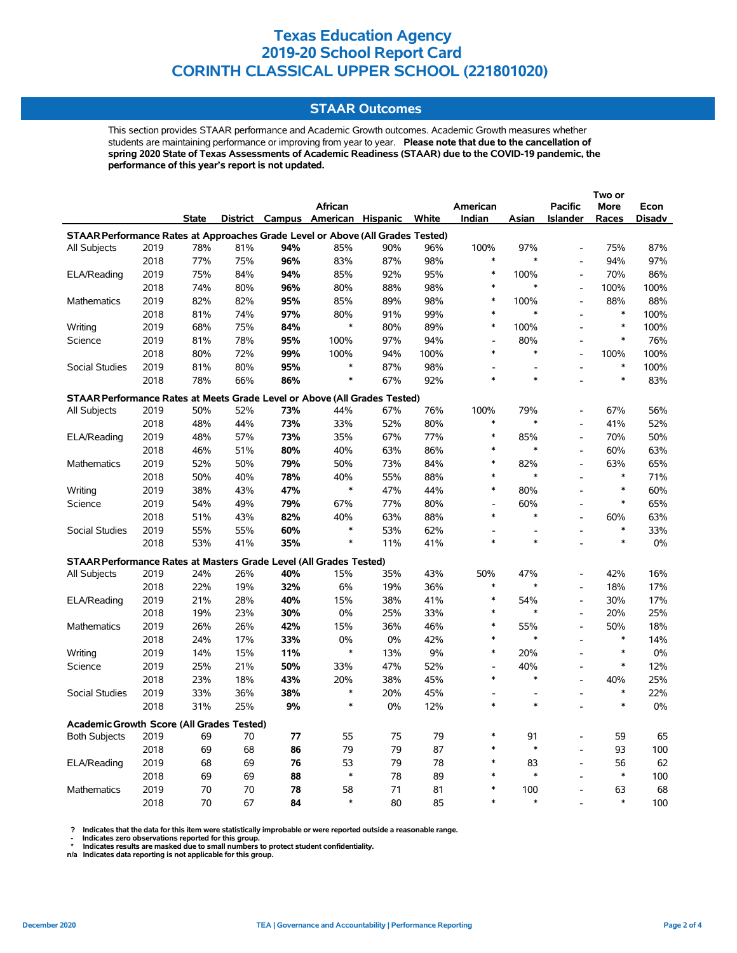#### **STAAR Outcomes**

This section provides STAAR performance and Academic Growth outcomes. Academic Growth measures whether students are maintaining performance or improving from year to year. **Please note that due to the cancellation of spring 2020 State of Texas Assessments of Academic Readiness (STAAR) due to the COVID-19 pandemic, the performance of this year's report is not updated.**

|                                                                                |      |       |     |     |                                   |     |       |                |                |                          | Two or |               |
|--------------------------------------------------------------------------------|------|-------|-----|-----|-----------------------------------|-----|-------|----------------|----------------|--------------------------|--------|---------------|
|                                                                                |      |       |     |     | African                           |     |       | American       |                | <b>Pacific</b>           | More   | Econ          |
|                                                                                |      | State |     |     | District Campus American Hispanic |     | White | Indian         | Asian          | <b>Islander</b>          | Races  | <b>Disadv</b> |
| STAAR Performance Rates at Approaches Grade Level or Above (All Grades Tested) |      |       |     |     |                                   |     |       |                |                |                          |        |               |
| <b>All Subjects</b>                                                            | 2019 | 78%   | 81% | 94% | 85%                               | 90% | 96%   | 100%           | 97%            | $\overline{a}$           | 75%    | 87%           |
|                                                                                | 2018 | 77%   | 75% | 96% | 83%                               | 87% | 98%   | $\ast$         | $\ast$         | $\overline{a}$           | 94%    | 97%           |
| ELA/Reading                                                                    | 2019 | 75%   | 84% | 94% | 85%                               | 92% | 95%   | $\ast$         | 100%           | $\overline{a}$           | 70%    | 86%           |
|                                                                                | 2018 | 74%   | 80% | 96% | 80%                               | 88% | 98%   | $\ast$         | $\ast$         | $\overline{a}$           | 100%   | 100%          |
| <b>Mathematics</b>                                                             | 2019 | 82%   | 82% | 95% | 85%                               | 89% | 98%   | $\ast$         | 100%           | $\overline{a}$           | 88%    | 88%           |
|                                                                                | 2018 | 81%   | 74% | 97% | 80%                               | 91% | 99%   | $\ast$         | $\ast$         | L.                       | $\ast$ | 100%          |
| Writing                                                                        | 2019 | 68%   | 75% | 84% | $\ast$                            | 80% | 89%   | $\ast$         | 100%           |                          | $\ast$ | 100%          |
| Science                                                                        | 2019 | 81%   | 78% | 95% | 100%                              | 97% | 94%   | $\overline{a}$ | 80%            | L,                       | $\ast$ | 76%           |
|                                                                                | 2018 | 80%   | 72% | 99% | 100%                              | 94% | 100%  | $\ast$         | *              |                          | 100%   | 100%          |
| Social Studies                                                                 | 2019 | 81%   | 80% | 95% | $\ast$                            | 87% | 98%   |                | $\overline{a}$ | L,                       | $\ast$ | 100%          |
|                                                                                | 2018 | 78%   | 66% | 86% | $\ast$                            | 67% | 92%   | $\ast$         | $\ast$         |                          | $\ast$ | 83%           |
| STAAR Performance Rates at Meets Grade Level or Above (All Grades Tested)      |      |       |     |     |                                   |     |       |                |                |                          |        |               |
| All Subjects                                                                   | 2019 | 50%   | 52% | 73% | 44%                               | 67% | 76%   | 100%           | 79%            | L,                       | 67%    | 56%           |
|                                                                                | 2018 | 48%   | 44% | 73% | 33%                               | 52% | 80%   | $\ast$         | $\ast$         | $\overline{a}$           | 41%    | 52%           |
| ELA/Reading                                                                    | 2019 | 48%   | 57% | 73% | 35%                               | 67% | 77%   | $\ast$         | 85%            | $\overline{a}$           | 70%    | 50%           |
|                                                                                | 2018 | 46%   | 51% | 80% | 40%                               | 63% | 86%   | $\ast$         | $\ast$         | $\frac{1}{2}$            | 60%    | 63%           |
| <b>Mathematics</b>                                                             | 2019 | 52%   | 50% | 79% | 50%                               | 73% | 84%   | $\ast$         | 82%            | $\overline{a}$           | 63%    | 65%           |
|                                                                                | 2018 | 50%   | 40% | 78% | 40%                               | 55% | 88%   | $\ast$         | $\ast$         | L,                       | $\ast$ | 71%           |
| Writing                                                                        | 2019 | 38%   | 43% | 47% | $\ast$                            | 47% | 44%   | $\ast$         | 80%            | $\overline{\phantom{a}}$ | $\ast$ | 60%           |
| Science                                                                        | 2019 | 54%   | 49% | 79% | 67%                               | 77% | 80%   |                | 60%            |                          | $\ast$ | 65%           |
|                                                                                | 2018 | 51%   | 43% | 82% | 40%                               | 63% | 88%   | $\ast$         | $\ast$         | $\overline{a}$           | 60%    | 63%           |
| Social Studies                                                                 | 2019 | 55%   | 55% | 60% | $\ast$                            | 53% | 62%   |                |                |                          | $\ast$ | 33%           |
|                                                                                | 2018 | 53%   | 41% | 35% | $\ast$                            | 11% | 41%   | $\ast$         | $\ast$         |                          | $\ast$ | 0%            |
|                                                                                |      |       |     |     |                                   |     |       |                |                |                          |        |               |
| STAAR Performance Rates at Masters Grade Level (All Grades Tested)             |      |       |     |     |                                   |     |       |                |                |                          |        |               |
| <b>All Subjects</b>                                                            | 2019 | 24%   | 26% | 40% | 15%                               | 35% | 43%   | 50%            | 47%            | $\overline{a}$           | 42%    | 16%           |
|                                                                                | 2018 | 22%   | 19% | 32% | 6%                                | 19% | 36%   | $\ast$         | $\ast$         | $\overline{a}$           | 18%    | 17%           |
| ELA/Reading                                                                    | 2019 | 21%   | 28% | 40% | 15%                               | 38% | 41%   | $\ast$         | 54%            | $\overline{a}$           | 30%    | 17%           |
|                                                                                | 2018 | 19%   | 23% | 30% | 0%                                | 25% | 33%   | $\ast$         | $\ast$         | $\overline{a}$           | 20%    | 25%           |
| Mathematics                                                                    | 2019 | 26%   | 26% | 42% | 15%                               | 36% | 46%   | $\ast$         | 55%            | $\overline{a}$           | 50%    | 18%           |
|                                                                                | 2018 | 24%   | 17% | 33% | 0%                                | 0%  | 42%   | $\ast$         | $\ast$         | $\overline{a}$           | $\ast$ | 14%           |
| Writing                                                                        | 2019 | 14%   | 15% | 11% | $\ast$                            | 13% | 9%    | $\ast$         | 20%            |                          | $\ast$ | 0%            |
| Science                                                                        | 2019 | 25%   | 21% | 50% | 33%                               | 47% | 52%   | L.             | 40%            | $\overline{a}$           | $\ast$ | 12%           |
|                                                                                | 2018 | 23%   | 18% | 43% | 20%                               | 38% | 45%   | $\ast$         | $\ast$         |                          | 40%    | 25%           |
| Social Studies                                                                 | 2019 | 33%   | 36% | 38% | $\ast$                            | 20% | 45%   |                |                | $\overline{\phantom{a}}$ | $\ast$ | 22%           |
|                                                                                | 2018 | 31%   | 25% | 9%  | $\ast$                            | 0%  | 12%   | $\ast$         | $\ast$         | $\overline{a}$           | $\ast$ | 0%            |
| <b>Academic Growth Score (All Grades Tested)</b>                               |      |       |     |     |                                   |     |       |                |                |                          |        |               |
| <b>Both Subjects</b>                                                           | 2019 | 69    | 70  | 77  | 55                                | 75  | 79    | $\ast$         | 91             |                          | 59     | 65            |
|                                                                                | 2018 | 69    | 68  | 86  | 79                                | 79  | 87    | $\ast$         | $\ast$         | $\overline{a}$           | 93     | 100           |
| ELA/Reading                                                                    | 2019 | 68    | 69  | 76  | 53                                | 79  | 78    | $\ast$         | 83             | $\overline{a}$           | 56     | 62            |
|                                                                                | 2018 | 69    | 69  | 88  | $\ast$                            | 78  | 89    | $\ast$         | $\ast$         |                          | $\ast$ | 100           |
| <b>Mathematics</b>                                                             | 2019 | 70    | 70  | 78  | 58                                | 71  | 81    | $\ast$         | 100            | $\overline{a}$           | 63     | 68            |
|                                                                                | 2018 | 70    | 67  | 84  | $\ast$                            | 80  | 85    | $\ast$         | $\ast$         |                          | $\ast$ | 100           |

 **? Indicates that the data for this item were statistically improbable or were reported outside a reasonable range.**

- Indicates zero observations reported for this group.<br>\* Indicates results are masked due to small numbers to protect student confidentiality.<br>n/a Indicates data reporting is not applicable for this group.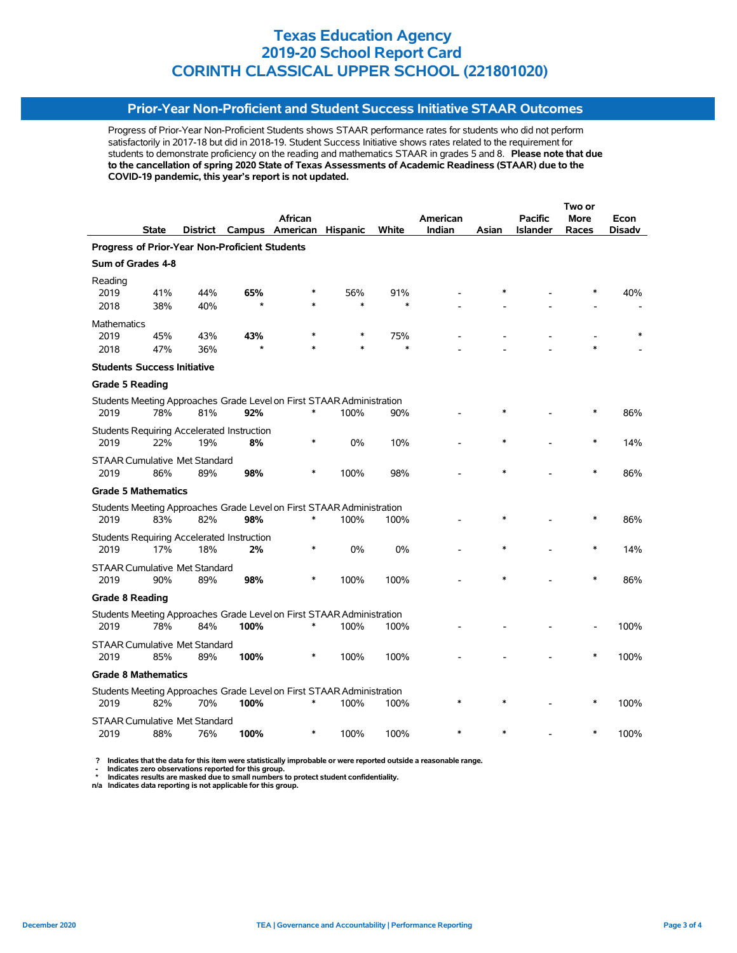### **Prior-Year Non-Proficient and Student Success Initiative STAAR Outcomes**

Progress of Prior-Year Non-Proficient Students shows STAAR performance rates for students who did not perform satisfactorily in 2017-18 but did in 2018-19. Student Success Initiative shows rates related to the requirement for students to demonstrate proficiency on the reading and mathematics STAAR in grades 5 and 8. **Please note that due to the cancellation of spring 2020 State of Texas Assessments of Academic Readiness (STAAR) due to the COVID-19 pandemic, this year's report is not updated.**

|                                      |              |          |                                                |                                                                       |                 |        |          |        |                 | Two or      |               |
|--------------------------------------|--------------|----------|------------------------------------------------|-----------------------------------------------------------------------|-----------------|--------|----------|--------|-----------------|-------------|---------------|
|                                      |              |          |                                                | African                                                               |                 |        | American |        | <b>Pacific</b>  | <b>More</b> | Econ          |
|                                      | <b>State</b> | District |                                                | Campus American                                                       | <b>Hispanic</b> | White  | Indian   | Asian  | <b>Islander</b> | Races       | <b>Disadv</b> |
|                                      |              |          | Progress of Prior-Year Non-Proficient Students |                                                                       |                 |        |          |        |                 |             |               |
| Sum of Grades 4-8                    |              |          |                                                |                                                                       |                 |        |          |        |                 |             |               |
| Reading                              |              |          |                                                |                                                                       |                 |        |          |        |                 |             |               |
| 2019                                 | 41%          | 44%      | 65%<br>÷                                       |                                                                       | 56%             | 91%    |          |        |                 |             | 40%           |
| 2018                                 | 38%          | 40%      |                                                |                                                                       |                 |        |          |        |                 |             |               |
| Mathematics                          | 45%          | 43%      |                                                |                                                                       | ∗               | 75%    |          |        |                 |             |               |
| 2019<br>2018                         | 47%          | 36%      | 43%                                            |                                                                       |                 | $\ast$ |          |        |                 |             |               |
| <b>Students Success Initiative</b>   |              |          |                                                |                                                                       |                 |        |          |        |                 |             |               |
|                                      |              |          |                                                |                                                                       |                 |        |          |        |                 |             |               |
| Grade 5 Reading                      |              |          |                                                |                                                                       |                 |        |          |        |                 |             |               |
| 2019                                 | 78%          | 81%      | 92%                                            | Students Meeting Approaches Grade Level on First STAAR Administration | 100%            | 90%    |          |        |                 |             | 86%           |
|                                      |              |          | Students Requiring Accelerated Instruction     |                                                                       |                 |        |          |        |                 |             |               |
| 2019                                 | 22%          | 19%      | 8%                                             | *                                                                     | 0%              | 10%    |          | $\ast$ |                 | *           | 14%           |
| <b>STAAR Cumulative Met Standard</b> |              |          |                                                |                                                                       |                 |        |          |        |                 |             |               |
| 2019                                 | 86%          | 89%      | 98%                                            |                                                                       | 100%            | 98%    |          |        |                 |             | 86%           |
| <b>Grade 5 Mathematics</b>           |              |          |                                                |                                                                       |                 |        |          |        |                 |             |               |
|                                      |              |          |                                                | Students Meeting Approaches Grade Level on First STAAR Administration |                 |        |          |        |                 |             |               |
| 2019                                 | 83%          | 82%      | 98%                                            | *                                                                     | 100%            | 100%   |          |        |                 |             | 86%           |
|                                      |              |          | Students Requiring Accelerated Instruction     |                                                                       |                 |        |          |        |                 |             |               |
| 2019                                 | 17%          | 18%      | 2%                                             |                                                                       | 0%              | 0%     |          |        |                 |             | 14%           |
| <b>STAAR Cumulative Met Standard</b> |              |          |                                                |                                                                       |                 |        |          |        |                 |             |               |
| 2019                                 | 90%          | 89%      | 98%                                            |                                                                       | 100%            | 100%   |          |        |                 |             | 86%           |
| <b>Grade 8 Reading</b>               |              |          |                                                |                                                                       |                 |        |          |        |                 |             |               |
|                                      |              |          |                                                | Students Meeting Approaches Grade Level on First STAAR Administration |                 |        |          |        |                 |             |               |
| 2019                                 | 78%          | 84%      | 100%                                           |                                                                       | 100%            | 100%   |          |        |                 |             | 100%          |
| <b>STAAR Cumulative Met Standard</b> |              |          |                                                |                                                                       |                 |        |          |        |                 |             |               |
| 2019                                 | 85%          | 89%      | 100%                                           | *                                                                     | 100%            | 100%   |          |        |                 |             | 100%          |
| <b>Grade 8 Mathematics</b>           |              |          |                                                |                                                                       |                 |        |          |        |                 |             |               |
|                                      |              |          |                                                | Students Meeting Approaches Grade Level on First STAAR Administration |                 |        |          |        |                 |             |               |
| 2019                                 | 82%          | 70%      | 100%                                           | *                                                                     | 100%            | 100%   |          |        |                 |             | 100%          |
| <b>STAAR Cumulative Met Standard</b> |              |          |                                                | *                                                                     |                 |        |          |        |                 | $\ast$      |               |
| 2019                                 | 88%          | 76%      | 100%                                           |                                                                       | 100%            | 100%   |          |        |                 |             | 100%          |

 **? Indicates that the data for this item were statistically improbable or were reported outside a reasonable range.**

 **- Indicates zero observations reported for this group.**

 **\* Indicates results are masked due to small numbers to protect student confidentiality. n/a Indicates data reporting is not applicable for this group.**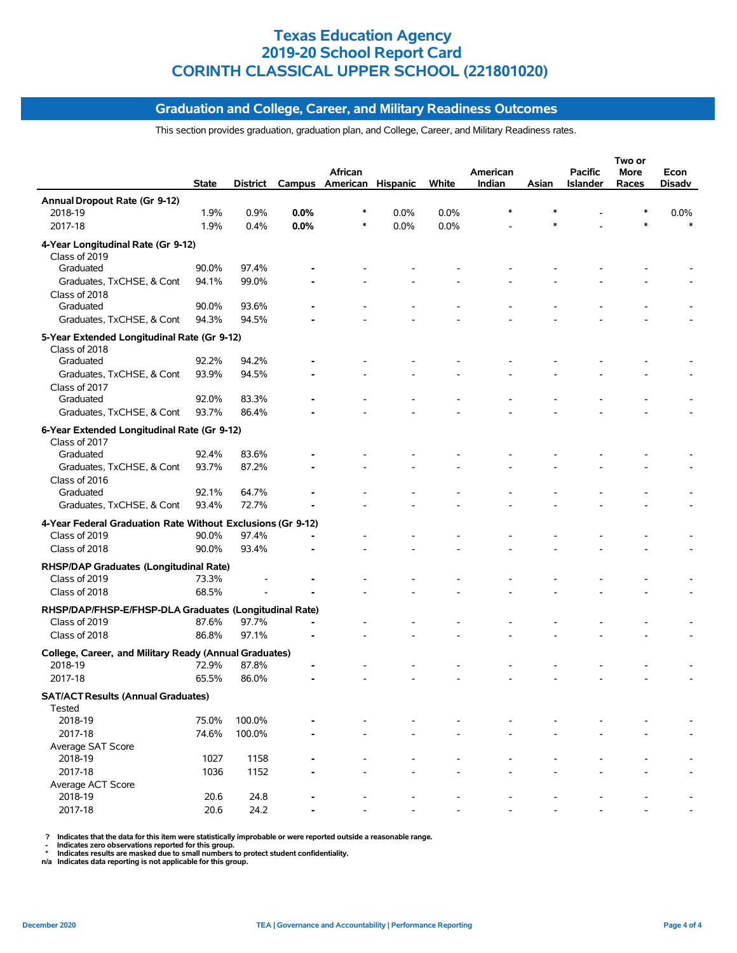### **Graduation and College, Career, and Military Readiness Outcomes**

This section provides graduation, graduation plan, and College, Career, and Military Readiness rates.

|                                                                         |       |        |      | African                           |      |       | American |       | <b>Pacific</b>  | Two or<br>More | Econ          |
|-------------------------------------------------------------------------|-------|--------|------|-----------------------------------|------|-------|----------|-------|-----------------|----------------|---------------|
|                                                                         | State |        |      | District Campus American Hispanic |      | White | Indian   | Asian | <b>Islander</b> | Races          | <b>Disadv</b> |
| Annual Dropout Rate (Gr 9-12)                                           |       |        |      |                                   |      |       |          |       |                 |                |               |
| 2018-19                                                                 | 1.9%  | 0.9%   | 0.0% |                                   | 0.0% | 0.0%  | $\ast$   |       |                 |                | 0.0%          |
| 2017-18                                                                 | 1.9%  | 0.4%   | 0.0% | $\ast$                            | 0.0% | 0.0%  |          |       |                 |                |               |
| 4-Year Longitudinal Rate (Gr 9-12)<br>Class of 2019                     |       |        |      |                                   |      |       |          |       |                 |                |               |
| Graduated                                                               | 90.0% | 97.4%  |      |                                   |      |       |          |       |                 |                |               |
| Graduates, TxCHSE, & Cont                                               | 94.1% | 99.0%  |      |                                   |      |       |          |       |                 |                |               |
| Class of 2018<br>Graduated                                              | 90.0% | 93.6%  |      |                                   |      |       |          |       |                 |                |               |
| Graduates, TxCHSE, & Cont                                               | 94.3% | 94.5%  |      |                                   |      |       |          |       |                 |                |               |
|                                                                         |       |        |      |                                   |      |       |          |       |                 |                |               |
| 5-Year Extended Longitudinal Rate (Gr 9-12)<br>Class of 2018            |       |        |      |                                   |      |       |          |       |                 |                |               |
| Graduated                                                               | 92.2% | 94.2%  |      |                                   |      |       |          |       |                 |                |               |
| Graduates, TxCHSE, & Cont                                               | 93.9% | 94.5%  |      |                                   |      |       |          |       |                 |                |               |
| Class of 2017                                                           |       |        |      |                                   |      |       |          |       |                 |                |               |
| Graduated                                                               | 92.0% | 83.3%  |      |                                   |      |       |          |       |                 |                |               |
| Graduates, TxCHSE, & Cont                                               | 93.7% | 86.4%  |      |                                   |      |       |          |       |                 |                |               |
| 6-Year Extended Longitudinal Rate (Gr 9-12)<br>Class of 2017            |       |        |      |                                   |      |       |          |       |                 |                |               |
| Graduated                                                               | 92.4% | 83.6%  |      |                                   |      |       |          |       |                 |                |               |
| Graduates, TxCHSE, & Cont                                               | 93.7% | 87.2%  |      |                                   |      |       |          |       |                 |                |               |
| Class of 2016                                                           |       |        |      |                                   |      |       |          |       |                 |                |               |
| Graduated                                                               | 92.1% | 64.7%  |      |                                   |      |       |          |       |                 |                |               |
| Graduates, TxCHSE, & Cont                                               | 93.4% | 72.7%  |      |                                   |      |       |          |       |                 |                |               |
| 4-Year Federal Graduation Rate Without Exclusions (Gr 9-12)             |       |        |      |                                   |      |       |          |       |                 |                |               |
| Class of 2019                                                           | 90.0% | 97.4%  |      |                                   |      |       |          |       |                 |                |               |
| Class of 2018                                                           | 90.0% | 93.4%  |      |                                   |      |       |          |       |                 |                |               |
| RHSP/DAP Graduates (Longitudinal Rate)                                  |       |        |      |                                   |      |       |          |       |                 |                |               |
| Class of 2019                                                           | 73.3% |        |      |                                   |      |       |          |       |                 |                |               |
| Class of 2018                                                           | 68.5% |        |      |                                   |      |       |          |       |                 |                |               |
|                                                                         |       |        |      |                                   |      |       |          |       |                 |                |               |
| RHSP/DAP/FHSP-E/FHSP-DLA Graduates (Longitudinal Rate)<br>Class of 2019 | 87.6% | 97.7%  |      |                                   |      |       |          |       |                 |                |               |
| Class of 2018                                                           | 86.8% | 97.1%  |      |                                   |      |       |          |       |                 |                |               |
|                                                                         |       |        |      |                                   |      |       |          |       |                 |                |               |
| College, Career, and Military Ready (Annual Graduates)                  |       |        |      |                                   |      |       |          |       |                 |                |               |
| 2018-19                                                                 | 72.9% | 87.8%  |      |                                   |      |       |          |       |                 |                |               |
| 2017-18                                                                 | 65.5% | 86.0%  |      |                                   |      |       |          |       |                 |                |               |
| <b>SAT/ACT Results (Annual Graduates)</b><br>Tested                     |       |        |      |                                   |      |       |          |       |                 |                |               |
| 2018-19                                                                 | 75.0% | 100.0% |      |                                   |      |       |          |       |                 |                |               |
| 2017-18                                                                 | 74.6% | 100.0% |      |                                   |      |       |          |       |                 |                |               |
| Average SAT Score<br>2018-19                                            | 1027  | 1158   |      |                                   |      |       |          |       |                 |                |               |
| 2017-18                                                                 | 1036  | 1152   |      |                                   |      |       |          |       |                 |                |               |
| Average ACT Score                                                       |       |        |      |                                   |      |       |          |       |                 |                |               |
| 2018-19                                                                 | 20.6  | 24.8   |      |                                   |      |       |          |       |                 |                |               |
| 2017-18                                                                 | 20.6  | 24.2   |      |                                   |      |       |          |       |                 |                |               |

? Indicates that the data for this item were statistically improbable or were reported outside a reasonable range.<br>- Indicates zero observations reported for this group.<br>\* Indicates results are masked due to small numbers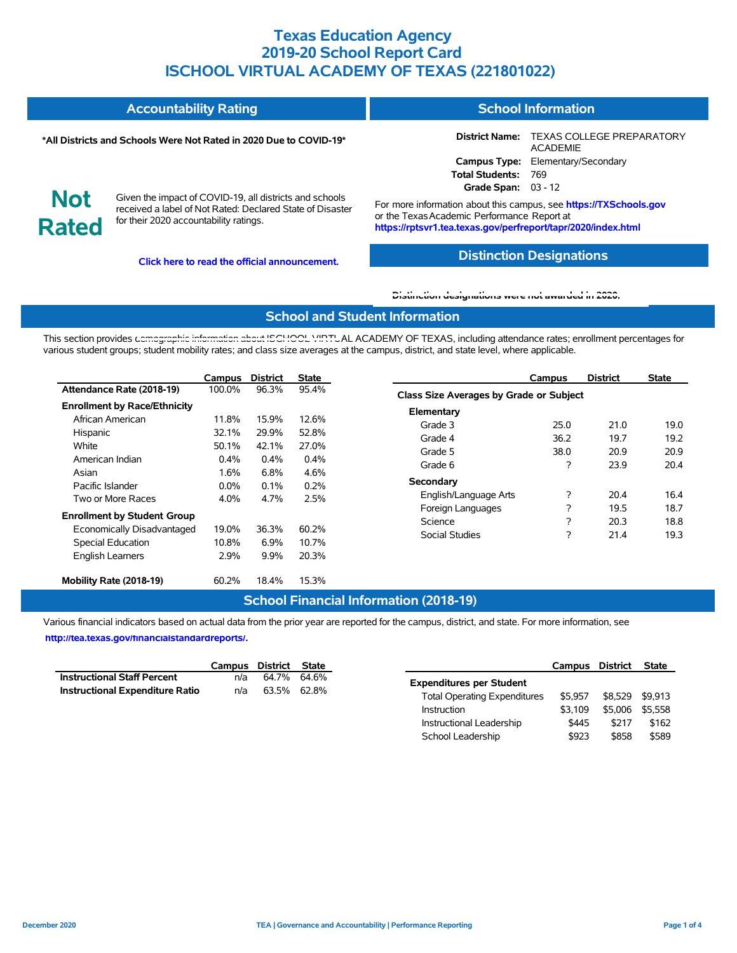|                            | <b>Accountability Rating</b>                                                                                                                                   |                                                                                                                                                                                   | <b>School Information</b>                           |
|----------------------------|----------------------------------------------------------------------------------------------------------------------------------------------------------------|-----------------------------------------------------------------------------------------------------------------------------------------------------------------------------------|-----------------------------------------------------|
|                            | *All Districts and Schools Were Not Rated in 2020 Due to COVID-19*                                                                                             | <b>District Name:</b>                                                                                                                                                             | <b>TEXAS COLLEGE PREPARATORY</b><br><b>ACADEMIE</b> |
|                            |                                                                                                                                                                |                                                                                                                                                                                   | Campus Type: Elementary/Secondary                   |
|                            |                                                                                                                                                                | <b>Total Students:</b>                                                                                                                                                            | - 769                                               |
|                            |                                                                                                                                                                | Grade Span: $03 - 12$                                                                                                                                                             |                                                     |
| <b>Not</b><br><b>Rated</b> | Given the impact of COVID-19, all districts and schools<br>received a label of Not Rated: Declared State of Disaster<br>for their 2020 accountability ratings. | For more information about this campus, see https://TXSchools.gov<br>or the Texas Academic Performance Report at<br>https://rptsvr1.tea.texas.gov/perfreport/tapr/2020/index.html |                                                     |

**Click here to read the official announcement.**

### **Distinction Designations**

Instructional Leadership  $$445$  \$217 \$162 School Leadership  $$923$  \$858 \$589

#### **[Distinction designations were not awarded in 2020.](https://rptsvr1.tea.texas.gov/perfreport/tapr/2020/index.html)**

#### **School and Student Information**

This section provides [demographic information about ISCHOOL VIRTU](https://tea.texas.gov/about-tea/news-and-multimedia/correspondence/taa-letters/every-student-succeeds-act-essa-waiver-approval-2020-state-academic-accountability)AL ACADEMY OF TEXAS, including attendance rates; enrollment percentages for various student groups; student mobility rates; and class size averages at the campus, district, and state level, where applicable.

|                                                                                                                  | Campus                          | <b>District</b>                    | <b>State</b>                    | <b>District</b><br><b>State</b><br>Campus                                                                 |                      |
|------------------------------------------------------------------------------------------------------------------|---------------------------------|------------------------------------|---------------------------------|-----------------------------------------------------------------------------------------------------------|----------------------|
| Attendance Rate (2018-19)                                                                                        | 100.0%                          | 96.3%                              | 95.4%                           | Class Size Averages by Grade or Subject                                                                   |                      |
| <b>Enrollment by Race/Ethnicity</b><br>African American<br>Hispanic<br>White<br>American Indian                  | 11.8%<br>32.1%<br>50.1%<br>0.4% | 15.9%<br>29.9%<br>42.1%<br>$0.4\%$ | 12.6%<br>52.8%<br>27.0%<br>0.4% | Elementary<br>21.0<br>Grade 3<br>25.0<br>36.2<br>19.7<br>Grade 4<br>20.9<br>Grade 5<br>38.0               | 19.0<br>19.2<br>20.9 |
| Asian<br>Pacific Islander<br>Two or More Races                                                                   | $1.6\%$<br>$0.0\%$<br>4.0%      | 6.8%<br>0.1%<br>4.7%               | 4.6%<br>0.2%<br>2.5%            | ?<br>23.9<br>Grade 6<br>Secondary<br>?<br>20.4<br>English/Language Arts<br>?<br>19.5<br>Foreign Languages | 20.4<br>16.4<br>18.7 |
| <b>Enrollment by Student Group</b><br>Economically Disadvantaged<br>Special Education<br><b>English Learners</b> | 19.0%<br>10.8%<br>2.9%          | 36.3%<br>6.9%<br>9.9%              | 60.2%<br>10.7%<br>20.3%         | ?<br>20.3<br>Science<br>?<br>21.4<br>Social Studies                                                       | 18.8<br>19.3         |
| Mobility Rate (2018-19)                                                                                          | 60.2%                           | 18.4%                              | 15.3%                           |                                                                                                           |                      |

#### **School Financial Information (2018-19)**

Various financial indicators based on actual data from the prior year are reported for the campus, district, and state. For more information, see

|                                    |     | Campus District State |                                                | <b>Campus District</b> | State |
|------------------------------------|-----|-----------------------|------------------------------------------------|------------------------|-------|
| <b>Instructional Staff Percent</b> | n/a | 64.7% 64.6%           | <b>Expenditures per Student</b>                |                        |       |
| Instructional Expenditure Ratio    | n/a | 63.5% 62.8%           | \$5.957<br><b>Total Operating Expenditures</b> | \$8,529 \$9,913        |       |
|                                    |     |                       | \$3.109<br>Instruction                         | \$5,006 \$5,558        |       |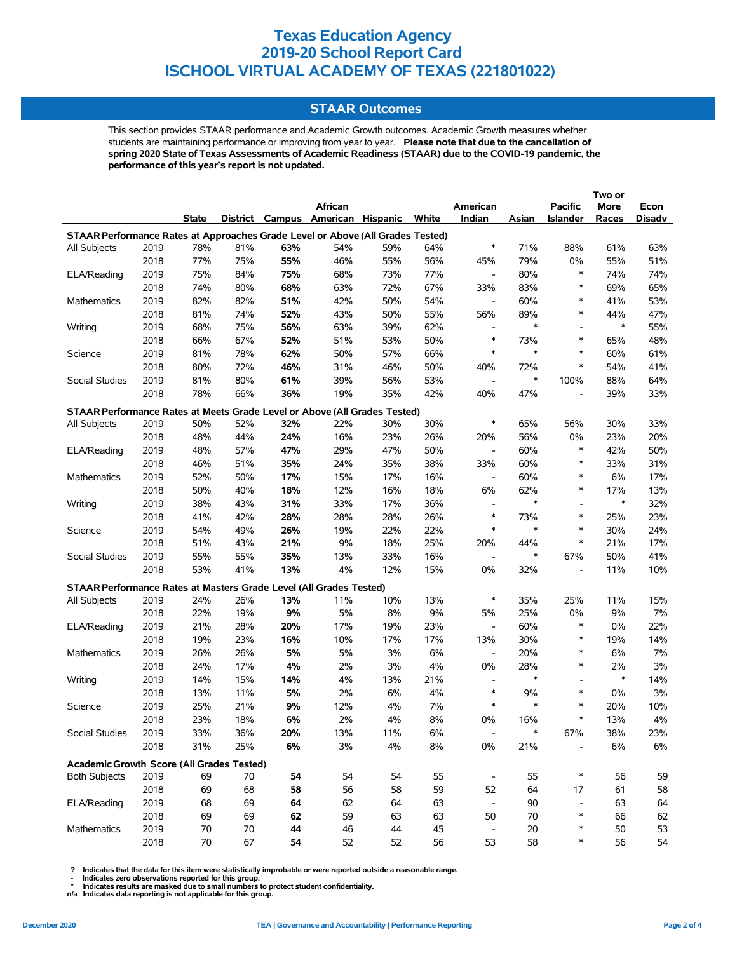### **STAAR Outcomes**

This section provides STAAR performance and Academic Growth outcomes. Academic Growth measures whether students are maintaining performance or improving from year to year. **Please note that due to the cancellation of spring 2020 State of Texas Assessments of Academic Readiness (STAAR) due to the COVID-19 pandemic, the performance of this year's report is not updated.**

|                                                                                |      |        |     |     |                                   |     |       |                          |               |                                    | Two or       |        |
|--------------------------------------------------------------------------------|------|--------|-----|-----|-----------------------------------|-----|-------|--------------------------|---------------|------------------------------------|--------------|--------|
|                                                                                |      |        |     |     | African                           |     |       | American                 |               | <b>Pacific</b>                     | More         | Econ   |
|                                                                                |      | State  |     |     | District Campus American Hispanic |     | White | Indian                   | Asian         | Islander                           | Races        | Disadv |
| STAAR Performance Rates at Approaches Grade Level or Above (All Grades Tested) |      |        |     |     |                                   |     |       |                          |               |                                    |              |        |
| All Subjects                                                                   | 2019 | 78%    | 81% | 63% | 54%                               | 59% | 64%   | $\ast$                   | 71%           | 88%                                | 61%          | 63%    |
|                                                                                | 2018 | 77%    | 75% | 55% | 46%                               | 55% | 56%   | 45%                      | 79%           | 0%                                 | 55%          | 51%    |
| ELA/Reading                                                                    | 2019 | 75%    | 84% | 75% | 68%                               | 73% | 77%   | $\overline{\phantom{a}}$ | 80%           | $\ast$                             | 74%          | 74%    |
|                                                                                | 2018 | 74%    | 80% | 68% | 63%                               | 72% | 67%   | 33%                      | 83%           | $\ast$                             | 69%          | 65%    |
| Mathematics                                                                    | 2019 | 82%    | 82% | 51% | 42%                               | 50% | 54%   | $\overline{\phantom{a}}$ | 60%           | $\ast$                             | 41%          | 53%    |
|                                                                                | 2018 | 81%    | 74% | 52% | 43%                               | 50% | 55%   | 56%                      | 89%           | $\ast$                             | 44%          | 47%    |
| Writing                                                                        | 2019 | 68%    | 75% | 56% | 63%                               | 39% | 62%   | $\overline{\phantom{a}}$ | $\ast$        | $\overline{\phantom{0}}$           | $\ast$       | 55%    |
|                                                                                | 2018 | 66%    | 67% | 52% | 51%                               | 53% | 50%   | $\ast$                   | 73%           | *                                  | 65%          | 48%    |
| Science                                                                        | 2019 | 81%    | 78% | 62% | 50%                               | 57% | 66%   | $\ast$                   | $\ast$        | $\ast$                             | 60%          | 61%    |
|                                                                                | 2018 | 80%    | 72% | 46% | 31%                               | 46% | 50%   | 40%                      | 72%           | $\ast$                             | 54%          | 41%    |
| Social Studies                                                                 | 2019 | 81%    | 80% | 61% | 39%                               | 56% | 53%   | $\overline{\phantom{a}}$ | $\ast$        | 100%                               | 88%          | 64%    |
|                                                                                | 2018 | 78%    | 66% | 36% | 19%                               | 35% | 42%   | 40%                      | 47%           | $\overline{\phantom{a}}$           | 39%          | 33%    |
| STAAR Performance Rates at Meets Grade Level or Above (All Grades Tested)      |      |        |     |     |                                   |     |       |                          |               |                                    |              |        |
| All Subjects                                                                   | 2019 | 50%    | 52% | 32% | 22%                               | 30% | 30%   | $\ast$                   | 65%           | 56%                                | 30%          | 33%    |
|                                                                                | 2018 | 48%    | 44% | 24% | 16%                               | 23% | 26%   | 20%                      | 56%           | 0%                                 | 23%          | 20%    |
| ELA/Reading                                                                    | 2019 | 48%    | 57% | 47% | 29%                               | 47% | 50%   | $\overline{\phantom{a}}$ | 60%           | $\ast$                             | 42%          | 50%    |
|                                                                                | 2018 | 46%    | 51% | 35% | 24%                               | 35% | 38%   | 33%                      | 60%           | $\ast$                             | 33%          | 31%    |
| Mathematics                                                                    | 2019 | 52%    | 50% | 17% | 15%                               | 17% | 16%   | $\overline{\phantom{a}}$ | 60%           | $\ast$                             | 6%           | 17%    |
|                                                                                | 2018 | 50%    | 40% | 18% | 12%                               | 16% | 18%   | 6%                       | 62%           | $\ast$                             | 17%          | 13%    |
| Writing                                                                        | 2019 | 38%    | 43% | 31% | 33%                               | 17% | 36%   | $\overline{\phantom{a}}$ | $\ast$        | $\overline{\phantom{a}}$           | $\ast$       | 32%    |
|                                                                                | 2018 | 41%    | 42% | 28% | 28%                               | 28% | 26%   | $\ast$                   | 73%           | $\ast$                             | 25%          | 23%    |
| Science                                                                        | 2019 | 54%    | 49% | 26% | 19%                               | 22% | 22%   | $\ast$                   | $\ast$        | $\ast$                             | 30%          | 24%    |
|                                                                                | 2018 | 51%    | 43% | 21% | 9%                                | 18% | 25%   | 20%                      | 44%           | $\ast$                             | 21%          | 17%    |
| Social Studies                                                                 | 2019 | 55%    | 55% | 35% | 13%                               | 33% | 16%   | $\blacksquare$           | $\ast$        | 67%                                | 50%          | 41%    |
|                                                                                | 2018 | 53%    | 41% | 13% | 4%                                | 12% | 15%   | 0%                       | 32%           | $\overline{\phantom{0}}$           | 11%          | 10%    |
|                                                                                |      |        |     |     |                                   |     |       |                          |               |                                    |              |        |
| STAAR Performance Rates at Masters Grade Level (All Grades Tested)             |      |        |     |     |                                   |     |       | $\ast$                   |               |                                    |              |        |
| All Subjects                                                                   | 2019 | 24%    | 26% | 13% | 11%                               | 10% | 13%   |                          | 35%           | 25%                                | 11%          | 15%    |
|                                                                                | 2018 | 22%    | 19% | 9%  | 5%                                | 8%  | 9%    | 5%                       | 25%           | 0%<br>$\ast$                       | 9%           | 7%     |
| ELA/Reading                                                                    | 2019 | 21%    | 28% | 20% | 17%                               | 19% | 23%   | $\overline{\phantom{a}}$ | 60%           | $\ast$                             | 0%           | 22%    |
|                                                                                | 2018 | 19%    | 23% | 16% | 10%                               | 17% | 17%   | 13%                      | 30%           | $\ast$                             | 19%          | 14%    |
| <b>Mathematics</b>                                                             | 2019 | 26%    | 26% | 5%  | 5%                                | 3%  | 6%    | $\overline{\phantom{a}}$ | 20%           | $\ast$                             | 6%           | 7%     |
|                                                                                | 2018 | 24%    | 17% | 4%  | 2%                                | 3%  | 4%    | 0%                       | 28%<br>$\ast$ |                                    | 2%<br>$\ast$ | 3%     |
| Writing                                                                        | 2019 | 14%    | 15% | 14% | 4%                                | 13% | 21%   | $\overline{\phantom{a}}$ |               | $\overline{\phantom{a}}$<br>$\ast$ |              | 14%    |
|                                                                                | 2018 | 13%    | 11% | 5%  | 2%                                | 6%  | 4%    | $\ast$<br>$\ast$         | 9%<br>$\ast$  | $\ast$                             | 0%           | 3%     |
| Science                                                                        | 2019 | 25%    | 21% | 9%  | 12%                               | 4%  | 7%    |                          |               |                                    | 20%          | 10%    |
|                                                                                | 2018 | 23%    | 18% | 6%  | 2%                                | 4%  | 8%    | 0%                       | 16%           | $\ast$                             | 13%          | 4%     |
| Social Studies                                                                 | 2019 | 33%    | 36% | 20% | 13%                               | 11% | $6\%$ | $\overline{\phantom{a}}$ |               | 67%                                | 38%          | 23%    |
|                                                                                | 2018 | 31%    | 25% | 6%  | 3%                                | 4%  | $8\%$ | $0\%$                    | 21%           |                                    | 6%           | $6\%$  |
| Academic Growth Score (All Grades Tested)                                      |      |        |     |     |                                   |     |       |                          |               |                                    |              |        |
| <b>Both Subjects</b>                                                           | 2019 | 69     | 70  | 54  | 54                                | 54  | 55    | $\overline{\phantom{a}}$ | 55            | $\ast$                             | 56           | 59     |
|                                                                                | 2018 | 69     | 68  | 58  | 56                                | 58  | 59    | 52                       | 64            | 17                                 | 61           | 58     |
| ELA/Reading                                                                    | 2019 | 68     | 69  | 64  | 62                                | 64  | 63    | $\overline{\phantom{a}}$ | 90            | $\overline{a}$                     | 63           | 64     |
|                                                                                | 2018 | 69     | 69  | 62  | 59                                | 63  | 63    | 50                       | 70            | *                                  | 66           | 62     |
| Mathematics                                                                    | 2019 | 70     | 70  | 44  | 46                                | 44  | 45    |                          | 20            | *                                  | 50           | 53     |
|                                                                                | 2018 | $70\,$ | 67  | 54  | 52                                | 52  | 56    | 53                       | 58            | *                                  | 56           | 54     |

 **? Indicates that the data for this item were statistically improbable or were reported outside a reasonable range.**

 **- Indicates zero observations reported for this group. \* Indicates results are masked due to small numbers to protect student confidentiality.**

**n/a Indicates data reporting is not applicable for this group.**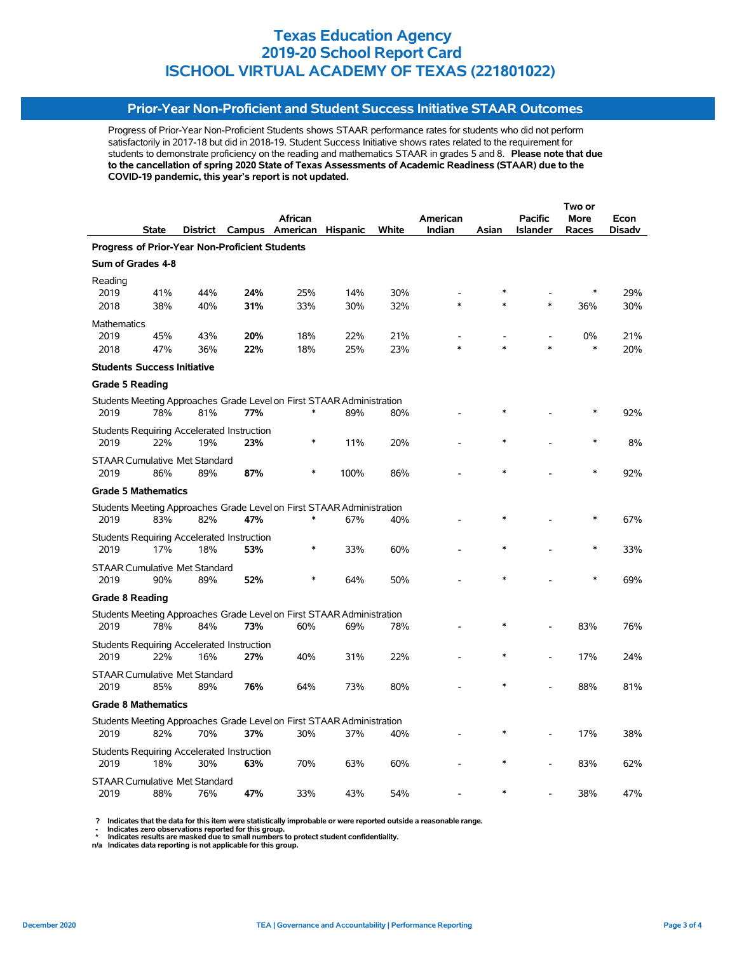### **Prior-Year Non-Proficient and Student Success Initiative STAAR Outcomes**

Progress of Prior-Year Non-Proficient Students shows STAAR performance rates for students who did not perform satisfactorily in 2017-18 but did in 2018-19. Student Success Initiative shows rates related to the requirement for students to demonstrate proficiency on the reading and mathematics STAAR in grades 5 and 8. **Please note that due to the cancellation of spring 2020 State of Texas Assessments of Academic Readiness (STAAR) due to the COVID-19 pandemic, this year's report is not updated.**

|                                              |              |          |                                                   |                                                                       |                 |       |                    |        |                                   | Two or        |                |
|----------------------------------------------|--------------|----------|---------------------------------------------------|-----------------------------------------------------------------------|-----------------|-------|--------------------|--------|-----------------------------------|---------------|----------------|
|                                              | <b>State</b> | District |                                                   | African<br>Campus American                                            | <b>Hispanic</b> | White | American<br>Indian | Asian  | <b>Pacific</b><br><b>Islander</b> | More<br>Races | Econ<br>Disadv |
|                                              |              |          | Progress of Prior-Year Non-Proficient Students    |                                                                       |                 |       |                    |        |                                   |               |                |
| Sum of Grades 4-8                            |              |          |                                                   |                                                                       |                 |       |                    |        |                                   |               |                |
| Reading                                      |              |          |                                                   |                                                                       |                 |       |                    |        |                                   |               |                |
| 2019                                         | 41%          | 44%      | 24%                                               | 25%                                                                   | 14%             | 30%   |                    |        |                                   |               | 29%            |
| 2018                                         | 38%          | 40%      | 31%                                               | 33%                                                                   | 30%             | 32%   | $\ast$             |        | $\ast$                            | 36%           | 30%            |
| <b>Mathematics</b>                           |              |          |                                                   |                                                                       |                 |       |                    |        |                                   |               |                |
| 2019                                         | 45%          | 43%      | 20%                                               | 18%                                                                   | 22%             | 21%   |                    |        |                                   | 0%            | 21%            |
| 2018                                         | 47%          | 36%      | 22%                                               | 18%                                                                   | 25%             | 23%   |                    |        |                                   |               | 20%            |
| <b>Students Success Initiative</b>           |              |          |                                                   |                                                                       |                 |       |                    |        |                                   |               |                |
| <b>Grade 5 Reading</b>                       |              |          |                                                   |                                                                       |                 |       |                    |        |                                   |               |                |
|                                              |              |          |                                                   | Students Meeting Approaches Grade Level on First STAAR Administration |                 |       |                    |        |                                   |               |                |
| 2019                                         | 78%          | 81%      | 77%                                               | *                                                                     | 89%             | 80%   |                    |        |                                   |               | 92%            |
| 2019                                         | 22%          | 19%      | Students Requiring Accelerated Instruction<br>23% |                                                                       | 11%             | 20%   |                    |        |                                   |               | 8%             |
| <b>STAAR Cumulative Met Standard</b>         |              |          |                                                   |                                                                       |                 |       |                    |        |                                   |               |                |
| 2019                                         | 86%          | 89%      | 87%                                               | *                                                                     | 100%            | 86%   |                    |        |                                   |               | 92%            |
| <b>Grade 5 Mathematics</b>                   |              |          |                                                   |                                                                       |                 |       |                    |        |                                   |               |                |
|                                              |              |          |                                                   | Students Meeting Approaches Grade Level on First STAAR Administration |                 |       |                    |        |                                   |               |                |
| 2019                                         | 83%          | 82%      | 47%                                               | ∗                                                                     | 67%             | 40%   |                    | $\ast$ |                                   | $\ast$        | 67%            |
|                                              | 17%          | 18%      | Students Requiring Accelerated Instruction<br>53% | *                                                                     |                 | 60%   |                    | $\ast$ |                                   | ∗             | 33%            |
| 2019                                         |              |          |                                                   |                                                                       | 33%             |       |                    |        |                                   |               |                |
| <b>STAAR Cumulative Met Standard</b><br>2019 | 90%          | 89%      | 52%                                               |                                                                       | 64%             | 50%   |                    |        |                                   | $\ast$        | 69%            |
| <b>Grade 8 Reading</b>                       |              |          |                                                   |                                                                       |                 |       |                    |        |                                   |               |                |
|                                              |              |          |                                                   | Students Meeting Approaches Grade Level on First STAAR Administration |                 |       |                    |        |                                   |               |                |
| 2019                                         | 78%          | 84%      | 73%                                               | 60%                                                                   | 69%             | 78%   |                    | $\ast$ |                                   | 83%           | 76%            |
|                                              |              |          | Students Requiring Accelerated Instruction        |                                                                       |                 |       |                    |        |                                   |               |                |
| 2019                                         | 22%          | 16%      | 27%                                               | 40%                                                                   | 31%             | 22%   |                    | $\ast$ |                                   | 17%           | 24%            |
| STAAR Cumulative Met Standard<br>2019        | 85%          | 89%      | 76%                                               | 64%                                                                   | 73%             | 80%   |                    |        |                                   | 88%           | 81%            |
| <b>Grade 8 Mathematics</b>                   |              |          |                                                   |                                                                       |                 |       |                    |        |                                   |               |                |
|                                              |              |          |                                                   | Students Meeting Approaches Grade Level on First STAAR Administration |                 |       |                    |        |                                   |               |                |
| 2019                                         | 82%          | 70%      | 37%                                               | 30%                                                                   | 37%             | 40%   |                    |        |                                   | 17%           | 38%            |
|                                              |              |          | Students Requiring Accelerated Instruction        |                                                                       |                 |       |                    |        |                                   |               |                |
| 2019                                         | 18%          | 30%      | 63%                                               | 70%                                                                   | 63%             | 60%   |                    |        |                                   | 83%           | 62%            |
| <b>STAAR Cumulative Met Standard</b><br>2019 | 88%          | 76%      | 47%                                               | 33%                                                                   | 43%             | 54%   |                    |        |                                   | 38%           | 47%            |
|                                              |              |          |                                                   |                                                                       |                 |       |                    |        |                                   |               |                |

 **? Indicates that the data for this item were statistically improbable or were reported outside a reasonable range.**

 **- Indicates zero observations reported for this group.**

 **\* Indicates results are masked due to small numbers to protect student confidentiality. n/a Indicates data reporting is not applicable for this group.**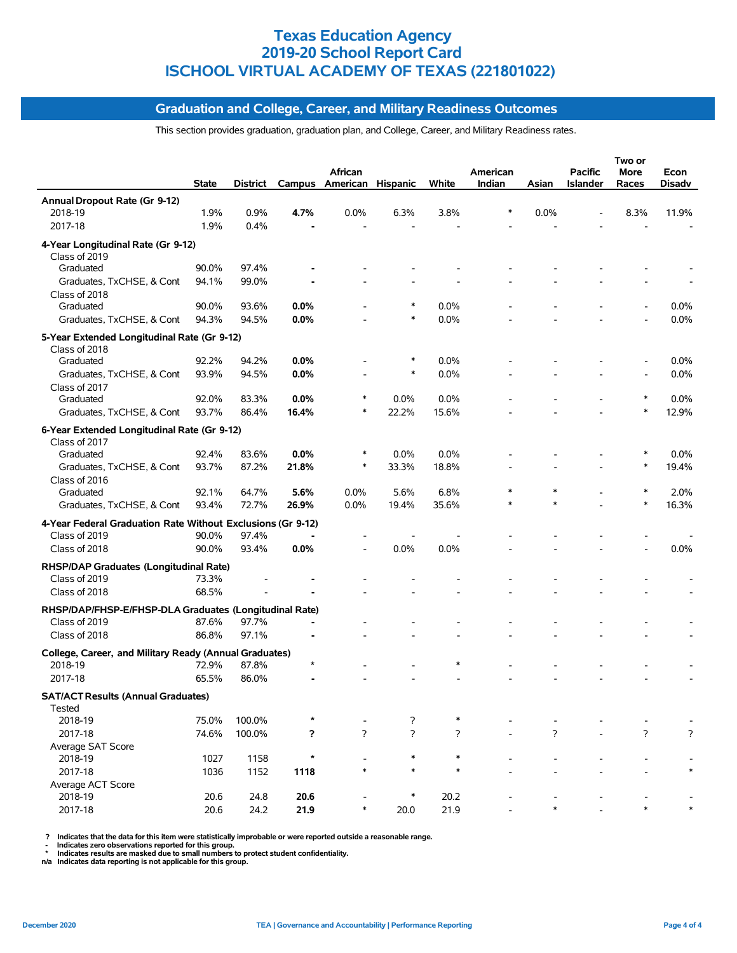### **Graduation and College, Career, and Military Readiness Outcomes**

This section provides graduation, graduation plan, and College, Career, and Military Readiness rates.

|                                                              | <b>State</b> |        |         | African<br>District Campus American Hispanic |                | White          | American<br>Indian | Asian          | Pacific<br><b>Islander</b> | Two or<br>More<br>Races | Econ<br><b>Disadv</b> |
|--------------------------------------------------------------|--------------|--------|---------|----------------------------------------------|----------------|----------------|--------------------|----------------|----------------------------|-------------------------|-----------------------|
| Annual Dropout Rate (Gr 9-12)                                |              |        |         |                                              |                |                |                    |                |                            |                         |                       |
| 2018-19                                                      | 1.9%         | 0.9%   | 4.7%    | 0.0%                                         | 6.3%           | 3.8%           | $\ast$             | 0.0%           |                            | 8.3%                    | 11.9%                 |
| 2017-18                                                      | 1.9%         | 0.4%   |         |                                              |                |                |                    |                |                            |                         |                       |
| 4-Year Longitudinal Rate (Gr 9-12)<br>Class of 2019          |              |        |         |                                              |                |                |                    |                |                            |                         |                       |
| Graduated                                                    | 90.0%        | 97.4%  |         |                                              |                |                |                    |                |                            |                         |                       |
| Graduates, TxCHSE, & Cont                                    | 94.1%        | 99.0%  |         |                                              |                |                |                    |                |                            |                         |                       |
| Class of 2018                                                |              |        |         |                                              |                |                |                    |                |                            |                         |                       |
| Graduated                                                    | 90.0%        | 93.6%  | 0.0%    |                                              | ∗              | 0.0%           |                    |                |                            |                         | $0.0\%$               |
| Graduates, TxCHSE, & Cont                                    | 94.3%        | 94.5%  | 0.0%    |                                              | $\ast$         | 0.0%           |                    |                |                            |                         | 0.0%                  |
| 5-Year Extended Longitudinal Rate (Gr 9-12)<br>Class of 2018 |              |        |         |                                              |                |                |                    |                |                            |                         |                       |
| Graduated                                                    | 92.2%        | 94.2%  | 0.0%    |                                              | ∗              | 0.0%           |                    |                |                            |                         | $0.0\%$               |
| Graduates, TxCHSE, & Cont                                    | 93.9%        | 94.5%  | 0.0%    |                                              | $\ast$         | 0.0%           |                    |                |                            |                         | 0.0%                  |
| Class of 2017<br>Graduated                                   | 92.0%        | 83.3%  | 0.0%    |                                              | 0.0%           | 0.0%           |                    |                |                            |                         | $0.0\%$               |
| Graduates, TxCHSE, & Cont                                    | 93.7%        | 86.4%  | 16.4%   |                                              | 22.2%          | 15.6%          |                    |                |                            |                         | 12.9%                 |
|                                                              |              |        |         |                                              |                |                |                    |                |                            |                         |                       |
| 6-Year Extended Longitudinal Rate (Gr 9-12)<br>Class of 2017 |              |        |         |                                              |                |                |                    |                |                            |                         |                       |
| Graduated                                                    | 92.4%        | 83.6%  | 0.0%    |                                              | 0.0%           | 0.0%           |                    |                |                            |                         | $0.0\%$               |
| Graduates, TxCHSE, & Cont                                    | 93.7%        | 87.2%  | 21.8%   | $\ast$                                       | 33.3%          | 18.8%          |                    |                |                            | $\ast$                  | 19.4%                 |
| Class of 2016                                                |              |        |         |                                              |                |                |                    |                |                            |                         |                       |
| Graduated                                                    | 92.1%        | 64.7%  | 5.6%    | 0.0%                                         | 5.6%           | 6.8%           |                    |                |                            |                         | 2.0%                  |
| Graduates, TxCHSE, & Cont                                    | 93.4%        | 72.7%  | 26.9%   | 0.0%                                         | 19.4%          | 35.6%          |                    |                |                            |                         | 16.3%                 |
| 4-Year Federal Graduation Rate Without Exclusions (Gr 9-12)  |              |        |         |                                              |                |                |                    |                |                            |                         |                       |
| Class of 2019                                                | 90.0%        | 97.4%  |         |                                              |                |                |                    |                |                            |                         |                       |
| Class of 2018                                                | 90.0%        | 93.4%  | 0.0%    |                                              | 0.0%           | 0.0%           |                    |                |                            |                         | 0.0%                  |
| RHSP/DAP Graduates (Longitudinal Rate)                       |              |        |         |                                              |                |                |                    |                |                            |                         |                       |
| Class of 2019                                                | 73.3%        |        |         |                                              |                |                |                    |                |                            |                         |                       |
| Class of 2018                                                | 68.5%        |        |         |                                              |                |                |                    |                |                            |                         |                       |
| RHSP/DAP/FHSP-E/FHSP-DLA Graduates (Longitudinal Rate)       |              |        |         |                                              |                |                |                    |                |                            |                         |                       |
| Class of 2019                                                | 87.6%        | 97.7%  |         |                                              |                |                |                    |                |                            |                         |                       |
| Class of 2018                                                | 86.8%        | 97.1%  |         |                                              |                |                |                    |                |                            |                         |                       |
| College, Career, and Military Ready (Annual Graduates)       |              |        |         |                                              |                |                |                    |                |                            |                         |                       |
| 2018-19                                                      | 72.9%        | 87.8%  | $\star$ |                                              |                | $\ast$         |                    |                |                            |                         |                       |
| 2017-18                                                      | 65.5%        | 86.0%  |         |                                              |                |                |                    |                |                            |                         |                       |
| <b>SAT/ACT Results (Annual Graduates)</b><br>Tested          |              |        |         |                                              |                |                |                    |                |                            |                         |                       |
| 2018-19                                                      | 75.0%        | 100.0% |         | $\overline{a}$                               | ?              | $\ast$         |                    |                |                            |                         |                       |
| 2017-18                                                      | 74.6%        | 100.0% | ?       | $\overline{?}$                               | $\overline{?}$ | $\overline{?}$ |                    | $\overline{?}$ |                            | $\overline{?}$          | ?                     |
| Average SAT Score<br>2018-19                                 | 1027         | 1158   |         |                                              |                | $\ast$         |                    |                |                            |                         |                       |
| 2017-18                                                      | 1036         | 1152   | 1118    | $\ast$                                       | $\ast$         | $\ast$         |                    |                |                            |                         | $\ast$                |
| Average ACT Score                                            |              |        |         |                                              |                |                |                    |                |                            |                         |                       |
| 2018-19                                                      | 20.6         | 24.8   | 20.6    |                                              | $\ast$         | 20.2           |                    |                |                            |                         |                       |
| 2017-18                                                      | 20.6         | 24.2   | 21.9    | *                                            | 20.0           | 21.9           |                    | $\ast$         |                            | $\ast$                  | $\ast$                |

? Indicates that the data for this item were statistically improbable or were reported outside a reasonable range.<br>- Indicates zero observations reported for this group.<br>\* Indicates results are masked due to small numbers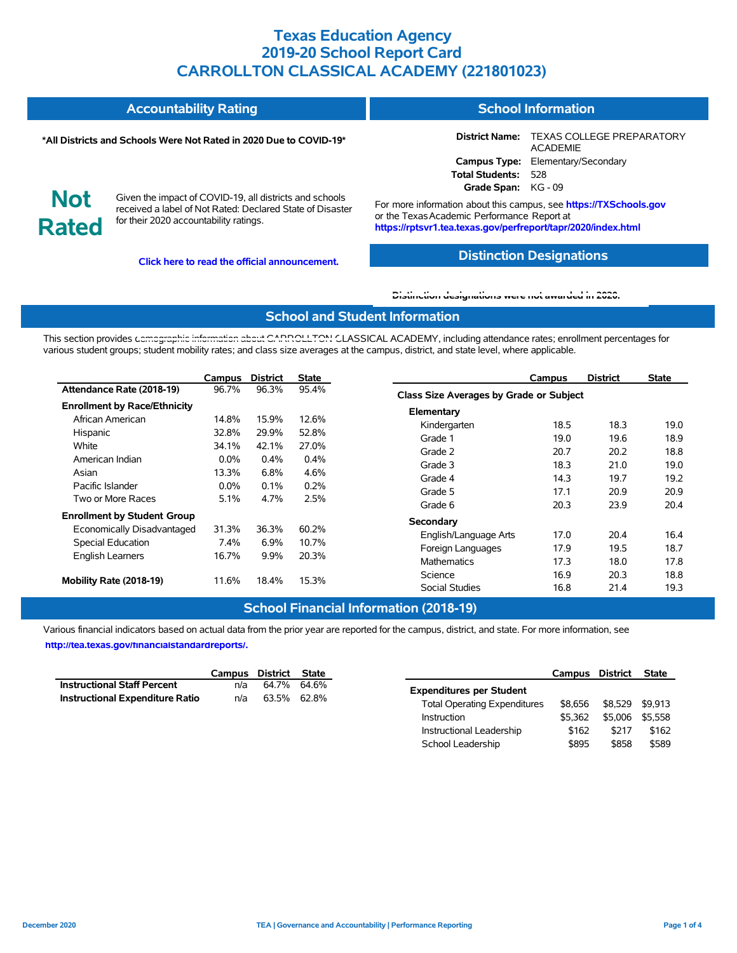|                            | <b>Accountability Rating</b>                                                                                                                                   | <b>School Information</b>                                                                                                                                                         |                                                     |  |  |  |  |
|----------------------------|----------------------------------------------------------------------------------------------------------------------------------------------------------------|-----------------------------------------------------------------------------------------------------------------------------------------------------------------------------------|-----------------------------------------------------|--|--|--|--|
|                            | *All Districts and Schools Were Not Rated in 2020 Due to COVID-19*                                                                                             | <b>District Name:</b>                                                                                                                                                             | <b>TEXAS COLLEGE PREPARATORY</b><br><b>ACADEMIE</b> |  |  |  |  |
|                            |                                                                                                                                                                | <b>Campus Type:</b>                                                                                                                                                               | Elementary/Secondary                                |  |  |  |  |
|                            |                                                                                                                                                                | <b>Total Students: 528</b>                                                                                                                                                        |                                                     |  |  |  |  |
|                            |                                                                                                                                                                | Grade Span: KG - 09                                                                                                                                                               |                                                     |  |  |  |  |
| <b>Not</b><br><b>Rated</b> | Given the impact of COVID-19, all districts and schools<br>received a label of Not Rated: Declared State of Disaster<br>for their 2020 accountability ratings. | For more information about this campus, see https://TXSchools.gov<br>or the Texas Academic Performance Report at<br>https://rptsvr1.tea.texas.gov/perfreport/tapr/2020/index.html |                                                     |  |  |  |  |

**Click here to read the official announcement.**

### **Distinction Designations**

#### **[Distinction designations were not awarded in 2020.](https://rptsvr1.tea.texas.gov/perfreport/tapr/2020/index.html)**

#### **School and Student Information**

This section provides [demographic information about CARROLLTON C](https://tea.texas.gov/about-tea/news-and-multimedia/correspondence/taa-letters/every-student-succeeds-act-essa-waiver-approval-2020-state-academic-accountability)LASSICAL ACADEMY, including attendance rates; enrollment percentages for various student groups; student mobility rates; and class size averages at the campus, district, and state level, where applicable.

|                                     | Campus  | <b>District</b> | <b>State</b> | <b>District</b><br><b>State</b><br>Campus |      |
|-------------------------------------|---------|-----------------|--------------|-------------------------------------------|------|
| Attendance Rate (2018-19)           | 96.7%   | 96.3%           | 95.4%        | Class Size Averages by Grade or Subject   |      |
| <b>Enrollment by Race/Ethnicity</b> |         |                 |              | Elementary                                |      |
| African American                    | 14.8%   | 15.9%           | 12.6%        | 18.3<br>Kindergarten<br>18.5              | 19.0 |
| Hispanic                            | 32.8%   | 29.9%           | 52.8%        | 19.6<br>19.0<br>Grade 1                   | 18.9 |
| White                               | 34.1%   | 42.1%           | 27.0%        | 20.2<br>Grade 2<br>20.7                   | 18.8 |
| American Indian                     | $0.0\%$ | 0.4%            | 0.4%         | Grade 3<br>18.3<br>21.0                   | 19.0 |
| Asian                               | 13.3%   | 6.8%            | 4.6%         | 19.7<br>Grade 4<br>14.3                   | 19.2 |
| Pacific Islander                    | $0.0\%$ | 0.1%            | 0.2%         | 17.1<br>20.9<br>Grade 5                   | 20.9 |
| Two or More Races                   | 5.1%    | 4.7%            | 2.5%         | 23.9<br>Grade 6<br>20.3                   | 20.4 |
| <b>Enrollment by Student Group</b>  |         |                 |              |                                           |      |
| Economically Disadvantaged          | 31.3%   | 36.3%           | 60.2%        | Secondary                                 |      |
| <b>Special Education</b>            | 7.4%    | 6.9%            | 10.7%        | 17.0<br>20.4<br>English/Language Arts     | 16.4 |
| <b>English Learners</b>             | 16.7%   | 9.9%            | 20.3%        | 17.9<br>19.5<br>Foreign Languages         | 18.7 |
|                                     |         |                 |              | 17.3<br><b>Mathematics</b><br>18.0        | 17.8 |
| Mobility Rate (2018-19)             | 11.6%   | 18.4%           | 15.3%        | 16.9<br>20.3<br>Science                   | 18.8 |
|                                     |         |                 |              | <b>Social Studies</b><br>16.8<br>21.4     | 19.3 |

### **School Financial Information (2018-19)**

Various financial indicators based on actual data from the prior year are reported for the campus, district, and state. For more information, see

|                                    |     | Campus District State |             | Campus District                     |                         | <b>State</b> |
|------------------------------------|-----|-----------------------|-------------|-------------------------------------|-------------------------|--------------|
| <b>Instructional Staff Percent</b> | n/a | 64.7% 64.6%           |             | <b>Expenditures per Student</b>     |                         |              |
| Instructional Expenditure Ratio    | n/a |                       | 63.5% 62.8% | <b>Total Operating Expenditures</b> | \$8,656 \$8,529 \$9,913 |              |
|                                    |     |                       |             |                                     | $AT AAC = AT F C$       |              |

|                                     | Campus District |         | <b>State</b> |
|-------------------------------------|-----------------|---------|--------------|
| <b>Expenditures per Student</b>     |                 |         |              |
| <b>Total Operating Expenditures</b> | \$8.656         | \$8.529 | \$9.913      |
| Instruction                         | \$5.362         | \$5,006 | \$5.558      |
| Instructional Leadership            | \$162           | \$217   | \$162        |
| School Leadership                   | \$895           | \$858   | \$589        |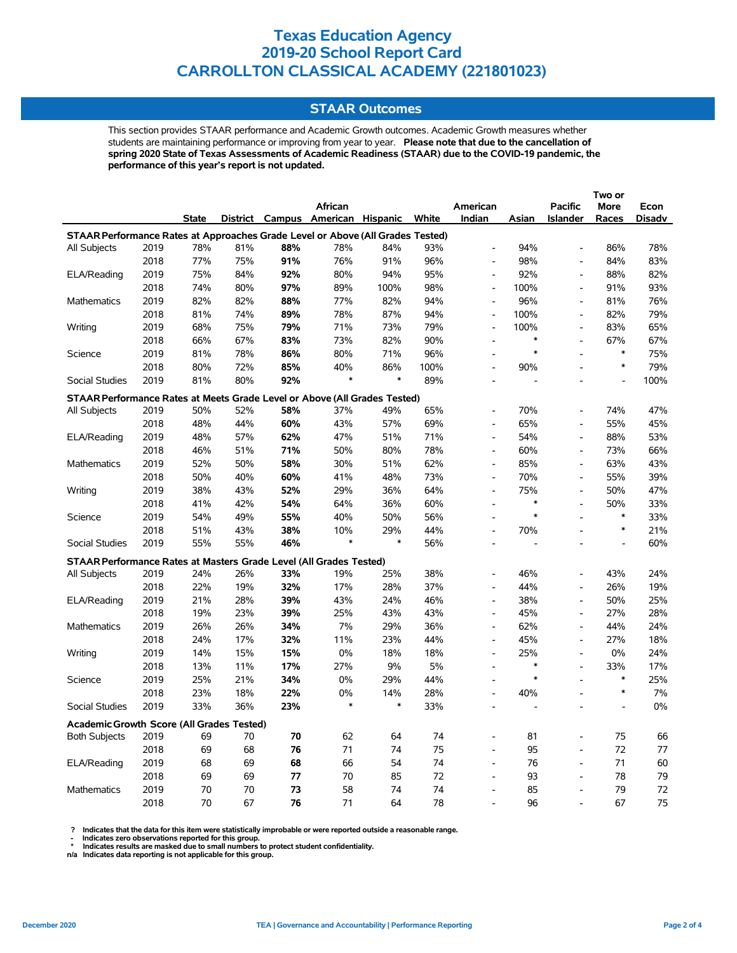### **STAAR Outcomes**

This section provides STAAR performance and Academic Growth outcomes. Academic Growth measures whether students are maintaining performance or improving from year to year. **Please note that due to the cancellation of spring 2020 State of Texas Assessments of Academic Readiness (STAAR) due to the COVID-19 pandemic, the performance of this year's report is not updated.**

|                                                                                |      |              |     |     |                                   |               |       |                          |        |                              | Two or         |        |
|--------------------------------------------------------------------------------|------|--------------|-----|-----|-----------------------------------|---------------|-------|--------------------------|--------|------------------------------|----------------|--------|
|                                                                                |      |              |     |     | African                           |               |       | American                 |        | Pacific                      | More           | Econ   |
|                                                                                |      | <b>State</b> |     |     | District Campus American Hispanic |               | White | Indian                   | Asian  | <b>Islander</b>              | Races          | Disadv |
| STAAR Performance Rates at Approaches Grade Level or Above (All Grades Tested) |      |              |     |     |                                   |               |       |                          |        |                              |                |        |
| <b>All Subjects</b>                                                            | 2019 | 78%          | 81% | 88% | 78%                               | 84%           | 93%   | $\blacksquare$           | 94%    | $\overline{a}$               | 86%            | 78%    |
|                                                                                | 2018 | 77%          | 75% | 91% | 76%                               | 91%           | 96%   | $\overline{a}$           | 98%    | $\overline{a}$               | 84%            | 83%    |
| ELA/Reading                                                                    | 2019 | 75%          | 84% | 92% | 80%                               | 94%           | 95%   | $\overline{a}$           | 92%    | $\qquad \qquad \blacksquare$ | 88%            | 82%    |
|                                                                                | 2018 | 74%          | 80% | 97% | 89%                               | 100%          | 98%   | $\overline{a}$           | 100%   | $\overline{a}$               | 91%            | 93%    |
| Mathematics                                                                    | 2019 | 82%          | 82% | 88% | 77%                               | 82%           | 94%   | $\overline{a}$           | 96%    | $\overline{a}$               | 81%            | 76%    |
|                                                                                | 2018 | 81%          | 74% | 89% | 78%                               | 87%           | 94%   | $\overline{a}$           | 100%   | $\overline{a}$               | 82%            | 79%    |
| Writing                                                                        | 2019 | 68%          | 75% | 79% | 71%                               | 73%           | 79%   | $\overline{a}$           | 100%   | $\overline{a}$               | 83%            | 65%    |
|                                                                                | 2018 | 66%          | 67% | 83% | 73%                               | 82%           | 90%   | $\blacksquare$           | $\ast$ | $\overline{a}$               | 67%            | 67%    |
| Science                                                                        | 2019 | 81%          | 78% | 86% | 80%                               | 71%           | 96%   | $\overline{a}$           | $\ast$ | $\overline{a}$               | $\ast$         | 75%    |
|                                                                                | 2018 | 80%          | 72% | 85% | 40%                               | 86%           | 100%  | L,                       | 90%    | $\overline{a}$               | $\ast$         | 79%    |
| Social Studies                                                                 | 2019 | 81%          | 80% | 92% | $\ast$                            | $\ast$        | 89%   | ÷                        |        | $\overline{\phantom{a}}$     | $\overline{a}$ | 100%   |
| STAAR Performance Rates at Meets Grade Level or Above (All Grades Tested)      |      |              |     |     |                                   |               |       |                          |        |                              |                |        |
| All Subjects                                                                   | 2019 | 50%          | 52% | 58% | 37%                               | 49%           | 65%   | $\overline{a}$           | 70%    |                              | 74%            | 47%    |
|                                                                                | 2018 | 48%          | 44% | 60% | 43%                               | 57%           | 69%   | $\overline{\phantom{a}}$ | 65%    | $\frac{1}{2}$                | 55%            | 45%    |
| ELA/Reading                                                                    | 2019 | 48%          | 57% | 62% | 47%                               | 51%           | 71%   | $\overline{a}$           | 54%    | $\overline{a}$               | 88%            | 53%    |
|                                                                                | 2018 | 46%          | 51% | 71% | 50%                               | 80%           | 78%   | $\overline{a}$           | 60%    | $\qquad \qquad \blacksquare$ | 73%            | 66%    |
| <b>Mathematics</b>                                                             | 2019 | 52%          | 50% | 58% | 30%                               | 51%           | 62%   | $\blacksquare$           | 85%    | $\overline{a}$               | 63%            | 43%    |
|                                                                                | 2018 | 50%          | 40% | 60% | 41%                               | 48%           | 73%   | $\blacksquare$           | 70%    |                              | 55%            | 39%    |
| Writing                                                                        | 2019 | 38%          | 43% | 52% | 29%                               | 36%           | 64%   | $\blacksquare$           | 75%    | $\overline{a}$               | 50%            | 47%    |
|                                                                                | 2018 | 41%          | 42% | 54% |                                   | 36%           | 60%   | $\blacksquare$           | $\ast$ | $\overline{a}$               | 50%            | 33%    |
|                                                                                | 2019 | 54%          | 49% | 55% | 64%<br>40%                        | 50%           | 56%   | L,                       | $\ast$ | $\overline{a}$               | $\ast$         | 33%    |
| Science                                                                        |      |              |     |     |                                   |               |       | $\overline{a}$           |        | $\overline{a}$               | $\ast$         |        |
|                                                                                | 2018 | 51%          | 43% | 38% | 10%<br>$\ast$                     | 29%<br>$\ast$ | 44%   |                          | 70%    |                              |                | 21%    |
| Social Studies                                                                 | 2019 | 55%          | 55% | 46% |                                   |               | 56%   |                          |        |                              | $\blacksquare$ | 60%    |
| STAAR Performance Rates at Masters Grade Level (All Grades Tested)             |      |              |     |     |                                   |               |       |                          |        |                              |                |        |
| All Subjects                                                                   | 2019 | 24%          | 26% | 33% | 19%                               | 25%           | 38%   | $\overline{\phantom{a}}$ | 46%    | $\overline{a}$               | 43%            | 24%    |
|                                                                                | 2018 | 22%          | 19% | 32% | 17%                               | 28%           | 37%   | $\overline{\phantom{a}}$ | 44%    | $\overline{a}$               | 26%            | 19%    |
| ELA/Reading                                                                    | 2019 | 21%          | 28% | 39% | 43%                               | 24%           | 46%   | $\overline{a}$           | 38%    | $\frac{1}{2}$                | 50%            | 25%    |
|                                                                                | 2018 | 19%          | 23% | 39% | 25%                               | 43%           | 43%   | $\overline{a}$           | 45%    | $\overline{a}$               | 27%            | 28%    |
| Mathematics                                                                    | 2019 | 26%          | 26% | 34% | 7%                                | 29%           | 36%   | $\overline{a}$           | 62%    |                              | 44%            | 24%    |
|                                                                                | 2018 | 24%          | 17% | 32% | 11%                               | 23%           | 44%   | $\blacksquare$           | 45%    | $\overline{a}$               | 27%            | 18%    |
| Writing                                                                        | 2019 | 14%          | 15% | 15% | 0%                                | 18%           | 18%   | $\overline{a}$           | 25%    | $\overline{a}$               | 0%             | 24%    |
|                                                                                | 2018 | 13%          | 11% | 17% | 27%                               | 9%            | 5%    | L,                       | $\ast$ | $\overline{a}$               | 33%            | 17%    |
| Science                                                                        | 2019 | 25%          | 21% | 34% | 0%                                | 29%           | 44%   | $\overline{a}$           | $\ast$ | $\overline{a}$               | $\ast$         | 25%    |
|                                                                                | 2018 | 23%          | 18% | 22% | 0%                                | 14%           | 28%   | $\overline{a}$           | 40%    |                              | $\ast$         | 7%     |
| Social Studies                                                                 | 2019 | 33%          | 36% | 23% | $\ast$                            | $\ast$        | 33%   | $\blacksquare$           |        | $\overline{\phantom{a}}$     | $\overline{a}$ | 0%     |
| Academic Growth Score (All Grades Tested)                                      |      |              |     |     |                                   |               |       |                          |        |                              |                |        |
| <b>Both Subjects</b>                                                           | 2019 | 69           | 70  | 70  | 62                                | 64            | 74    |                          | 81     |                              | 75             | 66     |
|                                                                                | 2018 | 69           | 68  | 76  | 71                                | 74            | 75    | $\overline{a}$           | 95     | $\frac{1}{2}$                | 72             | 77     |
| ELA/Reading                                                                    | 2019 | 68           | 69  | 68  | 66                                | 54            | 74    | $\overline{a}$           | 76     | $\overline{a}$               | 71             | 60     |
|                                                                                | 2018 | 69           | 69  | 77  | 70                                | 85            | 72    |                          | 93     |                              | 78             | 79     |
| <b>Mathematics</b>                                                             | 2019 | 70           | 70  | 73  | 58                                | 74            | 74    | $\overline{\phantom{a}}$ | 85     | $\overline{a}$               | 79             | 72     |
|                                                                                | 2018 | 70           | 67  | 76  | 71                                | 64            | 78    |                          | 96     |                              | 67             | 75     |

 **? Indicates that the data for this item were statistically improbable or were reported outside a reasonable range.**

- Indicates zero observations reported for this group.<br>\* Indicates results are masked due to small numbers to protect student confidentiality.<br>n/a Indicates data reporting is not applicable for this group.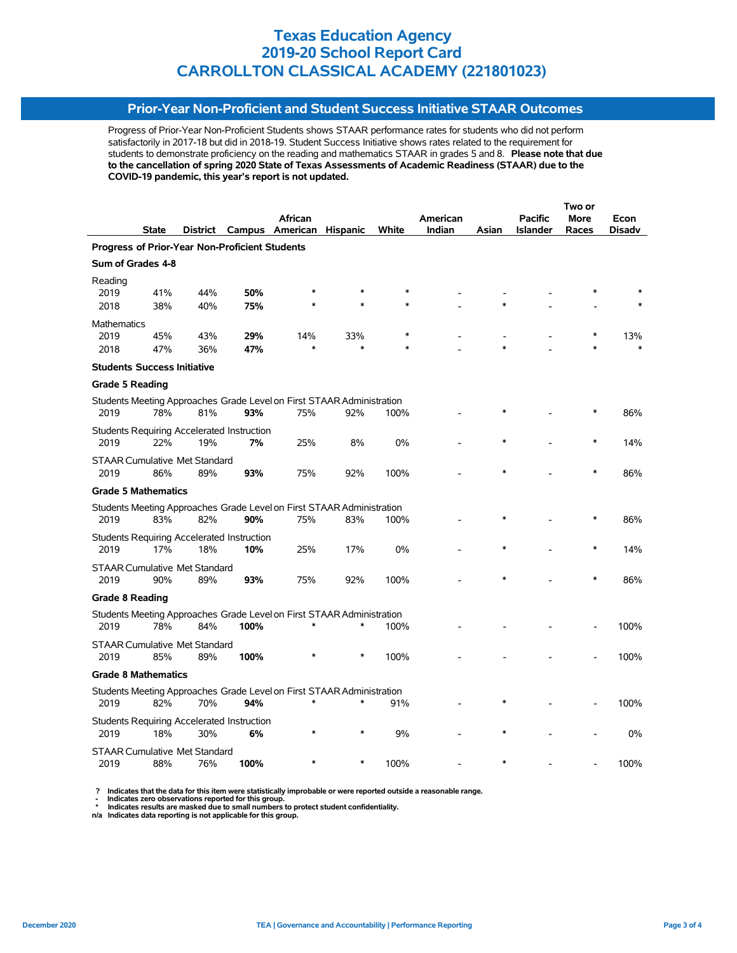### **Prior-Year Non-Proficient and Student Success Initiative STAAR Outcomes**

Progress of Prior-Year Non-Proficient Students shows STAAR performance rates for students who did not perform satisfactorily in 2017-18 but did in 2018-19. Student Success Initiative shows rates related to the requirement for students to demonstrate proficiency on the reading and mathematics STAAR in grades 5 and 8. **Please note that due to the cancellation of spring 2020 State of Texas Assessments of Academic Readiness (STAAR) due to the COVID-19 pandemic, this year's report is not updated.**

|                                              |              |            |                                                       |                                                                       |        | Two or |          |        |                 |             |               |  |  |
|----------------------------------------------|--------------|------------|-------------------------------------------------------|-----------------------------------------------------------------------|--------|--------|----------|--------|-----------------|-------------|---------------|--|--|
|                                              |              |            |                                                       | African                                                               |        |        | American |        | <b>Pacific</b>  | <b>More</b> | Econ          |  |  |
|                                              | <b>State</b> |            |                                                       | District Campus American Hispanic                                     |        | White  | Indian   | Asian  | <b>Islander</b> | Races       | <b>Disadv</b> |  |  |
|                                              |              |            | <b>Progress of Prior-Year Non-Proficient Students</b> |                                                                       |        |        |          |        |                 |             |               |  |  |
| Sum of Grades 4-8                            |              |            |                                                       |                                                                       |        |        |          |        |                 |             |               |  |  |
| Reading<br>2019                              | 41%          | 44%        | 50%                                                   |                                                                       |        |        |          |        |                 |             |               |  |  |
| 2018                                         | 38%          | 40%        | 75%                                                   |                                                                       |        |        |          |        |                 |             |               |  |  |
| <b>Mathematics</b>                           |              |            |                                                       |                                                                       |        |        |          |        |                 |             |               |  |  |
| 2019<br>2018                                 | 45%<br>47%   | 43%<br>36% | 29%<br>47%                                            | 14%                                                                   | 33%    |        |          |        |                 |             | 13%           |  |  |
| <b>Students Success Initiative</b>           |              |            |                                                       |                                                                       |        |        |          |        |                 |             |               |  |  |
| <b>Grade 5 Reading</b>                       |              |            |                                                       |                                                                       |        |        |          |        |                 |             |               |  |  |
|                                              |              |            |                                                       | Students Meeting Approaches Grade Level on First STAAR Administration |        |        |          |        |                 |             |               |  |  |
| 2019                                         | 78%          | 81%        | 93%                                                   | 75%                                                                   | 92%    | 100%   |          |        |                 |             | 86%           |  |  |
| 2019                                         | 22%          | 19%        | Students Requiring Accelerated Instruction<br>7%      | 25%                                                                   | 8%     | 0%     |          | $\ast$ |                 | *           | 14%           |  |  |
| <b>STAAR Cumulative Met Standard</b>         |              |            |                                                       |                                                                       |        |        |          |        |                 |             |               |  |  |
| 2019                                         | 86%          | 89%        | 93%                                                   | 75%                                                                   | 92%    | 100%   |          |        |                 |             | 86%           |  |  |
| <b>Grade 5 Mathematics</b>                   |              |            |                                                       |                                                                       |        |        |          |        |                 |             |               |  |  |
|                                              |              |            |                                                       | Students Meeting Approaches Grade Level on First STAAR Administration |        |        |          |        |                 |             |               |  |  |
| 2019                                         | 83%          | 82%        | 90%                                                   | 75%                                                                   | 83%    | 100%   |          |        |                 |             | 86%           |  |  |
| 2019                                         | 17%          | 18%        | Students Requiring Accelerated Instruction<br>10%     | 25%                                                                   | 17%    | 0%     |          |        |                 | *           | 14%           |  |  |
| <b>STAAR Cumulative Met Standard</b>         |              |            |                                                       |                                                                       |        |        |          |        |                 |             |               |  |  |
| 2019                                         | 90%          | 89%        | 93%                                                   | 75%                                                                   | 92%    | 100%   |          |        |                 | $\ast$      | 86%           |  |  |
| <b>Grade 8 Reading</b>                       |              |            |                                                       |                                                                       |        |        |          |        |                 |             |               |  |  |
|                                              |              |            |                                                       | Students Meeting Approaches Grade Level on First STAAR Administration |        |        |          |        |                 |             |               |  |  |
| 2019                                         | 78%          | 84%        | 100%                                                  |                                                                       | $\ast$ | 100%   |          |        |                 |             | 100%          |  |  |
| <b>STAAR Cumulative Met Standard</b><br>2019 | 85%          | 89%        | 100%                                                  |                                                                       | *      | 100%   |          |        |                 |             | 100%          |  |  |
| <b>Grade 8 Mathematics</b>                   |              |            |                                                       |                                                                       |        |        |          |        |                 |             |               |  |  |
|                                              |              |            |                                                       | Students Meeting Approaches Grade Level on First STAAR Administration |        |        |          |        |                 |             |               |  |  |
| 2019                                         | 82%          | 70%        | 94%                                                   |                                                                       | $\ast$ | 91%    |          |        |                 |             | 100%          |  |  |
|                                              |              |            | Students Requiring Accelerated Instruction            |                                                                       |        |        |          |        |                 |             |               |  |  |
| 2019                                         | 18%          | 30%        | 6%                                                    |                                                                       |        | 9%     |          |        |                 |             | 0%            |  |  |
| <b>STAAR Cumulative Met Standard</b><br>2019 | 88%          | 76%        | 100%                                                  |                                                                       |        | 100%   |          |        |                 |             | 100%          |  |  |

? Indicates that the data for this item were statistically improbable or were reported outside a reasonable range.<br>- Indicates zero observations reported for this group.<br>\* Indicates results are masked due to small numbers

**n/a Indicates data reporting is not applicable for this group.**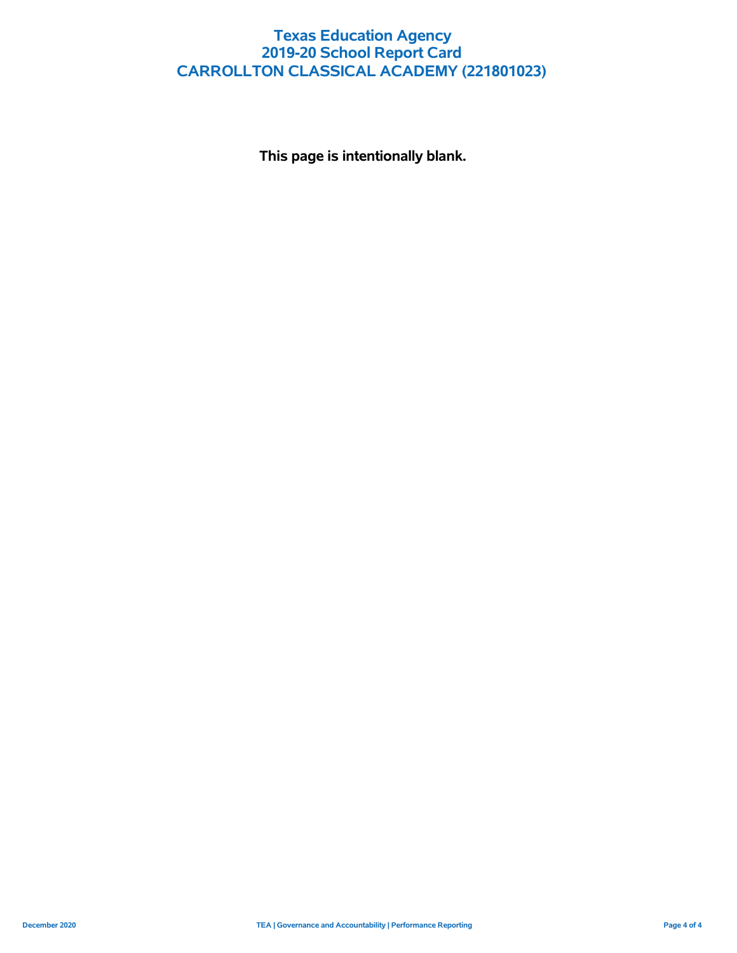**This page is intentionally blank.**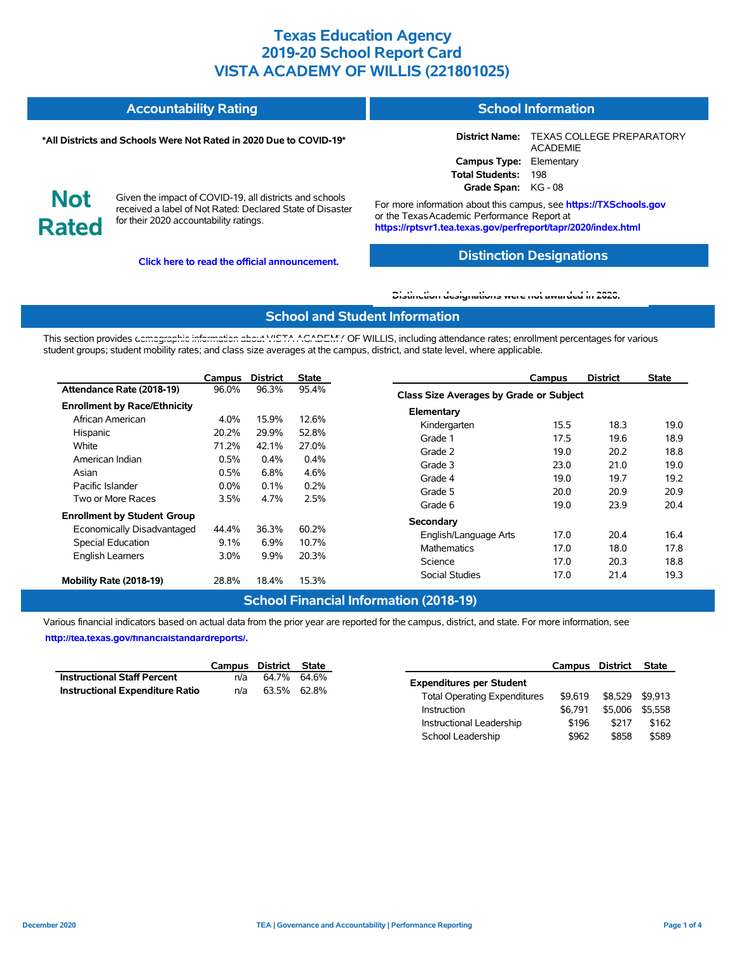| <b>Accountability Rating</b>                                                                                                                                                                 | <b>School Information</b>                                                                                                                                                         |  |
|----------------------------------------------------------------------------------------------------------------------------------------------------------------------------------------------|-----------------------------------------------------------------------------------------------------------------------------------------------------------------------------------|--|
| *All Districts and Schools Were Not Rated in 2020 Due to COVID-19*                                                                                                                           | <b>District Name:</b><br><b>TEXAS COLLEGE PREPARATORY</b><br><b>ACADEMIE</b>                                                                                                      |  |
|                                                                                                                                                                                              | Campus Type:<br>Elementary                                                                                                                                                        |  |
|                                                                                                                                                                                              | <b>Total Students:</b><br>198                                                                                                                                                     |  |
|                                                                                                                                                                                              | <b>Grade Span:</b> KG - 08                                                                                                                                                        |  |
| <b>Not</b><br>Given the impact of COVID-19, all districts and schools<br>received a label of Not Rated: Declared State of Disaster<br>for their 2020 accountability ratings.<br><b>Rated</b> | For more information about this campus, see https://TXSchools.gov<br>or the Texas Academic Performance Report at<br>https://rptsvr1.tea.texas.gov/perfreport/tapr/2020/index.html |  |

**Click here to read the official announcement.**

#### **Distinction Designations**

School Leadership  $$962$  \$858 \$589

#### **[Distinction designations were not awarded in 2020.](https://rptsvr1.tea.texas.gov/perfreport/tapr/2020/index.html)**

#### **School and Student Information**

This section provides [demographic information about VISTA ACADEMY](https://tea.texas.gov/about-tea/news-and-multimedia/correspondence/taa-letters/every-student-succeeds-act-essa-waiver-approval-2020-state-academic-accountability) OF WILLIS, including attendance rates; enrollment percentages for various student groups; student mobility rates; and class size averages at the campus, district, and state level, where applicable.

|                                     | Campus  | <b>District</b> | State   | <b>District</b><br><b>State</b><br>Campus |      |
|-------------------------------------|---------|-----------------|---------|-------------------------------------------|------|
| Attendance Rate (2018-19)           | 96.0%   | 96.3%           | 95.4%   | Class Size Averages by Grade or Subject   |      |
| <b>Enrollment by Race/Ethnicity</b> |         |                 |         | Elementary                                |      |
| African American                    | 4.0%    | 15.9%           | 12.6%   | 15.5<br>18.3<br>Kindergarten              | 19.0 |
| Hispanic                            | 20.2%   | 29.9%           | 52.8%   | 19.6<br>17.5<br>Grade 1                   | 18.9 |
| White                               | 71.2%   | 42.1%           | 27.0%   | 20.2<br>19.0<br>Grade 2                   | 18.8 |
| American Indian                     | 0.5%    | 0.4%            | $0.4\%$ | Grade 3<br>23.0<br>21.0                   | 19.0 |
| Asian                               | 0.5%    | 6.8%            | 4.6%    | 19.7<br>19.0<br>Grade 4                   | 19.2 |
| Pacific Islander                    | $0.0\%$ | 0.1%            | 0.2%    | 20.9<br>Grade 5<br>20.0                   | 20.9 |
| Two or More Races                   | 3.5%    | 4.7%            | 2.5%    | 19.0<br>23.9<br>Grade 6                   | 20.4 |
| <b>Enrollment by Student Group</b>  |         |                 |         | Secondary                                 |      |
| Economically Disadvantaged          | 44.4%   | 36.3%           | 60.2%   | 17.0<br>20.4<br>English/Language Arts     | 16.4 |
| <b>Special Education</b>            | 9.1%    | 6.9%            | 10.7%   | 17.0<br>18.0<br>Mathematics               | 17.8 |
| <b>English Learners</b>             | 3.0%    | 9.9%            | 20.3%   |                                           |      |
|                                     |         |                 |         | 20.3<br>17.0<br>Science                   | 18.8 |
| Mobility Rate (2018-19)             | 28.8%   | 18.4%           | 15.3%   | Social Studies<br>21.4<br>17.0            | 19.3 |

#### **School Financial Information (2018-19)**

Various financial indicators based on actual data from the prior year are reported for the campus, district, and state. For more information, see

|                                    | Campus | District    | State |                                     | Campus  | District        | <b>State</b> |
|------------------------------------|--------|-------------|-------|-------------------------------------|---------|-----------------|--------------|
| <b>Instructional Staff Percent</b> | n/a    | 64.7% 64.6% |       | <b>Expenditures per Student</b>     |         |                 |              |
| Instructional Expenditure Ratio    | n/a    | 63.5% 62.8% |       | <b>Total Operating Expenditures</b> | \$9.619 | \$8,529 \$9,913 |              |
|                                    |        |             |       | Instruction                         | \$6.791 | \$5.006         | \$5.558      |
|                                    |        |             |       | Instructional Leadership            | \$196   | \$217           | \$162        |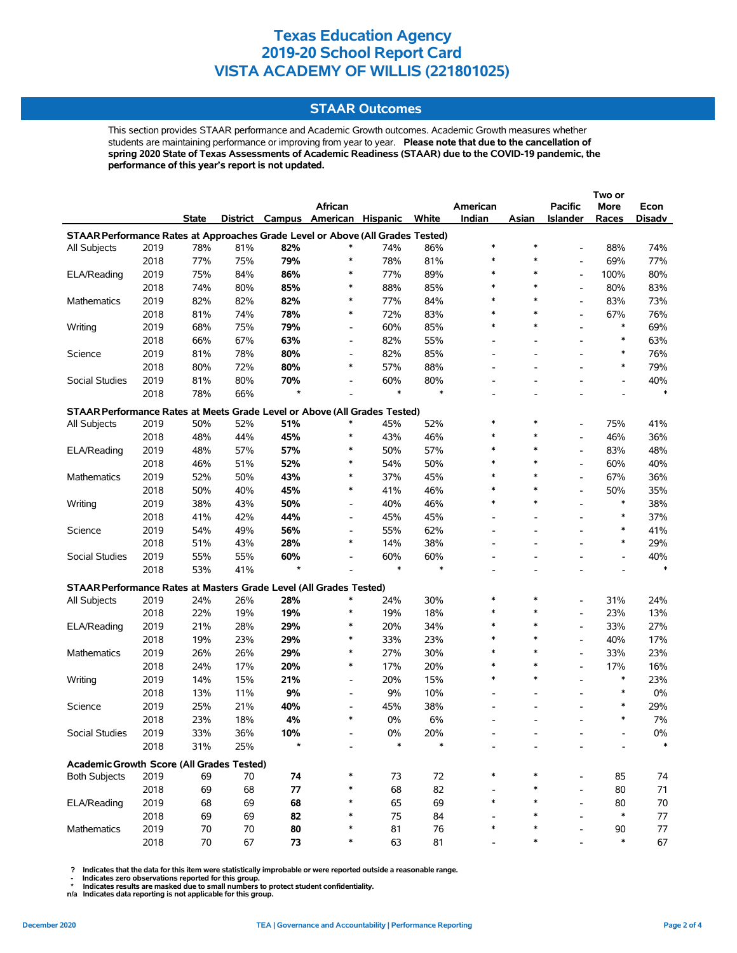### **STAAR Outcomes**

This section provides STAAR performance and Academic Growth outcomes. Academic Growth measures whether students are maintaining performance or improving from year to year. **Please note that due to the cancellation of spring 2020 State of Texas Assessments of Academic Readiness (STAAR) due to the COVID-19 pandemic, the performance of this year's report is not updated.**

|                                                                                    |      |       |     |         |                                    |                 |               |                          |                |                                  | Two or                   |                 |
|------------------------------------------------------------------------------------|------|-------|-----|---------|------------------------------------|-----------------|---------------|--------------------------|----------------|----------------------------------|--------------------------|-----------------|
|                                                                                    |      |       |     |         | African                            |                 |               | American                 |                | <b>Pacific</b>                   | More                     | Econ            |
|                                                                                    |      | State |     |         | District Campus American Hispanic  |                 | White         | Indian                   | Asian          | Islander                         | Races                    | Disadv          |
| STAAR Performance Rates at Approaches Grade Level or Above (All Grades Tested)     |      |       |     |         |                                    |                 |               |                          |                |                                  |                          |                 |
| All Subjects                                                                       | 2019 | 78%   | 81% | 82%     | ∗                                  | 74%             | 86%           | $\ast$                   | $\ast$         | $\overline{a}$                   | 88%                      | 74%             |
|                                                                                    | 2018 | 77%   | 75% | 79%     | $\ast$                             | 78%             | 81%           | $\ast$                   | $\ast$         | $\overline{a}$                   | 69%                      | 77%             |
| ELA/Reading                                                                        | 2019 | 75%   | 84% | 86%     | $\ast$                             | 77%             | 89%           | $\ast$                   | $\ast$         | $\overline{a}$                   | 100%                     | 80%             |
|                                                                                    | 2018 | 74%   | 80% | 85%     | $\ast$                             | 88%             | 85%           | $\ast$                   | $\ast$         | $\overline{\phantom{a}}$         | 80%                      | 83%             |
| Mathematics                                                                        | 2019 | 82%   | 82% | 82%     | $\ast$                             | 77%             | 84%           | $\ast$                   | $\ast$         | $\overline{a}$                   | 83%                      | 73%             |
|                                                                                    | 2018 | 81%   | 74% | 78%     | $\ast$                             | 72%             | 83%           | $\ast$                   | $\ast$         | $\overline{\phantom{a}}$         | 67%                      | 76%             |
| Writing                                                                            | 2019 | 68%   | 75% | 79%     | $\overline{\phantom{a}}$           | 60%             | 85%           | $\ast$                   | $\ast$         |                                  | ∗                        | 69%             |
|                                                                                    | 2018 | 66%   | 67% | 63%     | $\overline{\phantom{a}}$           | 82%             | 55%           |                          |                |                                  | ∗                        | 63%             |
| Science                                                                            | 2019 | 81%   | 78% | 80%     | $\overline{\phantom{a}}$           | 82%             | 85%           | $\overline{\phantom{0}}$ |                | $\overline{a}$                   | $\ast$                   | 76%             |
|                                                                                    | 2018 | 80%   | 72% | 80%     | $\ast$                             | 57%             | 88%           | ÷,                       | $\overline{a}$ |                                  | $\ast$                   | 79%             |
| Social Studies                                                                     | 2019 | 81%   | 80% | 70%     | $\overline{\phantom{a}}$           | 60%             | 80%           |                          |                |                                  | Ĭ.                       | 40%             |
|                                                                                    | 2018 | 78%   | 66% | $\star$ | $\overline{\phantom{a}}$           | $\ast$          | $\ast$        |                          |                |                                  | $\overline{\phantom{a}}$ | $\ast$          |
| STAAR Performance Rates at Meets Grade Level or Above (All Grades Tested)          |      |       |     |         |                                    |                 |               |                          |                |                                  |                          |                 |
| All Subjects                                                                       | 2019 | 50%   | 52% | 51%     | ∗                                  | 45%             | 52%           | $\ast$                   | $\ast$         | $\overline{a}$                   | 75%                      | 41%             |
|                                                                                    | 2018 | 48%   | 44% | 45%     | ∗                                  | 43%             | 46%           | $\ast$                   | $\ast$         | $\overline{\phantom{a}}$         | 46%                      | 36%             |
| ELA/Reading                                                                        | 2019 | 48%   | 57% | 57%     | ∗                                  | 50%             | 57%           | $\ast$                   | $\ast$         | $\overline{\phantom{a}}$         | 83%                      | 48%             |
|                                                                                    | 2018 | 46%   | 51% | 52%     | $\ast$                             | 54%             | 50%           | $\ast$                   | $\ast$         | $\overline{a}$                   | 60%                      | 40%             |
| Mathematics                                                                        | 2019 | 52%   | 50% | 43%     | $\ast$                             | 37%             | 45%           | $\ast$                   | $\ast$         | $\overline{a}$                   | 67%                      | 36%             |
|                                                                                    | 2018 | 50%   | 40% | 45%     | $\ast$                             | 41%             | 46%           | $\ast$                   | $\ast$         | $\overline{a}$                   | 50%                      | 35%             |
| Writing                                                                            | 2019 | 38%   | 43% | 50%     | $\overline{\phantom{a}}$           | 40%             | 46%           | $\ast$                   | $\ast$         | $\overline{a}$                   | ∗                        | 38%             |
|                                                                                    | 2018 | 41%   | 42% | 44%     | $\overline{\phantom{a}}$           | 45%             | 45%           | $\overline{\phantom{0}}$ |                | $\overline{\phantom{0}}$         | $\ast$                   | 37%             |
| Science                                                                            | 2019 | 54%   | 49% | 56%     | $\overline{\phantom{a}}$           | 55%             | 62%           |                          |                | $\overline{a}$                   | ∗                        | 41%             |
|                                                                                    | 2018 | 51%   | 43% | 28%     | $\ast$                             | 14%             | 38%           |                          |                |                                  | $\ast$                   | 29%             |
| Social Studies                                                                     | 2019 | 55%   | 55% | 60%     | $\overline{\phantom{a}}$           | 60%             | 60%           |                          |                |                                  | $\overline{\phantom{a}}$ | 40%             |
|                                                                                    | 2018 | 53%   | 41% | $\star$ |                                    | $\ast$          | $\ast$        |                          |                |                                  |                          | $\ast$          |
|                                                                                    |      |       |     |         |                                    |                 |               |                          |                |                                  |                          |                 |
| STAAR Performance Rates at Masters Grade Level (All Grades Tested)<br>All Subjects | 2019 | 24%   | 26% | 28%     | *                                  | 24%             | 30%           | $\ast$                   | $\ast$         | $\overline{a}$                   | 31%                      | 24%             |
|                                                                                    | 2018 | 22%   | 19% | 19%     | $\ast$                             | 19%             | 18%           | $\ast$                   | $\ast$         | $\overline{a}$                   | 23%                      | 13%             |
| ELA/Reading                                                                        | 2019 | 21%   | 28% | 29%     | $\ast$                             | 20%             | 34%           | $\ast$                   | $\ast$         | $\overline{a}$                   | 33%                      | 27%             |
|                                                                                    | 2018 | 19%   | 23% | 29%     | $\ast$                             | 33%             | 23%           | ∗                        | *              |                                  | 40%                      | 17%             |
| Mathematics                                                                        | 2019 | 26%   | 26% | 29%     | ∗                                  | 27%             | 30%           | $\ast$                   | $\ast$         | $\overline{\phantom{a}}$         | 33%                      | 23%             |
|                                                                                    |      |       |     | 20%     | $\ast$                             |                 | 20%           | $\ast$                   | $\ast$         | $\overline{\phantom{a}}$         |                          |                 |
|                                                                                    | 2018 | 24%   | 17% |         |                                    | 17%             |               | $\ast$                   | $\ast$         | $\overline{a}$<br>$\overline{a}$ | 17%<br>∗                 | 16%             |
| Writing                                                                            | 2019 | 14%   | 15% | 21%     | $\overline{\phantom{a}}$           | 20%             | 15%           |                          |                |                                  | $\ast$                   | 23%             |
|                                                                                    | 2018 | 13%   | 11% | 9%      | $\overline{\phantom{a}}$           | 9%              | 10%           | $\overline{\phantom{a}}$ |                | $\overline{a}$                   | $\ast$                   | 0%              |
| Science                                                                            | 2019 | 25%   | 21% | 40%     | $\overline{\phantom{a}}$<br>$\ast$ | 45%             | 38%           | $\overline{\phantom{0}}$ |                | $\overline{\phantom{0}}$         | $\ast$                   | 29%             |
|                                                                                    | 2018 | 23%   | 18% | 4%      |                                    | 0%              | 6%            |                          |                |                                  |                          | 7%              |
| Social Studies                                                                     | 2019 | 33%   | 36% | 10%     |                                    | $0\%$<br>$\ast$ | 20%<br>$\ast$ |                          |                |                                  |                          | $0\%$<br>$\ast$ |
|                                                                                    | 2018 | 31%   | 25% |         |                                    |                 |               |                          |                |                                  |                          |                 |
| Academic Growth Score (All Grades Tested)                                          |      |       |     |         |                                    |                 |               |                          |                |                                  |                          |                 |
| <b>Both Subjects</b>                                                               | 2019 | 69    | 70  | 74      |                                    | 73              | 72            |                          |                | $\overline{\phantom{0}}$         | 85                       | 74              |
|                                                                                    | 2018 | 69    | 68  | 77      |                                    | 68              | 82            |                          |                |                                  | 80                       | 71              |
| ELA/Reading                                                                        | 2019 | 68    | 69  | 68      |                                    | 65              | 69            | *                        |                |                                  | 80                       | 70              |
|                                                                                    | 2018 | 69    | 69  | 82      | $\ast$                             | 75              | 84            |                          |                |                                  | $\ast$                   | 77              |
| Mathematics                                                                        | 2019 | 70    | 70  | 80      |                                    | 81              | 76            | $\ast$                   |                |                                  | 90                       | 77              |
|                                                                                    | 2018 | 70    | 67  | 73      | ∗                                  | 63              | 81            |                          |                |                                  | $\ast$                   | 67              |

 **? Indicates that the data for this item were statistically improbable or were reported outside a reasonable range.**

 **- Indicates zero observations reported for this group. \* Indicates results are masked due to small numbers to protect student confidentiality.**

**n/a Indicates data reporting is not applicable for this group.**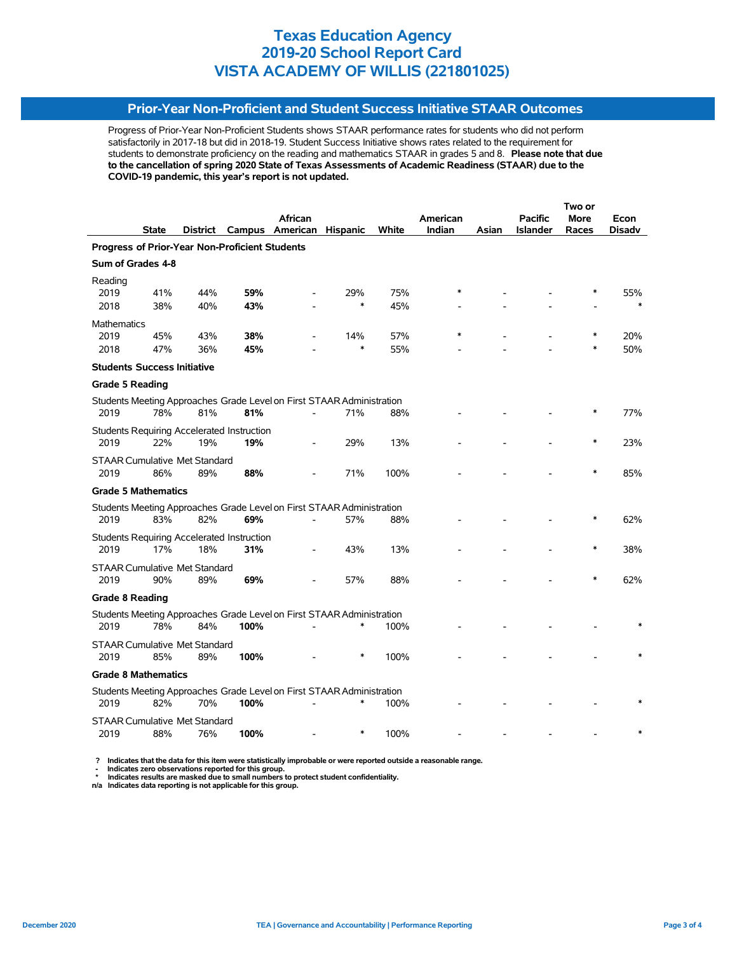### **Prior-Year Non-Proficient and Student Success Initiative STAAR Outcomes**

Progress of Prior-Year Non-Proficient Students shows STAAR performance rates for students who did not perform satisfactorily in 2017-18 but did in 2018-19. Student Success Initiative shows rates related to the requirement for students to demonstrate proficiency on the reading and mathematics STAAR in grades 5 and 8. **Please note that due to the cancellation of spring 2020 State of Texas Assessments of Academic Readiness (STAAR) due to the COVID-19 pandemic, this year's report is not updated.**

|                                    |              |                                      |                                                   |                                                                       |                 |            |          |       | Two or          |             |            |  |
|------------------------------------|--------------|--------------------------------------|---------------------------------------------------|-----------------------------------------------------------------------|-----------------|------------|----------|-------|-----------------|-------------|------------|--|
|                                    |              |                                      |                                                   | African                                                               |                 |            | American |       | <b>Pacific</b>  | <b>More</b> | Econ       |  |
|                                    | <b>State</b> | District                             |                                                   | Campus American                                                       | <b>Hispanic</b> | White      | Indian   | Asian | <b>Islander</b> | Races       | Disadv     |  |
|                                    |              |                                      | Progress of Prior-Year Non-Proficient Students    |                                                                       |                 |            |          |       |                 |             |            |  |
| Sum of Grades 4-8                  |              |                                      |                                                   |                                                                       |                 |            |          |       |                 |             |            |  |
| Reading                            |              |                                      |                                                   |                                                                       |                 |            |          |       |                 |             |            |  |
| 2019                               | 41%          | 44%                                  | 59%                                               |                                                                       | 29%             | 75%        |          |       |                 |             | 55%        |  |
| 2018                               | 38%          | 40%                                  | 43%                                               |                                                                       | *               | 45%        |          |       |                 |             |            |  |
| Mathematics                        |              |                                      |                                                   |                                                                       |                 |            |          |       |                 |             |            |  |
| 2019<br>2018                       | 45%<br>47%   | 43%<br>36%                           | 38%<br>45%                                        |                                                                       | 14%<br>$\ast$   | 57%<br>55% |          |       |                 | $\ast$      | 20%<br>50% |  |
|                                    |              |                                      |                                                   |                                                                       |                 |            |          |       |                 |             |            |  |
| <b>Students Success Initiative</b> |              |                                      |                                                   |                                                                       |                 |            |          |       |                 |             |            |  |
| <b>Grade 5 Reading</b>             |              |                                      |                                                   |                                                                       |                 |            |          |       |                 |             |            |  |
|                                    |              |                                      |                                                   | Students Meeting Approaches Grade Level on First STAAR Administration |                 |            |          |       |                 |             |            |  |
| 2019                               | 78%          | 81%                                  | 81%                                               |                                                                       | 71%             | 88%        |          |       |                 |             | 77%        |  |
|                                    |              |                                      | Students Requiring Accelerated Instruction        |                                                                       |                 |            |          |       |                 |             |            |  |
| 2019                               | 22%          | 19%                                  | 19%                                               |                                                                       | 29%             | 13%        |          |       |                 | *           | 23%        |  |
|                                    |              | <b>STAAR Cumulative Met Standard</b> |                                                   |                                                                       |                 |            |          |       |                 |             |            |  |
| 2019                               | 86%          | 89%                                  | 88%                                               |                                                                       | 71%             | 100%       |          |       |                 | *           | 85%        |  |
| <b>Grade 5 Mathematics</b>         |              |                                      |                                                   |                                                                       |                 |            |          |       |                 |             |            |  |
|                                    |              |                                      |                                                   | Students Meeting Approaches Grade Level on First STAAR Administration |                 |            |          |       |                 |             |            |  |
| 2019                               | 83%          | 82%                                  | 69%                                               |                                                                       | 57%             | 88%        |          |       |                 |             | 62%        |  |
|                                    |              |                                      | <b>Students Requiring Accelerated Instruction</b> |                                                                       |                 |            |          |       |                 |             |            |  |
| 2019                               | 17%          | 18%                                  | 31%                                               |                                                                       | 43%             | 13%        |          |       |                 |             | 38%        |  |
|                                    |              | <b>STAAR Cumulative Met Standard</b> |                                                   |                                                                       |                 |            |          |       |                 |             |            |  |
| 2019                               | 90%          | 89%                                  | 69%                                               |                                                                       | 57%             | 88%        |          |       |                 | $\ast$      | 62%        |  |
| Grade 8 Reading                    |              |                                      |                                                   |                                                                       |                 |            |          |       |                 |             |            |  |
|                                    |              |                                      |                                                   | Students Meeting Approaches Grade Level on First STAAR Administration |                 |            |          |       |                 |             |            |  |
| 2019                               | 78%          | 84%                                  | 100%                                              |                                                                       |                 | 100%       |          |       |                 |             |            |  |
|                                    |              | <b>STAAR Cumulative Met Standard</b> |                                                   |                                                                       |                 |            |          |       |                 |             |            |  |
| 2019                               | 85%          | 89%                                  | 100%                                              |                                                                       | $\ast$          | 100%       |          |       |                 |             |            |  |
| <b>Grade 8 Mathematics</b>         |              |                                      |                                                   |                                                                       |                 |            |          |       |                 |             |            |  |
|                                    |              |                                      |                                                   | Students Meeting Approaches Grade Level on First STAAR Administration |                 |            |          |       |                 |             |            |  |
| 2019                               | 82%          | 70%                                  | 100%                                              |                                                                       | ∗               | 100%       |          |       |                 |             |            |  |
|                                    |              | <b>STAAR Cumulative Met Standard</b> |                                                   |                                                                       |                 |            |          |       |                 |             |            |  |
| 2019                               | 88%          | 76%                                  | 100%                                              |                                                                       | *               | 100%       |          |       |                 |             |            |  |

 **? Indicates that the data for this item were statistically improbable or were reported outside a reasonable range.**

 **- Indicates zero observations reported for this group.**

 **\* Indicates results are masked due to small numbers to protect student confidentiality. n/a Indicates data reporting is not applicable for this group.**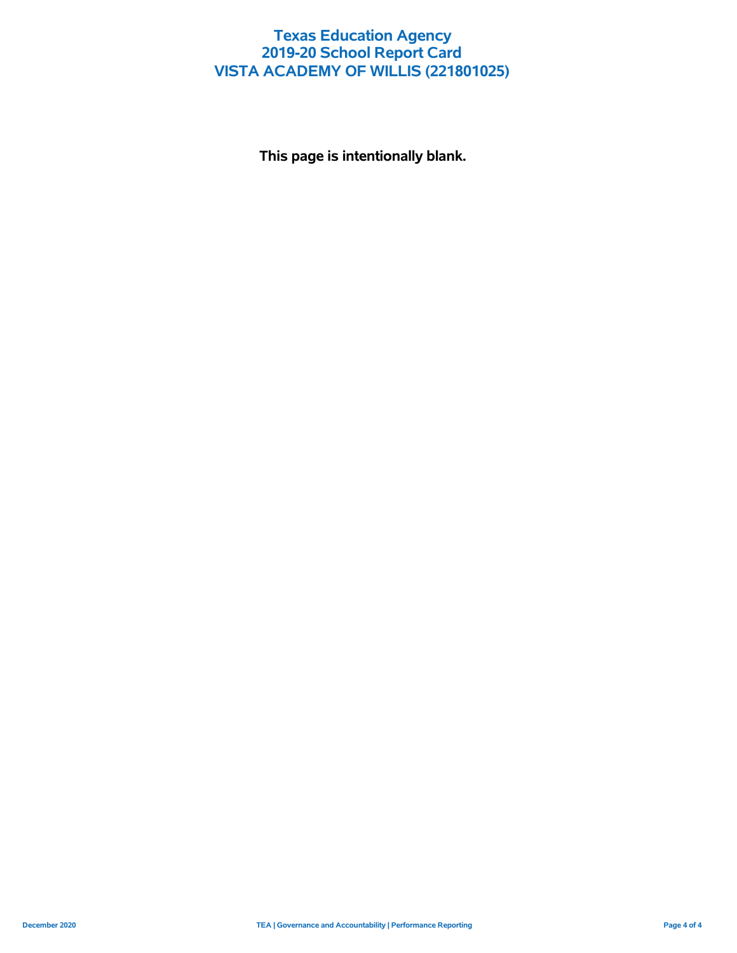**This page is intentionally blank.**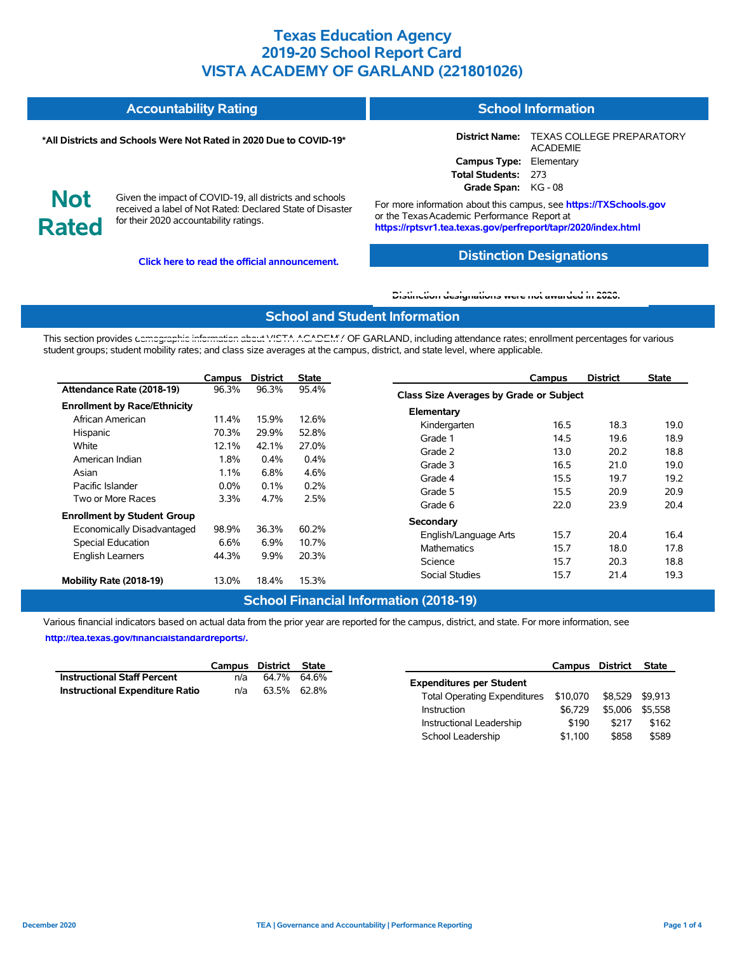|                            | <b>Accountability Rating</b>                                                                                                                                   | <b>School Information</b>                                                                                                                                                         |                                                     |  |  |  |  |  |
|----------------------------|----------------------------------------------------------------------------------------------------------------------------------------------------------------|-----------------------------------------------------------------------------------------------------------------------------------------------------------------------------------|-----------------------------------------------------|--|--|--|--|--|
|                            | *All Districts and Schools Were Not Rated in 2020 Due to COVID-19*                                                                                             | <b>District Name:</b>                                                                                                                                                             | <b>TEXAS COLLEGE PREPARATORY</b><br><b>ACADEMIE</b> |  |  |  |  |  |
|                            |                                                                                                                                                                | <b>Campus Type:</b> Elementary                                                                                                                                                    |                                                     |  |  |  |  |  |
|                            |                                                                                                                                                                | <b>Total Students: 273</b>                                                                                                                                                        |                                                     |  |  |  |  |  |
|                            |                                                                                                                                                                | <b>Grade Span: KG - 08</b>                                                                                                                                                        |                                                     |  |  |  |  |  |
| <b>Not</b><br><b>Rated</b> | Given the impact of COVID-19, all districts and schools<br>received a label of Not Rated: Declared State of Disaster<br>for their 2020 accountability ratings. | For more information about this campus, see https://TXSchools.gov<br>or the Texas Academic Performance Report at<br>https://rptsvr1.tea.texas.gov/perfreport/tapr/2020/index.html |                                                     |  |  |  |  |  |

**Click here to read the official announcement.**

### **Distinction Designations**

School Leadership  $$1,100$  \$858 \$589

#### **[Distinction designations were not awarded in 2020.](https://rptsvr1.tea.texas.gov/perfreport/tapr/2020/index.html)**

#### **School and Student Information**

This section provides [demographic information about VISTA ACADEMY](https://tea.texas.gov/about-tea/news-and-multimedia/correspondence/taa-letters/every-student-succeeds-act-essa-waiver-approval-2020-state-academic-accountability) OF GARLAND, including attendance rates; enrollment percentages for various student groups; student mobility rates; and class size averages at the campus, district, and state level, where applicable.

|                                     | Campus  | <b>District</b> | <b>State</b> | <b>District</b><br><b>State</b><br>Campus |      |
|-------------------------------------|---------|-----------------|--------------|-------------------------------------------|------|
| Attendance Rate (2018-19)           | 96.3%   | 96.3%           | 95.4%        | Class Size Averages by Grade or Subject   |      |
| <b>Enrollment by Race/Ethnicity</b> |         |                 |              | Elementary                                |      |
| African American                    | 11.4%   | 15.9%           | 12.6%        | 16.5<br>18.3<br>Kindergarten              | 19.0 |
| Hispanic                            | 70.3%   | 29.9%           | 52.8%        | 14.5<br>19.6<br>Grade 1                   | 18.9 |
| White                               | 12.1%   | 42.1%           | 27.0%        |                                           |      |
| American Indian                     | 1.8%    | 0.4%            | 0.4%         | 20.2<br>13.0<br>Grade 2                   | 18.8 |
| Asian                               | $1.1\%$ | 6.8%            | 4.6%         | 16.5<br>21.0<br>Grade 3                   | 19.0 |
|                                     |         | 0.1%            | 0.2%         | 15.5<br>19.7<br>Grade 4                   | 19.2 |
| Pacific Islander                    | $0.0\%$ |                 |              | 15.5<br>20.9<br>Grade 5                   | 20.9 |
| Two or More Races                   | $3.3\%$ | 4.7%            | 2.5%         | 23.9<br>22.0<br>Grade 6                   | 20.4 |
| <b>Enrollment by Student Group</b>  |         |                 |              | Secondary                                 |      |
| Economically Disadvantaged          | 98.9%   | 36.3%           | 60.2%        |                                           |      |
| Special Education                   | 6.6%    | 6.9%            | 10.7%        | 15.7<br>20.4<br>English/Language Arts     | 16.4 |
| <b>English Learners</b>             | 44.3%   | 9.9%            | 20.3%        | 15.7<br><b>Mathematics</b><br>18.0        | 17.8 |
|                                     |         |                 |              | 15.7<br>20.3<br>Science                   | 18.8 |
| Mobility Rate (2018-19)             | 13.0%   | 18.4%           | 15.3%        | 15.7<br>Social Studies<br>21.4            | 19.3 |

#### **School Financial Information (2018-19)**

Various financial indicators based on actual data from the prior year are reported for the campus, district, and state. For more information, see

|                                    | <b>Campus</b> | District State |                                     | Campus District |                 | <b>State</b> |
|------------------------------------|---------------|----------------|-------------------------------------|-----------------|-----------------|--------------|
| <b>Instructional Staff Percent</b> | n/a           | 64.7% 64.6%    | <b>Expenditures per Student</b>     |                 |                 |              |
| Instructional Expenditure Ratio    | n/a           | 63.5% 62.8%    | <b>Total Operating Expenditures</b> | \$10.070        | \$8,529 \$9,913 |              |
|                                    |               |                | Instruction                         | \$6.729         | \$5.006 \$5.558 |              |
|                                    |               |                | Instructional Leadership            | \$190           | \$217           | \$162        |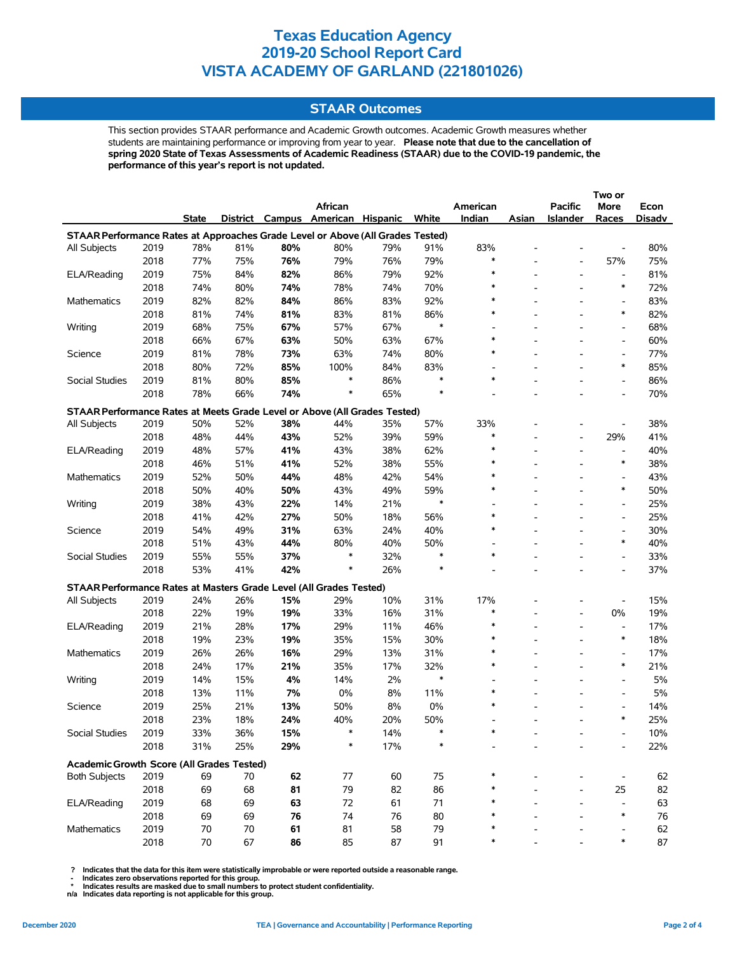### **STAAR Outcomes**

This section provides STAAR performance and Academic Growth outcomes. Academic Growth measures whether students are maintaining performance or improving from year to year. **Please note that due to the cancellation of spring 2020 State of Texas Assessments of Academic Readiness (STAAR) due to the COVID-19 pandemic, the performance of this year's report is not updated.**

|                                                                                |      |        |          |     |                          |     |        |                | Two or                   |                          |                                    |        |  |
|--------------------------------------------------------------------------------|------|--------|----------|-----|--------------------------|-----|--------|----------------|--------------------------|--------------------------|------------------------------------|--------|--|
|                                                                                |      |        |          |     | African                  |     |        | American       |                          | <b>Pacific</b>           | More                               | Econ   |  |
|                                                                                |      | State  | District |     | Campus American Hispanic |     | White  | Indian         | Asian                    | <b>Islander</b>          | Races                              | Disadv |  |
| STAAR Performance Rates at Approaches Grade Level or Above (All Grades Tested) |      |        |          |     |                          |     |        |                |                          |                          |                                    |        |  |
| All Subjects                                                                   | 2019 | 78%    | 81%      | 80% | 80%                      | 79% | 91%    | 83%            |                          | $\overline{\phantom{0}}$ | Ĭ.                                 | 80%    |  |
|                                                                                | 2018 | 77%    | 75%      | 76% | 79%                      | 76% | 79%    | $\ast$         |                          | $\overline{a}$           | 57%                                | 75%    |  |
| ELA/Reading                                                                    | 2019 | 75%    | 84%      | 82% | 86%                      | 79% | 92%    | $\ast$         |                          | $\overline{a}$           | Ĭ.                                 | 81%    |  |
|                                                                                | 2018 | 74%    | 80%      | 74% | 78%                      | 74% | 70%    | $\ast$         |                          | $\overline{a}$           | $\ast$                             | 72%    |  |
| Mathematics                                                                    | 2019 | 82%    | 82%      | 84% | 86%                      | 83% | 92%    | $\ast$         |                          | $\overline{a}$           | $\overline{\phantom{a}}$           | 83%    |  |
|                                                                                | 2018 | 81%    | 74%      | 81% | 83%                      | 81% | 86%    | $\ast$         |                          | $\overline{a}$           | $\ast$                             | 82%    |  |
| Writing                                                                        | 2019 | 68%    | 75%      | 67% | 57%                      | 67% | $\ast$ |                |                          | $\overline{\phantom{0}}$ | $\overline{\phantom{a}}$           | 68%    |  |
|                                                                                | 2018 | 66%    | 67%      | 63% | 50%                      | 63% | 67%    | $\ast$         |                          |                          | Ĭ.                                 | 60%    |  |
| Science                                                                        | 2019 | 81%    | 78%      | 73% | 63%                      | 74% | 80%    | $\ast$         |                          |                          | $\overline{\phantom{a}}$           | 77%    |  |
|                                                                                | 2018 | 80%    | 72%      | 85% | 100%                     | 84% | 83%    |                |                          |                          | $\ast$                             | 85%    |  |
| Social Studies                                                                 | 2019 | 81%    | 80%      | 85% | $\ast$                   | 86% | $\ast$ | $\ast$         |                          |                          | $\overline{\phantom{a}}$           | 86%    |  |
|                                                                                | 2018 | 78%    | 66%      | 74% | $\ast$                   | 65% | *      |                | $\overline{\phantom{a}}$ | $\overline{\phantom{0}}$ | $\overline{\phantom{a}}$           | 70%    |  |
| STAAR Performance Rates at Meets Grade Level or Above (All Grades Tested)      |      |        |          |     |                          |     |        |                |                          |                          |                                    |        |  |
| All Subjects                                                                   | 2019 | 50%    | 52%      | 38% | 44%                      | 35% | 57%    | 33%            |                          |                          | $\overline{\phantom{a}}$           | 38%    |  |
|                                                                                | 2018 | 48%    | 44%      | 43% | 52%                      | 39% | 59%    | $\ast$         |                          | $\overline{\phantom{0}}$ | 29%                                | 41%    |  |
| ELA/Reading                                                                    | 2019 | 48%    | 57%      | 41% | 43%                      | 38% | 62%    | $\ast$         |                          | $\overline{\phantom{0}}$ | $\overline{\phantom{a}}$           | 40%    |  |
|                                                                                | 2018 | 46%    | 51%      | 41% | 52%                      | 38% | 55%    | $\ast$         |                          |                          | $\ast$                             | 38%    |  |
| Mathematics                                                                    | 2019 | 52%    | 50%      | 44% | 48%                      | 42% | 54%    | $\ast$         |                          | $\overline{\phantom{0}}$ | $\overline{\phantom{a}}$           | 43%    |  |
|                                                                                | 2018 | 50%    | 40%      | 50% | 43%                      | 49% | 59%    | $\ast$         |                          |                          | $\ast$                             | 50%    |  |
| Writing                                                                        | 2019 | 38%    | 43%      | 22% | 14%                      | 21% | $\ast$ |                |                          | $\overline{a}$           | Ĭ.                                 | 25%    |  |
|                                                                                | 2018 | 41%    | 42%      | 27% | 50%                      | 18% | 56%    | $\ast$         |                          | $\overline{a}$           | $\overline{\phantom{a}}$           | 25%    |  |
| Science                                                                        | 2019 | 54%    | 49%      | 31% | 63%                      | 24% | 40%    | $\ast$         |                          | $\overline{\phantom{0}}$ | $\overline{\phantom{a}}$           | 30%    |  |
|                                                                                | 2018 | 51%    | 43%      | 44% | 80%                      | 40% | 50%    |                |                          |                          | $\ast$                             | 40%    |  |
| Social Studies                                                                 | 2019 | 55%    | 55%      | 37% | $\ast$                   | 32% | $\ast$ | $\ast$         |                          | $\overline{a}$           | $\overline{\phantom{a}}$           | 33%    |  |
|                                                                                | 2018 | 53%    | 41%      | 42% | $\ast$                   | 26% | *      |                |                          |                          |                                    | 37%    |  |
| STAAR Performance Rates at Masters Grade Level (All Grades Tested)             |      |        |          |     |                          |     |        |                |                          |                          |                                    |        |  |
| All Subjects                                                                   | 2019 | 24%    | 26%      | 15% | 29%                      | 10% | 31%    | 17%            |                          |                          | $\overline{\phantom{a}}$           | 15%    |  |
|                                                                                | 2018 | 22%    | 19%      | 19% | 33%                      | 16% | 31%    | $\ast$         |                          |                          | 0%                                 | 19%    |  |
| ELA/Reading                                                                    | 2019 | 21%    | 28%      | 17% | 29%                      | 11% | 46%    | $\ast$         |                          | $\overline{a}$           | $\overline{\phantom{a}}$           | 17%    |  |
|                                                                                | 2018 | 19%    | 23%      | 19% | 35%                      | 15% | 30%    | $\ast$         | $\overline{\phantom{a}}$ | $\overline{a}$           | $\ast$                             | 18%    |  |
| <b>Mathematics</b>                                                             | 2019 | 26%    | 26%      | 16% | 29%                      | 13% | 31%    | $\ast$         |                          | $\overline{a}$           | $\overline{\phantom{a}}$           | 17%    |  |
|                                                                                | 2018 | 24%    | 17%      | 21% | 35%                      | 17% | 32%    | $\ast$         |                          |                          | $\ast$                             | 21%    |  |
| Writing                                                                        | 2019 | 14%    | 15%      | 4%  | 14%                      | 2%  | $\ast$ | $\overline{a}$ |                          |                          | $\overline{\phantom{a}}$           | 5%     |  |
|                                                                                | 2018 | 13%    | 11%      | 7%  | $0\%$                    | 8%  | 11%    | $\ast$         |                          |                          | $\overline{\phantom{a}}$           | 5%     |  |
| Science                                                                        | 2019 | 25%    | 21%      | 13% | 50%                      | 8%  | 0%     | $\ast$         |                          |                          | $\overline{a}$                     | 14%    |  |
|                                                                                | 2018 | 23%    | 18%      | 24% | 40%                      | 20% | 50%    |                |                          |                          | $\ast$                             | 25%    |  |
| Social Studies                                                                 | 2019 | 33%    | 36%      | 15% |                          | 14% |        |                |                          |                          |                                    | 10%    |  |
|                                                                                | 2018 | 31%    | 25%      | 29% | ∗                        | 17% |        |                |                          |                          |                                    | 22%    |  |
|                                                                                |      |        |          |     |                          |     |        |                |                          |                          |                                    |        |  |
| Academic Growth Score (All Grades Tested)                                      |      |        |          |     |                          |     |        |                |                          |                          |                                    |        |  |
| <b>Both Subjects</b>                                                           | 2019 | 69     | 70       | 62  | 77                       | 60  | 75     |                |                          |                          |                                    | 62     |  |
|                                                                                | 2018 | 69     | 68       | 81  | 79                       | 82  | 86     |                |                          |                          | 25                                 | 82     |  |
| ELA/Reading                                                                    | 2019 | 68     | 69       | 63  | 72                       | 61  | 71     |                |                          |                          | $\overline{\phantom{a}}$<br>$\ast$ | 63     |  |
|                                                                                | 2018 | 69     | 69       | 76  | 74                       | 76  | 80     |                |                          |                          |                                    | 76     |  |
| Mathematics                                                                    | 2019 | 70     | 70       | 61  | 81                       | 58  | 79     |                |                          |                          | $\ast$                             | 62     |  |
|                                                                                | 2018 | $70\,$ | 67       | 86  | 85                       | 87  | 91     |                |                          |                          |                                    | 87     |  |

 **? Indicates that the data for this item were statistically improbable or were reported outside a reasonable range.**

 **- Indicates zero observations reported for this group. \* Indicates results are masked due to small numbers to protect student confidentiality.**

**n/a Indicates data reporting is not applicable for this group.**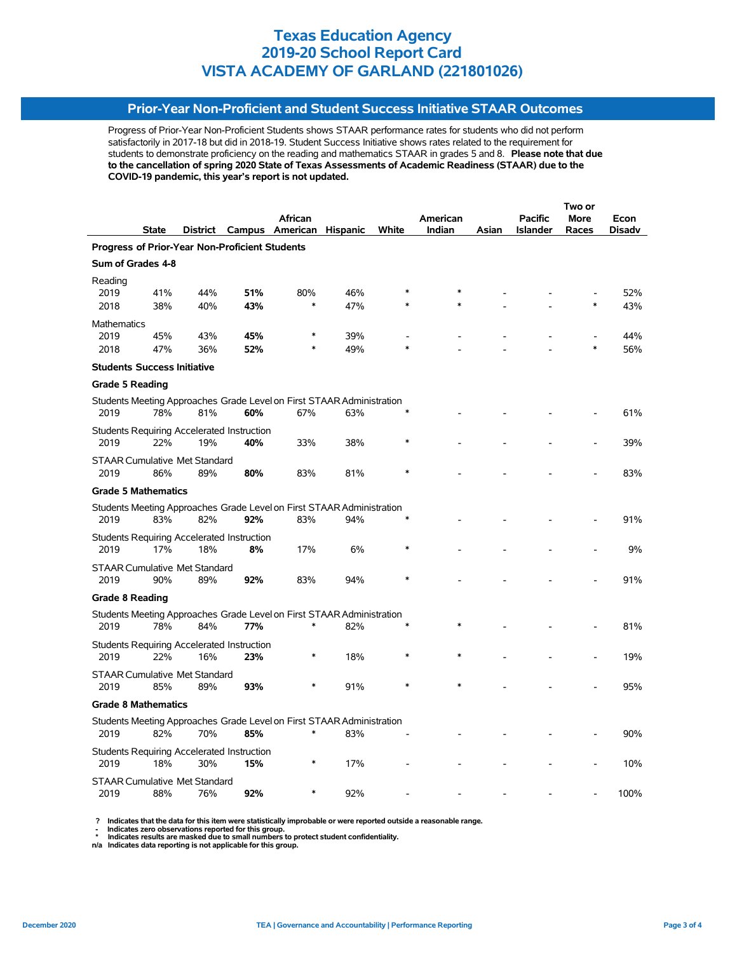### **Prior-Year Non-Proficient and Student Success Initiative STAAR Outcomes**

Progress of Prior-Year Non-Proficient Students shows STAAR performance rates for students who did not perform satisfactorily in 2017-18 but did in 2018-19. Student Success Initiative shows rates related to the requirement for students to demonstrate proficiency on the reading and mathematics STAAR in grades 5 and 8. **Please note that due to the cancellation of spring 2020 State of Texas Assessments of Academic Readiness (STAAR) due to the COVID-19 pandemic, this year's report is not updated.**

|                                      |              |          |                                                   |                                                                       |                 |        |          |       | Two or          |        |        |  |
|--------------------------------------|--------------|----------|---------------------------------------------------|-----------------------------------------------------------------------|-----------------|--------|----------|-------|-----------------|--------|--------|--|
|                                      |              |          |                                                   | African                                                               |                 |        | American |       | <b>Pacific</b>  | More   | Econ   |  |
|                                      | <b>State</b> | District |                                                   | Campus American                                                       | <b>Hispanic</b> | White  | Indian   | Asian | <b>Islander</b> | Races  | Disadv |  |
|                                      |              |          | Progress of Prior-Year Non-Proficient Students    |                                                                       |                 |        |          |       |                 |        |        |  |
| Sum of Grades 4-8                    |              |          |                                                   |                                                                       |                 |        |          |       |                 |        |        |  |
| Reading                              |              |          |                                                   |                                                                       |                 |        |          |       |                 |        |        |  |
| 2019                                 | 41%          | 44%      | 51%                                               | 80%                                                                   | 46%             |        |          |       |                 |        | 52%    |  |
| 2018                                 | 38%          | 40%      | 43%                                               |                                                                       | 47%             |        |          |       |                 |        | 43%    |  |
| <b>Mathematics</b>                   |              |          |                                                   |                                                                       |                 |        |          |       |                 |        |        |  |
| 2019                                 | 45%          | 43%      | 45%                                               | $\ast$                                                                | 39%             |        |          |       |                 |        | 44%    |  |
| 2018                                 | 47%          | 36%      | 52%                                               |                                                                       | 49%             |        |          |       |                 | $\ast$ | 56%    |  |
| <b>Students Success Initiative</b>   |              |          |                                                   |                                                                       |                 |        |          |       |                 |        |        |  |
| <b>Grade 5 Reading</b>               |              |          |                                                   |                                                                       |                 |        |          |       |                 |        |        |  |
|                                      |              |          |                                                   | Students Meeting Approaches Grade Level on First STAAR Administration |                 |        |          |       |                 |        |        |  |
| 2019                                 | 78%          | 81%      | 60%                                               | 67%                                                                   | 63%             |        |          |       |                 |        | 61%    |  |
|                                      |              |          |                                                   |                                                                       |                 |        |          |       |                 |        |        |  |
| 2019                                 | 22%          | 19%      | Students Requiring Accelerated Instruction<br>40% | 33%                                                                   | 38%             |        |          |       |                 |        | 39%    |  |
|                                      |              |          |                                                   |                                                                       |                 |        |          |       |                 |        |        |  |
| <b>STAAR Cumulative Met Standard</b> |              |          |                                                   |                                                                       |                 |        |          |       |                 |        |        |  |
| 2019                                 | 86%          | 89%      | 80%                                               | 83%                                                                   | 81%             |        |          |       |                 |        | 83%    |  |
| <b>Grade 5 Mathematics</b>           |              |          |                                                   |                                                                       |                 |        |          |       |                 |        |        |  |
|                                      |              |          |                                                   | Students Meeting Approaches Grade Level on First STAAR Administration |                 |        |          |       |                 |        |        |  |
| 2019                                 | 83%          | 82%      | 92%                                               | 83%                                                                   | 94%             |        |          |       |                 |        | 91%    |  |
|                                      |              |          | Students Requiring Accelerated Instruction        |                                                                       |                 |        |          |       |                 |        |        |  |
| 2019                                 | 17%          | 18%      | 8%                                                | 17%                                                                   | 6%              |        |          |       |                 |        | 9%     |  |
| <b>STAAR Cumulative Met Standard</b> |              |          |                                                   |                                                                       |                 |        |          |       |                 |        |        |  |
| 2019                                 | 90%          | 89%      | 92%                                               | 83%                                                                   | 94%             |        |          |       |                 |        | 91%    |  |
|                                      |              |          |                                                   |                                                                       |                 |        |          |       |                 |        |        |  |
| Grade 8 Reading                      |              |          |                                                   |                                                                       |                 |        |          |       |                 |        |        |  |
|                                      |              |          |                                                   | Students Meeting Approaches Grade Level on First STAAR Administration |                 |        |          |       |                 |        |        |  |
| 2019                                 | 78%          | 84%      | 77%                                               |                                                                       | 82%             |        |          |       |                 |        | 81%    |  |
|                                      |              |          | Students Requiring Accelerated Instruction        |                                                                       |                 |        |          |       |                 |        |        |  |
| 2019                                 | 22%          | 16%      | 23%                                               | ∗                                                                     | 18%             |        |          |       |                 |        | 19%    |  |
| <b>STAAR Cumulative Met Standard</b> |              |          |                                                   |                                                                       |                 |        |          |       |                 |        |        |  |
| 2019                                 | 85%          | 89%      | 93%                                               | $\ast$                                                                | 91%             | $\ast$ | $\ast$   |       |                 |        | 95%    |  |
| <b>Grade 8 Mathematics</b>           |              |          |                                                   |                                                                       |                 |        |          |       |                 |        |        |  |
|                                      |              |          |                                                   | Students Meeting Approaches Grade Level on First STAAR Administration |                 |        |          |       |                 |        |        |  |
| 2019                                 | 82%          | 70%      | 85%                                               | *                                                                     | 83%             |        |          |       |                 |        | 90%    |  |
|                                      |              |          |                                                   |                                                                       |                 |        |          |       |                 |        |        |  |
| 2019                                 | 18%          | 30%      | Students Requiring Accelerated Instruction<br>15% |                                                                       | 17%             |        |          |       |                 |        | 10%    |  |
|                                      |              |          |                                                   |                                                                       |                 |        |          |       |                 |        |        |  |
| <b>STAAR Cumulative Met Standard</b> |              |          |                                                   | $\ast$                                                                |                 |        |          |       |                 |        |        |  |
| 2019                                 | 88%          | 76%      | 92%                                               |                                                                       | 92%             |        |          |       |                 |        | 100%   |  |

 **? Indicates that the data for this item were statistically improbable or were reported outside a reasonable range.**

 **- Indicates zero observations reported for this group.**

 **\* Indicates results are masked due to small numbers to protect student confidentiality. n/a Indicates data reporting is not applicable for this group.**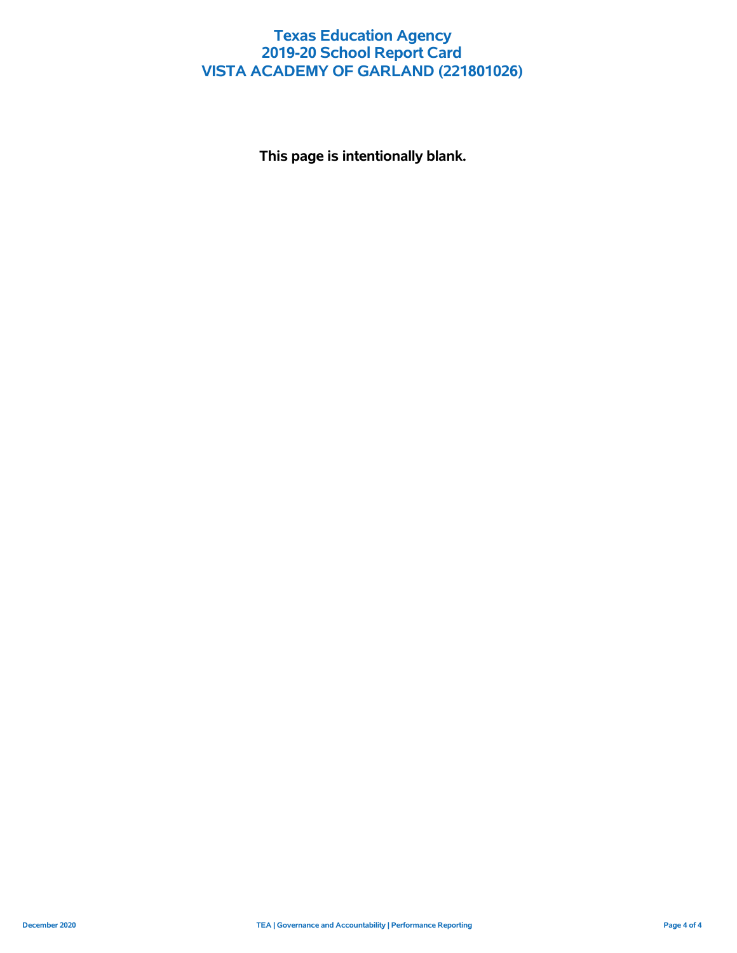**This page is intentionally blank.**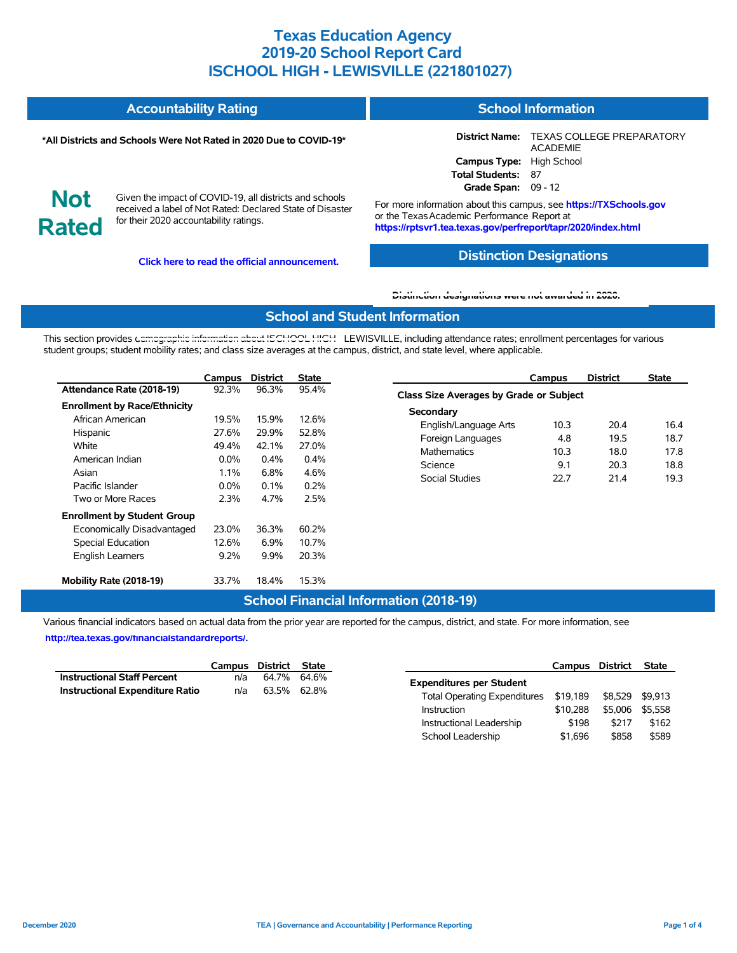|                            | <b>Accountability Rating</b>                                                                                                                                   | <b>School Information</b>                                                                                                                                                         |                                                     |  |  |  |  |  |
|----------------------------|----------------------------------------------------------------------------------------------------------------------------------------------------------------|-----------------------------------------------------------------------------------------------------------------------------------------------------------------------------------|-----------------------------------------------------|--|--|--|--|--|
|                            | *All Districts and Schools Were Not Rated in 2020 Due to COVID-19*                                                                                             | <b>District Name:</b>                                                                                                                                                             | <b>TEXAS COLLEGE PREPARATORY</b><br><b>ACADEMIE</b> |  |  |  |  |  |
|                            |                                                                                                                                                                | <b>Campus Type:</b>                                                                                                                                                               | <b>High School</b>                                  |  |  |  |  |  |
|                            |                                                                                                                                                                | <b>Total Students: 87</b>                                                                                                                                                         |                                                     |  |  |  |  |  |
|                            |                                                                                                                                                                | Grade Span: $09 - 12$                                                                                                                                                             |                                                     |  |  |  |  |  |
| <b>Not</b><br><b>Rated</b> | Given the impact of COVID-19, all districts and schools<br>received a label of Not Rated: Declared State of Disaster<br>for their 2020 accountability ratings. | For more information about this campus, see https://TXSchools.gov<br>or the Texas Academic Performance Report at<br>https://rptsvr1.tea.texas.gov/perfreport/tapr/2020/index.html |                                                     |  |  |  |  |  |

**Click here to read the official announcement.**

### **Distinction Designations**

Instructional Leadership  $$198$  \$217 \$162 School Leadership  $$1,696$  \$858 \$589

#### **[Distinction designations were not awarded in 2020.](https://rptsvr1.tea.texas.gov/perfreport/tapr/2020/index.html)**

#### **School and Student Information**

This section provides [demographic information about ISCHOOL HIGH -](https://tea.texas.gov/about-tea/news-and-multimedia/correspondence/taa-letters/every-student-succeeds-act-essa-waiver-approval-2020-state-academic-accountability) LEWISVILLE, including attendance rates; enrollment percentages for various student groups; student mobility rates; and class size averages at the campus, district, and state level, where applicable.

|                                                                                                                              | Campus                                                | <b>District</b>                                 | <b>State</b>                                    | Campus                                                                                                                                           | <b>District</b>                      | <b>State</b>                         |
|------------------------------------------------------------------------------------------------------------------------------|-------------------------------------------------------|-------------------------------------------------|-------------------------------------------------|--------------------------------------------------------------------------------------------------------------------------------------------------|--------------------------------------|--------------------------------------|
| Attendance Rate (2018-19)                                                                                                    | 92.3%                                                 | 96.3%                                           | 95.4%                                           | Class Size Averages by Grade or Subject                                                                                                          |                                      |                                      |
| <b>Enrollment by Race/Ethnicity</b><br>African American<br>Hispanic<br>White<br>American Indian<br>Asian<br>Pacific Islander | 19.5%<br>27.6%<br>49.4%<br>$0.0\%$<br>1.1%<br>$0.0\%$ | 15.9%<br>29.9%<br>42.1%<br>0.4%<br>6.8%<br>0.1% | 12.6%<br>52.8%<br>27.0%<br>0.4%<br>4.6%<br>0.2% | Secondary<br>10.3<br>English/Language Arts<br>4.8<br>Foreign Languages<br><b>Mathematics</b><br>10.3<br>Science<br>9.1<br>Social Studies<br>22.7 | 20.4<br>19.5<br>18.0<br>20.3<br>21.4 | 16.4<br>18.7<br>17.8<br>18.8<br>19.3 |
| Two or More Races                                                                                                            | 2.3%                                                  | 4.7%                                            | 2.5%                                            |                                                                                                                                                  |                                      |                                      |
| <b>Enrollment by Student Group</b><br>Economically Disadvantaged<br>Special Education<br>English Learners                    | 23.0%<br>12.6%<br>9.2%                                | 36.3%<br>6.9%<br>9.9%                           | 60.2%<br>10.7%<br>20.3%                         |                                                                                                                                                  |                                      |                                      |
| Mobility Rate (2018-19)                                                                                                      | 33.7%                                                 | 18.4%                                           | 15.3%                                           |                                                                                                                                                  |                                      |                                      |

#### **School Financial Information (2018-19)**

Various financial indicators based on actual data from the prior year are reported for the campus, district, and state. For more information, see

|                                        |     | Campus District State |                                                       | Campus District | State |
|----------------------------------------|-----|-----------------------|-------------------------------------------------------|-----------------|-------|
| <b>Instructional Staff Percent</b>     |     | n/a 64.7% 64.6%       | <b>Expenditures per Student</b>                       |                 |       |
| <b>Instructional Expenditure Ratio</b> | n/a | 63.5% 62.8%           | Total Operating Expenditures \$19,189 \$8,529 \$9,913 |                 |       |
|                                        |     |                       | \$10,288<br>Instruction                               | \$5,006 \$5,558 |       |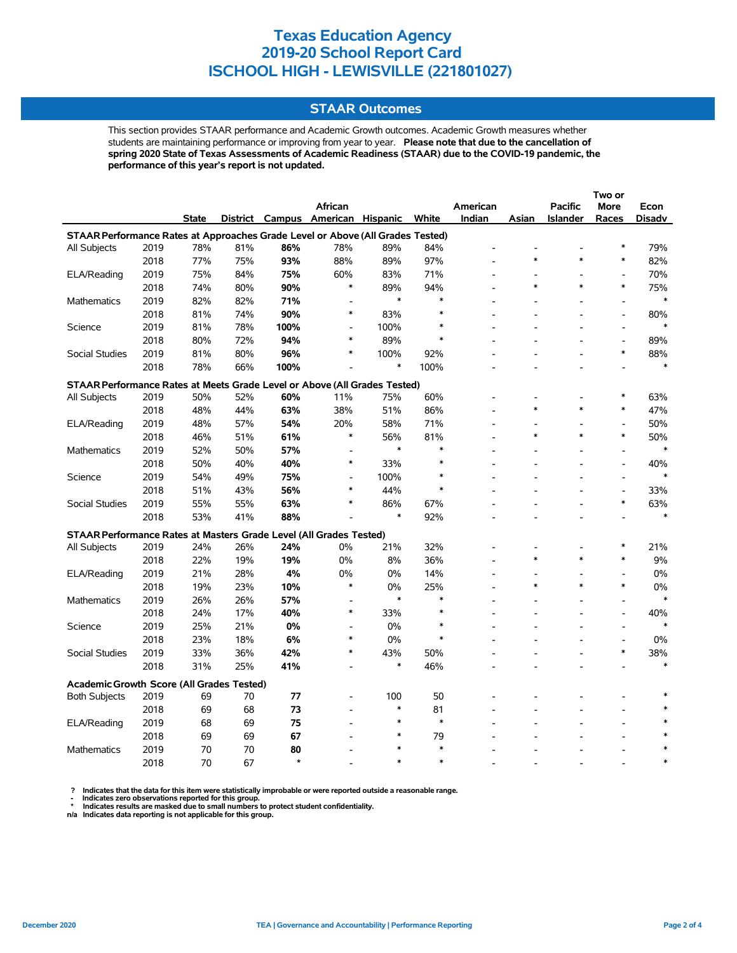### **STAAR Outcomes**

This section provides STAAR performance and Academic Growth outcomes. Academic Growth measures whether students are maintaining performance or improving from year to year. **Please note that due to the cancellation of spring 2020 State of Texas Assessments of Academic Readiness (STAAR) due to the COVID-19 pandemic, the performance of this year's report is not updated.**

|                                                                                |      |       |     |               | African                           |               |              | American |        | <b>Pacific</b>  | <b>More</b>    | Econ          |
|--------------------------------------------------------------------------------|------|-------|-----|---------------|-----------------------------------|---------------|--------------|----------|--------|-----------------|----------------|---------------|
|                                                                                |      | State |     |               | District Campus American Hispanic |               | White        | Indian   | Asian  | <b>Islander</b> | Races          | <b>Disadv</b> |
| STAAR Performance Rates at Approaches Grade Level or Above (All Grades Tested) |      |       |     |               |                                   |               |              |          |        |                 |                |               |
| All Subjects                                                                   | 2019 | 78%   | 81% | 86%           | 78%                               | 89%           | 84%          |          |        |                 | $\ast$         | 79%           |
|                                                                                | 2018 | 77%   | 75% | 93%           | 88%                               | 89%           | 97%          |          | *      | $\ast$          | $\ast$         | 82%           |
| ELA/Reading                                                                    | 2019 | 75%   | 84% | 75%           | 60%                               | 83%           | 71%          |          |        |                 |                | 70%           |
|                                                                                | 2018 | 74%   | 80% | 90%           | $\ast$                            | 89%           | 94%          |          | $\ast$ | $\ast$          | *              | 75%           |
| <b>Mathematics</b>                                                             | 2019 | 82%   | 82% | 71%           | L,                                | $\ast$        | $\ast$       |          |        |                 |                | $\ast$        |
|                                                                                | 2018 | 81%   | 74% | 90%           | ∗                                 | 83%           |              |          |        |                 | $\overline{a}$ | 80%           |
| Science                                                                        | 2019 | 81%   | 78% | 100%          | $\overline{a}$                    | 100%          | $\ast$       |          |        |                 |                | $\ast$        |
|                                                                                | 2018 | 80%   | 72% | 94%           | $\ast$                            | 89%           | $\ast$       |          |        |                 |                | 89%           |
| Social Studies                                                                 | 2019 | 81%   | 80% | 96%           | $\ast$                            | 100%          | 92%          |          |        |                 | *              | 88%           |
|                                                                                | 2018 | 78%   | 66% | 100%          |                                   | $\ast$        | 100%         |          |        |                 |                | $\ast$        |
| STAAR Performance Rates at Meets Grade Level or Above (All Grades Tested)      |      |       |     |               |                                   |               |              |          |        |                 |                |               |
| All Subjects                                                                   | 2019 | 50%   | 52% | 60%           | 11%                               | 75%           | 60%          |          |        |                 | $\ast$         | 63%           |
|                                                                                | 2018 | 48%   | 44% | 63%           | 38%                               | 51%           | 86%          |          | $\ast$ | $\ast$          | $\ast$         | 47%           |
| ELA/Reading                                                                    | 2019 | 48%   | 57% | 54%           | 20%                               | 58%           | 71%          |          |        | $\overline{a}$  | $\overline{a}$ | 50%           |
|                                                                                | 2018 | 46%   | 51% | 61%           | $\ast$                            | 56%           | 81%          |          | $\ast$ | $\ast$          | $\ast$         | 50%           |
| Mathematics                                                                    | 2019 | 52%   | 50% | 57%           |                                   | $\ast$        | $\ast$       |          |        |                 |                | $\ast$        |
|                                                                                | 2018 | 50%   | 40% | 40%           | $\ast$                            | 33%           | $\ast$       |          |        |                 |                | 40%           |
| Science                                                                        | 2019 | 54%   | 49% | 75%           | $\overline{a}$                    | 100%          |              |          |        |                 | $\overline{a}$ |               |
|                                                                                | 2018 | 51%   | 43% | 56%           | $\ast$                            | 44%           | $\ast$       |          |        |                 |                | 33%           |
| <b>Social Studies</b>                                                          | 2019 | 55%   | 55% | 63%           | $\ast$                            | 86%           | 67%          |          |        |                 | $\ast$         | 63%           |
|                                                                                | 2018 | 53%   | 41% | 88%           |                                   | $\ast$        | 92%          |          |        |                 |                | $\ast$        |
| STAAR Performance Rates at Masters Grade Level (All Grades Tested)             |      |       |     |               |                                   |               |              |          |        |                 |                |               |
| All Subjects                                                                   | 2019 | 24%   | 26% | 24%           | 0%                                | 21%           | 32%          |          |        |                 | ∗              | 21%           |
|                                                                                | 2018 | 22%   | 19% | 19%           | 0%                                | 8%            | 36%          |          | *      | $\ast$          | $\ast$         | 9%            |
| ELA/Reading                                                                    | 2019 | 21%   | 28% | 4%            | 0%                                | 0%            | 14%          |          |        |                 |                | 0%            |
|                                                                                | 2018 | 19%   | 23% | 10%           | $\ast$                            | 0%            | 25%          |          | $\ast$ | $\ast$          | $\ast$         | 0%            |
| <b>Mathematics</b>                                                             | 2019 | 26%   | 26% | 57%           |                                   | $\ast$        | $\ast$       |          |        |                 |                | $\ast$        |
|                                                                                | 2018 | 24%   | 17% | 40%           | $\ast$                            | 33%           | $\ast$       |          |        |                 |                | 40%           |
| Science                                                                        | 2019 | 25%   | 21% | 0%            | L,                                | 0%            | $\ast$       |          |        |                 |                |               |
|                                                                                | 2018 | 23%   | 18% | 6%            | ∗                                 | 0%            |              |          |        |                 |                | $0\%$         |
| Social Studies                                                                 | 2019 | 33%   | 36% | 42%           | *                                 | 43%           | 50%          |          |        |                 | *              | 38%           |
|                                                                                | 2018 | 31%   | 25% | 41%           |                                   | $\ast$        | 46%          |          |        |                 |                | $\ast$        |
|                                                                                |      |       |     |               |                                   |               |              |          |        |                 |                |               |
| <b>Academic Growth Score (All Grades Tested)</b>                               |      |       |     |               |                                   |               |              |          |        |                 |                |               |
| <b>Both Subjects</b>                                                           | 2019 | 69    | 70  | 77            |                                   | 100<br>$\ast$ | 50           |          |        |                 |                |               |
|                                                                                | 2018 | 69    | 68  | 73            |                                   | $\ast$        | 81<br>$\ast$ |          |        |                 |                |               |
| ELA/Reading                                                                    | 2019 | 68    | 69  | 75            |                                   | $\ast$        |              |          |        |                 |                |               |
|                                                                                | 2018 | 69    | 69  | 67            |                                   | $\ast$        | 79<br>$\ast$ |          |        |                 |                |               |
| <b>Mathematics</b>                                                             | 2019 | 70    | 70  | 80<br>$\star$ |                                   | $\ast$        | $\ast$       |          |        |                 |                | $\ast$        |
|                                                                                | 2018 | 70    | 67  |               |                                   |               |              |          |        |                 |                |               |

? Indicates that the data for this item were statistically improbable or were reported outside a reasonable range.<br>- Indicates zero observations reported for this group.<br>\* Indicates results are masked due to small numbers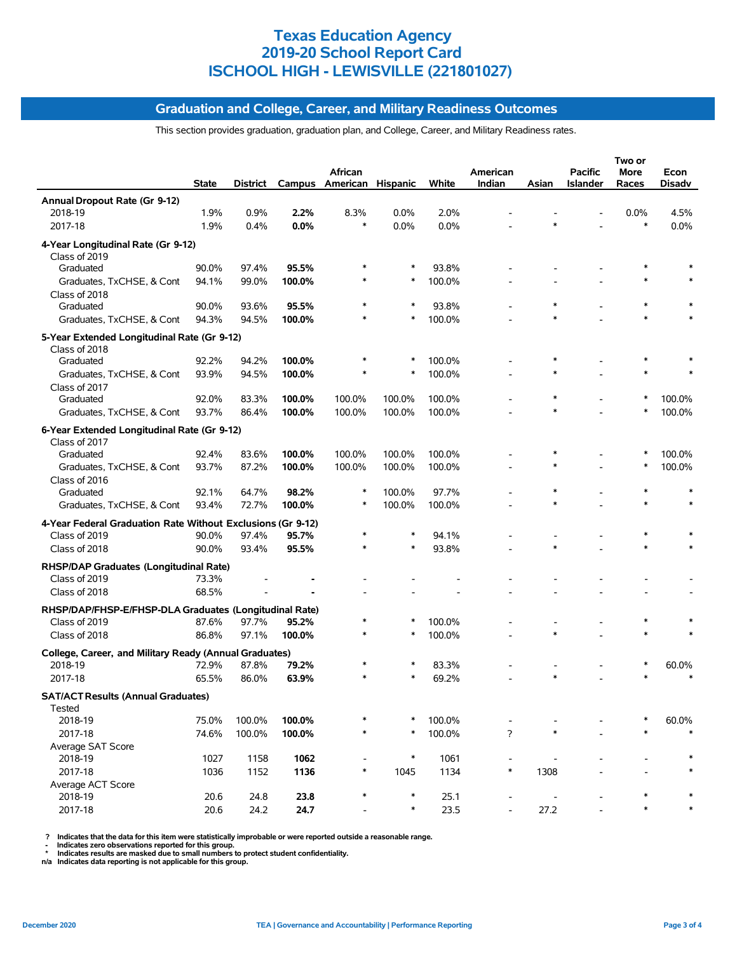### **Graduation and College, Career, and Military Readiness Outcomes**

This section provides graduation, graduation plan, and College, Career, and Military Readiness rates.

|                                                              | <b>State</b> | District |        | African<br>Campus American Hispanic |        | White  | American<br>Indian | Asian  | <b>Pacific</b><br><b>Islander</b> | Two or<br>More<br>Races | Econ<br>Disadv |
|--------------------------------------------------------------|--------------|----------|--------|-------------------------------------|--------|--------|--------------------|--------|-----------------------------------|-------------------------|----------------|
| Annual Dropout Rate (Gr 9-12)                                |              |          |        |                                     |        |        |                    |        |                                   |                         |                |
| 2018-19                                                      | 1.9%         | 0.9%     | 2.2%   | 8.3%                                | 0.0%   | 2.0%   |                    |        |                                   | $0.0\%$                 | 4.5%           |
| 2017-18                                                      | 1.9%         | 0.4%     | 0.0%   | $\ast$                              | 0.0%   | 0.0%   |                    | $\ast$ |                                   | $\ast$                  | 0.0%           |
| 4-Year Longitudinal Rate (Gr 9-12)<br>Class of 2019          |              |          |        |                                     |        |        |                    |        |                                   |                         |                |
| Graduated                                                    | 90.0%        | 97.4%    | 95.5%  |                                     | $\ast$ | 93.8%  |                    |        |                                   |                         |                |
| Graduates, TxCHSE, & Cont<br>Class of 2018                   | 94.1%        | 99.0%    | 100.0% |                                     | $\ast$ | 100.0% |                    |        |                                   | $\ast$                  |                |
| Graduated                                                    | 90.0%        | 93.6%    | 95.5%  |                                     | $\ast$ | 93.8%  |                    | $\ast$ |                                   | $\ast$                  |                |
| Graduates, TxCHSE, & Cont                                    | 94.3%        | 94.5%    | 100.0% |                                     | $\ast$ | 100.0% |                    | $\ast$ |                                   | $\ast$                  |                |
| 5-Year Extended Longitudinal Rate (Gr 9-12)<br>Class of 2018 |              |          |        |                                     |        |        |                    |        |                                   |                         |                |
| Graduated                                                    | 92.2%        | 94.2%    | 100.0% |                                     |        | 100.0% |                    |        |                                   |                         |                |
| Graduates, TxCHSE, & Cont                                    | 93.9%        | 94.5%    | 100.0% |                                     | $\ast$ | 100.0% |                    | $\ast$ |                                   | $\ast$                  |                |
| Class of 2017<br>Graduated                                   | 92.0%        | 83.3%    | 100.0% | 100.0%                              | 100.0% | 100.0% |                    | $\ast$ |                                   |                         | 100.0%         |
| Graduates, TxCHSE, & Cont                                    | 93.7%        | 86.4%    | 100.0% | 100.0%                              | 100.0% | 100.0% |                    | $\ast$ |                                   |                         | 100.0%         |
| 6-Year Extended Longitudinal Rate (Gr 9-12)<br>Class of 2017 |              |          |        |                                     |        |        |                    |        |                                   |                         |                |
| Graduated                                                    | 92.4%        | 83.6%    | 100.0% | 100.0%                              | 100.0% | 100.0% |                    | $\ast$ |                                   |                         | 100.0%         |
| Graduates, TxCHSE, & Cont<br>Class of 2016                   | 93.7%        | 87.2%    | 100.0% | 100.0%                              | 100.0% | 100.0% |                    | $\ast$ |                                   | $\ast$                  | 100.0%         |
| Graduated                                                    | 92.1%        | 64.7%    | 98.2%  | $\ast$                              | 100.0% | 97.7%  |                    |        |                                   |                         |                |
| Graduates, TxCHSE, & Cont                                    | 93.4%        | 72.7%    | 100.0% |                                     | 100.0% | 100.0% |                    | $\ast$ |                                   | $\ast$                  |                |
| 4-Year Federal Graduation Rate Without Exclusions (Gr 9-12)  |              |          |        |                                     |        |        |                    |        |                                   |                         |                |
| Class of 2019                                                | 90.0%        | 97.4%    | 95.7%  |                                     | $\ast$ | 94.1%  |                    |        |                                   |                         |                |
| Class of 2018                                                | 90.0%        | 93.4%    | 95.5%  |                                     | $\ast$ | 93.8%  |                    | $\ast$ |                                   | $\ast$                  |                |
| RHSP/DAP Graduates (Longitudinal Rate)<br>Class of 2019      | 73.3%        |          |        |                                     |        |        |                    |        |                                   |                         |                |
| Class of 2018                                                | 68.5%        |          |        |                                     |        |        |                    |        |                                   |                         |                |
| RHSP/DAP/FHSP-E/FHSP-DLA Graduates (Longitudinal Rate)       |              |          |        |                                     |        |        |                    |        |                                   |                         |                |
| Class of 2019                                                | 87.6%        | 97.7%    | 95.2%  |                                     | ∗      | 100.0% |                    |        |                                   |                         |                |
| Class of 2018                                                | 86.8%        | 97.1%    | 100.0% |                                     | $\ast$ | 100.0% |                    | $\ast$ |                                   | $\ast$                  |                |
| College, Career, and Military Ready (Annual Graduates)       |              |          |        |                                     |        |        |                    |        |                                   |                         |                |
| 2018-19                                                      | 72.9%        | 87.8%    | 79.2%  |                                     |        | 83.3%  |                    |        |                                   |                         | 60.0%          |
| 2017-18                                                      | 65.5%        | 86.0%    | 63.9%  |                                     |        | 69.2%  |                    |        |                                   |                         |                |
| <b>SAT/ACT Results (Annual Graduates)</b><br>Tested          |              |          |        |                                     |        |        |                    |        |                                   |                         |                |
| 2018-19                                                      | 75.0%        | 100.0%   | 100.0% |                                     |        | 100.0% |                    |        |                                   |                         | 60.0%          |
| 2017-18                                                      | 74.6%        | 100.0%   | 100.0% | $\ast$                              | $\ast$ | 100.0% | $\overline{?}$     | $\ast$ |                                   | $\ast$                  | $\ast$         |
| Average SAT Score<br>2018-19                                 | 1027         | 1158     | 1062   |                                     | $\ast$ | 1061   | ÷,                 |        |                                   |                         |                |
| 2017-18                                                      | 1036         | 1152     | 1136   | $\ast$                              | 1045   | 1134   | $\ast$             | 1308   |                                   |                         | $\ast$         |
| Average ACT Score                                            |              |          |        |                                     |        |        |                    |        |                                   |                         |                |
| 2018-19                                                      | 20.6         | 24.8     | 23.8   |                                     | $\ast$ | 25.1   |                    |        |                                   |                         |                |
| 2017-18                                                      | 20.6         | 24.2     | 24.7   |                                     | $\ast$ | 23.5   |                    | 27.2   |                                   | $\ast$                  |                |

? Indicates that the data for this item were statistically improbable or were reported outside a reasonable range.<br>- Indicates zero observations reported for this group.<br>\* Indicates results are masked due to small numbers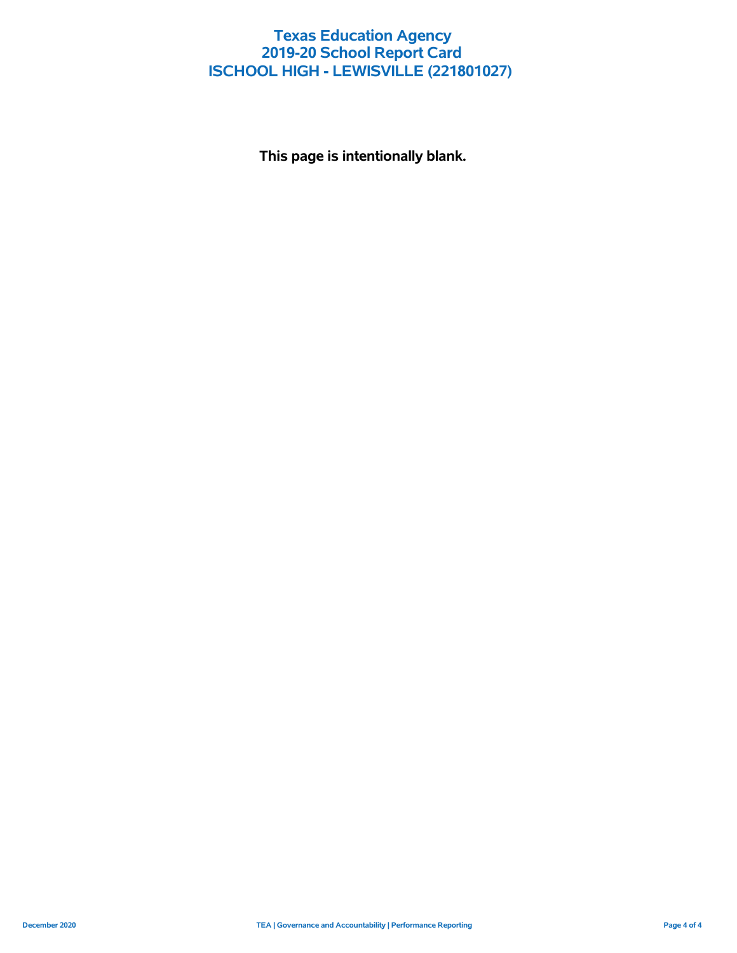**This page is intentionally blank.**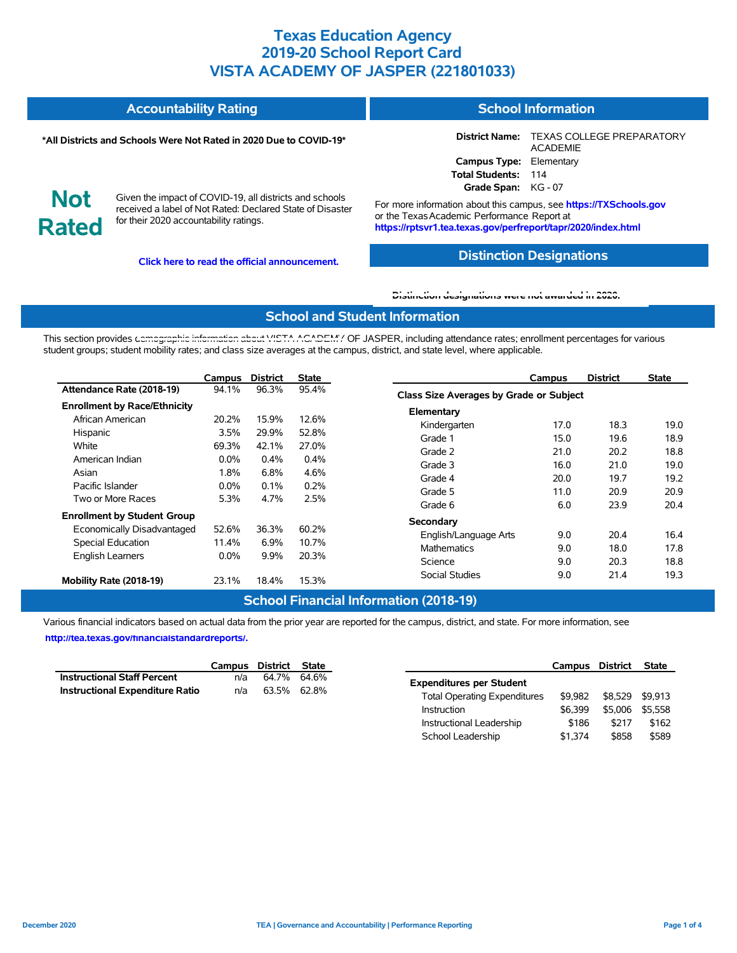|                            | <b>Accountability Rating</b>                                                                                                                                   |                                                                                                                                                                                   | <b>School Information</b>                           |
|----------------------------|----------------------------------------------------------------------------------------------------------------------------------------------------------------|-----------------------------------------------------------------------------------------------------------------------------------------------------------------------------------|-----------------------------------------------------|
|                            | *All Districts and Schools Were Not Rated in 2020 Due to COVID-19*                                                                                             | <b>District Name:</b>                                                                                                                                                             | <b>TEXAS COLLEGE PREPARATORY</b><br><b>ACADEMIE</b> |
|                            |                                                                                                                                                                | Campus Type: Elementary                                                                                                                                                           |                                                     |
|                            |                                                                                                                                                                | <b>Total Students: 114</b>                                                                                                                                                        |                                                     |
|                            |                                                                                                                                                                | Grade Span: KG - 07                                                                                                                                                               |                                                     |
| <b>Not</b><br><b>Rated</b> | Given the impact of COVID-19, all districts and schools<br>received a label of Not Rated: Declared State of Disaster<br>for their 2020 accountability ratings. | For more information about this campus, see https://TXSchools.gov<br>or the Texas Academic Performance Report at<br>https://rptsvr1.tea.texas.gov/perfreport/tapr/2020/index.html |                                                     |

**Click here to read the official announcement.**

#### **Distinction Designations**

School Leadership  $$1,374$  \$858 \$589

#### **[Distinction designations were not awarded in 2020.](https://rptsvr1.tea.texas.gov/perfreport/tapr/2020/index.html)**

#### **School and Student Information**

This section provides [demographic information about VISTA ACADEMY](https://tea.texas.gov/about-tea/news-and-multimedia/correspondence/taa-letters/every-student-succeeds-act-essa-waiver-approval-2020-state-academic-accountability) OF JASPER, including attendance rates; enrollment percentages for various student groups; student mobility rates; and class size averages at the campus, district, and state level, where applicable.

|                                     | Campus  | <b>District</b> | <b>State</b> | Campus                                  |      | <b>District</b> | <b>State</b> |
|-------------------------------------|---------|-----------------|--------------|-----------------------------------------|------|-----------------|--------------|
| Attendance Rate (2018-19)           | 94.1%   | 96.3%           | 95.4%        | Class Size Averages by Grade or Subject |      |                 |              |
| <b>Enrollment by Race/Ethnicity</b> |         |                 |              | Elementary                              |      |                 |              |
| African American                    | 20.2%   | 15.9%           | 12.6%        | Kindergarten                            | 17.0 | 18.3            | 19.0         |
| Hispanic                            | 3.5%    | 29.9%           | 52.8%        | Grade 1                                 | 15.0 | 19.6            | 18.9         |
| White                               | 69.3%   | 42.1%           | 27.0%        |                                         |      |                 |              |
| American Indian                     | $0.0\%$ | $0.4\%$         | 0.4%         | Grade 2                                 | 21.0 | 20.2            | 18.8         |
| Asian                               | 1.8%    | 6.8%            | 4.6%         | Grade 3                                 | 16.0 | 21.0            | 19.0         |
| Pacific Islander                    | $0.0\%$ | 0.1%            | 0.2%         | Grade 4                                 | 20.0 | 19.7            | 19.2         |
|                                     |         |                 |              | Grade 5                                 | 11.0 | 20.9            | 20.9         |
| Two or More Races                   | 5.3%    | 4.7%            | 2.5%         | Grade 6                                 | 6.0  | 23.9            | 20.4         |
| <b>Enrollment by Student Group</b>  |         |                 |              | Secondary                               |      |                 |              |
| Economically Disadvantaged          | 52.6%   | 36.3%           | 60.2%        |                                         | 9.0  | 20.4            | 16.4         |
| Special Education                   | 11.4%   | 6.9%            | 10.7%        | English/Language Arts                   |      |                 |              |
| <b>English Learners</b>             | $0.0\%$ | 9.9%            | 20.3%        | <b>Mathematics</b>                      | 9.0  | 18.0            | 17.8         |
|                                     |         |                 |              | Science                                 | 9.0  | 20.3            | 18.8         |
| Mobility Rate (2018-19)             | 23.1%   | 18.4%           | 15.3%        | Social Studies                          | 9.0  | 21.4            | 19.3         |

#### **School Financial Information (2018-19)**

Various financial indicators based on actual data from the prior year are reported for the campus, district, and state. For more information, see

**[http://tea.texas.gov/financialstandardreports/.](http://tea.texas.gov/financialstandardreports/)**

|                                    | Campus | District    | State       |                                     | <b>Campus</b> | District | <b>State</b> |
|------------------------------------|--------|-------------|-------------|-------------------------------------|---------------|----------|--------------|
| <b>Instructional Staff Percent</b> | n/a    | 64.7% 64.6% |             | <b>Expenditures per Student</b>     |               |          |              |
| Instructional Expenditure Ratio    | n/a    |             | 63.5% 62.8% | <b>Total Operating Expenditures</b> | \$9.982       | \$8.529  | \$9.913      |
|                                    |        |             |             | Instruction                         | \$6.399       | \$5.006  | \$5.558      |
|                                    |        |             |             | Instructional Leadership            | \$186         | \$217    | \$162        |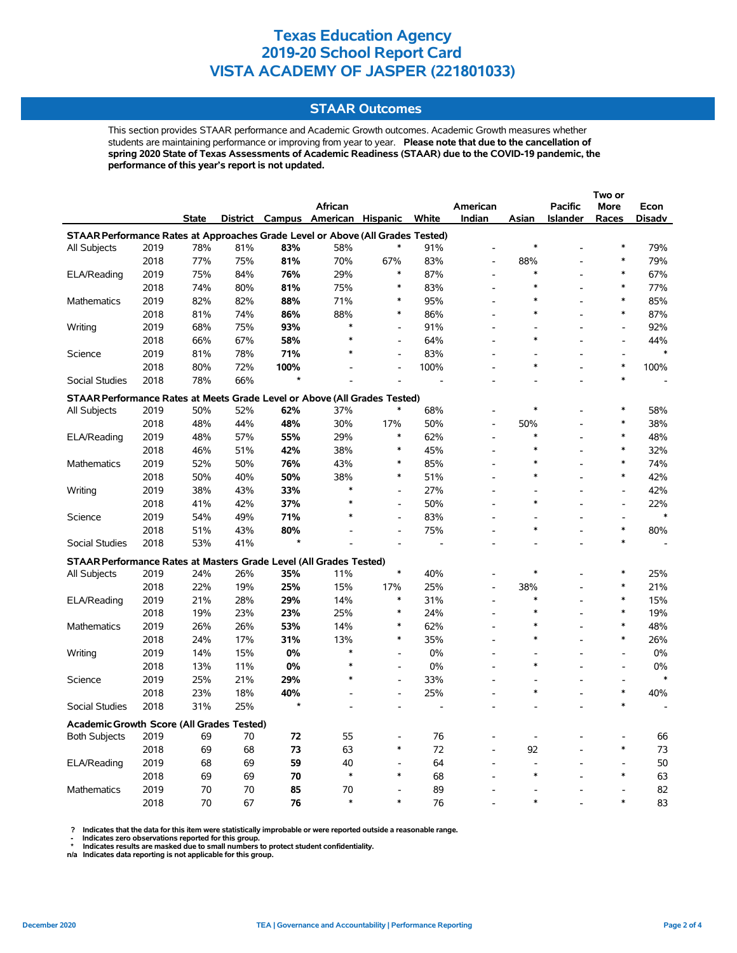### **STAAR Outcomes**

This section provides STAAR performance and Academic Growth outcomes. Academic Growth measures whether students are maintaining performance or improving from year to year. **Please note that due to the cancellation of spring 2020 State of Texas Assessments of Academic Readiness (STAAR) due to the COVID-19 pandemic, the performance of this year's report is not updated.**

|                                                                                |      |              |     |         |                                   |                          |       |                |               |                 | Two or           |               |
|--------------------------------------------------------------------------------|------|--------------|-----|---------|-----------------------------------|--------------------------|-------|----------------|---------------|-----------------|------------------|---------------|
|                                                                                |      |              |     |         | African                           |                          |       | American       |               | <b>Pacific</b>  | More             | Econ          |
|                                                                                |      | <b>State</b> |     |         | District Campus American Hispanic |                          | White | Indian         | Asian         | <b>Islander</b> | Races            | <b>Disadv</b> |
| STAAR Performance Rates at Approaches Grade Level or Above (All Grades Tested) |      |              |     |         |                                   |                          |       |                |               |                 |                  |               |
| All Subjects                                                                   | 2019 | 78%          | 81% | 83%     | 58%                               | ∗                        | 91%   |                | $\ast$        |                 | $\ast$           | 79%           |
|                                                                                | 2018 | 77%          | 75% | 81%     | 70%                               | 67%                      | 83%   | $\blacksquare$ | 88%           |                 | $\ast$           | 79%           |
| ELA/Reading                                                                    | 2019 | 75%          | 84% | 76%     | 29%                               | $\ast$                   | 87%   |                | $\ast$        |                 | $\ast$           | 67%           |
|                                                                                | 2018 | 74%          | 80% | 81%     | 75%                               | $\ast$                   | 83%   |                | $\ast$        |                 | $\ast$           | 77%           |
| Mathematics                                                                    | 2019 | 82%          | 82% | 88%     | 71%                               | $\ast$                   | 95%   |                | $\ast$        |                 | $\ast$           | 85%           |
|                                                                                | 2018 | 81%          | 74% | 86%     | 88%                               | $\ast$                   | 86%   |                | $\ast$        |                 | $\ast$           | 87%           |
| Writing                                                                        | 2019 | 68%          | 75% | 93%     | $\ast$                            |                          | 91%   |                |               |                 | $\overline{a}$   | 92%           |
|                                                                                | 2018 | 66%          | 67% | 58%     | $\ast$                            | $\overline{a}$           | 64%   |                | $\ast$        |                 | L,               | 44%           |
| Science                                                                        | 2019 | 81%          | 78% | 71%     | $\ast$                            | ÷                        | 83%   |                |               |                 |                  | $\ast$        |
|                                                                                | 2018 | 80%          | 72% | 100%    |                                   |                          | 100%  |                | $\ast$        |                 | $\ast$           | 100%          |
| Social Studies                                                                 | 2018 | 78%          | 66% | $\star$ |                                   |                          |       |                |               |                 | $\ast$           |               |
| STAAR Performance Rates at Meets Grade Level or Above (All Grades Tested)      |      |              |     |         |                                   |                          |       |                |               |                 |                  |               |
| All Subjects                                                                   | 2019 | 50%          | 52% | 62%     | 37%                               | $\ast$                   | 68%   |                | $\ast$        |                 |                  | 58%           |
|                                                                                | 2018 | 48%          | 44% | 48%     | 30%                               | 17%                      | 50%   | $\overline{a}$ | 50%           |                 | $\ast$           | 38%           |
| ELA/Reading                                                                    | 2019 | 48%          | 57% | 55%     | 29%                               | $\ast$                   | 62%   |                | $\ast$        |                 | $\ast$           | 48%           |
|                                                                                | 2018 | 46%          | 51% | 42%     | 38%                               | $\ast$                   | 45%   |                | $\ast$        |                 | $\ast$           | 32%           |
| Mathematics                                                                    | 2019 | 52%          | 50% | 76%     | 43%                               | $\ast$                   | 85%   |                | $\ast$        |                 | $\ast$           | 74%           |
|                                                                                | 2018 | 50%          | 40% | 50%     | 38%                               | $\ast$                   | 51%   |                | $\ast$        |                 | $\ast$           | 42%           |
| Writing                                                                        | 2019 | 38%          | 43% | 33%     | $\ast$                            | $\overline{\phantom{a}}$ | 27%   |                |               |                 | ÷,               | 42%           |
|                                                                                | 2018 | 41%          | 42% | 37%     | $\ast$                            | L,                       | 50%   |                | $\ast$        |                 |                  | 22%           |
| Science                                                                        | 2019 | 54%          | 49% | 71%     | $\ast$                            | ÷,                       | 83%   |                |               |                 | L,               | $\ast$        |
|                                                                                | 2018 | 51%          | 43% | 80%     |                                   | ÷,                       | 75%   |                | $\ast$        |                 | $\ast$           | 80%           |
| Social Studies                                                                 | 2018 | 53%          | 41% |         |                                   |                          |       |                |               |                 | $\ast$           |               |
|                                                                                |      |              |     |         |                                   |                          |       |                |               |                 |                  |               |
| STAAR Performance Rates at Masters Grade Level (All Grades Tested)             |      |              |     |         |                                   | $\ast$                   |       |                | $\ast$        |                 | $\ast$           |               |
| All Subjects                                                                   | 2019 | 24%          | 26% | 35%     | 11%                               |                          | 40%   |                |               |                 | $\ast$           | 25%           |
|                                                                                | 2018 | 22%          | 19% | 25%     | 15%                               | 17%                      | 25%   |                | 38%<br>$\ast$ |                 |                  | 21%           |
| ELA/Reading                                                                    | 2019 | 21%          | 28% | 29%     | 14%                               | $\ast$                   | 31%   |                | $\ast$        |                 | $\ast$           | 15%           |
|                                                                                | 2018 | 19%          | 23% | 23%     | 25%                               | $\ast$                   | 24%   |                | $\ast$        |                 | $\ast$<br>$\ast$ | 19%           |
| <b>Mathematics</b>                                                             | 2019 | 26%          | 26% | 53%     | 14%                               | $\ast$                   | 62%   |                |               |                 |                  | 48%           |
|                                                                                | 2018 | 24%          | 17% | 31%     | 13%                               | $\ast$                   | 35%   |                | $\ast$        |                 | $\ast$           | 26%           |
| Writing                                                                        | 2019 | 14%          | 15% | 0%      | $\ast$                            |                          | 0%    |                |               |                 |                  | 0%            |
|                                                                                | 2018 | 13%          | 11% | 0%      | $\ast$                            | $\overline{a}$           | 0%    |                | *             |                 |                  | 0%            |
| Science                                                                        | 2019 | 25%          | 21% | 29%     | $\ast$                            | $\overline{\phantom{a}}$ | 33%   |                |               |                 |                  |               |
|                                                                                | 2018 | 23%          | 18% | 40%     |                                   | ٠                        | 25%   |                | *             |                 | $\ast$           | 40%           |
| Social Studies                                                                 | 2018 | 31%          | 25% |         |                                   | L,                       |       |                |               |                 |                  |               |
| <b>Academic Growth Score (All Grades Tested)</b>                               |      |              |     |         |                                   |                          |       |                |               |                 |                  |               |
| <b>Both Subjects</b>                                                           | 2019 | 69           | 70  | 72      | 55                                |                          | 76    |                |               |                 |                  | 66            |
|                                                                                | 2018 | 69           | 68  | 73      | 63                                | $\ast$                   | 72    |                | 92            |                 | $\ast$           | 73            |
| ELA/Reading                                                                    | 2019 | 68           | 69  | 59      | 40                                | $\overline{\phantom{a}}$ | 64    |                |               |                 |                  | 50            |
|                                                                                | 2018 | 69           | 69  | 70      | $\ast$                            | $\ast$                   | 68    |                | $\ast$        |                 | $\ast$           | 63            |
| Mathematics                                                                    | 2019 | 70           | 70  | 85      | 70                                |                          | 89    |                |               |                 |                  | 82            |
|                                                                                | 2018 | 70           | 67  | 76      | $\ast$                            | $\ast$                   | 76    |                | $\ast$        |                 | $\ast$           | 83            |

 **? Indicates that the data for this item were statistically improbable or were reported outside a reasonable range.**

- Indicates zero observations reported for this group.<br>\* Indicates results are masked due to small numbers to protect student confidentiality.<br>n/a Indicates data reporting is not applicable for this group.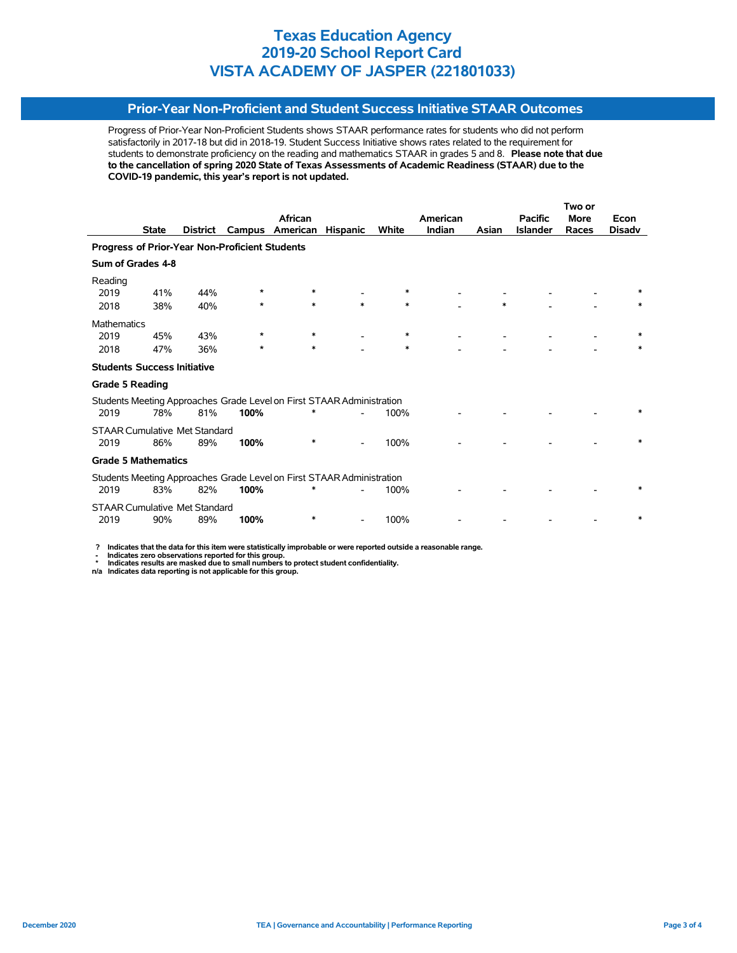### **Prior-Year Non-Proficient and Student Success Initiative STAAR Outcomes**

Progress of Prior-Year Non-Proficient Students shows STAAR performance rates for students who did not perform satisfactorily in 2017-18 but did in 2018-19. Student Success Initiative shows rates related to the requirement for students to demonstrate proficiency on the reading and mathematics STAAR in grades 5 and 8. **Please note that due to the cancellation of spring 2020 State of Texas Assessments of Academic Readiness (STAAR) due to the COVID-19 pandemic, this year's report is not updated.**

|                                      |              |                 |                                                |                                                                       |                 |        |          | Two or |                 |             |               |  |
|--------------------------------------|--------------|-----------------|------------------------------------------------|-----------------------------------------------------------------------|-----------------|--------|----------|--------|-----------------|-------------|---------------|--|
|                                      |              |                 |                                                | African                                                               |                 |        | American |        | <b>Pacific</b>  | <b>More</b> | Econ          |  |
|                                      | <b>State</b> | <b>District</b> | Campus                                         | American                                                              | <b>Hispanic</b> | White  | Indian   | Asian  | <b>Islander</b> | Races       | <b>Disadv</b> |  |
|                                      |              |                 | Progress of Prior-Year Non-Proficient Students |                                                                       |                 |        |          |        |                 |             |               |  |
| Sum of Grades 4-8                    |              |                 |                                                |                                                                       |                 |        |          |        |                 |             |               |  |
| Reading                              |              |                 |                                                |                                                                       |                 |        |          |        |                 |             |               |  |
| 2019                                 | 41%          | 44%             | *                                              | ∗                                                                     |                 | ∗      |          |        |                 |             |               |  |
| 2018                                 | 38%          | 40%             | *                                              | $\ast$                                                                | *               | $\ast$ |          | $\ast$ |                 |             | $\ast$        |  |
| <b>Mathematics</b>                   |              |                 |                                                |                                                                       |                 |        |          |        |                 |             |               |  |
| 2019                                 | 45%          | 43%             | *                                              | *                                                                     |                 | $\ast$ |          |        |                 |             |               |  |
| 2018                                 | 47%          | 36%             | $\star$                                        | *                                                                     |                 | *      |          |        |                 |             | $\ast$        |  |
| <b>Students Success Initiative</b>   |              |                 |                                                |                                                                       |                 |        |          |        |                 |             |               |  |
| <b>Grade 5 Reading</b>               |              |                 |                                                |                                                                       |                 |        |          |        |                 |             |               |  |
|                                      |              |                 |                                                | Students Meeting Approaches Grade Level on First STAAR Administration |                 |        |          |        |                 |             |               |  |
| 2019                                 | 78%          | 81%             | 100%                                           | $\ast$                                                                |                 | 100%   |          |        |                 |             |               |  |
| <b>STAAR Cumulative Met Standard</b> |              |                 |                                                |                                                                       |                 |        |          |        |                 |             |               |  |
| 2019                                 | 86%          | 89%             | 100%                                           | $\ast$                                                                |                 | 100%   |          |        |                 |             | $\ast$        |  |
| <b>Grade 5 Mathematics</b>           |              |                 |                                                |                                                                       |                 |        |          |        |                 |             |               |  |
|                                      |              |                 |                                                | Students Meeting Approaches Grade Level on First STAAR Administration |                 |        |          |        |                 |             |               |  |
| 2019                                 | 83%          | 82%             | 100%                                           |                                                                       |                 | 100%   |          |        |                 |             |               |  |
| <b>STAAR Cumulative Met Standard</b> |              |                 |                                                |                                                                       |                 |        |          |        |                 |             |               |  |
| 2019                                 | 90%          | 89%             | 100%                                           |                                                                       |                 | 100%   |          |        |                 |             | $\ast$        |  |

 **? Indicates that the data for this item were statistically improbable or were reported outside a reasonable range.**

 **- Indicates zero observations reported for this group. \* Indicates results are masked due to small numbers to protect student confidentiality.**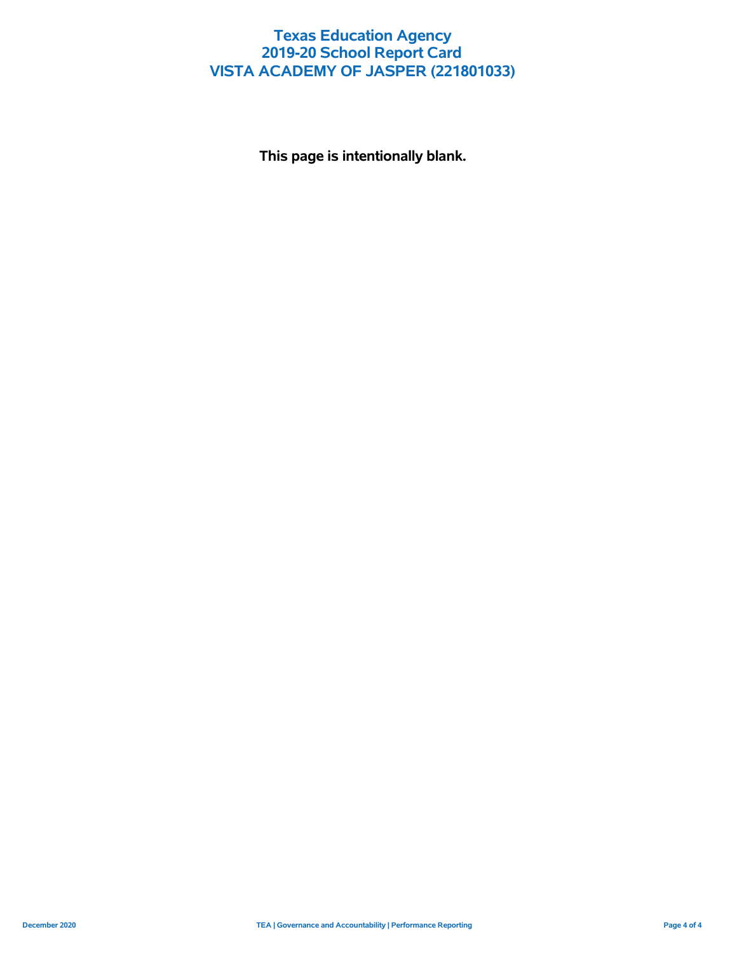**This page is intentionally blank.**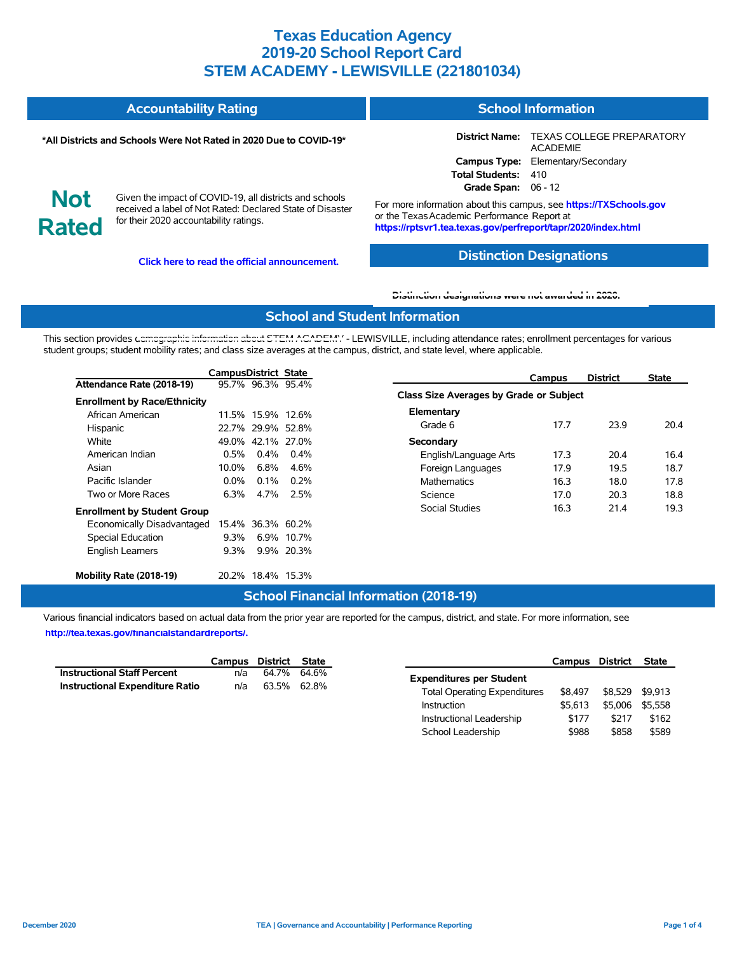|              | <b>Accountability Rating</b>                                                                                         |                                                                                                              | <b>School Information</b>                           |
|--------------|----------------------------------------------------------------------------------------------------------------------|--------------------------------------------------------------------------------------------------------------|-----------------------------------------------------|
|              | *All Districts and Schools Were Not Rated in 2020 Due to COVID-19*                                                   | <b>District Name:</b>                                                                                        | <b>TEXAS COLLEGE PREPARATORY</b><br><b>ACADEMIE</b> |
|              |                                                                                                                      |                                                                                                              | Campus Type: Elementary/Secondary                   |
|              |                                                                                                                      | <b>Total Students: 410</b>                                                                                   |                                                     |
|              |                                                                                                                      | Grade Span: $06 - 12$                                                                                        |                                                     |
| <b>Not</b>   | Given the impact of COVID-19, all districts and schools<br>received a label of Not Rated: Declared State of Disaster | For more information about this campus, see https://TXSchools.gov                                            |                                                     |
| <b>Rated</b> | for their 2020 accountability ratings.                                                                               | or the Texas Academic Performance Report at<br>https://rptsvr1.tea.texas.gov/perfreport/tapr/2020/index.html |                                                     |

**Click here to read the official announcement.**

### **Distinction Designations**

#### **[Distinction designations were not awarded in 2020.](https://rptsvr1.tea.texas.gov/perfreport/tapr/2020/index.html)**

#### **School and Student Information**

This section provides [demographic information about STEM ACADEMY](https://tea.texas.gov/about-tea/news-and-multimedia/correspondence/taa-letters/every-student-succeeds-act-essa-waiver-approval-2020-state-academic-accountability) - LEWISVILLE, including attendance rates; enrollment percentages for various student groups; student mobility rates; and class size averages at the campus, district, and state level, where applicable.

|                                     | <b>CampusDistrict State</b> |                   |         |
|-------------------------------------|-----------------------------|-------------------|---------|
| Attendance Rate (2018-19)           |                             | 95.7% 96.3% 95.4% |         |
| <b>Enrollment by Race/Ethnicity</b> |                             |                   |         |
| African American                    | 11.5%                       | 15.9%             | 12.6%   |
| Hispanic                            | 22.7%                       | 29.9%             | 52.8%   |
| White                               | 49.0%                       | 42.1% 27.0%       |         |
| American Indian                     | $0.5\%$                     | 0.4%              | $0.4\%$ |
| Asian                               | 10.0%                       | 6.8%              | 4.6%    |
| Pacific Islander                    | 0.0%                        | $0.1\%$           | 0.2%    |
| Two or More Races                   | 6.3%                        | 4 7%              | 2.5%    |
| <b>Enrollment by Student Group</b>  |                             |                   |         |
| Economically Disadvantaged          |                             | 15.4% 36.3%       | 60.2%   |
| Special Education                   | $9.3\%$                     | $6.9\%$           | 10.7%   |
| <b>English Learners</b>             | $9.3\%$                     | $9.9\%$           | 20.3%   |
| Mobility Rate (2018-19)             | 20.2%                       | 18.4%             | 15.3%   |

|                                         | Campus | <b>District</b> | State |
|-----------------------------------------|--------|-----------------|-------|
| Class Size Averages by Grade or Subject |        |                 |       |
| Elementary                              |        |                 |       |
| Grade 6                                 | 177    | 23.9            | 204   |
| Secondary                               |        |                 |       |
| English/Language Arts                   | 17.3   | 204             | 164   |
| Foreign Languages                       | 179    | 19.5            | 187   |
| <b>Mathematics</b>                      | 16.3   | 180             | 178   |
| Science                                 | 170    | 20.3            | 18.8  |
| Social Studies                          | 16.3   | 214             | 19.3  |

School Leadership  $$988$  \$858 \$589

#### **School Financial Information (2018-19)**

Various financial indicators based on actual data from the prior year are reported for the campus, district, and state. For more information, see

#### **[http://tea.texas.gov/financialstandardreports/.](http://tea.texas.gov/financialstandardreports/)**

|                                 | Campus | District | State       |                                     | Campus District |                 | <b>State</b> |
|---------------------------------|--------|----------|-------------|-------------------------------------|-----------------|-----------------|--------------|
| Instructional Staff Percent     | n/a    |          | 64.7% 64.6% | <b>Expenditures per Student</b>     |                 |                 |              |
| Instructional Expenditure Ratio | n/a    | 63.5%    | 62.8%       | <b>Total Operating Expenditures</b> | \$8.497         | \$8,529 \$9,913 |              |
|                                 |        |          |             | Instruction                         | \$5.613         | \$5.006         | \$5.558      |
|                                 |        |          |             | Instructional Leadership            | \$177           | \$217           | \$162        |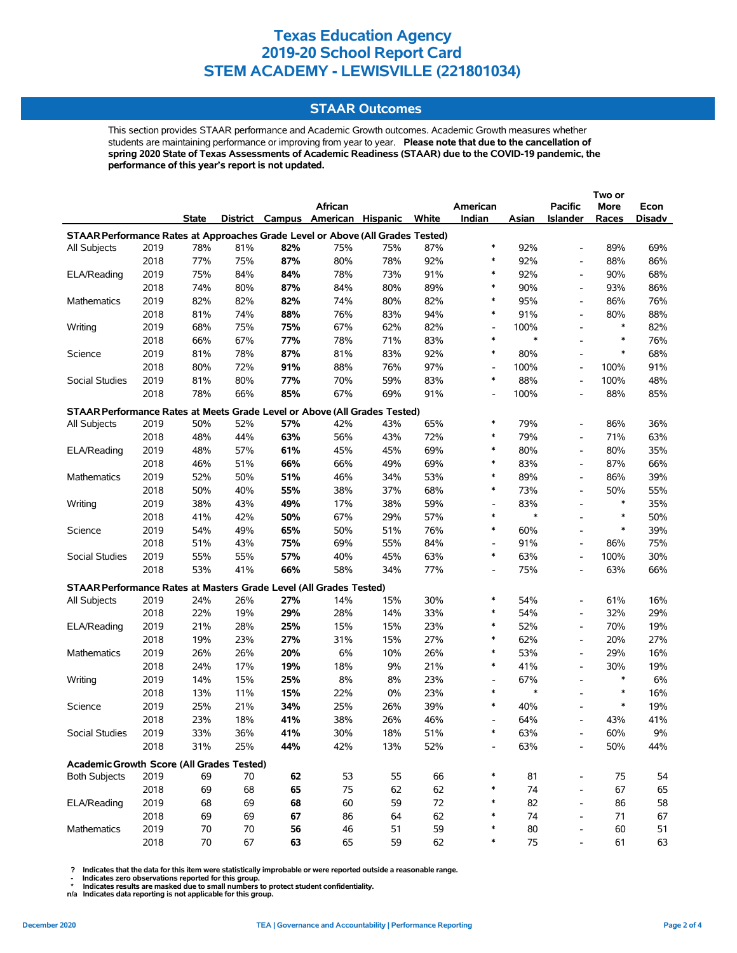### **STAAR Outcomes**

This section provides STAAR performance and Academic Growth outcomes. Academic Growth measures whether students are maintaining performance or improving from year to year. **Please note that due to the cancellation of spring 2020 State of Texas Assessments of Academic Readiness (STAAR) due to the COVID-19 pandemic, the performance of this year's report is not updated.**

|                                                                                |      |        |     |     |                                   |     |       |                          |        |                          | Two or |        |
|--------------------------------------------------------------------------------|------|--------|-----|-----|-----------------------------------|-----|-------|--------------------------|--------|--------------------------|--------|--------|
|                                                                                |      |        |     |     | African                           |     |       | American                 |        | <b>Pacific</b>           | More   | Econ   |
|                                                                                |      | State  |     |     | District Campus American Hispanic |     | White | Indian                   | Asian  | <b>Islander</b>          | Races  | Disadv |
| STAAR Performance Rates at Approaches Grade Level or Above (All Grades Tested) |      |        |     |     |                                   |     |       |                          |        |                          |        |        |
| All Subjects                                                                   | 2019 | 78%    | 81% | 82% | 75%                               | 75% | 87%   | $\ast$                   | 92%    | $\overline{\phantom{0}}$ | 89%    | 69%    |
|                                                                                | 2018 | 77%    | 75% | 87% | 80%                               | 78% | 92%   | $\ast$                   | 92%    | $\overline{\phantom{0}}$ | 88%    | 86%    |
| ELA/Reading                                                                    | 2019 | 75%    | 84% | 84% | 78%                               | 73% | 91%   | $\ast$                   | 92%    | $\overline{\phantom{0}}$ | 90%    | 68%    |
|                                                                                | 2018 | 74%    | 80% | 87% | 84%                               | 80% | 89%   | $\ast$                   | 90%    | $\overline{\phantom{0}}$ | 93%    | 86%    |
| Mathematics                                                                    | 2019 | 82%    | 82% | 82% | 74%                               | 80% | 82%   | $\ast$                   | 95%    | $\overline{\phantom{0}}$ | 86%    | 76%    |
|                                                                                | 2018 | 81%    | 74% | 88% | 76%                               | 83% | 94%   | $\ast$                   | 91%    | $\overline{\phantom{0}}$ | 80%    | 88%    |
| Writing                                                                        | 2019 | 68%    | 75% | 75% | 67%                               | 62% | 82%   | $\overline{\phantom{a}}$ | 100%   | $\overline{\phantom{a}}$ | $\ast$ | 82%    |
|                                                                                | 2018 | 66%    | 67% | 77% | 78%                               | 71% | 83%   | $\ast$                   | $\ast$ | $\overline{\phantom{0}}$ | $\ast$ | 76%    |
| Science                                                                        | 2019 | 81%    | 78% | 87% | 81%                               | 83% | 92%   | $\ast$                   | 80%    | $\overline{a}$           | $\ast$ | 68%    |
|                                                                                | 2018 | 80%    | 72% | 91% | 88%                               | 76% | 97%   | $\overline{\phantom{a}}$ | 100%   | $\overline{\phantom{0}}$ | 100%   | 91%    |
| Social Studies                                                                 | 2019 | 81%    | 80% | 77% | 70%                               | 59% | 83%   | $\ast$                   | 88%    | $\overline{\phantom{0}}$ | 100%   | 48%    |
|                                                                                | 2018 | 78%    | 66% | 85% | 67%                               | 69% | 91%   | $\overline{\phantom{a}}$ | 100%   | $\overline{\phantom{a}}$ | 88%    | 85%    |
| STAAR Performance Rates at Meets Grade Level or Above (All Grades Tested)      |      |        |     |     |                                   |     |       |                          |        |                          |        |        |
| All Subjects                                                                   | 2019 | 50%    | 52% | 57% | 42%                               | 43% | 65%   | $\ast$                   | 79%    | $\overline{\phantom{0}}$ | 86%    | 36%    |
|                                                                                | 2018 | 48%    | 44% | 63% | 56%                               | 43% | 72%   | $\ast$                   | 79%    | $\overline{\phantom{0}}$ | 71%    | 63%    |
| ELA/Reading                                                                    | 2019 | 48%    | 57% | 61% | 45%                               | 45% | 69%   | $\ast$                   | 80%    | $\overline{\phantom{0}}$ | 80%    | 35%    |
|                                                                                | 2018 | 46%    | 51% | 66% | 66%                               | 49% | 69%   | $\ast$                   | 83%    | $\overline{a}$           | 87%    | 66%    |
| Mathematics                                                                    | 2019 | 52%    | 50% | 51% | 46%                               | 34% | 53%   | $\ast$                   | 89%    | $\overline{\phantom{a}}$ | 86%    | 39%    |
|                                                                                | 2018 | 50%    | 40% | 55% | 38%                               | 37% | 68%   | $\ast$                   | 73%    | $\overline{\phantom{0}}$ | 50%    | 55%    |
| Writing                                                                        | 2019 | 38%    | 43% | 49% | 17%                               | 38% | 59%   | $\overline{\phantom{a}}$ | 83%    | $\overline{\phantom{0}}$ | $\ast$ | 35%    |
|                                                                                | 2018 | 41%    | 42% | 50% | 67%                               | 29% | 57%   | $\ast$                   | $\ast$ | $\overline{\phantom{a}}$ | $\ast$ | 50%    |
| Science                                                                        | 2019 | 54%    | 49% | 65% | 50%                               | 51% | 76%   | $\ast$                   | 60%    | $\overline{\phantom{a}}$ | $\ast$ | 39%    |
|                                                                                | 2018 | 51%    | 43% | 75% | 69%                               | 55% | 84%   | $\overline{\phantom{a}}$ | 91%    | $\overline{a}$           | 86%    | 75%    |
| Social Studies                                                                 | 2019 | 55%    | 55% | 57% | 40%                               | 45% | 63%   | $\ast$                   | 63%    | $\overline{a}$           | 100%   | 30%    |
|                                                                                | 2018 | 53%    | 41% | 66% | 58%                               | 34% | 77%   |                          | 75%    | $\overline{a}$           | 63%    | 66%    |
| STAAR Performance Rates at Masters Grade Level (All Grades Tested)             |      |        |     |     |                                   |     |       |                          |        |                          |        |        |
| All Subjects                                                                   | 2019 | 24%    | 26% | 27% | 14%                               | 15% | 30%   | $\ast$                   | 54%    | $\overline{\phantom{0}}$ | 61%    | 16%    |
|                                                                                | 2018 | 22%    | 19% | 29% | 28%                               | 14% | 33%   | ∗                        | 54%    | $\overline{\phantom{0}}$ | 32%    | 29%    |
| ELA/Reading                                                                    | 2019 | 21%    | 28% | 25% | 15%                               | 15% | 23%   | $\ast$                   | 52%    | $\overline{\phantom{0}}$ | 70%    | 19%    |
|                                                                                | 2018 | 19%    | 23% | 27% | 31%                               | 15% | 27%   | $\ast$                   | 62%    | $\overline{\phantom{0}}$ | 20%    | 27%    |
| <b>Mathematics</b>                                                             | 2019 | 26%    | 26% | 20% | 6%                                | 10% | 26%   | $\ast$                   | 53%    | $\overline{\phantom{0}}$ | 29%    | 16%    |
|                                                                                | 2018 | 24%    | 17% | 19% | 18%                               | 9%  | 21%   | $\ast$                   | 41%    | $\overline{\phantom{0}}$ | 30%    | 19%    |
| Writing                                                                        | 2019 | 14%    | 15% | 25% | 8%                                | 8%  | 23%   | $\overline{\phantom{a}}$ | 67%    | $\overline{\phantom{a}}$ | $\ast$ | 6%     |
|                                                                                | 2018 | 13%    | 11% | 15% | 22%                               | 0%  | 23%   | $\ast$                   | $\ast$ | $\overline{\phantom{a}}$ | $\ast$ | 16%    |
| Science                                                                        | 2019 | 25%    | 21% | 34% | 25%                               | 26% | 39%   | $\ast$                   | 40%    | $\overline{a}$           | $\ast$ | 19%    |
|                                                                                | 2018 | 23%    | 18% | 41% | 38%                               | 26% | 46%   | $\overline{\phantom{a}}$ | 64%    | $\overline{a}$           | 43%    | 41%    |
| Social Studies                                                                 | 2019 | 33%    | 36% | 41% | 30%                               | 18% | 51%   |                          | 63%    |                          | 60%    | $9\%$  |
|                                                                                | 2018 | 31%    | 25% | 44% | 42%                               | 13% | 52%   |                          | 63%    |                          | 50%    | 44%    |
| Academic Growth Score (All Grades Tested)                                      |      |        |     |     |                                   |     |       |                          |        |                          |        |        |
| <b>Both Subjects</b>                                                           | 2019 | 69     | 70  | 62  | 53                                | 55  | 66    | *                        | 81     | $\overline{\phantom{0}}$ | 75     | 54     |
|                                                                                | 2018 | 69     | 68  | 65  | 75                                | 62  | 62    | ∗                        | 74     | $\overline{a}$           | 67     | 65     |
| ELA/Reading                                                                    | 2019 | 68     | 69  | 68  | 60                                | 59  | 72    | $\ast$                   | 82     | $\overline{a}$           | 86     | 58     |
|                                                                                | 2018 | 69     | 69  | 67  | 86                                | 64  | 62    | $\ast$                   | 74     | $\frac{1}{2}$            | 71     | 67     |
| Mathematics                                                                    | 2019 | 70     | 70  | 56  | 46                                | 51  | 59    | ∗                        | 80     | $\overline{a}$           | 60     | 51     |
|                                                                                | 2018 | $70\,$ | 67  | 63  | 65                                | 59  | 62    | $\ast$                   | 75     |                          | 61     | 63     |
|                                                                                |      |        |     |     |                                   |     |       |                          |        |                          |        |        |

 **? Indicates that the data for this item were statistically improbable or were reported outside a reasonable range.**

 **- Indicates zero observations reported for this group. \* Indicates results are masked due to small numbers to protect student confidentiality.**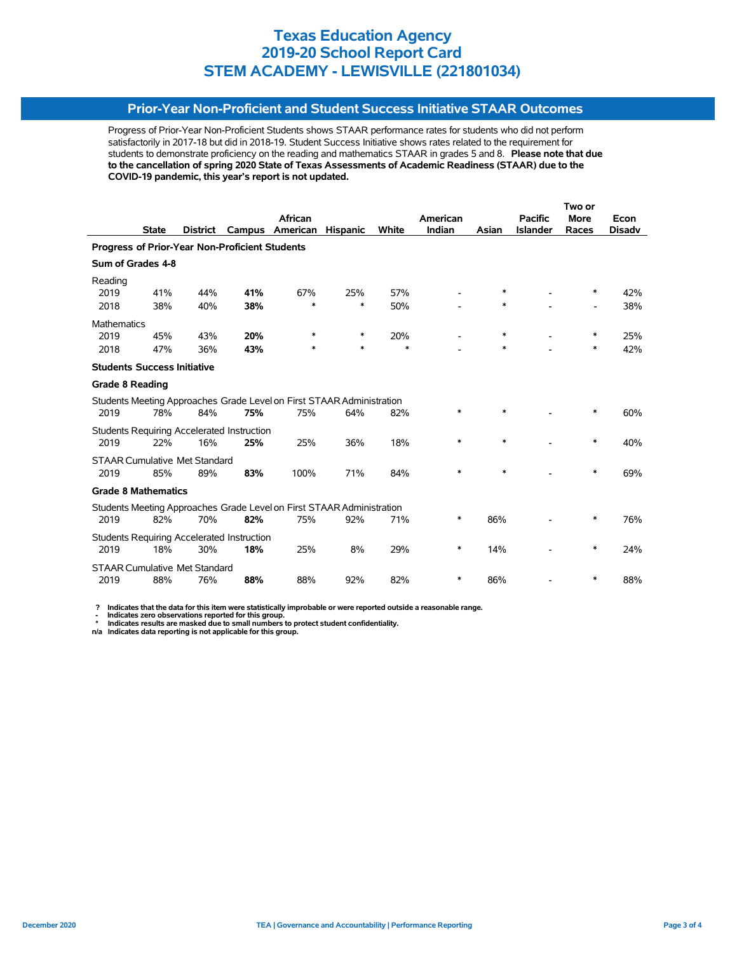### **Prior-Year Non-Proficient and Student Success Initiative STAAR Outcomes**

Progress of Prior-Year Non-Proficient Students shows STAAR performance rates for students who did not perform satisfactorily in 2017-18 but did in 2018-19. Student Success Initiative shows rates related to the requirement for students to demonstrate proficiency on the reading and mathematics STAAR in grades 5 and 8. **Please note that due to the cancellation of spring 2020 State of Texas Assessments of Academic Readiness (STAAR) due to the COVID-19 pandemic, this year's report is not updated.**

|                                    |              |                                      |                                                       |                                                                       |                 |        |          |        |                 | Two or      |               |
|------------------------------------|--------------|--------------------------------------|-------------------------------------------------------|-----------------------------------------------------------------------|-----------------|--------|----------|--------|-----------------|-------------|---------------|
|                                    |              |                                      |                                                       | African                                                               |                 |        | American |        | <b>Pacific</b>  | <b>More</b> | Econ          |
|                                    | <b>State</b> | <b>District</b>                      | Campus                                                | American                                                              | <b>Hispanic</b> | White  | Indian   | Asian  | <b>Islander</b> | Races       | <b>Disadv</b> |
|                                    |              |                                      | <b>Progress of Prior-Year Non-Proficient Students</b> |                                                                       |                 |        |          |        |                 |             |               |
| Sum of Grades 4-8                  |              |                                      |                                                       |                                                                       |                 |        |          |        |                 |             |               |
| Reading                            |              |                                      |                                                       |                                                                       |                 |        |          |        |                 |             |               |
| 2019                               | 41%          | 44%                                  | 41%                                                   | 67%                                                                   | 25%             | 57%    |          | *      |                 | ∗           | 42%           |
| 2018                               | 38%          | 40%                                  | 38%                                                   | *                                                                     | $\ast$          | 50%    |          | *      |                 |             | 38%           |
| <b>Mathematics</b>                 |              |                                      |                                                       |                                                                       |                 |        |          |        |                 |             |               |
| 2019                               | 45%          | 43%                                  | 20%                                                   | *                                                                     | ∗               | 20%    |          | $\ast$ |                 | $\ast$      | 25%           |
| 2018                               | 47%          | 36%                                  | 43%                                                   | *                                                                     | $\ast$          | $\ast$ |          | $\ast$ |                 | $\ast$      | 42%           |
| <b>Students Success Initiative</b> |              |                                      |                                                       |                                                                       |                 |        |          |        |                 |             |               |
| <b>Grade 8 Reading</b>             |              |                                      |                                                       |                                                                       |                 |        |          |        |                 |             |               |
|                                    |              |                                      |                                                       | Students Meeting Approaches Grade Level on First STAAR Administration |                 |        |          |        |                 |             |               |
| 2019                               | 78%          | 84%                                  | 75%                                                   | 75%                                                                   | 64%             | 82%    | *        | $\ast$ |                 | $\ast$      | 60%           |
|                                    |              |                                      | <b>Students Requiring Accelerated Instruction</b>     |                                                                       |                 |        |          |        |                 |             |               |
| 2019                               | 22%          | 16%                                  | 25%                                                   | 25%                                                                   | 36%             | 18%    | *        | $\ast$ |                 | $\ast$      | 40%           |
|                                    |              | <b>STAAR Cumulative Met Standard</b> |                                                       |                                                                       |                 |        |          |        |                 |             |               |
| 2019                               | 85%          | 89%                                  | 83%                                                   | 100%                                                                  | 71%             | 84%    | *        | *      |                 | *           | 69%           |
| <b>Grade 8 Mathematics</b>         |              |                                      |                                                       |                                                                       |                 |        |          |        |                 |             |               |
|                                    |              |                                      |                                                       | Students Meeting Approaches Grade Level on First STAAR Administration |                 |        |          |        |                 |             |               |
| 2019                               | 82%          | 70%                                  | 82%                                                   | 75%                                                                   | 92%             | 71%    | *        | 86%    |                 | *           | 76%           |
|                                    |              |                                      | <b>Students Requiring Accelerated Instruction</b>     |                                                                       |                 |        |          |        |                 |             |               |
| 2019                               | 18%          | 30%                                  | 18%                                                   | 25%                                                                   | 8%              | 29%    | *        | 14%    |                 | ∗           | 24%           |
|                                    |              | <b>STAAR Cumulative Met Standard</b> |                                                       |                                                                       |                 |        |          |        |                 |             |               |
| 2019                               | 88%          | 76%                                  | 88%                                                   | 88%                                                                   | 92%             | 82%    | *        | 86%    |                 | ∗           | 88%           |

 **? Indicates that the data for this item were statistically improbable or were reported outside a reasonable range.**

 **- Indicates zero observations reported for this group. \* Indicates results are masked due to small numbers to protect student confidentiality.**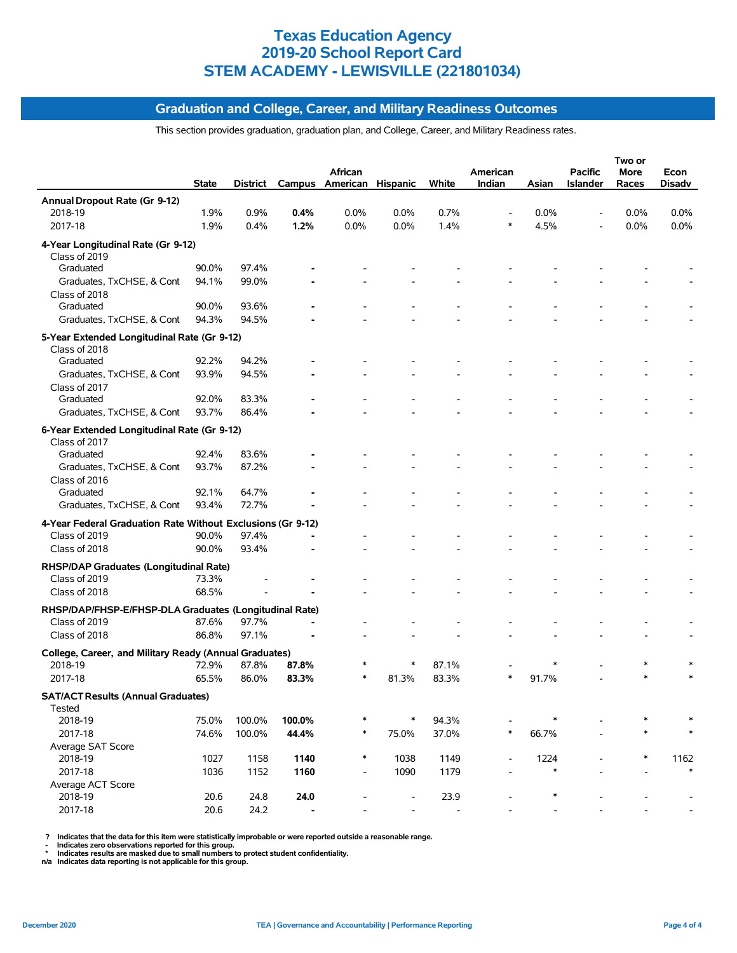### **Graduation and College, Career, and Military Readiness Outcomes**

This section provides graduation, graduation plan, and College, Career, and Military Readiness rates.

|                                                              | State | District |        | African<br>Campus American Hispanic |                          | White | American<br>Indian | Asian  | <b>Pacific</b><br>Islander | Two or<br>More<br>Races | Econ<br>Disadv |
|--------------------------------------------------------------|-------|----------|--------|-------------------------------------|--------------------------|-------|--------------------|--------|----------------------------|-------------------------|----------------|
| Annual Dropout Rate (Gr 9-12)                                |       |          |        |                                     |                          |       |                    |        |                            |                         |                |
| 2018-19                                                      | 1.9%  | 0.9%     | 0.4%   | 0.0%                                | 0.0%                     | 0.7%  |                    | 0.0%   |                            | 0.0%                    | 0.0%           |
| 2017-18                                                      | 1.9%  | 0.4%     | 1.2%   | 0.0%                                | 0.0%                     | 1.4%  | $\ast$             | 4.5%   |                            | 0.0%                    | $0.0\%$        |
| 4-Year Longitudinal Rate (Gr 9-12)<br>Class of 2019          |       |          |        |                                     |                          |       |                    |        |                            |                         |                |
| Graduated                                                    | 90.0% | 97.4%    |        |                                     |                          |       |                    |        |                            |                         |                |
| Graduates, TxCHSE, & Cont                                    | 94.1% | 99.0%    |        |                                     |                          |       |                    |        |                            |                         |                |
| Class of 2018<br>Graduated                                   | 90.0% | 93.6%    |        |                                     |                          |       |                    |        |                            |                         |                |
| Graduates, TxCHSE, & Cont                                    | 94.3% | 94.5%    |        |                                     |                          |       |                    |        |                            |                         |                |
| 5-Year Extended Longitudinal Rate (Gr 9-12)                  |       |          |        |                                     |                          |       |                    |        |                            |                         |                |
| Class of 2018<br>Graduated                                   | 92.2% | 94.2%    |        |                                     |                          |       |                    |        |                            |                         |                |
| Graduates, TxCHSE, & Cont                                    | 93.9% | 94.5%    |        |                                     |                          |       |                    |        |                            |                         |                |
| Class of 2017                                                |       |          |        |                                     |                          |       |                    |        |                            |                         |                |
| Graduated                                                    | 92.0% | 83.3%    |        |                                     |                          |       |                    |        |                            |                         |                |
| Graduates, TxCHSE, & Cont                                    | 93.7% | 86.4%    |        |                                     |                          |       |                    |        |                            |                         |                |
| 6-Year Extended Longitudinal Rate (Gr 9-12)<br>Class of 2017 |       |          |        |                                     |                          |       |                    |        |                            |                         |                |
| Graduated                                                    | 92.4% | 83.6%    |        |                                     |                          |       |                    |        |                            |                         |                |
| Graduates, TxCHSE, & Cont                                    | 93.7% | 87.2%    |        |                                     |                          |       |                    |        |                            |                         |                |
| Class of 2016                                                |       |          |        |                                     |                          |       |                    |        |                            |                         |                |
| Graduated                                                    | 92.1% | 64.7%    |        |                                     |                          |       |                    |        |                            |                         |                |
| Graduates, TxCHSE, & Cont                                    | 93.4% | 72.7%    |        |                                     |                          |       |                    |        |                            |                         |                |
| 4-Year Federal Graduation Rate Without Exclusions (Gr 9-12)  |       |          |        |                                     |                          |       |                    |        |                            |                         |                |
| Class of 2019                                                | 90.0% | 97.4%    |        |                                     |                          |       |                    |        |                            |                         |                |
| Class of 2018                                                | 90.0% | 93.4%    |        |                                     |                          |       |                    |        |                            |                         |                |
| RHSP/DAP Graduates (Longitudinal Rate)                       |       |          |        |                                     |                          |       |                    |        |                            |                         |                |
| Class of 2019                                                | 73.3% |          |        |                                     |                          |       |                    |        |                            |                         |                |
| Class of 2018                                                | 68.5% |          |        |                                     |                          |       |                    |        |                            |                         |                |
| RHSP/DAP/FHSP-E/FHSP-DLA Graduates (Longitudinal Rate)       |       |          |        |                                     |                          |       |                    |        |                            |                         |                |
| Class of 2019                                                | 87.6% | 97.7%    |        |                                     |                          |       |                    |        |                            |                         |                |
| Class of 2018                                                | 86.8% | 97.1%    |        |                                     |                          |       |                    |        |                            |                         |                |
| College, Career, and Military Ready (Annual Graduates)       |       |          |        |                                     |                          |       |                    |        |                            |                         |                |
| 2018-19                                                      | 72.9% | 87.8%    | 87.8%  |                                     | $\ast$                   | 87.1% |                    |        |                            |                         |                |
| 2017-18                                                      | 65.5% | 86.0%    | 83.3%  |                                     | 81.3%                    | 83.3% |                    | 91.7%  |                            |                         |                |
| <b>SAT/ACT Results (Annual Graduates)</b><br>Tested          |       |          |        |                                     |                          |       |                    |        |                            |                         |                |
| 2018-19                                                      | 75.0% | 100.0%   | 100.0% | ∗                                   | $\ast$                   | 94.3% |                    | $\ast$ |                            |                         |                |
| 2017-18                                                      | 74.6% | 100.0%   | 44.4%  | $\ast$                              | 75.0%                    | 37.0% | $\ast$             | 66.7%  |                            |                         | $\ast$         |
| Average SAT Score                                            |       |          |        |                                     |                          |       |                    |        |                            |                         |                |
| 2018-19                                                      | 1027  | 1158     | 1140   | *                                   | 1038                     | 1149  |                    | 1224   |                            | ∗                       | 1162           |
| 2017-18                                                      | 1036  | 1152     | 1160   |                                     | 1090                     | 1179  |                    | $\ast$ |                            |                         | $\ast$         |
| Average ACT Score                                            |       |          |        |                                     |                          |       |                    |        |                            |                         |                |
| 2018-19                                                      | 20.6  | 24.8     | 24.0   |                                     | $\overline{\phantom{a}}$ | 23.9  |                    | $\ast$ |                            |                         |                |
| 2017-18                                                      | 20.6  | 24.2     |        |                                     |                          |       |                    |        |                            |                         |                |

? Indicates that the data for this item were statistically improbable or were reported outside a reasonable range.<br>- Indicates zero observations reported for this group.<br>\* Indicates results are masked due to small numbers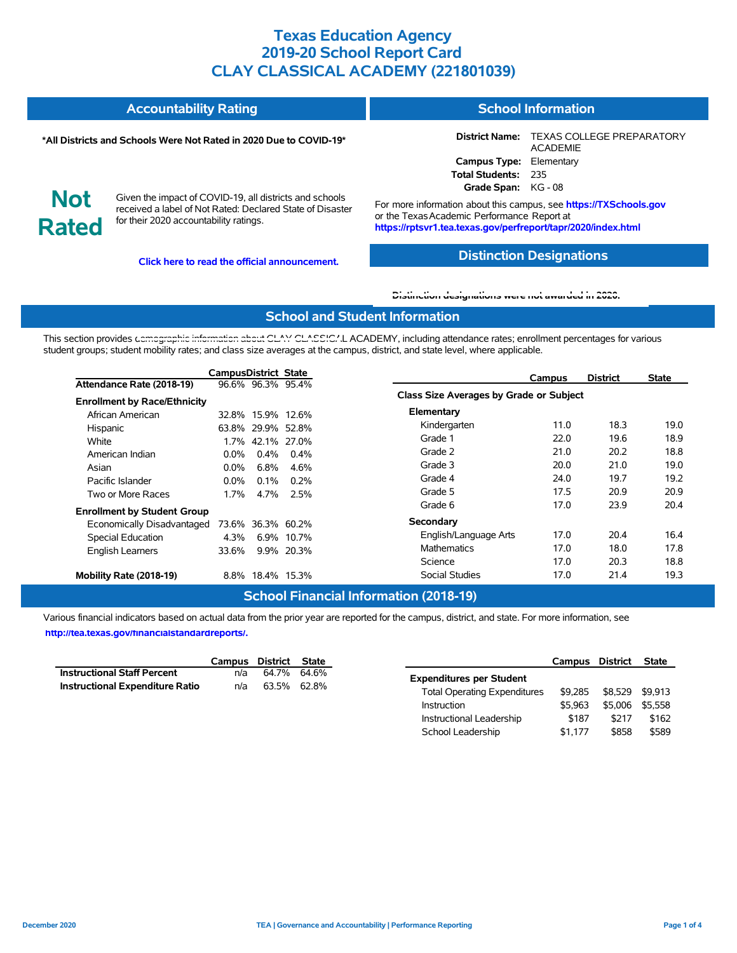|                            | <b>Accountability Rating</b>                                                                                                                                   |                                                                                                                                                                                   | <b>School Information</b>                           |
|----------------------------|----------------------------------------------------------------------------------------------------------------------------------------------------------------|-----------------------------------------------------------------------------------------------------------------------------------------------------------------------------------|-----------------------------------------------------|
|                            | *All Districts and Schools Were Not Rated in 2020 Due to COVID-19*                                                                                             | <b>District Name:</b>                                                                                                                                                             | <b>TEXAS COLLEGE PREPARATORY</b><br><b>ACADEMIE</b> |
|                            |                                                                                                                                                                | <b>Campus Type:</b>                                                                                                                                                               | Elementary                                          |
|                            |                                                                                                                                                                | <b>Total Students: 235</b>                                                                                                                                                        |                                                     |
|                            |                                                                                                                                                                | Grade Span: KG - 08                                                                                                                                                               |                                                     |
| <b>Not</b><br><b>Rated</b> | Given the impact of COVID-19, all districts and schools<br>received a label of Not Rated: Declared State of Disaster<br>for their 2020 accountability ratings. | For more information about this campus, see https://TXSchools.gov<br>or the Texas Academic Performance Report at<br>https://rptsvr1.tea.texas.gov/perfreport/tapr/2020/index.html |                                                     |

**Click here to read the official announcement.**

### **Distinction Designations**

School Leadership \$1,177 \$858 \$589

#### **[Distinction designations were not awarded in 2020.](https://rptsvr1.tea.texas.gov/perfreport/tapr/2020/index.html)**

### **School and Student Information**

This section provides [demographic information about CLAY CLASSICA](https://tea.texas.gov/about-tea/news-and-multimedia/correspondence/taa-letters/every-student-succeeds-act-essa-waiver-approval-2020-state-academic-accountability)L ACADEMY, including attendance rates; enrollment percentages for various student groups; student mobility rates; and class size averages at the campus, district, and state level, where applicable.

|                                     | CampusDistrict State |             |                                         | Campus | <b>District</b> | <b>State</b> |
|-------------------------------------|----------------------|-------------|-----------------------------------------|--------|-----------------|--------------|
| Attendance Rate (2018-19)           | 96.6% 96.3% 95.4%    |             |                                         |        |                 |              |
| <b>Enrollment by Race/Ethnicity</b> |                      |             | Class Size Averages by Grade or Subject |        |                 |              |
| African American                    | 32.8% 15.9% 12.6%    |             | Elementary                              |        |                 |              |
| Hispanic                            | 63.8%                | 29.9% 52.8% | Kindergarten                            | 11.0   | 18.3            | 19.0         |
| White                               | 1.7% 42.1% 27.0%     |             | Grade 1                                 | 22.0   | 19.6            | 18.9         |
| American Indian                     | $0.4\%$<br>$0.0\%$   | $0.4\%$     | Grade 2                                 | 21.0   | 20.2            | 18.8         |
| Asian                               | 6.8%<br>$0.0\%$      | 4.6%        | Grade 3                                 | 20.0   | 21.0            | 19.0         |
| Pacific Islander                    | $0.0\%$<br>$0.1\%$   | 0.2%        | Grade 4                                 | 24.0   | 19.7            | 19.2         |
| Two or More Races                   | 1.7%<br>4.7%         | 2.5%        | Grade 5                                 | 17.5   | 20.9            | 20.9         |
| <b>Enrollment by Student Group</b>  |                      |             | Grade 6                                 | 17.0   | 23.9            | 20.4         |
| Economically Disadvantaged          | 73.6%                | 36.3% 60.2% | Secondary                               |        |                 |              |
| Special Education                   | 4.3%                 | 6.9% 10.7%  | English/Language Arts                   | 17.0   | 20.4            | 16.4         |
| <b>English Learners</b>             | 33.6%                | 9.9% 20.3%  | <b>Mathematics</b>                      | 17.0   | 18.0            | 17.8         |
|                                     |                      |             | Science                                 | 17.0   | 20.3            | 18.8         |
| Mobility Rate (2018-19)             | 8.8%                 | 18.4% 15.3% | Social Studies                          | 17.0   | 21.4            | 19.3         |

### **School Financial Information (2018-19)**

Various financial indicators based on actual data from the prior year are reported for the campus, district, and state. For more information, see

**[http://tea.texas.gov/financialstandardreports/.](http://tea.texas.gov/financialstandardreports/)**

|                                 | Campus | District | State |                                     | Campus  | District        | <b>State</b> |
|---------------------------------|--------|----------|-------|-------------------------------------|---------|-----------------|--------------|
| Instructional Staff Percent     | n/a    | 64.7%    | 64.6% | <b>Expenditures per Student</b>     |         |                 |              |
| Instructional Expenditure Ratio | n/a    | 63.5%    | 62.8% | <b>Total Operating Expenditures</b> | \$9.285 | \$8,529 \$9,913 |              |
|                                 |        |          |       | Instruction                         | \$5.963 | \$5.006         | \$5.558      |
|                                 |        |          |       | Instructional Leadership            | \$187   | \$217           | \$162        |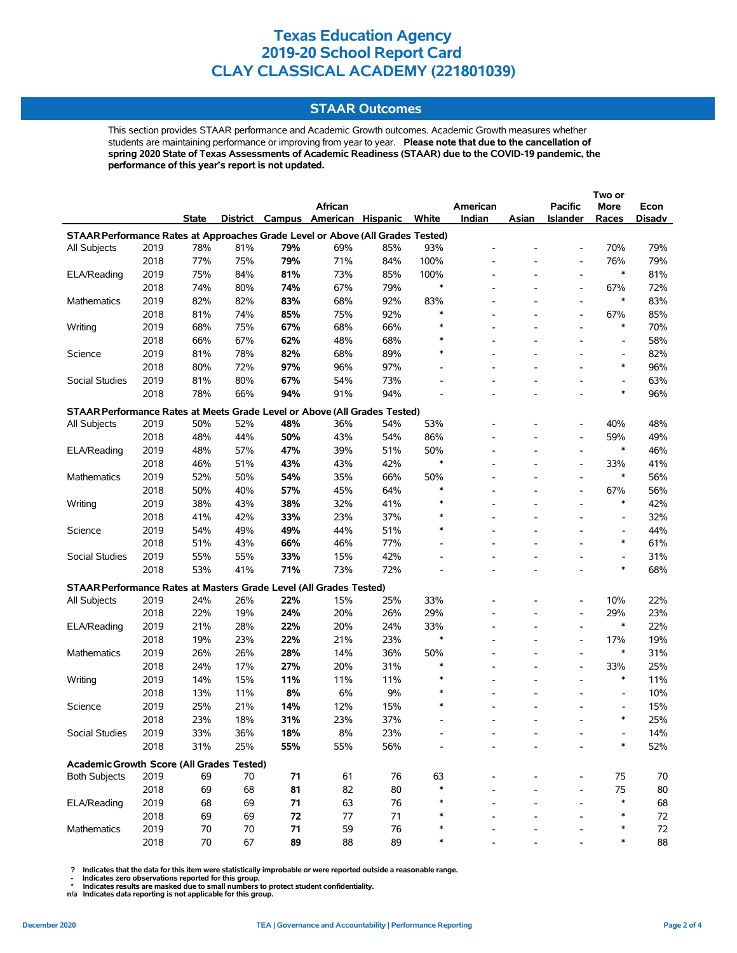### **STAAR Outcomes**

This section provides STAAR performance and Academic Growth outcomes. Academic Growth measures whether students are maintaining performance or improving from year to year. **Please note that due to the cancellation of spring 2020 State of Texas Assessments of Academic Readiness (STAAR) due to the COVID-19 pandemic, the performance of this year's report is not updated.**

|                                                                                |              |              |          |          |                          |          |         |                          |       |                          | Two or                   |          |
|--------------------------------------------------------------------------------|--------------|--------------|----------|----------|--------------------------|----------|---------|--------------------------|-------|--------------------------|--------------------------|----------|
|                                                                                |              |              |          |          | African                  |          |         | American                 |       | <b>Pacific</b>           | More                     | Econ     |
|                                                                                |              | State        | District |          | Campus American Hispanic |          | White   | Indian                   | Asian | Islander                 | Races                    | Disadv   |
| STAAR Performance Rates at Approaches Grade Level or Above (All Grades Tested) |              |              |          |          |                          |          |         |                          |       |                          |                          |          |
| All Subjects                                                                   | 2019         | 78%          | 81%      | 79%      | 69%                      | 85%      | 93%     |                          |       | $\overline{a}$           | 70%                      | 79%      |
|                                                                                | 2018         | 77%          | 75%      | 79%      | 71%                      | 84%      | 100%    |                          |       | $\overline{\phantom{a}}$ | 76%                      | 79%      |
| ELA/Reading                                                                    | 2019         | 75%          | 84%      | 81%      | 73%                      | 85%      | 100%    |                          |       | $\overline{a}$           | $\ast$                   | 81%      |
|                                                                                | 2018         | 74%          | 80%      | 74%      | 67%                      | 79%      | $\ast$  |                          |       | $\overline{\phantom{a}}$ | 67%                      | 72%      |
| Mathematics                                                                    | 2019         | 82%          | 82%      | 83%      | 68%                      | 92%      | 83%     |                          |       | $\overline{\phantom{0}}$ | $\ast$                   | 83%      |
|                                                                                | 2018         | 81%          | 74%      | 85%      | 75%                      | 92%      | $\ast$  | $\overline{a}$           |       | $\overline{\phantom{0}}$ | 67%                      | 85%      |
| Writing                                                                        | 2019         | 68%          | 75%      | 67%      | 68%                      | 66%      | *       |                          |       | $\overline{\phantom{a}}$ | $\ast$                   | 70%      |
|                                                                                | 2018         | 66%          | 67%      | 62%      | 48%                      | 68%      | $\ast$  |                          |       |                          | $\overline{\phantom{a}}$ | 58%      |
| Science                                                                        | 2019         | 81%          | 78%      | 82%      | 68%                      | 89%      | $\ast$  |                          |       |                          | Ĭ.                       | 82%      |
|                                                                                | 2018         | 80%          | 72%      | 97%      | 96%                      | 97%      |         | $\overline{a}$           |       |                          | $\ast$                   | 96%      |
| Social Studies                                                                 | 2019         | 81%          | 80%      | 67%      | 54%                      | 73%      |         |                          |       |                          | $\overline{\phantom{a}}$ | 63%      |
|                                                                                | 2018         | 78%          | 66%      | 94%      | 91%                      | 94%      |         | $\overline{\phantom{0}}$ |       | $\overline{a}$           | $\ast$                   | 96%      |
| STAAR Performance Rates at Meets Grade Level or Above (All Grades Tested)      |              |              |          |          |                          |          |         |                          |       |                          |                          |          |
| All Subjects                                                                   | 2019         | 50%          | 52%      | 48%      | 36%                      | 54%      | 53%     |                          |       | $\overline{a}$           | 40%                      | 48%      |
|                                                                                | 2018         | 48%          | 44%      | 50%      | 43%                      | 54%      | 86%     | $\overline{\phantom{a}}$ |       | $\overline{\phantom{a}}$ | 59%                      | 49%      |
| ELA/Reading                                                                    | 2019         | 48%          | 57%      | 47%      | 39%                      | 51%      | 50%     |                          |       | $\overline{\phantom{a}}$ | $\ast$                   | 46%      |
|                                                                                | 2018         | 46%          | 51%      | 43%      | 43%                      | 42%      | $\ast$  |                          |       | $\overline{a}$           | 33%                      | 41%      |
| Mathematics                                                                    | 2019         | 52%          | 50%      | 54%      | 35%                      | 66%      | 50%     | $\overline{\phantom{a}}$ |       | $\overline{\phantom{a}}$ | $\ast$                   | 56%      |
|                                                                                | 2018         | 50%          | 40%      | 57%      | 45%                      | 64%      | $\ast$  |                          |       | $\overline{a}$           | 67%                      | 56%      |
| Writing                                                                        | 2019         | 38%          | 43%      | 38%      | 32%                      | 41%      | $\ast$  |                          |       | $\overline{a}$           | $\ast$                   | 42%      |
|                                                                                | 2018         | 41%          | 42%      | 33%      | 23%                      | 37%      | *       | $\overline{\phantom{0}}$ | ۰     | $\overline{\phantom{a}}$ | $\overline{\phantom{a}}$ | 32%      |
| Science                                                                        | 2019         | 54%          | 49%      | 49%      | 44%                      | 51%      | $\ast$  |                          |       | $\overline{\phantom{0}}$ | $\overline{\phantom{a}}$ | 44%      |
|                                                                                | 2018         | 51%          | 43%      | 66%      | 46%                      | 77%      |         |                          |       |                          | $\ast$                   | 61%      |
| Social Studies                                                                 | 2019         | 55%          | 55%      | 33%      | 15%                      | 42%      |         | L.                       |       | $\overline{a}$           | $\overline{\phantom{a}}$ | 31%      |
|                                                                                | 2018         | 53%          | 41%      | 71%      | 73%                      | 72%      |         |                          |       |                          | $\ast$                   | 68%      |
| STAAR Performance Rates at Masters Grade Level (All Grades Tested)             |              |              |          |          |                          |          |         |                          |       |                          |                          |          |
| All Subjects                                                                   | 2019         | 24%          | 26%      | 22%      | 15%                      | 25%      | 33%     |                          |       | $\overline{a}$           | 10%                      | 22%      |
|                                                                                | 2018         | 22%          | 19%      | 24%      | 20%                      | 26%      | 29%     |                          |       | $\overline{a}$           | 29%                      | 23%      |
| ELA/Reading                                                                    | 2019         | 21%          | 28%      | 22%      | 20%                      | 24%      | 33%     |                          |       | $\overline{a}$           | $\ast$                   | 22%      |
|                                                                                | 2018         | 19%          | 23%      | 22%      | 21%                      | 23%      | $\ast$  | $\overline{a}$           |       | $\overline{\phantom{a}}$ | 17%                      | 19%      |
| <b>Mathematics</b>                                                             | 2019         | 26%          | 26%      | 28%      | 14%                      | 36%      | 50%     | $\overline{a}$           |       | $\overline{\phantom{0}}$ | $\ast$                   | 31%      |
|                                                                                | 2018         | 24%          | 17%      | 27%      | 20%                      | 31%      | *       |                          |       | $\overline{a}$           | 33%                      | 25%      |
| Writing                                                                        | 2019         | 14%          | 15%      | 11%      | 11%                      | 11%      | *       |                          |       | $\overline{a}$           | $\ast$                   | 11%      |
|                                                                                | 2018         | 13%          | 11%      | 8%       | 6%                       | 9%       | $\ast$  |                          |       |                          | $\overline{\phantom{a}}$ | 10%      |
| Science                                                                        | 2019         | 25%          | 21%      | 14%      | 12%                      | 15%      | *       |                          |       | $\overline{\phantom{0}}$ | $\overline{\phantom{a}}$ | 15%      |
|                                                                                | 2018         | 23%          | 18%      | 31%      | 23%                      | 37%      |         |                          |       |                          | $\ast$                   | 25%      |
| Social Studies                                                                 | 2019         | 33%          | 36%      | 18%      | $8\%$                    | 23%      |         |                          |       |                          |                          | 14%      |
|                                                                                | 2018         | 31%          | 25%      | 55%      | 55%                      | 56%      |         |                          |       |                          |                          | 52%      |
|                                                                                |              |              |          |          |                          |          |         |                          |       |                          |                          |          |
| Academic Growth Score (All Grades Tested)                                      |              |              |          |          |                          |          |         |                          |       |                          |                          |          |
| <b>Both Subjects</b>                                                           | 2019         | 69           | 70       | 71       | 61                       | 76       | 63<br>∗ |                          |       | $\overline{a}$           | 75                       | 70       |
|                                                                                | 2018         | 69           | 68       | 81       | 82                       | 80       | *       |                          |       |                          | 75<br>$\ast$             | 80       |
| ELA/Reading                                                                    | 2019         | 68           | 69       | 71       | 63                       | 76       | *       |                          |       |                          | $\ast$                   | 68       |
|                                                                                | 2018         | 69           | 69       | 72       | 77                       | 71       |         |                          |       |                          | ∗                        | 72       |
| Mathematics                                                                    | 2019<br>2018 | 70<br>$70\,$ | 70<br>67 | 71<br>89 | 59<br>88                 | 76<br>89 | *       |                          |       |                          | $\ast$                   | 72<br>88 |
|                                                                                |              |              |          |          |                          |          |         |                          |       |                          |                          |          |

 **? Indicates that the data for this item were statistically improbable or were reported outside a reasonable range.**

 **- Indicates zero observations reported for this group. \* Indicates results are masked due to small numbers to protect student confidentiality.**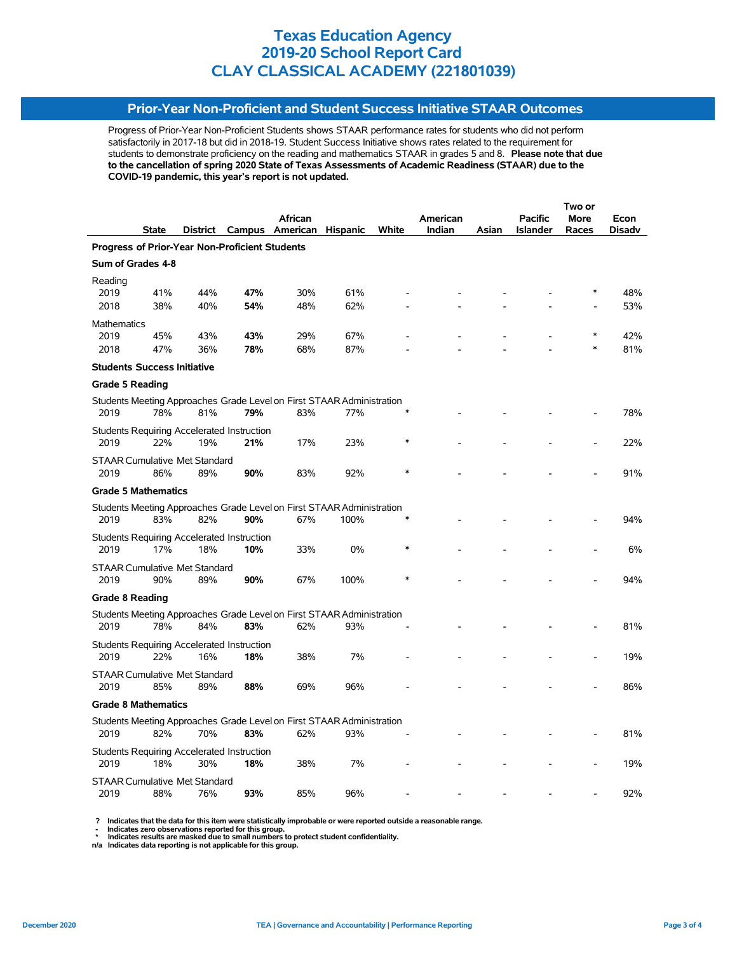### **Prior-Year Non-Proficient and Student Success Initiative STAAR Outcomes**

Progress of Prior-Year Non-Proficient Students shows STAAR performance rates for students who did not perform satisfactorily in 2017-18 but did in 2018-19. Student Success Initiative shows rates related to the requirement for students to demonstrate proficiency on the reading and mathematics STAAR in grades 5 and 8. **Please note that due to the cancellation of spring 2020 State of Texas Assessments of Academic Readiness (STAAR) due to the COVID-19 pandemic, this year's report is not updated.**

|                        |                                             |          |                                                |                                                                       |                 |       |          |       |                 | Two or |        |
|------------------------|---------------------------------------------|----------|------------------------------------------------|-----------------------------------------------------------------------|-----------------|-------|----------|-------|-----------------|--------|--------|
|                        |                                             |          |                                                | African                                                               |                 |       | American |       | <b>Pacific</b>  | More   | Econ   |
|                        | <b>State</b>                                | District |                                                | Campus American                                                       | <b>Hispanic</b> | White | Indian   | Asian | <b>Islander</b> | Races  | Disadv |
|                        |                                             |          | Progress of Prior-Year Non-Proficient Students |                                                                       |                 |       |          |       |                 |        |        |
| Sum of Grades 4-8      |                                             |          |                                                |                                                                       |                 |       |          |       |                 |        |        |
| Reading                |                                             |          |                                                |                                                                       |                 |       |          |       |                 |        |        |
| 2019                   | 41%                                         | 44%      | 47%                                            | 30%                                                                   | 61%             |       |          |       |                 |        | 48%    |
| 2018                   | 38%                                         | 40%      | 54%                                            | 48%                                                                   | 62%             |       |          |       |                 |        | 53%    |
| <b>Mathematics</b>     |                                             |          |                                                |                                                                       |                 |       |          |       |                 |        |        |
| 2019                   | 45%                                         | 43%      | 43%                                            | 29%                                                                   | 67%             |       |          |       |                 |        | 42%    |
| 2018                   | 47%                                         | 36%      | 78%                                            | 68%                                                                   | 87%             |       |          |       |                 |        | 81%    |
|                        | <b>Students Success Initiative</b>          |          |                                                |                                                                       |                 |       |          |       |                 |        |        |
| <b>Grade 5 Reading</b> |                                             |          |                                                |                                                                       |                 |       |          |       |                 |        |        |
|                        |                                             |          |                                                | Students Meeting Approaches Grade Level on First STAAR Administration |                 |       |          |       |                 |        |        |
| 2019                   | 78%                                         | 81%      | 79%                                            | 83%                                                                   | 77%             |       |          |       |                 |        | 78%    |
|                        |                                             |          | Students Requiring Accelerated Instruction     |                                                                       |                 |       |          |       |                 |        |        |
| 2019                   | 22%                                         | 19%      | 21%                                            | 17%                                                                   | 23%             |       |          |       |                 |        | 22%    |
|                        | <b>STAAR Cumulative Met Standard</b>        |          |                                                |                                                                       |                 |       |          |       |                 |        |        |
| 2019                   | 86%                                         | 89%      | 90%                                            | 83%                                                                   | 92%             |       |          |       |                 |        | 91%    |
|                        | <b>Grade 5 Mathematics</b>                  |          |                                                |                                                                       |                 |       |          |       |                 |        |        |
|                        |                                             |          |                                                | Students Meeting Approaches Grade Level on First STAAR Administration |                 |       |          |       |                 |        |        |
| 2019                   | 83%                                         | 82%      | 90%                                            | 67%                                                                   | 100%            |       |          |       |                 |        | 94%    |
|                        |                                             |          | Students Requiring Accelerated Instruction     |                                                                       |                 |       |          |       |                 |        |        |
| 2019                   | 17%                                         | 18%      | 10%                                            | 33%                                                                   | 0%              |       |          |       |                 |        | 6%     |
|                        | <b>STAAR Cumulative Met Standard</b>        |          |                                                |                                                                       |                 |       |          |       |                 |        |        |
| 2019                   | 90%                                         | 89%      | 90%                                            | 67%                                                                   | 100%            |       |          |       |                 |        | 94%    |
| <b>Grade 8 Reading</b> |                                             |          |                                                |                                                                       |                 |       |          |       |                 |        |        |
|                        |                                             |          |                                                | Students Meeting Approaches Grade Level on First STAAR Administration |                 |       |          |       |                 |        |        |
| 2019                   | 78%                                         | 84%      | 83%                                            | 62%                                                                   | 93%             |       |          |       |                 |        | 81%    |
|                        |                                             |          | Students Requiring Accelerated Instruction     |                                                                       |                 |       |          |       |                 |        |        |
| 2019                   | 22%                                         | 16%      | 18%                                            | 38%                                                                   | 7%              |       |          |       |                 |        | 19%    |
|                        | <b>STAAR Cumulative Met Standard</b>        |          |                                                |                                                                       |                 |       |          |       |                 |        |        |
| 2019                   | 85%                                         | 89%      | 88%                                            | 69%                                                                   | 96%             |       |          |       |                 |        | 86%    |
|                        | <b>Grade 8 Mathematics</b>                  |          |                                                |                                                                       |                 |       |          |       |                 |        |        |
|                        |                                             |          |                                                | Students Meeting Approaches Grade Level on First STAAR Administration |                 |       |          |       |                 |        |        |
| 2019                   | 82%                                         | 70%      | 83%                                            | 62%                                                                   | 93%             |       |          |       |                 |        | 81%    |
|                        |                                             |          | Students Requiring Accelerated Instruction     |                                                                       |                 |       |          |       |                 |        |        |
| 2019                   | 18%                                         | 30%      | 18%                                            | 38%                                                                   | 7%              |       |          |       |                 |        | 19%    |
|                        | <b>STAAR Cumulative Met Standard</b><br>88% | 76%      | 93%                                            | 85%                                                                   | 96%             |       |          |       |                 |        |        |
| 2019                   |                                             |          |                                                |                                                                       |                 |       |          |       |                 |        | 92%    |

 **? Indicates that the data for this item were statistically improbable or were reported outside a reasonable range.**

 **- Indicates zero observations reported for this group.**

 **\* Indicates results are masked due to small numbers to protect student confidentiality. n/a Indicates data reporting is not applicable for this group.**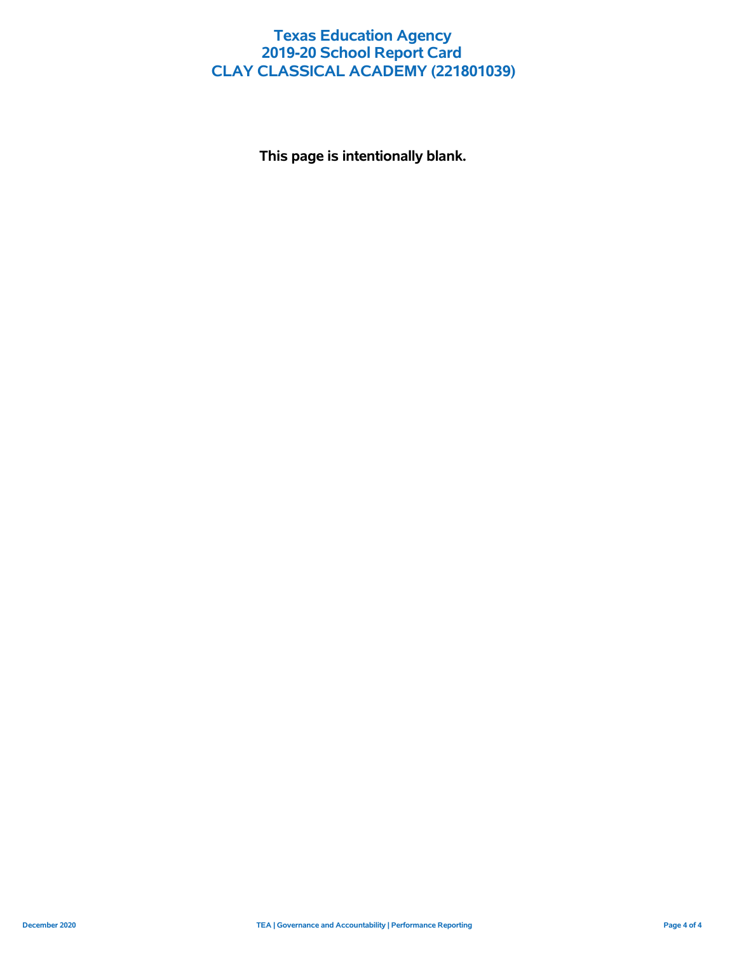**This page is intentionally blank.**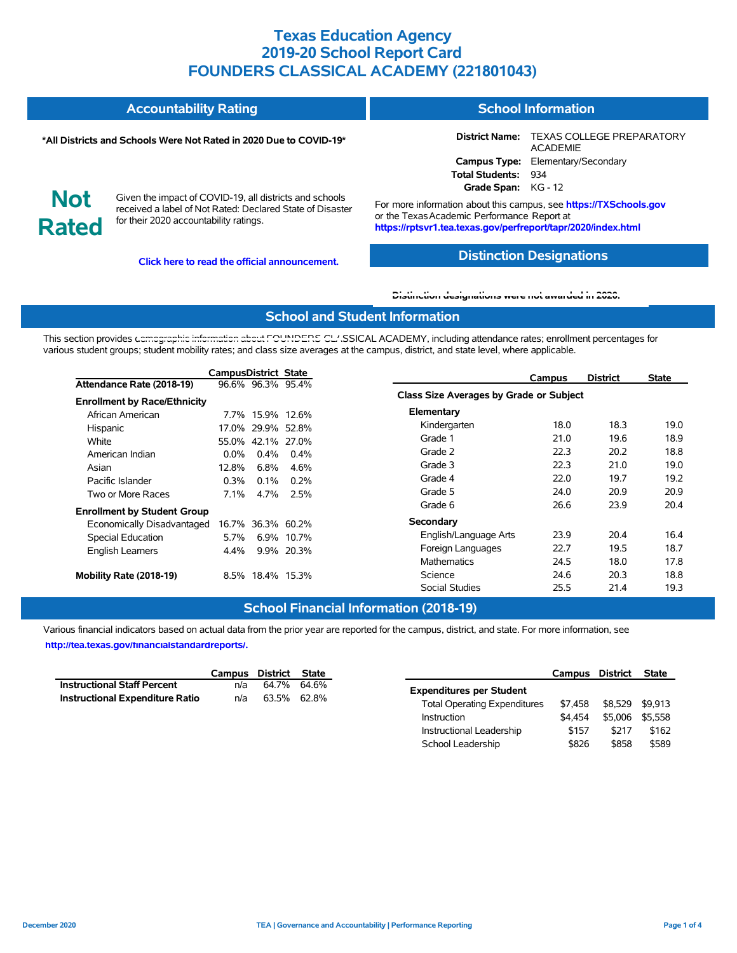|                            | <b>Accountability Rating</b>                                                                                                                                   |                                                                                                                                                                                   | <b>School Information</b>                           |
|----------------------------|----------------------------------------------------------------------------------------------------------------------------------------------------------------|-----------------------------------------------------------------------------------------------------------------------------------------------------------------------------------|-----------------------------------------------------|
|                            | *All Districts and Schools Were Not Rated in 2020 Due to COVID-19*                                                                                             | <b>District Name:</b>                                                                                                                                                             | <b>TEXAS COLLEGE PREPARATORY</b><br><b>ACADEMIE</b> |
|                            |                                                                                                                                                                |                                                                                                                                                                                   | Campus Type: Elementary/Secondary                   |
|                            |                                                                                                                                                                | <b>Total Students: 934</b>                                                                                                                                                        |                                                     |
|                            |                                                                                                                                                                | Grade Span: KG - 12                                                                                                                                                               |                                                     |
| <b>Not</b><br><b>Rated</b> | Given the impact of COVID-19, all districts and schools<br>received a label of Not Rated: Declared State of Disaster<br>for their 2020 accountability ratings. | For more information about this campus, see https://TXSchools.gov<br>or the Texas Academic Performance Report at<br>https://rptsvr1.tea.texas.gov/perfreport/tapr/2020/index.html |                                                     |

**Click here to read the official announcement.**

#### **Distinction Designations**

Instructional Leadership  $$157$  \$217 \$162 School Leadership  $$826$  \$858 \$589

#### **[Distinction designations were not awarded in 2020.](https://rptsvr1.tea.texas.gov/perfreport/tapr/2020/index.html)**

#### **School and Student Information**

This section provides [demographic information about FOUNDERS CLA](https://tea.texas.gov/about-tea/news-and-multimedia/correspondence/taa-letters/every-student-succeeds-act-essa-waiver-approval-2020-state-academic-accountability)SSICAL ACADEMY, including attendance rates; enrollment percentages for various student groups; student mobility rates; and class size averages at the campus, district, and state level, where applicable.

|                                     | <b>CampusDistrict State</b> |             |                                         | Campus | <b>District</b> | <b>State</b> |
|-------------------------------------|-----------------------------|-------------|-----------------------------------------|--------|-----------------|--------------|
| Attendance Rate (2018-19)           | 96.6% 96.3% 95.4%           |             |                                         |        |                 |              |
| <b>Enrollment by Race/Ethnicity</b> |                             |             | Class Size Averages by Grade or Subject |        |                 |              |
| African American                    | 7.7% 15.9% 12.6%            |             | Elementary                              |        |                 |              |
| Hispanic                            | 17.0%                       | 29.9% 52.8% | Kindergarten                            | 18.0   | 18.3            | 19.0         |
| White                               | 55.0% 42.1% 27.0%           |             | Grade 1                                 | 21.0   | 19.6            | 18.9         |
| American Indian                     | $0.0\%$<br>$0.4\%$          | $0.4\%$     | Grade 2                                 | 22.3   | 20.2            | 18.8         |
| Asian                               | 12.8%<br>6.8%               | 4.6%        | Grade 3                                 | 22.3   | 21.0            | 19.0         |
| Pacific Islander                    | 0.3%<br>$0.1\%$             | 0.2%        | Grade 4                                 | 22.0   | 19.7            | 19.2         |
| Two or More Races                   | 7.1%<br>4.7%                | 2.5%        | Grade 5                                 | 24.0   | 20.9            | 20.9         |
| <b>Enrollment by Student Group</b>  |                             |             | Grade 6                                 | 26.6   | 23.9            | 20.4         |
| Economically Disadvantaged          | 16.7%                       | 36.3% 60.2% | Secondary                               |        |                 |              |
| Special Education                   | 5.7%                        | 6.9% 10.7%  | English/Language Arts                   | 23.9   | 20.4            | 16.4         |
| <b>English Learners</b>             | 4.4%                        | 9.9% 20.3%  | Foreign Languages                       | 22.7   | 19.5            | 18.7         |
|                                     |                             |             | <b>Mathematics</b>                      | 24.5   | 18.0            | 17.8         |
| Mobility Rate (2018-19)             | 8.5%                        | 18.4% 15.3% | Science                                 | 24.6   | 20.3            | 18.8         |
|                                     |                             |             | Social Studies                          | 25.5   | 214             | 19.3         |

### **School Financial Information (2018-19)**

Various financial indicators based on actual data from the prior year are reported for the campus, district, and state. For more information, see

**[http://tea.texas.gov/financialstandardreports/.](http://tea.texas.gov/financialstandardreports/)**

|                                        |     | Campus District State |             |
|----------------------------------------|-----|-----------------------|-------------|
| <b>Instructional Staff Percent</b>     | n/a |                       | 64.7% 64.6% |
| <b>Instructional Expenditure Ratio</b> | n/a |                       | 63.5% 62.8% |
|                                        |     |                       |             |

Ē,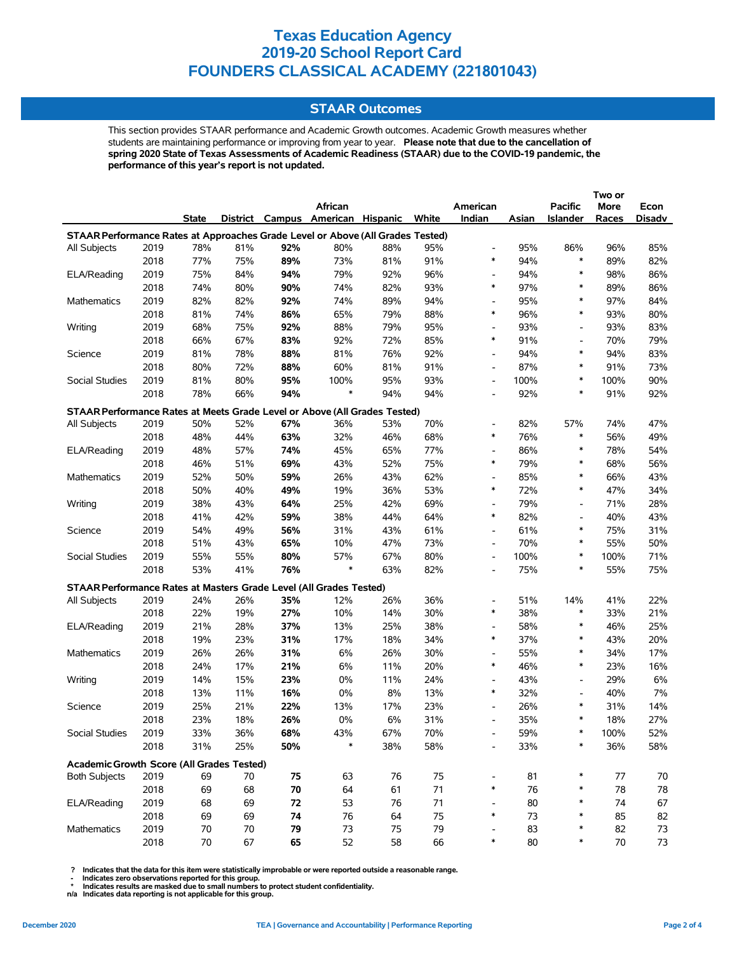### **STAAR Outcomes**

This section provides STAAR performance and Academic Growth outcomes. Academic Growth measures whether students are maintaining performance or improving from year to year. **Please note that due to the cancellation of spring 2020 State of Texas Assessments of Academic Readiness (STAAR) due to the COVID-19 pandemic, the performance of this year's report is not updated.**

|                                                                                |      |        |     |     |                                   |     |       |                          |       |                              | Two or |        |
|--------------------------------------------------------------------------------|------|--------|-----|-----|-----------------------------------|-----|-------|--------------------------|-------|------------------------------|--------|--------|
|                                                                                |      |        |     |     | African                           |     |       | American                 |       | <b>Pacific</b>               | More   | Econ   |
|                                                                                |      | State  |     |     | District Campus American Hispanic |     | White | Indian                   | Asian | <b>Islander</b>              | Races  | Disadv |
| STAAR Performance Rates at Approaches Grade Level or Above (All Grades Tested) |      |        |     |     |                                   |     |       |                          |       |                              |        |        |
| All Subjects                                                                   | 2019 | 78%    | 81% | 92% | 80%                               | 88% | 95%   | $\overline{\phantom{a}}$ | 95%   | 86%                          | 96%    | 85%    |
|                                                                                | 2018 | 77%    | 75% | 89% | 73%                               | 81% | 91%   | $\ast$                   | 94%   | $\ast$                       | 89%    | 82%    |
| ELA/Reading                                                                    | 2019 | 75%    | 84% | 94% | 79%                               | 92% | 96%   | $\overline{\phantom{a}}$ | 94%   | $\ast$                       | 98%    | 86%    |
|                                                                                | 2018 | 74%    | 80% | 90% | 74%                               | 82% | 93%   | $\ast$                   | 97%   | $\ast$                       | 89%    | 86%    |
| Mathematics                                                                    | 2019 | 82%    | 82% | 92% | 74%                               | 89% | 94%   | $\overline{\phantom{a}}$ | 95%   | $\ast$                       | 97%    | 84%    |
|                                                                                | 2018 | 81%    | 74% | 86% | 65%                               | 79% | 88%   | $\ast$                   | 96%   | $\ast$                       | 93%    | 80%    |
| Writing                                                                        | 2019 | 68%    | 75% | 92% | 88%                               | 79% | 95%   | $\overline{\phantom{a}}$ | 93%   | $\overline{\phantom{0}}$     | 93%    | 83%    |
|                                                                                | 2018 | 66%    | 67% | 83% | 92%                               | 72% | 85%   | $\ast$                   | 91%   | $\overline{\phantom{a}}$     | 70%    | 79%    |
| Science                                                                        | 2019 | 81%    | 78% | 88% | 81%                               | 76% | 92%   | $\overline{\phantom{a}}$ | 94%   | $\ast$                       | 94%    | 83%    |
|                                                                                | 2018 | 80%    | 72% | 88% | 60%                               | 81% | 91%   | $\overline{\phantom{a}}$ | 87%   | $\ast$                       | 91%    | 73%    |
| Social Studies                                                                 | 2019 | 81%    | 80% | 95% | 100%                              | 95% | 93%   | $\overline{\phantom{a}}$ | 100%  | $\ast$                       | 100%   | 90%    |
|                                                                                | 2018 | 78%    | 66% | 94% | $\ast$                            | 94% | 94%   | $\overline{\phantom{a}}$ | 92%   | $\ast$                       | 91%    | 92%    |
| STAAR Performance Rates at Meets Grade Level or Above (All Grades Tested)      |      |        |     |     |                                   |     |       |                          |       |                              |        |        |
| All Subjects                                                                   | 2019 | 50%    | 52% | 67% | 36%                               | 53% | 70%   | $\overline{\phantom{a}}$ | 82%   | 57%                          | 74%    | 47%    |
|                                                                                | 2018 | 48%    | 44% | 63% | 32%                               | 46% | 68%   | $\ast$                   | 76%   | $\ast$                       | 56%    | 49%    |
| ELA/Reading                                                                    | 2019 | 48%    | 57% | 74% | 45%                               | 65% | 77%   | $\overline{\phantom{a}}$ | 86%   | $\ast$                       | 78%    | 54%    |
|                                                                                | 2018 | 46%    | 51% | 69% | 43%                               | 52% | 75%   | $\ast$                   | 79%   | $\ast$                       | 68%    | 56%    |
| Mathematics                                                                    | 2019 | 52%    | 50% | 59% | 26%                               | 43% | 62%   | $\blacksquare$           | 85%   | $\ast$                       | 66%    | 43%    |
|                                                                                | 2018 | 50%    | 40% | 49% | 19%                               | 36% | 53%   | $\ast$                   | 72%   | $\ast$                       | 47%    | 34%    |
| Writing                                                                        | 2019 | 38%    | 43% | 64% | 25%                               | 42% | 69%   | $\overline{\phantom{a}}$ | 79%   | $\overline{\phantom{a}}$     | 71%    | 28%    |
|                                                                                | 2018 | 41%    | 42% | 59% | 38%                               | 44% | 64%   | $\ast$                   | 82%   | $\qquad \qquad \blacksquare$ | 40%    | 43%    |
| Science                                                                        | 2019 | 54%    | 49% | 56% | 31%                               | 43% | 61%   | $\overline{\phantom{a}}$ | 61%   | $\ast$                       | 75%    | 31%    |
|                                                                                | 2018 | 51%    | 43% | 65% | 10%                               | 47% | 73%   | $\overline{\phantom{a}}$ | 70%   | $\ast$                       | 55%    | 50%    |
| Social Studies                                                                 | 2019 | 55%    | 55% | 80% | 57%                               | 67% | 80%   | $\blacksquare$           | 100%  | $\ast$                       | 100%   | 71%    |
|                                                                                | 2018 | 53%    | 41% | 76% | ∗                                 | 63% | 82%   | $\overline{\phantom{a}}$ | 75%   | $\ast$                       | 55%    | 75%    |
|                                                                                |      |        |     |     |                                   |     |       |                          |       |                              |        |        |
| STAAR Performance Rates at Masters Grade Level (All Grades Tested)             |      |        |     |     |                                   |     |       |                          |       |                              |        |        |
| All Subjects                                                                   | 2019 | 24%    | 26% | 35% | 12%                               | 26% | 36%   | $\overline{\phantom{a}}$ | 51%   | 14%<br>$\ast$                | 41%    | 22%    |
|                                                                                | 2018 | 22%    | 19% | 27% | 10%                               | 14% | 30%   | $\ast$                   | 38%   |                              | 33%    | 21%    |
| ELA/Reading                                                                    | 2019 | 21%    | 28% | 37% | 13%                               | 25% | 38%   | $\overline{\phantom{a}}$ | 58%   | $\ast$                       | 46%    | 25%    |
|                                                                                | 2018 | 19%    | 23% | 31% | 17%                               | 18% | 34%   | $\ast$                   | 37%   | $\ast$                       | 43%    | 20%    |
| <b>Mathematics</b>                                                             | 2019 | 26%    | 26% | 31% | 6%                                | 26% | 30%   | $\overline{\phantom{a}}$ | 55%   | $\ast$                       | 34%    | 17%    |
|                                                                                | 2018 | 24%    | 17% | 21% | 6%                                | 11% | 20%   | $\ast$                   | 46%   | $\ast$                       | 23%    | 16%    |
| Writing                                                                        | 2019 | 14%    | 15% | 23% | 0%                                | 11% | 24%   | $\overline{\phantom{a}}$ | 43%   | $\overline{\phantom{0}}$     | 29%    | 6%     |
|                                                                                | 2018 | 13%    | 11% | 16% | $0\%$                             | 8%  | 13%   | $\ast$                   | 32%   | $\overline{\phantom{a}}$     | 40%    | 7%     |
| Science                                                                        | 2019 | 25%    | 21% | 22% | 13%                               | 17% | 23%   | $\overline{\phantom{a}}$ | 26%   | $\ast$                       | 31%    | 14%    |
|                                                                                | 2018 | 23%    | 18% | 26% | 0%                                | 6%  | 31%   | $\overline{\phantom{a}}$ | 35%   | $\ast$                       | 18%    | 27%    |
| Social Studies                                                                 | 2019 | 33%    | 36% | 68% | 43%                               | 67% | 70%   |                          | 59%   |                              | 100%   | 52%    |
|                                                                                | 2018 | 31%    | 25% | 50% | ∗                                 | 38% | 58%   |                          | 33%   |                              | 36%    | 58%    |
| Academic Growth Score (All Grades Tested)                                      |      |        |     |     |                                   |     |       |                          |       |                              |        |        |
| <b>Both Subjects</b>                                                           | 2019 | 69     | 70  | 75  | 63                                | 76  | 75    | $\overline{\phantom{a}}$ | 81    | $\ast$                       | 77     | 70     |
|                                                                                | 2018 | 69     | 68  | 70  | 64                                | 61  | 71    | $\ast$                   | 76    | *                            | 78     | 78     |
| ELA/Reading                                                                    | 2019 | 68     | 69  | 72  | 53                                | 76  | 71    | $\overline{\phantom{a}}$ | 80    | *                            | 74     | 67     |
|                                                                                | 2018 | 69     | 69  | 74  | 76                                | 64  | 75    | $\ast$                   | 73    | *                            | 85     | 82     |
| Mathematics                                                                    | 2019 | 70     | 70  | 79  | 73                                | 75  | 79    |                          | 83    | *                            | 82     | 73     |
|                                                                                | 2018 | $70\,$ | 67  | 65  | 52                                | 58  | 66    | $\ast$                   | 80    | *                            | $70\,$ | 73     |

 **? Indicates that the data for this item were statistically improbable or were reported outside a reasonable range.**

 **- Indicates zero observations reported for this group. \* Indicates results are masked due to small numbers to protect student confidentiality.**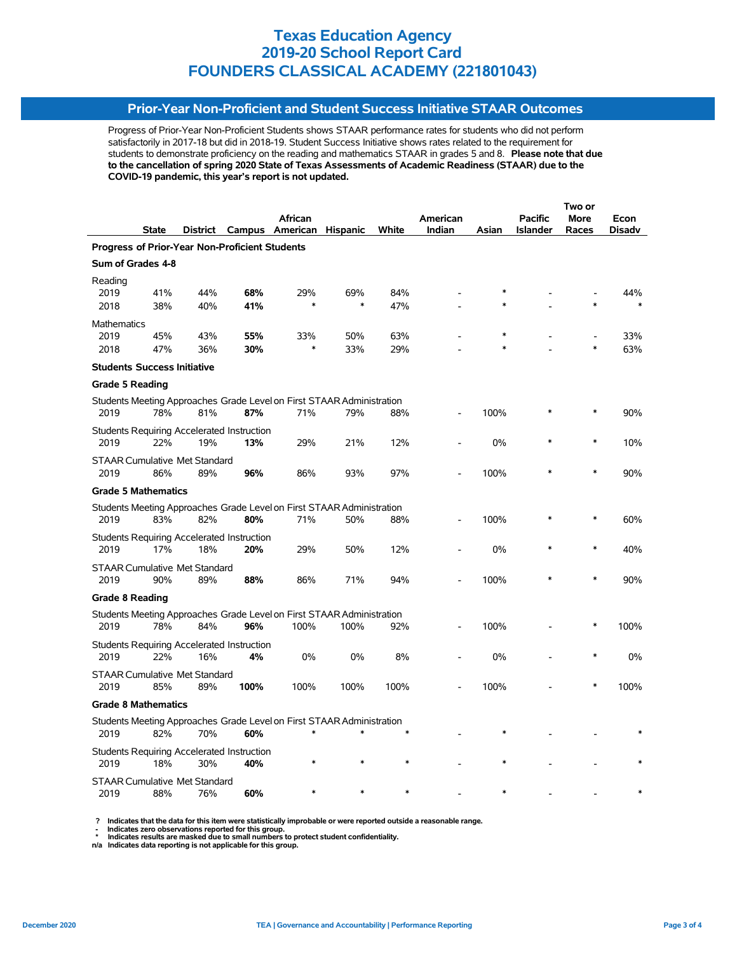### **Prior-Year Non-Proficient and Student Success Initiative STAAR Outcomes**

Progress of Prior-Year Non-Proficient Students shows STAAR performance rates for students who did not perform satisfactorily in 2017-18 but did in 2018-19. Student Success Initiative shows rates related to the requirement for students to demonstrate proficiency on the reading and mathematics STAAR in grades 5 and 8. **Please note that due to the cancellation of spring 2020 State of Texas Assessments of Academic Readiness (STAAR) due to the COVID-19 pandemic, this year's report is not updated.**

|                                              |              |          |                                                          |                                                                       |        |       |          |        |                | Two or      |        |
|----------------------------------------------|--------------|----------|----------------------------------------------------------|-----------------------------------------------------------------------|--------|-------|----------|--------|----------------|-------------|--------|
|                                              |              |          |                                                          | African                                                               |        |       | American |        | <b>Pacific</b> | <b>More</b> | Econ   |
|                                              | <b>State</b> | District |                                                          | Campus American Hispanic                                              |        | White | Indian   | Asian  | Islander       | Races       | Disadv |
|                                              |              |          | Progress of Prior-Year Non-Proficient Students           |                                                                       |        |       |          |        |                |             |        |
| Sum of Grades 4-8                            |              |          |                                                          |                                                                       |        |       |          |        |                |             |        |
| Reading                                      |              |          |                                                          |                                                                       |        |       |          |        |                |             |        |
| 2019                                         | 41%          | 44%      | 68%                                                      | 29%                                                                   | 69%    | 84%   |          |        |                |             | 44%    |
| 2018                                         | 38%          | 40%      | 41%                                                      | $\ast$                                                                | *      | 47%   |          |        |                |             |        |
| <b>Mathematics</b>                           |              |          |                                                          |                                                                       |        |       |          |        |                |             |        |
| 2019                                         | 45%          | 43%      | 55%                                                      | 33%                                                                   | 50%    | 63%   |          | $\ast$ |                |             | 33%    |
| 2018                                         | 47%          | 36%      | 30%                                                      | $\ast$                                                                | 33%    | 29%   |          |        |                | $\ast$      | 63%    |
| <b>Students Success Initiative</b>           |              |          |                                                          |                                                                       |        |       |          |        |                |             |        |
| <b>Grade 5 Reading</b>                       |              |          |                                                          |                                                                       |        |       |          |        |                |             |        |
|                                              |              |          |                                                          | Students Meeting Approaches Grade Level on First STAAR Administration |        |       |          |        |                |             |        |
| 2019                                         | 78%          | 81%      | 87%                                                      | 71%                                                                   | 79%    | 88%   |          | 100%   |                |             | 90%    |
|                                              |              |          | <b>Students Requiring Accelerated Instruction</b>        |                                                                       |        |       |          |        |                |             |        |
| 2019                                         | 22%          | 19%      | 13%                                                      | 29%                                                                   | 21%    | 12%   |          | 0%     |                | $\ast$      | 10%    |
| <b>STAAR Cumulative Met Standard</b>         |              |          |                                                          |                                                                       |        |       |          |        |                |             |        |
| 2019                                         | 86%          | 89%      | 96%                                                      | 86%                                                                   | 93%    | 97%   |          | 100%   |                | $\ast$      | 90%    |
| <b>Grade 5 Mathematics</b>                   |              |          |                                                          |                                                                       |        |       |          |        |                |             |        |
|                                              |              |          |                                                          | Students Meeting Approaches Grade Level on First STAAR Administration |        |       |          |        |                |             |        |
| 2019                                         | 83%          | 82%      | 80%                                                      | 71%                                                                   | 50%    | 88%   |          | 100%   | $\ast$         | $\ast$      | 60%    |
|                                              |              |          |                                                          |                                                                       |        |       |          |        |                |             |        |
| 2019                                         | 17%          | 18%      | <b>Students Requiring Accelerated Instruction</b><br>20% | 29%                                                                   | 50%    | 12%   |          | 0%     | $\ast$         | *           | 40%    |
|                                              |              |          |                                                          |                                                                       |        |       |          |        |                |             |        |
| <b>STAAR Cumulative Met Standard</b><br>2019 | 90%          | 89%      | 88%                                                      | 86%                                                                   | 71%    | 94%   |          | 100%   |                | $\ast$      | 90%    |
|                                              |              |          |                                                          |                                                                       |        |       |          |        |                |             |        |
| <b>Grade 8 Reading</b>                       |              |          |                                                          |                                                                       |        |       |          |        |                |             |        |
|                                              |              |          |                                                          | Students Meeting Approaches Grade Level on First STAAR Administration |        |       |          |        |                |             |        |
| 2019                                         | 78%          | 84%      | 96%                                                      | 100%                                                                  | 100%   | 92%   |          | 100%   |                |             | 100%   |
|                                              |              |          | Students Requiring Accelerated Instruction               |                                                                       |        |       |          |        |                |             |        |
| 2019                                         | 22%          | 16%      | 4%                                                       | 0%                                                                    | 0%     | 8%    |          | 0%     |                | $\ast$      | 0%     |
| <b>STAAR Cumulative Met Standard</b>         |              |          |                                                          |                                                                       |        |       |          |        |                |             |        |
| 2019                                         | 85%          | 89%      | 100%                                                     | 100%                                                                  | 100%   | 100%  |          | 100%   |                | $\ast$      | 100%   |
| <b>Grade 8 Mathematics</b>                   |              |          |                                                          |                                                                       |        |       |          |        |                |             |        |
|                                              |              |          |                                                          | Students Meeting Approaches Grade Level on First STAAR Administration |        |       |          |        |                |             |        |
| 2019                                         | 82%          | 70%      | 60%                                                      |                                                                       |        |       |          |        |                |             |        |
|                                              |              |          | <b>Students Requiring Accelerated Instruction</b>        |                                                                       |        |       |          |        |                |             |        |
| 2019                                         | 18%          | 30%      | 40%                                                      |                                                                       |        |       |          |        |                |             |        |
| <b>STAAR Cumulative Met Standard</b>         |              |          |                                                          |                                                                       |        |       |          |        |                |             |        |
| 2019                                         | 88%          | 76%      | 60%                                                      |                                                                       | $\ast$ |       |          | $\ast$ |                |             |        |

 **? Indicates that the data for this item were statistically improbable or were reported outside a reasonable range.**

 **- Indicates zero observations reported for this group.**

 **\* Indicates results are masked due to small numbers to protect student confidentiality. n/a Indicates data reporting is not applicable for this group.**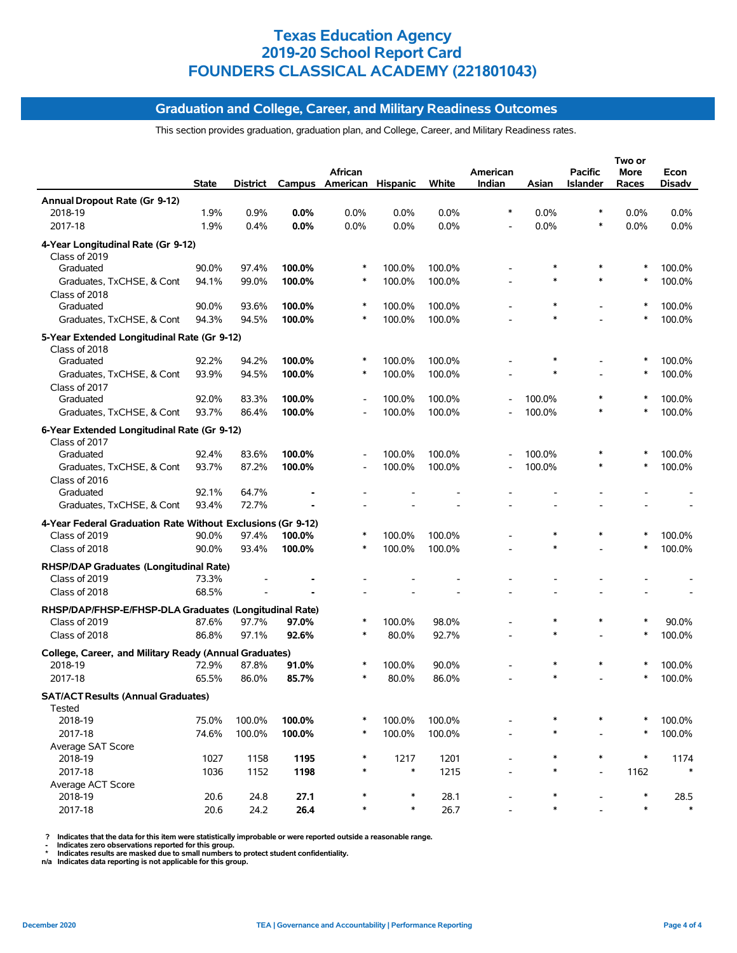### **Graduation and College, Career, and Military Readiness Outcomes**

This section provides graduation, graduation plan, and College, Career, and Military Readiness rates.

|                                                              | <b>State</b> | District | Campus | African<br>American Hispanic |        | White  | American<br>Indian | Asian  | <b>Pacific</b><br><b>Islander</b> | Two or<br>More<br>Races | Econ<br>Disadv |
|--------------------------------------------------------------|--------------|----------|--------|------------------------------|--------|--------|--------------------|--------|-----------------------------------|-------------------------|----------------|
| Annual Dropout Rate (Gr 9-12)                                |              |          |        |                              |        |        |                    |        |                                   |                         |                |
| 2018-19                                                      | 1.9%         | 0.9%     | 0.0%   | 0.0%                         | 0.0%   | 0.0%   | $\ast$             | 0.0%   | ∗                                 | $0.0\%$                 | $0.0\%$        |
| 2017-18                                                      | 1.9%         | 0.4%     | 0.0%   | 0.0%                         | 0.0%   | 0.0%   |                    | 0.0%   | $\ast$                            | 0.0%                    | 0.0%           |
| 4-Year Longitudinal Rate (Gr 9-12)<br>Class of 2019          |              |          |        |                              |        |        |                    |        |                                   |                         |                |
| Graduated                                                    | 90.0%        | 97.4%    | 100.0% |                              | 100.0% | 100.0% |                    |        |                                   |                         | 100.0%         |
| Graduates, TxCHSE, & Cont                                    | 94.1%        | 99.0%    | 100.0% | ∗                            | 100.0% | 100.0% |                    | $\ast$ |                                   | $\ast$                  | 100.0%         |
| Class of 2018<br>Graduated                                   | 90.0%        | 93.6%    | 100.0% | $\ast$                       | 100.0% | 100.0% |                    | $\ast$ |                                   |                         | 100.0%         |
| Graduates, TxCHSE, & Cont                                    | 94.3%        | 94.5%    | 100.0% |                              | 100.0% | 100.0% |                    | $\ast$ |                                   |                         | 100.0%         |
| 5-Year Extended Longitudinal Rate (Gr 9-12)<br>Class of 2018 |              |          |        |                              |        |        |                    |        |                                   |                         |                |
| Graduated                                                    | 92.2%        | 94.2%    | 100.0% |                              | 100.0% | 100.0% |                    |        |                                   |                         | 100.0%         |
| Graduates, TxCHSE, & Cont                                    | 93.9%        | 94.5%    | 100.0% |                              | 100.0% | 100.0% |                    | $\ast$ |                                   | $\ast$                  | 100.0%         |
| Class of 2017<br>Graduated                                   | 92.0%        | 83.3%    | 100.0% |                              | 100.0% | 100.0% |                    | 100.0% |                                   |                         | 100.0%         |
| Graduates, TxCHSE, & Cont                                    | 93.7%        | 86.4%    | 100.0% |                              | 100.0% | 100.0% |                    | 100.0% |                                   |                         | 100.0%         |
|                                                              |              |          |        |                              |        |        |                    |        |                                   |                         |                |
| 6-Year Extended Longitudinal Rate (Gr 9-12)<br>Class of 2017 |              |          |        |                              |        |        |                    |        |                                   |                         |                |
| Graduated                                                    | 92.4%        | 83.6%    | 100.0% |                              | 100.0% | 100.0% |                    | 100.0% |                                   |                         | 100.0%         |
| Graduates, TxCHSE, & Cont<br>Class of 2016                   | 93.7%        | 87.2%    | 100.0% |                              | 100.0% | 100.0% |                    | 100.0% |                                   | $\ast$                  | 100.0%         |
| Graduated                                                    | 92.1%        | 64.7%    |        |                              |        |        |                    |        |                                   |                         |                |
| Graduates, TxCHSE, & Cont                                    | 93.4%        | 72.7%    |        |                              |        |        |                    |        |                                   |                         |                |
| 4-Year Federal Graduation Rate Without Exclusions (Gr 9-12)  |              |          |        |                              |        |        |                    |        |                                   |                         |                |
| Class of 2019                                                | 90.0%        | 97.4%    | 100.0% |                              | 100.0% | 100.0% |                    | $\ast$ |                                   |                         | 100.0%         |
| Class of 2018                                                | 90.0%        | 93.4%    | 100.0% |                              | 100.0% | 100.0% |                    | $\ast$ |                                   |                         | 100.0%         |
| RHSP/DAP Graduates (Longitudinal Rate)                       |              |          |        |                              |        |        |                    |        |                                   |                         |                |
| Class of 2019                                                | 73.3%        |          |        |                              |        |        |                    |        |                                   |                         |                |
| Class of 2018                                                | 68.5%        |          |        |                              |        |        |                    |        |                                   |                         |                |
| RHSP/DAP/FHSP-E/FHSP-DLA Graduates (Longitudinal Rate)       |              |          |        |                              |        |        |                    |        |                                   |                         |                |
| Class of 2019                                                | 87.6%        | 97.7%    | 97.0%  |                              | 100.0% | 98.0%  |                    | $\ast$ |                                   |                         | 90.0%          |
| Class of 2018                                                | 86.8%        | 97.1%    | 92.6%  |                              | 80.0%  | 92.7%  |                    | $\ast$ |                                   |                         | 100.0%         |
| College, Career, and Military Ready (Annual Graduates)       |              |          |        |                              |        |        |                    |        |                                   |                         |                |
| 2018-19                                                      | 72.9%        | 87.8%    | 91.0%  |                              | 100.0% | 90.0%  |                    | $\ast$ |                                   |                         | 100.0%         |
| 2017-18                                                      | 65.5%        | 86.0%    | 85.7%  |                              | 80.0%  | 86.0%  |                    | $\ast$ |                                   |                         | 100.0%         |
| <b>SAT/ACT Results (Annual Graduates)</b><br>Tested          |              |          |        |                              |        |        |                    |        |                                   |                         |                |
| 2018-19                                                      | 75.0%        | 100.0%   | 100.0% |                              | 100.0% | 100.0% |                    |        |                                   |                         | 100.0%         |
| 2017-18                                                      | 74.6%        | 100.0%   | 100.0% | $\ast$                       | 100.0% | 100.0% |                    | $\ast$ |                                   | $\ast$                  | 100.0%         |
| Average SAT Score                                            |              |          |        |                              |        |        |                    |        |                                   |                         |                |
| 2018-19                                                      | 1027         | 1158     | 1195   |                              | 1217   | 1201   |                    | ∗      | $\ast$                            | $\ast$                  | 1174           |
| 2017-18                                                      | 1036         | 1152     | 1198   | $\ast$                       | $\ast$ | 1215   |                    | ∗      |                                   | 1162                    | $\ast$         |
| Average ACT Score                                            |              |          |        |                              |        |        |                    |        |                                   |                         |                |
| 2018-19                                                      | 20.6         | 24.8     | 27.1   |                              | $\ast$ | 28.1   |                    |        |                                   | $\ast$                  | 28.5           |
| 2017-18                                                      | 20.6         | 24.2     | 26.4   |                              | $\ast$ | 26.7   |                    | $\ast$ |                                   | $\ast$                  |                |

? Indicates that the data for this item were statistically improbable or were reported outside a reasonable range.<br>- Indicates zero observations reported for this group.<br>\* Indicates results are masked due to small numbers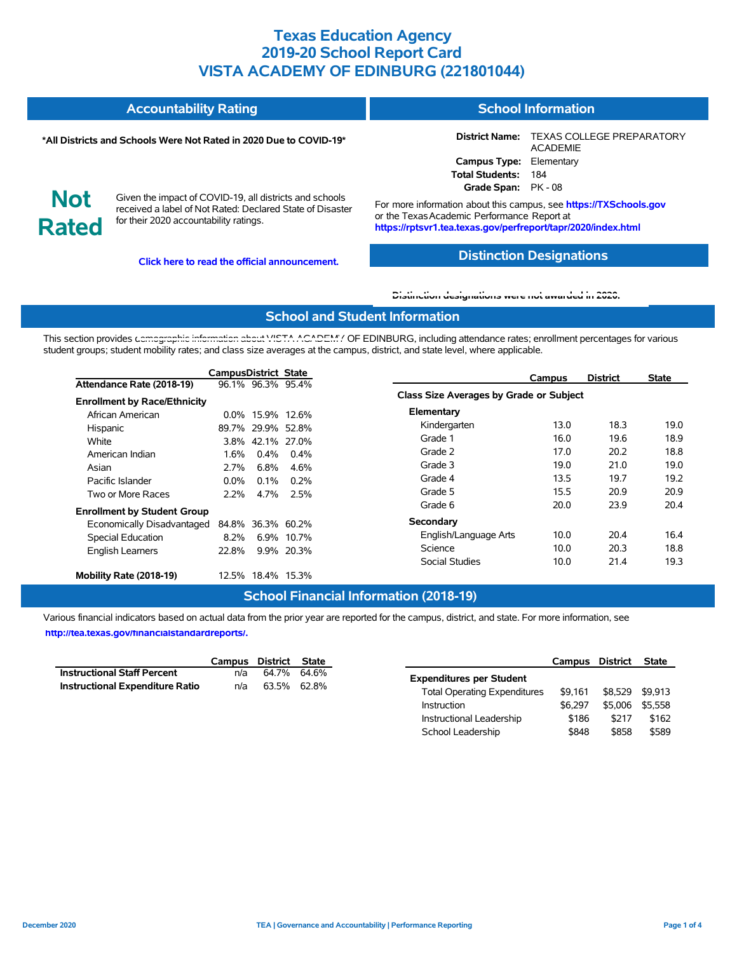|                            | <b>Accountability Rating</b>                                                                                                                                   |                                                                                                                                                                                   | <b>School Information</b>                           |
|----------------------------|----------------------------------------------------------------------------------------------------------------------------------------------------------------|-----------------------------------------------------------------------------------------------------------------------------------------------------------------------------------|-----------------------------------------------------|
|                            | *All Districts and Schools Were Not Rated in 2020 Due to COVID-19*                                                                                             | <b>District Name:</b>                                                                                                                                                             | <b>TEXAS COLLEGE PREPARATORY</b><br><b>ACADEMIE</b> |
|                            |                                                                                                                                                                | <b>Campus Type:</b>                                                                                                                                                               | Elementary                                          |
|                            |                                                                                                                                                                | <b>Total Students: 184</b>                                                                                                                                                        |                                                     |
|                            |                                                                                                                                                                | Grade Span: PK - 08                                                                                                                                                               |                                                     |
| <b>Not</b><br><b>Rated</b> | Given the impact of COVID-19, all districts and schools<br>received a label of Not Rated: Declared State of Disaster<br>for their 2020 accountability ratings. | For more information about this campus, see https://TXSchools.gov<br>or the Texas Academic Performance Report at<br>https://rptsvr1.tea.texas.gov/perfreport/tapr/2020/index.html |                                                     |

**Click here to read the official announcement.**

### **Distinction Designations**

School Leadership  $$848$  \$858 \$589

#### **[Distinction designations were not awarded in 2020.](https://rptsvr1.tea.texas.gov/perfreport/tapr/2020/index.html)**

### **School and Student Information**

This section provides [demographic information about VISTA ACADEMY](https://tea.texas.gov/about-tea/news-and-multimedia/correspondence/taa-letters/every-student-succeeds-act-essa-waiver-approval-2020-state-academic-accountability) OF EDINBURG, including attendance rates; enrollment percentages for various student groups; student mobility rates; and class size averages at the campus, district, and state level, where applicable.

|                                     | <b>CampusDistrict State</b> |         |             | <b>District</b><br><b>State</b><br>Campus |      |
|-------------------------------------|-----------------------------|---------|-------------|-------------------------------------------|------|
| Attendance Rate (2018-19)           | 96.1% 96.3% 95.4%           |         |             |                                           |      |
| <b>Enrollment by Race/Ethnicity</b> |                             |         |             | Class Size Averages by Grade or Subject   |      |
| African American                    | $0.0\%$                     |         | 15.9% 12.6% | Elementary                                |      |
| Hispanic                            | 89.7% 29.9% 52.8%           |         |             | Kindergarten<br>18.3<br>13.0              | 19.0 |
| White                               | 3.8% 42.1% 27.0%            |         |             | 19.6<br>Grade 1<br>16.0                   | 18.9 |
| American Indian                     | 1.6%                        | $0.4\%$ | $0.4\%$     | 20.2<br>Grade 2<br>17.0                   | 18.8 |
| Asian                               | 2.7%                        | 6.8%    | 4.6%        | 19.0<br>21.0<br>Grade 3                   | 19.0 |
| Pacific Islander                    | $0.0\%$                     | 0.1%    | 0.2%        | 19.7<br>13.5<br>Grade 4                   | 19.2 |
| Two or More Races                   | 2.2%                        | 4.7%    | 2.5%        | 20.9<br>Grade 5<br>15.5                   | 20.9 |
| <b>Enrollment by Student Group</b>  |                             |         |             | 23.9<br>20.0<br>Grade 6                   | 20.4 |
| Economically Disadvantaged          | 84.8% 36.3% 60.2%           |         |             | Secondary                                 |      |
| Special Education                   | 8.2%                        | 6.9%    | 10.7%       | 20.4<br>10.0<br>English/Language Arts     | 16.4 |
| <b>English Learners</b>             | 22.8%                       |         | 9.9% 20.3%  | 20.3<br>10.0<br>Science                   | 18.8 |
|                                     |                             |         |             | 21.4<br>Social Studies<br>10.0            | 19.3 |
| Mobility Rate (2018-19)             | 12.5%                       |         | 18.4% 15.3% |                                           |      |

### **School Financial Information (2018-19)**

Various financial indicators based on actual data from the prior year are reported for the campus, district, and state. For more information, see

**[http://tea.texas.gov/financialstandardreports/.](http://tea.texas.gov/financialstandardreports/)**

|                                 | Campus | District | State       |                                     | Campus  | District        | <b>State</b> |
|---------------------------------|--------|----------|-------------|-------------------------------------|---------|-----------------|--------------|
| Instructional Staff Percent     | n/a    |          | 64.7% 64.6% | <b>Expenditures per Student</b>     |         |                 |              |
| Instructional Expenditure Ratio | n/a    |          | 63.5% 62.8% | <b>Total Operating Expenditures</b> | \$9.161 | \$8,529 \$9,913 |              |
|                                 |        |          |             | Instruction                         | \$6.297 | \$5.006         | \$5.558      |
|                                 |        |          |             | Instructional Leadership            | \$186   | \$217           | \$162        |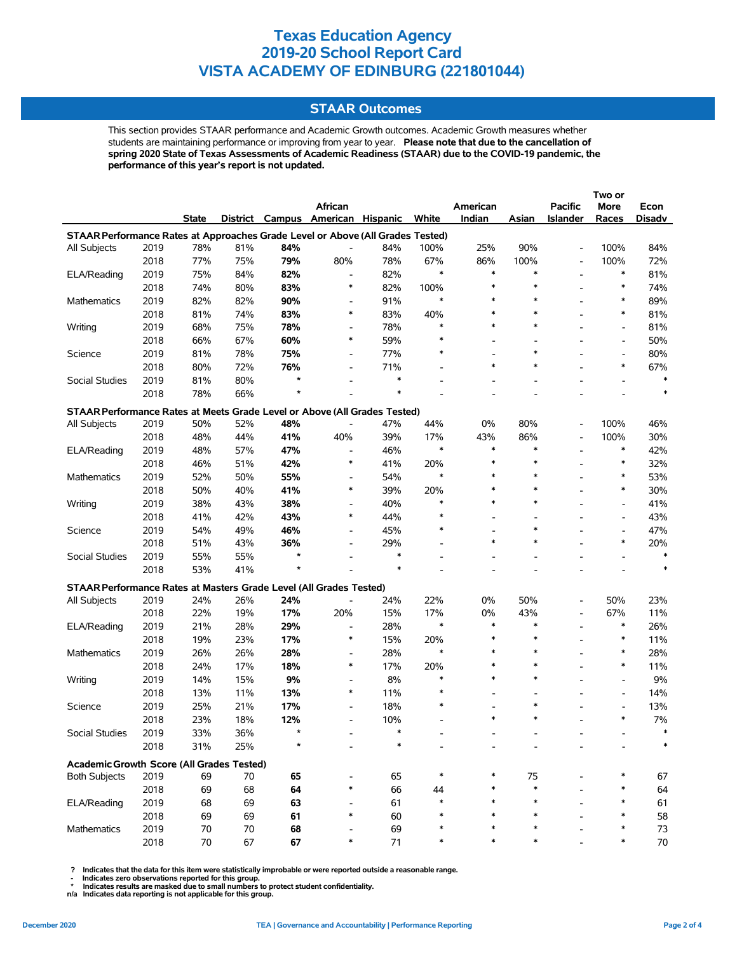### **STAAR Outcomes**

This section provides STAAR performance and Academic Growth outcomes. Academic Growth measures whether students are maintaining performance or improving from year to year. **Please note that due to the cancellation of spring 2020 State of Texas Assessments of Academic Readiness (STAAR) due to the COVID-19 pandemic, the performance of this year's report is not updated.**

|                                                                                |      |       |     |         |                          |                 |        |          |                          |                          | Two or                   |        |
|--------------------------------------------------------------------------------|------|-------|-----|---------|--------------------------|-----------------|--------|----------|--------------------------|--------------------------|--------------------------|--------|
|                                                                                |      |       |     |         | African                  |                 |        | American |                          | <b>Pacific</b>           | More                     | Econ   |
|                                                                                |      | State |     |         | District Campus American | <b>Hispanic</b> | White  | Indian   | Asian                    | <b>Islander</b>          | Races                    | Disadv |
| STAAR Performance Rates at Approaches Grade Level or Above (All Grades Tested) |      |       |     |         |                          |                 |        |          |                          |                          |                          |        |
| All Subjects                                                                   | 2019 | 78%   | 81% | 84%     |                          | 84%             | 100%   | 25%      | 90%                      | $\overline{a}$           | 100%                     | 84%    |
|                                                                                | 2018 | 77%   | 75% | 79%     | 80%                      | 78%             | 67%    | 86%      | 100%                     | $\overline{\phantom{a}}$ | 100%                     | 72%    |
| ELA/Reading                                                                    | 2019 | 75%   | 84% | 82%     | $\overline{\phantom{a}}$ | 82%             | $\ast$ | $\ast$   | $\ast$                   | $\overline{a}$           | $\ast$                   | 81%    |
|                                                                                | 2018 | 74%   | 80% | 83%     | $\ast$                   | 82%             | 100%   | $\ast$   | $\ast$                   |                          | $\ast$                   | 74%    |
| Mathematics                                                                    | 2019 | 82%   | 82% | 90%     | $\overline{\phantom{a}}$ | 91%             | $\ast$ | $\ast$   | $\ast$                   |                          | $\ast$                   | 89%    |
|                                                                                | 2018 | 81%   | 74% | 83%     | $\ast$                   | 83%             | 40%    | $\ast$   | $\ast$                   |                          | $\ast$                   | 81%    |
| Writing                                                                        | 2019 | 68%   | 75% | 78%     | $\overline{\phantom{a}}$ | 78%             | ∗      | $\ast$   | $\ast$                   |                          | $\overline{\phantom{a}}$ | 81%    |
|                                                                                | 2018 | 66%   | 67% | 60%     | $\ast$                   | 59%             |        |          |                          |                          | $\overline{\phantom{a}}$ | 50%    |
| Science                                                                        | 2019 | 81%   | 78% | 75%     | $\overline{\phantom{a}}$ | 77%             | $\ast$ |          | $\ast$                   |                          | $\overline{\phantom{a}}$ | 80%    |
|                                                                                | 2018 | 80%   | 72% | 76%     |                          | 71%             |        | $\ast$   | $\ast$                   |                          | $\ast$                   | 67%    |
| Social Studies                                                                 | 2019 | 81%   | 80% | $\star$ |                          | $\ast$          |        |          |                          |                          |                          | *      |
|                                                                                | 2018 | 78%   | 66% |         |                          | $\ast$          |        |          |                          |                          |                          | $\ast$ |
| STAAR Performance Rates at Meets Grade Level or Above (All Grades Tested)      |      |       |     |         |                          |                 |        |          |                          |                          |                          |        |
| All Subjects                                                                   | 2019 | 50%   | 52% | 48%     |                          | 47%             | 44%    | 0%       | 80%                      |                          | 100%                     | 46%    |
|                                                                                | 2018 | 48%   | 44% | 41%     | 40%                      | 39%             | 17%    | 43%      | 86%                      | $\overline{\phantom{a}}$ | 100%                     | 30%    |
| ELA/Reading                                                                    | 2019 | 48%   | 57% | 47%     | $\overline{\phantom{a}}$ | 46%             | $\ast$ | $\ast$   | $\ast$                   |                          | $\ast$                   | 42%    |
|                                                                                | 2018 | 46%   | 51% | 42%     | $\ast$                   | 41%             | 20%    | $\ast$   | $\ast$                   |                          | $\ast$                   | 32%    |
| Mathematics                                                                    | 2019 | 52%   | 50% | 55%     | $\overline{\phantom{a}}$ | 54%             | $\ast$ | $\ast$   | $\ast$                   | $\overline{a}$           | $\ast$                   | 53%    |
|                                                                                | 2018 | 50%   | 40% | 41%     | $\ast$                   | 39%             | 20%    | $\ast$   | *                        |                          | $\ast$                   | 30%    |
| Writing                                                                        | 2019 | 38%   | 43% | 38%     | $\overline{\phantom{a}}$ | 40%             | $\ast$ | $\ast$   | $\ast$                   |                          | $\overline{\phantom{a}}$ | 41%    |
|                                                                                | 2018 | 41%   | 42% | 43%     | $\ast$                   | 44%             | ∗      |          | $\overline{\phantom{a}}$ |                          | $\overline{\phantom{a}}$ | 43%    |
| Science                                                                        | 2019 | 54%   | 49% | 46%     | $\overline{\phantom{a}}$ | 45%             |        |          | *                        |                          | $\overline{\phantom{a}}$ | 47%    |
|                                                                                | 2018 | 51%   | 43% | 36%     |                          | 29%             |        | $\ast$   | $\ast$                   |                          | $\ast$                   | 20%    |
|                                                                                |      |       |     | $\star$ |                          | $\ast$          |        |          |                          |                          | $\overline{\phantom{a}}$ | $\ast$ |
| Social Studies                                                                 | 2019 | 55%   | 55% | $\star$ |                          | $\ast$          |        |          |                          |                          |                          |        |
|                                                                                | 2018 | 53%   | 41% |         |                          |                 |        |          |                          |                          |                          |        |
| STAAR Performance Rates at Masters Grade Level (All Grades Tested)             |      |       |     |         |                          |                 |        |          |                          |                          |                          |        |
| All Subjects                                                                   | 2019 | 24%   | 26% | 24%     |                          | 24%             | 22%    | 0%       | 50%                      |                          | 50%                      | 23%    |
|                                                                                | 2018 | 22%   | 19% | 17%     | 20%                      | 15%             | 17%    | 0%       | 43%                      |                          | 67%                      | 11%    |
| ELA/Reading                                                                    | 2019 | 21%   | 28% | 29%     | $\overline{\phantom{a}}$ | 28%             | ∗      | $\ast$   | $\ast$                   |                          | $\ast$                   | 26%    |
|                                                                                | 2018 | 19%   | 23% | 17%     | $\ast$                   | 15%             | 20%    | $\ast$   | $\ast$                   |                          | $\ast$                   | 11%    |
| Mathematics                                                                    | 2019 | 26%   | 26% | 28%     | $\overline{\phantom{a}}$ | 28%             | ∗      |          | $\ast$                   |                          | $\ast$                   | 28%    |
|                                                                                | 2018 | 24%   | 17% | 18%     | $\ast$                   | 17%             | 20%    | $\ast$   | $\ast$                   |                          | $\ast$                   | 11%    |
| Writing                                                                        | 2019 | 14%   | 15% | 9%      | $\overline{\phantom{a}}$ | 8%              | ∗      | $\ast$   | $\ast$                   |                          | $\overline{\phantom{a}}$ | 9%     |
|                                                                                | 2018 | 13%   | 11% | 13%     | $\ast$                   | 11%             |        |          |                          |                          | $\overline{\phantom{a}}$ | 14%    |
| Science                                                                        | 2019 | 25%   | 21% | 17%     | $\overline{\phantom{0}}$ | 18%             | ∗      |          | $\ast$                   |                          | $\overline{\phantom{a}}$ | 13%    |
|                                                                                | 2018 | 23%   | 18% | 12%     | $\overline{\phantom{0}}$ | 10%             |        | $\ast$   | *                        |                          | $\ast$                   | 7%     |
| Social Studies                                                                 | 2019 | 33%   | 36% |         |                          |                 |        |          |                          |                          |                          |        |
|                                                                                | 2018 | 31%   | 25% |         |                          |                 |        |          |                          |                          |                          |        |
| Academic Growth Score (All Grades Tested)                                      |      |       |     |         |                          |                 |        |          |                          |                          |                          |        |
| <b>Both Subjects</b>                                                           | 2019 | 69    | 70  | 65      |                          | 65              |        |          | 75                       |                          |                          | 67     |
|                                                                                | 2018 | 69    | 68  | 64      |                          | 66              | 44     |          | $\ast$                   |                          |                          | 64     |
| ELA/Reading                                                                    | 2019 | 68    | 69  | 63      |                          | 61              |        |          | *                        |                          |                          | 61     |
|                                                                                | 2018 | 69    | 69  | 61      | $\ast$                   | 60              |        |          | $\ast$                   |                          | $\ast$                   | 58     |
| Mathematics                                                                    | 2019 | 70    | 70  | 68      |                          | 69              |        |          |                          |                          |                          | 73     |
|                                                                                | 2018 | 70    | 67  | 67      | $\ast$                   | 71              |        |          | $\ast$                   |                          |                          | $70\,$ |
|                                                                                |      |       |     |         |                          |                 |        |          |                          |                          |                          |        |

 **? Indicates that the data for this item were statistically improbable or were reported outside a reasonable range.**

 **- Indicates zero observations reported for this group. \* Indicates results are masked due to small numbers to protect student confidentiality.**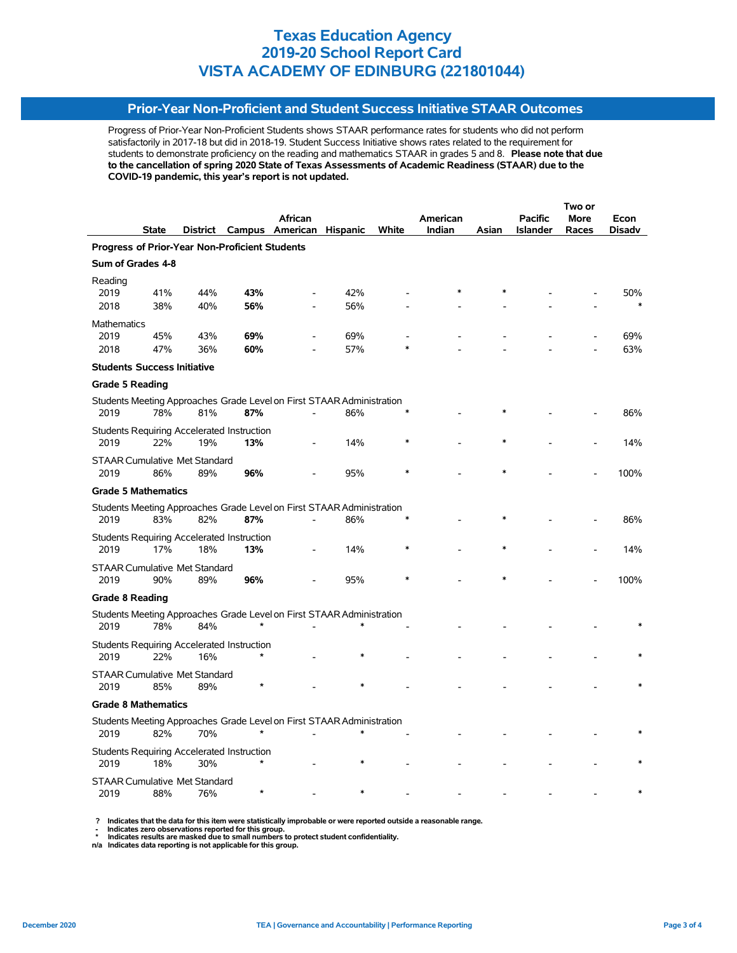### **Prior-Year Non-Proficient and Student Success Initiative STAAR Outcomes**

Progress of Prior-Year Non-Proficient Students shows STAAR performance rates for students who did not perform satisfactorily in 2017-18 but did in 2018-19. Student Success Initiative shows rates related to the requirement for students to demonstrate proficiency on the reading and mathematics STAAR in grades 5 and 8. **Please note that due to the cancellation of spring 2020 State of Texas Assessments of Academic Readiness (STAAR) due to the COVID-19 pandemic, this year's report is not updated.**

|                        |                                      |                 |                                                   |                                                                       |                 |       |          |       |                 | Two or      |        |
|------------------------|--------------------------------------|-----------------|---------------------------------------------------|-----------------------------------------------------------------------|-----------------|-------|----------|-------|-----------------|-------------|--------|
|                        |                                      |                 |                                                   | <b>African</b>                                                        |                 |       | American |       | <b>Pacific</b>  | <b>More</b> | Econ   |
|                        | <b>State</b>                         | <u>District</u> |                                                   | Campus American                                                       | <b>Hispanic</b> | White | Indian   | Asian | <b>Islander</b> | Races       | Disadv |
|                        |                                      |                 | Progress of Prior-Year Non-Proficient Students    |                                                                       |                 |       |          |       |                 |             |        |
| Sum of Grades 4-8      |                                      |                 |                                                   |                                                                       |                 |       |          |       |                 |             |        |
| Reading                |                                      |                 |                                                   |                                                                       |                 |       |          |       |                 |             |        |
| 2019                   | 41%                                  | 44%             | 43%                                               |                                                                       | 42%             |       |          |       |                 |             | 50%    |
| 2018                   | 38%                                  | 40%             | 56%                                               |                                                                       | 56%             |       |          |       |                 |             |        |
| <b>Mathematics</b>     |                                      |                 |                                                   |                                                                       |                 |       |          |       |                 |             |        |
| 2019                   | 45%                                  | 43%             | 69%                                               |                                                                       | 69%             |       |          |       |                 |             | 69%    |
| 2018                   | 47%                                  | 36%             | 60%                                               |                                                                       | 57%             |       |          |       |                 |             | 63%    |
|                        | <b>Students Success Initiative</b>   |                 |                                                   |                                                                       |                 |       |          |       |                 |             |        |
| <b>Grade 5 Reading</b> |                                      |                 |                                                   |                                                                       |                 |       |          |       |                 |             |        |
|                        |                                      |                 |                                                   | Students Meeting Approaches Grade Level on First STAAR Administration |                 |       |          |       |                 |             |        |
| 2019                   | 78%                                  | 81%             | 87%                                               |                                                                       | 86%             |       |          |       |                 |             | 86%    |
|                        |                                      |                 | <b>Students Requiring Accelerated Instruction</b> |                                                                       |                 |       |          |       |                 |             |        |
| 2019                   | 22%                                  | 19%             | 13%                                               |                                                                       | 14%             |       |          |       |                 |             | 14%    |
|                        | <b>STAAR Cumulative Met Standard</b> |                 |                                                   |                                                                       |                 |       |          |       |                 |             |        |
| 2019                   | 86%                                  | 89%             | 96%                                               |                                                                       | 95%             |       |          |       |                 |             | 100%   |
|                        | <b>Grade 5 Mathematics</b>           |                 |                                                   |                                                                       |                 |       |          |       |                 |             |        |
|                        |                                      |                 |                                                   |                                                                       |                 |       |          |       |                 |             |        |
| 2019                   | 83%                                  | 82%             | 87%                                               | Students Meeting Approaches Grade Level on First STAAR Administration | 86%             |       |          |       |                 |             | 86%    |
|                        |                                      |                 |                                                   |                                                                       |                 |       |          |       |                 |             |        |
| 2019                   | 17%                                  | 18%             | Students Requiring Accelerated Instruction<br>13% |                                                                       | 14%             |       |          |       |                 |             | 14%    |
|                        |                                      |                 |                                                   |                                                                       |                 |       |          |       |                 |             |        |
|                        | <b>STAAR Cumulative Met Standard</b> |                 |                                                   |                                                                       |                 |       |          |       |                 |             |        |
| 2019                   | 90%                                  | 89%             | 96%                                               |                                                                       | 95%             |       |          |       |                 |             | 100%   |
| <b>Grade 8 Reading</b> |                                      |                 |                                                   |                                                                       |                 |       |          |       |                 |             |        |
|                        |                                      |                 |                                                   | Students Meeting Approaches Grade Level on First STAAR Administration |                 |       |          |       |                 |             |        |
| 2019                   | 78%                                  | 84%             |                                                   |                                                                       |                 |       |          |       |                 |             |        |
|                        |                                      |                 | <b>Students Requiring Accelerated Instruction</b> |                                                                       |                 |       |          |       |                 |             |        |
| 2019                   | 22%                                  | 16%             |                                                   |                                                                       |                 |       |          |       |                 |             |        |
|                        | STAAR Cumulative Met Standard        |                 |                                                   |                                                                       |                 |       |          |       |                 |             |        |
| 2019                   | 85%                                  | 89%             |                                                   |                                                                       |                 |       |          |       |                 |             |        |
|                        | <b>Grade 8 Mathematics</b>           |                 |                                                   |                                                                       |                 |       |          |       |                 |             |        |
|                        |                                      |                 |                                                   | Students Meeting Approaches Grade Level on First STAAR Administration |                 |       |          |       |                 |             |        |
| 2019                   | 82%                                  | 70%             | $\star$                                           |                                                                       |                 |       |          |       |                 |             |        |
|                        |                                      |                 | Students Requiring Accelerated Instruction        |                                                                       |                 |       |          |       |                 |             |        |
| 2019                   | 18%                                  | 30%             |                                                   |                                                                       |                 |       |          |       |                 |             |        |
|                        | <b>STAAR Cumulative Met Standard</b> |                 |                                                   |                                                                       |                 |       |          |       |                 |             |        |
| 2019                   | 88%                                  | 76%             |                                                   |                                                                       |                 |       |          |       |                 |             |        |

 **? Indicates that the data for this item were statistically improbable or were reported outside a reasonable range.**

 **- Indicates zero observations reported for this group.**

 **\* Indicates results are masked due to small numbers to protect student confidentiality. n/a Indicates data reporting is not applicable for this group.**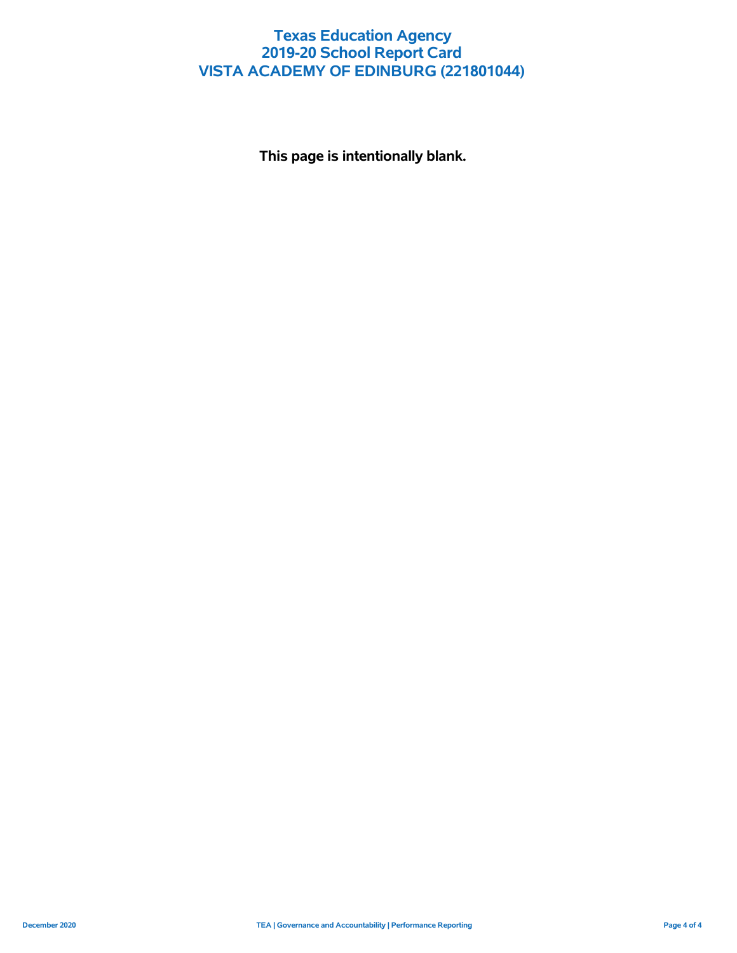**This page is intentionally blank.**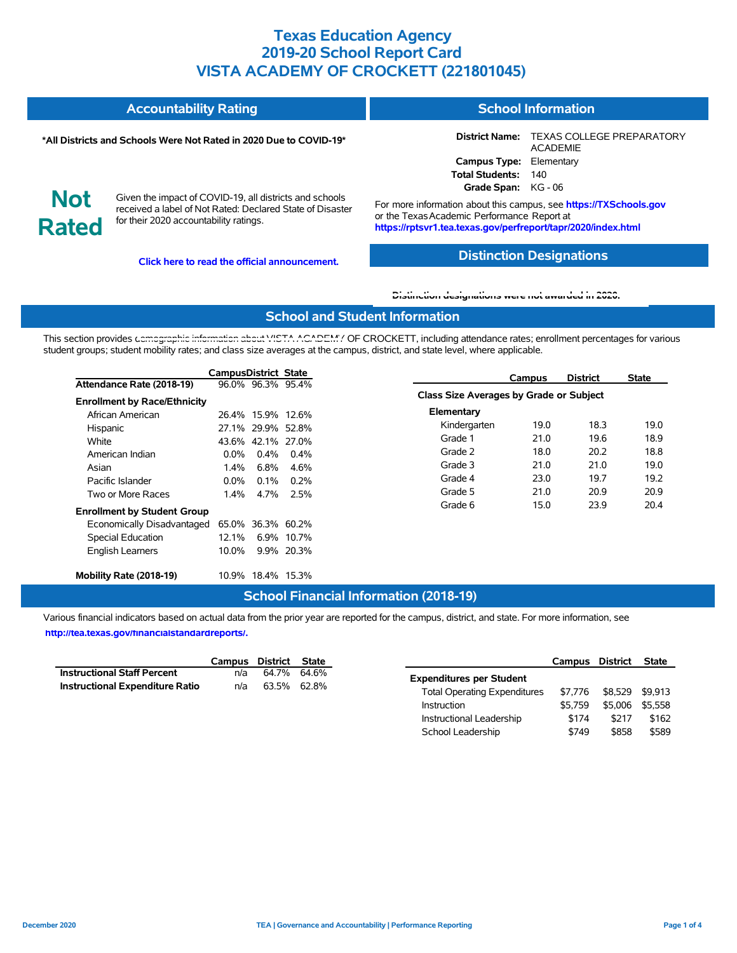|                            | <b>Accountability Rating</b>                                                                                                                                   | <b>School Information</b>                                                                                                                                                         |                                                     |  |  |  |  |
|----------------------------|----------------------------------------------------------------------------------------------------------------------------------------------------------------|-----------------------------------------------------------------------------------------------------------------------------------------------------------------------------------|-----------------------------------------------------|--|--|--|--|
|                            | *All Districts and Schools Were Not Rated in 2020 Due to COVID-19*                                                                                             | <b>District Name:</b>                                                                                                                                                             | <b>TEXAS COLLEGE PREPARATORY</b><br><b>ACADEMIE</b> |  |  |  |  |
|                            |                                                                                                                                                                | <b>Campus Type:</b> Elementary                                                                                                                                                    |                                                     |  |  |  |  |
|                            |                                                                                                                                                                | <b>Total Students:</b>                                                                                                                                                            | 140                                                 |  |  |  |  |
|                            |                                                                                                                                                                | Grade Span: KG - 06                                                                                                                                                               |                                                     |  |  |  |  |
| <b>Not</b><br><b>Rated</b> | Given the impact of COVID-19, all districts and schools<br>received a label of Not Rated: Declared State of Disaster<br>for their 2020 accountability ratings. | For more information about this campus, see https://TXSchools.gov<br>or the Texas Academic Performance Report at<br>https://rptsvr1.tea.texas.gov/perfreport/tapr/2020/index.html |                                                     |  |  |  |  |

**Click here to read the official announcement.**

### **Distinction Designations**

#### **[Distinction designations were not awarded in 2020.](https://rptsvr1.tea.texas.gov/perfreport/tapr/2020/index.html)**

#### **School and Student Information**

This section provides [demographic information about VISTA ACADEMY](https://tea.texas.gov/about-tea/news-and-multimedia/correspondence/taa-letters/every-student-succeeds-act-essa-waiver-approval-2020-state-academic-accountability) OF CROCKETT, including attendance rates; enrollment percentages for various student groups; student mobility rates; and class size averages at the campus, district, and state level, where applicable.

L.

|                                     | <b>CampusDistrict State</b> |                   |            |
|-------------------------------------|-----------------------------|-------------------|------------|
| Attendance Rate (2018-19)           |                             | 96.0% 96.3% 95.4% |            |
| <b>Enrollment by Race/Ethnicity</b> |                             |                   |            |
| African American                    |                             | 26.4% 15.9%       | 12.6%      |
| Hispanic                            |                             | 27.1% 29.9%       | 52.8%      |
| White                               | 43.6%                       | 42.1% 27.0%       |            |
| American Indian                     | $0.0\%$                     | 0.4%              | $0.4\%$    |
| Asian                               | 1.4%                        | 6.8%              | 4.6%       |
| Pacific Islander                    | 0.0%                        | 0 1%              | $0.2\%$    |
| Two or More Races                   | 1.4%                        | 47%               | 2.5%       |
| <b>Enrollment by Student Group</b>  |                             |                   |            |
| Economically Disadvantaged          |                             | 65.0% 36.3%       | 60.2%      |
| Special Education                   | 12.1%                       |                   | 6.9% 10.7% |
| <b>English Learners</b>             | 10.0%                       | 9.9%              | 20.3%      |
| Mobility Rate (2018-19)             | 10.9%                       | 18.4%             | 15.3%      |

|                                         | Campus | <b>District</b> | <b>State</b> |
|-----------------------------------------|--------|-----------------|--------------|
| Class Size Averages by Grade or Subject |        |                 |              |
| Elementary                              |        |                 |              |
| Kindergarten                            | 19.0   | 18.3            | 19.0         |
| Grade 1                                 | 21.0   | 19.6            | 18.9         |
| Grade 2                                 | 18.0   | 20.2            | 18.8         |
| Grade 3                                 | 21.0   | 21.0            | 19.0         |
| Grade 4                                 | 23.0   | 19.7            | 19.2         |
| Grade 5                                 | 21.0   | 20.9            | 20.9         |
| Grade 6                                 | 15.0   | 23.9            | 20.4         |
|                                         |        |                 |              |

School Leadership  $$749$  \$858 \$589

### **School Financial Information (2018-19)**

Various financial indicators based on actual data from the prior year are reported for the campus, district, and state. For more information, see

**[http://tea.texas.gov/financialstandardreports/.](http://tea.texas.gov/financialstandardreports/)**

|                                 | Campus | District | State |                                     | Campus  | District        | <b>State</b> |
|---------------------------------|--------|----------|-------|-------------------------------------|---------|-----------------|--------------|
| Instructional Staff Percent     | n/a    | 64.7%    | 64.6% | <b>Expenditures per Student</b>     |         |                 |              |
| Instructional Expenditure Ratio | n/a    | 63.5%    | 62.8% | <b>Total Operating Expenditures</b> | \$7.776 | \$8,529 \$9,913 |              |
|                                 |        |          |       | Instruction                         | \$5.759 | \$5.006         | \$5.558      |
|                                 |        |          |       | Instructional Leadership            | \$174   | \$217           | \$162        |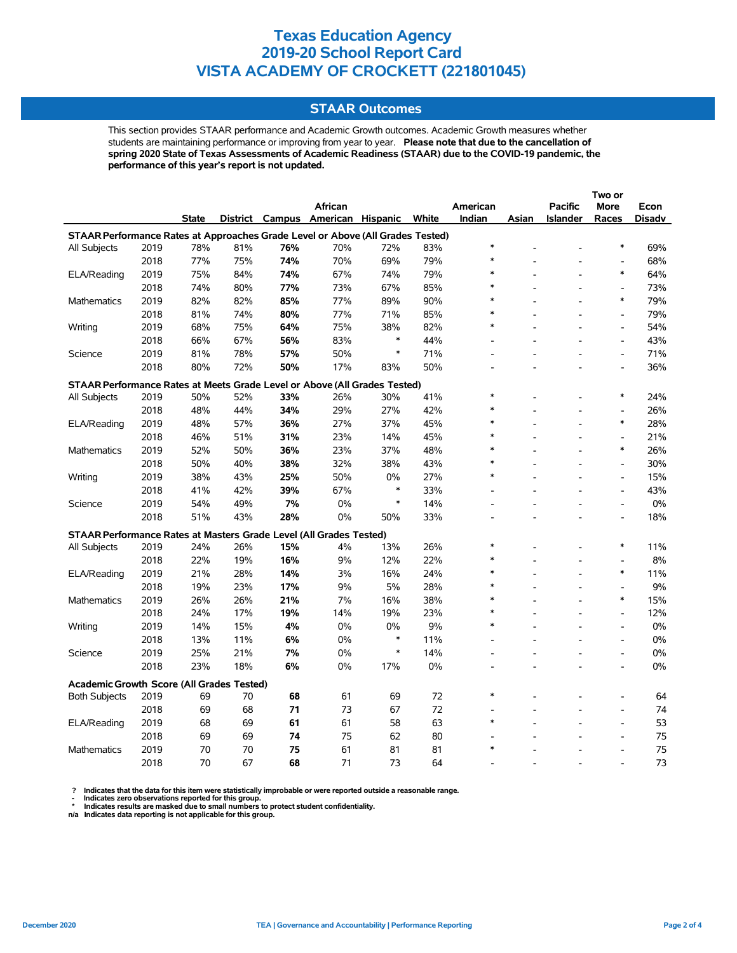### **STAAR Outcomes**

This section provides STAAR performance and Academic Growth outcomes. Academic Growth measures whether students are maintaining performance or improving from year to year. **Please note that due to the cancellation of spring 2020 State of Texas Assessments of Academic Readiness (STAAR) due to the COVID-19 pandemic, the performance of this year's report is not updated.**

|                                                                                |              |              |            |            |                                   |           |       |                          |       |                 | Two or                       |           |
|--------------------------------------------------------------------------------|--------------|--------------|------------|------------|-----------------------------------|-----------|-------|--------------------------|-------|-----------------|------------------------------|-----------|
|                                                                                |              |              |            |            | <b>African</b>                    |           |       | American                 |       | <b>Pacific</b>  | <b>More</b>                  | Econ      |
|                                                                                |              | <b>State</b> |            |            | District Campus American Hispanic |           | White | Indian                   | Asian | <b>Islander</b> | Races                        | Disadv    |
| STAAR Performance Rates at Approaches Grade Level or Above (All Grades Tested) |              |              |            |            |                                   |           |       |                          |       |                 |                              |           |
| All Subjects                                                                   | 2019         | 78%          | 81%        | 76%        | 70%                               | 72%       | 83%   | $\ast$                   |       |                 | $\ast$                       | 69%       |
|                                                                                | 2018         | 77%          | 75%        | 74%        | 70%                               | 69%       | 79%   | $\ast$                   |       |                 | $\overline{\phantom{a}}$     | 68%       |
| ELA/Reading                                                                    | 2019         | 75%          | 84%        | 74%        | 67%                               | 74%       | 79%   | $\ast$                   |       |                 | $\ast$                       | 64%       |
|                                                                                | 2018         | 74%          | 80%        | 77%        | 73%                               | 67%       | 85%   | $\ast$                   |       |                 | $\overline{a}$               | 73%       |
| <b>Mathematics</b>                                                             | 2019         | 82%          | 82%        | 85%        | 77%                               | 89%       | 90%   | $\ast$                   |       |                 | $\ast$                       | 79%       |
|                                                                                | 2018         | 81%          | 74%        | 80%        | 77%                               | 71%       | 85%   | $\ast$                   |       |                 | $\overline{a}$               | 79%       |
| Writing                                                                        | 2019         | 68%          | 75%        | 64%        | 75%                               | 38%       | 82%   | $\ast$                   |       |                 | $\overline{a}$               | 54%       |
|                                                                                | 2018         | 66%          | 67%        | 56%        | 83%                               | $\ast$    | 44%   |                          |       |                 | $\overline{a}$               | 43%       |
| Science                                                                        | 2019         | 81%          | 78%        | 57%        | 50%                               | ∗         | 71%   | $\overline{a}$           |       |                 | $\qquad \qquad \blacksquare$ | 71%       |
|                                                                                | 2018         | 80%          | 72%        | 50%        | 17%                               | 83%       | 50%   |                          |       |                 | $\overline{a}$               | 36%       |
| STAAR Performance Rates at Meets Grade Level or Above (All Grades Tested)      |              |              |            |            |                                   |           |       |                          |       |                 |                              |           |
| All Subjects                                                                   | 2019         | 50%          | 52%        | 33%        | 26%                               | 30%       | 41%   | $\ast$                   |       |                 | $\ast$                       | 24%       |
|                                                                                | 2018         | 48%          | 44%        | 34%        | 29%                               | 27%       | 42%   | $\ast$                   |       |                 | $\overline{\phantom{a}}$     | 26%       |
| ELA/Reading                                                                    | 2019         | 48%          | 57%        | 36%        | 27%                               | 37%       | 45%   | $\ast$                   |       |                 | $\ast$                       | 28%       |
|                                                                                | 2018         | 46%          | 51%        | 31%        | 23%                               | 14%       | 45%   | $\ast$                   |       |                 | $\overline{a}$               | 21%       |
| Mathematics                                                                    | 2019         | 52%          | 50%        | 36%        | 23%                               | 37%       | 48%   | $\ast$                   |       |                 | $\ast$                       | 26%       |
|                                                                                | 2018         | 50%          | 40%        | 38%        | 32%                               | 38%       | 43%   | $\ast$                   |       |                 | $\overline{\phantom{a}}$     | 30%       |
| Writing                                                                        | 2019         | 38%          | 43%        | 25%        | 50%                               | 0%        | 27%   | $\ast$                   |       |                 | $\overline{\phantom{a}}$     | 15%       |
|                                                                                | 2018         | 41%          | 42%        | 39%        | 67%                               | $\ast$    | 33%   | ۰                        |       |                 | $\overline{a}$               | 43%       |
| Science                                                                        | 2019         | 54%          | 49%        | 7%         | 0%                                | $\ast$    | 14%   |                          |       |                 | $\overline{a}$               | $0\%$     |
|                                                                                | 2018         | 51%          | 43%        | 28%        | 0%                                | 50%       | 33%   |                          |       |                 | $\overline{a}$               | 18%       |
|                                                                                |              |              |            |            |                                   |           |       |                          |       |                 |                              |           |
| STAAR Performance Rates at Masters Grade Level (All Grades Tested)             |              |              |            |            |                                   |           | 26%   | $\ast$                   |       |                 | $\ast$                       |           |
| All Subjects                                                                   | 2019<br>2018 | 24%<br>22%   | 26%<br>19% | 15%<br>16% | 4%                                | 13%       | 22%   | $\ast$                   |       |                 | $\overline{\phantom{a}}$     | 11%<br>8% |
|                                                                                |              | 21%          | 28%        | 14%        | 9%                                | 12%       | 24%   | $\ast$                   |       | $\overline{a}$  | $\ast$                       | 11%       |
| ELA/Reading                                                                    | 2019<br>2018 | 19%          | 23%        | 17%        | 3%<br>9%                          | 16%<br>5% | 28%   | $\ast$                   |       |                 | $\overline{\phantom{a}}$     | 9%        |
|                                                                                | 2019         |              | 26%        | 21%        | 7%                                | 16%       | 38%   | $\ast$                   |       |                 | $\ast$                       | 15%       |
| Mathematics                                                                    | 2018         | 26%<br>24%   | 17%        | 19%        | 14%                               | 19%       | 23%   | $\ast$                   |       |                 | $\qquad \qquad \blacksquare$ | 12%       |
| Writing                                                                        | 2019         | 14%          | 15%        | 4%         | 0%                                | 0%        | 9%    | $\ast$                   |       |                 | $\overline{\phantom{a}}$     | 0%        |
|                                                                                | 2018         | 13%          | 11%        | 6%         | 0%                                | ∗         | 11%   |                          |       |                 | $\qquad \qquad \blacksquare$ | 0%        |
| Science                                                                        | 2019         | 25%          | 21%        | 7%         | 0%                                | $\ast$    | 14%   | $\overline{\phantom{a}}$ |       |                 | $\overline{a}$               | 0%        |
|                                                                                | 2018         | 23%          | 18%        | 6%         | 0%                                | 17%       | 0%    |                          |       |                 | $\overline{a}$               | 0%        |
|                                                                                |              |              |            |            |                                   |           |       |                          |       |                 |                              |           |
| <b>Academic Growth Score (All Grades Tested)</b>                               |              |              |            |            |                                   |           |       |                          |       |                 |                              |           |
| <b>Both Subjects</b>                                                           | 2019         | 69           | 70         | 68         | 61                                | 69        | 72    | $\ast$                   |       |                 |                              | 64        |
|                                                                                | 2018         | 69           | 68         | 71         | 73                                | 67        | 72    |                          |       |                 | $\overline{a}$               | 74        |
| ELA/Reading                                                                    | 2019         | 68           | 69         | 61         | 61                                | 58        | 63    | $\ast$                   |       |                 | $\overline{a}$               | 53        |
|                                                                                | 2018         | 69           | 69         | 74         | 75                                | 62        | 80    |                          |       |                 | L,                           | 75        |
| <b>Mathematics</b>                                                             | 2019         | 70           | 70         | 75         | 61                                | 81        | 81    | $\ast$                   |       |                 | $\overline{a}$               | 75        |
|                                                                                | 2018         | 70           | 67         | 68         | 71                                | 73        | 64    |                          |       |                 |                              | 73        |

? Indicates that the data for this item were statistically improbable or were reported outside a reasonable range.<br>- Indicates zero observations reported for this group.<br>\* Indicates results are masked due to small numbers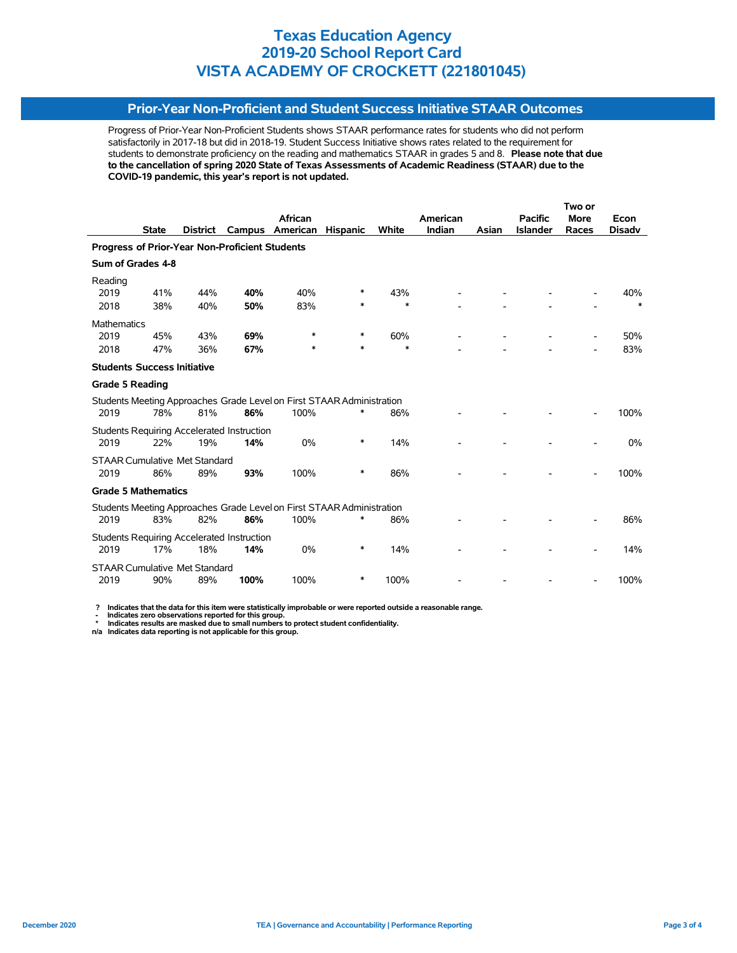### **Prior-Year Non-Proficient and Student Success Initiative STAAR Outcomes**

Progress of Prior-Year Non-Proficient Students shows STAAR performance rates for students who did not perform satisfactorily in 2017-18 but did in 2018-19. Student Success Initiative shows rates related to the requirement for students to demonstrate proficiency on the reading and mathematics STAAR in grades 5 and 8. **Please note that due to the cancellation of spring 2020 State of Texas Assessments of Academic Readiness (STAAR) due to the COVID-19 pandemic, this year's report is not updated.**

|                                      |              |                 |                                                       |                                                                       |                 |        |          |       |                 | Two or      |               |
|--------------------------------------|--------------|-----------------|-------------------------------------------------------|-----------------------------------------------------------------------|-----------------|--------|----------|-------|-----------------|-------------|---------------|
|                                      |              |                 |                                                       | <b>African</b>                                                        |                 |        | American |       | <b>Pacific</b>  | <b>More</b> | Econ          |
|                                      | <b>State</b> | <b>District</b> | Campus                                                | American                                                              | <b>Hispanic</b> | White  | Indian   | Asian | <b>Islander</b> | Races       | <b>Disadv</b> |
|                                      |              |                 | <b>Progress of Prior-Year Non-Proficient Students</b> |                                                                       |                 |        |          |       |                 |             |               |
| Sum of Grades 4-8                    |              |                 |                                                       |                                                                       |                 |        |          |       |                 |             |               |
| Reading                              |              |                 |                                                       |                                                                       |                 |        |          |       |                 |             |               |
| 2019                                 | 41%          | 44%             | 40%                                                   | 40%                                                                   | $\ast$          | 43%    |          |       |                 |             | 40%           |
| 2018                                 | 38%          | 40%             | 50%                                                   | 83%                                                                   | *               | $\ast$ |          |       |                 |             | $\ast$        |
| <b>Mathematics</b>                   |              |                 |                                                       |                                                                       |                 |        |          |       |                 |             |               |
| 2019                                 | 45%          | 43%             | 69%                                                   | *                                                                     | *               | 60%    |          |       |                 |             | 50%           |
| 2018                                 | 47%          | 36%             | 67%                                                   | $\ast$                                                                | $\ast$          | $\ast$ |          |       |                 |             | 83%           |
| <b>Students Success Initiative</b>   |              |                 |                                                       |                                                                       |                 |        |          |       |                 |             |               |
| <b>Grade 5 Reading</b>               |              |                 |                                                       |                                                                       |                 |        |          |       |                 |             |               |
|                                      |              |                 |                                                       | Students Meeting Approaches Grade Level on First STAAR Administration |                 |        |          |       |                 |             |               |
| 2019                                 | 78%          | 81%             | 86%                                                   | 100%                                                                  | *               | 86%    |          |       |                 |             | 100%          |
|                                      |              |                 | <b>Students Requiring Accelerated Instruction</b>     |                                                                       |                 |        |          |       |                 |             |               |
| 2019                                 | 22%          | 19%             | 14%                                                   | 0%                                                                    | ∗               | 14%    |          |       |                 |             | $0\%$         |
| <b>STAAR Cumulative Met Standard</b> |              |                 |                                                       |                                                                       |                 |        |          |       |                 |             |               |
| 2019                                 | 86%          | 89%             | 93%                                                   | 100%                                                                  | ∗               | 86%    |          |       |                 |             | 100%          |
| <b>Grade 5 Mathematics</b>           |              |                 |                                                       |                                                                       |                 |        |          |       |                 |             |               |
|                                      |              |                 |                                                       | Students Meeting Approaches Grade Level on First STAAR Administration |                 |        |          |       |                 |             |               |
| 2019                                 | 83%          | 82%             | 86%                                                   | 100%                                                                  | *               | 86%    |          |       |                 |             | 86%           |
|                                      |              |                 | Students Requiring Accelerated Instruction            |                                                                       |                 |        |          |       |                 |             |               |
| 2019                                 | 17%          | 18%             | 14%                                                   | 0%                                                                    | ∗               | 14%    |          |       |                 |             | 14%           |
| <b>STAAR Cumulative Met Standard</b> |              |                 |                                                       |                                                                       |                 |        |          |       |                 |             |               |
| 2019                                 | 90%          | 89%             | 100%                                                  | 100%                                                                  | ∗               | 100%   |          |       |                 |             | 100%          |
|                                      |              |                 |                                                       |                                                                       |                 |        |          |       |                 |             |               |

 **? Indicates that the data for this item were statistically improbable or were reported outside a reasonable range.**

 **- Indicates zero observations reported for this group. \* Indicates results are masked due to small numbers to protect student confidentiality.**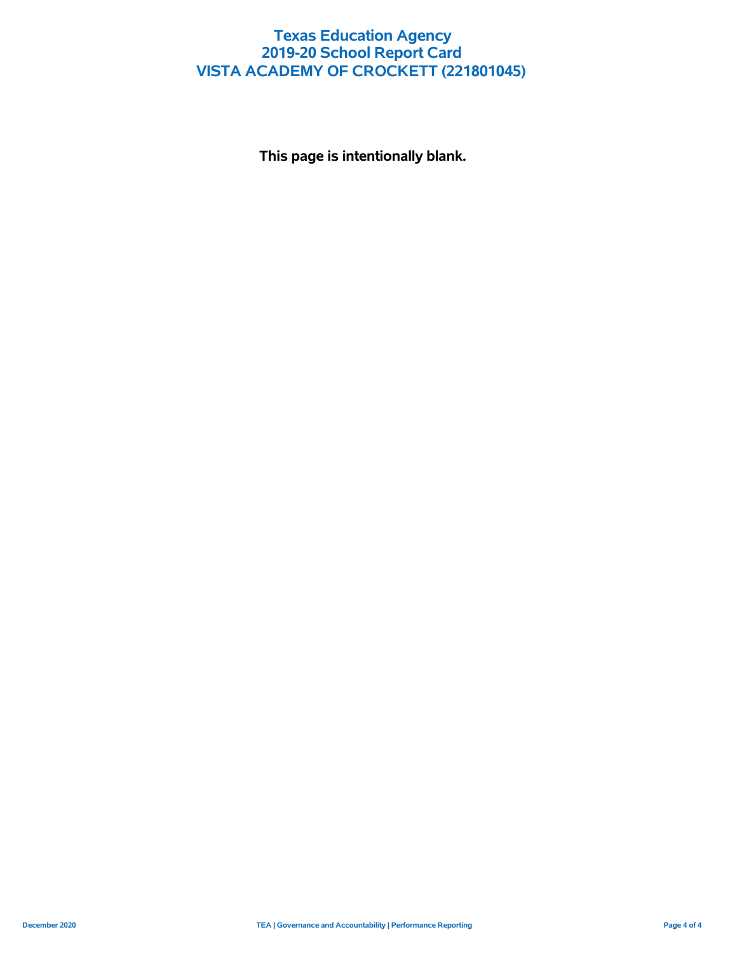**This page is intentionally blank.**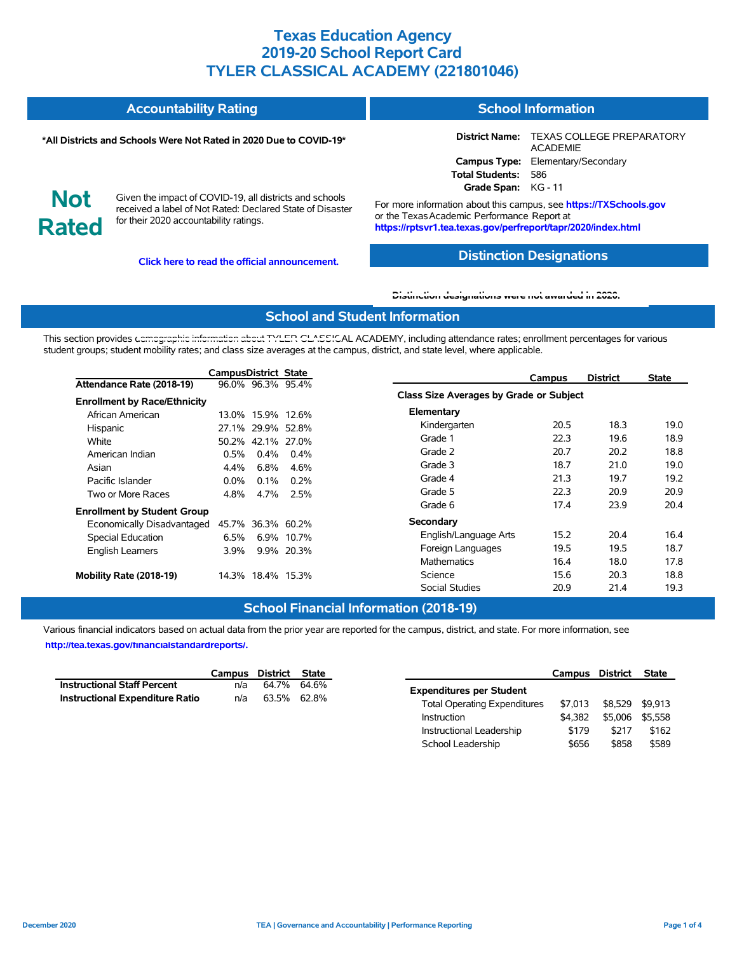|                            | <b>Accountability Rating</b>                                                                                                                                   | <b>School Information</b>                                                                                                                                                         |                                                     |  |  |  |  |
|----------------------------|----------------------------------------------------------------------------------------------------------------------------------------------------------------|-----------------------------------------------------------------------------------------------------------------------------------------------------------------------------------|-----------------------------------------------------|--|--|--|--|
|                            | *All Districts and Schools Were Not Rated in 2020 Due to COVID-19*                                                                                             | <b>District Name:</b>                                                                                                                                                             | <b>TEXAS COLLEGE PREPARATORY</b><br><b>ACADEMIE</b> |  |  |  |  |
|                            |                                                                                                                                                                |                                                                                                                                                                                   | Campus Type: Elementary/Secondary                   |  |  |  |  |
|                            |                                                                                                                                                                | <b>Total Students: 586</b>                                                                                                                                                        |                                                     |  |  |  |  |
|                            |                                                                                                                                                                | Grade Span: KG - 11                                                                                                                                                               |                                                     |  |  |  |  |
| <b>Not</b><br><b>Rated</b> | Given the impact of COVID-19, all districts and schools<br>received a label of Not Rated: Declared State of Disaster<br>for their 2020 accountability ratings. | For more information about this campus, see https://TXSchools.gov<br>or the Texas Academic Performance Report at<br>https://rptsvr1.tea.texas.gov/perfreport/tapr/2020/index.html |                                                     |  |  |  |  |

**Click here to read the official announcement.**

#### **Distinction Designations**

Instructional Leadership  $$179$  \$217 \$162 School Leadership  $$656$  \$858 \$589

#### **[Distinction designations were not awarded in 2020.](https://rptsvr1.tea.texas.gov/perfreport/tapr/2020/index.html)**

#### **School and Student Information**

This section provides [demographic information about TYLER CLASSIC](https://tea.texas.gov/about-tea/news-and-multimedia/correspondence/taa-letters/every-student-succeeds-act-essa-waiver-approval-2020-state-academic-accountability)AL ACADEMY, including attendance rates; enrollment percentages for various student groups; student mobility rates; and class size averages at the campus, district, and state level, where applicable.

|                                     | <b>CampusDistrict State</b> |         |                   |                                         | Campus | <b>District</b> | <b>State</b> |
|-------------------------------------|-----------------------------|---------|-------------------|-----------------------------------------|--------|-----------------|--------------|
| Attendance Rate (2018-19)           |                             |         | 96.0% 96.3% 95.4% |                                         |        |                 |              |
| <b>Enrollment by Race/Ethnicity</b> |                             |         |                   | Class Size Averages by Grade or Subject |        |                 |              |
| African American                    |                             |         | 13.0% 15.9% 12.6% | Elementary                              |        |                 |              |
| Hispanic                            |                             |         | 27.1% 29.9% 52.8% | Kindergarten                            | 20.5   | 18.3            | 19.0         |
| White                               |                             |         | 50.2% 42.1% 27.0% | Grade 1                                 | 22.3   | 19.6            | 18.9         |
| American Indian                     | 0.5%                        | $0.4\%$ | 0.4%              | Grade 2                                 | 20.7   | 20.2            | 18.8         |
| Asian                               | 4.4%                        | 6.8%    | 4.6%              | Grade 3                                 | 18.7   | 21.0            | 19.0         |
| Pacific Islander                    | $0.0\%$                     | $0.1\%$ | 0.2%              | Grade 4                                 | 21.3   | 19.7            | 19.2         |
| Two or More Races                   | 4.8%                        | 4.7%    | 2.5%              | Grade 5                                 | 22.3   | 20.9            | 20.9         |
| <b>Enrollment by Student Group</b>  |                             |         |                   | Grade 6                                 | 17.4   | 23.9            | 20.4         |
| Economically Disadvantaged          | 45.7%                       |         | 36.3% 60.2%       | Secondary                               |        |                 |              |
| Special Education                   | 6.5%                        |         | 6.9% 10.7%        | English/Language Arts                   | 15.2   | 20.4            | 16.4         |
| <b>English Learners</b>             | $3.9\%$                     |         | 9.9% 20.3%        | Foreign Languages                       | 19.5   | 19.5            | 18.7         |
|                                     |                             |         |                   | <b>Mathematics</b>                      | 16.4   | 18.0            | 17.8         |
| Mobility Rate (2018-19)             |                             |         | 14.3% 18.4% 15.3% | Science                                 | 15.6   | 20.3            | 18.8         |
|                                     |                             |         |                   | Social Studies                          | 20.9   | 21.4            | 19.3         |

### **School Financial Information (2018-19)**

Various financial indicators based on actual data from the prior year are reported for the campus, district, and state. For more information, see

**[http://tea.texas.gov/financialstandardreports/.](http://tea.texas.gov/financialstandardreports/)**

|                                        | Campus | District    | State |
|----------------------------------------|--------|-------------|-------|
| <b>Instructional Staff Percent</b>     | n/a    | 64.7% 64.6% |       |
| <b>Instructional Expenditure Ratio</b> | n/a    | 63.5%       | 62.8% |
|                                        |        |             |       |
|                                        |        |             |       |

Ē,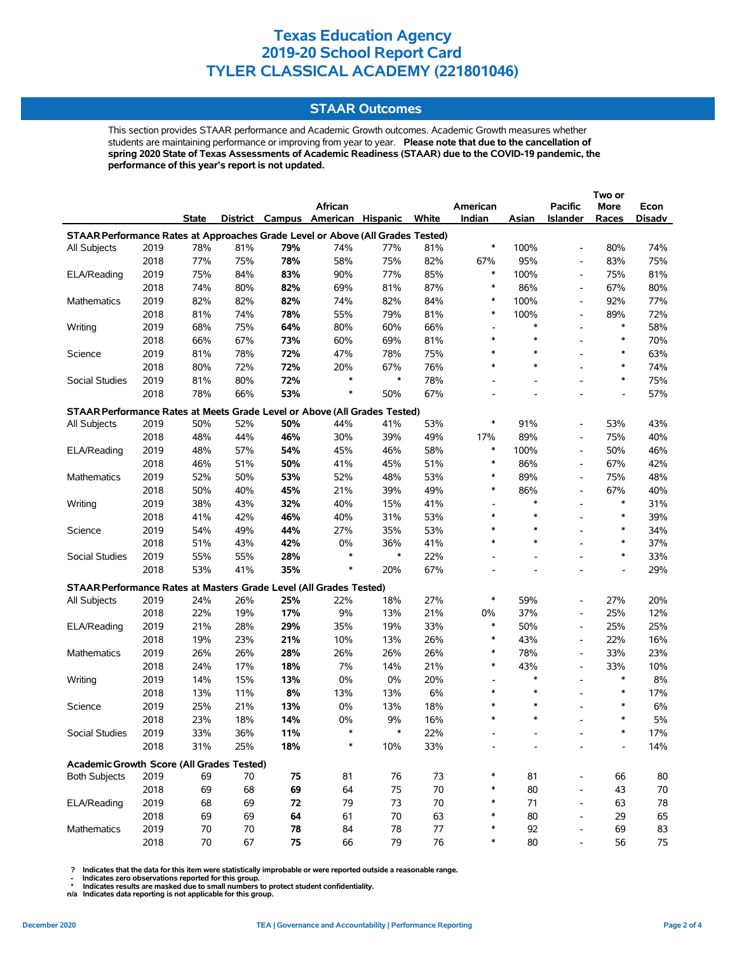### **STAAR Outcomes**

This section provides STAAR performance and Academic Growth outcomes. Academic Growth measures whether students are maintaining performance or improving from year to year. **Please note that due to the cancellation of spring 2020 State of Texas Assessments of Academic Readiness (STAAR) due to the COVID-19 pandemic, the performance of this year's report is not updated.**

|                                                                                |      |       |     |     |                                   |        |       |                          |        |                          | Two or                   |        |
|--------------------------------------------------------------------------------|------|-------|-----|-----|-----------------------------------|--------|-------|--------------------------|--------|--------------------------|--------------------------|--------|
|                                                                                |      |       |     |     | African                           |        |       | American                 |        | <b>Pacific</b>           | More                     | Econ   |
|                                                                                |      | State |     |     | District Campus American Hispanic |        | White | Indian                   | Asian  | <b>Islander</b>          | Races                    | Disadv |
| STAAR Performance Rates at Approaches Grade Level or Above (All Grades Tested) |      |       |     |     |                                   |        |       |                          |        |                          |                          |        |
| All Subjects                                                                   | 2019 | 78%   | 81% | 79% | 74%                               | 77%    | 81%   | $\ast$                   | 100%   | $\overline{\phantom{0}}$ | 80%                      | 74%    |
|                                                                                | 2018 | 77%   | 75% | 78% | 58%                               | 75%    | 82%   | 67%                      | 95%    | $\overline{\phantom{0}}$ | 83%                      | 75%    |
| ELA/Reading                                                                    | 2019 | 75%   | 84% | 83% | 90%                               | 77%    | 85%   | $\ast$                   | 100%   | $\overline{\phantom{0}}$ | 75%                      | 81%    |
|                                                                                | 2018 | 74%   | 80% | 82% | 69%                               | 81%    | 87%   | $\ast$                   | 86%    | $\overline{\phantom{0}}$ | 67%                      | 80%    |
| Mathematics                                                                    | 2019 | 82%   | 82% | 82% | 74%                               | 82%    | 84%   | $\ast$                   | 100%   | $\overline{\phantom{0}}$ | 92%                      | 77%    |
|                                                                                | 2018 | 81%   | 74% | 78% | 55%                               | 79%    | 81%   | $\ast$                   | 100%   | $\overline{\phantom{0}}$ | 89%                      | 72%    |
| Writing                                                                        | 2019 | 68%   | 75% | 64% | 80%                               | 60%    | 66%   | $\overline{\phantom{a}}$ | $\ast$ | $\overline{\phantom{0}}$ | $\ast$                   | 58%    |
|                                                                                | 2018 | 66%   | 67% | 73% | 60%                               | 69%    | 81%   | $\ast$                   | $\ast$ |                          | $\ast$                   | 70%    |
| Science                                                                        | 2019 | 81%   | 78% | 72% | 47%                               | 78%    | 75%   | $\ast$                   | $\ast$ | $\overline{a}$           | $\ast$                   | 63%    |
|                                                                                | 2018 | 80%   | 72% | 72% | 20%                               | 67%    | 76%   | $\ast$                   | $\ast$ |                          | $\ast$                   | 74%    |
| Social Studies                                                                 | 2019 | 81%   | 80% | 72% | $\ast$                            | *      | 78%   |                          |        | $\overline{a}$           | $\ast$                   | 75%    |
|                                                                                | 2018 | 78%   | 66% | 53% | ∗                                 | 50%    | 67%   | $\overline{\phantom{a}}$ |        | $\overline{\phantom{0}}$ | $\overline{\phantom{a}}$ | 57%    |
| STAAR Performance Rates at Meets Grade Level or Above (All Grades Tested)      |      |       |     |     |                                   |        |       |                          |        |                          |                          |        |
| All Subjects                                                                   | 2019 | 50%   | 52% | 50% | 44%                               | 41%    | 53%   | $\ast$                   | 91%    | $\overline{\phantom{a}}$ | 53%                      | 43%    |
|                                                                                | 2018 | 48%   | 44% | 46% | 30%                               | 39%    | 49%   | 17%                      | 89%    | $\overline{\phantom{0}}$ | 75%                      | 40%    |
| ELA/Reading                                                                    | 2019 | 48%   | 57% | 54% | 45%                               | 46%    | 58%   | $\ast$                   | 100%   | $\overline{\phantom{a}}$ | 50%                      | 46%    |
|                                                                                | 2018 | 46%   | 51% | 50% | 41%                               | 45%    | 51%   | $\ast$                   | 86%    | $\overline{a}$           | 67%                      | 42%    |
| Mathematics                                                                    | 2019 | 52%   | 50% | 53% | 52%                               | 48%    | 53%   | $\ast$                   | 89%    | $\overline{\phantom{a}}$ | 75%                      | 48%    |
|                                                                                | 2018 | 50%   | 40% | 45% | 21%                               | 39%    | 49%   | $\ast$                   | 86%    | $\overline{a}$           | 67%                      | 40%    |
| Writing                                                                        | 2019 | 38%   | 43% | 32% | 40%                               | 15%    | 41%   |                          | $\ast$ | $\overline{a}$           | $\ast$                   | 31%    |
|                                                                                | 2018 | 41%   | 42% | 46% | 40%                               | 31%    | 53%   | $\ast$                   | $\ast$ | $\overline{\phantom{a}}$ | $\ast$                   | 39%    |
| Science                                                                        | 2019 | 54%   | 49% | 44% | 27%                               | 35%    | 53%   | $\ast$                   | $\ast$ |                          | $\ast$                   | 34%    |
|                                                                                | 2018 | 51%   | 43% | 42% | $0\%$                             | 36%    | 41%   | $\ast$                   | $\ast$ |                          | $\ast$                   | 37%    |
| Social Studies                                                                 | 2019 | 55%   | 55% | 28% | $\ast$                            | $\ast$ | 22%   | $\overline{\phantom{a}}$ |        | L.                       | $\ast$                   | 33%    |
|                                                                                | 2018 | 53%   | 41% | 35% | $\ast$                            | 20%    | 67%   |                          |        |                          |                          | 29%    |
| STAAR Performance Rates at Masters Grade Level (All Grades Tested)             |      |       |     |     |                                   |        |       |                          |        |                          |                          |        |
| All Subjects                                                                   | 2019 | 24%   | 26% | 25% | 22%                               | 18%    | 27%   | $\ast$                   | 59%    | $\overline{\phantom{a}}$ | 27%                      | 20%    |
|                                                                                | 2018 | 22%   | 19% | 17% | 9%                                | 13%    | 21%   | 0%                       | 37%    | $\overline{a}$           | 25%                      | 12%    |
| ELA/Reading                                                                    | 2019 | 21%   | 28% | 29% | 35%                               | 19%    | 33%   | $\ast$                   | 50%    | $\overline{\phantom{0}}$ | 25%                      | 25%    |
|                                                                                | 2018 | 19%   | 23% | 21% | 10%                               | 13%    | 26%   | $\ast$                   | 43%    | $\overline{\phantom{0}}$ | 22%                      | 16%    |
| <b>Mathematics</b>                                                             | 2019 | 26%   | 26% | 28% | 26%                               | 26%    | 26%   | $\ast$                   | 78%    | $\overline{\phantom{0}}$ | 33%                      | 23%    |
|                                                                                | 2018 | 24%   | 17% | 18% | 7%                                | 14%    | 21%   | $\ast$                   | 43%    | $\overline{\phantom{a}}$ | 33%                      | 10%    |
| Writing                                                                        | 2019 | 14%   | 15% | 13% | 0%                                | 0%     | 20%   | $\overline{\phantom{a}}$ | $\ast$ | $\overline{a}$           | $\ast$                   | 8%     |
|                                                                                | 2018 | 13%   | 11% | 8%  | 13%                               | 13%    | 6%    | $\ast$                   | $\ast$ | $\overline{a}$           | $\ast$                   | 17%    |
| Science                                                                        | 2019 | 25%   | 21% | 13% | 0%                                | 13%    | 18%   | $\ast$                   | $\ast$ | $\overline{a}$           | $\ast$                   | 6%     |
|                                                                                | 2018 | 23%   | 18% | 14% | 0%                                | 9%     | 16%   | $\ast$                   | $\ast$ |                          | $\ast$                   | 5%     |
| Social Studies                                                                 | 2019 | 33%   | 36% | 11% |                                   |        | 22%   |                          |        |                          |                          | 17%    |
|                                                                                | 2018 | 31%   | 25% | 18% | ∗                                 | 10%    | 33%   |                          |        |                          |                          | 14%    |
|                                                                                |      |       |     |     |                                   |        |       |                          |        |                          |                          |        |
| Academic Growth Score (All Grades Tested)                                      |      |       |     |     |                                   |        |       |                          |        |                          |                          |        |
| <b>Both Subjects</b>                                                           | 2019 | 69    | 70  | 75  | 81                                | 76     | 73    | *<br>∗                   | 81     | $\overline{\phantom{0}}$ | 66                       | 80     |
|                                                                                | 2018 | 69    | 68  | 69  | 64                                | 75     | 70    |                          | 80     | $\overline{a}$           | 43                       | 70     |
| ELA/Reading                                                                    | 2019 | 68    | 69  | 72  | 79                                | 73     | 70    | $\ast$<br>$\ast$         | 71     | $\overline{a}$           | 63                       | 78     |
|                                                                                | 2018 | 69    | 69  | 64  | 61                                | 70     | 63    | ∗                        | 80     | $\overline{\phantom{0}}$ | 29                       | 65     |
| Mathematics                                                                    | 2019 | 70    | 70  | 78  | 84                                | 78     | 77    | $\ast$                   | 92     |                          | 69                       | 83     |
|                                                                                | 2018 | 70    | 67  | 75  | 66                                | 79     | 76    |                          | 80     |                          | 56                       | 75     |

 **? Indicates that the data for this item were statistically improbable or were reported outside a reasonable range.**

 **- Indicates zero observations reported for this group. \* Indicates results are masked due to small numbers to protect student confidentiality.**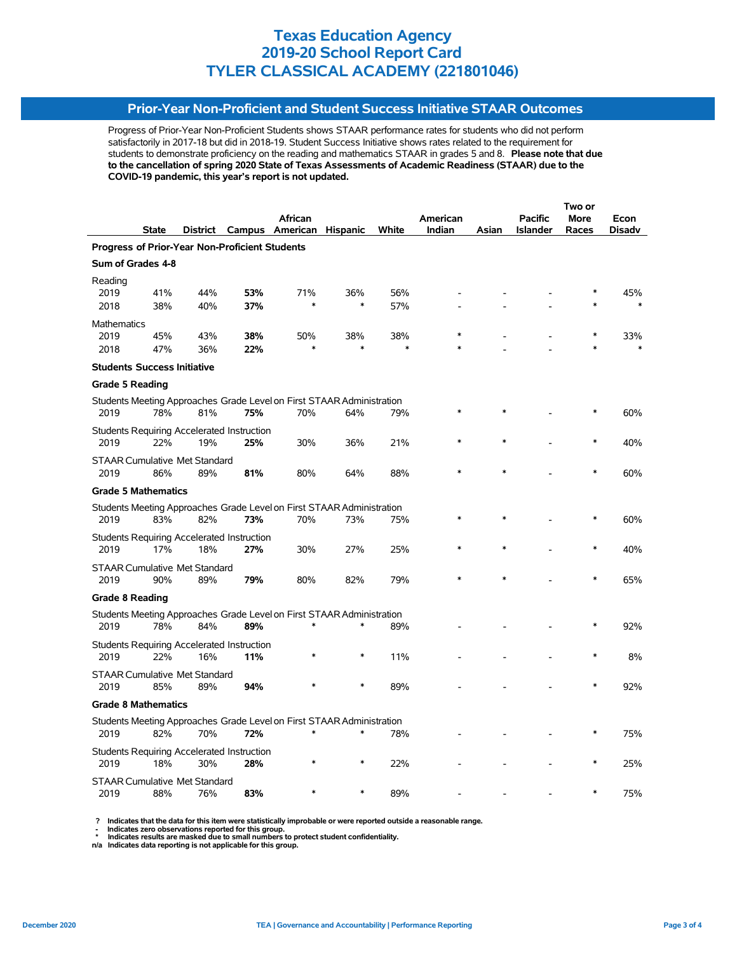### **Prior-Year Non-Proficient and Student Success Initiative STAAR Outcomes**

Progress of Prior-Year Non-Proficient Students shows STAAR performance rates for students who did not perform satisfactorily in 2017-18 but did in 2018-19. Student Success Initiative shows rates related to the requirement for students to demonstrate proficiency on the reading and mathematics STAAR in grades 5 and 8. **Please note that due to the cancellation of spring 2020 State of Texas Assessments of Academic Readiness (STAAR) due to the COVID-19 pandemic, this year's report is not updated.**

| <b>More</b><br>African<br>American<br><b>Pacific</b><br>Econ<br>Campus American Hispanic<br>White<br>Indian<br><b>Islander</b><br><b>State</b><br>District<br>Asian<br>Races<br>Disadv<br>Progress of Prior-Year Non-Proficient Students<br>Sum of Grades 4-8<br>Reading<br>44%<br>53%<br>71%<br>56%<br>45%<br>2019<br>41%<br>36%<br>37%<br>2018<br>38%<br>40%<br>$\ast$<br>$\ast$<br>57%<br><b>Mathematics</b><br>45%<br>38%<br>$\ast$<br>2019<br>43%<br>50%<br>38%<br>38%<br>$\ast$<br>33%<br>47%<br>22%<br>2018<br>36%<br><b>Students Success Initiative</b><br><b>Grade 5 Reading</b><br>Students Meeting Approaches Grade Level on First STAAR Administration<br>78%<br>81%<br>75%<br>70%<br>79%<br>60%<br>2019<br>64%<br>Students Requiring Accelerated Instruction<br>25%<br>30%<br>21%<br>40%<br>2019<br>22%<br>19%<br>36%<br><b>STAAR Cumulative Met Standard</b><br>86%<br>89%<br>81%<br>80%<br>64%<br>88%<br>60%<br>2019<br><b>Grade 5 Mathematics</b><br>Students Meeting Approaches Grade Level on First STAAR Administration<br>83%<br>82%<br>73%<br>70%<br>73%<br>75%<br>60%<br>2019<br>Students Requiring Accelerated Instruction<br>18%<br>30%<br>*<br>2019<br>17%<br>27%<br>27%<br>25%<br>40%<br><b>STAAR Cumulative Met Standard</b><br>90%<br>89%<br>79%<br>80%<br>79%<br>65%<br>2019<br>82%<br>Grade 8 Reading<br>Students Meeting Approaches Grade Level on First STAAR Administration<br>78%<br>89%<br>89%<br>92%<br>2019<br>84%<br>Students Requiring Accelerated Instruction<br>*<br>11%<br>$\ast$<br>2019<br>22%<br>16%<br>11%<br>8%<br><b>STAAR Cumulative Met Standard</b><br>2019<br>85%<br>89%<br>94%<br>89%<br>$\ast$<br>92%<br><b>Grade 8 Mathematics</b><br>Students Meeting Approaches Grade Level on First STAAR Administration<br>2019<br>82%<br>70%<br>72%<br>78%<br>75%<br>Students Requiring Accelerated Instruction<br>28%<br>18%<br>30%<br>22%<br>25%<br>2019 |  |  |  |  |  | Two or |  |
|--------------------------------------------------------------------------------------------------------------------------------------------------------------------------------------------------------------------------------------------------------------------------------------------------------------------------------------------------------------------------------------------------------------------------------------------------------------------------------------------------------------------------------------------------------------------------------------------------------------------------------------------------------------------------------------------------------------------------------------------------------------------------------------------------------------------------------------------------------------------------------------------------------------------------------------------------------------------------------------------------------------------------------------------------------------------------------------------------------------------------------------------------------------------------------------------------------------------------------------------------------------------------------------------------------------------------------------------------------------------------------------------------------------------------------------------------------------------------------------------------------------------------------------------------------------------------------------------------------------------------------------------------------------------------------------------------------------------------------------------------------------------------------------------------------------------------------------------------------------------------------------------------------|--|--|--|--|--|--------|--|
|                                                                                                                                                                                                                                                                                                                                                                                                                                                                                                                                                                                                                                                                                                                                                                                                                                                                                                                                                                                                                                                                                                                                                                                                                                                                                                                                                                                                                                                                                                                                                                                                                                                                                                                                                                                                                                                                                                        |  |  |  |  |  |        |  |
|                                                                                                                                                                                                                                                                                                                                                                                                                                                                                                                                                                                                                                                                                                                                                                                                                                                                                                                                                                                                                                                                                                                                                                                                                                                                                                                                                                                                                                                                                                                                                                                                                                                                                                                                                                                                                                                                                                        |  |  |  |  |  |        |  |
|                                                                                                                                                                                                                                                                                                                                                                                                                                                                                                                                                                                                                                                                                                                                                                                                                                                                                                                                                                                                                                                                                                                                                                                                                                                                                                                                                                                                                                                                                                                                                                                                                                                                                                                                                                                                                                                                                                        |  |  |  |  |  |        |  |
|                                                                                                                                                                                                                                                                                                                                                                                                                                                                                                                                                                                                                                                                                                                                                                                                                                                                                                                                                                                                                                                                                                                                                                                                                                                                                                                                                                                                                                                                                                                                                                                                                                                                                                                                                                                                                                                                                                        |  |  |  |  |  |        |  |
|                                                                                                                                                                                                                                                                                                                                                                                                                                                                                                                                                                                                                                                                                                                                                                                                                                                                                                                                                                                                                                                                                                                                                                                                                                                                                                                                                                                                                                                                                                                                                                                                                                                                                                                                                                                                                                                                                                        |  |  |  |  |  |        |  |
|                                                                                                                                                                                                                                                                                                                                                                                                                                                                                                                                                                                                                                                                                                                                                                                                                                                                                                                                                                                                                                                                                                                                                                                                                                                                                                                                                                                                                                                                                                                                                                                                                                                                                                                                                                                                                                                                                                        |  |  |  |  |  |        |  |
|                                                                                                                                                                                                                                                                                                                                                                                                                                                                                                                                                                                                                                                                                                                                                                                                                                                                                                                                                                                                                                                                                                                                                                                                                                                                                                                                                                                                                                                                                                                                                                                                                                                                                                                                                                                                                                                                                                        |  |  |  |  |  |        |  |
|                                                                                                                                                                                                                                                                                                                                                                                                                                                                                                                                                                                                                                                                                                                                                                                                                                                                                                                                                                                                                                                                                                                                                                                                                                                                                                                                                                                                                                                                                                                                                                                                                                                                                                                                                                                                                                                                                                        |  |  |  |  |  |        |  |
|                                                                                                                                                                                                                                                                                                                                                                                                                                                                                                                                                                                                                                                                                                                                                                                                                                                                                                                                                                                                                                                                                                                                                                                                                                                                                                                                                                                                                                                                                                                                                                                                                                                                                                                                                                                                                                                                                                        |  |  |  |  |  |        |  |
|                                                                                                                                                                                                                                                                                                                                                                                                                                                                                                                                                                                                                                                                                                                                                                                                                                                                                                                                                                                                                                                                                                                                                                                                                                                                                                                                                                                                                                                                                                                                                                                                                                                                                                                                                                                                                                                                                                        |  |  |  |  |  |        |  |
|                                                                                                                                                                                                                                                                                                                                                                                                                                                                                                                                                                                                                                                                                                                                                                                                                                                                                                                                                                                                                                                                                                                                                                                                                                                                                                                                                                                                                                                                                                                                                                                                                                                                                                                                                                                                                                                                                                        |  |  |  |  |  |        |  |
|                                                                                                                                                                                                                                                                                                                                                                                                                                                                                                                                                                                                                                                                                                                                                                                                                                                                                                                                                                                                                                                                                                                                                                                                                                                                                                                                                                                                                                                                                                                                                                                                                                                                                                                                                                                                                                                                                                        |  |  |  |  |  |        |  |
|                                                                                                                                                                                                                                                                                                                                                                                                                                                                                                                                                                                                                                                                                                                                                                                                                                                                                                                                                                                                                                                                                                                                                                                                                                                                                                                                                                                                                                                                                                                                                                                                                                                                                                                                                                                                                                                                                                        |  |  |  |  |  |        |  |
|                                                                                                                                                                                                                                                                                                                                                                                                                                                                                                                                                                                                                                                                                                                                                                                                                                                                                                                                                                                                                                                                                                                                                                                                                                                                                                                                                                                                                                                                                                                                                                                                                                                                                                                                                                                                                                                                                                        |  |  |  |  |  |        |  |
|                                                                                                                                                                                                                                                                                                                                                                                                                                                                                                                                                                                                                                                                                                                                                                                                                                                                                                                                                                                                                                                                                                                                                                                                                                                                                                                                                                                                                                                                                                                                                                                                                                                                                                                                                                                                                                                                                                        |  |  |  |  |  |        |  |
|                                                                                                                                                                                                                                                                                                                                                                                                                                                                                                                                                                                                                                                                                                                                                                                                                                                                                                                                                                                                                                                                                                                                                                                                                                                                                                                                                                                                                                                                                                                                                                                                                                                                                                                                                                                                                                                                                                        |  |  |  |  |  |        |  |
|                                                                                                                                                                                                                                                                                                                                                                                                                                                                                                                                                                                                                                                                                                                                                                                                                                                                                                                                                                                                                                                                                                                                                                                                                                                                                                                                                                                                                                                                                                                                                                                                                                                                                                                                                                                                                                                                                                        |  |  |  |  |  |        |  |
|                                                                                                                                                                                                                                                                                                                                                                                                                                                                                                                                                                                                                                                                                                                                                                                                                                                                                                                                                                                                                                                                                                                                                                                                                                                                                                                                                                                                                                                                                                                                                                                                                                                                                                                                                                                                                                                                                                        |  |  |  |  |  |        |  |
|                                                                                                                                                                                                                                                                                                                                                                                                                                                                                                                                                                                                                                                                                                                                                                                                                                                                                                                                                                                                                                                                                                                                                                                                                                                                                                                                                                                                                                                                                                                                                                                                                                                                                                                                                                                                                                                                                                        |  |  |  |  |  |        |  |
|                                                                                                                                                                                                                                                                                                                                                                                                                                                                                                                                                                                                                                                                                                                                                                                                                                                                                                                                                                                                                                                                                                                                                                                                                                                                                                                                                                                                                                                                                                                                                                                                                                                                                                                                                                                                                                                                                                        |  |  |  |  |  |        |  |
|                                                                                                                                                                                                                                                                                                                                                                                                                                                                                                                                                                                                                                                                                                                                                                                                                                                                                                                                                                                                                                                                                                                                                                                                                                                                                                                                                                                                                                                                                                                                                                                                                                                                                                                                                                                                                                                                                                        |  |  |  |  |  |        |  |
|                                                                                                                                                                                                                                                                                                                                                                                                                                                                                                                                                                                                                                                                                                                                                                                                                                                                                                                                                                                                                                                                                                                                                                                                                                                                                                                                                                                                                                                                                                                                                                                                                                                                                                                                                                                                                                                                                                        |  |  |  |  |  |        |  |
|                                                                                                                                                                                                                                                                                                                                                                                                                                                                                                                                                                                                                                                                                                                                                                                                                                                                                                                                                                                                                                                                                                                                                                                                                                                                                                                                                                                                                                                                                                                                                                                                                                                                                                                                                                                                                                                                                                        |  |  |  |  |  |        |  |
|                                                                                                                                                                                                                                                                                                                                                                                                                                                                                                                                                                                                                                                                                                                                                                                                                                                                                                                                                                                                                                                                                                                                                                                                                                                                                                                                                                                                                                                                                                                                                                                                                                                                                                                                                                                                                                                                                                        |  |  |  |  |  |        |  |
|                                                                                                                                                                                                                                                                                                                                                                                                                                                                                                                                                                                                                                                                                                                                                                                                                                                                                                                                                                                                                                                                                                                                                                                                                                                                                                                                                                                                                                                                                                                                                                                                                                                                                                                                                                                                                                                                                                        |  |  |  |  |  |        |  |
|                                                                                                                                                                                                                                                                                                                                                                                                                                                                                                                                                                                                                                                                                                                                                                                                                                                                                                                                                                                                                                                                                                                                                                                                                                                                                                                                                                                                                                                                                                                                                                                                                                                                                                                                                                                                                                                                                                        |  |  |  |  |  |        |  |
|                                                                                                                                                                                                                                                                                                                                                                                                                                                                                                                                                                                                                                                                                                                                                                                                                                                                                                                                                                                                                                                                                                                                                                                                                                                                                                                                                                                                                                                                                                                                                                                                                                                                                                                                                                                                                                                                                                        |  |  |  |  |  |        |  |
|                                                                                                                                                                                                                                                                                                                                                                                                                                                                                                                                                                                                                                                                                                                                                                                                                                                                                                                                                                                                                                                                                                                                                                                                                                                                                                                                                                                                                                                                                                                                                                                                                                                                                                                                                                                                                                                                                                        |  |  |  |  |  |        |  |
|                                                                                                                                                                                                                                                                                                                                                                                                                                                                                                                                                                                                                                                                                                                                                                                                                                                                                                                                                                                                                                                                                                                                                                                                                                                                                                                                                                                                                                                                                                                                                                                                                                                                                                                                                                                                                                                                                                        |  |  |  |  |  |        |  |
|                                                                                                                                                                                                                                                                                                                                                                                                                                                                                                                                                                                                                                                                                                                                                                                                                                                                                                                                                                                                                                                                                                                                                                                                                                                                                                                                                                                                                                                                                                                                                                                                                                                                                                                                                                                                                                                                                                        |  |  |  |  |  |        |  |
|                                                                                                                                                                                                                                                                                                                                                                                                                                                                                                                                                                                                                                                                                                                                                                                                                                                                                                                                                                                                                                                                                                                                                                                                                                                                                                                                                                                                                                                                                                                                                                                                                                                                                                                                                                                                                                                                                                        |  |  |  |  |  |        |  |
|                                                                                                                                                                                                                                                                                                                                                                                                                                                                                                                                                                                                                                                                                                                                                                                                                                                                                                                                                                                                                                                                                                                                                                                                                                                                                                                                                                                                                                                                                                                                                                                                                                                                                                                                                                                                                                                                                                        |  |  |  |  |  |        |  |
|                                                                                                                                                                                                                                                                                                                                                                                                                                                                                                                                                                                                                                                                                                                                                                                                                                                                                                                                                                                                                                                                                                                                                                                                                                                                                                                                                                                                                                                                                                                                                                                                                                                                                                                                                                                                                                                                                                        |  |  |  |  |  |        |  |
|                                                                                                                                                                                                                                                                                                                                                                                                                                                                                                                                                                                                                                                                                                                                                                                                                                                                                                                                                                                                                                                                                                                                                                                                                                                                                                                                                                                                                                                                                                                                                                                                                                                                                                                                                                                                                                                                                                        |  |  |  |  |  |        |  |
|                                                                                                                                                                                                                                                                                                                                                                                                                                                                                                                                                                                                                                                                                                                                                                                                                                                                                                                                                                                                                                                                                                                                                                                                                                                                                                                                                                                                                                                                                                                                                                                                                                                                                                                                                                                                                                                                                                        |  |  |  |  |  |        |  |
|                                                                                                                                                                                                                                                                                                                                                                                                                                                                                                                                                                                                                                                                                                                                                                                                                                                                                                                                                                                                                                                                                                                                                                                                                                                                                                                                                                                                                                                                                                                                                                                                                                                                                                                                                                                                                                                                                                        |  |  |  |  |  |        |  |
|                                                                                                                                                                                                                                                                                                                                                                                                                                                                                                                                                                                                                                                                                                                                                                                                                                                                                                                                                                                                                                                                                                                                                                                                                                                                                                                                                                                                                                                                                                                                                                                                                                                                                                                                                                                                                                                                                                        |  |  |  |  |  |        |  |
|                                                                                                                                                                                                                                                                                                                                                                                                                                                                                                                                                                                                                                                                                                                                                                                                                                                                                                                                                                                                                                                                                                                                                                                                                                                                                                                                                                                                                                                                                                                                                                                                                                                                                                                                                                                                                                                                                                        |  |  |  |  |  |        |  |
|                                                                                                                                                                                                                                                                                                                                                                                                                                                                                                                                                                                                                                                                                                                                                                                                                                                                                                                                                                                                                                                                                                                                                                                                                                                                                                                                                                                                                                                                                                                                                                                                                                                                                                                                                                                                                                                                                                        |  |  |  |  |  |        |  |
|                                                                                                                                                                                                                                                                                                                                                                                                                                                                                                                                                                                                                                                                                                                                                                                                                                                                                                                                                                                                                                                                                                                                                                                                                                                                                                                                                                                                                                                                                                                                                                                                                                                                                                                                                                                                                                                                                                        |  |  |  |  |  |        |  |
| <b>STAAR Cumulative Met Standard</b><br>83%<br>89%<br>88%<br>76%<br>75%<br>2019                                                                                                                                                                                                                                                                                                                                                                                                                                                                                                                                                                                                                                                                                                                                                                                                                                                                                                                                                                                                                                                                                                                                                                                                                                                                                                                                                                                                                                                                                                                                                                                                                                                                                                                                                                                                                        |  |  |  |  |  |        |  |

 **? Indicates that the data for this item were statistically improbable or were reported outside a reasonable range.**

 **- Indicates zero observations reported for this group.**

 **\* Indicates results are masked due to small numbers to protect student confidentiality. n/a Indicates data reporting is not applicable for this group.**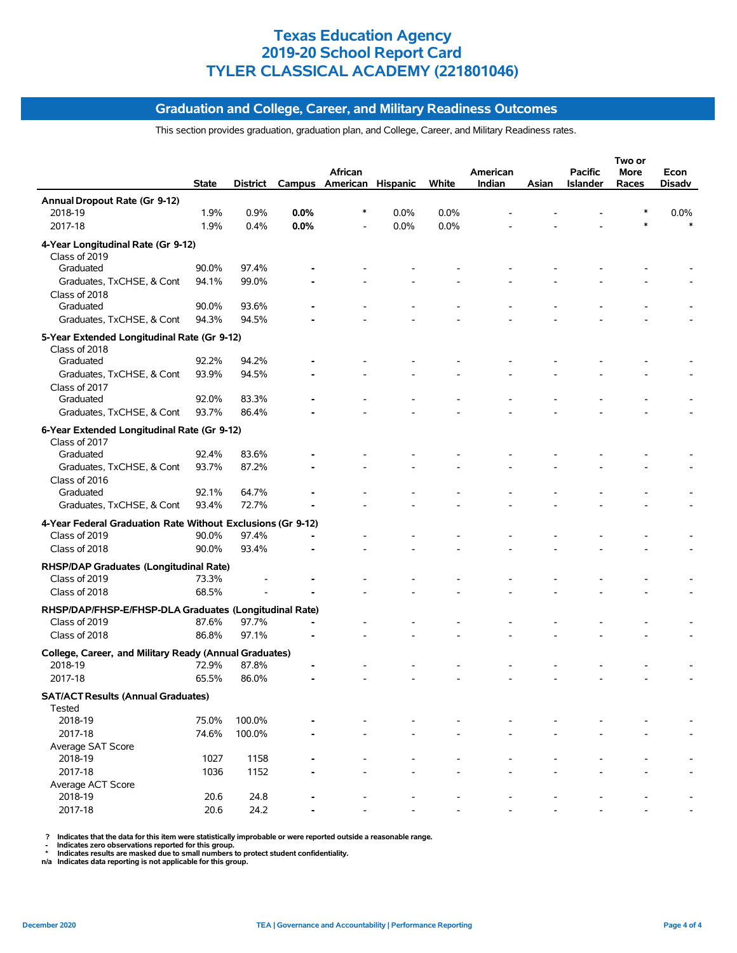### **Graduation and College, Career, and Military Readiness Outcomes**

This section provides graduation, graduation plan, and College, Career, and Military Readiness rates.

|                                                             |                |          |      |                                     |      |       |                    |       |                            | Two or        |                |
|-------------------------------------------------------------|----------------|----------|------|-------------------------------------|------|-------|--------------------|-------|----------------------------|---------------|----------------|
|                                                             | State          | District |      | African<br>Campus American Hispanic |      | White | American<br>Indian | Asian | <b>Pacific</b><br>Islander | More<br>Races | Econ<br>Disadv |
|                                                             |                |          |      |                                     |      |       |                    |       |                            |               |                |
| Annual Dropout Rate (Gr 9-12)<br>2018-19                    | 1.9%           | 0.9%     | 0.0% |                                     | 0.0% | 0.0%  |                    |       |                            |               | 0.0%           |
| 2017-18                                                     | 1.9%           | 0.4%     | 0.0% |                                     | 0.0% | 0.0%  |                    |       |                            |               |                |
|                                                             |                |          |      |                                     |      |       |                    |       |                            |               |                |
| 4-Year Longitudinal Rate (Gr 9-12)<br>Class of 2019         |                |          |      |                                     |      |       |                    |       |                            |               |                |
| Graduated                                                   | 90.0%          | 97.4%    |      |                                     |      |       |                    |       |                            |               |                |
| Graduates, TxCHSE, & Cont                                   | 94.1%          | 99.0%    |      |                                     |      |       |                    |       |                            |               |                |
| Class of 2018                                               |                |          |      |                                     |      |       |                    |       |                            |               |                |
| Graduated                                                   | 90.0%          | 93.6%    |      |                                     |      |       |                    |       |                            |               |                |
| Graduates, TxCHSE, & Cont                                   | 94.3%          | 94.5%    |      |                                     |      |       |                    |       |                            |               |                |
| 5-Year Extended Longitudinal Rate (Gr 9-12)                 |                |          |      |                                     |      |       |                    |       |                            |               |                |
| Class of 2018                                               |                |          |      |                                     |      |       |                    |       |                            |               |                |
| Graduated                                                   | 92.2%          | 94.2%    |      |                                     |      |       |                    |       |                            |               |                |
| Graduates, TxCHSE, & Cont                                   | 93.9%          | 94.5%    |      |                                     |      |       |                    |       |                            |               |                |
| Class of 2017                                               |                |          |      |                                     |      |       |                    |       |                            |               |                |
| Graduated                                                   | 92.0%          | 83.3%    |      |                                     |      |       |                    |       |                            |               |                |
| Graduates, TxCHSE, & Cont                                   | 93.7%          | 86.4%    |      |                                     |      |       |                    |       |                            |               |                |
| 6-Year Extended Longitudinal Rate (Gr 9-12)                 |                |          |      |                                     |      |       |                    |       |                            |               |                |
| Class of 2017                                               |                |          |      |                                     |      |       |                    |       |                            |               |                |
| Graduated                                                   | 92.4%          | 83.6%    |      |                                     |      |       |                    |       |                            |               |                |
| Graduates, TxCHSE, & Cont                                   | 93.7%          | 87.2%    |      |                                     |      |       |                    |       |                            |               |                |
| Class of 2016                                               |                |          |      |                                     |      |       |                    |       |                            |               |                |
| Graduated                                                   | 92.1%<br>93.4% | 64.7%    |      |                                     |      |       |                    |       |                            |               |                |
| Graduates, TxCHSE, & Cont                                   |                | 72.7%    |      |                                     |      |       |                    |       |                            |               |                |
| 4-Year Federal Graduation Rate Without Exclusions (Gr 9-12) |                |          |      |                                     |      |       |                    |       |                            |               |                |
| Class of 2019                                               | 90.0%          | 97.4%    |      |                                     |      |       |                    |       |                            |               |                |
| Class of 2018                                               | 90.0%          | 93.4%    |      |                                     |      |       |                    |       |                            |               |                |
| RHSP/DAP Graduates (Longitudinal Rate)                      |                |          |      |                                     |      |       |                    |       |                            |               |                |
| Class of 2019                                               | 73.3%          |          |      |                                     |      |       |                    |       |                            |               |                |
| Class of 2018                                               | 68.5%          |          |      |                                     |      |       |                    |       |                            |               |                |
| RHSP/DAP/FHSP-E/FHSP-DLA Graduates (Longitudinal Rate)      |                |          |      |                                     |      |       |                    |       |                            |               |                |
| Class of 2019                                               | 87.6%          | 97.7%    |      |                                     |      |       |                    |       |                            |               |                |
| Class of 2018                                               | 86.8%          | 97.1%    |      |                                     |      |       |                    |       |                            |               |                |
| College, Career, and Military Ready (Annual Graduates)      |                |          |      |                                     |      |       |                    |       |                            |               |                |
| 2018-19                                                     | 72.9%          | 87.8%    |      |                                     |      |       |                    |       |                            |               |                |
| 2017-18                                                     | 65.5%          | 86.0%    |      |                                     |      |       |                    |       |                            |               |                |
| <b>SAT/ACT Results (Annual Graduates)</b>                   |                |          |      |                                     |      |       |                    |       |                            |               |                |
| Tested                                                      |                |          |      |                                     |      |       |                    |       |                            |               |                |
| 2018-19                                                     | 75.0%          | 100.0%   |      |                                     |      |       |                    |       |                            |               |                |
| 2017-18                                                     | 74.6%          | 100.0%   |      |                                     |      |       |                    |       |                            |               |                |
| Average SAT Score                                           |                |          |      |                                     |      |       |                    |       |                            |               |                |
| 2018-19                                                     | 1027           | 1158     |      |                                     |      |       |                    |       |                            |               |                |
| 2017-18                                                     | 1036           | 1152     |      |                                     |      |       |                    |       |                            |               |                |
| Average ACT Score<br>2018-19                                | 20.6           | 24.8     |      |                                     |      |       |                    |       |                            |               |                |
| 2017-18                                                     | 20.6           | 24.2     |      |                                     |      |       |                    |       |                            |               |                |
|                                                             |                |          |      |                                     |      |       |                    |       |                            |               |                |

? Indicates that the data for this item were statistically improbable or were reported outside a reasonable range.<br>- Indicates zero observations reported for this group.<br>\* Indicates results are masked due to small numbers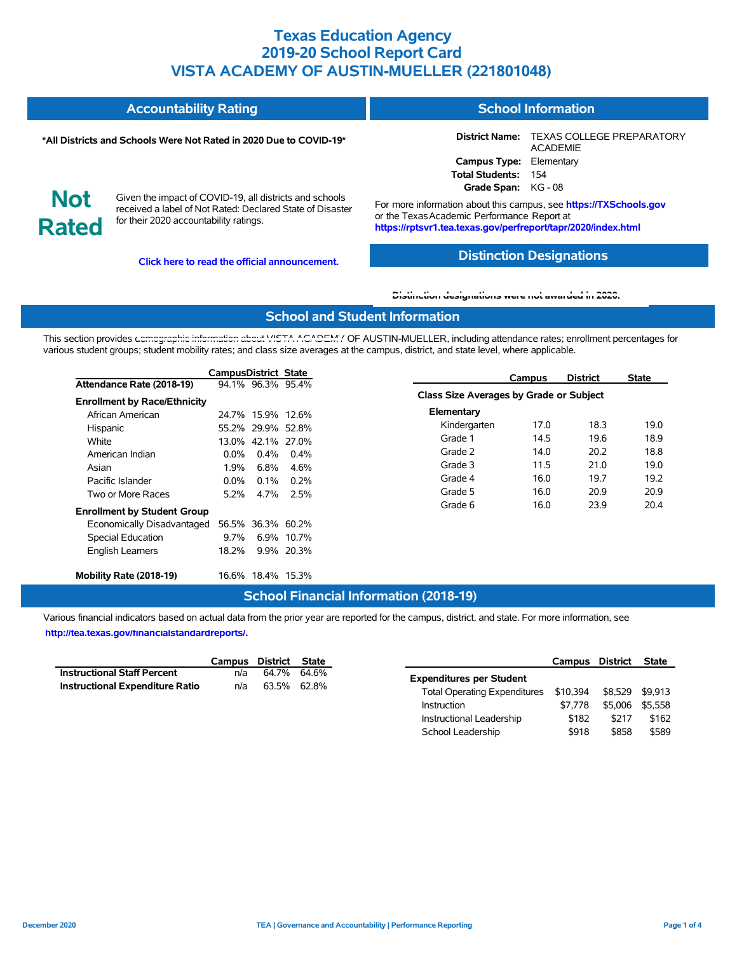|                            | <b>Accountability Rating</b>                                                                                                                                   |                                                                                                                                                                                   | <b>School Information</b>                           |
|----------------------------|----------------------------------------------------------------------------------------------------------------------------------------------------------------|-----------------------------------------------------------------------------------------------------------------------------------------------------------------------------------|-----------------------------------------------------|
|                            | *All Districts and Schools Were Not Rated in 2020 Due to COVID-19*                                                                                             | <b>District Name:</b>                                                                                                                                                             | <b>TEXAS COLLEGE PREPARATORY</b><br><b>ACADEMIE</b> |
|                            |                                                                                                                                                                | <b>Campus Type:</b>                                                                                                                                                               | Elementary                                          |
|                            |                                                                                                                                                                | <b>Total Students: 154</b>                                                                                                                                                        |                                                     |
|                            |                                                                                                                                                                | <b>Grade Span:</b> KG - 08                                                                                                                                                        |                                                     |
| <b>Not</b><br><b>Rated</b> | Given the impact of COVID-19, all districts and schools<br>received a label of Not Rated: Declared State of Disaster<br>for their 2020 accountability ratings. | For more information about this campus, see https://TXSchools.gov<br>or the Texas Academic Performance Report at<br>https://rptsvr1.tea.texas.gov/perfreport/tapr/2020/index.html |                                                     |

**Click here to read the official announcement.**

#### **Distinction Designations**

#### **[Distinction designations were not awarded in 2020.](https://rptsvr1.tea.texas.gov/perfreport/tapr/2020/index.html)**

#### **School and Student Information**

This section provides [demographic information about VISTA ACADEMY](https://tea.texas.gov/about-tea/news-and-multimedia/correspondence/taa-letters/every-student-succeeds-act-essa-waiver-approval-2020-state-academic-accountability) OF AUSTIN-MUELLER, including attendance rates; enrollment percentages for various student groups; student mobility rates; and class size averages at the campus, district, and state level, where applicable.

 $\overline{\phantom{a}}$ 

|                                     | <b>CampusDistrict State</b> |                   |             |
|-------------------------------------|-----------------------------|-------------------|-------------|
| Attendance Rate (2018-19)           |                             | 94.1% 96.3% 95.4% |             |
| <b>Enrollment by Race/Ethnicity</b> |                             |                   |             |
| African American                    |                             | 24.7% 15.9%       | 12.6%       |
| Hispanic                            |                             | 55.2% 29.9%       | 528%        |
| White                               | 13.0%                       |                   | 42.1% 27.0% |
| American Indian                     | $0.0\%$                     | $0.4\%$           | $0.4\%$     |
| Asian                               | 1.9%                        | 6.8%              | 4.6%        |
| Pacific Islander                    | 0.0%                        | $0.1\%$           | 0.2%        |
| Two or More Races                   | 52%                         | 47%               | 2.5%        |
| <b>Enrollment by Student Group</b>  |                             |                   |             |
| Economically Disadvantaged          | 56.5%                       | 36.3%             | 60.2%       |
| Special Education                   | $9.7\%$                     |                   | 6.9% 10.7%  |
| <b>English Learners</b>             | 18.2%                       |                   | 9.9% 20.3%  |
| Mobility Rate (2018-19)             | 16.6%                       | 18.4%             | 15.3%       |

|                                         | Campus | <b>District</b> | <b>State</b> |
|-----------------------------------------|--------|-----------------|--------------|
| Class Size Averages by Grade or Subject |        |                 |              |
| Elementary                              |        |                 |              |
| Kindergarten                            | 17.0   | 18.3            | 19.0         |
| Grade 1                                 | 14.5   | 19.6            | 18.9         |
| Grade 2                                 | 14.0   | 20.2            | 18.8         |
| Grade 3                                 | 11.5   | 21.0            | 19.0         |
| Grade 4                                 | 16.0   | 19.7            | 19.2         |
| Grade 5                                 | 16.0   | 20.9            | 20.9         |
| Grade 6                                 | 16.0   | 23.9            | 20.4         |
|                                         |        |                 |              |

School Leadership  $$918$  \$858 \$589

#### **School Financial Information (2018-19)**

Various financial indicators based on actual data from the prior year are reported for the campus, district, and state. For more information, see

**[http://tea.texas.gov/financialstandardreports/.](http://tea.texas.gov/financialstandardreports/)**

|                                 | Campus | District | State |                                     | Campus   | District        | <b>State</b> |
|---------------------------------|--------|----------|-------|-------------------------------------|----------|-----------------|--------------|
| Instructional Staff Percent     | n/a    | 64.7%    | 64.6% | <b>Expenditures per Student</b>     |          |                 |              |
| Instructional Expenditure Ratio | n/a    | 63.5%    | 62.8% | <b>Total Operating Expenditures</b> | \$10,394 | \$8,529 \$9,913 |              |
|                                 |        |          |       | Instruction                         | \$7.778  | \$5.006 \$5.558 |              |
|                                 |        |          |       | Instructional Leadership            | \$182    | \$217           | \$162        |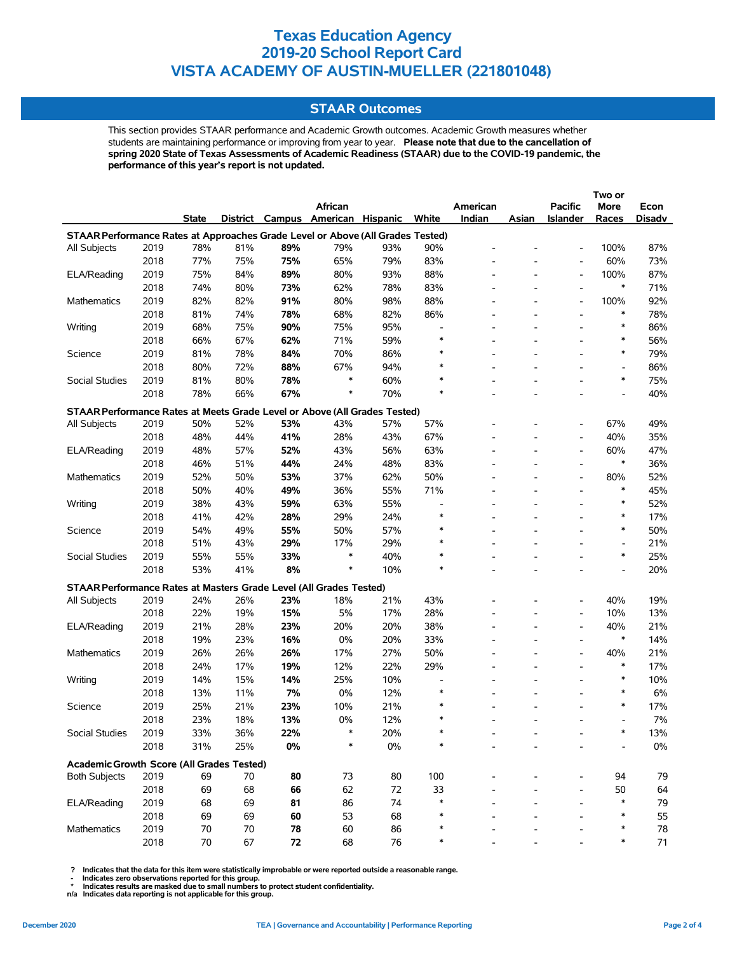### **STAAR Outcomes**

This section provides STAAR performance and Academic Growth outcomes. Academic Growth measures whether students are maintaining performance or improving from year to year. **Please note that due to the cancellation of spring 2020 State of Texas Assessments of Academic Readiness (STAAR) due to the COVID-19 pandemic, the performance of this year's report is not updated.**

|                                                                                |      |       |          |     |                          |       |        |                          |                          |                          | Two or                   |        |
|--------------------------------------------------------------------------------|------|-------|----------|-----|--------------------------|-------|--------|--------------------------|--------------------------|--------------------------|--------------------------|--------|
|                                                                                |      |       |          |     | African                  |       |        | American                 |                          | <b>Pacific</b>           | More                     | Econ   |
|                                                                                |      | State | District |     | Campus American Hispanic |       | White  | Indian                   | Asian                    | <b>Islander</b>          | Races                    | Disadv |
| STAAR Performance Rates at Approaches Grade Level or Above (All Grades Tested) |      |       |          |     |                          |       |        |                          |                          |                          |                          |        |
| All Subjects                                                                   | 2019 | 78%   | 81%      | 89% | 79%                      | 93%   | 90%    |                          |                          | $\overline{a}$           | 100%                     | 87%    |
|                                                                                | 2018 | 77%   | 75%      | 75% | 65%                      | 79%   | 83%    |                          |                          | $\overline{\phantom{a}}$ | 60%                      | 73%    |
| ELA/Reading                                                                    | 2019 | 75%   | 84%      | 89% | 80%                      | 93%   | 88%    |                          |                          | $\overline{a}$           | 100%                     | 87%    |
|                                                                                | 2018 | 74%   | 80%      | 73% | 62%                      | 78%   | 83%    |                          |                          | $\overline{a}$           | $\ast$                   | 71%    |
| Mathematics                                                                    | 2019 | 82%   | 82%      | 91% | 80%                      | 98%   | 88%    |                          |                          | $\overline{\phantom{a}}$ | 100%                     | 92%    |
|                                                                                | 2018 | 81%   | 74%      | 78% | 68%                      | 82%   | 86%    | $\overline{a}$           |                          | $\overline{a}$           | $\ast$                   | 78%    |
| Writing                                                                        | 2019 | 68%   | 75%      | 90% | 75%                      | 95%   |        |                          |                          | $\overline{\phantom{a}}$ | $\ast$                   | 86%    |
|                                                                                | 2018 | 66%   | 67%      | 62% | 71%                      | 59%   | $\ast$ |                          |                          |                          | $\ast$                   | 56%    |
| Science                                                                        | 2019 | 81%   | 78%      | 84% | 70%                      | 86%   | $\ast$ |                          |                          |                          | $\ast$                   | 79%    |
|                                                                                | 2018 | 80%   | 72%      | 88% | 67%                      | 94%   | $\ast$ |                          |                          |                          | $\overline{\phantom{a}}$ | 86%    |
| Social Studies                                                                 | 2019 | 81%   | 80%      | 78% | $\ast$                   | 60%   | $\ast$ |                          |                          | $\overline{a}$           | $\ast$                   | 75%    |
|                                                                                | 2018 | 78%   | 66%      | 67% | $\ast$                   | 70%   | ∗      | $\overline{\phantom{0}}$ |                          | $\overline{\phantom{0}}$ | $\overline{\phantom{a}}$ | 40%    |
| STAAR Performance Rates at Meets Grade Level or Above (All Grades Tested)      |      |       |          |     |                          |       |        |                          |                          |                          |                          |        |
| All Subjects                                                                   | 2019 | 50%   | 52%      | 53% | 43%                      | 57%   | 57%    |                          |                          | $\overline{a}$           | 67%                      | 49%    |
|                                                                                | 2018 | 48%   | 44%      | 41% | 28%                      | 43%   | 67%    | $\overline{\phantom{a}}$ |                          | $\overline{\phantom{0}}$ | 40%                      | 35%    |
| ELA/Reading                                                                    | 2019 | 48%   | 57%      | 52% | 43%                      | 56%   | 63%    |                          |                          | $\overline{\phantom{a}}$ | 60%                      | 47%    |
|                                                                                | 2018 | 46%   | 51%      | 44% | 24%                      | 48%   | 83%    |                          |                          | $\overline{\phantom{a}}$ | $\ast$                   | 36%    |
| Mathematics                                                                    | 2019 | 52%   | 50%      | 53% | 37%                      | 62%   | 50%    | $\overline{\phantom{0}}$ |                          | $\overline{a}$           | 80%                      | 52%    |
|                                                                                | 2018 | 50%   | 40%      | 49% | 36%                      | 55%   | 71%    |                          |                          | $\overline{a}$           | $\ast$                   | 45%    |
| Writing                                                                        | 2019 | 38%   | 43%      | 59% | 63%                      | 55%   |        |                          |                          | $\overline{a}$           | $\ast$                   | 52%    |
|                                                                                | 2018 | 41%   | 42%      | 28% | 29%                      | 24%   | $\ast$ | $\overline{\phantom{0}}$ | $\overline{\phantom{a}}$ | $\overline{\phantom{a}}$ | $\ast$                   | 17%    |
| Science                                                                        | 2019 | 54%   | 49%      | 55% | 50%                      | 57%   |        |                          |                          | $\overline{a}$           | $\ast$                   | 50%    |
|                                                                                | 2018 | 51%   | 43%      | 29% | 17%                      | 29%   | $\ast$ |                          |                          | $\overline{a}$           | $\overline{\phantom{a}}$ | 21%    |
| Social Studies                                                                 | 2019 | 55%   | 55%      | 33% | $\ast$                   | 40%   | *      |                          |                          | $\overline{a}$           | $\ast$                   | 25%    |
|                                                                                | 2018 | 53%   | 41%      | 8%  | $\ast$                   | 10%   | $\ast$ |                          |                          |                          |                          | 20%    |
| STAAR Performance Rates at Masters Grade Level (All Grades Tested)             |      |       |          |     |                          |       |        |                          |                          |                          |                          |        |
| All Subjects                                                                   | 2019 | 24%   | 26%      | 23% | 18%                      | 21%   | 43%    |                          |                          | $\overline{a}$           | 40%                      | 19%    |
|                                                                                | 2018 | 22%   | 19%      | 15% | 5%                       | 17%   | 28%    |                          |                          | $\overline{a}$           | 10%                      | 13%    |
| ELA/Reading                                                                    | 2019 | 21%   | 28%      | 23% | 20%                      | 20%   | 38%    |                          |                          | $\overline{a}$           | 40%                      | 21%    |
|                                                                                | 2018 | 19%   | 23%      | 16% | 0%                       | 20%   | 33%    | $\overline{a}$           |                          | $\overline{\phantom{0}}$ | $\ast$                   | 14%    |
| <b>Mathematics</b>                                                             | 2019 | 26%   | 26%      | 26% | 17%                      | 27%   | 50%    |                          |                          | $\overline{\phantom{a}}$ | 40%                      | 21%    |
|                                                                                | 2018 | 24%   | 17%      | 19% | 12%                      | 22%   | 29%    |                          |                          | $\overline{\phantom{a}}$ | $\ast$                   | 17%    |
| Writing                                                                        | 2019 | 14%   | 15%      | 14% | 25%                      | 10%   |        |                          |                          | $\overline{a}$           | $\ast$                   | 10%    |
|                                                                                | 2018 | 13%   | 11%      | 7%  | 0%                       | 12%   | $\ast$ |                          |                          | $\overline{a}$           | $\ast$                   | 6%     |
| Science                                                                        | 2019 | 25%   | 21%      | 23% | 10%                      | 21%   | $\ast$ |                          |                          | $\overline{a}$           | $\ast$                   | 17%    |
|                                                                                | 2018 | 23%   | 18%      | 13% | 0%                       | 12%   | *      |                          |                          | $\overline{a}$           | $\overline{\phantom{a}}$ | 7%     |
|                                                                                |      |       |          |     |                          |       |        |                          |                          |                          |                          |        |
| Social Studies                                                                 | 2019 | 33%   | 36%      | 22% | ∗                        | 20%   |        |                          |                          |                          |                          | 13%    |
|                                                                                | 2018 | 31%   | 25%      | 0%  |                          | $0\%$ |        |                          |                          |                          |                          | $0\%$  |
| Academic Growth Score (All Grades Tested)                                      |      |       |          |     |                          |       |        |                          |                          |                          |                          |        |
| <b>Both Subjects</b>                                                           | 2019 | 69    | 70       | 80  | 73                       | 80    | 100    |                          |                          |                          | 94                       | 79     |
|                                                                                | 2018 | 69    | 68       | 66  | 62                       | 72    | 33     |                          |                          |                          | 50                       | 64     |
| ELA/Reading                                                                    | 2019 | 68    | 69       | 81  | 86                       | 74    | $\ast$ |                          |                          |                          | $\ast$                   | 79     |
|                                                                                | 2018 | 69    | 69       | 60  | 53                       | 68    | *      |                          |                          |                          | $\ast$                   | 55     |
| <b>Mathematics</b>                                                             | 2019 | 70    | 70       | 78  | 60                       | 86    |        |                          |                          |                          | ∗                        | 78     |
|                                                                                | 2018 | 70    | 67       | 72  | 68                       | 76    | *      |                          |                          |                          | $\ast$                   | 71     |

 **? Indicates that the data for this item were statistically improbable or were reported outside a reasonable range.**

 **- Indicates zero observations reported for this group. \* Indicates results are masked due to small numbers to protect student confidentiality.**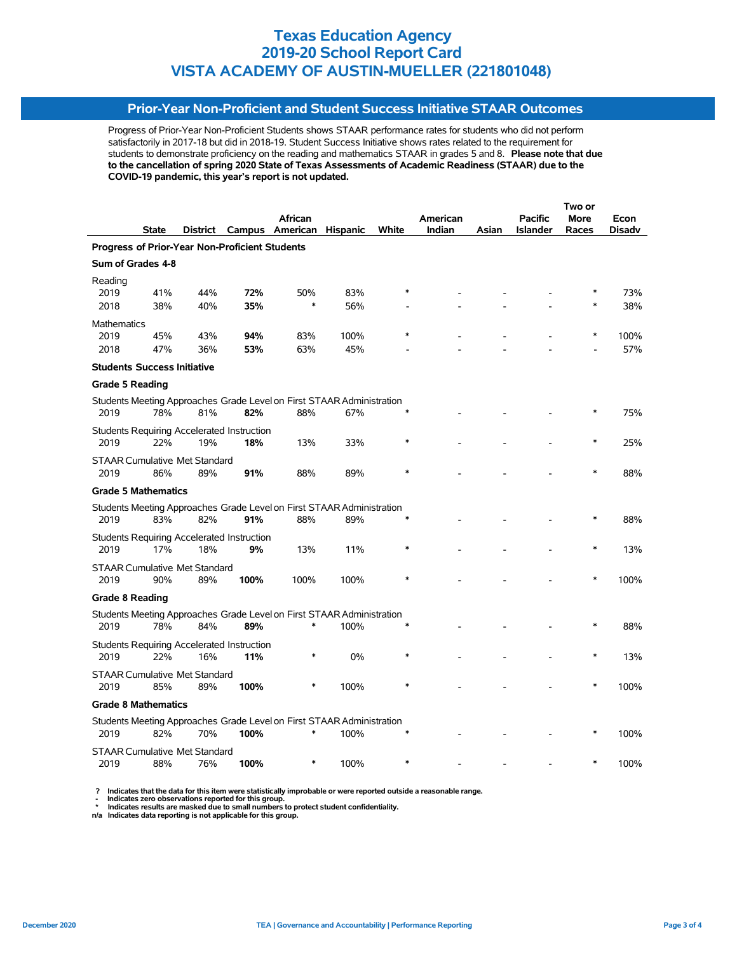### **Prior-Year Non-Proficient and Student Success Initiative STAAR Outcomes**

Progress of Prior-Year Non-Proficient Students shows STAAR performance rates for students who did not perform satisfactorily in 2017-18 but did in 2018-19. Student Success Initiative shows rates related to the requirement for students to demonstrate proficiency on the reading and mathematics STAAR in grades 5 and 8. **Please note that due to the cancellation of spring 2020 State of Texas Assessments of Academic Readiness (STAAR) due to the COVID-19 pandemic, this year's report is not updated.**

|                        |                                      |     |                                                |                                                                       |      |        |          |       |                 | Two or      |        |
|------------------------|--------------------------------------|-----|------------------------------------------------|-----------------------------------------------------------------------|------|--------|----------|-------|-----------------|-------------|--------|
|                        |                                      |     |                                                | African                                                               |      |        | American |       | <b>Pacific</b>  | <b>More</b> | Econ   |
|                        | <b>State</b>                         |     |                                                | District Campus American Hispanic                                     |      | White  | Indian   | Asian | <b>Islander</b> | Races       | Disadv |
|                        |                                      |     | Progress of Prior-Year Non-Proficient Students |                                                                       |      |        |          |       |                 |             |        |
|                        | Sum of Grades 4-8                    |     |                                                |                                                                       |      |        |          |       |                 |             |        |
| Reading                |                                      |     |                                                |                                                                       |      |        |          |       |                 |             |        |
| 2019                   | 41%                                  | 44% | 72%                                            | 50%                                                                   | 83%  |        |          |       |                 |             | 73%    |
| 2018                   | 38%                                  | 40% | 35%                                            | $\ast$                                                                | 56%  |        |          |       |                 | *           | 38%    |
| <b>Mathematics</b>     |                                      |     |                                                |                                                                       |      |        |          |       |                 |             |        |
| 2019                   | 45%                                  | 43% | 94%                                            | 83%                                                                   | 100% |        |          |       |                 | *           | 100%   |
| 2018                   | 47%                                  | 36% | 53%                                            | 63%                                                                   | 45%  |        |          |       |                 |             | 57%    |
|                        | <b>Students Success Initiative</b>   |     |                                                |                                                                       |      |        |          |       |                 |             |        |
| <b>Grade 5 Reading</b> |                                      |     |                                                |                                                                       |      |        |          |       |                 |             |        |
|                        |                                      |     |                                                | Students Meeting Approaches Grade Level on First STAAR Administration |      |        |          |       |                 |             |        |
| 2019                   | 78%                                  | 81% | 82%                                            | 88%                                                                   | 67%  |        |          |       |                 |             | 75%    |
|                        |                                      |     | Students Requiring Accelerated Instruction     |                                                                       |      |        |          |       |                 |             |        |
| 2019                   | 22%                                  | 19% | 18%                                            | 13%                                                                   | 33%  | $\ast$ |          |       |                 | *           | 25%    |
|                        | <b>STAAR Cumulative Met Standard</b> |     |                                                |                                                                       |      |        |          |       |                 |             |        |
| 2019                   | 86%                                  | 89% | 91%                                            | 88%                                                                   | 89%  | $\ast$ |          |       |                 | $\ast$      | 88%    |
|                        | <b>Grade 5 Mathematics</b>           |     |                                                |                                                                       |      |        |          |       |                 |             |        |
|                        |                                      |     |                                                | Students Meeting Approaches Grade Level on First STAAR Administration |      |        |          |       |                 |             |        |
| 2019                   | 83%                                  | 82% | 91%                                            | 88%                                                                   | 89%  |        |          |       |                 |             | 88%    |
|                        |                                      |     | Students Requiring Accelerated Instruction     |                                                                       |      |        |          |       |                 |             |        |
| 2019                   | 17%                                  | 18% | 9%                                             | 13%                                                                   | 11%  | $\ast$ |          |       |                 | *           | 13%    |
|                        | <b>STAAR Cumulative Met Standard</b> |     |                                                |                                                                       |      |        |          |       |                 |             |        |
| 2019                   | 90%                                  | 89% | 100%                                           | 100%                                                                  | 100% |        |          |       |                 | $\ast$      | 100%   |
| <b>Grade 8 Reading</b> |                                      |     |                                                |                                                                       |      |        |          |       |                 |             |        |
|                        |                                      |     |                                                | Students Meeting Approaches Grade Level on First STAAR Administration |      |        |          |       |                 |             |        |
| 2019                   | 78%                                  | 84% | 89%                                            |                                                                       | 100% |        |          |       |                 |             | 88%    |
|                        |                                      |     | Students Requiring Accelerated Instruction     |                                                                       |      |        |          |       |                 |             |        |
| 2019                   | 22%                                  | 16% | 11%                                            |                                                                       | 0%   |        |          |       |                 | $\ast$      | 13%    |
|                        | <b>STAAR Cumulative Met Standard</b> |     |                                                |                                                                       |      |        |          |       |                 |             |        |
| 2019                   | 85%                                  | 89% | 100%                                           | ∗                                                                     | 100% |        |          |       |                 |             | 100%   |
|                        | <b>Grade 8 Mathematics</b>           |     |                                                |                                                                       |      |        |          |       |                 |             |        |
|                        |                                      |     |                                                | Students Meeting Approaches Grade Level on First STAAR Administration |      |        |          |       |                 |             |        |
| 2019                   | 82%                                  | 70% | 100%                                           | *                                                                     | 100% |        |          |       |                 |             | 100%   |
|                        | <b>STAAR Cumulative Met Standard</b> |     |                                                |                                                                       |      |        |          |       |                 |             |        |
| 2019                   | 88%                                  | 76% | 100%                                           | ∗                                                                     | 100% |        |          |       |                 |             | 100%   |

? Indicates that the data for this item were statistically improbable or were reported outside a reasonable range.<br>- Indicates zero observations reported for this group.<br>\* Indicates results are masked due to small numbers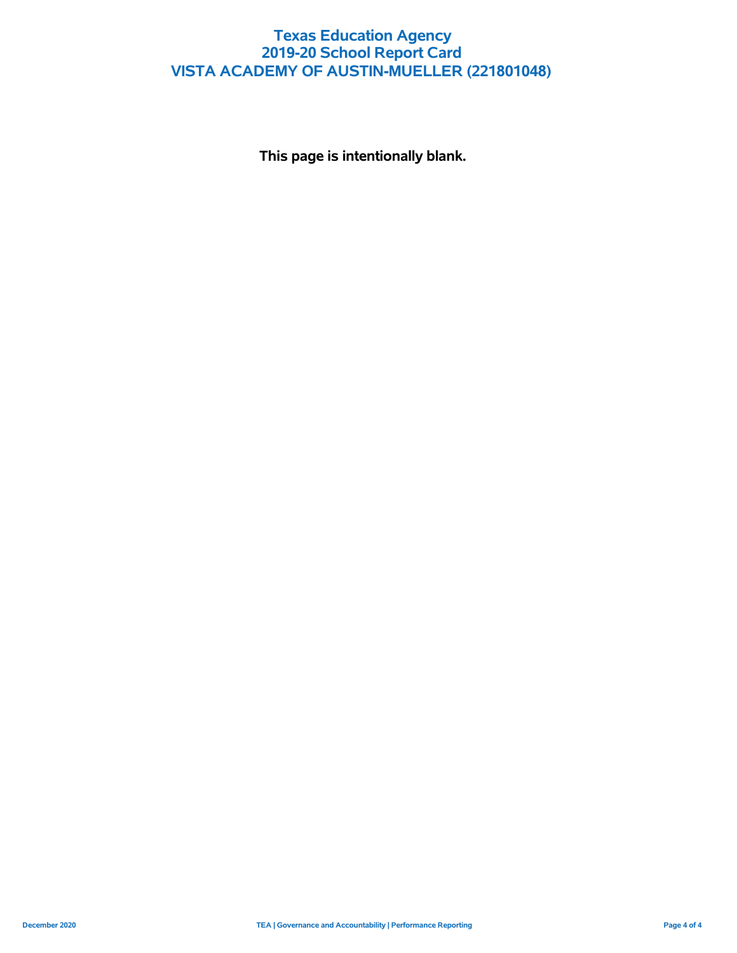**This page is intentionally blank.**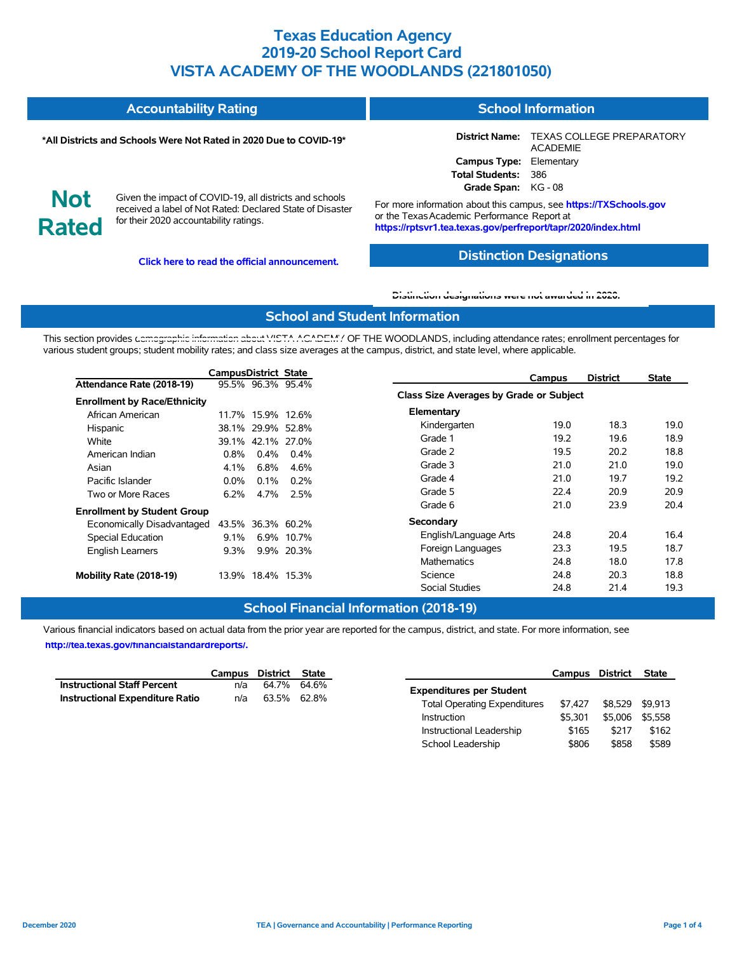|                            | <b>Accountability Rating</b>                                                                                                                                   |                                                                                                                                                                                   | <b>School Information</b>                           |
|----------------------------|----------------------------------------------------------------------------------------------------------------------------------------------------------------|-----------------------------------------------------------------------------------------------------------------------------------------------------------------------------------|-----------------------------------------------------|
|                            | *All Districts and Schools Were Not Rated in 2020 Due to COVID-19*                                                                                             | <b>District Name:</b>                                                                                                                                                             | <b>TEXAS COLLEGE PREPARATORY</b><br><b>ACADEMIE</b> |
|                            |                                                                                                                                                                | <b>Campus Type:</b>                                                                                                                                                               | Elementary                                          |
|                            |                                                                                                                                                                | <b>Total Students: 386</b>                                                                                                                                                        |                                                     |
|                            |                                                                                                                                                                | Grade Span: KG - 08                                                                                                                                                               |                                                     |
| <b>Not</b><br><b>Rated</b> | Given the impact of COVID-19, all districts and schools<br>received a label of Not Rated: Declared State of Disaster<br>for their 2020 accountability ratings. | For more information about this campus, see https://TXSchools.gov<br>or the Texas Academic Performance Report at<br>https://rptsvr1.tea.texas.gov/perfreport/tapr/2020/index.html |                                                     |

**Click here to read the official announcement.**

### **Distinction Designations**

Instructional Leadership  $$165$  \$217 \$162 School Leadership  $$806$  \$858 \$589

#### **[Distinction designations were not awarded in 2020.](https://rptsvr1.tea.texas.gov/perfreport/tapr/2020/index.html)**

#### **School and Student Information**

This section provides [demographic information about VISTA ACADEMY](https://tea.texas.gov/about-tea/news-and-multimedia/correspondence/taa-letters/every-student-succeeds-act-essa-waiver-approval-2020-state-academic-accountability) OF THE WOODLANDS, including attendance rates; enrollment percentages for various student groups; student mobility rates; and class size averages at the campus, district, and state level, where applicable.

|                                     | <b>CampusDistrict State</b> |         |             |                                         | Campus | <b>District</b> | <b>State</b> |
|-------------------------------------|-----------------------------|---------|-------------|-----------------------------------------|--------|-----------------|--------------|
| Attendance Rate (2018-19)           | 95.5% 96.3% 95.4%           |         |             |                                         |        |                 |              |
| <b>Enrollment by Race/Ethnicity</b> |                             |         |             | Class Size Averages by Grade or Subject |        |                 |              |
| African American                    | 11.7% 15.9% 12.6%           |         |             | Elementary                              |        |                 |              |
| Hispanic                            | 38.1% 29.9% 52.8%           |         |             | Kindergarten                            | 19.0   | 18.3            | 19.0         |
| White                               | 39.1%                       |         | 42.1% 27.0% | Grade 1                                 | 19.2   | 19.6            | 18.9         |
| American Indian                     | 0.8%                        | $0.4\%$ | 0.4%        | Grade 2                                 | 19.5   | 20.2            | 18.8         |
| Asian                               | 4.1%                        | 6.8%    | 4.6%        | Grade 3                                 | 21.0   | 21.0            | 19.0         |
| Pacific Islander                    | $0.0\%$                     | $0.1\%$ | 0.2%        | Grade 4                                 | 21.0   | 19.7            | 19.2         |
| Two or More Races                   | 6.2%                        | 4.7%    | 2.5%        | Grade 5                                 | 22.4   | 20.9            | 20.9         |
| <b>Enrollment by Student Group</b>  |                             |         |             | Grade 6                                 | 21.0   | 23.9            | 20.4         |
| Economically Disadvantaged          | 43.5%                       |         | 36.3% 60.2% | Secondary                               |        |                 |              |
| Special Education                   | 9.1%                        |         | 6.9% 10.7%  | English/Language Arts                   | 24.8   | 20.4            | 16.4         |
| <b>English Learners</b>             | 9.3%                        |         | 9.9% 20.3%  | Foreign Languages                       | 23.3   | 19.5            | 18.7         |
|                                     |                             |         |             | <b>Mathematics</b>                      | 24.8   | 18.0            | 17.8         |
| Mobility Rate (2018-19)             | 13.9% 18.4% 15.3%           |         |             | Science                                 | 24.8   | 20.3            | 18.8         |
|                                     |                             |         |             | Social Studies                          | 248    | 214             | 19.3         |

### **School Financial Information (2018-19)**

Various financial indicators based on actual data from the prior year are reported for the campus, district, and state. For more information, see

**[http://tea.texas.gov/financialstandardreports/.](http://tea.texas.gov/financialstandardreports/)**

|                                        | Campus | District | State       |
|----------------------------------------|--------|----------|-------------|
| <b>Instructional Staff Percent</b>     | n/a    |          | 64.7% 64.6% |
| <b>Instructional Expenditure Ratio</b> | n/a    |          | 63.5% 62.8% |
|                                        |        |          |             |

Ē,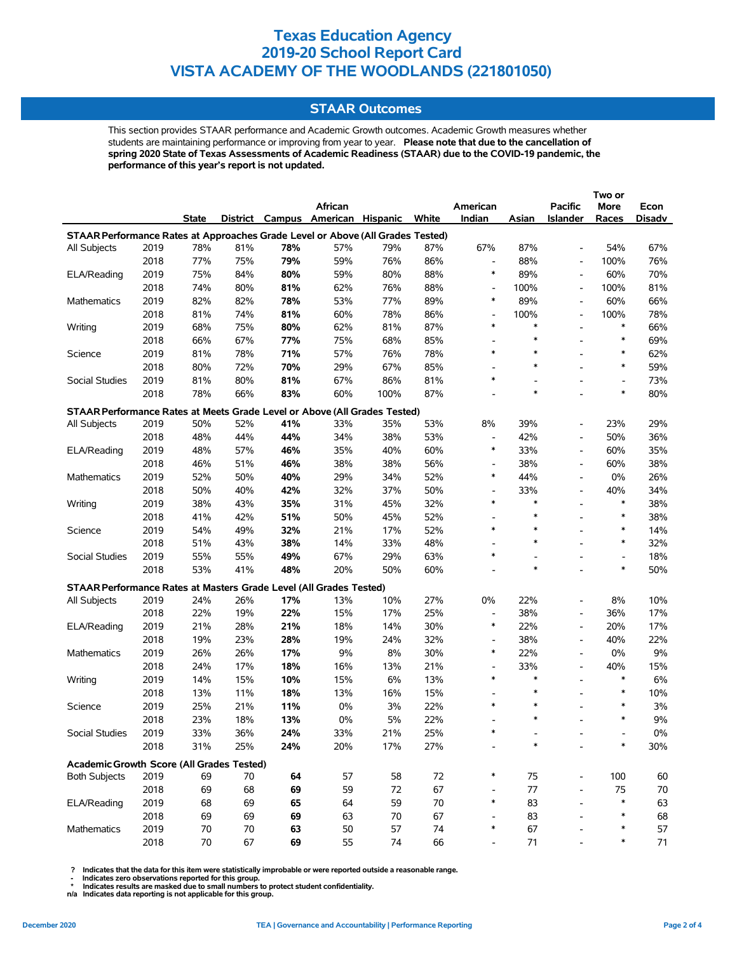### **STAAR Outcomes**

This section provides STAAR performance and Academic Growth outcomes. Academic Growth measures whether students are maintaining performance or improving from year to year. **Please note that due to the cancellation of spring 2020 State of Texas Assessments of Academic Readiness (STAAR) due to the COVID-19 pandemic, the performance of this year's report is not updated.**

|                                                                                |              |              |          |          |                                   |      |       |                                    |          |                          | Two or                   |          |
|--------------------------------------------------------------------------------|--------------|--------------|----------|----------|-----------------------------------|------|-------|------------------------------------|----------|--------------------------|--------------------------|----------|
|                                                                                |              |              |          |          | African                           |      |       | American                           |          | <b>Pacific</b>           | More                     | Econ     |
|                                                                                |              | State        |          |          | District Campus American Hispanic |      | White | Indian                             | Asian    | <b>Islander</b>          | Races                    | Disadv   |
| STAAR Performance Rates at Approaches Grade Level or Above (All Grades Tested) |              |              |          |          |                                   |      |       |                                    |          |                          |                          |          |
| All Subjects                                                                   | 2019         | 78%          | 81%      | 78%      | 57%                               | 79%  | 87%   | 67%                                | 87%      | $\overline{\phantom{0}}$ | 54%                      | 67%      |
|                                                                                | 2018         | 77%          | 75%      | 79%      | 59%                               | 76%  | 86%   | $\overline{\phantom{a}}$           | 88%      | $\overline{\phantom{0}}$ | 100%                     | 76%      |
| ELA/Reading                                                                    | 2019         | 75%          | 84%      | 80%      | 59%                               | 80%  | 88%   | $\ast$                             | 89%      | $\overline{\phantom{0}}$ | 60%                      | 70%      |
|                                                                                | 2018         | 74%          | 80%      | 81%      | 62%                               | 76%  | 88%   | $\overline{\phantom{a}}$           | 100%     | $\overline{\phantom{0}}$ | 100%                     | 81%      |
| Mathematics                                                                    | 2019         | 82%          | 82%      | 78%      | 53%                               | 77%  | 89%   | $\ast$                             | 89%      | $\overline{\phantom{0}}$ | 60%                      | 66%      |
|                                                                                | 2018         | 81%          | 74%      | 81%      | 60%                               | 78%  | 86%   | $\overline{\phantom{a}}$           | 100%     | $\overline{\phantom{0}}$ | 100%                     | 78%      |
| Writing                                                                        | 2019         | 68%          | 75%      | 80%      | 62%                               | 81%  | 87%   | $\ast$                             | $\ast$   | $\overline{\phantom{a}}$ | $\ast$                   | 66%      |
|                                                                                | 2018         | 66%          | 67%      | 77%      | 75%                               | 68%  | 85%   | $\overline{\phantom{a}}$           | *        |                          | $\ast$                   | 69%      |
| Science                                                                        | 2019         | 81%          | 78%      | 71%      | 57%                               | 76%  | 78%   | $\ast$                             | $\ast$   | $\overline{a}$           | $\ast$                   | 62%      |
|                                                                                | 2018         | 80%          | 72%      | 70%      | 29%                               | 67%  | 85%   |                                    | $\ast$   |                          | $\ast$                   | 59%      |
| Social Studies                                                                 | 2019         | 81%          | 80%      | 81%      | 67%                               | 86%  | 81%   | $\ast$                             |          | $\overline{a}$           | $\overline{\phantom{a}}$ | 73%      |
|                                                                                | 2018         | 78%          | 66%      | 83%      | 60%                               | 100% | 87%   |                                    | $\ast$   | $\overline{a}$           | $\ast$                   | 80%      |
| STAAR Performance Rates at Meets Grade Level or Above (All Grades Tested)      |              |              |          |          |                                   |      |       |                                    |          |                          |                          |          |
| All Subjects                                                                   | 2019         | 50%          | 52%      | 41%      | 33%                               | 35%  | 53%   | 8%                                 | 39%      | $\overline{a}$           | 23%                      | 29%      |
|                                                                                | 2018         | 48%          | 44%      | 44%      | 34%                               | 38%  | 53%   | $\overline{\phantom{a}}$           | 42%      | $\overline{\phantom{0}}$ | 50%                      | 36%      |
| ELA/Reading                                                                    | 2019         | 48%          | 57%      | 46%      | 35%                               | 40%  | 60%   | $\ast$                             | 33%      | $\overline{\phantom{a}}$ | 60%                      | 35%      |
|                                                                                | 2018         | 46%          | 51%      | 46%      | 38%                               | 38%  | 56%   | $\overline{\phantom{a}}$           | 38%      | $\overline{\phantom{0}}$ | 60%                      | 38%      |
| Mathematics                                                                    | 2019         | 52%          | 50%      | 40%      | 29%                               | 34%  | 52%   | $\ast$                             | 44%      | $\overline{\phantom{a}}$ | 0%                       | 26%      |
|                                                                                | 2018         | 50%          | 40%      | 42%      | 32%                               | 37%  | 50%   | $\overline{\phantom{a}}$           | 33%      | $\overline{a}$           | 40%                      | 34%      |
| Writing                                                                        | 2019         | 38%          | 43%      | 35%      | 31%                               | 45%  | 32%   | $\ast$                             | $\ast$   | $\overline{a}$           | $\ast$                   | 38%      |
|                                                                                | 2018         | 41%          | 42%      | 51%      | 50%                               | 45%  | 52%   | $\overline{\phantom{a}}$           | $\ast$   | $\overline{\phantom{a}}$ | $\ast$                   | 38%      |
| Science                                                                        | 2019         | 54%          | 49%      | 32%      | 21%                               | 17%  | 52%   | $\ast$                             | $\ast$   |                          | $\ast$                   | 14%      |
|                                                                                | 2018         | 51%          | 43%      | 38%      | 14%                               | 33%  | 48%   |                                    | $\ast$   |                          | $\ast$                   | 32%      |
| Social Studies                                                                 | 2019         | 55%          | 55%      | 49%      | 67%                               | 29%  | 63%   | $\ast$                             |          | $\overline{a}$           | $\overline{\phantom{a}}$ | 18%      |
|                                                                                | 2018         | 53%          | 41%      | 48%      | 20%                               | 50%  | 60%   |                                    | $\ast$   |                          | $\ast$                   | 50%      |
| STAAR Performance Rates at Masters Grade Level (All Grades Tested)             |              |              |          |          |                                   |      |       |                                    |          |                          |                          |          |
| All Subjects                                                                   | 2019         | 24%          | 26%      | 17%      | 13%                               | 10%  | 27%   | 0%                                 | 22%      | $\overline{a}$           | 8%                       | 10%      |
|                                                                                | 2018         | 22%          | 19%      | 22%      | 15%                               | 17%  | 25%   | $\overline{\phantom{a}}$           | 38%      | $\overline{a}$           | 36%                      | 17%      |
| ELA/Reading                                                                    | 2019         | 21%          | 28%      | 21%      | 18%                               | 14%  | 30%   | $\ast$                             | 22%      | $\overline{\phantom{0}}$ | 20%                      | 17%      |
|                                                                                | 2018         | 19%          | 23%      | 28%      | 19%                               | 24%  | 32%   | $\overline{\phantom{a}}$           | 38%      | $\overline{\phantom{0}}$ | 40%                      | 22%      |
| <b>Mathematics</b>                                                             | 2019         | 26%          | 26%      | 17%      | 9%                                | 8%   | 30%   | $\ast$                             | 22%      | $\overline{\phantom{a}}$ | 0%                       | 9%       |
|                                                                                | 2018         | 24%          | 17%      | 18%      | 16%                               | 13%  | 21%   | $\overline{\phantom{a}}$           | 33%      | $\overline{\phantom{a}}$ | 40%                      | 15%      |
| Writing                                                                        | 2019         | 14%          | 15%      | 10%      | 15%                               | 6%   | 13%   | $\ast$                             | $\ast$   | $\overline{a}$           | $\ast$                   | 6%       |
|                                                                                | 2018         | 13%          | 11%      | 18%      | 13%                               | 16%  | 15%   |                                    | $\ast$   | $\overline{a}$           | $\ast$                   | 10%      |
| Science                                                                        | 2019         | 25%          | 21%      | 11%      | 0%                                | 3%   | 22%   | $\ast$                             | $\ast$   | $\overline{a}$           | $\ast$                   | 3%       |
|                                                                                | 2018         | 23%          | 18%      | 13%      | 0%                                | 5%   | 22%   |                                    | *        |                          | $\ast$                   | 9%       |
| Social Studies                                                                 | 2019         | 33%          | 36%      | 24%      | 33%                               | 21%  | 25%   |                                    |          |                          |                          | $0\%$    |
|                                                                                | 2018         | 31%          | 25%      | 24%      | 20%                               | 17%  | 27%   |                                    |          |                          |                          | 30%      |
|                                                                                |              |              |          |          |                                   |      |       |                                    |          |                          |                          |          |
| Academic Growth Score (All Grades Tested)                                      |              |              |          |          |                                   |      |       | ∗                                  |          |                          |                          |          |
| <b>Both Subjects</b>                                                           | 2019         | 69           | 70       | 64       | 57                                | 58   | 72    |                                    | 75       | $\overline{a}$           | 100                      | 60       |
|                                                                                | 2018         | 69           | 68       | 69       | 59                                | 72   | 67    | $\ast$                             | 77       |                          | 75<br>$\ast$             | 70       |
| ELA/Reading                                                                    | 2019         | 68           | 69       | 65       | 64                                | 59   | 70    |                                    | 83       |                          | $\ast$                   | 63       |
|                                                                                | 2018         | 69           | 69       | 69       | 63                                | 70   | 67    | $\overline{\phantom{a}}$<br>$\ast$ | 83       |                          | ∗                        | 68       |
| Mathematics                                                                    | 2019<br>2018 | 70<br>$70\,$ | 70<br>67 | 63<br>69 | 50<br>55                          | 57   | 74    |                                    | 67<br>71 |                          | $\ast$                   | 57<br>71 |
|                                                                                |              |              |          |          |                                   | 74   | 66    |                                    |          |                          |                          |          |

 **? Indicates that the data for this item were statistically improbable or were reported outside a reasonable range.**

 **- Indicates zero observations reported for this group. \* Indicates results are masked due to small numbers to protect student confidentiality.**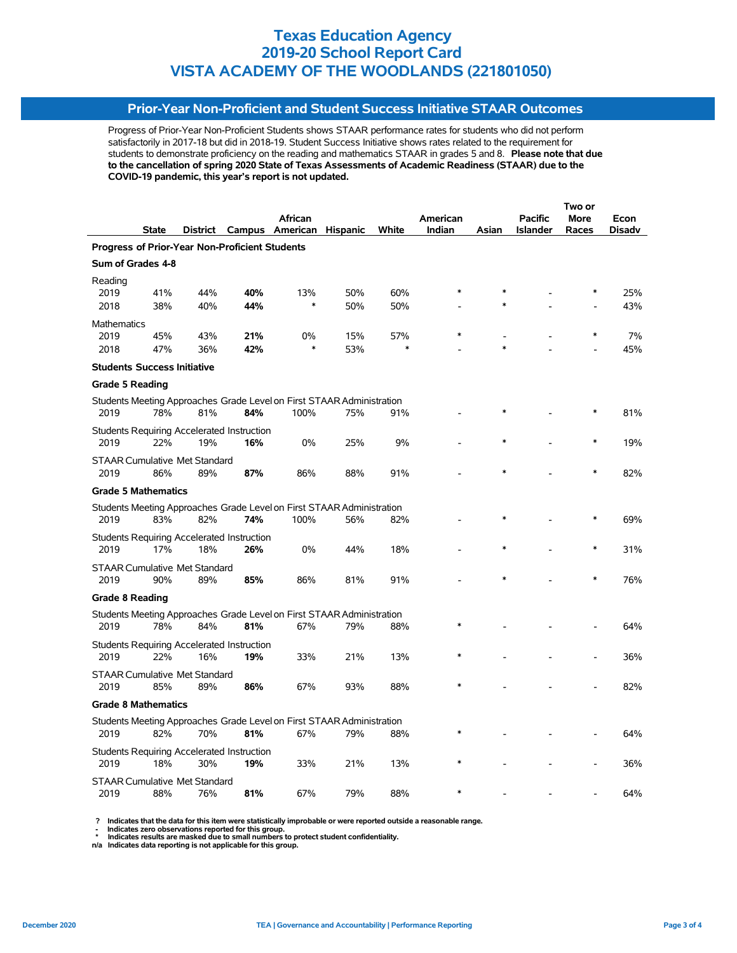### **Prior-Year Non-Proficient and Student Success Initiative STAAR Outcomes**

Progress of Prior-Year Non-Proficient Students shows STAAR performance rates for students who did not perform satisfactorily in 2017-18 but did in 2018-19. Student Success Initiative shows rates related to the requirement for students to demonstrate proficiency on the reading and mathematics STAAR in grades 5 and 8. **Please note that due to the cancellation of spring 2020 State of Texas Assessments of Academic Readiness (STAAR) due to the COVID-19 pandemic, this year's report is not updated.**

|                                                |                                                   |          |     |                                                                              |     |        |          |        |                 | Two or |        |  |  |  |
|------------------------------------------------|---------------------------------------------------|----------|-----|------------------------------------------------------------------------------|-----|--------|----------|--------|-----------------|--------|--------|--|--|--|
|                                                |                                                   |          |     | African                                                                      |     |        | American |        | <b>Pacific</b>  | More   | Econ   |  |  |  |
|                                                | <b>State</b>                                      | District |     | Campus American Hispanic                                                     |     | White  | Indian   | Asian  | <b>Islander</b> | Races  | Disadv |  |  |  |
| Progress of Prior-Year Non-Proficient Students |                                                   |          |     |                                                                              |     |        |          |        |                 |        |        |  |  |  |
| Sum of Grades 4-8                              |                                                   |          |     |                                                                              |     |        |          |        |                 |        |        |  |  |  |
| Reading                                        |                                                   |          |     |                                                                              |     |        |          |        |                 |        |        |  |  |  |
| 2019                                           | 41%                                               | 44%      | 40% | 13%                                                                          | 50% | 60%    |          |        |                 |        | 25%    |  |  |  |
| 2018                                           | 38%                                               | 40%      | 44% | $\ast$                                                                       | 50% | 50%    |          |        |                 |        | 43%    |  |  |  |
| Mathematics                                    |                                                   |          |     |                                                                              |     |        |          |        |                 |        |        |  |  |  |
| 2019                                           | 45%                                               | 43%      | 21% | 0%                                                                           | 15% | 57%    | $\ast$   |        |                 | $\ast$ | 7%     |  |  |  |
| 2018                                           | 47%                                               | 36%      | 42% | $\ast$                                                                       | 53% | $\ast$ |          |        |                 |        | 45%    |  |  |  |
|                                                | <b>Students Success Initiative</b>                |          |     |                                                                              |     |        |          |        |                 |        |        |  |  |  |
| <b>Grade 5 Reading</b>                         |                                                   |          |     |                                                                              |     |        |          |        |                 |        |        |  |  |  |
|                                                |                                                   |          |     | Students Meeting Approaches Grade Level on First STAAR Administration        |     |        |          |        |                 |        |        |  |  |  |
| 2019                                           | 78%                                               | 81%      | 84% | 100%                                                                         | 75% | 91%    |          |        |                 |        | 81%    |  |  |  |
|                                                | <b>Students Requiring Accelerated Instruction</b> |          |     |                                                                              |     |        |          |        |                 |        |        |  |  |  |
| 2019                                           | 22%                                               | 19%      | 16% | 0%                                                                           | 25% | 9%     |          |        |                 |        | 19%    |  |  |  |
|                                                | <b>STAAR Cumulative Met Standard</b>              |          |     |                                                                              |     |        |          |        |                 |        |        |  |  |  |
| 2019                                           | 86%                                               | 89%      | 87% | 86%                                                                          | 88% | 91%    |          |        |                 | $\ast$ | 82%    |  |  |  |
|                                                | <b>Grade 5 Mathematics</b>                        |          |     |                                                                              |     |        |          |        |                 |        |        |  |  |  |
|                                                |                                                   |          |     | Students Meeting Approaches Grade Level on First STAAR Administration        |     |        |          |        |                 |        |        |  |  |  |
| 2019                                           | 83%                                               | 82%      | 74% | 100%                                                                         | 56% | 82%    |          |        |                 | $\ast$ | 69%    |  |  |  |
|                                                | <b>Students Requiring Accelerated Instruction</b> |          |     |                                                                              |     |        |          |        |                 |        |        |  |  |  |
| 2019                                           | 17%                                               | 18%      | 26% | 0%                                                                           | 44% | 18%    |          | $\ast$ |                 | *      | 31%    |  |  |  |
|                                                | <b>STAAR Cumulative Met Standard</b>              |          |     |                                                                              |     |        |          |        |                 |        |        |  |  |  |
| 2019                                           | 90%                                               | 89%      | 85% | 86%                                                                          | 81% | 91%    |          |        |                 | $\ast$ | 76%    |  |  |  |
|                                                |                                                   |          |     |                                                                              |     |        |          |        |                 |        |        |  |  |  |
| <b>Grade 8 Reading</b>                         |                                                   |          |     |                                                                              |     |        |          |        |                 |        |        |  |  |  |
| 2019                                           | 78%                                               | 84%      | 81% | Students Meeting Approaches Grade Level on First STAAR Administration<br>67% | 79% | 88%    | $\ast$   |        |                 |        | 64%    |  |  |  |
|                                                |                                                   |          |     |                                                                              |     |        |          |        |                 |        |        |  |  |  |
|                                                | <b>Students Requiring Accelerated Instruction</b> |          |     |                                                                              |     |        | $\ast$   |        |                 |        |        |  |  |  |
| 2019                                           | 22%                                               | 16%      | 19% | 33%                                                                          | 21% | 13%    |          |        |                 |        | 36%    |  |  |  |
|                                                | <b>STAAR Cumulative Met Standard</b>              |          |     |                                                                              |     |        |          |        |                 |        |        |  |  |  |
| 2019                                           | 85%                                               | 89%      | 86% | 67%                                                                          | 93% | 88%    |          |        |                 |        | 82%    |  |  |  |
|                                                | <b>Grade 8 Mathematics</b>                        |          |     |                                                                              |     |        |          |        |                 |        |        |  |  |  |
|                                                |                                                   |          |     | Students Meeting Approaches Grade Level on First STAAR Administration        |     |        |          |        |                 |        |        |  |  |  |
| 2019                                           | 82%                                               | 70%      | 81% | 67%                                                                          | 79% | 88%    |          |        |                 |        | 64%    |  |  |  |
| Students Requiring Accelerated Instruction     |                                                   |          |     |                                                                              |     |        |          |        |                 |        |        |  |  |  |
| 2019                                           | 18%                                               | 30%      | 19% | 33%                                                                          | 21% | 13%    |          |        |                 |        | 36%    |  |  |  |
|                                                | <b>STAAR Cumulative Met Standard</b>              |          |     |                                                                              |     |        |          |        |                 |        |        |  |  |  |
| 2019                                           | 88%                                               | 76%      | 81% | 67%                                                                          | 79% | 88%    |          |        |                 |        | 64%    |  |  |  |

 **? Indicates that the data for this item were statistically improbable or were reported outside a reasonable range.**

 **- Indicates zero observations reported for this group.**

 **\* Indicates results are masked due to small numbers to protect student confidentiality. n/a Indicates data reporting is not applicable for this group.**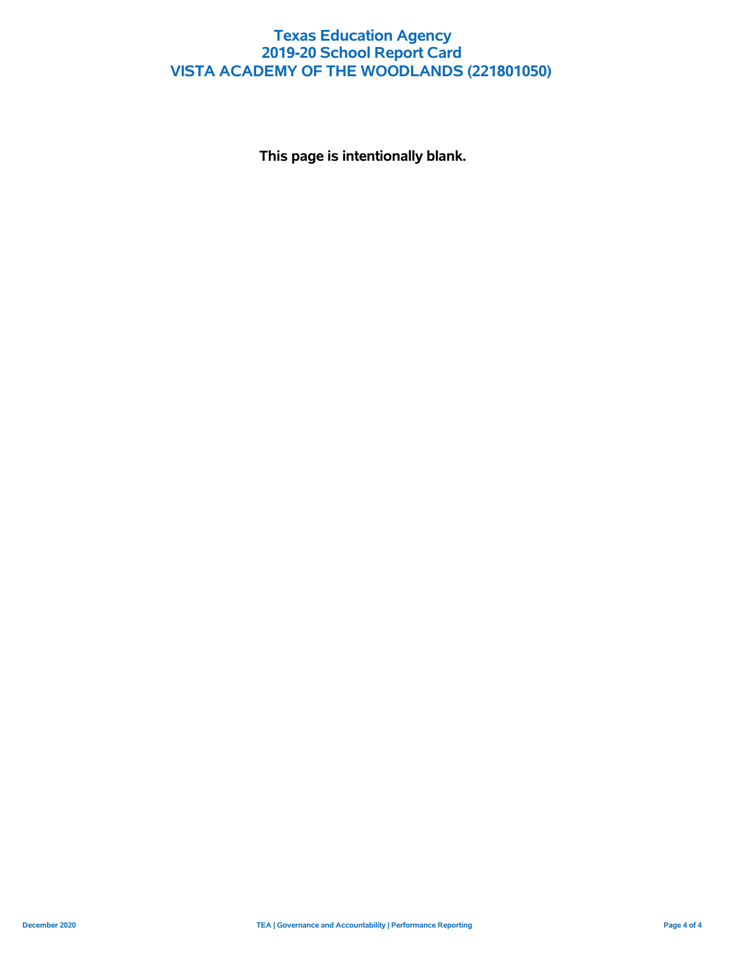**This page is intentionally blank.**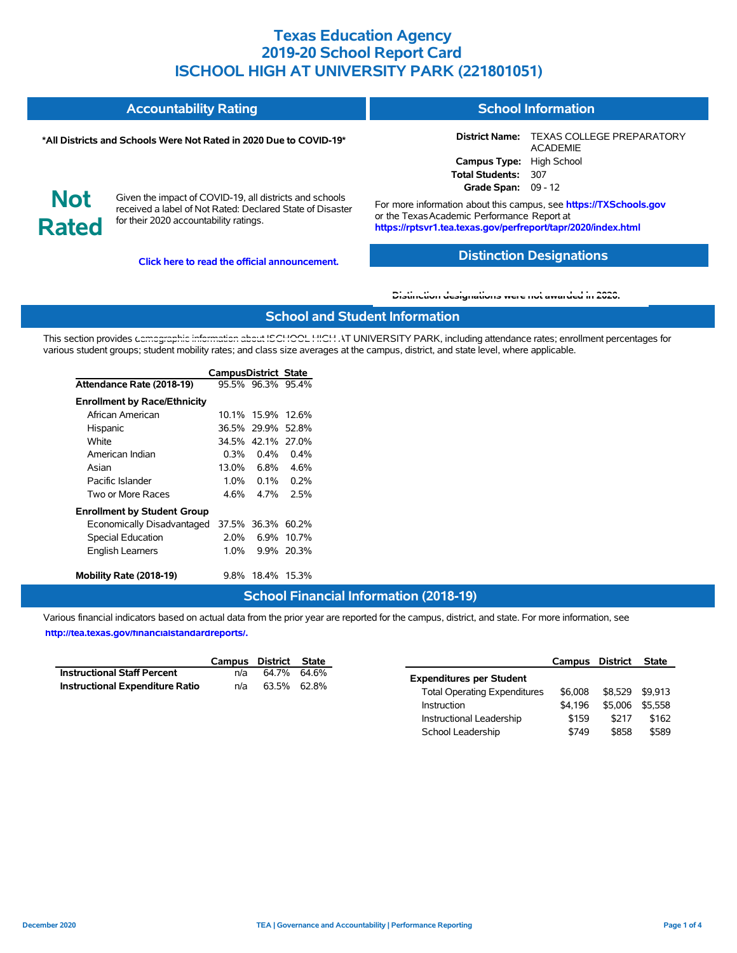|                            | <b>Accountability Rating</b>                                                                                                                                   | <b>School Information</b>                                                                                                                                                         |                                                     |  |  |  |
|----------------------------|----------------------------------------------------------------------------------------------------------------------------------------------------------------|-----------------------------------------------------------------------------------------------------------------------------------------------------------------------------------|-----------------------------------------------------|--|--|--|
|                            | *All Districts and Schools Were Not Rated in 2020 Due to COVID-19*                                                                                             | <b>District Name:</b>                                                                                                                                                             | <b>TEXAS COLLEGE PREPARATORY</b><br><b>ACADEMIE</b> |  |  |  |
|                            |                                                                                                                                                                | <b>Campus Type:</b> High School                                                                                                                                                   |                                                     |  |  |  |
|                            |                                                                                                                                                                | <b>Total Students: 307</b>                                                                                                                                                        |                                                     |  |  |  |
|                            |                                                                                                                                                                | Grade Span: $09 - 12$                                                                                                                                                             |                                                     |  |  |  |
| <b>Not</b><br><b>Rated</b> | Given the impact of COVID-19, all districts and schools<br>received a label of Not Rated: Declared State of Disaster<br>for their 2020 accountability ratings. | For more information about this campus, see https://TXSchools.gov<br>or the Texas Academic Performance Report at<br>https://rptsvr1.tea.texas.gov/perfreport/tapr/2020/index.html |                                                     |  |  |  |

**Click here to read the official announcement.**

### **Distinction Designations**

Instructional Leadership  $$159$  \$217 \$162 School Leadership  $$749$  \$858 \$589

#### **[Distinction designations were not awarded in 2020.](https://rptsvr1.tea.texas.gov/perfreport/tapr/2020/index.html)**

#### **School and Student Information**

This section provides [demographic information about ISCHOOL HIGH A](https://tea.texas.gov/about-tea/news-and-multimedia/correspondence/taa-letters/every-student-succeeds-act-essa-waiver-approval-2020-state-academic-accountability)T UNIVERSITY PARK, including attendance rates; enrollment percentages for various student groups; student mobility rates; and class size averages at the campus, district, and state level, where applicable.

|                                     | <b>CampusDistrict State</b> |                   |            |
|-------------------------------------|-----------------------------|-------------------|------------|
| Attendance Rate (2018-19)           |                             | 95.5% 96.3% 95.4% |            |
| <b>Enrollment by Race/Ethnicity</b> |                             |                   |            |
| African American                    |                             | 10.1% 15.9%       | 12.6%      |
| Hispanic                            | 36.5%                       | 29.9%             | 52.8%      |
| White                               | 34.5%                       | 42.1% 27.0%       |            |
| American Indian                     | 0.3%                        | $0.4\%$           | $0.4\%$    |
| Asian                               | 13.0%                       | 6.8%              | 4.6%       |
| Pacific Islander                    | 1.0%                        | $0.1\%$           | 0.2%       |
| Two or More Races                   | 4 6%                        | 47%               | 2.5%       |
| <b>Enrollment by Student Group</b>  |                             |                   |            |
| Economically Disadvantaged          |                             | 37.5% 36.3% 60.2% |            |
| Special Education                   | $2.0\%$                     |                   | 6.9% 10.7% |
| <b>English Learners</b>             | 1.0%                        |                   | 9.9% 20.3% |
| Mobility Rate (2018-19)             | 9.8%                        | 18.4%             | 15.3%      |

#### **School Financial Information (2018-19)**

Various financial indicators based on actual data from the prior year are reported for the campus, district, and state. For more information, see

|                                 | Campus | District State |                                                | <b>Campus District</b> | State |
|---------------------------------|--------|----------------|------------------------------------------------|------------------------|-------|
| Instructional Staff Percent     | n/a    | 64.7% 64.6%    | <b>Expenditures per Student</b>                |                        |       |
| Instructional Expenditure Ratio | n/a    | 63.5% 62.8%    | \$6.008<br><b>Total Operating Expenditures</b> | \$8,529 \$9,913        |       |
|                                 |        |                | \$4.196<br>Instruction                         | \$5,006 \$5,558        |       |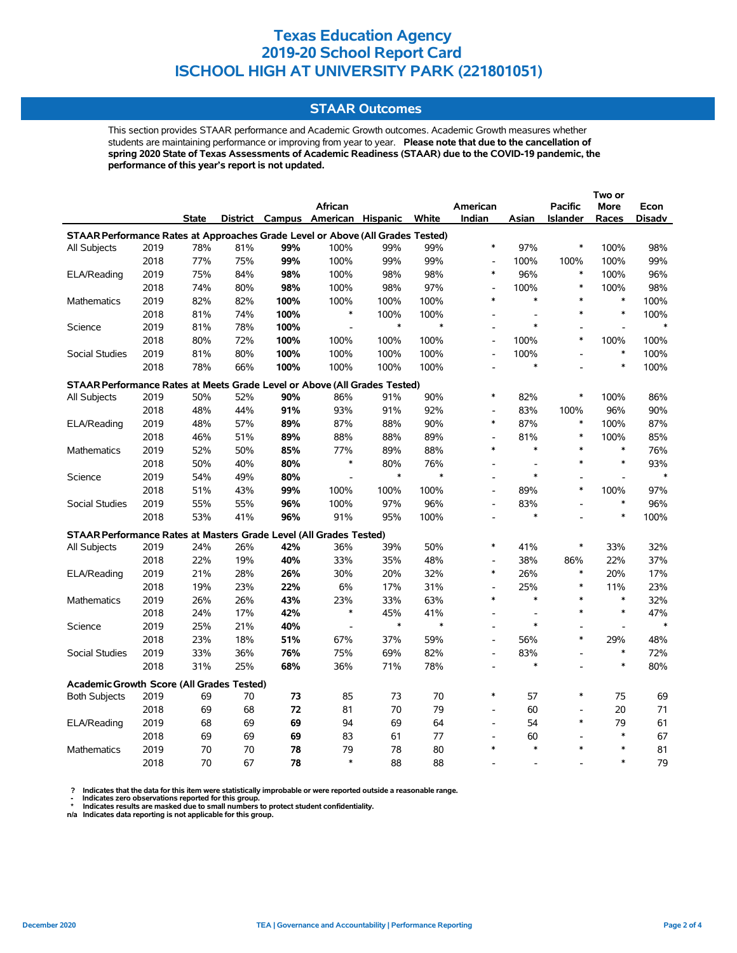#### **STAAR Outcomes**

This section provides STAAR performance and Academic Growth outcomes. Academic Growth measures whether students are maintaining performance or improving from year to year. **Please note that due to the cancellation of spring 2020 State of Texas Assessments of Academic Readiness (STAAR) due to the COVID-19 pandemic, the performance of this year's report is not updated.**

|                                                                                |      |              |     |      |                                   |        |        |                          |                          |                 | Two or         |               |
|--------------------------------------------------------------------------------|------|--------------|-----|------|-----------------------------------|--------|--------|--------------------------|--------------------------|-----------------|----------------|---------------|
|                                                                                |      |              |     |      | African                           |        |        | American                 |                          | <b>Pacific</b>  | More           | Econ          |
|                                                                                |      | <b>State</b> |     |      | District Campus American Hispanic |        | White  | Indian                   | Asian                    | <b>Islander</b> | Races          | <b>Disadv</b> |
| STAAR Performance Rates at Approaches Grade Level or Above (All Grades Tested) |      |              |     |      |                                   |        |        |                          |                          |                 |                |               |
| All Subjects                                                                   | 2019 | 78%          | 81% | 99%  | 100%                              | 99%    | 99%    | $\ast$                   | 97%                      | $\ast$          | 100%           | 98%           |
|                                                                                | 2018 | 77%          | 75% | 99%  | 100%                              | 99%    | 99%    | $\overline{\phantom{a}}$ | 100%                     | 100%            | 100%           | 99%           |
| ELA/Reading                                                                    | 2019 | 75%          | 84% | 98%  | 100%                              | 98%    | 98%    | $\ast$                   | 96%                      | $\ast$          | 100%           | 96%           |
|                                                                                | 2018 | 74%          | 80% | 98%  | 100%                              | 98%    | 97%    | $\overline{a}$           | 100%                     | $\ast$          | 100%           | 98%           |
| <b>Mathematics</b>                                                             | 2019 | 82%          | 82% | 100% | 100%                              | 100%   | 100%   | $\ast$                   | $\ast$                   | $\ast$          | $\ast$         | 100%          |
|                                                                                | 2018 | 81%          | 74% | 100% | $\ast$                            | 100%   | 100%   |                          | $\overline{a}$           | $\ast$          | $\ast$         | 100%          |
| Science                                                                        | 2019 | 81%          | 78% | 100% | $\overline{a}$                    | $\ast$ | $\ast$ |                          | $\ast$                   |                 | $\overline{a}$ | $\ast$        |
|                                                                                | 2018 | 80%          | 72% | 100% | 100%                              | 100%   | 100%   | $\overline{a}$           | 100%                     | $\ast$          | 100%           | 100%          |
| <b>Social Studies</b>                                                          | 2019 | 81%          | 80% | 100% | 100%                              | 100%   | 100%   | $\overline{\phantom{a}}$ | 100%                     |                 | $\ast$         | 100%          |
|                                                                                | 2018 | 78%          | 66% | 100% | 100%                              | 100%   | 100%   |                          | $\ast$                   |                 | $\ast$         | 100%          |
| STAAR Performance Rates at Meets Grade Level or Above (All Grades Tested)      |      |              |     |      |                                   |        |        |                          |                          |                 |                |               |
| All Subjects                                                                   | 2019 | 50%          | 52% | 90%  | 86%                               | 91%    | 90%    | $\ast$                   | 82%                      | $\ast$          | 100%           | 86%           |
|                                                                                | 2018 | 48%          | 44% | 91%  | 93%                               | 91%    | 92%    | $\overline{a}$           | 83%                      | 100%            | 96%            | 90%           |
| ELA/Reading                                                                    | 2019 | 48%          | 57% | 89%  | 87%                               | 88%    | 90%    | $\ast$                   | 87%                      | $\ast$          | 100%           | 87%           |
|                                                                                | 2018 | 46%          | 51% | 89%  | 88%                               | 88%    | 89%    | ÷,                       | 81%                      | $\ast$          | 100%           | 85%           |
| Mathematics                                                                    | 2019 | 52%          | 50% | 85%  | 77%                               | 89%    | 88%    | $\ast$                   | $\ast$                   | $\ast$          | $\ast$         | 76%           |
|                                                                                | 2018 | 50%          | 40% | 80%  | $\ast$                            | 80%    | 76%    |                          | $\overline{\phantom{a}}$ | $\ast$          | $\ast$         | 93%           |
| Science                                                                        | 2019 | 54%          | 49% | 80%  | $\overline{\phantom{a}}$          | $\ast$ | $\ast$ |                          | $\ast$                   |                 |                | $\ast$        |
|                                                                                | 2018 | 51%          | 43% | 99%  | 100%                              | 100%   | 100%   |                          | 89%                      | $\ast$          | 100%           | 97%           |
| <b>Social Studies</b>                                                          | 2019 | 55%          | 55% | 96%  | 100%                              | 97%    | 96%    | $\overline{a}$           | 83%                      |                 | $\ast$         | 96%           |
|                                                                                | 2018 | 53%          | 41% | 96%  | 91%                               | 95%    | 100%   |                          | $\ast$                   |                 | $\ast$         | 100%          |
| STAAR Performance Rates at Masters Grade Level (All Grades Tested)             |      |              |     |      |                                   |        |        |                          |                          |                 |                |               |
| All Subjects                                                                   | 2019 | 24%          | 26% | 42%  | 36%                               | 39%    | 50%    | $\ast$                   | 41%                      | $\ast$          | 33%            | 32%           |
|                                                                                | 2018 | 22%          | 19% | 40%  | 33%                               | 35%    | 48%    | $\overline{\phantom{a}}$ | 38%                      | 86%             | 22%            | 37%           |
| ELA/Reading                                                                    | 2019 | 21%          | 28% | 26%  | 30%                               | 20%    | 32%    | $\ast$                   | 26%                      | $\ast$          | 20%            | 17%           |
|                                                                                | 2018 | 19%          | 23% | 22%  | 6%                                | 17%    | 31%    | $\blacksquare$           | 25%                      | $\ast$          | 11%            | 23%           |
| <b>Mathematics</b>                                                             | 2019 | 26%          | 26% | 43%  | 23%                               | 33%    | 63%    | $\ast$                   | $\ast$                   | $\ast$          | $\ast$         | 32%           |
|                                                                                | 2018 | 24%          | 17% | 42%  | $\ast$                            | 45%    | 41%    |                          |                          | $\ast$          | $\ast$         | 47%           |
| Science                                                                        | 2019 | 25%          | 21% | 40%  | $\overline{\phantom{a}}$          | $\ast$ | $\ast$ | $\overline{a}$           | $\ast$                   | $\overline{a}$  | $\blacksquare$ | $\ast$        |
|                                                                                | 2018 | 23%          | 18% | 51%  | 67%                               | 37%    | 59%    | $\overline{a}$           | 56%                      | *               | 29%            | 48%           |
| Social Studies                                                                 | 2019 | 33%          | 36% | 76%  | 75%                               | 69%    | 82%    | $\overline{a}$           | 83%                      | $\overline{a}$  | $\ast$         | 72%           |
|                                                                                | 2018 | 31%          | 25% | 68%  | 36%                               | 71%    | 78%    | $\overline{a}$           | $\ast$                   | $\overline{a}$  | $\ast$         | 80%           |
| <b>Academic Growth Score (All Grades Tested)</b>                               |      |              |     |      |                                   |        |        |                          |                          |                 |                |               |
| <b>Both Subjects</b>                                                           | 2019 | 69           | 70  | 73   | 85                                | 73     | 70     | $\ast$                   | 57                       | $\ast$          | 75             | 69            |
|                                                                                | 2018 | 69           | 68  | 72   | 81                                | 70     | 79     |                          | 60                       | $\overline{a}$  | 20             | 71            |
| ELA/Reading                                                                    | 2019 | 68           | 69  | 69   | 94                                | 69     | 64     | $\overline{a}$           | 54                       | *               | 79             | 61            |
|                                                                                | 2018 | 69           | 69  | 69   | 83                                | 61     | 77     | $\overline{a}$           | 60                       |                 | $\ast$         | 67            |
| <b>Mathematics</b>                                                             | 2019 | 70           | 70  | 78   | 79                                | 78     | 80     | $\ast$                   | $\ast$                   | $\ast$          | $\ast$         | 81            |
|                                                                                | 2018 | 70           | 67  | 78   | $\ast$                            | 88     | 88     |                          |                          |                 | $\ast$         | 79            |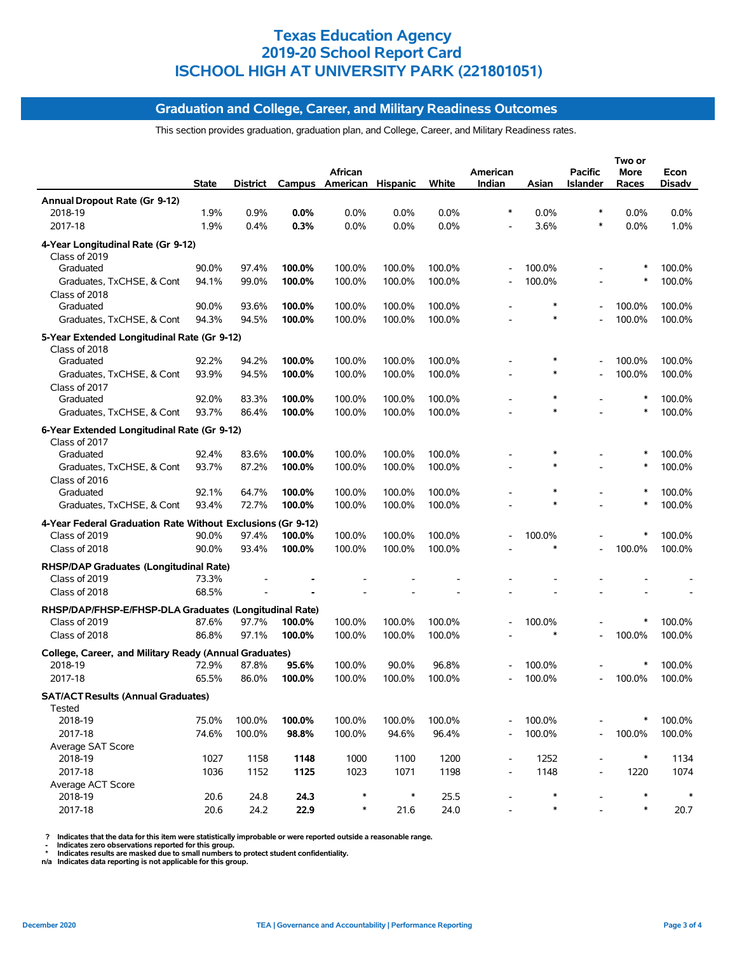### **Graduation and College, Career, and Military Readiness Outcomes**

This section provides graduation, graduation plan, and College, Career, and Military Readiness rates.

|                                                              | State | District | Campus | African<br>American Hispanic |        | White   | American<br>Indian       | Asian  | <b>Pacific</b><br>Islander | Two or<br>More<br>Races | Econ<br>Disadv |
|--------------------------------------------------------------|-------|----------|--------|------------------------------|--------|---------|--------------------------|--------|----------------------------|-------------------------|----------------|
| Annual Dropout Rate (Gr 9-12)                                |       |          |        |                              |        |         |                          |        |                            |                         |                |
| 2018-19                                                      | 1.9%  | 0.9%     | 0.0%   | 0.0%                         | 0.0%   | $0.0\%$ | $\ast$                   | 0.0%   | ∗                          | $0.0\%$                 | $0.0\%$        |
| 2017-18                                                      | 1.9%  | 0.4%     | 0.3%   | 0.0%                         | 0.0%   | 0.0%    |                          | 3.6%   | ∗                          | 0.0%                    | 1.0%           |
| 4-Year Longitudinal Rate (Gr 9-12)<br>Class of 2019          |       |          |        |                              |        |         |                          |        |                            |                         |                |
| Graduated                                                    | 90.0% | 97.4%    | 100.0% | 100.0%                       | 100.0% | 100.0%  | $\overline{\phantom{a}}$ | 100.0% |                            |                         | 100.0%         |
| Graduates, TxCHSE, & Cont<br>Class of 2018                   | 94.1% | 99.0%    | 100.0% | 100.0%                       | 100.0% | 100.0%  |                          | 100.0% |                            | $\ast$                  | 100.0%         |
| Graduated                                                    | 90.0% | 93.6%    | 100.0% | 100.0%                       | 100.0% | 100.0%  |                          | $\ast$ |                            | 100.0%                  | 100.0%         |
| Graduates, TxCHSE, & Cont                                    | 94.3% | 94.5%    | 100.0% | 100.0%                       | 100.0% | 100.0%  |                          | $\ast$ |                            | 100.0%                  | 100.0%         |
| 5-Year Extended Longitudinal Rate (Gr 9-12)<br>Class of 2018 |       |          |        |                              |        |         |                          |        |                            |                         |                |
| Graduated                                                    | 92.2% | 94.2%    | 100.0% | 100.0%                       | 100.0% | 100.0%  |                          |        |                            | 100.0%                  | 100.0%         |
| Graduates, TxCHSE, & Cont<br>Class of 2017                   | 93.9% | 94.5%    | 100.0% | 100.0%                       | 100.0% | 100.0%  |                          | $\ast$ |                            | 100.0%                  | 100.0%         |
| Graduated                                                    | 92.0% | 83.3%    | 100.0% | 100.0%                       | 100.0% | 100.0%  |                          | ∗      |                            | $\ast$                  | 100.0%         |
| Graduates, TxCHSE, & Cont                                    | 93.7% | 86.4%    | 100.0% | 100.0%                       | 100.0% | 100.0%  |                          | $\ast$ |                            | $\ast$                  | 100.0%         |
| 6-Year Extended Longitudinal Rate (Gr 9-12)<br>Class of 2017 |       |          |        |                              |        |         |                          |        |                            |                         |                |
| Graduated                                                    | 92.4% | 83.6%    | 100.0% | 100.0%                       | 100.0% | 100.0%  |                          | $\ast$ |                            |                         | 100.0%         |
| Graduates, TxCHSE, & Cont<br>Class of 2016                   | 93.7% | 87.2%    | 100.0% | 100.0%                       | 100.0% | 100.0%  |                          | $\ast$ |                            | $\ast$                  | 100.0%         |
| Graduated                                                    | 92.1% | 64.7%    | 100.0% | 100.0%                       | 100.0% | 100.0%  |                          | ∗      |                            | ∗                       | 100.0%         |
| Graduates, TxCHSE, & Cont                                    | 93.4% | 72.7%    | 100.0% | 100.0%                       | 100.0% | 100.0%  |                          | $\ast$ |                            | ∗                       | 100.0%         |
| 4-Year Federal Graduation Rate Without Exclusions (Gr 9-12)  |       |          |        |                              |        |         |                          |        |                            |                         |                |
| Class of 2019                                                | 90.0% | 97.4%    | 100.0% | 100.0%                       | 100.0% | 100.0%  |                          | 100.0% |                            |                         | 100.0%         |
| Class of 2018                                                | 90.0% | 93.4%    | 100.0% | 100.0%                       | 100.0% | 100.0%  |                          | $\ast$ |                            | 100.0%                  | 100.0%         |
| RHSP/DAP Graduates (Longitudinal Rate)                       |       |          |        |                              |        |         |                          |        |                            |                         |                |
| Class of 2019                                                | 73.3% |          |        |                              |        |         |                          |        |                            |                         |                |
| Class of 2018                                                | 68.5% |          |        |                              |        |         |                          |        |                            |                         |                |
| RHSP/DAP/FHSP-E/FHSP-DLA Graduates (Longitudinal Rate)       |       |          |        |                              |        |         |                          |        |                            |                         |                |
| Class of 2019                                                | 87.6% | 97.7%    | 100.0% | 100.0%                       | 100.0% | 100.0%  |                          | 100.0% |                            |                         | 100.0%         |
| Class of 2018                                                | 86.8% | 97.1%    | 100.0% | 100.0%                       | 100.0% | 100.0%  |                          | *      |                            | 100.0%                  | 100.0%         |
| College, Career, and Military Ready (Annual Graduates)       |       |          |        |                              |        |         |                          |        |                            |                         |                |
| 2018-19                                                      | 72.9% | 87.8%    | 95.6%  | 100.0%                       | 90.0%  | 96.8%   |                          | 100.0% |                            |                         | 100.0%         |
| 2017-18                                                      | 65.5% | 86.0%    | 100.0% | 100.0%                       | 100.0% | 100.0%  |                          | 100.0% |                            | 100.0%                  | 100.0%         |
| <b>SAT/ACT Results (Annual Graduates)</b><br>Tested          |       |          |        |                              |        |         |                          |        |                            |                         |                |
| 2018-19                                                      | 75.0% | 100.0%   | 100.0% | 100.0%                       | 100.0% | 100.0%  |                          | 100.0% |                            | $\ast$                  | 100.0%         |
| 2017-18                                                      | 74.6% | 100.0%   | 98.8%  | 100.0%                       | 94.6%  | 96.4%   |                          | 100.0% |                            | 100.0%                  | 100.0%         |
| Average SAT Score<br>2018-19                                 | 1027  | 1158     | 1148   | 1000                         | 1100   | 1200    | $\overline{\phantom{a}}$ | 1252   |                            | $\ast$                  | 1134           |
| 2017-18                                                      | 1036  | 1152     | 1125   | 1023                         | 1071   | 1198    |                          | 1148   |                            | 1220                    | 1074           |
| Average ACT Score                                            |       |          |        |                              |        |         |                          |        |                            |                         |                |
| 2018-19                                                      | 20.6  | 24.8     | 24.3   | $\ast$                       | ∗      | 25.5    |                          | $\ast$ |                            | $\ast$                  |                |
| 2017-18                                                      | 20.6  | 24.2     | 22.9   | $\ast$                       | 21.6   | 24.0    |                          | $\ast$ |                            | $\ast$                  | 20.7           |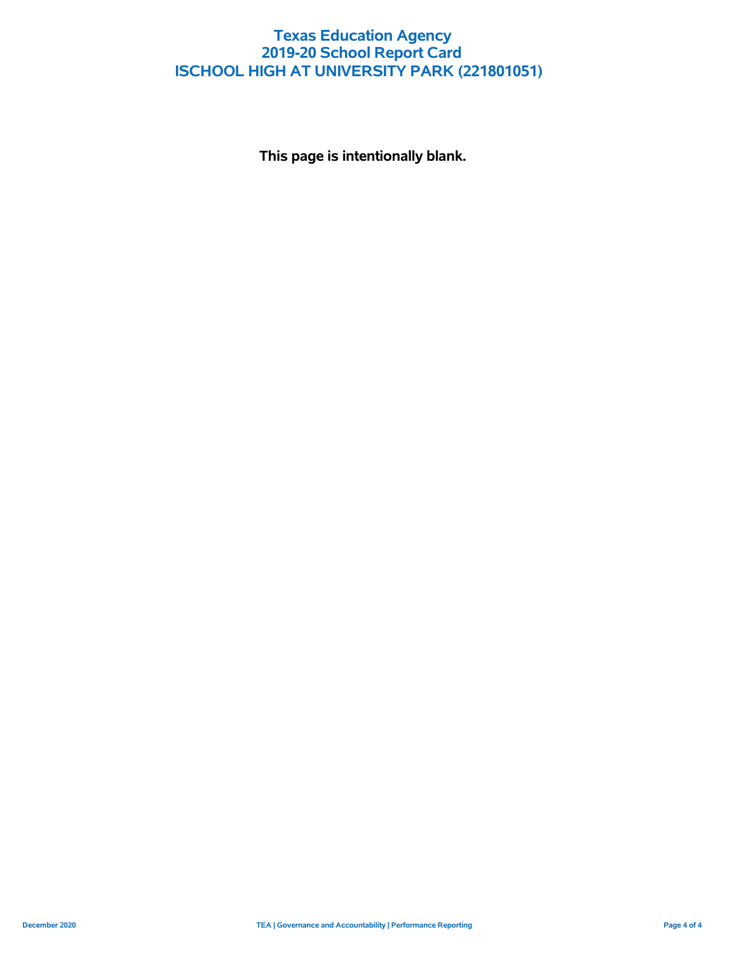**This page is intentionally blank.**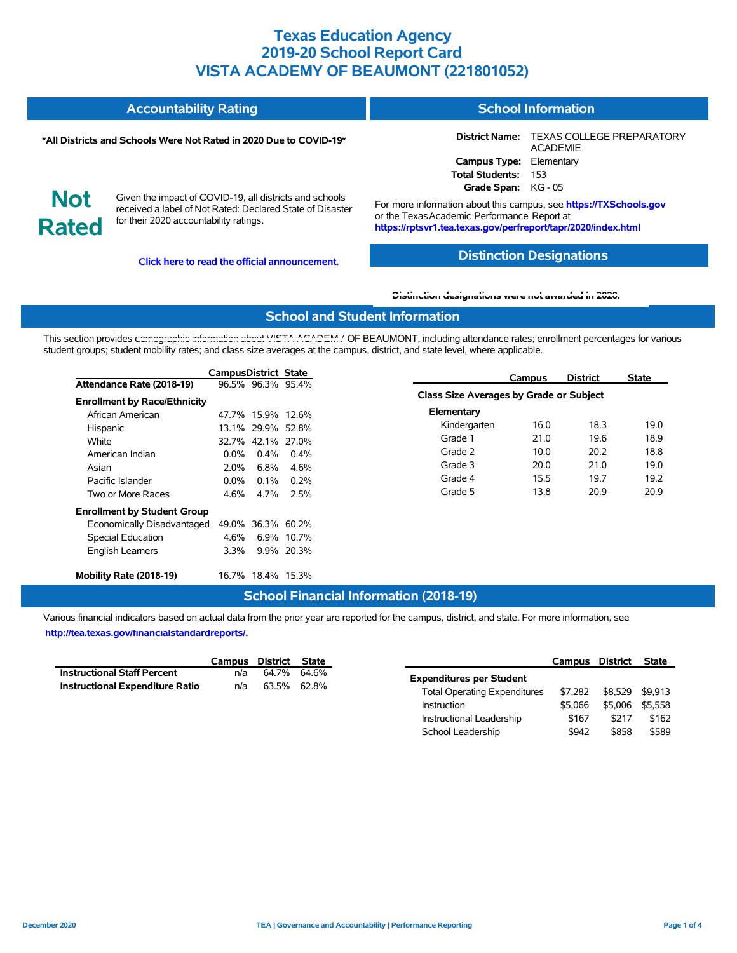|              | <b>Accountability Rating</b>                                                                                         | <b>School Information</b>                                                                                    |                                                     |  |  |  |
|--------------|----------------------------------------------------------------------------------------------------------------------|--------------------------------------------------------------------------------------------------------------|-----------------------------------------------------|--|--|--|
|              | *All Districts and Schools Were Not Rated in 2020 Due to COVID-19*                                                   | <b>District Name:</b>                                                                                        | <b>TEXAS COLLEGE PREPARATORY</b><br><b>ACADEMIE</b> |  |  |  |
|              |                                                                                                                      | Campus Type: Elementary                                                                                      |                                                     |  |  |  |
|              |                                                                                                                      | <b>Total Students:</b>                                                                                       | - 153                                               |  |  |  |
|              |                                                                                                                      | Grade Span: KG - 05                                                                                          |                                                     |  |  |  |
| <b>Not</b>   | Given the impact of COVID-19, all districts and schools<br>received a label of Not Rated: Declared State of Disaster | For more information about this campus, see https://TXSchools.gov                                            |                                                     |  |  |  |
| <b>Rated</b> | for their 2020 accountability ratings.                                                                               | or the Texas Academic Performance Report at<br>https://rptsvr1.tea.texas.gov/perfreport/tapr/2020/index.html |                                                     |  |  |  |

**Click here to read the official announcement.**

### **Distinction Designations**

#### **[Distinction designations were not awarded in 2020.](https://rptsvr1.tea.texas.gov/perfreport/tapr/2020/index.html)**

#### **School and Student Information**

This section provides [demographic information about VISTA ACADEMY](https://tea.texas.gov/about-tea/news-and-multimedia/correspondence/taa-letters/every-student-succeeds-act-essa-waiver-approval-2020-state-academic-accountability) OF BEAUMONT, including attendance rates; enrollment percentages for various student groups; student mobility rates; and class size averages at the campus, district, and state level, where applicable.

L.

|                                     | <b>CampusDistrict State</b> |                   |            |
|-------------------------------------|-----------------------------|-------------------|------------|
| Attendance Rate (2018-19)           |                             | 96.5% 96.3% 95.4% |            |
| <b>Enrollment by Race/Ethnicity</b> |                             |                   |            |
| African American                    |                             | 47.7% 15.9% 12.6% |            |
| Hispanic                            |                             | 13.1% 29.9%       | 528%       |
| White                               |                             | 32.7% 42.1% 27.0% |            |
| American Indian                     | $0.0\%$                     | $0.4\%$           | $0.4\%$    |
| Asian                               | 2.0%                        | 6.8%              | 4.6%       |
| Pacific Islander                    | 0.0%                        | በ 1%              | 0.2%       |
| Two or More Races                   | 4.6%                        | 4 7%              | 2.5%       |
| <b>Enrollment by Student Group</b>  |                             |                   |            |
| Economically Disadvantaged          |                             | 49.0% 36.3%       | 60.2%      |
| Special Education                   | 4.6%                        |                   | 6.9% 10.7% |
| <b>English Learners</b>             | 3.3%                        |                   | 9.9% 20.3% |
| Mobility Rate (2018-19)             |                             | 16.7% 18.4%       | 15.3%      |

|                                                | Campus | <b>District</b> | <b>State</b> |
|------------------------------------------------|--------|-----------------|--------------|
| <b>Class Size Averages by Grade or Subject</b> |        |                 |              |
| Elementary                                     |        |                 |              |
| Kindergarten                                   | 16.0   | 18.3            | 19.0         |
| Grade 1                                        | 21.0   | 19.6            | 18.9         |
| Grade 2                                        | 10.0   | 20.2            | 18.8         |
| Grade 3                                        | 20.0   | 21.0            | 19.0         |
| Grade 4                                        | 15.5   | 19.7            | 19.2         |
| Grade 5                                        | 13.8   | 20.9            | 20.9         |
|                                                |        |                 |              |

School Leadership  $$942$  \$858 \$589

#### **School Financial Information (2018-19)**

Various financial indicators based on actual data from the prior year are reported for the campus, district, and state. For more information, see

|                                 | Campus | District | State | Campus                                         | District        | <b>State</b> |
|---------------------------------|--------|----------|-------|------------------------------------------------|-----------------|--------------|
| Instructional Staff Percent     | n/a    | 64.7%    | 64.6% | <b>Expenditures per Student</b>                |                 |              |
| Instructional Expenditure Ratio | n/a    | 63.5%    | 62.8% | \$7.282<br><b>Total Operating Expenditures</b> | \$8,529 \$9,913 |              |
|                                 |        |          |       | \$5.066<br>Instruction                         | \$5.006 \$5.558 |              |
|                                 |        |          |       | Instructional Leadership<br>\$167              | \$217           | \$162        |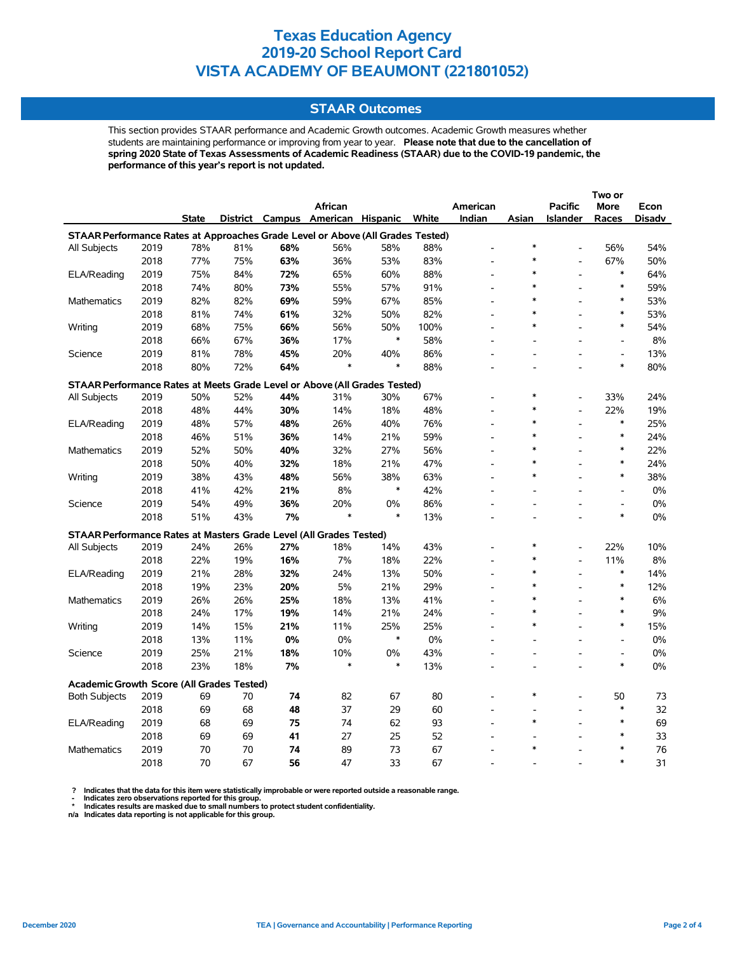### **STAAR Outcomes**

This section provides STAAR performance and Academic Growth outcomes. Academic Growth measures whether students are maintaining performance or improving from year to year. **Please note that due to the cancellation of spring 2020 State of Texas Assessments of Academic Readiness (STAAR) due to the COVID-19 pandemic, the performance of this year's report is not updated.**

|                                                                                |      |       |     |     |                                   |              |       |                          |                |                 | Two or                   |          |
|--------------------------------------------------------------------------------|------|-------|-----|-----|-----------------------------------|--------------|-------|--------------------------|----------------|-----------------|--------------------------|----------|
|                                                                                |      |       |     |     | African                           |              |       | American                 |                | <b>Pacific</b>  | More                     | Econ     |
|                                                                                |      | State |     |     | District Campus American Hispanic |              | White | Indian                   | Asian          | <b>Islander</b> | Races                    | Disadv   |
| STAAR Performance Rates at Approaches Grade Level or Above (All Grades Tested) |      |       |     |     |                                   |              |       |                          |                |                 |                          |          |
| All Subjects                                                                   | 2019 | 78%   | 81% | 68% | 56%                               | 58%          | 88%   |                          | $\ast$         |                 | 56%                      | 54%      |
|                                                                                | 2018 | 77%   | 75% | 63% | 36%                               | 53%          | 83%   | $\overline{a}$           |                | $\overline{a}$  | 67%                      | 50%      |
| ELA/Reading                                                                    | 2019 | 75%   | 84% | 72% | 65%                               | 60%          | 88%   |                          | $\ast$         |                 | $\ast$                   | 64%      |
|                                                                                | 2018 | 74%   | 80% | 73% | 55%                               | 57%          | 91%   |                          | $\ast$         |                 | $\ast$                   | 59%      |
| Mathematics                                                                    | 2019 | 82%   | 82% | 69% | 59%                               | 67%          | 85%   | $\overline{\phantom{a}}$ | $\ast$         | L,              | $\ast$                   | 53%      |
|                                                                                | 2018 | 81%   | 74% | 61% | 32%                               | 50%          | 82%   | $\overline{\phantom{a}}$ | $\ast$         | $\overline{a}$  | $\ast$                   | 53%      |
| Writing                                                                        | 2019 | 68%   | 75% | 66% | 56%                               | 50%          | 100%  | L,                       | $\ast$         |                 | $\ast$                   | 54%      |
|                                                                                | 2018 | 66%   | 67% | 36% | 17%                               | *            | 58%   |                          |                |                 | $\overline{a}$           | 8%       |
| Science                                                                        | 2019 | 81%   | 78% | 45% | 20%                               | 40%          | 86%   |                          |                |                 | $\overline{\phantom{a}}$ | 13%      |
|                                                                                | 2018 | 80%   | 72% | 64% | $\ast$                            | $\ast$       | 88%   |                          |                |                 | $\ast$                   | 80%      |
| STAAR Performance Rates at Meets Grade Level or Above (All Grades Tested)      |      |       |     |     |                                   |              |       |                          |                |                 |                          |          |
| All Subjects                                                                   | 2019 | 50%   | 52% | 44% | 31%                               | 30%          | 67%   |                          | $\ast$         |                 | 33%                      | 24%      |
|                                                                                | 2018 | 48%   | 44% | 30% | 14%                               | 18%          | 48%   |                          | $\ast$         | $\overline{a}$  | 22%                      | 19%      |
| ELA/Reading                                                                    | 2019 | 48%   | 57% | 48% | 26%                               | 40%          | 76%   | L,                       | $\ast$         | L,              | $\ast$                   | 25%      |
|                                                                                | 2018 | 46%   | 51% | 36% | 14%                               | 21%          | 59%   |                          | $\ast$         |                 | $\ast$                   | 24%      |
| Mathematics                                                                    | 2019 | 52%   | 50% | 40% | 32%                               | 27%          | 56%   |                          | $\ast$         |                 | $\ast$                   | 22%      |
|                                                                                | 2018 | 50%   | 40% | 32% | 18%                               | 21%          | 47%   | $\overline{a}$           | $\ast$         |                 | $\ast$                   | 24%      |
| Writing                                                                        | 2019 | 38%   | 43% | 48% | 56%                               | 38%          | 63%   | $\overline{\phantom{a}}$ | $\ast$         |                 | $\ast$                   | 38%      |
|                                                                                | 2018 | 41%   | 42% | 21% | 8%                                | $\ast$       | 42%   |                          |                |                 | $\overline{\phantom{a}}$ | 0%       |
| Science                                                                        | 2019 | 54%   | 49% | 36% | 20%                               | 0%           | 86%   |                          |                |                 | L.                       | $0\%$    |
|                                                                                | 2018 | 51%   | 43% | 7%  | $\ast$                            | $\ast$       | 13%   |                          |                |                 | $\ast$                   | 0%       |
|                                                                                |      |       |     |     |                                   |              |       |                          |                |                 |                          |          |
| STAAR Performance Rates at Masters Grade Level (All Grades Tested)             |      |       |     |     |                                   |              |       |                          | $\ast$         |                 |                          |          |
| All Subjects                                                                   | 2019 | 24%   | 26% | 27% | 18%                               | 14%          | 43%   |                          | $\ast$         | $\overline{a}$  | 22%                      | 10%      |
|                                                                                | 2018 | 22%   | 19% | 16% | 7%                                | 18%          | 22%   | $\overline{a}$           | $\ast$         | $\overline{a}$  | 11%<br>$\ast$            | 8%       |
| ELA/Reading                                                                    | 2019 | 21%   | 28% | 32% | 24%                               | 13%          | 50%   | $\overline{\phantom{a}}$ | $\ast$         | L,              | $\ast$                   | 14%      |
|                                                                                | 2018 | 19%   | 23% | 20% | 5%                                | 21%          | 29%   | $\overline{\phantom{a}}$ | $\ast$         |                 | $\ast$                   | 12%      |
| Mathematics                                                                    | 2019 | 26%   | 26% | 25% | 18%                               | 13%          | 41%   |                          | $\ast$         |                 | $\ast$                   | 6%       |
|                                                                                | 2018 | 24%   | 17% | 19% | 14%                               | 21%          | 24%   | $\overline{a}$           | $\ast$         |                 | $\ast$                   | 9%       |
| Writing                                                                        | 2019 | 14%   | 15% | 21% | 11%                               | 25%<br>∗     | 25%   |                          |                |                 |                          | 15%      |
|                                                                                | 2018 | 13%   | 11% | 0%  | 0%                                |              | 0%    |                          |                |                 | $\overline{a}$           | 0%       |
| Science                                                                        | 2019 | 25%   | 21% | 18% | 10%<br>$\ast$                     | 0%<br>$\ast$ | 43%   |                          |                |                 | $\overline{a}$<br>$\ast$ | 0%<br>0% |
|                                                                                | 2018 | 23%   | 18% | 7%  |                                   |              | 13%   |                          | $\overline{a}$ | $\overline{a}$  |                          |          |
| <b>Academic Growth Score (All Grades Tested)</b>                               |      |       |     |     |                                   |              |       |                          |                |                 |                          |          |
| <b>Both Subjects</b>                                                           | 2019 | 69    | 70  | 74  | 82                                | 67           | 80    |                          | $\ast$         |                 | 50                       | 73       |
|                                                                                | 2018 | 69    | 68  | 48  | 37                                | 29           | 60    |                          |                |                 | $\ast$                   | 32       |
| ELA/Reading                                                                    | 2019 | 68    | 69  | 75  | 74                                | 62           | 93    |                          | $\ast$         |                 | $\ast$                   | 69       |
|                                                                                | 2018 | 69    | 69  | 41  | 27                                | 25           | 52    |                          |                |                 | *                        | 33       |
| Mathematics                                                                    | 2019 | 70    | 70  | 74  | 89                                | 73           | 67    |                          | $\ast$         |                 | $\ast$                   | 76       |
|                                                                                | 2018 | 70    | 67  | 56  | 47                                | 33           | 67    |                          |                |                 | $\ast$                   | 31       |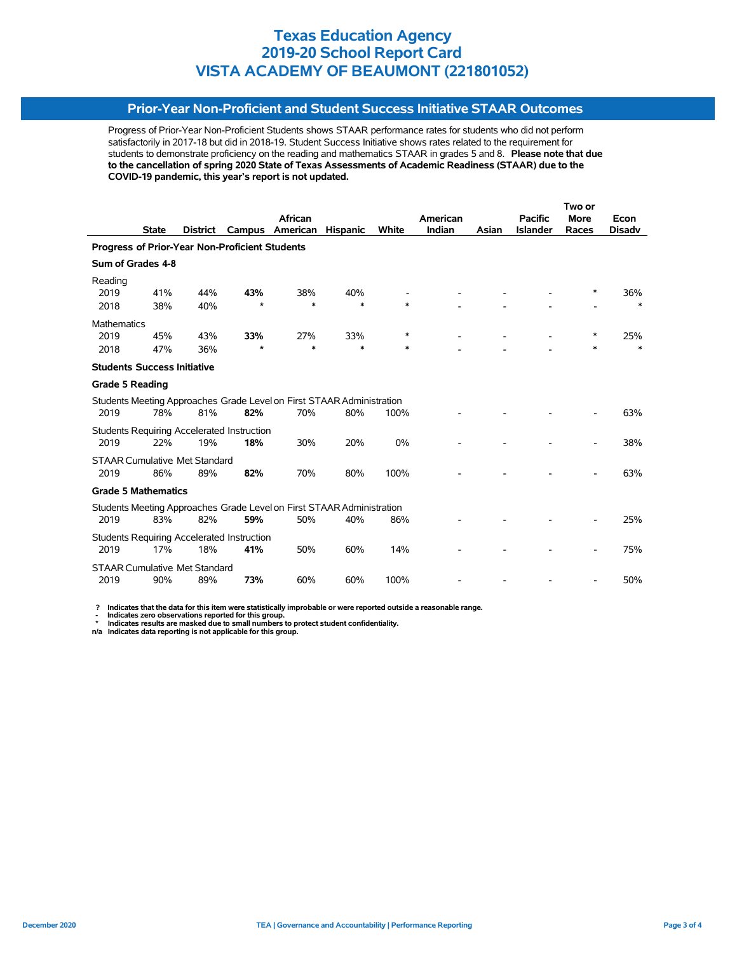### **Prior-Year Non-Proficient and Student Success Initiative STAAR Outcomes**

Progress of Prior-Year Non-Proficient Students shows STAAR performance rates for students who did not perform satisfactorily in 2017-18 but did in 2018-19. Student Success Initiative shows rates related to the requirement for students to demonstrate proficiency on the reading and mathematics STAAR in grades 5 and 8. **Please note that due to the cancellation of spring 2020 State of Texas Assessments of Academic Readiness (STAAR) due to the COVID-19 pandemic, this year's report is not updated.**

|                                                |              |                                               |                                                                                        |                                                                                                             |        |                                                                                                                                                                                   | Two or |                |                 |               |  |  |
|------------------------------------------------|--------------|-----------------------------------------------|----------------------------------------------------------------------------------------|-------------------------------------------------------------------------------------------------------------|--------|-----------------------------------------------------------------------------------------------------------------------------------------------------------------------------------|--------|----------------|-----------------|---------------|--|--|
|                                                |              |                                               | African                                                                                |                                                                                                             |        | American                                                                                                                                                                          |        | <b>Pacific</b> | <b>More</b>     | Econ          |  |  |
|                                                |              |                                               |                                                                                        |                                                                                                             |        |                                                                                                                                                                                   |        |                |                 | <b>Disadv</b> |  |  |
| Progress of Prior-Year Non-Proficient Students |              |                                               |                                                                                        |                                                                                                             |        |                                                                                                                                                                                   |        |                |                 |               |  |  |
| Sum of Grades 4-8                              |              |                                               |                                                                                        |                                                                                                             |        |                                                                                                                                                                                   |        |                |                 |               |  |  |
|                                                |              |                                               |                                                                                        |                                                                                                             |        |                                                                                                                                                                                   |        |                |                 |               |  |  |
| 41%                                            | 44%          | 43%                                           | 38%                                                                                    | 40%                                                                                                         |        |                                                                                                                                                                                   |        |                | ∗               | 36%           |  |  |
| 38%                                            | 40%          | $\star$                                       | $\ast$                                                                                 | $\ast$                                                                                                      | $\ast$ |                                                                                                                                                                                   |        |                |                 | $\ast$        |  |  |
| <b>Mathematics</b>                             |              |                                               |                                                                                        |                                                                                                             |        |                                                                                                                                                                                   |        |                |                 |               |  |  |
| 45%                                            | 43%          | 33%                                           | 27%                                                                                    | 33%                                                                                                         | *      |                                                                                                                                                                                   |        |                | *               | 25%           |  |  |
| 47%                                            | 36%          | $\star$                                       | $\ast$                                                                                 | $\ast$                                                                                                      | *      |                                                                                                                                                                                   |        |                | *               | $\ast$        |  |  |
| <b>Students Success Initiative</b>             |              |                                               |                                                                                        |                                                                                                             |        |                                                                                                                                                                                   |        |                |                 |               |  |  |
| <b>Grade 5 Reading</b>                         |              |                                               |                                                                                        |                                                                                                             |        |                                                                                                                                                                                   |        |                |                 |               |  |  |
|                                                |              |                                               |                                                                                        |                                                                                                             |        |                                                                                                                                                                                   |        |                |                 |               |  |  |
| 78%                                            | 81%          | 82%                                           | 70%                                                                                    | 80%                                                                                                         | 100%   |                                                                                                                                                                                   |        |                |                 | 63%           |  |  |
|                                                |              |                                               |                                                                                        |                                                                                                             |        |                                                                                                                                                                                   |        |                |                 |               |  |  |
| 22%                                            | 19%          | 18%                                           | 30%                                                                                    | 20%                                                                                                         | 0%     |                                                                                                                                                                                   |        |                |                 | 38%           |  |  |
|                                                |              |                                               |                                                                                        |                                                                                                             |        |                                                                                                                                                                                   |        |                |                 |               |  |  |
| 86%                                            | 89%          | 82%                                           | 70%                                                                                    | 80%                                                                                                         | 100%   |                                                                                                                                                                                   |        |                |                 | 63%           |  |  |
|                                                |              |                                               |                                                                                        |                                                                                                             |        |                                                                                                                                                                                   |        |                |                 |               |  |  |
|                                                |              |                                               |                                                                                        |                                                                                                             |        |                                                                                                                                                                                   |        |                |                 |               |  |  |
| 83%                                            | 82%          | 59%                                           | 50%                                                                                    | 40%                                                                                                         | 86%    |                                                                                                                                                                                   |        |                |                 | 25%           |  |  |
|                                                |              |                                               |                                                                                        |                                                                                                             |        |                                                                                                                                                                                   |        |                |                 |               |  |  |
| 17%                                            | 18%          | 41%                                           | 50%                                                                                    | 60%                                                                                                         | 14%    |                                                                                                                                                                                   |        |                |                 | 75%           |  |  |
|                                                |              |                                               |                                                                                        |                                                                                                             |        |                                                                                                                                                                                   |        |                |                 |               |  |  |
| 90%                                            | 89%          | 73%                                           | 60%                                                                                    | 60%                                                                                                         | 100%   |                                                                                                                                                                                   |        |                |                 | 50%           |  |  |
|                                                | <b>State</b> | <b>District</b><br><b>Grade 5 Mathematics</b> | Campus<br><b>STAAR Cumulative Met Standard</b><br><b>STAAR Cumulative Met Standard</b> | American<br><b>Students Requiring Accelerated Instruction</b><br>Students Requiring Accelerated Instruction |        | <b>White</b><br><b>Hispanic</b><br>Students Meeting Approaches Grade Level on First STAAR Administration<br>Students Meeting Approaches Grade Level on First STAAR Administration | Indian | Asian          | <b>Islander</b> | Races         |  |  |

 **? Indicates that the data for this item were statistically improbable or were reported outside a reasonable range.**

 **- Indicates zero observations reported for this group. \* Indicates results are masked due to small numbers to protect student confidentiality.**

**n/a Indicates data reporting is not applicable for this group.**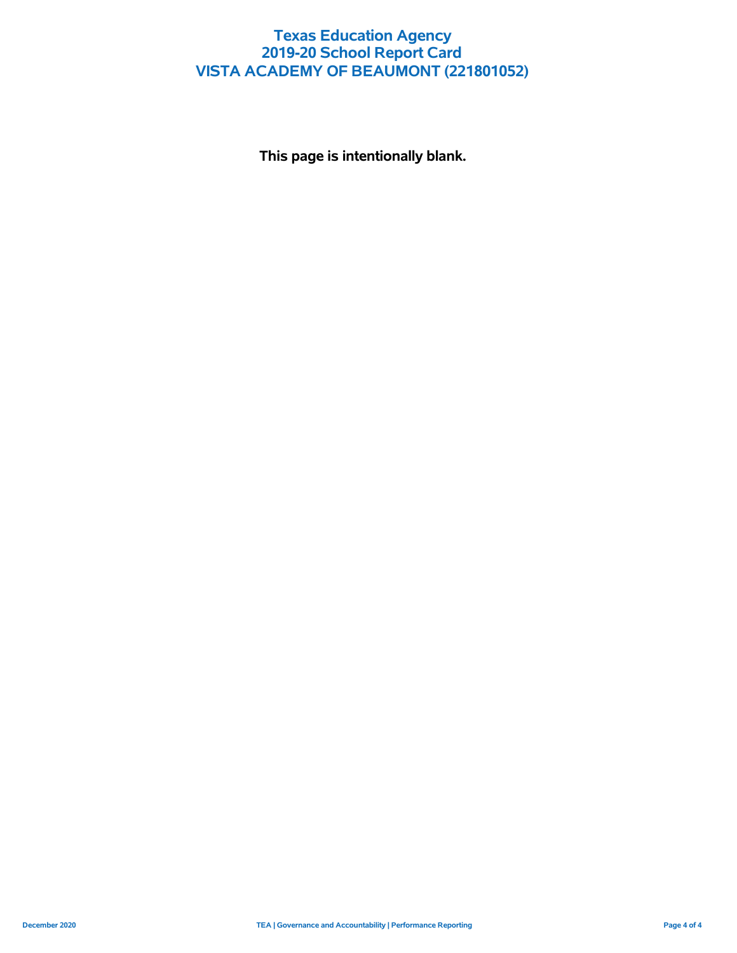**This page is intentionally blank.**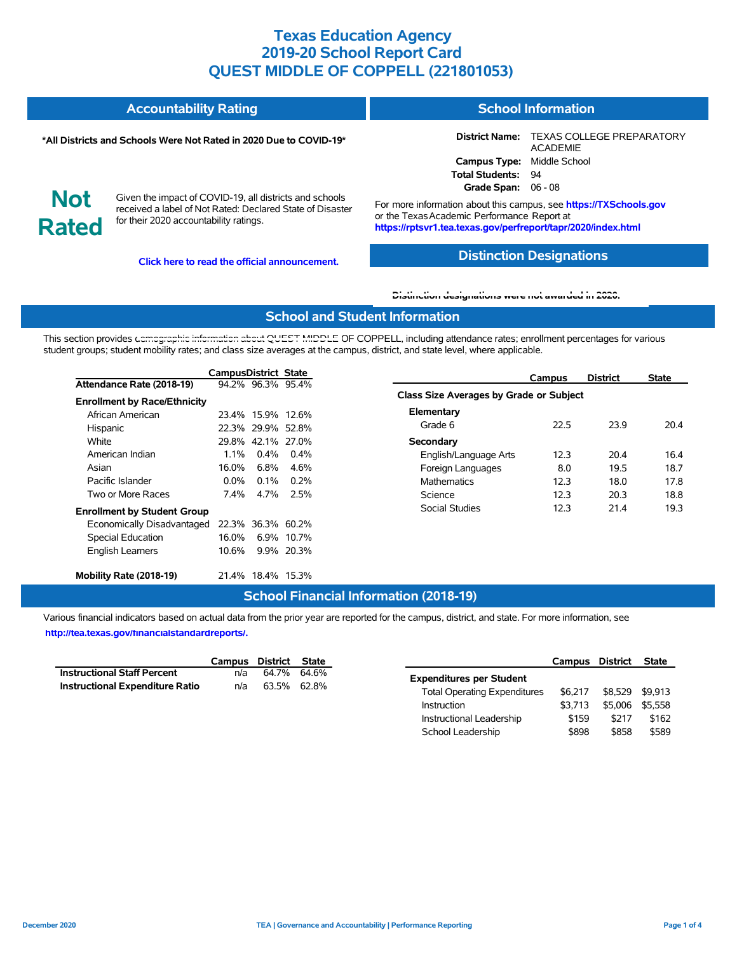|                            | <b>Accountability Rating</b>                                                                                                                                   | <b>School Information</b>                                                                                                                                                         |                                                     |  |  |  |
|----------------------------|----------------------------------------------------------------------------------------------------------------------------------------------------------------|-----------------------------------------------------------------------------------------------------------------------------------------------------------------------------------|-----------------------------------------------------|--|--|--|
|                            | *All Districts and Schools Were Not Rated in 2020 Due to COVID-19*                                                                                             | <b>District Name:</b>                                                                                                                                                             | <b>TEXAS COLLEGE PREPARATORY</b><br><b>ACADEMIE</b> |  |  |  |
|                            |                                                                                                                                                                | <b>Campus Type:</b> Middle School                                                                                                                                                 |                                                     |  |  |  |
|                            |                                                                                                                                                                | <b>Total Students: 94</b>                                                                                                                                                         |                                                     |  |  |  |
|                            |                                                                                                                                                                | Grade Span: $06 - 08$                                                                                                                                                             |                                                     |  |  |  |
| <b>Not</b><br><b>Rated</b> | Given the impact of COVID-19, all districts and schools<br>received a label of Not Rated: Declared State of Disaster<br>for their 2020 accountability ratings. | For more information about this campus, see https://TXSchools.gov<br>or the Texas Academic Performance Report at<br>https://rptsvr1.tea.texas.gov/perfreport/tapr/2020/index.html |                                                     |  |  |  |

**Click here to read the official announcement.**

#### **Distinction Designations**

#### **[Distinction designations were not awarded in 2020.](https://rptsvr1.tea.texas.gov/perfreport/tapr/2020/index.html)**

#### **School and Student Information**

This section provides [demographic information about QUEST MIDDLE](https://tea.texas.gov/about-tea/news-and-multimedia/correspondence/taa-letters/every-student-succeeds-act-essa-waiver-approval-2020-state-academic-accountability) OF COPPELL, including attendance rates; enrollment percentages for various student groups; student mobility rates; and class size averages at the campus, district, and state level, where applicable.

|                                     | <b>CampusDistrict State</b> |                   |         |
|-------------------------------------|-----------------------------|-------------------|---------|
| Attendance Rate (2018-19)           |                             | 94.2% 96.3% 95.4% |         |
| <b>Enrollment by Race/Ethnicity</b> |                             |                   |         |
| African American                    | 23.4%                       | 15.9%             | 126%    |
| Hispanic                            | 22.3%                       | 29.9%             | 52.8%   |
| White                               | 29.8%                       | 42.1% 27.0%       |         |
| American Indian                     | $1.1\%$                     | $0.4\%$           | $0.4\%$ |
| Asian                               | 16.0%                       | 6.8%              | 4.6%    |
| Pacific Islander                    | 0.0%                        | 0 1%              | 0.2%    |
| Two or More Races                   | $7.4\%$                     | 4 7%              | 2.5%    |
| <b>Enrollment by Student Group</b>  |                             |                   |         |
| Economically Disadvantaged          |                             | 22.3% 36.3%       | 60.2%   |
| Special Education                   | 16.0%                       | 6.9%              | 10.7%   |
| <b>English Learners</b>             | 10.6%                       | 9.9%              | -20.3%  |
| Mobility Rate (2018-19)             |                             | 21 4% 18 4% 15 3% |         |

|                                         | <b>Campus</b> | <b>District</b> | <b>State</b> |
|-----------------------------------------|---------------|-----------------|--------------|
| Class Size Averages by Grade or Subject |               |                 |              |
| Elementary                              |               |                 |              |
| Grade 6                                 | 22.5          | 23.9            | 204          |
| Secondary                               |               |                 |              |
| English/Language Arts                   | 12.3          | 204             | 164          |
| Foreign Languages                       | 80            | 19.5            | 187          |
| <b>Mathematics</b>                      | 12.3          | 18.0            | 178          |
| Science                                 | 12.3          | 20.3            | 188          |
| Social Studies                          | 12.3          | 21.4            | 19.3         |
|                                         |               |                 |              |

School Leadership  $$898$  \$858 \$589

#### **School Financial Information (2018-19)**

Various financial indicators based on actual data from the prior year are reported for the campus, district, and state. For more information, see

|                                 | Campus       | District | State       |                                     | Campus District |                 | <b>State</b> |
|---------------------------------|--------------|----------|-------------|-------------------------------------|-----------------|-----------------|--------------|
| Instructional Staff Percent     | n/a          |          | 64.7% 64.6% | <b>Expenditures per Student</b>     |                 |                 |              |
| Instructional Expenditure Ratio | 63.5%<br>n/a |          | 62.8%       | <b>Total Operating Expenditures</b> | \$6.217         | \$8,529 \$9,913 |              |
|                                 |              |          |             | Instruction                         | \$3.713         | \$5.006         | \$5.558      |
|                                 |              |          |             | Instructional Leadership            | \$159           | \$217           | \$162        |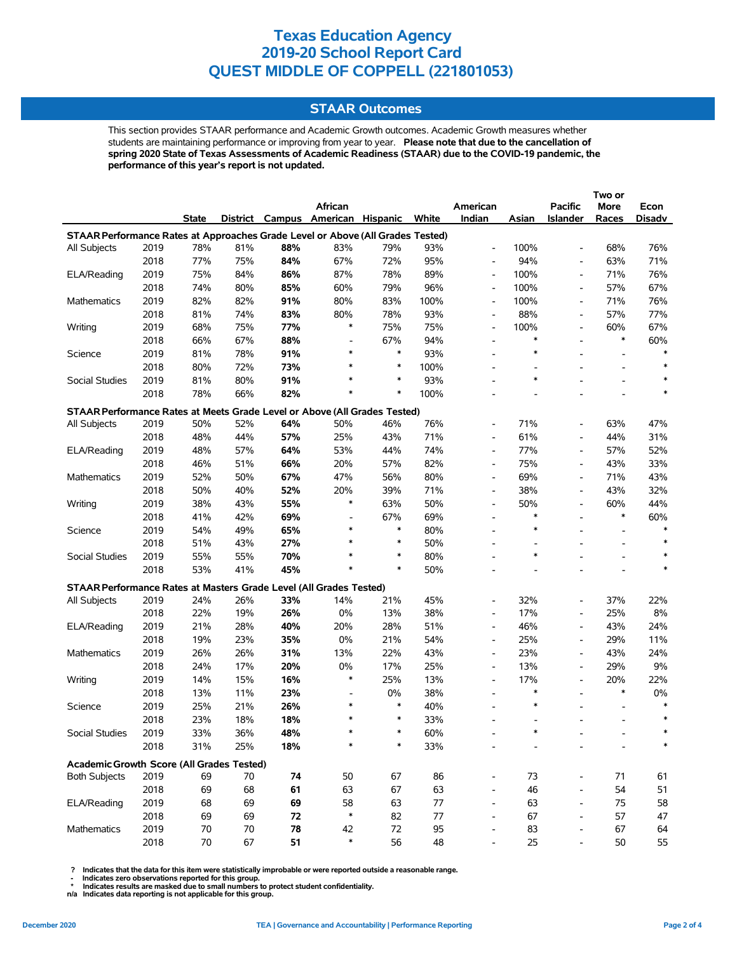### **STAAR Outcomes**

This section provides STAAR performance and Academic Growth outcomes. Academic Growth measures whether students are maintaining performance or improving from year to year. **Please note that due to the cancellation of spring 2020 State of Texas Assessments of Academic Readiness (STAAR) due to the COVID-19 pandemic, the performance of this year's report is not updated.**

|                                                                                |      |       |     |     |                                    |              |       |                          |               |                          | Two or                   |              |
|--------------------------------------------------------------------------------|------|-------|-----|-----|------------------------------------|--------------|-------|--------------------------|---------------|--------------------------|--------------------------|--------------|
|                                                                                |      |       |     |     | African                            |              |       | American                 |               | <b>Pacific</b>           | More                     | Econ         |
|                                                                                |      | State |     |     | District Campus American Hispanic  |              | White | Indian                   | Asian         | <b>Islander</b>          | Races                    | Disadv       |
| STAAR Performance Rates at Approaches Grade Level or Above (All Grades Tested) |      |       |     |     |                                    |              |       |                          |               |                          |                          |              |
| All Subjects                                                                   | 2019 | 78%   | 81% | 88% | 83%                                | 79%          | 93%   | $\overline{\phantom{a}}$ | 100%          | $\overline{\phantom{0}}$ | 68%                      | 76%          |
|                                                                                | 2018 | 77%   | 75% | 84% | 67%                                | 72%          | 95%   | $\blacksquare$           | 94%           | $\overline{\phantom{a}}$ | 63%                      | 71%          |
| ELA/Reading                                                                    | 2019 | 75%   | 84% | 86% | 87%                                | 78%          | 89%   | $\overline{\phantom{a}}$ | 100%          | $\overline{\phantom{0}}$ | 71%                      | 76%          |
|                                                                                | 2018 | 74%   | 80% | 85% | 60%                                | 79%          | 96%   | $\overline{\phantom{a}}$ | 100%          | $\overline{\phantom{0}}$ | 57%                      | 67%          |
| Mathematics                                                                    | 2019 | 82%   | 82% | 91% | 80%                                | 83%          | 100%  | $\overline{\phantom{a}}$ | 100%          | $\overline{\phantom{0}}$ | 71%                      | 76%          |
|                                                                                | 2018 | 81%   | 74% | 83% | 80%                                | 78%          | 93%   | $\overline{\phantom{a}}$ | 88%           | $\overline{\phantom{0}}$ | 57%                      | 77%          |
| Writing                                                                        | 2019 | 68%   | 75% | 77% | $\ast$                             | 75%          | 75%   | $\overline{\phantom{a}}$ | 100%          | $\overline{\phantom{m}}$ | 60%                      | 67%          |
|                                                                                | 2018 | 66%   | 67% | 88% | $\overline{\phantom{a}}$           | 67%          | 94%   | $\overline{\phantom{a}}$ | *             |                          | $\ast$                   | 60%          |
| Science                                                                        | 2019 | 81%   | 78% | 91% | $\ast$                             | $\ast$       | 93%   | $\overline{a}$           | $\ast$        |                          | Ĭ.                       | $\ast$       |
|                                                                                | 2018 | 80%   | 72% | 73% | $\ast$                             | $\ast$       | 100%  | $\overline{\phantom{a}}$ |               |                          |                          |              |
| Social Studies                                                                 | 2019 | 81%   | 80% | 91% | $\ast$                             | $\ast$       | 93%   |                          | $\ast$        |                          |                          |              |
|                                                                                | 2018 | 78%   | 66% | 82% | $\ast$                             | ∗            | 100%  | $\overline{\phantom{a}}$ |               |                          | $\overline{\phantom{a}}$ | $\ast$       |
| STAAR Performance Rates at Meets Grade Level or Above (All Grades Tested)      |      |       |     |     |                                    |              |       |                          |               |                          |                          |              |
| All Subjects                                                                   | 2019 | 50%   | 52% | 64% | 50%                                | 46%          | 76%   | $\overline{\phantom{a}}$ | 71%           | $\overline{a}$           | 63%                      | 47%          |
|                                                                                | 2018 | 48%   | 44% | 57% | 25%                                | 43%          | 71%   | $\overline{\phantom{a}}$ | 61%           | $\overline{\phantom{0}}$ | 44%                      | 31%          |
| ELA/Reading                                                                    | 2019 | 48%   | 57% | 64% | 53%                                | 44%          | 74%   | $\overline{\phantom{a}}$ | 77%           | $\overline{\phantom{a}}$ | 57%                      | 52%          |
|                                                                                | 2018 | 46%   | 51% | 66% | 20%                                | 57%          | 82%   | $\overline{\phantom{a}}$ | 75%           | $\overline{\phantom{a}}$ | 43%                      | 33%          |
| Mathematics                                                                    | 2019 | 52%   | 50% | 67% | 47%                                | 56%          | 80%   | $\blacksquare$           | 69%           | $\overline{\phantom{a}}$ | 71%                      | 43%          |
|                                                                                | 2018 | 50%   | 40% | 52% | 20%                                | 39%          | 71%   | $\overline{\phantom{a}}$ | 38%           | $\overline{a}$           | 43%                      | 32%          |
| Writing                                                                        | 2019 | 38%   | 43% | 55% | $\ast$                             | 63%          | 50%   | $\overline{\phantom{a}}$ | 50%           | $\overline{a}$           | 60%                      | 44%          |
|                                                                                | 2018 | 41%   | 42% | 69% | $\overline{\phantom{a}}$           | 67%          | 69%   | $\overline{\phantom{a}}$ | $\ast$        | $\overline{\phantom{a}}$ | $\ast$                   | 60%          |
| Science                                                                        | 2019 | 54%   | 49% | 65% | $\ast$                             | ∗            | 80%   | $\overline{\phantom{a}}$ | ∗             |                          | $\overline{\phantom{a}}$ | $\ast$       |
|                                                                                | 2018 | 51%   | 43% | 27% | $\ast$                             | ∗            | 50%   |                          |               |                          |                          | $\ast$       |
| Social Studies                                                                 | 2019 | 55%   | 55% | 70% | $\ast$                             | $\ast$       | 80%   | $\overline{\phantom{a}}$ | $\ast$        |                          | ÷.                       |              |
|                                                                                | 2018 | 53%   | 41% | 45% | $\ast$                             | $\ast$       | 50%   |                          |               |                          |                          |              |
|                                                                                |      |       |     |     |                                    |              |       |                          |               |                          |                          |              |
| STAAR Performance Rates at Masters Grade Level (All Grades Tested)             |      |       |     |     |                                    |              |       |                          |               |                          |                          |              |
| All Subjects                                                                   | 2019 | 24%   | 26% | 33% | 14%                                | 21%          | 45%   | $\blacksquare$           | 32%           | $\overline{a}$           | 37%                      | 22%          |
|                                                                                | 2018 | 22%   | 19% | 26% | $0\%$                              | 13%          | 38%   | $\overline{\phantom{a}}$ | 17%           | $\overline{a}$           | 25%                      | 8%           |
| ELA/Reading                                                                    | 2019 | 21%   | 28% | 40% | 20%                                | 28%          | 51%   | $\overline{\phantom{a}}$ | 46%           | $\overline{a}$           | 43%                      | 24%          |
|                                                                                | 2018 | 19%   | 23% | 35% | 0%                                 | 21%          | 54%   | $\overline{\phantom{a}}$ | 25%           | $\overline{\phantom{0}}$ | 29%                      | 11%          |
| <b>Mathematics</b>                                                             | 2019 | 26%   | 26% | 31% | 13%                                | 22%          | 43%   | $\overline{\phantom{a}}$ | 23%           | $\overline{\phantom{a}}$ | 43%                      | 24%          |
|                                                                                | 2018 | 24%   | 17% | 20% | 0%<br>$\ast$                       | 17%          | 25%   | $\overline{\phantom{a}}$ | 13%           | $\overline{\phantom{a}}$ | 29%                      | 9%           |
| Writing                                                                        | 2019 | 14%   | 15% | 16% |                                    | 25%          | 13%   | $\overline{\phantom{a}}$ | 17%<br>$\ast$ | $\overline{a}$           | 20%<br>$\ast$            | 22%          |
|                                                                                | 2018 | 13%   | 11% | 23% | $\overline{\phantom{a}}$<br>$\ast$ | 0%<br>$\ast$ | 38%   | $\overline{\phantom{a}}$ | *             |                          |                          | 0%<br>$\ast$ |
| Science                                                                        | 2019 | 25%   | 21% | 26% | $\ast$                             | $\ast$       | 40%   | $\overline{\phantom{a}}$ |               |                          |                          | $\ast$       |
|                                                                                | 2018 | 23%   | 18% | 18% |                                    |              | 33%   |                          |               |                          | $\overline{a}$           |              |
| Social Studies                                                                 | 2019 | 33%   | 36% | 48% |                                    |              | 60%   |                          |               |                          |                          |              |
|                                                                                | 2018 | 31%   | 25% | 18% |                                    |              | 33%   |                          |               |                          |                          |              |
| Academic Growth Score (All Grades Tested)                                      |      |       |     |     |                                    |              |       |                          |               |                          |                          |              |
| <b>Both Subjects</b>                                                           | 2019 | 69    | 70  | 74  | 50                                 | 67           | 86    | $\overline{\phantom{a}}$ | 73            | $\overline{\phantom{0}}$ | 71                       | 61           |
|                                                                                | 2018 | 69    | 68  | 61  | 63                                 | 67           | 63    |                          | 46            |                          | 54                       | 51           |
| ELA/Reading                                                                    | 2019 | 68    | 69  | 69  | 58                                 | 63           | 77    | $\overline{\phantom{a}}$ | 63            | $\overline{\phantom{0}}$ | 75                       | 58           |
|                                                                                | 2018 | 69    | 69  | 72  | $\ast$                             | 82           | 77    | $\overline{\phantom{a}}$ | 67            | $\overline{\phantom{0}}$ | 57                       | 47           |
| Mathematics                                                                    | 2019 | 70    | 70  | 78  | 42                                 | 72           | 95    | $\overline{\phantom{a}}$ | 83            |                          | 67                       | 64           |
|                                                                                | 2018 | 70    | 67  | 51  | $\ast$                             | 56           | 48    |                          | 25            |                          | 50                       | 55           |

 **? Indicates that the data for this item were statistically improbable or were reported outside a reasonable range.**

 **- Indicates zero observations reported for this group. \* Indicates results are masked due to small numbers to protect student confidentiality.**

**n/a Indicates data reporting is not applicable for this group.**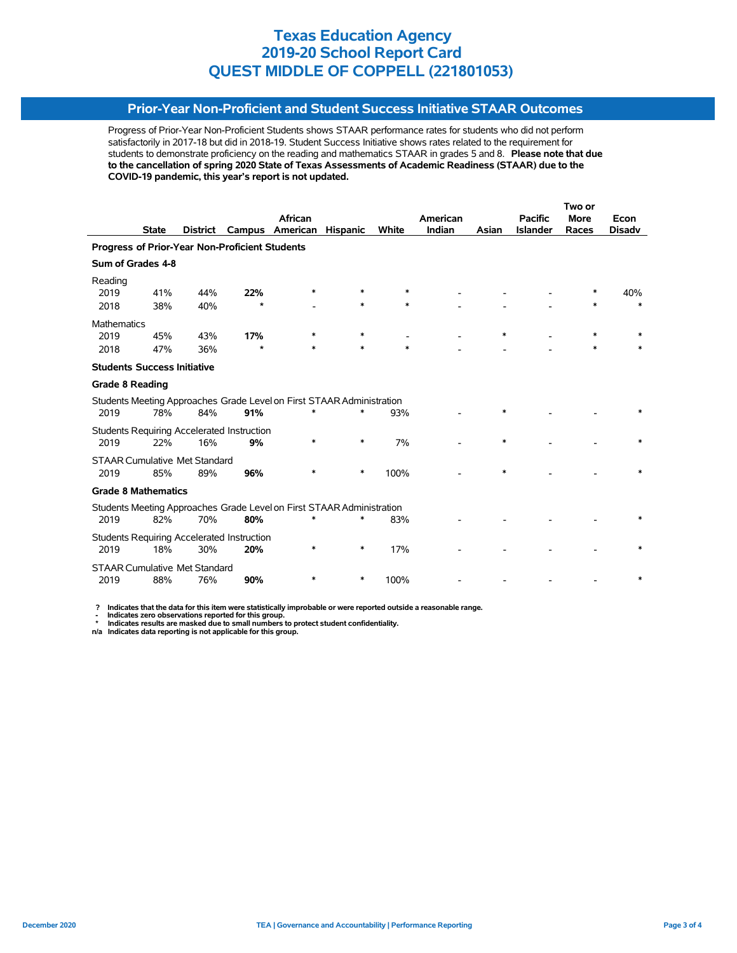### **Prior-Year Non-Proficient and Student Success Initiative STAAR Outcomes**

Progress of Prior-Year Non-Proficient Students shows STAAR performance rates for students who did not perform satisfactorily in 2017-18 but did in 2018-19. Student Success Initiative shows rates related to the requirement for students to demonstrate proficiency on the reading and mathematics STAAR in grades 5 and 8. **Please note that due to the cancellation of spring 2020 State of Texas Assessments of Academic Readiness (STAAR) due to the COVID-19 pandemic, this year's report is not updated.**

|                                                |              |                 |                                                   |                                                                       |                 |        |          |        |                 | Two or      |               |
|------------------------------------------------|--------------|-----------------|---------------------------------------------------|-----------------------------------------------------------------------|-----------------|--------|----------|--------|-----------------|-------------|---------------|
|                                                |              |                 |                                                   | African                                                               |                 |        | American |        | <b>Pacific</b>  | <b>More</b> | Econ          |
|                                                | <b>State</b> | <b>District</b> | Campus                                            | American                                                              | <b>Hispanic</b> | White  | Indian   | Asian  | <b>Islander</b> | Races       | <b>Disadv</b> |
| Progress of Prior-Year Non-Proficient Students |              |                 |                                                   |                                                                       |                 |        |          |        |                 |             |               |
| Sum of Grades 4-8                              |              |                 |                                                   |                                                                       |                 |        |          |        |                 |             |               |
| Reading                                        |              |                 |                                                   |                                                                       |                 |        |          |        |                 |             |               |
| 2019                                           | 41%          | 44%             | 22%                                               | ∗                                                                     |                 | $\ast$ |          |        |                 |             | 40%           |
| 2018                                           | 38%          | 40%             | $\star$                                           |                                                                       |                 | $\ast$ |          |        |                 |             | $\ast$        |
| <b>Mathematics</b>                             |              |                 |                                                   |                                                                       |                 |        |          |        |                 |             |               |
| 2019                                           | 45%          | 43%             | 17%                                               | *                                                                     | $\ast$          |        |          | $\ast$ |                 |             |               |
| 2018                                           | 47%          | 36%             | $\star$                                           | $\ast$                                                                | $\ast$          | $\ast$ |          |        |                 |             |               |
| <b>Students Success Initiative</b>             |              |                 |                                                   |                                                                       |                 |        |          |        |                 |             |               |
| <b>Grade 8 Reading</b>                         |              |                 |                                                   |                                                                       |                 |        |          |        |                 |             |               |
|                                                |              |                 |                                                   | Students Meeting Approaches Grade Level on First STAAR Administration |                 |        |          |        |                 |             |               |
| 2019                                           | 78%          | 84%             | 91%                                               | $\ast$                                                                | $\ast$          | 93%    |          | $\ast$ |                 |             |               |
|                                                |              |                 | <b>Students Requiring Accelerated Instruction</b> |                                                                       |                 |        |          |        |                 |             |               |
| 2019                                           | 22%          | 16%             | 9%                                                | *                                                                     | $\ast$          | 7%     |          | $\ast$ |                 |             |               |
| <b>STAAR Cumulative Met Standard</b>           |              |                 |                                                   |                                                                       |                 |        |          |        |                 |             |               |
| 2019                                           | 85%          | 89%             | 96%                                               | $\ast$                                                                | $\ast$          | 100%   |          | $\ast$ |                 |             |               |
| <b>Grade 8 Mathematics</b>                     |              |                 |                                                   |                                                                       |                 |        |          |        |                 |             |               |
|                                                |              |                 |                                                   | Students Meeting Approaches Grade Level on First STAAR Administration |                 |        |          |        |                 |             |               |
| 2019                                           | 82%          | 70%             | 80%                                               |                                                                       | *               | 83%    |          |        |                 |             |               |
|                                                |              |                 | <b>Students Requiring Accelerated Instruction</b> |                                                                       |                 |        |          |        |                 |             |               |
| 2019                                           | 18%          | 30%             | 20%                                               | *                                                                     | $\ast$          | 17%    |          |        |                 |             |               |
| <b>STAAR Cumulative Met Standard</b>           |              |                 |                                                   |                                                                       |                 |        |          |        |                 |             |               |
| 2019                                           | 88%          | 76%             | 90%                                               | $\ast$                                                                | $\ast$          | 100%   |          |        |                 |             |               |

 **? Indicates that the data for this item were statistically improbable or were reported outside a reasonable range.**

 **- Indicates zero observations reported for this group. \* Indicates results are masked due to small numbers to protect student confidentiality.**

**n/a Indicates data reporting is not applicable for this group.**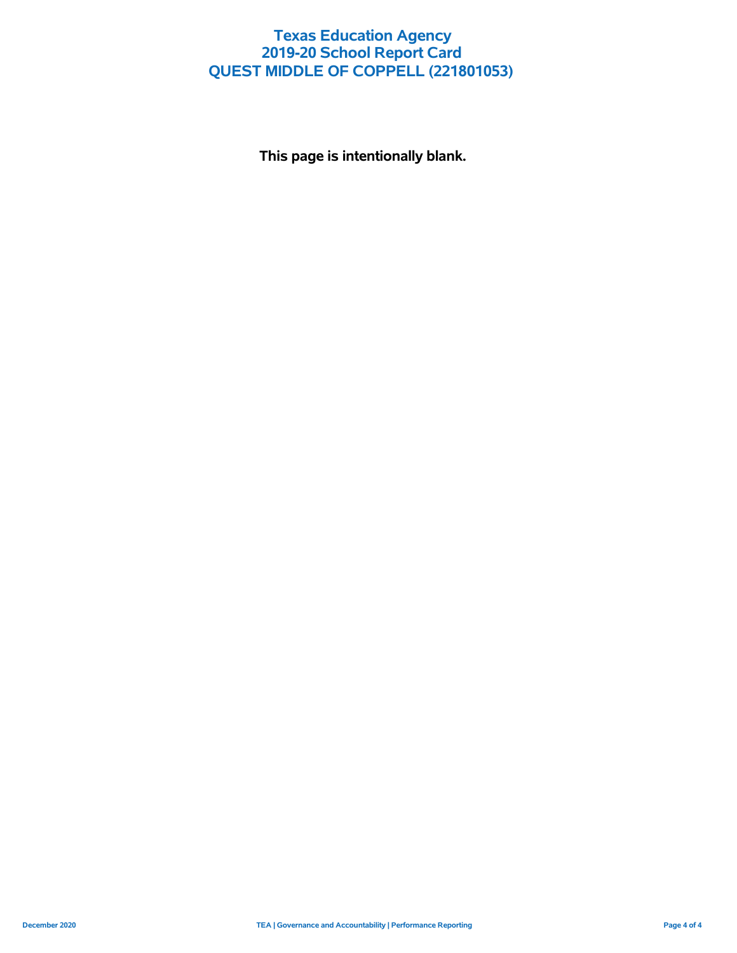**This page is intentionally blank.**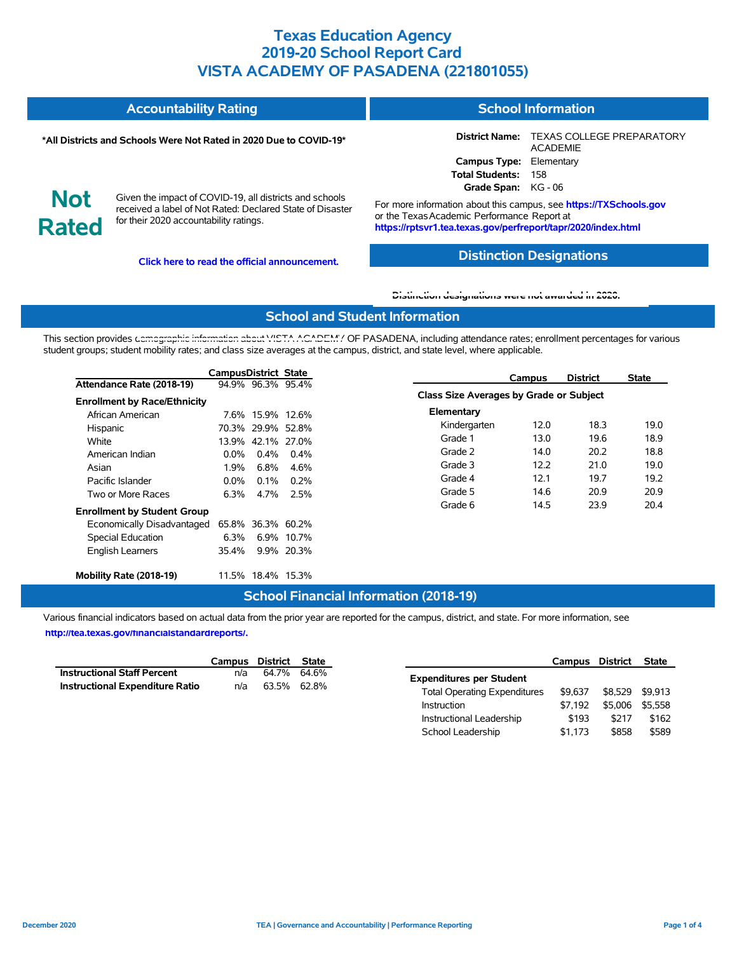|                            | <b>Accountability Rating</b>                                                                                                                                   | <b>School Information</b>                                                                                                                                                         |                                                     |  |  |  |
|----------------------------|----------------------------------------------------------------------------------------------------------------------------------------------------------------|-----------------------------------------------------------------------------------------------------------------------------------------------------------------------------------|-----------------------------------------------------|--|--|--|
|                            | *All Districts and Schools Were Not Rated in 2020 Due to COVID-19*                                                                                             | <b>District Name:</b>                                                                                                                                                             | <b>TEXAS COLLEGE PREPARATORY</b><br><b>ACADEMIE</b> |  |  |  |
|                            |                                                                                                                                                                | <b>Campus Type: Elementary</b>                                                                                                                                                    |                                                     |  |  |  |
|                            |                                                                                                                                                                | <b>Total Students: 158</b>                                                                                                                                                        |                                                     |  |  |  |
|                            |                                                                                                                                                                | Grade Span: KG - 06                                                                                                                                                               |                                                     |  |  |  |
| <b>Not</b><br><b>Rated</b> | Given the impact of COVID-19, all districts and schools<br>received a label of Not Rated: Declared State of Disaster<br>for their 2020 accountability ratings. | For more information about this campus, see https://TXSchools.gov<br>or the Texas Academic Performance Report at<br>https://rptsvr1.tea.texas.gov/perfreport/tapr/2020/index.html |                                                     |  |  |  |

**Click here to read the official announcement.**

#### **Distinction Designations**

#### **[Distinction designations were not awarded in 2020.](https://rptsvr1.tea.texas.gov/perfreport/tapr/2020/index.html)**

#### **School and Student Information**

This section provides [demographic information about VISTA ACADEMY](https://tea.texas.gov/about-tea/news-and-multimedia/correspondence/taa-letters/every-student-succeeds-act-essa-waiver-approval-2020-state-academic-accountability) OF PASADENA, including attendance rates; enrollment percentages for various student groups; student mobility rates; and class size averages at the campus, district, and state level, where applicable.

 $\overline{\phantom{0}}$ 

|                                     | <b>CampusDistrict State</b> |                   |             |
|-------------------------------------|-----------------------------|-------------------|-------------|
| Attendance Rate (2018-19)           |                             | 94.9% 96.3% 95.4% |             |
| <b>Enrollment by Race/Ethnicity</b> |                             |                   |             |
| African American                    | 7.6%                        |                   | 15.9% 12.6% |
| Hispanic                            | 70.3%                       | 29.9%             | 52.8%       |
| White                               | 13.9%                       | 42.1% 27.0%       |             |
| American Indian                     | $0.0\%$                     | $0.4\%$           | $0.4\%$     |
| Asian                               | 1.9%                        | 6.8%              | 4.6%        |
| Pacific Islander                    | 0.0%                        | $0.1\%$           | 0.2%        |
| Two or More Races                   | 6.3%                        | 47%               | 2.5%        |
| <b>Enrollment by Student Group</b>  |                             |                   |             |
| Economically Disadvantaged          |                             | 65.8% 36.3%       | 60.2%       |
| <b>Special Education</b>            | 6.3%                        |                   | 6.9% 10.7%  |
| <b>English Learners</b>             | 35.4%                       |                   | 9.9% 20.3%  |
| Mobility Rate (2018-19)             | 11.5%                       | 18.4%             | 15.3%       |

|                                                | Campus | <b>District</b> | <b>State</b> |  |  |  |  |  |  |  |
|------------------------------------------------|--------|-----------------|--------------|--|--|--|--|--|--|--|
| <b>Class Size Averages by Grade or Subject</b> |        |                 |              |  |  |  |  |  |  |  |
| Elementary                                     |        |                 |              |  |  |  |  |  |  |  |
| Kindergarten                                   | 12.0   | 18.3            | 19.0         |  |  |  |  |  |  |  |
| Grade 1                                        | 13.0   | 19.6            | 18.9         |  |  |  |  |  |  |  |
| Grade 2                                        | 14.0   | 20.2            | 18.8         |  |  |  |  |  |  |  |
| Grade 3                                        | 12.2   | 21.0            | 19.0         |  |  |  |  |  |  |  |
| Grade 4                                        | 12.1   | 19.7            | 19.2         |  |  |  |  |  |  |  |
| Grade 5                                        | 14.6   | 20.9            | 20.9         |  |  |  |  |  |  |  |
| Grade 6                                        | 14.5   | 23.9            | 20.4         |  |  |  |  |  |  |  |
|                                                |        |                 |              |  |  |  |  |  |  |  |

School Leadership  $$1,173$  \$858 \$589

### **School Financial Information (2018-19)**

Various financial indicators based on actual data from the prior year are reported for the campus, district, and state. For more information, see

|                                 | Campus                | District | State                               |                                 | Campus          | District        | <b>State</b> |
|---------------------------------|-----------------------|----------|-------------------------------------|---------------------------------|-----------------|-----------------|--------------|
| Instructional Staff Percent     | n/a                   | 64.7%    | 64.6%                               | <b>Expenditures per Student</b> |                 |                 |              |
| Instructional Expenditure Ratio | 63.5%<br>62.8%<br>n/a |          | <b>Total Operating Expenditures</b> | \$9.637                         | \$8,529 \$9,913 |                 |              |
|                                 |                       |          |                                     | Instruction                     | \$7.192         | \$5.006 \$5.558 |              |
|                                 |                       |          |                                     | Instructional Leadership        | \$193           | \$217           | \$162        |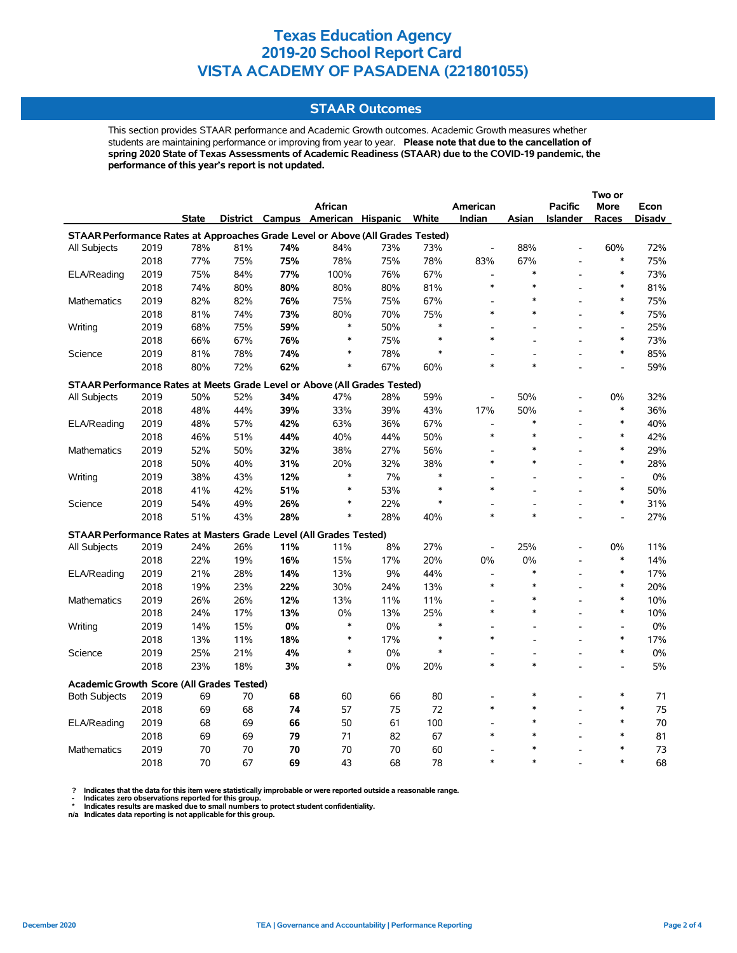### **STAAR Outcomes**

This section provides STAAR performance and Academic Growth outcomes. Academic Growth measures whether students are maintaining performance or improving from year to year. **Please note that due to the cancellation of spring 2020 State of Texas Assessments of Academic Readiness (STAAR) due to the COVID-19 pandemic, the performance of this year's report is not updated.**

|                                                                                    |      |              |     |     |                                         |     |        |                          |         |                          | Two or                       |        |
|------------------------------------------------------------------------------------|------|--------------|-----|-----|-----------------------------------------|-----|--------|--------------------------|---------|--------------------------|------------------------------|--------|
|                                                                                    |      |              |     |     | <b>African</b>                          |     |        | American                 |         | <b>Pacific</b>           | More                         | Econ   |
|                                                                                    |      | <b>State</b> |     |     | District Campus American Hispanic White |     |        | Indian                   | Asian   | Islander                 | Races                        | Disadv |
| STAAR Performance Rates at Approaches Grade Level or Above (All Grades Tested)     |      |              |     |     |                                         |     |        |                          |         |                          |                              |        |
| All Subjects                                                                       | 2019 | 78%          | 81% | 74% | 84%                                     | 73% | 73%    | $\overline{\phantom{a}}$ | 88%     |                          | 60%                          | 72%    |
|                                                                                    | 2018 | 77%          | 75% | 75% | 78%                                     | 75% | 78%    | 83%                      | 67%     |                          | $\ast$                       | 75%    |
| ELA/Reading                                                                        | 2019 | 75%          | 84% | 77% | 100%                                    | 76% | 67%    | $\overline{a}$           | $\ast$  |                          | $\ast$                       | 73%    |
|                                                                                    | 2018 | 74%          | 80% | 80% | 80%                                     | 80% | 81%    | $\ast$                   | $\ast$  |                          | $\ast$                       | 81%    |
| <b>Mathematics</b>                                                                 | 2019 | 82%          | 82% | 76% | 75%                                     | 75% | 67%    | $\overline{a}$           | *       | L,                       | $\ast$                       | 75%    |
|                                                                                    | 2018 | 81%          | 74% | 73% | 80%                                     | 70% | 75%    | $\ast$                   | $\star$ |                          | $\ast$                       | 75%    |
| Writing                                                                            | 2019 | 68%          | 75% | 59% | $\ast$                                  | 50% | $\ast$ |                          |         |                          | $\overline{a}$               | 25%    |
|                                                                                    | 2018 | 66%          | 67% | 76% | $\ast$                                  | 75% | $\ast$ | $\ast$                   |         |                          | $\ast$                       | 73%    |
| Science                                                                            | 2019 | 81%          | 78% | 74% | ∗                                       | 78% |        |                          |         |                          | $\ast$                       | 85%    |
|                                                                                    | 2018 | 80%          | 72% | 62% | $\ast$                                  | 67% | 60%    | $\ast$                   | $\ast$  |                          |                              | 59%    |
| STAAR Performance Rates at Meets Grade Level or Above (All Grades Tested)          |      |              |     |     |                                         |     |        |                          |         |                          |                              |        |
| All Subjects                                                                       | 2019 | 50%          | 52% | 34% | 47%                                     | 28% | 59%    | $\overline{\phantom{a}}$ | 50%     |                          | 0%                           | 32%    |
|                                                                                    | 2018 | 48%          | 44% | 39% | 33%                                     | 39% | 43%    | 17%                      | 50%     | L,                       | $\ast$                       | 36%    |
| ELA/Reading                                                                        | 2019 | 48%          | 57% | 42% | 63%                                     | 36% | 67%    | $\overline{a}$           | $\ast$  | L,                       | $\ast$                       | 40%    |
|                                                                                    | 2018 | 46%          | 51% | 44% | 40%                                     | 44% | 50%    | $\ast$                   | $\ast$  |                          | $\ast$                       | 42%    |
| Mathematics                                                                        | 2019 | 52%          | 50% | 32% | 38%                                     | 27% | 56%    |                          | $\ast$  |                          | $\ast$                       | 29%    |
|                                                                                    | 2018 | 50%          | 40% | 31% | 20%                                     | 32% | 38%    | $\ast$                   | $\ast$  |                          | $\ast$                       | 28%    |
| Writing                                                                            | 2019 | 38%          | 43% | 12% | $\ast$                                  | 7%  | $\ast$ |                          |         | $\overline{\phantom{a}}$ | $\overline{\phantom{a}}$     | 0%     |
|                                                                                    | 2018 | 41%          | 42% | 51% | $\ast$                                  | 53% | $\ast$ | $\ast$                   |         |                          | $\ast$                       | 50%    |
| Science                                                                            | 2019 | 54%          | 49% | 26% | $\ast$                                  | 22% | $\ast$ |                          |         |                          | $\ast$                       | 31%    |
|                                                                                    | 2018 | 51%          | 43% | 28% | $\ast$                                  | 28% | 40%    | $\ast$                   |         |                          | $\overline{a}$               | 27%    |
|                                                                                    |      |              |     |     |                                         |     |        |                          |         |                          |                              |        |
| STAAR Performance Rates at Masters Grade Level (All Grades Tested)<br>All Subjects | 2019 | 24%          | 26% | 11% | 11%                                     | 8%  | 27%    | $\overline{\phantom{a}}$ | 25%     | $\overline{a}$           | 0%                           | 11%    |
|                                                                                    | 2018 | 22%          | 19% | 16% | 15%                                     | 17% | 20%    | 0%                       | 0%      | $\overline{a}$           | $\ast$                       | 14%    |
| ELA/Reading                                                                        | 2019 | 21%          | 28% | 14% | 13%                                     | 9%  | 44%    |                          | *       | $\overline{a}$           | $\ast$                       | 17%    |
|                                                                                    | 2018 | 19%          | 23% | 22% | 30%                                     | 24% | 13%    | $\ast$                   | $\ast$  |                          | $\ast$                       | 20%    |
| Mathematics                                                                        | 2019 | 26%          | 26% | 12% | 13%                                     | 11% | 11%    |                          | $\ast$  |                          | $\ast$                       | 10%    |
|                                                                                    | 2018 | 24%          | 17% | 13% | 0%                                      | 13% | 25%    | $\ast$                   | $\ast$  |                          | $\ast$                       | 10%    |
| Writing                                                                            | 2019 | 14%          | 15% | 0%  | $\ast$                                  | 0%  | $\ast$ |                          |         |                          | $\qquad \qquad \blacksquare$ | 0%     |
|                                                                                    | 2018 | 13%          | 11% | 18% | $\ast$                                  | 17% | $\ast$ | $\ast$                   |         |                          | $\ast$                       | 17%    |
| Science                                                                            | 2019 | 25%          | 21% | 4%  | $\ast$                                  | 0%  | $\ast$ |                          |         |                          | $\ast$                       | 0%     |
|                                                                                    | 2018 | 23%          | 18% | 3%  | $\ast$                                  | 0%  | 20%    | $\ast$                   | $\ast$  | $\overline{a}$           |                              | 5%     |
|                                                                                    |      |              |     |     |                                         |     |        |                          |         |                          |                              |        |
| <b>Academic Growth Score (All Grades Tested)</b>                                   |      |              |     |     |                                         |     |        |                          |         |                          | $\ast$                       |        |
| <b>Both Subjects</b>                                                               | 2019 | 69           | 70  | 68  | 60                                      | 66  | 80     | $\ast$                   |         |                          | $\ast$                       | 71     |
|                                                                                    | 2018 | 69           | 68  | 74  | 57                                      | 75  | 72     |                          | $\ast$  |                          | $\ast$                       | 75     |
| ELA/Reading                                                                        | 2019 | 68           | 69  | 66  | 50                                      | 61  | 100    | $\ast$                   | $\ast$  |                          | $\ast$                       | 70     |
|                                                                                    | 2018 | 69           | 69  | 79  | 71                                      | 82  | 67     |                          |         |                          | $\ast$                       | 81     |
| <b>Mathematics</b>                                                                 | 2019 | 70           | 70  | 70  | 70                                      | 70  | 60     | $\ast$                   |         |                          | $\ast$                       | 73     |
|                                                                                    | 2018 | 70           | 67  | 69  | 43                                      | 68  | 78     |                          |         |                          |                              | 68     |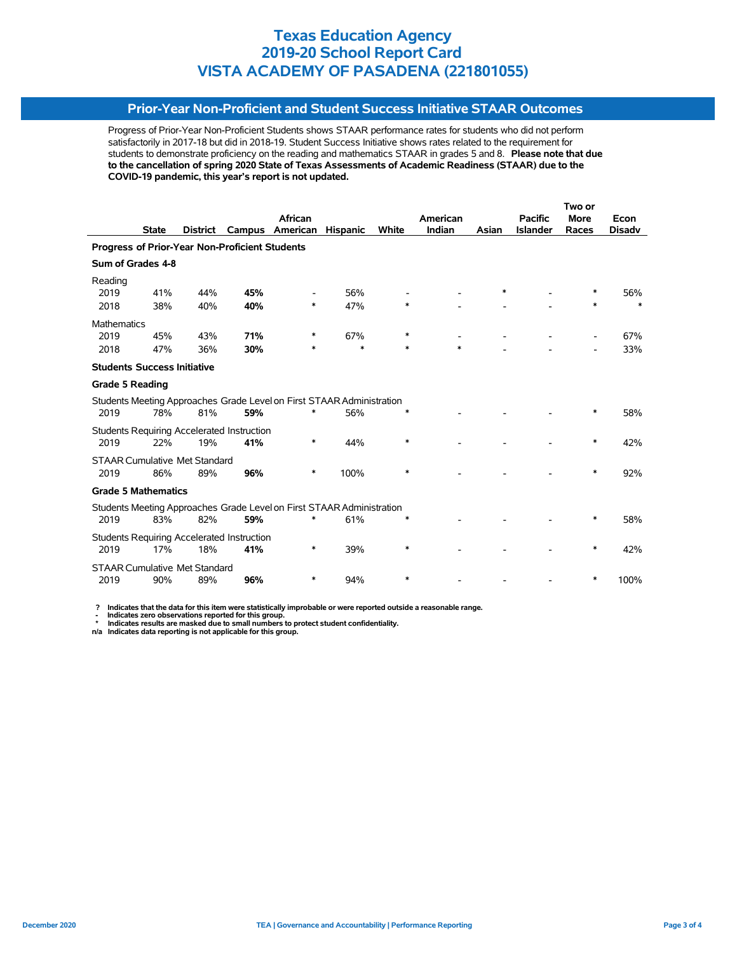### **Prior-Year Non-Proficient and Student Success Initiative STAAR Outcomes**

Progress of Prior-Year Non-Proficient Students shows STAAR performance rates for students who did not perform satisfactorily in 2017-18 but did in 2018-19. Student Success Initiative shows rates related to the requirement for students to demonstrate proficiency on the reading and mathematics STAAR in grades 5 and 8. **Please note that due to the cancellation of spring 2020 State of Texas Assessments of Academic Readiness (STAAR) due to the COVID-19 pandemic, this year's report is not updated.**

|                                    |              |                                      |                                                   |                                                                       |                 |              |          |       |                 | Two or      |               |
|------------------------------------|--------------|--------------------------------------|---------------------------------------------------|-----------------------------------------------------------------------|-----------------|--------------|----------|-------|-----------------|-------------|---------------|
|                                    |              |                                      |                                                   | African                                                               |                 |              | American |       | <b>Pacific</b>  | <b>More</b> | Econ          |
|                                    | <b>State</b> | <b>District</b>                      | Campus                                            | American                                                              | <b>Hispanic</b> | <b>White</b> | Indian   | Asian | <b>Islander</b> | Races       | <b>Disadv</b> |
|                                    |              |                                      | Progress of Prior-Year Non-Proficient Students    |                                                                       |                 |              |          |       |                 |             |               |
| Sum of Grades 4-8                  |              |                                      |                                                   |                                                                       |                 |              |          |       |                 |             |               |
| Reading                            |              |                                      |                                                   |                                                                       |                 |              |          |       |                 |             |               |
| 2019                               | 41%          | 44%                                  | 45%                                               |                                                                       | 56%             |              |          | *     |                 |             | 56%           |
| 2018                               | 38%          | 40%                                  | 40%                                               | *                                                                     | 47%             |              |          |       |                 | *           | $\ast$        |
| <b>Mathematics</b>                 |              |                                      |                                                   |                                                                       |                 |              |          |       |                 |             |               |
| 2019                               | 45%          | 43%                                  | 71%                                               | *                                                                     | 67%             | *            |          |       |                 |             | 67%           |
| 2018                               | 47%          | 36%                                  | 30%                                               | $\ast$                                                                | $\ast$          | $\ast$       | $\ast$   |       |                 |             | 33%           |
| <b>Students Success Initiative</b> |              |                                      |                                                   |                                                                       |                 |              |          |       |                 |             |               |
| <b>Grade 5 Reading</b>             |              |                                      |                                                   |                                                                       |                 |              |          |       |                 |             |               |
|                                    |              |                                      |                                                   | Students Meeting Approaches Grade Level on First STAAR Administration |                 |              |          |       |                 |             |               |
| 2019                               | 78%          | 81%                                  | 59%                                               | *                                                                     | 56%             | *            |          |       |                 | *           | 58%           |
|                                    |              |                                      | <b>Students Requiring Accelerated Instruction</b> |                                                                       |                 |              |          |       |                 |             |               |
| 2019                               | 22%          | 19%                                  | 41%                                               | *                                                                     | 44%             | $\ast$       |          |       |                 | *           | 42%           |
|                                    |              | <b>STAAR Cumulative Met Standard</b> |                                                   |                                                                       |                 |              |          |       |                 |             |               |
| 2019                               | 86%          | 89%                                  | 96%                                               | ∗                                                                     | 100%            | *            |          |       |                 | *           | 92%           |
| <b>Grade 5 Mathematics</b>         |              |                                      |                                                   |                                                                       |                 |              |          |       |                 |             |               |
|                                    |              |                                      |                                                   | Students Meeting Approaches Grade Level on First STAAR Administration |                 |              |          |       |                 |             |               |
| 2019                               | 83%          | 82%                                  | 59%                                               |                                                                       | 61%             |              |          |       |                 | *           | 58%           |
|                                    |              |                                      | <b>Students Requiring Accelerated Instruction</b> |                                                                       |                 |              |          |       |                 |             |               |
| 2019                               | 17%          | 18%                                  | 41%                                               | ∗                                                                     | 39%             | *            |          |       |                 | *           | 42%           |
|                                    |              | <b>STAAR Cumulative Met Standard</b> |                                                   |                                                                       |                 |              |          |       |                 |             |               |
| 2019                               | 90%          | 89%                                  | 96%                                               | ∗                                                                     | 94%             | $\ast$       |          |       |                 | ∗           | 100%          |

 **? Indicates that the data for this item were statistically improbable or were reported outside a reasonable range.**

 **- Indicates zero observations reported for this group. \* Indicates results are masked due to small numbers to protect student confidentiality.**

**n/a Indicates data reporting is not applicable for this group.**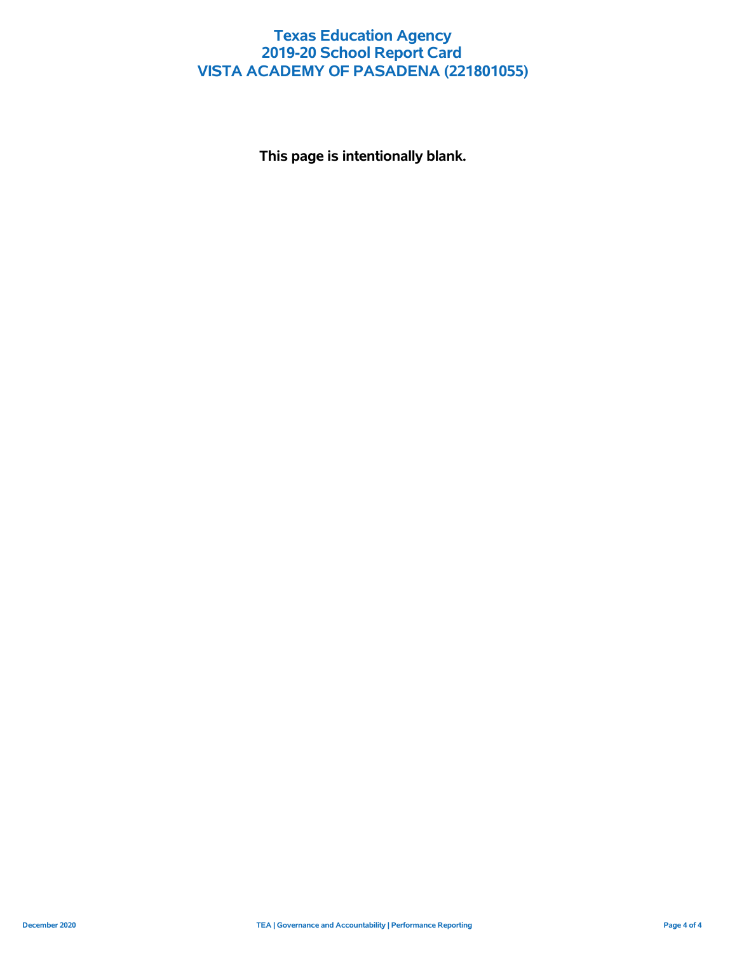**This page is intentionally blank.**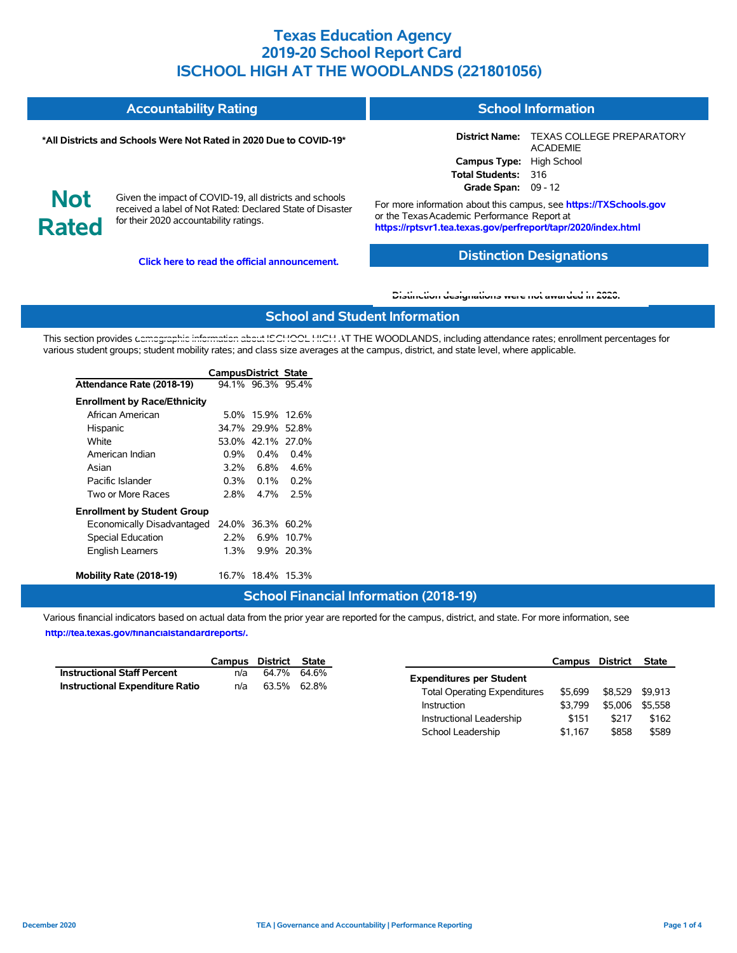|                            | <b>Accountability Rating</b>                                                                                                                                   | <b>School Information</b>                                                                                                                                                         |                                              |  |  |  |
|----------------------------|----------------------------------------------------------------------------------------------------------------------------------------------------------------|-----------------------------------------------------------------------------------------------------------------------------------------------------------------------------------|----------------------------------------------|--|--|--|
|                            | *All Districts and Schools Were Not Rated in 2020 Due to COVID-19*                                                                                             | <b>District Name:</b>                                                                                                                                                             | TEXAS COLLEGE PREPARATORY<br><b>ACADEMIE</b> |  |  |  |
|                            |                                                                                                                                                                | Campus Type: High School                                                                                                                                                          |                                              |  |  |  |
|                            |                                                                                                                                                                | <b>Total Students: 316</b>                                                                                                                                                        |                                              |  |  |  |
|                            |                                                                                                                                                                | Grade Span: $09 - 12$                                                                                                                                                             |                                              |  |  |  |
| <b>Not</b><br><b>Rated</b> | Given the impact of COVID-19, all districts and schools<br>received a label of Not Rated: Declared State of Disaster<br>for their 2020 accountability ratings. | For more information about this campus, see https://TXSchools.gov<br>or the Texas Academic Performance Report at<br>https://rptsvr1.tea.texas.gov/perfreport/tapr/2020/index.html |                                              |  |  |  |

**Click here to read the official announcement.**

#### **Distinction Designations**

School Leadership  $$1,167$  \$858 \$589

#### **[Distinction designations were not awarded in 2020.](https://rptsvr1.tea.texas.gov/perfreport/tapr/2020/index.html)**

#### **School and Student Information**

This section provides [demographic information about ISCHOOL HIGH A](https://tea.texas.gov/about-tea/news-and-multimedia/correspondence/taa-letters/every-student-succeeds-act-essa-waiver-approval-2020-state-academic-accountability)T THE WOODLANDS, including attendance rates; enrollment percentages for various student groups; student mobility rates; and class size averages at the campus, district, and state level, where applicable.

|                                     | <b>CampusDistrict State</b> |                   |            |
|-------------------------------------|-----------------------------|-------------------|------------|
| Attendance Rate (2018-19)           |                             | 94.1% 96.3% 95.4% |            |
| <b>Enrollment by Race/Ethnicity</b> |                             |                   |            |
| African American                    | $5.0\%$                     | 15.9%             | 12.6%      |
| Hispanic                            |                             | 34.7% 29.9%       | 52.8%      |
| White                               | 53.0%                       | 42.1%             | 27.0%      |
| American Indian                     | $0.9\%$                     | $0.4\%$           | $0.4\%$    |
| Asian                               | $3.2\%$                     | 6.8%              | 4.6%       |
| Pacific Islander                    | 0.3%                        | $0.1\%$           | 0.2%       |
| Two or More Races                   | 28%                         | 47%               | 2.5%       |
| <b>Enrollment by Student Group</b>  |                             |                   |            |
| Economically Disadvantaged          |                             | 24.0% 36.3% 60.2% |            |
| Special Education                   | 2.2%                        |                   | 6.9% 10.7% |
| <b>English Learners</b>             | 1.3%                        |                   | 9.9% 20.3% |
| Mobility Rate (2018-19)             | 16.7%                       | 18.4%             | 15.3%      |

#### **School Financial Information (2018-19)**

Various financial indicators based on actual data from the prior year are reported for the campus, district, and state. For more information, see

|                                 | Campus | District | State |                                     | Campus District |                 | <b>State</b> |
|---------------------------------|--------|----------|-------|-------------------------------------|-----------------|-----------------|--------------|
| Instructional Staff Percent     | n/a    | 64.7%    | 64.6% | <b>Expenditures per Student</b>     |                 |                 |              |
| Instructional Expenditure Ratio | n/a    | 63.5%    | 62.8% | <b>Total Operating Expenditures</b> | \$5.699         | \$8,529 \$9,913 |              |
|                                 |        |          |       | Instruction                         | \$3.799         | \$5.006         | \$5.558      |
|                                 |        |          |       | Instructional Leadership            | \$151           | \$217           | \$162        |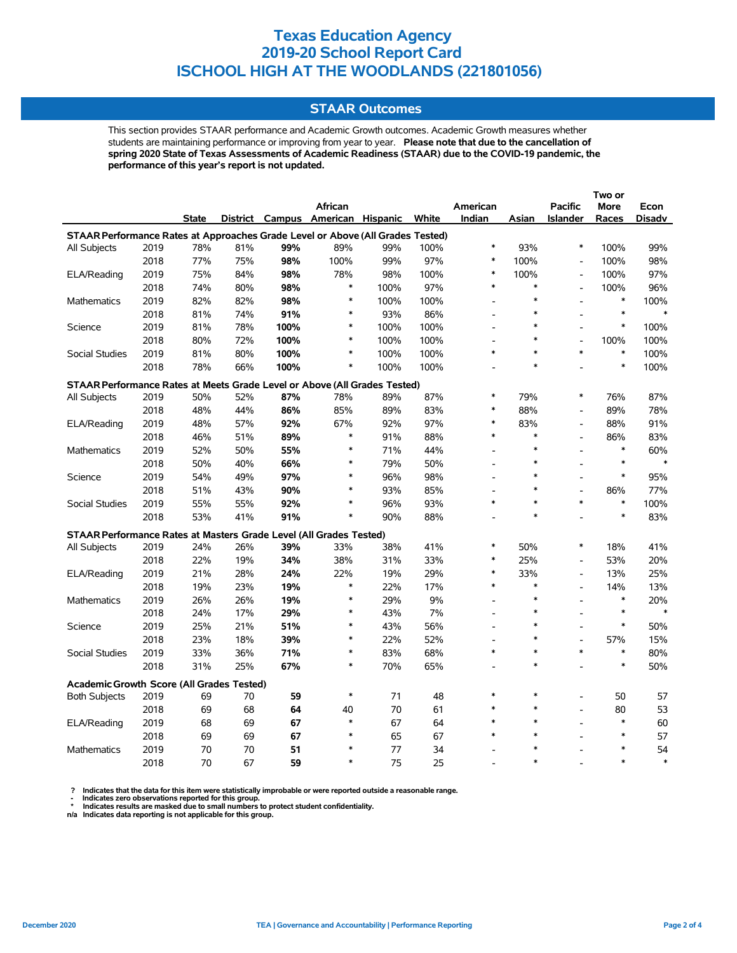#### **STAAR Outcomes**

This section provides STAAR performance and Academic Growth outcomes. Academic Growth measures whether students are maintaining performance or improving from year to year. **Please note that due to the cancellation of spring 2020 State of Texas Assessments of Academic Readiness (STAAR) due to the COVID-19 pandemic, the performance of this year's report is not updated.**

|                                                                                |      |              |     |      |                                   |      |       |                          |              |                              | Two or |               |
|--------------------------------------------------------------------------------|------|--------------|-----|------|-----------------------------------|------|-------|--------------------------|--------------|------------------------------|--------|---------------|
|                                                                                |      |              |     |      | African                           |      |       | American                 |              | <b>Pacific</b>               | More   | Econ          |
|                                                                                |      | <b>State</b> |     |      | District Campus American Hispanic |      | White | Indian                   | Asian        | <b>Islander</b>              | Races  | <b>Disadv</b> |
| STAAR Performance Rates at Approaches Grade Level or Above (All Grades Tested) |      |              |     |      |                                   |      |       |                          |              |                              |        |               |
| All Subjects                                                                   | 2019 | 78%          | 81% | 99%  | 89%                               | 99%  | 100%  | $\ast$                   | 93%          | $\ast$                       | 100%   | 99%           |
|                                                                                | 2018 | 77%          | 75% | 98%  | 100%                              | 99%  | 97%   | $\ast$                   | 100%         | $\qquad \qquad \blacksquare$ | 100%   | 98%           |
| ELA/Reading                                                                    | 2019 | 75%          | 84% | 98%  | 78%                               | 98%  | 100%  | $\ast$                   | 100%         | $\overline{a}$               | 100%   | 97%           |
|                                                                                | 2018 | 74%          | 80% | 98%  | $\ast$                            | 100% | 97%   | $\ast$                   | $\ast$       | $\overline{a}$               | 100%   | 96%           |
| <b>Mathematics</b>                                                             | 2019 | 82%          | 82% | 98%  | $\ast$                            | 100% | 100%  | L,                       | $\ast$       | $\overline{a}$               | $\ast$ | 100%          |
|                                                                                | 2018 | 81%          | 74% | 91%  | $\ast$                            | 93%  | 86%   | $\overline{\phantom{a}}$ | *            | $\overline{a}$               | $\ast$ | $\ast$        |
| Science                                                                        | 2019 | 81%          | 78% | 100% | $\ast$                            | 100% | 100%  |                          | $\ast$       | $\overline{a}$               | $\ast$ | 100%          |
|                                                                                | 2018 | 80%          | 72% | 100% | $\ast$                            | 100% | 100%  |                          | $\pmb{\ast}$ | $\overline{a}$               | 100%   | 100%          |
| Social Studies                                                                 | 2019 | 81%          | 80% | 100% | ∗                                 | 100% | 100%  | $\ast$                   | $\ast$       | $\ast$                       | $\ast$ | 100%          |
|                                                                                | 2018 | 78%          | 66% | 100% | $\ast$                            | 100% | 100%  |                          | $\ast$       |                              | $\ast$ | 100%          |
| STAAR Performance Rates at Meets Grade Level or Above (All Grades Tested)      |      |              |     |      |                                   |      |       |                          |              |                              |        |               |
| All Subjects                                                                   | 2019 | 50%          | 52% | 87%  | 78%                               | 89%  | 87%   | $\ast$                   | 79%          | $\ast$                       | 76%    | 87%           |
|                                                                                | 2018 | 48%          | 44% | 86%  | 85%                               | 89%  | 83%   | $\ast$                   | 88%          | $\overline{a}$               | 89%    | 78%           |
| ELA/Reading                                                                    | 2019 | 48%          | 57% | 92%  | 67%                               | 92%  | 97%   | $\ast$                   | 83%          | $\frac{1}{2}$                | 88%    | 91%           |
|                                                                                | 2018 | 46%          | 51% | 89%  | $\ast$                            | 91%  | 88%   | $\ast$                   | $\ast$       | L,                           | 86%    | 83%           |
| Mathematics                                                                    | 2019 | 52%          | 50% | 55%  | $\ast$                            | 71%  | 44%   |                          | $\ast$       |                              | $\ast$ | 60%           |
|                                                                                | 2018 | 50%          | 40% | 66%  | $\ast$                            | 79%  | 50%   | $\overline{a}$           | $\ast$       | $\overline{a}$               | $\ast$ |               |
| Science                                                                        | 2019 | 54%          | 49% | 97%  | $\ast$                            | 96%  | 98%   | $\overline{a}$           | $\ast$       |                              | $\ast$ | 95%           |
|                                                                                | 2018 | 51%          | 43% | 90%  | $\ast$                            | 93%  | 85%   |                          | $\ast$       | $\overline{\phantom{a}}$     | 86%    | 77%           |
| <b>Social Studies</b>                                                          | 2019 | 55%          | 55% | 92%  | $\ast$                            | 96%  | 93%   | $\ast$                   | $\ast$       | $\ast$                       | $\ast$ | 100%          |
|                                                                                | 2018 | 53%          | 41% | 91%  | $\ast$                            | 90%  | 88%   |                          | $\ast$       |                              | $\ast$ | 83%           |
| STAAR Performance Rates at Masters Grade Level (All Grades Tested)             |      |              |     |      |                                   |      |       |                          |              |                              |        |               |
| All Subjects                                                                   | 2019 | 24%          | 26% | 39%  | 33%                               | 38%  | 41%   | $\ast$                   | 50%          | *                            | 18%    | 41%           |
|                                                                                | 2018 | 22%          | 19% | 34%  | 38%                               | 31%  | 33%   | $\ast$                   | 25%          | $\overline{a}$               | 53%    | 20%           |
| ELA/Reading                                                                    | 2019 | 21%          | 28% | 24%  | 22%                               | 19%  | 29%   | $\ast$                   | 33%          | $\overline{a}$               | 13%    | 25%           |
|                                                                                | 2018 | 19%          | 23% | 19%  | $\ast$                            | 22%  | 17%   | $\ast$                   | $\ast$       | $\overline{a}$               | 14%    | 13%           |
| Mathematics                                                                    | 2019 | 26%          | 26% | 19%  | $\ast$                            | 29%  | 9%    |                          | $\ast$       |                              | $\ast$ | 20%           |
|                                                                                | 2018 | 24%          | 17% | 29%  | $\ast$                            | 43%  | 7%    |                          | $\ast$       |                              | $\ast$ | $\ast$        |
| Science                                                                        | 2019 | 25%          | 21% | 51%  | $\ast$                            | 43%  | 56%   | $\overline{a}$           | $\ast$       | $\overline{a}$               | $\ast$ | 50%           |
|                                                                                | 2018 | 23%          | 18% | 39%  | ∗                                 | 22%  | 52%   | L,                       | *            | $\overline{a}$               | 57%    | 15%           |
| Social Studies                                                                 | 2019 | 33%          | 36% | 71%  | $\ast$                            | 83%  | 68%   | $\ast$                   | $\ast$       | $\ast$                       | $\ast$ | 80%           |
|                                                                                | 2018 | 31%          | 25% | 67%  | $\ast$                            | 70%  | 65%   |                          | $\ast$       | $\overline{a}$               | $\ast$ | 50%           |
| <b>Academic Growth Score (All Grades Tested)</b>                               |      |              |     |      |                                   |      |       |                          |              |                              |        |               |
| <b>Both Subjects</b>                                                           | 2019 | 69           | 70  | 59   | $\ast$                            | 71   | 48    | $\ast$                   | *            |                              | 50     | 57            |
|                                                                                | 2018 | 69           | 68  | 64   | 40                                | 70   | 61    |                          | $\ast$       |                              | 80     | 53            |
| ELA/Reading                                                                    | 2019 | 68           | 69  | 67   | $\ast$                            | 67   | 64    | *                        | $\ast$       |                              | $\ast$ | 60            |
|                                                                                | 2018 | 69           | 69  | 67   | $\ast$                            | 65   | 67    | $\ast$                   | $\ast$       |                              | $\ast$ | 57            |
| <b>Mathematics</b>                                                             | 2019 | 70           | 70  | 51   | $\ast$                            | 77   | 34    |                          |              |                              | $\ast$ | 54            |
|                                                                                | 2018 | 70           | 67  | 59   | $\ast$                            | 75   | 25    |                          | $\ast$       |                              | $\ast$ | $\ast$        |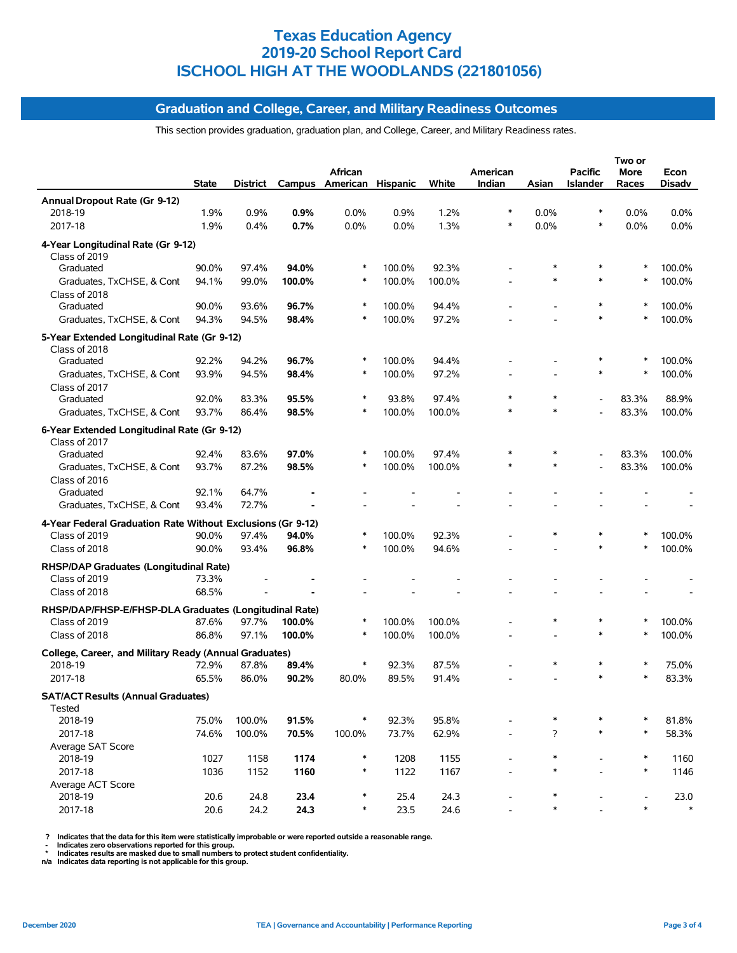### **Graduation and College, Career, and Military Readiness Outcomes**

This section provides graduation, graduation plan, and College, Career, and Military Readiness rates.

|                                                                         |              |          |        | African                  |        |        | American |                | <b>Pacific</b> | Two or<br>More | Econ    |
|-------------------------------------------------------------------------|--------------|----------|--------|--------------------------|--------|--------|----------|----------------|----------------|----------------|---------|
|                                                                         | <b>State</b> | District |        | Campus American Hispanic |        | White  | Indian   | Asian          | Islander       | Races          | Disadv  |
| Annual Dropout Rate (Gr 9-12)                                           |              |          |        |                          |        |        |          |                |                |                |         |
| 2018-19                                                                 | 1.9%         | 0.9%     | 0.9%   | 0.0%                     | 0.9%   | 1.2%   | $\ast$   | 0.0%           | ∗              | $0.0\%$        | $0.0\%$ |
| 2017-18                                                                 | 1.9%         | 0.4%     | 0.7%   | 0.0%                     | 0.0%   | 1.3%   |          | 0.0%           | $\ast$         | 0.0%           | 0.0%    |
| 4-Year Longitudinal Rate (Gr 9-12)                                      |              |          |        |                          |        |        |          |                |                |                |         |
| Class of 2019                                                           |              |          |        |                          |        |        |          |                |                |                |         |
| Graduated                                                               | 90.0%        | 97.4%    | 94.0%  |                          | 100.0% | 92.3%  |          |                |                |                | 100.0%  |
| Graduates, TxCHSE, & Cont                                               | 94.1%        | 99.0%    | 100.0% | ∗                        | 100.0% | 100.0% |          | $\ast$         |                | $\ast$         | 100.0%  |
| Class of 2018                                                           |              |          |        |                          |        |        |          |                |                |                |         |
| Graduated                                                               | 90.0%        | 93.6%    | 96.7%  | $\ast$                   | 100.0% | 94.4%  |          |                |                |                | 100.0%  |
| Graduates, TxCHSE, & Cont                                               | 94.3%        | 94.5%    | 98.4%  |                          | 100.0% | 97.2%  |          |                |                | $\ast$         | 100.0%  |
| 5-Year Extended Longitudinal Rate (Gr 9-12)<br>Class of 2018            |              |          |        |                          |        |        |          |                |                |                |         |
| Graduated                                                               | 92.2%        | 94.2%    | 96.7%  |                          | 100.0% | 94.4%  |          |                |                |                | 100.0%  |
| Graduates, TxCHSE, & Cont                                               | 93.9%        | 94.5%    | 98.4%  |                          | 100.0% | 97.2%  |          |                |                | $\ast$         | 100.0%  |
| Class of 2017                                                           |              |          |        |                          |        |        |          |                |                |                |         |
| Graduated                                                               | 92.0%        | 83.3%    | 95.5%  |                          | 93.8%  | 97.4%  |          | $\ast$         |                | 83.3%          | 88.9%   |
| Graduates, TxCHSE, & Cont                                               | 93.7%        | 86.4%    | 98.5%  |                          | 100.0% | 100.0% |          | $\ast$         |                | 83.3%          | 100.0%  |
| 6-Year Extended Longitudinal Rate (Gr 9-12)                             |              |          |        |                          |        |        |          |                |                |                |         |
| Class of 2017                                                           |              |          |        |                          |        |        |          |                |                |                |         |
| Graduated                                                               | 92.4%        | 83.6%    | 97.0%  |                          | 100.0% | 97.4%  |          | $\ast$         |                | 83.3%          | 100.0%  |
| Graduates, TxCHSE, & Cont                                               | 93.7%        | 87.2%    | 98.5%  | $\ast$                   | 100.0% | 100.0% | $\ast$   | $\ast$         |                | 83.3%          | 100.0%  |
| Class of 2016                                                           |              |          |        |                          |        |        |          |                |                |                |         |
| Graduated                                                               | 92.1%        | 64.7%    |        |                          |        |        |          |                |                |                |         |
| Graduates, TxCHSE, & Cont                                               | 93.4%        | 72.7%    |        |                          |        |        |          |                |                |                |         |
| 4-Year Federal Graduation Rate Without Exclusions (Gr 9-12)             |              |          |        |                          |        |        |          |                |                |                |         |
| Class of 2019                                                           | 90.0%        | 97.4%    | 94.0%  |                          | 100.0% | 92.3%  |          | $\ast$         |                |                | 100.0%  |
| Class of 2018                                                           | 90.0%        | 93.4%    | 96.8%  |                          | 100.0% | 94.6%  |          |                |                |                | 100.0%  |
| RHSP/DAP Graduates (Longitudinal Rate)                                  |              |          |        |                          |        |        |          |                |                |                |         |
| Class of 2019                                                           | 73.3%        |          |        |                          |        |        |          |                |                |                |         |
| Class of 2018                                                           | 68.5%        |          |        |                          |        |        |          |                |                |                |         |
|                                                                         |              |          |        |                          |        |        |          |                |                |                |         |
| RHSP/DAP/FHSP-E/FHSP-DLA Graduates (Longitudinal Rate)<br>Class of 2019 | 87.6%        | 97.7%    | 100.0% |                          | 100.0% | 100.0% |          | $\ast$         |                |                | 100.0%  |
| Class of 2018                                                           | 86.8%        | 97.1%    | 100.0% |                          | 100.0% | 100.0% |          |                |                |                | 100.0%  |
|                                                                         |              |          |        |                          |        |        |          |                |                |                |         |
| College, Career, and Military Ready (Annual Graduates)                  |              |          |        |                          |        |        |          |                |                |                |         |
| 2018-19                                                                 | 72.9%        | 87.8%    | 89.4%  |                          | 92.3%  | 87.5%  |          | $\ast$         |                |                | 75.0%   |
| 2017-18                                                                 | 65.5%        | 86.0%    | 90.2%  | 80.0%                    | 89.5%  | 91.4%  |          |                |                |                | 83.3%   |
| <b>SAT/ACT Results (Annual Graduates)</b><br>Tested                     |              |          |        |                          |        |        |          |                |                |                |         |
| 2018-19                                                                 | 75.0%        | 100.0%   | 91.5%  | $\ast$                   | 92.3%  | 95.8%  |          |                |                | ∗              | 81.8%   |
| 2017-18                                                                 | 74.6%        | 100.0%   | 70.5%  | 100.0%                   | 73.7%  | 62.9%  |          | $\overline{?}$ | $\ast$         | $\ast$         | 58.3%   |
| Average SAT Score                                                       |              |          |        |                          |        |        |          |                |                |                |         |
| 2018-19                                                                 | 1027         | 1158     | 1174   | $\ast$                   | 1208   | 1155   |          | ∗              |                | $\ast$         | 1160    |
| 2017-18                                                                 | 1036         | 1152     | 1160   | $\ast$                   | 1122   | 1167   |          | $\ast$         |                | $\ast$         | 1146    |
| Average ACT Score                                                       |              |          |        |                          |        |        |          |                |                |                |         |
| 2018-19                                                                 | 20.6         | 24.8     | 23.4   |                          | 25.4   | 24.3   |          |                |                |                | 23.0    |
| 2017-18                                                                 | 20.6         | 24.2     | 24.3   |                          | 23.5   | 24.6   |          | $\ast$         |                | $\ast$         |         |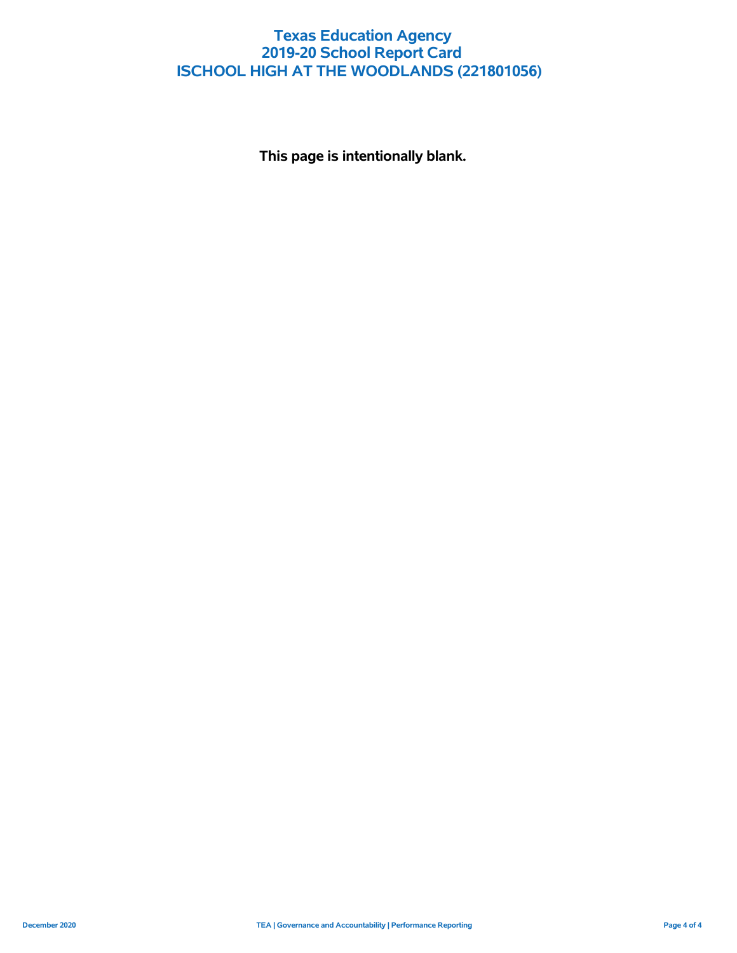**This page is intentionally blank.**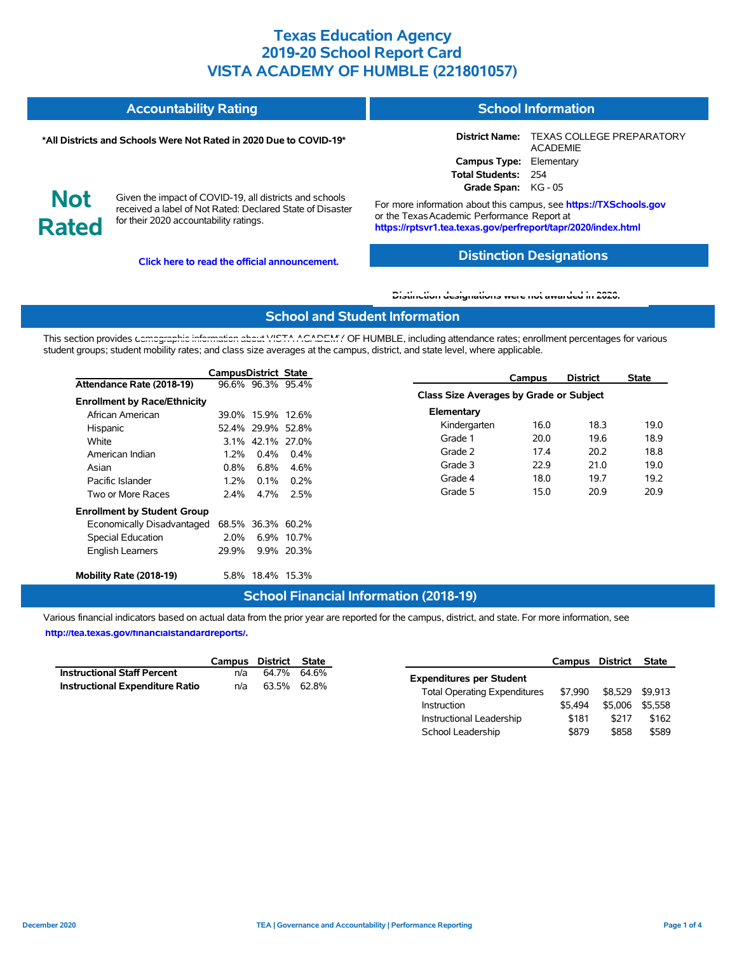|                            | <b>Accountability Rating</b>                                                                                                                                   |                                                                                                                                                                                   | <b>School Information</b>                    |
|----------------------------|----------------------------------------------------------------------------------------------------------------------------------------------------------------|-----------------------------------------------------------------------------------------------------------------------------------------------------------------------------------|----------------------------------------------|
|                            | *All Districts and Schools Were Not Rated in 2020 Due to COVID-19*                                                                                             | <b>District Name:</b>                                                                                                                                                             | TEXAS COLLEGE PREPARATORY<br><b>ACADEMIE</b> |
|                            |                                                                                                                                                                | <b>Campus Type:</b>                                                                                                                                                               | Elementary                                   |
|                            |                                                                                                                                                                | <b>Total Students: 254</b>                                                                                                                                                        |                                              |
|                            |                                                                                                                                                                | Grade Span: KG - 05                                                                                                                                                               |                                              |
| <b>Not</b><br><b>Rated</b> | Given the impact of COVID-19, all districts and schools<br>received a label of Not Rated: Declared State of Disaster<br>for their 2020 accountability ratings. | For more information about this campus, see https://TXSchools.gov<br>or the Texas Academic Performance Report at<br>https://rptsvr1.tea.texas.gov/perfreport/tapr/2020/index.html |                                              |

**Click here to read the official announcement.**

### **Distinction Designations**

#### **[Distinction designations were not awarded in 2020.](https://rptsvr1.tea.texas.gov/perfreport/tapr/2020/index.html)**

#### **School and Student Information**

L.

This section provides [demographic information about VISTA ACADEMY](https://tea.texas.gov/about-tea/news-and-multimedia/correspondence/taa-letters/every-student-succeeds-act-essa-waiver-approval-2020-state-academic-accountability) OF HUMBLE, including attendance rates; enrollment percentages for various student groups; student mobility rates; and class size averages at the campus, district, and state level, where applicable.

|                                     | <b>CampusDistrict State</b> |                   |            |
|-------------------------------------|-----------------------------|-------------------|------------|
| Attendance Rate (2018-19)           |                             | 96.6% 96.3% 95.4% |            |
| <b>Enrollment by Race/Ethnicity</b> |                             |                   |            |
| African American                    |                             | 39.0% 15.9%       | 126%       |
| Hispanic                            | 52.4%                       | 29.9%             | 52.8%      |
| White                               | 3.1%                        | 42.1% 27.0%       |            |
| American Indian                     | $1.2\%$                     | $0.4\%$           | $0.4\%$    |
| Asian                               | 0.8%                        | 6.8%              | 4.6%       |
| Pacific Islander                    | 1.2%                        | $0.1\%$           | 0.2%       |
| Two or More Races                   | 2.4%                        | 4 7%              | 2.5%       |
| <b>Enrollment by Student Group</b>  |                             |                   |            |
| Economically Disadvantaged          | 68.5%                       | 36.3%             | 60.2%      |
| Special Education                   | $2.0\%$                     |                   | 6.9% 10.7% |
| <b>English Learners</b>             | 29.9%                       |                   | 9.9% 20.3% |
| Mobility Rate (2018-19)             | 5.8%                        | 18.4%             | 15.3%      |

|                                                | Campus | <b>District</b> | <b>State</b> |
|------------------------------------------------|--------|-----------------|--------------|
| <b>Class Size Averages by Grade or Subject</b> |        |                 |              |
| Elementary                                     |        |                 |              |
| Kindergarten                                   | 16.0   | 18.3            | 19.0         |
| Grade 1                                        | 20.0   | 19.6            | 18.9         |
| Grade 2                                        | 17.4   | 20.2            | 18.8         |
| Grade 3                                        | 22.9   | 21.0            | 19.0         |
| Grade 4                                        | 18.0   | 19.7            | 19.2         |
| Grade 5                                        | 15.0   | 20.9            | 20.9         |
|                                                |        |                 |              |

School Leadership  $$879$  \$858 \$589

### **School Financial Information (2018-19)**

Various financial indicators based on actual data from the prior year are reported for the campus, district, and state. For more information, see

|                                    | Campus | District | State |                                     | Campus  | District        | <b>State</b> |
|------------------------------------|--------|----------|-------|-------------------------------------|---------|-----------------|--------------|
| <b>Instructional Staff Percent</b> | n/a    | 64.7%    | 64.6% | <b>Expenditures per Student</b>     |         |                 |              |
| Instructional Expenditure Ratio    | n/a    | 63.5%    | 62.8% | <b>Total Operating Expenditures</b> | \$7.990 | \$8,529 \$9,913 |              |
|                                    |        |          |       | Instruction                         | \$5.494 | \$5.006         | \$5.558      |
|                                    |        |          |       | Instructional Leadership            | \$181   | \$217           | \$162        |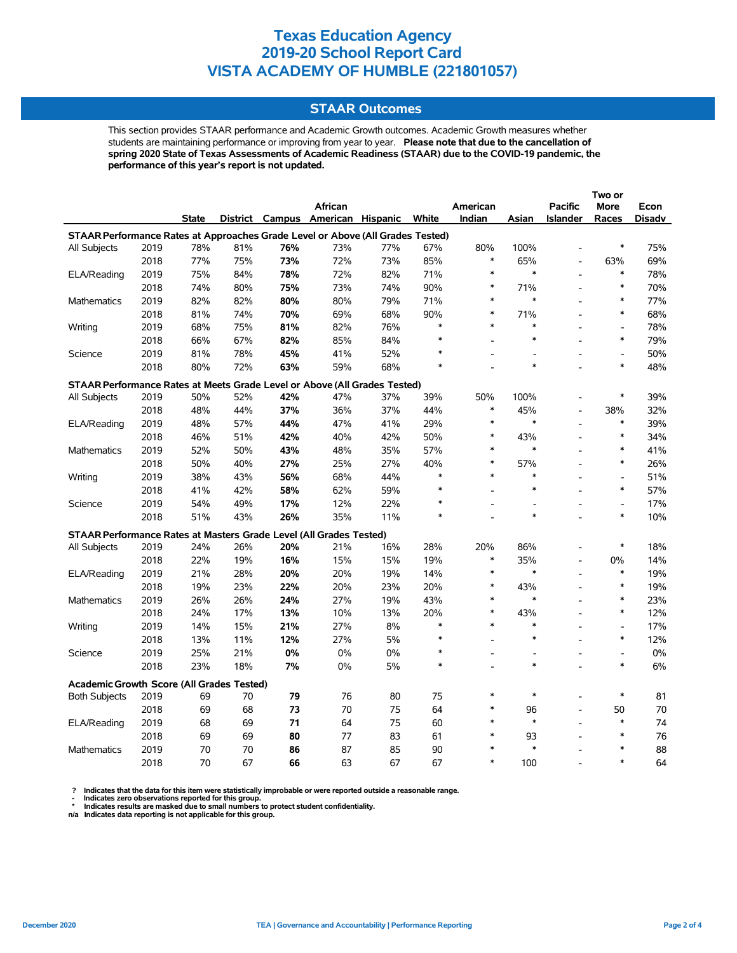#### **STAAR Outcomes**

This section provides STAAR performance and Academic Growth outcomes. Academic Growth measures whether students are maintaining performance or improving from year to year. **Please note that due to the cancellation of spring 2020 State of Texas Assessments of Academic Readiness (STAAR) due to the COVID-19 pandemic, the performance of this year's report is not updated.**

|                                                                                |              |            |            |            |                                   |            |            |          |        |                          | Two or                   |        |
|--------------------------------------------------------------------------------|--------------|------------|------------|------------|-----------------------------------|------------|------------|----------|--------|--------------------------|--------------------------|--------|
|                                                                                |              |            |            |            | African                           |            |            | American |        | <b>Pacific</b>           | More                     | Econ   |
|                                                                                |              | State      |            |            | District Campus American Hispanic |            | White      | Indian   | Asian  | <b>Islander</b>          | Races                    | Disadv |
| STAAR Performance Rates at Approaches Grade Level or Above (All Grades Tested) |              |            |            |            |                                   |            |            |          |        |                          |                          |        |
| All Subjects                                                                   | 2019         | 78%        | 81%        | 76%        | 73%                               | 77%        | 67%        | 80%      | 100%   |                          | $\ast$                   | 75%    |
|                                                                                | 2018         | 77%        | 75%        | 73%        | 72%                               | 73%        | 85%        | *        | 65%    | $\overline{a}$           | 63%                      | 69%    |
| ELA/Reading                                                                    | 2019         | 75%        | 84%        | 78%        | 72%                               | 82%        | 71%        | $\ast$   | $\ast$ |                          | $\ast$                   | 78%    |
|                                                                                | 2018         | 74%        | 80%        | 75%        | 73%                               | 74%        | 90%        | $\ast$   | 71%    |                          | $\ast$                   | 70%    |
| Mathematics                                                                    | 2019         | 82%        | 82%        | 80%        | 80%                               | 79%        | 71%        | $\ast$   | $\ast$ | L,                       | $\ast$                   | 77%    |
|                                                                                | 2018         | 81%        | 74%        | 70%        | 69%                               | 68%        | 90%        | *        | 71%    | $\overline{a}$           | $\ast$                   | 68%    |
| Writing                                                                        | 2019         | 68%        | 75%        | 81%        | 82%                               | 76%        | $\ast$     | $\ast$   | $\ast$ |                          | $\overline{a}$           | 78%    |
|                                                                                | 2018         | 66%        | 67%        | 82%        | 85%                               | 84%        | $\ast$     |          | $\ast$ |                          | $\ast$                   | 79%    |
| Science                                                                        | 2019         | 81%        | 78%        | 45%        | 41%                               | 52%        |            |          |        |                          | $\overline{\phantom{a}}$ | 50%    |
|                                                                                | 2018         | 80%        | 72%        | 63%        | 59%                               | 68%        |            |          | $\ast$ |                          | $\ast$                   | 48%    |
| STAAR Performance Rates at Meets Grade Level or Above (All Grades Tested)      |              |            |            |            |                                   |            |            |          |        |                          |                          |        |
| All Subjects                                                                   | 2019         | 50%        | 52%        | 42%        | 47%                               | 37%        | 39%        | 50%      | 100%   |                          | $\ast$                   | 39%    |
|                                                                                | 2018         | 48%        | 44%        | 37%        | 36%                               | 37%        | 44%        | $\ast$   | 45%    | L,                       | 38%                      | 32%    |
| ELA/Reading                                                                    | 2019         | 48%        | 57%        | 44%        | 47%                               | 41%        | 29%        | $\ast$   | $\ast$ | L,                       | $\ast$                   | 39%    |
|                                                                                | 2018         | 46%        | 51%        | 42%        | 40%                               | 42%        | 50%        | $\ast$   | 43%    |                          | $\ast$                   | 34%    |
| Mathematics                                                                    | 2019         | 52%        | 50%        | 43%        | 48%                               | 35%        | 57%        | $\ast$   | $\ast$ |                          | $\ast$                   | 41%    |
|                                                                                | 2018         | 50%        | 40%        | 27%        | 25%                               | 27%        | 40%        | $\ast$   | 57%    | L,                       | $\ast$                   | 26%    |
| Writing                                                                        | 2019         | 38%        | 43%        | 56%        | 68%                               | 44%        | $\ast$     | $\ast$   | $\ast$ | $\overline{\phantom{a}}$ | $\overline{a}$           | 51%    |
|                                                                                | 2018         | 41%        | 42%        | 58%        | 62%                               | 59%        | $\ast$     |          | $\ast$ |                          | $\ast$                   | 57%    |
| Science                                                                        | 2019         | 54%        | 49%        | 17%        | 12%                               | 22%        | $\ast$     |          |        | $\overline{a}$           | $\overline{\phantom{a}}$ | 17%    |
|                                                                                | 2018         | 51%        | 43%        | 26%        | 35%                               | 11%        |            |          | $\ast$ |                          | $\ast$                   | 10%    |
|                                                                                |              |            |            |            |                                   |            |            |          |        |                          |                          |        |
| STAAR Performance Rates at Masters Grade Level (All Grades Tested)             |              |            |            |            |                                   |            |            | 20%      | 86%    | $\overline{a}$           | $\ast$                   | 18%    |
| All Subjects                                                                   | 2019<br>2018 | 24%<br>22% | 26%<br>19% | 20%<br>16% | 21%<br>15%                        | 16%        | 28%<br>19% | $\ast$   | 35%    | $\overline{a}$           | 0%                       | 14%    |
|                                                                                |              |            |            |            |                                   | 15%        |            | $\ast$   | $\ast$ | L,                       | $\ast$                   | 19%    |
| ELA/Reading                                                                    | 2019<br>2018 | 21%<br>19% | 28%<br>23% | 20%<br>22% | 20%<br>20%                        | 19%        | 14%<br>20% | *        | 43%    | L,                       | $\ast$                   | 19%    |
|                                                                                | 2019         |            | 26%        | 24%        | 27%                               | 23%<br>19% | 43%        | $\ast$   | $\ast$ |                          | $\ast$                   | 23%    |
| Mathematics                                                                    | 2018         | 26%<br>24% | 17%        | 13%        | 10%                               | 13%        | 20%        | $\ast$   | 43%    |                          | $\ast$                   | 12%    |
| Writing                                                                        | 2019         | 14%        | 15%        | 21%        | 27%                               | 8%         | $\ast$     | $\ast$   | $\ast$ |                          | $\overline{\phantom{a}}$ | 17%    |
|                                                                                | 2018         | 13%        | 11%        | 12%        | 27%                               | 5%         |            |          | $\ast$ |                          | $\ast$                   | 12%    |
| Science                                                                        | 2019         | 25%        | 21%        | 0%         | 0%                                | 0%         | $\ast$     |          | ÷      |                          | $\overline{\phantom{a}}$ | 0%     |
|                                                                                | 2018         | 23%        | 18%        | 7%         | 0%                                | 5%         | $\ast$     |          | $\ast$ |                          | $\ast$                   | 6%     |
|                                                                                |              |            |            |            |                                   |            |            |          |        |                          |                          |        |
| <b>Academic Growth Score (All Grades Tested)</b>                               |              |            |            |            |                                   |            |            |          |        |                          |                          |        |
| <b>Both Subjects</b>                                                           | 2019         | 69         | 70         | 79         | 76                                | 80         | 75         | *        | $\ast$ |                          | $\ast$                   | 81     |
|                                                                                | 2018         | 69         | 68         | 73         | 70                                | 75         | 64         | $\ast$   | 96     |                          | 50                       | 70     |
| ELA/Reading                                                                    | 2019         | 68         | 69         | 71         | 64                                | 75         | 60         | $\ast$   | $\ast$ |                          | $\ast$                   | 74     |
|                                                                                | 2018         | 69         | 69         | 80         | 77                                | 83         | 61         | $\ast$   | 93     |                          | $\ast$                   | 76     |
| Mathematics                                                                    | 2019         | 70         | 70         | 86         | 87                                | 85         | 90         |          | $\ast$ |                          | $\ast$                   | 88     |
|                                                                                | 2018         | 70         | 67         | 66         | 63                                | 67         | 67         | $\ast$   | 100    |                          | $\ast$                   | 64     |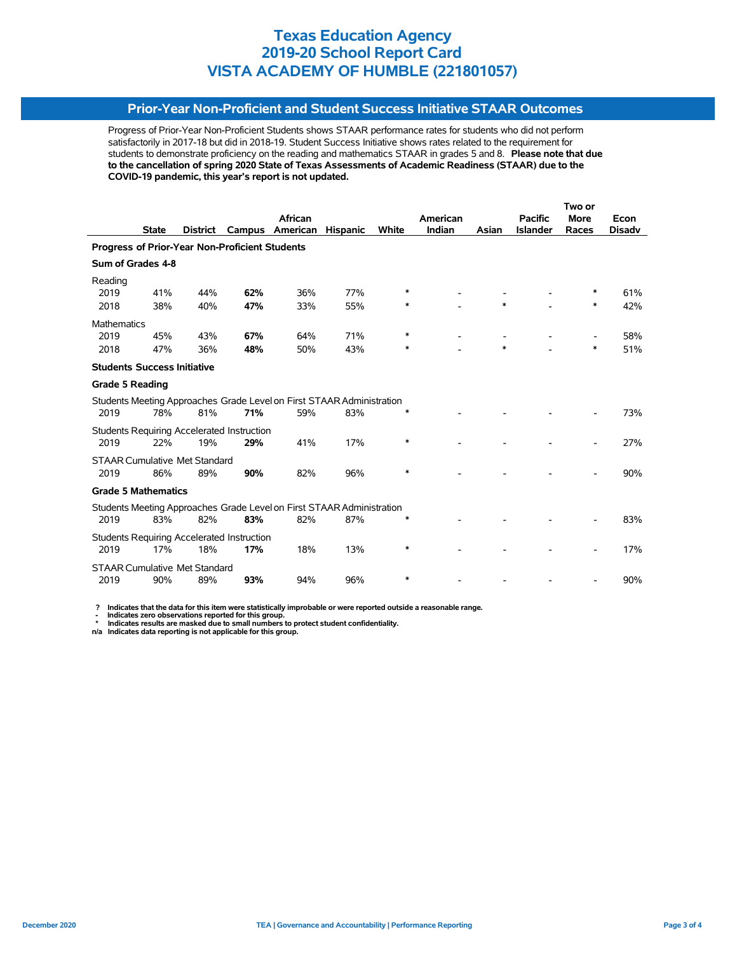### **Prior-Year Non-Proficient and Student Success Initiative STAAR Outcomes**

Progress of Prior-Year Non-Proficient Students shows STAAR performance rates for students who did not perform satisfactorily in 2017-18 but did in 2018-19. Student Success Initiative shows rates related to the requirement for students to demonstrate proficiency on the reading and mathematics STAAR in grades 5 and 8. **Please note that due to the cancellation of spring 2020 State of Texas Assessments of Academic Readiness (STAAR) due to the COVID-19 pandemic, this year's report is not updated.**

|                                    |              |                                      |                                                |                                                                       |                 |        |          |       |                 | Two or      |               |
|------------------------------------|--------------|--------------------------------------|------------------------------------------------|-----------------------------------------------------------------------|-----------------|--------|----------|-------|-----------------|-------------|---------------|
|                                    |              |                                      |                                                | <b>African</b>                                                        |                 |        | American |       | <b>Pacific</b>  | <b>More</b> | Econ          |
|                                    | <b>State</b> | <b>District</b>                      | Campus                                         | American                                                              | <b>Hispanic</b> | White  | Indian   | Asian | <b>Islander</b> | Races       | <b>Disadv</b> |
|                                    |              |                                      | Progress of Prior-Year Non-Proficient Students |                                                                       |                 |        |          |       |                 |             |               |
| Sum of Grades 4-8                  |              |                                      |                                                |                                                                       |                 |        |          |       |                 |             |               |
| Reading                            |              |                                      |                                                |                                                                       |                 |        |          |       |                 |             |               |
| 2019                               | 41%          | 44%                                  | 62%                                            | 36%                                                                   | 77%             | ∗      |          |       |                 | ∗           | 61%           |
| 2018                               | 38%          | 40%                                  | 47%                                            | 33%                                                                   | 55%             | *      |          |       |                 | ∗           | 42%           |
| <b>Mathematics</b>                 |              |                                      |                                                |                                                                       |                 |        |          |       |                 |             |               |
| 2019                               | 45%          | 43%                                  | 67%                                            | 64%                                                                   | 71%             | *      |          |       |                 |             | 58%           |
| 2018                               | 47%          | 36%                                  | 48%                                            | 50%                                                                   | 43%             | $\ast$ |          | *     |                 | $\ast$      | 51%           |
| <b>Students Success Initiative</b> |              |                                      |                                                |                                                                       |                 |        |          |       |                 |             |               |
| <b>Grade 5 Reading</b>             |              |                                      |                                                |                                                                       |                 |        |          |       |                 |             |               |
|                                    |              |                                      |                                                | Students Meeting Approaches Grade Level on First STAAR Administration |                 |        |          |       |                 |             |               |
| 2019                               | 78%          | 81%                                  | 71%                                            | 59%                                                                   | 83%             | $\ast$ |          |       |                 |             | 73%           |
|                                    |              |                                      | Students Requiring Accelerated Instruction     |                                                                       |                 |        |          |       |                 |             |               |
| 2019                               | 22%          | 19%                                  | 29%                                            | 41%                                                                   | 17%             | *      |          |       |                 |             | 27%           |
|                                    |              | <b>STAAR Cumulative Met Standard</b> |                                                |                                                                       |                 |        |          |       |                 |             |               |
| 2019                               | 86%          | 89%                                  | 90%                                            | 82%                                                                   | 96%             | *      |          |       |                 |             | 90%           |
| <b>Grade 5 Mathematics</b>         |              |                                      |                                                |                                                                       |                 |        |          |       |                 |             |               |
|                                    |              |                                      |                                                | Students Meeting Approaches Grade Level on First STAAR Administration |                 |        |          |       |                 |             |               |
| 2019                               | 83%          | 82%                                  | 83%                                            | 82%                                                                   | 87%             | ∗      |          |       |                 |             | 83%           |
|                                    |              |                                      | Students Requiring Accelerated Instruction     |                                                                       |                 |        |          |       |                 |             |               |
| 2019                               | 17%          | 18%                                  | 17%                                            | 18%                                                                   | 13%             | ∗      |          |       |                 |             | 17%           |
|                                    |              | <b>STAAR Cumulative Met Standard</b> |                                                |                                                                       |                 |        |          |       |                 |             |               |
| 2019                               | 90%          | 89%                                  | 93%                                            | 94%                                                                   | 96%             | ∗      |          |       |                 |             | 90%           |

 **? Indicates that the data for this item were statistically improbable or were reported outside a reasonable range.**

 **- Indicates zero observations reported for this group. \* Indicates results are masked due to small numbers to protect student confidentiality.**

**n/a Indicates data reporting is not applicable for this group.**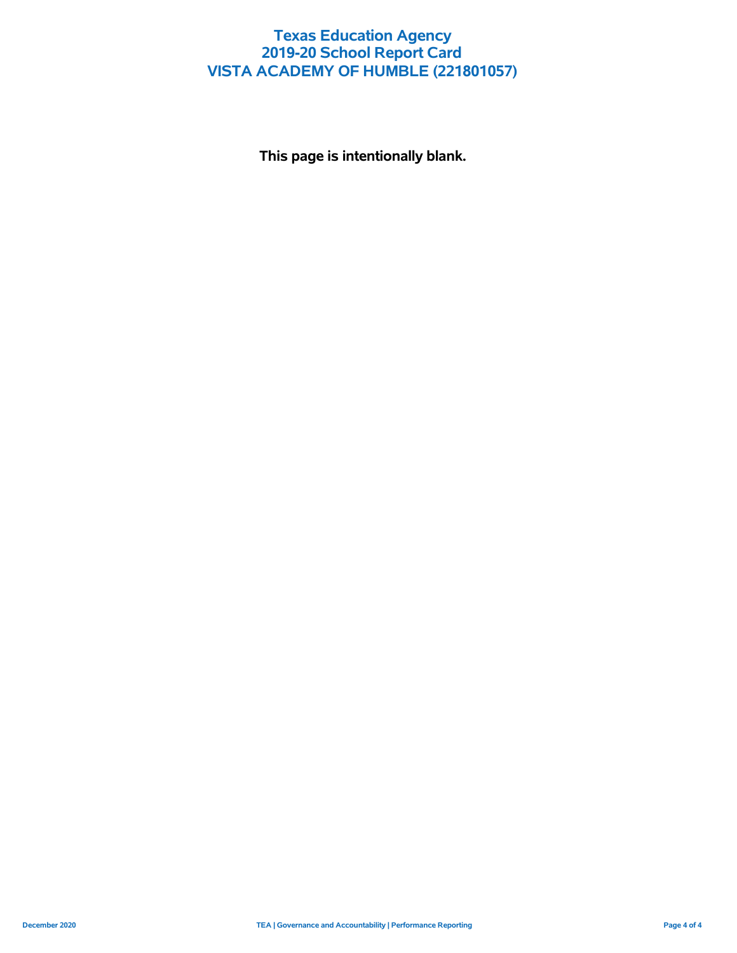**This page is intentionally blank.**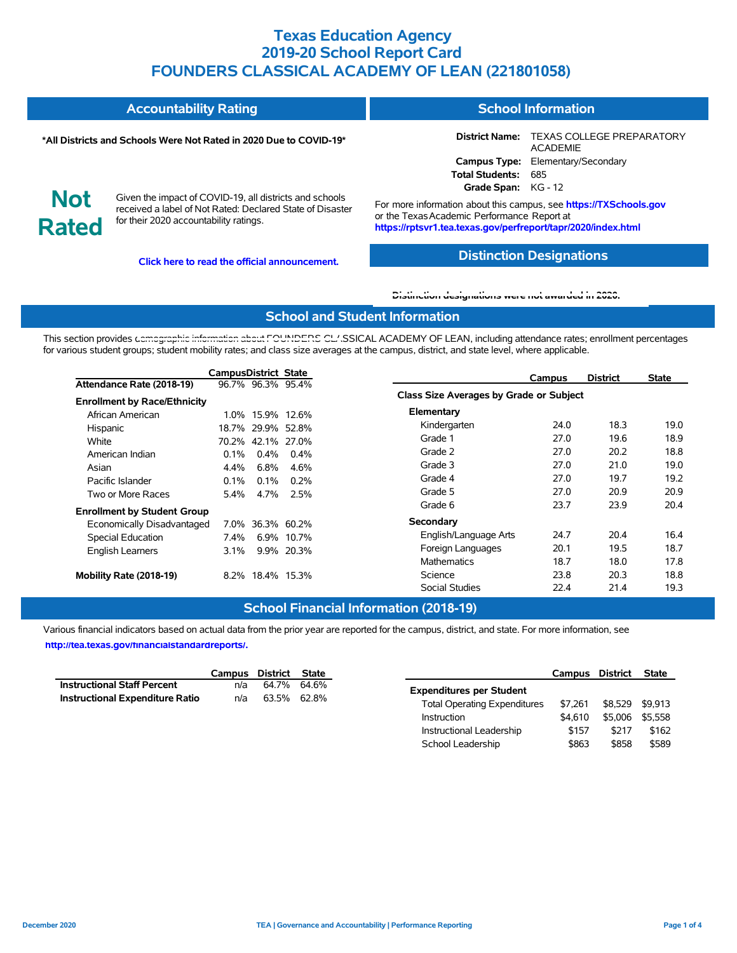|                            | <b>Accountability Rating</b>                                                                                                                                   |                                                                                                                                                                                   | <b>School Information</b>                    |
|----------------------------|----------------------------------------------------------------------------------------------------------------------------------------------------------------|-----------------------------------------------------------------------------------------------------------------------------------------------------------------------------------|----------------------------------------------|
|                            | *All Districts and Schools Were Not Rated in 2020 Due to COVID-19*                                                                                             | <b>District Name:</b>                                                                                                                                                             | TEXAS COLLEGE PREPARATORY<br><b>ACADEMIE</b> |
|                            |                                                                                                                                                                |                                                                                                                                                                                   | Campus Type: Elementary/Secondary            |
|                            |                                                                                                                                                                | Total Students: 685                                                                                                                                                               |                                              |
|                            |                                                                                                                                                                | Grade Span: KG - 12                                                                                                                                                               |                                              |
| <b>Not</b><br><b>Rated</b> | Given the impact of COVID-19, all districts and schools<br>received a label of Not Rated: Declared State of Disaster<br>for their 2020 accountability ratings. | For more information about this campus, see https://TXSchools.gov<br>or the Texas Academic Performance Report at<br>https://rptsvr1.tea.texas.gov/perfreport/tapr/2020/index.html |                                              |

**Click here to read the official announcement.**

#### **Distinction Designations**

Instructional Leadership  $$157$  \$217 \$162 School Leadership  $$863$  \$858 \$589

#### **[Distinction designations were not awarded in 2020.](https://rptsvr1.tea.texas.gov/perfreport/tapr/2020/index.html)**

#### **School and Student Information**

This section provides [demographic information about FOUNDERS CLA](https://tea.texas.gov/about-tea/news-and-multimedia/correspondence/taa-letters/every-student-succeeds-act-essa-waiver-approval-2020-state-academic-accountability)SSICAL ACADEMY OF LEAN, including attendance rates; enrollment percentages for various student groups; student mobility rates; and class size averages at the campus, district, and state level, where applicable.

|                                     | <b>CampusDistrict State</b> |         |                   |                                         | Campus | <b>District</b> | <b>State</b> |
|-------------------------------------|-----------------------------|---------|-------------------|-----------------------------------------|--------|-----------------|--------------|
| Attendance Rate (2018-19)           |                             |         | 96.7% 96.3% 95.4% |                                         |        |                 |              |
| <b>Enrollment by Race/Ethnicity</b> |                             |         |                   | Class Size Averages by Grade or Subject |        |                 |              |
| African American                    |                             |         | 1.0% 15.9% 12.6%  | Elementary                              |        |                 |              |
| Hispanic                            |                             |         | 18.7% 29.9% 52.8% | Kindergarten                            | 24.0   | 18.3            | 19.0         |
| White                               |                             |         | 70.2% 42.1% 27.0% | Grade 1                                 | 27.0   | 19.6            | 18.9         |
| American Indian                     | 0.1%                        | $0.4\%$ | $0.4\%$           | Grade 2                                 | 27.0   | 20.2            | 18.8         |
| Asian                               | 4.4%                        | 6.8%    | 4.6%              | Grade 3                                 | 27.0   | 21.0            | 19.0         |
| Pacific Islander                    | 0.1%                        | $0.1\%$ | 0.2%              | Grade 4                                 | 27.0   | 19.7            | 19.2         |
| Two or More Races                   | 5.4%                        | 4.7%    | 2.5%              | Grade 5                                 | 27.0   | 20.9            | 20.9         |
| <b>Enrollment by Student Group</b>  |                             |         |                   | Grade 6                                 | 23.7   | 23.9            | 20.4         |
| Economically Disadvantaged          | 7.0%                        |         | 36.3% 60.2%       | Secondary                               |        |                 |              |
| Special Education                   | 7.4%                        |         | 6.9% 10.7%        | English/Language Arts                   | 24.7   | 20.4            | 16.4         |
| <b>English Learners</b>             | 3.1%                        |         | 9.9% 20.3%        | Foreign Languages                       | 20.1   | 19.5            | 18.7         |
|                                     |                             |         |                   | <b>Mathematics</b>                      | 18.7   | 18.0            | 17.8         |
| Mobility Rate (2018-19)             | 8.2%                        |         | 18.4% 15.3%       | Science                                 | 23.8   | 20.3            | 18.8         |
|                                     |                             |         |                   | <b>Social Studies</b>                   | 22.4   | 21.4            | 19.3         |

### **School Financial Information (2018-19)**

Various financial indicators based on actual data from the prior year are reported for the campus, district, and state. For more information, see

**[http://tea.texas.gov/financialstandardreports/.](http://tea.texas.gov/financialstandardreports/)**

|                                        | Campus | District State |             |
|----------------------------------------|--------|----------------|-------------|
| <b>Instructional Staff Percent</b>     | n/a    | 64.7% 64.6%    |             |
| <b>Instructional Expenditure Ratio</b> | n/a    |                | 63.5% 62.8% |
|                                        |        |                |             |

Ē,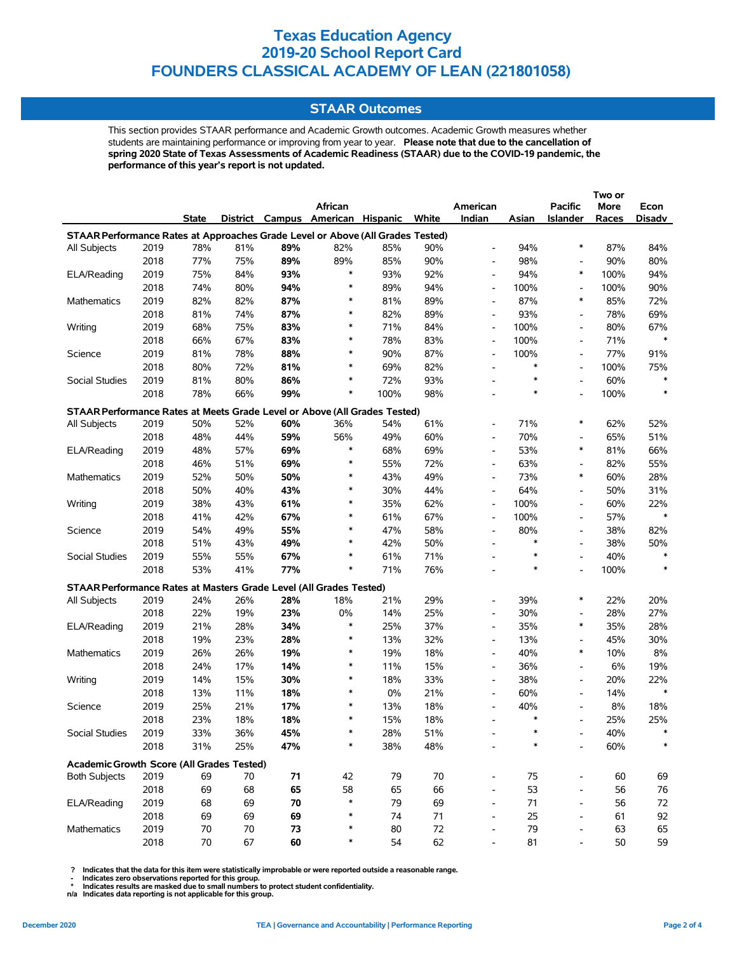### **STAAR Outcomes**

This section provides STAAR performance and Academic Growth outcomes. Academic Growth measures whether students are maintaining performance or improving from year to year. **Please note that due to the cancellation of spring 2020 State of Texas Assessments of Academic Readiness (STAAR) due to the COVID-19 pandemic, the performance of this year's report is not updated.**

|                                                                                    |      |        |     |     |                                   |      |       |                          |        |                          | Two or |        |
|------------------------------------------------------------------------------------|------|--------|-----|-----|-----------------------------------|------|-------|--------------------------|--------|--------------------------|--------|--------|
|                                                                                    |      |        |     |     | African                           |      |       | American                 |        | <b>Pacific</b>           | More   | Econ   |
|                                                                                    |      | State  |     |     | District Campus American Hispanic |      | White | Indian                   | Asian  | <b>Islander</b>          | Races  | Disadv |
| STAAR Performance Rates at Approaches Grade Level or Above (All Grades Tested)     |      |        |     |     |                                   |      |       |                          |        |                          |        |        |
| All Subjects                                                                       | 2019 | 78%    | 81% | 89% | 82%                               | 85%  | 90%   | $\overline{\phantom{a}}$ | 94%    | $\ast$                   | 87%    | 84%    |
|                                                                                    | 2018 | 77%    | 75% | 89% | 89%                               | 85%  | 90%   | $\blacksquare$           | 98%    | $\overline{\phantom{a}}$ | 90%    | 80%    |
| ELA/Reading                                                                        | 2019 | 75%    | 84% | 93% | $\ast$                            | 93%  | 92%   | $\overline{\phantom{a}}$ | 94%    | $\ast$                   | 100%   | 94%    |
|                                                                                    | 2018 | 74%    | 80% | 94% | $\ast$                            | 89%  | 94%   | $\overline{\phantom{a}}$ | 100%   | $\overline{\phantom{0}}$ | 100%   | 90%    |
| Mathematics                                                                        | 2019 | 82%    | 82% | 87% | $\ast$                            | 81%  | 89%   | $\overline{\phantom{a}}$ | 87%    | $\ast$                   | 85%    | 72%    |
|                                                                                    | 2018 | 81%    | 74% | 87% | $\ast$                            | 82%  | 89%   | $\overline{\phantom{a}}$ | 93%    | $\overline{\phantom{a}}$ | 78%    | 69%    |
| Writing                                                                            | 2019 | 68%    | 75% | 83% | $\ast$                            | 71%  | 84%   | $\overline{\phantom{a}}$ | 100%   | $\overline{\phantom{a}}$ | 80%    | 67%    |
|                                                                                    | 2018 | 66%    | 67% | 83% | $\ast$                            | 78%  | 83%   | $\blacksquare$           | 100%   | $\overline{\phantom{a}}$ | 71%    | $\ast$ |
| Science                                                                            | 2019 | 81%    | 78% | 88% | $\ast$                            | 90%  | 87%   | $\overline{\phantom{a}}$ | 100%   | $\overline{a}$           | 77%    | 91%    |
|                                                                                    | 2018 | 80%    | 72% | 81% | $\ast$                            | 69%  | 82%   | $\overline{\phantom{a}}$ | $\ast$ | $\overline{\phantom{0}}$ | 100%   | 75%    |
| Social Studies                                                                     | 2019 | 81%    | 80% | 86% | $\ast$                            | 72%  | 93%   | $\overline{\phantom{a}}$ |        | $\overline{a}$           | 60%    | $\ast$ |
|                                                                                    | 2018 | 78%    | 66% | 99% | $\ast$                            | 100% | 98%   | $\blacksquare$           | $\ast$ | $\overline{a}$           | 100%   | $\ast$ |
| STAAR Performance Rates at Meets Grade Level or Above (All Grades Tested)          |      |        |     |     |                                   |      |       |                          |        |                          |        |        |
| All Subjects                                                                       | 2019 | 50%    | 52% | 60% | 36%                               | 54%  | 61%   | $\overline{\phantom{a}}$ | 71%    | $\ast$                   | 62%    | 52%    |
|                                                                                    | 2018 | 48%    | 44% | 59% | 56%                               | 49%  | 60%   | $\overline{\phantom{a}}$ | 70%    | $\overline{\phantom{0}}$ | 65%    | 51%    |
| ELA/Reading                                                                        | 2019 | 48%    | 57% | 69% | $\ast$                            | 68%  | 69%   | $\overline{\phantom{a}}$ | 53%    | *                        | 81%    | 66%    |
|                                                                                    | 2018 | 46%    | 51% | 69% | $\ast$                            | 55%  | 72%   | $\overline{\phantom{a}}$ | 63%    | $\overline{\phantom{0}}$ | 82%    | 55%    |
| Mathematics                                                                        | 2019 | 52%    | 50% | 50% | $\ast$                            | 43%  | 49%   | $\blacksquare$           | 73%    | $\ast$                   | 60%    | 28%    |
|                                                                                    | 2018 | 50%    | 40% | 43% | $\ast$                            | 30%  | 44%   | $\overline{\phantom{a}}$ | 64%    | $\overline{\phantom{0}}$ | 50%    | 31%    |
| Writing                                                                            | 2019 | 38%    | 43% | 61% | $\ast$                            | 35%  | 62%   | $\overline{\phantom{a}}$ | 100%   | $\overline{\phantom{0}}$ | 60%    | 22%    |
|                                                                                    | 2018 | 41%    | 42% | 67% | $\ast$                            | 61%  | 67%   | $\overline{\phantom{a}}$ | 100%   | $\overline{\phantom{0}}$ | 57%    | $\ast$ |
| Science                                                                            | 2019 | 54%    | 49% | 55% | $\ast$                            | 47%  | 58%   | $\overline{\phantom{a}}$ | 80%    | $\overline{\phantom{a}}$ | 38%    | 82%    |
|                                                                                    | 2018 | 51%    | 43% | 49% | $\ast$                            | 42%  | 50%   | $\overline{\phantom{a}}$ | *      | $\overline{\phantom{a}}$ | 38%    | 50%    |
| Social Studies                                                                     | 2019 | 55%    | 55% | 67% | $\ast$                            | 61%  | 71%   | $\blacksquare$           | ∗      | $\overline{a}$           | 40%    | $\ast$ |
|                                                                                    | 2018 | 53%    | 41% | 77% | $\ast$                            | 71%  | 76%   |                          | $\ast$ | $\overline{a}$           | 100%   | $\ast$ |
|                                                                                    |      |        |     |     |                                   |      |       |                          |        |                          |        |        |
| STAAR Performance Rates at Masters Grade Level (All Grades Tested)<br>All Subjects | 2019 | 24%    | 26% | 28% | 18%                               | 21%  | 29%   | $\overline{\phantom{a}}$ | 39%    | $\ast$                   | 22%    | 20%    |
|                                                                                    | 2018 | 22%    | 19% | 23% | $0\%$                             | 14%  | 25%   | $\overline{\phantom{a}}$ | 30%    | $\overline{a}$           | 28%    | 27%    |
| ELA/Reading                                                                        | 2019 | 21%    | 28% | 34% | $\ast$                            | 25%  | 37%   | $\overline{\phantom{a}}$ | 35%    | $\ast$                   | 35%    | 28%    |
|                                                                                    | 2018 | 19%    | 23% | 28% | $\ast$                            | 13%  | 32%   | $\overline{\phantom{a}}$ | 13%    | $\overline{\phantom{0}}$ | 45%    | 30%    |
| Mathematics                                                                        | 2019 | 26%    | 26% | 19% | $\ast$                            | 19%  | 18%   | $\overline{\phantom{a}}$ | 40%    | $\ast$                   | 10%    | 8%     |
|                                                                                    | 2018 | 24%    | 17% | 14% | $\ast$                            | 11%  | 15%   | $\overline{\phantom{a}}$ | 36%    | $\overline{\phantom{0}}$ | 6%     | 19%    |
| Writing                                                                            | 2019 | 14%    | 15% | 30% | $\ast$                            | 18%  | 33%   | $\blacksquare$           | 38%    | $\overline{\phantom{a}}$ | 20%    | 22%    |
|                                                                                    | 2018 | 13%    | 11% | 18% | $\ast$                            | 0%   | 21%   | $\overline{\phantom{a}}$ | 60%    | $\overline{\phantom{a}}$ | 14%    | $\ast$ |
| Science                                                                            | 2019 | 25%    | 21% | 17% | $\ast$                            | 13%  | 18%   | $\overline{\phantom{a}}$ | 40%    | $\overline{\phantom{a}}$ | 8%     | 18%    |
|                                                                                    | 2018 | 23%    | 18% | 18% | $\ast$                            | 15%  | 18%   | $\overline{\phantom{a}}$ | *      | $\overline{\phantom{0}}$ | 25%    | 25%    |
| Social Studies                                                                     | 2019 | 33%    | 36% | 45% |                                   | 28%  | 51%   |                          |        |                          | 40%    |        |
|                                                                                    | 2018 | 31%    | 25% | 47% | ∗                                 | 38%  | 48%   |                          |        |                          | 60%    |        |
|                                                                                    |      |        |     |     |                                   |      |       |                          |        |                          |        |        |
| Academic Growth Score (All Grades Tested)                                          |      |        |     |     |                                   |      |       |                          |        |                          |        |        |
| <b>Both Subjects</b>                                                               | 2019 | 69     | 70  | 71  | 42                                | 79   | 70    | $\overline{\phantom{a}}$ | 75     | $\overline{a}$           | 60     | 69     |
|                                                                                    | 2018 | 69     | 68  | 65  | 58                                | 65   | 66    | $\overline{a}$           | 53     | $\overline{a}$           | 56     | 76     |
| ELA/Reading                                                                        | 2019 | 68     | 69  | 70  | $\ast$<br>∗                       | 79   | 69    | $\overline{\phantom{a}}$ | 71     | $\overline{a}$           | 56     | 72     |
|                                                                                    | 2018 | 69     | 69  | 69  |                                   | 74   | 71    | $\overline{\phantom{a}}$ | 25     | $\overline{\phantom{0}}$ | 61     | 92     |
| Mathematics                                                                        | 2019 | 70     | 70  | 73  | ∗                                 | 80   | 72    | $\overline{\phantom{a}}$ | 79     | $\overline{a}$           | 63     | 65     |
|                                                                                    | 2018 | $70\,$ | 67  | 60  | $\ast$                            | 54   | 62    |                          | 81     |                          | 50     | 59     |

 **? Indicates that the data for this item were statistically improbable or were reported outside a reasonable range.**

 **- Indicates zero observations reported for this group. \* Indicates results are masked due to small numbers to protect student confidentiality.**

**n/a Indicates data reporting is not applicable for this group.**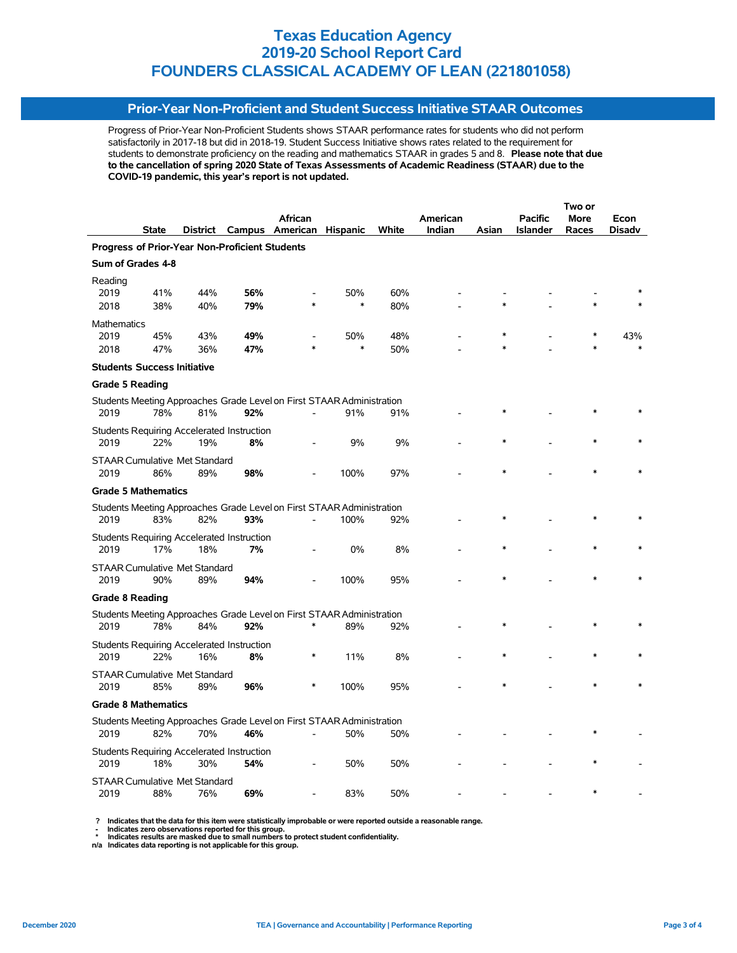### **Prior-Year Non-Proficient and Student Success Initiative STAAR Outcomes**

Progress of Prior-Year Non-Proficient Students shows STAAR performance rates for students who did not perform satisfactorily in 2017-18 but did in 2018-19. Student Success Initiative shows rates related to the requirement for students to demonstrate proficiency on the reading and mathematics STAAR in grades 5 and 8. **Please note that due to the cancellation of spring 2020 State of Texas Assessments of Academic Readiness (STAAR) due to the COVID-19 pandemic, this year's report is not updated.**

|                                      |              |          |                                                   |                                                                       |                 |       |          |        |                | Two or      |        |
|--------------------------------------|--------------|----------|---------------------------------------------------|-----------------------------------------------------------------------|-----------------|-------|----------|--------|----------------|-------------|--------|
|                                      |              |          |                                                   | <b>African</b>                                                        |                 |       | American |        | <b>Pacific</b> | <b>More</b> | Econ   |
|                                      | <b>State</b> | District |                                                   | Campus American                                                       | <b>Hispanic</b> | White | Indian   | Asian  | Islander       | Races       | Disadv |
|                                      |              |          | Progress of Prior-Year Non-Proficient Students    |                                                                       |                 |       |          |        |                |             |        |
| Sum of Grades 4-8                    |              |          |                                                   |                                                                       |                 |       |          |        |                |             |        |
| Reading                              |              |          |                                                   |                                                                       |                 |       |          |        |                |             |        |
| 2019                                 | 41%          | 44%      | 56%                                               |                                                                       | 50%             | 60%   |          |        |                |             |        |
| 2018                                 | 38%          | 40%      | 79%                                               | $\ast$                                                                | *               | 80%   |          | ×      |                |             |        |
| <b>Mathematics</b>                   |              |          |                                                   |                                                                       |                 |       |          |        |                |             |        |
| 2019                                 | 45%          | 43%      | 49%                                               |                                                                       | 50%             | 48%   |          | $\ast$ |                |             | 43%    |
| 2018                                 | 47%          | 36%      | 47%                                               |                                                                       | $\ast$          | 50%   |          |        |                |             |        |
| <b>Students Success Initiative</b>   |              |          |                                                   |                                                                       |                 |       |          |        |                |             |        |
| <b>Grade 5 Reading</b>               |              |          |                                                   |                                                                       |                 |       |          |        |                |             |        |
|                                      |              |          |                                                   | Students Meeting Approaches Grade Level on First STAAR Administration |                 |       |          |        |                |             |        |
| 2019                                 | 78%          | 81%      | 92%                                               |                                                                       | 91%             | 91%   |          |        |                |             |        |
|                                      |              |          | <b>Students Requiring Accelerated Instruction</b> |                                                                       |                 |       |          |        |                |             |        |
| 2019                                 | 22%          | 19%      | 8%                                                |                                                                       | 9%              | 9%    |          |        |                |             |        |
| <b>STAAR Cumulative Met Standard</b> |              |          |                                                   |                                                                       |                 |       |          |        |                |             |        |
| 2019                                 | 86%          | 89%      | 98%                                               |                                                                       | 100%            | 97%   |          |        |                |             |        |
| <b>Grade 5 Mathematics</b>           |              |          |                                                   |                                                                       |                 |       |          |        |                |             |        |
|                                      |              |          |                                                   | Students Meeting Approaches Grade Level on First STAAR Administration |                 |       |          |        |                |             |        |
| 2019                                 | 83%          | 82%      | 93%                                               |                                                                       | 100%            | 92%   |          |        |                |             |        |
|                                      |              |          | <b>Students Requiring Accelerated Instruction</b> |                                                                       |                 |       |          |        |                |             |        |
| 2019                                 | 17%          | 18%      | 7%                                                |                                                                       | 0%              | 8%    |          | $\ast$ |                | $\ast$      |        |
| <b>STAAR Cumulative Met Standard</b> |              |          |                                                   |                                                                       |                 |       |          |        |                |             |        |
| 2019                                 | 90%          | 89%      | 94%                                               |                                                                       | 100%            | 95%   |          |        |                |             |        |
| <b>Grade 8 Reading</b>               |              |          |                                                   |                                                                       |                 |       |          |        |                |             |        |
|                                      |              |          |                                                   |                                                                       |                 |       |          |        |                |             |        |
| 2019                                 | 78%          | 84%      | 92%                                               | Students Meeting Approaches Grade Level on First STAAR Administration | 89%             | 92%   |          |        |                |             |        |
|                                      |              |          |                                                   |                                                                       |                 |       |          |        |                |             |        |
|                                      |              |          | Students Requiring Accelerated Instruction        | $\ast$                                                                |                 |       |          | $\ast$ |                |             |        |
| 2019                                 | 22%          | 16%      | 8%                                                |                                                                       | 11%             | 8%    |          |        |                |             |        |
| <b>STAAR Cumulative Met Standard</b> |              |          |                                                   |                                                                       |                 |       |          |        |                |             |        |
| 2019                                 | 85%          | 89%      | 96%                                               |                                                                       | 100%            | 95%   |          | *      |                |             |        |
| <b>Grade 8 Mathematics</b>           |              |          |                                                   |                                                                       |                 |       |          |        |                |             |        |
|                                      |              |          |                                                   | Students Meeting Approaches Grade Level on First STAAR Administration |                 |       |          |        |                |             |        |
| 2019                                 | 82%          | 70%      | 46%                                               |                                                                       | 50%             | 50%   |          |        |                |             |        |
|                                      |              |          | <b>Students Requiring Accelerated Instruction</b> |                                                                       |                 |       |          |        |                |             |        |
| 2019                                 | 18%          | 30%      | 54%                                               |                                                                       | 50%             | 50%   |          |        |                |             |        |
| <b>STAAR Cumulative Met Standard</b> |              |          |                                                   |                                                                       |                 |       |          |        |                |             |        |
| 2019                                 | 88%          | 76%      | 69%                                               |                                                                       | 83%             | 50%   |          |        |                |             |        |

 **? Indicates that the data for this item were statistically improbable or were reported outside a reasonable range.**

 **- Indicates zero observations reported for this group.**

 **\* Indicates results are masked due to small numbers to protect student confidentiality. n/a Indicates data reporting is not applicable for this group.**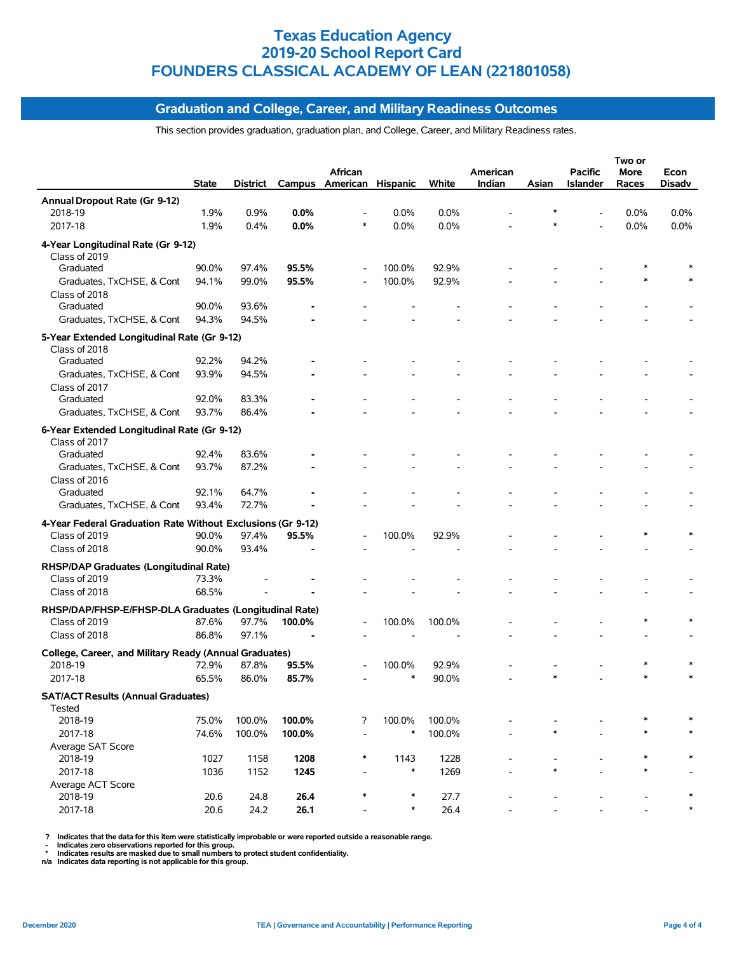### **Graduation and College, Career, and Military Readiness Outcomes**

This section provides graduation, graduation plan, and College, Career, and Military Readiness rates.

|                                                              |       |                |                | African                           |        |                |                    |        |                            | Two or        |                |
|--------------------------------------------------------------|-------|----------------|----------------|-----------------------------------|--------|----------------|--------------------|--------|----------------------------|---------------|----------------|
|                                                              | State |                |                | District Campus American Hispanic |        | White          | American<br>Indian | Asian  | <b>Pacific</b><br>Islander | More<br>Races | Econ<br>Disadv |
| Annual Dropout Rate (Gr 9-12)                                |       |                |                |                                   |        |                |                    |        |                            |               |                |
| 2018-19                                                      | 1.9%  | 0.9%           | 0.0%           |                                   | 0.0%   | 0.0%           |                    |        |                            | 0.0%          | 0.0%           |
| 2017-18                                                      | 1.9%  | 0.4%           | 0.0%           | $\ast$                            | 0.0%   | 0.0%           |                    | $\ast$ |                            | 0.0%          | 0.0%           |
| 4-Year Longitudinal Rate (Gr 9-12)                           |       |                |                |                                   |        |                |                    |        |                            |               |                |
| Class of 2019                                                |       |                |                |                                   |        |                |                    |        |                            |               |                |
| Graduated<br>Graduates, TxCHSE, & Cont                       | 90.0% | 97.4%          | 95.5%<br>95.5% |                                   | 100.0% | 92.9%<br>92.9% |                    |        |                            |               |                |
| Class of 2018                                                | 94.1% | 99.0%          |                |                                   | 100.0% |                |                    |        |                            |               |                |
| Graduated                                                    | 90.0% | 93.6%          |                |                                   |        |                |                    |        |                            |               |                |
| Graduates, TxCHSE, & Cont                                    | 94.3% | 94.5%          |                |                                   |        |                |                    |        |                            |               |                |
| 5-Year Extended Longitudinal Rate (Gr 9-12)<br>Class of 2018 |       |                |                |                                   |        |                |                    |        |                            |               |                |
| Graduated                                                    | 92.2% | 94.2%          |                |                                   |        |                |                    |        |                            |               |                |
| Graduates, TxCHSE, & Cont<br>Class of 2017                   | 93.9% | 94.5%          |                |                                   |        |                |                    |        |                            |               |                |
| Graduated                                                    | 92.0% | 83.3%          |                |                                   |        |                |                    |        |                            |               |                |
| Graduates, TxCHSE, & Cont                                    | 93.7% | 86.4%          |                |                                   |        |                |                    |        |                            |               |                |
| 6-Year Extended Longitudinal Rate (Gr 9-12)<br>Class of 2017 |       |                |                |                                   |        |                |                    |        |                            |               |                |
| Graduated                                                    | 92.4% | 83.6%          |                |                                   |        |                |                    |        |                            |               |                |
| Graduates, TxCHSE, & Cont                                    | 93.7% | 87.2%          |                |                                   |        |                |                    |        |                            |               |                |
| Class of 2016                                                |       |                |                |                                   |        |                |                    |        |                            |               |                |
| Graduated                                                    | 92.1% | 64.7%<br>72.7% |                |                                   |        |                |                    |        |                            |               |                |
| Graduates, TxCHSE, & Cont                                    | 93.4% |                |                |                                   |        |                |                    |        |                            |               |                |
| 4-Year Federal Graduation Rate Without Exclusions (Gr 9-12)  |       |                |                |                                   |        |                |                    |        |                            |               |                |
| Class of 2019                                                | 90.0% | 97.4%          | 95.5%          |                                   | 100.0% | 92.9%          |                    |        |                            |               |                |
| Class of 2018                                                | 90.0% | 93.4%          |                |                                   |        |                |                    |        |                            |               |                |
| RHSP/DAP Graduates (Longitudinal Rate)                       |       |                |                |                                   |        |                |                    |        |                            |               |                |
| Class of 2019                                                | 73.3% |                |                |                                   |        |                |                    |        |                            |               |                |
| Class of 2018                                                | 68.5% |                |                |                                   |        |                |                    |        |                            |               |                |
| RHSP/DAP/FHSP-E/FHSP-DLA Graduates (Longitudinal Rate)       |       |                |                |                                   |        |                |                    |        |                            |               |                |
| Class of 2019                                                | 87.6% | 97.7%          | 100.0%         |                                   | 100.0% | 100.0%         |                    |        |                            |               |                |
| Class of 2018                                                | 86.8% | 97.1%          |                |                                   |        |                |                    |        |                            |               |                |
| College, Career, and Military Ready (Annual Graduates)       |       |                |                |                                   |        |                |                    |        |                            |               |                |
| 2018-19                                                      | 72.9% | 87.8%          | 95.5%          |                                   | 100.0% | 92.9%          |                    |        |                            |               |                |
| 2017-18                                                      | 65.5% | 86.0%          | 85.7%          |                                   | $\ast$ | 90.0%          |                    |        |                            |               |                |
| <b>SAT/ACT Results (Annual Graduates)</b><br>Tested          |       |                |                |                                   |        |                |                    |        |                            |               |                |
| 2018-19                                                      | 75.0% | 100.0%         | 100.0%         | ?                                 | 100.0% | 100.0%         |                    |        |                            |               |                |
| 2017-18                                                      | 74.6% | 100.0%         | 100.0%         | $\overline{a}$                    | $\ast$ | 100.0%         |                    |        |                            | *             | $\ast$         |
| Average SAT Score<br>2018-19                                 | 1027  | 1158           | 1208           | ∗                                 | 1143   | 1228           |                    |        |                            |               |                |
| 2017-18                                                      | 1036  | 1152           | 1245           |                                   | $\ast$ | 1269           |                    |        |                            | *             |                |
| Average ACT Score                                            |       |                |                |                                   |        |                |                    |        |                            |               |                |
| 2018-19                                                      | 20.6  | 24.8           | 26.4           | $\ast$                            | $\ast$ | 27.7           |                    |        |                            |               |                |
| 2017-18                                                      | 20.6  | 24.2           | 26.1           |                                   | $\ast$ | 26.4           |                    |        |                            |               |                |
|                                                              |       |                |                |                                   |        |                |                    |        |                            |               |                |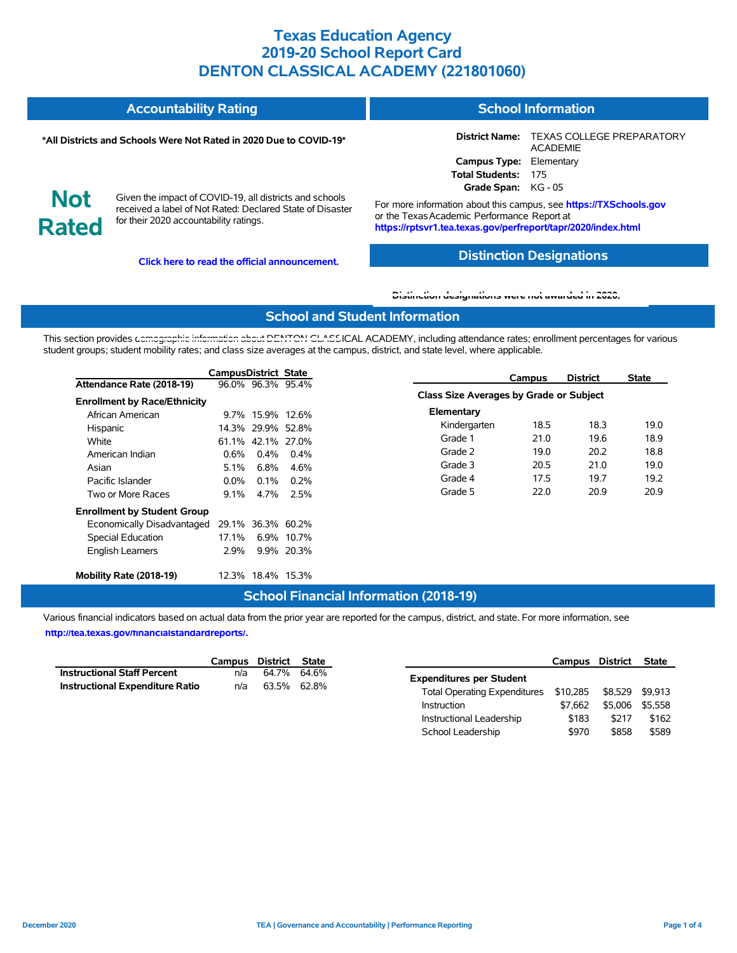|                            | <b>Accountability Rating</b>                                                                                                                                   |                                                                                                                                                                                   | <b>School Information</b>                           |
|----------------------------|----------------------------------------------------------------------------------------------------------------------------------------------------------------|-----------------------------------------------------------------------------------------------------------------------------------------------------------------------------------|-----------------------------------------------------|
|                            | *All Districts and Schools Were Not Rated in 2020 Due to COVID-19*                                                                                             | <b>District Name:</b>                                                                                                                                                             | <b>TEXAS COLLEGE PREPARATORY</b><br><b>ACADEMIE</b> |
|                            |                                                                                                                                                                | Campus Type: Elementary                                                                                                                                                           |                                                     |
|                            |                                                                                                                                                                | <b>Total Students: 175</b>                                                                                                                                                        |                                                     |
|                            |                                                                                                                                                                | Grade Span: KG - 05                                                                                                                                                               |                                                     |
| <b>Not</b><br><b>Rated</b> | Given the impact of COVID-19, all districts and schools<br>received a label of Not Rated: Declared State of Disaster<br>for their 2020 accountability ratings. | For more information about this campus, see https://TXSchools.gov<br>or the Texas Academic Performance Report at<br>https://rptsvr1.tea.texas.gov/perfreport/tapr/2020/index.html |                                                     |

**Click here to read the official announcement.**

### **Distinction Designations**

#### **[Distinction designations were not awarded in 2020.](https://rptsvr1.tea.texas.gov/perfreport/tapr/2020/index.html)**

#### **School and Student Information**

This section provides [demographic information about DENTON CLASS](https://tea.texas.gov/about-tea/news-and-multimedia/correspondence/taa-letters/every-student-succeeds-act-essa-waiver-approval-2020-state-academic-accountability)ICAL ACADEMY, including attendance rates; enrollment percentages for various student groups; student mobility rates; and class size averages at the campus, district, and state level, where applicable.

 $\overline{\phantom{0}}$ 

|                                     | <b>CampusDistrict State</b> |                   |             |
|-------------------------------------|-----------------------------|-------------------|-------------|
| Attendance Rate (2018-19)           |                             | 96.0% 96.3% 95.4% |             |
| <b>Enrollment by Race/Ethnicity</b> |                             |                   |             |
| African American                    | $9.7\%$                     |                   | 15.9% 12.6% |
| Hispanic                            |                             | 14.3% 29.9%       | 528%        |
| White                               |                             | 61.1% 42.1% 27.0% |             |
| American Indian                     | $0.6\%$                     | $0.4\%$           | $0.4\%$     |
| Asian                               | 5.1%                        | 6.8%              | 4.6%        |
| Pacific Islander                    | 0.0%                        | $0.1\%$           | 0.2%        |
| Two or More Races                   | 91%                         | 47%               | 2.5%        |
| <b>Enrollment by Student Group</b>  |                             |                   |             |
| Economically Disadvantaged          |                             | 29.1% 36.3%       | 60.2%       |
| Special Education                   | 17.1%                       |                   | 6.9% 10.7%  |
| <b>English Learners</b>             | 2.9%                        |                   | 9.9% 20.3%  |
| Mobility Rate (2018-19)             | 12.3%                       | 18.4%             | 15.3%       |

|                                                | Campus | <b>District</b> | <b>State</b> |
|------------------------------------------------|--------|-----------------|--------------|
| <b>Class Size Averages by Grade or Subject</b> |        |                 |              |
| Elementary                                     |        |                 |              |
| Kindergarten                                   | 18.5   | 18.3            | 19.0         |
| Grade 1                                        | 21.0   | 19.6            | 18.9         |
| Grade 2                                        | 19.0   | 20.2            | 18.8         |
| Grade 3                                        | 20.5   | 21.0            | 19.0         |
| Grade 4                                        | 17.5   | 19.7            | 19.2         |
| Grade 5                                        | 22.0   | 20.9            | 20.9         |
|                                                |        |                 |              |

School Leadership  $$970$  \$858 \$589

#### **School Financial Information (2018-19)**

Various financial indicators based on actual data from the prior year are reported for the campus, district, and state. For more information, see

|                                    | Campus | District    | State       |                                     | Campus                   | District | <b>State</b> |
|------------------------------------|--------|-------------|-------------|-------------------------------------|--------------------------|----------|--------------|
| <b>Instructional Staff Percent</b> | n/a    | 64.7% 64.6% |             | <b>Expenditures per Student</b>     |                          |          |              |
| Instructional Expenditure Ratio    | n/a    |             | 63.5% 62.8% | <b>Total Operating Expenditures</b> | \$10,285 \$8,529 \$9,913 |          |              |
|                                    |        |             |             | Instruction                         | \$7.662                  | \$5.006  | \$5.558      |
|                                    |        |             |             | Instructional Leadership            | \$183                    | \$217    | \$162        |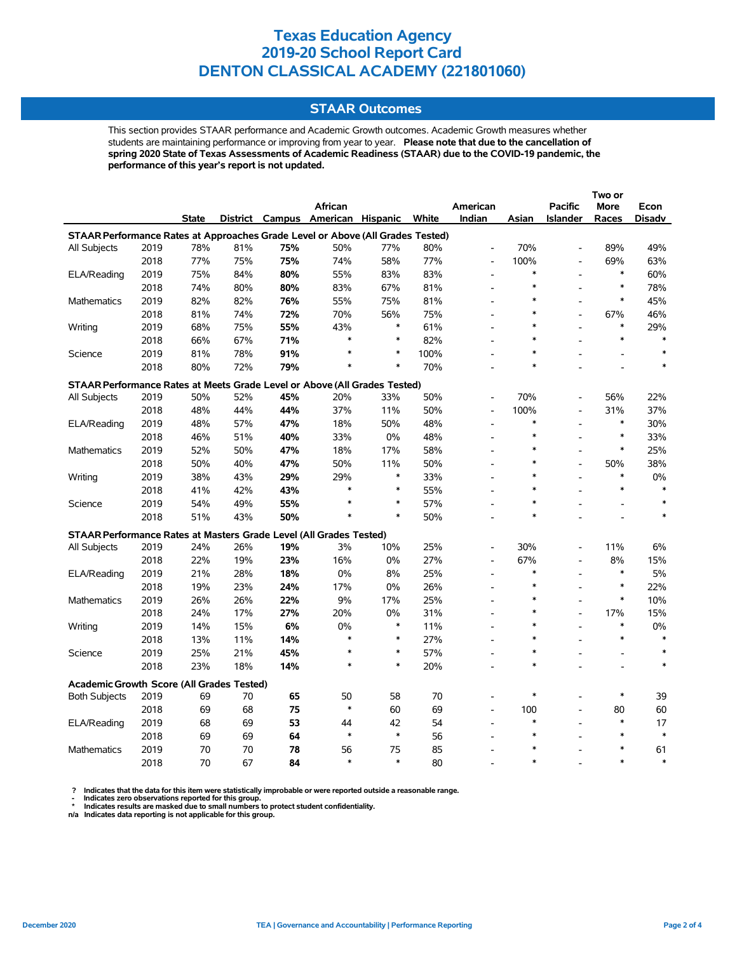### **STAAR Outcomes**

This section provides STAAR performance and Academic Growth outcomes. Academic Growth measures whether students are maintaining performance or improving from year to year. **Please note that due to the cancellation of spring 2020 State of Texas Assessments of Academic Readiness (STAAR) due to the COVID-19 pandemic, the performance of this year's report is not updated.**

|                                                                                |      |       |     |     |                                   |              |       |                                |          |                 | Two or                   |              |
|--------------------------------------------------------------------------------|------|-------|-----|-----|-----------------------------------|--------------|-------|--------------------------------|----------|-----------------|--------------------------|--------------|
|                                                                                |      |       |     |     | African                           |              |       | American                       |          | <b>Pacific</b>  | More                     | Econ         |
|                                                                                |      | State |     |     | District Campus American Hispanic |              | White | Indian                         | Asian    | <b>Islander</b> | Races                    | Disadv       |
| STAAR Performance Rates at Approaches Grade Level or Above (All Grades Tested) |      |       |     |     |                                   |              |       |                                |          |                 |                          |              |
| All Subjects                                                                   | 2019 | 78%   | 81% | 75% | 50%                               | 77%          | 80%   | $\overline{a}$                 | 70%      |                 | 89%                      | 49%          |
|                                                                                | 2018 | 77%   | 75% | 75% | 74%                               | 58%          | 77%   | $\qquad \qquad \blacksquare$   | 100%     | $\overline{a}$  | 69%                      | 63%          |
| ELA/Reading                                                                    | 2019 | 75%   | 84% | 80% | 55%                               | 83%          | 83%   |                                | $\ast$   |                 | $\ast$                   | 60%          |
|                                                                                | 2018 | 74%   | 80% | 80% | 83%                               | 67%          | 81%   |                                | $\ast$   |                 | $\ast$                   | 78%          |
| Mathematics                                                                    | 2019 | 82%   | 82% | 76% | 55%                               | 75%          | 81%   | $\overline{a}$                 | *        | L,              | $\ast$                   | 45%          |
|                                                                                | 2018 | 81%   | 74% | 72% | 70%                               | 56%          | 75%   | $\overline{\phantom{a}}$       | $\ast$   | L,              | 67%                      | 46%          |
| Writing                                                                        | 2019 | 68%   | 75% | 55% | 43%                               | $\ast$       | 61%   | L,                             | $\ast$   |                 | $\ast$                   | 29%          |
|                                                                                | 2018 | 66%   | 67% | 71% | $\ast$                            | $\ast$       | 82%   |                                | $\ast$   |                 | $\ast$                   | $\ast$       |
| Science                                                                        | 2019 | 81%   | 78% | 91% | $\ast$                            | $\ast$       | 100%  |                                |          |                 |                          | $\ast$       |
|                                                                                | 2018 | 80%   | 72% | 79% | $\ast$                            | $\ast$       | 70%   |                                | $\ast$   |                 |                          | $\ast$       |
| STAAR Performance Rates at Meets Grade Level or Above (All Grades Tested)      |      |       |     |     |                                   |              |       |                                |          |                 |                          |              |
| All Subjects                                                                   | 2019 | 50%   | 52% | 45% | 20%                               | 33%          | 50%   |                                | 70%      |                 | 56%                      | 22%          |
|                                                                                | 2018 | 48%   | 44% | 44% | 37%                               | 11%          | 50%   | $\overline{a}$                 | 100%     | L,              | 31%                      | 37%          |
| ELA/Reading                                                                    | 2019 | 48%   | 57% | 47% | 18%                               | 50%          | 48%   | $\overline{\phantom{a}}$       | $\ast$   | L,              | $\ast$                   | 30%          |
|                                                                                | 2018 | 46%   | 51% | 40% | 33%                               | 0%           | 48%   |                                | $\ast$   |                 | $\ast$                   | 33%          |
| Mathematics                                                                    | 2019 | 52%   | 50% | 47% | 18%                               | 17%          | 58%   |                                | $\ast$   |                 | $\ast$                   | 25%          |
|                                                                                | 2018 | 50%   | 40% | 47% | 50%                               | 11%          | 50%   | $\overline{\phantom{a}}$       | $\ast$   | $\overline{a}$  | 50%                      | 38%          |
| Writing                                                                        | 2019 | 38%   | 43% | 29% | 29%                               | *            | 33%   | $\overline{\phantom{a}}$       | $\ast$   |                 | $\ast$                   | 0%           |
|                                                                                | 2018 | 41%   | 42% | 43% | $\ast$                            | $\ast$       | 55%   |                                | $\ast$   |                 | $\ast$                   | $\ast$       |
| Science                                                                        | 2019 | 54%   | 49% | 55% | $\ast$                            | $\ast$       | 57%   |                                | $\ast$   |                 |                          | $\ast$       |
|                                                                                | 2018 | 51%   | 43% | 50% |                                   | $\ast$       | 50%   |                                |          |                 |                          | $\ast$       |
|                                                                                |      |       |     |     |                                   |              |       |                                |          |                 |                          |              |
| STAAR Performance Rates at Masters Grade Level (All Grades Tested)             |      |       |     |     |                                   |              |       |                                |          |                 |                          |              |
| All Subjects                                                                   | 2019 | 24%   | 26% | 19% | 3%                                | 10%          | 25%   | $\overline{a}$                 | 30%      | $\overline{a}$  | 11%                      | 6%           |
|                                                                                | 2018 | 22%   | 19% | 23% | 16%                               | 0%           | 27%   | $\overline{\phantom{a}}$       | 67%<br>* | $\overline{a}$  | 8%<br>$\ast$             | 15%          |
| ELA/Reading                                                                    | 2019 | 21%   | 28% | 18% | 0%                                | 8%           | 25%   | $\overline{\phantom{a}}$       | $\ast$   | $\overline{a}$  | $\ast$                   | 5%           |
|                                                                                | 2018 | 19%   | 23% | 24% | 17%                               | 0%           | 26%   | $\overline{\phantom{a}}$       | $\ast$   | L,              | $\ast$                   | 22%          |
| Mathematics                                                                    | 2019 | 26%   | 26% | 22% | 9%                                | 17%          | 25%   |                                | $\ast$   |                 |                          | 10%          |
|                                                                                | 2018 | 24%   | 17% | 27% | 20%                               | 0%<br>$\ast$ | 31%   | $\overline{a}$                 | $\ast$   |                 | 17%<br>$\ast$            | 15%          |
| Writing                                                                        | 2019 | 14%   | 15% | 6%  | 0%<br>$\ast$                      | ∗            | 11%   |                                | $\ast$   |                 | $\ast$                   | 0%<br>$\ast$ |
|                                                                                | 2018 | 13%   | 11% | 14% | $\ast$                            | $\ast$       | 27%   | L,<br>$\overline{\phantom{a}}$ | $\ast$   |                 | $\overline{\phantom{a}}$ | $\ast$       |
| Science                                                                        | 2019 | 25%   | 21% | 45% | $\ast$                            | $\ast$       | 57%   |                                | $\ast$   |                 |                          | $\ast$       |
|                                                                                | 2018 | 23%   | 18% | 14% |                                   |              | 20%   |                                |          |                 | $\overline{a}$           |              |
| <b>Academic Growth Score (All Grades Tested)</b>                               |      |       |     |     |                                   |              |       |                                |          |                 |                          |              |
| <b>Both Subjects</b>                                                           | 2019 | 69    | 70  | 65  | 50                                | 58           | 70    |                                | $\ast$   |                 | $\ast$                   | 39           |
|                                                                                | 2018 | 69    | 68  | 75  | $\ast$                            | 60           | 69    | $\overline{a}$                 | 100      |                 | 80                       | 60           |
| ELA/Reading                                                                    | 2019 | 68    | 69  | 53  | 44                                | 42           | 54    |                                | $\ast$   |                 | $\ast$                   | 17           |
|                                                                                | 2018 | 69    | 69  | 64  | $\ast$                            | $\ast$       | 56    |                                | $\ast$   |                 | $\ast$                   | $\ast$       |
| Mathematics                                                                    | 2019 | 70    | 70  | 78  | 56                                | 75           | 85    |                                |          |                 | $\ast$                   | 61           |
|                                                                                | 2018 | 70    | 67  | 84  | $\ast$                            | $\ast$       | 80    |                                |          |                 | $\ast$                   | $\ast$       |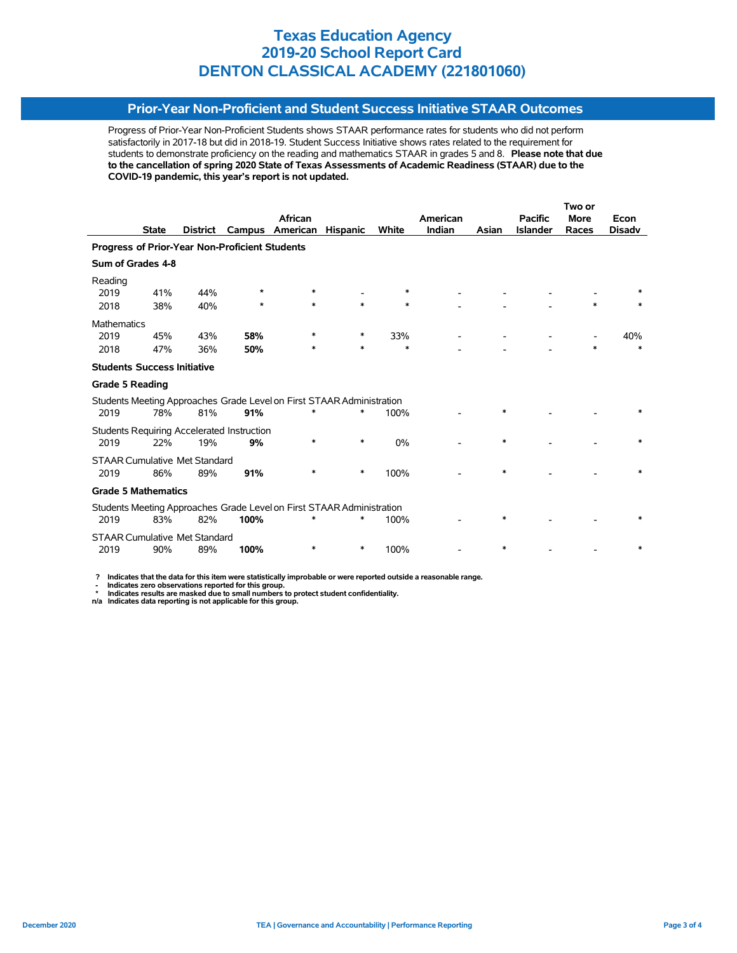### **Prior-Year Non-Proficient and Student Success Initiative STAAR Outcomes**

Progress of Prior-Year Non-Proficient Students shows STAAR performance rates for students who did not perform satisfactorily in 2017-18 but did in 2018-19. Student Success Initiative shows rates related to the requirement for students to demonstrate proficiency on the reading and mathematics STAAR in grades 5 and 8. **Please note that due to the cancellation of spring 2020 State of Texas Assessments of Academic Readiness (STAAR) due to the COVID-19 pandemic, this year's report is not updated.**

|                        |              |                                                                                     |                                                                                        |                                                                                              |                             |                                                                                                                                                         |        |                | Two or          |               |
|------------------------|--------------|-------------------------------------------------------------------------------------|----------------------------------------------------------------------------------------|----------------------------------------------------------------------------------------------|-----------------------------|---------------------------------------------------------------------------------------------------------------------------------------------------------|--------|----------------|-----------------|---------------|
|                        |              |                                                                                     | African                                                                                |                                                                                              |                             | American                                                                                                                                                |        | <b>Pacific</b> | <b>More</b>     | Econ          |
|                        |              |                                                                                     |                                                                                        |                                                                                              |                             |                                                                                                                                                         |        |                |                 | <b>Disadv</b> |
|                        |              |                                                                                     |                                                                                        |                                                                                              |                             |                                                                                                                                                         |        |                |                 |               |
| Sum of Grades 4-8      |              |                                                                                     |                                                                                        |                                                                                              |                             |                                                                                                                                                         |        |                |                 |               |
|                        |              |                                                                                     |                                                                                        |                                                                                              |                             |                                                                                                                                                         |        |                |                 |               |
| 41%                    | 44%          | *                                                                                   | *                                                                                      |                                                                                              | *                           |                                                                                                                                                         |        |                |                 |               |
| 38%                    | 40%          | $\star$                                                                             | $\ast$                                                                                 | $\ast$                                                                                       | *                           |                                                                                                                                                         |        |                |                 |               |
| <b>Mathematics</b>     |              |                                                                                     |                                                                                        |                                                                                              |                             |                                                                                                                                                         |        |                |                 |               |
| 45%                    | 43%          | 58%                                                                                 | *                                                                                      | *                                                                                            | 33%                         |                                                                                                                                                         |        |                |                 | 40%           |
| 47%                    | 36%          | 50%                                                                                 | *                                                                                      | $\ast$                                                                                       | *                           |                                                                                                                                                         |        |                | $\ast$          | $\ast$        |
|                        |              |                                                                                     |                                                                                        |                                                                                              |                             |                                                                                                                                                         |        |                |                 |               |
| <b>Grade 5 Reading</b> |              |                                                                                     |                                                                                        |                                                                                              |                             |                                                                                                                                                         |        |                |                 |               |
|                        |              |                                                                                     |                                                                                        |                                                                                              |                             |                                                                                                                                                         |        |                |                 |               |
| 78%                    | 81%          | 91%                                                                                 | *                                                                                      | *                                                                                            | 100%                        |                                                                                                                                                         | $\ast$ |                |                 |               |
|                        |              |                                                                                     |                                                                                        |                                                                                              |                             |                                                                                                                                                         |        |                |                 |               |
| 22%                    | 19%          | 9%                                                                                  | *                                                                                      | *                                                                                            | 0%                          |                                                                                                                                                         | $\ast$ |                |                 |               |
|                        |              |                                                                                     |                                                                                        |                                                                                              |                             |                                                                                                                                                         |        |                |                 |               |
| 86%                    | 89%          | 91%                                                                                 | $\ast$                                                                                 | $\ast$                                                                                       | 100%                        |                                                                                                                                                         | $\ast$ |                |                 |               |
|                        |              |                                                                                     |                                                                                        |                                                                                              |                             |                                                                                                                                                         |        |                |                 |               |
|                        |              |                                                                                     |                                                                                        |                                                                                              |                             |                                                                                                                                                         |        |                |                 |               |
| 83%                    | 82%          | 100%                                                                                | *                                                                                      | $\ast$                                                                                       | 100%                        |                                                                                                                                                         | *      |                |                 |               |
|                        |              |                                                                                     |                                                                                        |                                                                                              |                             |                                                                                                                                                         |        |                |                 |               |
| 90%                    | 89%          | 100%                                                                                | *                                                                                      | *                                                                                            | 100%                        |                                                                                                                                                         | $\ast$ |                |                 | $\ast$        |
|                        | <b>State</b> | <b>District</b><br><b>Students Success Initiative</b><br><b>Grade 5 Mathematics</b> | Campus<br><b>STAAR Cumulative Met Standard</b><br><b>STAAR Cumulative Met Standard</b> | Progress of Prior-Year Non-Proficient Students<br>Students Requiring Accelerated Instruction | American<br><b>Hispanic</b> | White<br>Students Meeting Approaches Grade Level on First STAAR Administration<br>Students Meeting Approaches Grade Level on First STAAR Administration | Indian | Asian          | <b>Islander</b> | Races         |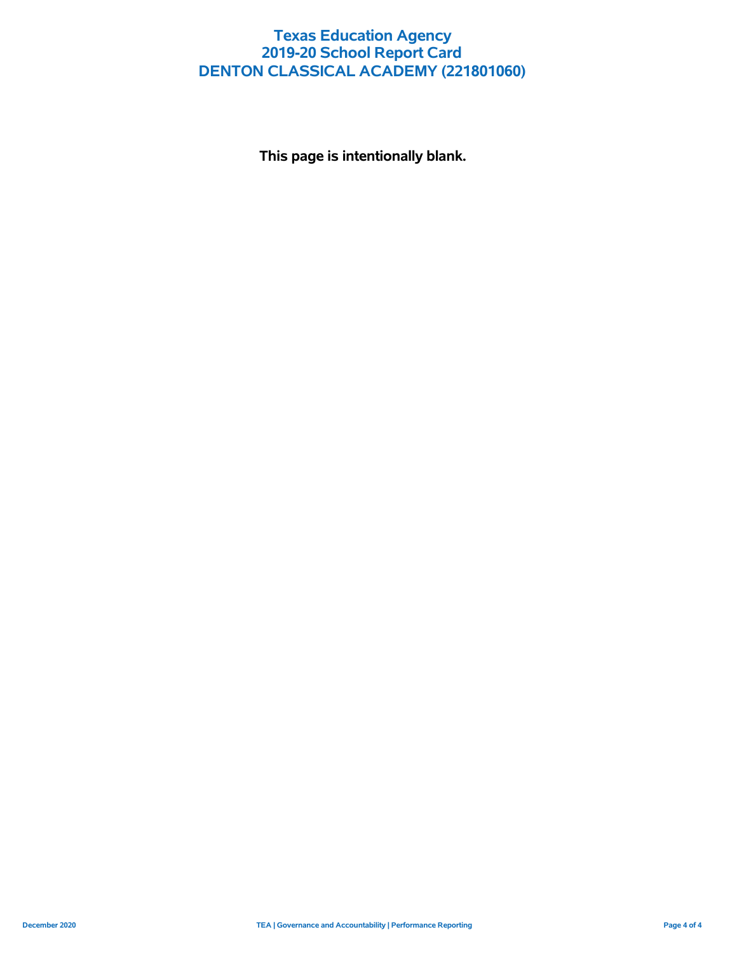**This page is intentionally blank.**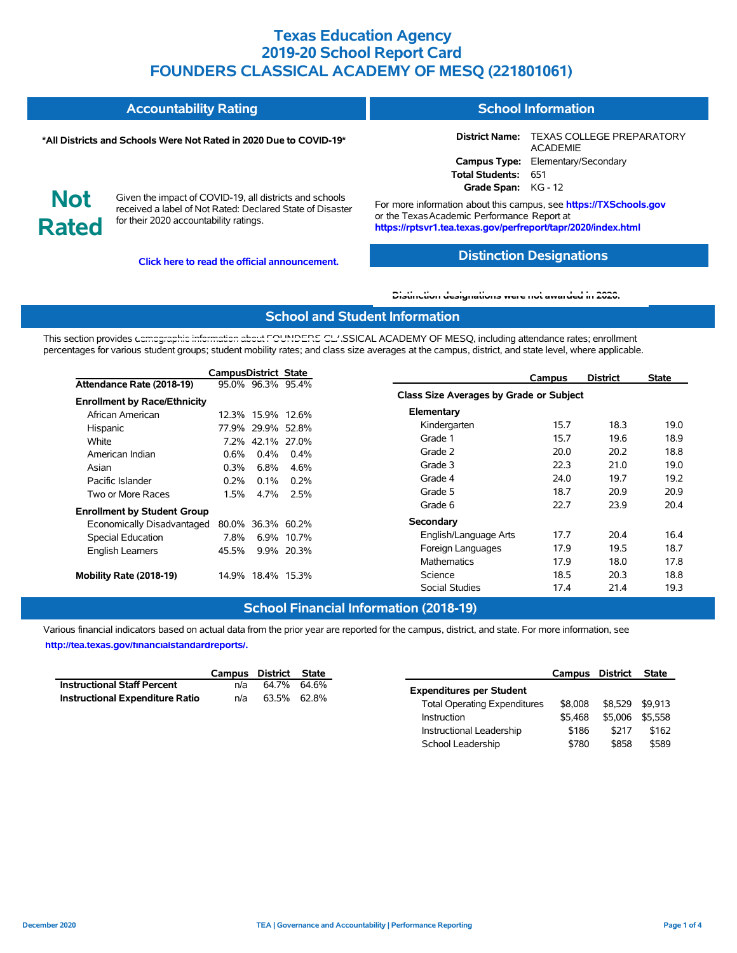|                            | <b>Accountability Rating</b>                                                                                                                                   |                                                                                                                                                                                   | <b>School Information</b>                    |
|----------------------------|----------------------------------------------------------------------------------------------------------------------------------------------------------------|-----------------------------------------------------------------------------------------------------------------------------------------------------------------------------------|----------------------------------------------|
|                            | *All Districts and Schools Were Not Rated in 2020 Due to COVID-19*                                                                                             | <b>District Name:</b>                                                                                                                                                             | TEXAS COLLEGE PREPARATORY<br><b>ACADEMIE</b> |
|                            |                                                                                                                                                                |                                                                                                                                                                                   | Campus Type: Elementary/Secondary            |
|                            |                                                                                                                                                                | <b>Total Students: 651</b>                                                                                                                                                        |                                              |
|                            |                                                                                                                                                                | Grade Span: KG - 12                                                                                                                                                               |                                              |
| <b>Not</b><br><b>Rated</b> | Given the impact of COVID-19, all districts and schools<br>received a label of Not Rated: Declared State of Disaster<br>for their 2020 accountability ratings. | For more information about this campus, see https://TXSchools.gov<br>or the Texas Academic Performance Report at<br>https://rptsvr1.tea.texas.gov/perfreport/tapr/2020/index.html |                                              |

**Click here to read the official announcement.**

#### **Distinction Designations**

Instructional Leadership  $$186$  \$217 \$162 School Leadership  $$780$  \$858 \$589

**[Distinction designations were not awarded in 2020.](https://rptsvr1.tea.texas.gov/perfreport/tapr/2020/index.html)**

#### **School and Student Information**

This section provides [demographic information about FOUNDERS CLA](https://tea.texas.gov/about-tea/news-and-multimedia/correspondence/taa-letters/every-student-succeeds-act-essa-waiver-approval-2020-state-academic-accountability)SSICAL ACADEMY OF MESQ, including attendance rates; enrollment percentages for various student groups; student mobility rates; and class size averages at the campus, district, and state level, where applicable.

|                                     | <b>CampusDistrict State</b> |         |                   |                                         | Campus | <b>District</b> | <b>State</b> |
|-------------------------------------|-----------------------------|---------|-------------------|-----------------------------------------|--------|-----------------|--------------|
| Attendance Rate (2018-19)           |                             |         | 95.0% 96.3% 95.4% |                                         |        |                 |              |
| <b>Enrollment by Race/Ethnicity</b> |                             |         |                   | Class Size Averages by Grade or Subject |        |                 |              |
| African American                    |                             |         | 12.3% 15.9% 12.6% | Elementary                              |        |                 |              |
| Hispanic                            |                             |         | 77.9% 29.9% 52.8% | Kindergarten                            | 15.7   | 18.3            | 19.0         |
| White                               | 7.2%                        | 42.1%   | 27.0%             | Grade 1                                 | 15.7   | 19.6            | 18.9         |
| American Indian                     | 0.6%                        | 0.4%    | $0.4\%$           | Grade 2                                 | 20.0   | 20.2            | 18.8         |
| Asian                               | 0.3%                        | 6.8%    | 4.6%              | Grade 3                                 | 22.3   | 21.0            | 19.0         |
| Pacific Islander                    | 0.2%                        | $0.1\%$ | 0.2%              | Grade 4                                 | 24.0   | 19.7            | 19.2         |
| Two or More Races                   | 1.5%                        | 4.7%    | 2.5%              | Grade 5                                 | 18.7   | 20.9            | 20.9         |
| <b>Enrollment by Student Group</b>  |                             |         |                   | Grade 6                                 | 22.7   | 23.9            | 20.4         |
| Economically Disadvantaged          | 80.0%                       |         | 36.3% 60.2%       | Secondary                               |        |                 |              |
| Special Education                   | 7.8%                        |         | 6.9% 10.7%        | English/Language Arts                   | 17.7   | 20.4            | 16.4         |
| <b>English Learners</b>             | 45.5%                       |         | 9.9% 20.3%        | Foreign Languages                       | 17.9   | 19.5            | 18.7         |
|                                     |                             |         |                   | <b>Mathematics</b>                      | 17.9   | 18.0            | 17.8         |
| Mobility Rate (2018-19)             | 14.9%                       |         | 18.4% 15.3%       | Science                                 | 18.5   | 20.3            | 18.8         |
|                                     |                             |         |                   | Social Studies                          | 17.4   | 21.4            | 19.3         |

### **School Financial Information (2018-19)**

Various financial indicators based on actual data from the prior year are reported for the campus, district, and state. For more information, see

|                                    |     | Campus District State |             | Campus                                         | District        |  |
|------------------------------------|-----|-----------------------|-------------|------------------------------------------------|-----------------|--|
| <b>Instructional Staff Percent</b> | n/a | 64.7% 64.6%           |             | <b>Expenditures per Student</b>                |                 |  |
| Instructional Expenditure Ratio    | n/a |                       | 63.5% 62.8% | \$8.008<br><b>Total Operating Expenditures</b> | \$8.529 \$9.913 |  |
|                                    |     |                       |             | \$5.468<br>Instruction                         | \$5.006 \$5.558 |  |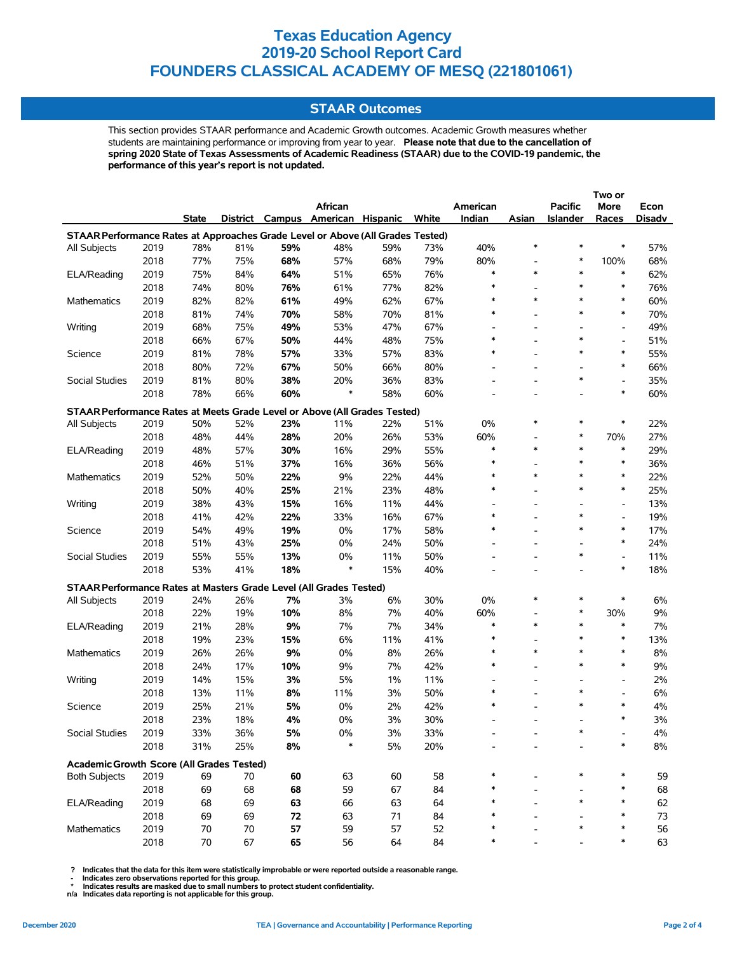### **STAAR Outcomes**

This section provides STAAR performance and Academic Growth outcomes. Academic Growth measures whether students are maintaining performance or improving from year to year. **Please note that due to the cancellation of spring 2020 State of Texas Assessments of Academic Readiness (STAAR) due to the COVID-19 pandemic, the performance of this year's report is not updated.**

|                                                                                |      |       |     |     |                                   |     |       |                  |                          |                          | Two or                   |        |
|--------------------------------------------------------------------------------|------|-------|-----|-----|-----------------------------------|-----|-------|------------------|--------------------------|--------------------------|--------------------------|--------|
|                                                                                |      |       |     |     | African                           |     |       | American         |                          | <b>Pacific</b>           | More                     | Econ   |
|                                                                                |      | State |     |     | District Campus American Hispanic |     | White | Indian           | Asian                    | <b>Islander</b>          | Races                    | Disadv |
| STAAR Performance Rates at Approaches Grade Level or Above (All Grades Tested) |      |       |     |     |                                   |     |       |                  |                          |                          |                          |        |
| All Subjects                                                                   | 2019 | 78%   | 81% | 59% | 48%                               | 59% | 73%   | 40%              | $\ast$                   | $\ast$                   | $\ast$                   | 57%    |
|                                                                                | 2018 | 77%   | 75% | 68% | 57%                               | 68% | 79%   | 80%              | $\overline{\phantom{a}}$ | *                        | 100%                     | 68%    |
| ELA/Reading                                                                    | 2019 | 75%   | 84% | 64% | 51%                               | 65% | 76%   | $\ast$           | $\ast$                   | *                        | $\ast$                   | 62%    |
|                                                                                | 2018 | 74%   | 80% | 76% | 61%                               | 77% | 82%   | $\ast$           |                          | $\ast$                   | $\ast$                   | 76%    |
| Mathematics                                                                    | 2019 | 82%   | 82% | 61% | 49%                               | 62% | 67%   | $\ast$           | $\ast$                   | *                        | $\ast$                   | 60%    |
|                                                                                | 2018 | 81%   | 74% | 70% | 58%                               | 70% | 81%   | $\ast$           |                          | *                        | $\ast$                   | 70%    |
| Writing                                                                        | 2019 | 68%   | 75% | 49% | 53%                               | 47% | 67%   |                  |                          | $\overline{\phantom{0}}$ | $\overline{\phantom{a}}$ | 49%    |
|                                                                                | 2018 | 66%   | 67% | 50% | 44%                               | 48% | 75%   | $\ast$           |                          | *                        | $\overline{\phantom{a}}$ | 51%    |
| Science                                                                        | 2019 | 81%   | 78% | 57% | 33%                               | 57% | 83%   | $\ast$           |                          | $\ast$                   | $\ast$                   | 55%    |
|                                                                                | 2018 | 80%   | 72% | 67% | 50%                               | 66% | 80%   |                  |                          |                          | $\ast$                   | 66%    |
| Social Studies                                                                 | 2019 | 81%   | 80% | 38% | 20%                               | 36% | 83%   |                  |                          | *                        | Ĭ.                       | 35%    |
|                                                                                | 2018 | 78%   | 66% | 60% | $\ast$                            | 58% | 60%   |                  |                          | $\overline{\phantom{0}}$ | $\ast$                   | 60%    |
| STAAR Performance Rates at Meets Grade Level or Above (All Grades Tested)      |      |       |     |     |                                   |     |       |                  |                          |                          |                          |        |
| All Subjects                                                                   | 2019 | 50%   | 52% | 23% | 11%                               | 22% | 51%   | 0%               | ∗                        | $\ast$                   | $\ast$                   | 22%    |
|                                                                                | 2018 | 48%   | 44% | 28% | 20%                               | 26% | 53%   | 60%              | $\overline{\phantom{a}}$ | $\ast$                   | 70%                      | 27%    |
| ELA/Reading                                                                    | 2019 | 48%   | 57% | 30% | 16%                               | 29% | 55%   | $\ast$           | $\ast$                   | *                        | $\ast$                   | 29%    |
|                                                                                | 2018 | 46%   | 51% | 37% | 16%                               | 36% | 56%   | $\ast$           |                          | $\ast$                   | $\ast$                   | 36%    |
| Mathematics                                                                    | 2019 | 52%   | 50% | 22% | 9%                                | 22% | 44%   | $\ast$           | $\ast$                   | *                        | $\ast$                   | 22%    |
|                                                                                | 2018 | 50%   | 40% | 25% | 21%                               | 23% | 48%   | $\ast$           |                          | $\ast$                   | $\ast$                   | 25%    |
| Writing                                                                        | 2019 | 38%   | 43% | 15% | 16%                               | 11% | 44%   |                  |                          | $\overline{a}$           | $\overline{\phantom{a}}$ | 13%    |
|                                                                                | 2018 | 41%   | 42% | 22% | 33%                               | 16% | 67%   | $\ast$           |                          | *                        | $\overline{\phantom{a}}$ | 19%    |
| Science                                                                        | 2019 | 54%   | 49% | 19% | $0\%$                             | 17% | 58%   | $\ast$           |                          | *                        | $\ast$                   | 17%    |
|                                                                                | 2018 | 51%   | 43% | 25% | 0%                                | 24% | 50%   |                  |                          | $\overline{a}$           | $\ast$                   | 24%    |
| Social Studies                                                                 | 2019 | 55%   | 55% | 13% | 0%                                | 11% | 50%   |                  |                          | *                        | Ĭ.                       | 11%    |
|                                                                                | 2018 | 53%   | 41% | 18% | ∗                                 | 15% | 40%   |                  |                          |                          | $\ast$                   | 18%    |
|                                                                                |      |       |     |     |                                   |     |       |                  |                          |                          |                          |        |
| STAAR Performance Rates at Masters Grade Level (All Grades Tested)             |      |       |     |     |                                   |     |       |                  | $\ast$                   | *                        |                          |        |
| All Subjects                                                                   | 2019 | 24%   | 26% | 7%  | 3%                                | 6%  | 30%   | 0%               |                          | $\ast$                   | $\ast$                   | 6%     |
|                                                                                | 2018 | 22%   | 19% | 10% | 8%                                | 7%  | 40%   | 60%<br>$\ast$    | $\ast$                   | $\ast$                   | 30%<br>$\ast$            | 9%     |
| ELA/Reading                                                                    | 2019 | 21%   | 28% | 9%  | 7%                                | 7%  | 34%   |                  |                          |                          |                          | 7%     |
|                                                                                | 2018 | 19%   | 23% | 15% | 6%                                | 11% | 41%   | $\ast$           | $\ast$                   | *<br>*                   | $\ast$                   | 13%    |
| <b>Mathematics</b>                                                             | 2019 | 26%   | 26% | 9%  | 0%                                | 8%  | 26%   | $\ast$           |                          | $\ast$                   | $\ast$                   | 8%     |
|                                                                                | 2018 | 24%   | 17% | 10% | 9%                                | 7%  | 42%   | $\ast$           |                          |                          | $\ast$                   | 9%     |
| Writing                                                                        | 2019 | 14%   | 15% | 3%  | 5%                                | 1%  | 11%   |                  |                          | $\overline{a}$           | $\overline{\phantom{a}}$ | 2%     |
|                                                                                | 2018 | 13%   | 11% | 8%  | 11%                               | 3%  | 50%   | $\ast$<br>$\ast$ |                          | *                        | $\overline{\phantom{a}}$ | 6%     |
| Science                                                                        | 2019 | 25%   | 21% | 5%  | 0%                                | 2%  | 42%   |                  |                          | *                        | $\ast$                   | 4%     |
|                                                                                | 2018 | 23%   | 18% | 4%  | 0%                                | 3%  | 30%   |                  |                          |                          | $\ast$                   | 3%     |
| Social Studies                                                                 | 2019 | 33%   | 36% | 5%  | $0\%$                             | 3%  | 33%   |                  |                          |                          |                          | 4%     |
|                                                                                | 2018 | 31%   | 25% | 8%  | $\ast$                            | 5%  | 20%   |                  |                          |                          |                          | $8\%$  |
| Academic Growth Score (All Grades Tested)                                      |      |       |     |     |                                   |     |       |                  |                          |                          |                          |        |
| <b>Both Subjects</b>                                                           | 2019 | 69    | 70  | 60  | 63                                | 60  | 58    |                  |                          | *                        |                          | 59     |
|                                                                                | 2018 | 69    | 68  | 68  | 59                                | 67  | 84    |                  |                          |                          |                          | 68     |
| ELA/Reading                                                                    | 2019 | 68    | 69  | 63  | 66                                | 63  | 64    |                  |                          | *                        | $\ast$                   | 62     |
|                                                                                | 2018 | 69    | 69  | 72  | 63                                | 71  | 84    |                  |                          |                          | $\ast$                   | 73     |
| Mathematics                                                                    | 2019 | 70    | 70  | 57  | 59                                | 57  | 52    |                  |                          | *                        | ∗                        | 56     |
|                                                                                | 2018 | 70    | 67  | 65  | 56                                | 64  | 84    |                  |                          |                          | $\ast$                   | 63     |

 **? Indicates that the data for this item were statistically improbable or were reported outside a reasonable range.**

 **- Indicates zero observations reported for this group. \* Indicates results are masked due to small numbers to protect student confidentiality.**

**n/a Indicates data reporting is not applicable for this group.**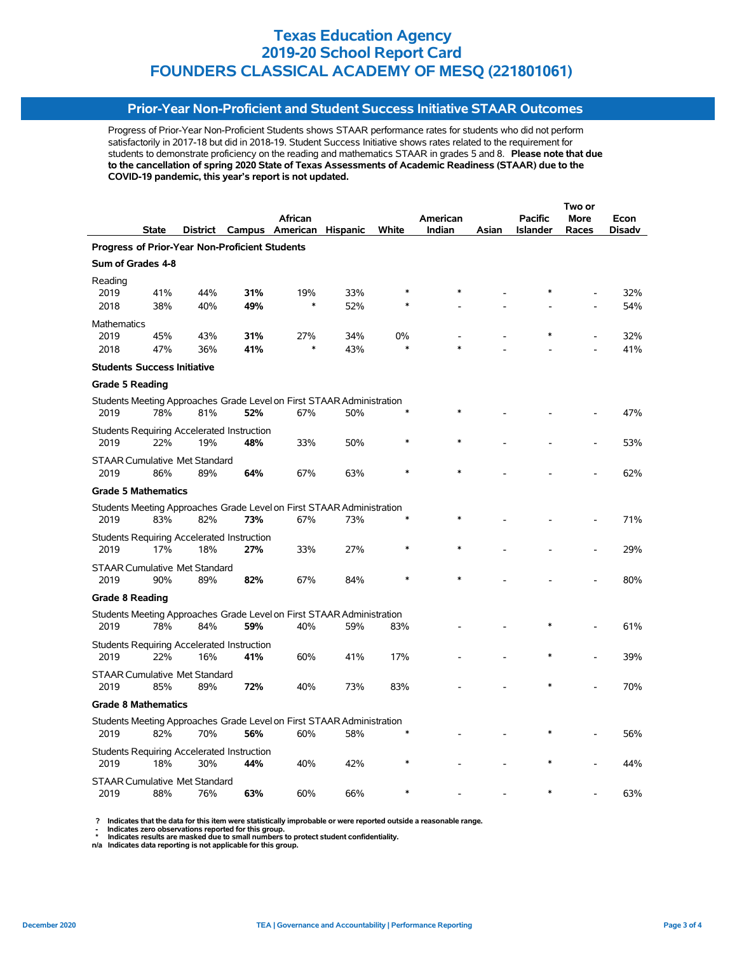### **Prior-Year Non-Proficient and Student Success Initiative STAAR Outcomes**

Progress of Prior-Year Non-Proficient Students shows STAAR performance rates for students who did not perform satisfactorily in 2017-18 but did in 2018-19. Student Success Initiative shows rates related to the requirement for students to demonstrate proficiency on the reading and mathematics STAAR in grades 5 and 8. **Please note that due to the cancellation of spring 2020 State of Texas Assessments of Academic Readiness (STAAR) due to the COVID-19 pandemic, this year's report is not updated.**

|                        |                                                |          |     |                          |                                                                       |        |          | Two or |                 |       |        |
|------------------------|------------------------------------------------|----------|-----|--------------------------|-----------------------------------------------------------------------|--------|----------|--------|-----------------|-------|--------|
|                        |                                                |          |     | African                  |                                                                       |        | American |        | <b>Pacific</b>  | More  | Econ   |
|                        | <b>State</b>                                   | District |     | Campus American Hispanic |                                                                       | White  | Indian   | Asian  | <b>Islander</b> | Races | Disadv |
|                        | Progress of Prior-Year Non-Proficient Students |          |     |                          |                                                                       |        |          |        |                 |       |        |
| Sum of Grades 4-8      |                                                |          |     |                          |                                                                       |        |          |        |                 |       |        |
| Reading                |                                                |          |     |                          |                                                                       |        |          |        |                 |       |        |
| 2019                   | 41%                                            | 44%      | 31% | 19%                      | 33%                                                                   |        |          |        |                 |       | 32%    |
| 2018                   | 38%                                            | 40%      | 49% | $\ast$                   | 52%                                                                   |        |          |        |                 |       | 54%    |
| <b>Mathematics</b>     |                                                |          |     |                          |                                                                       |        |          |        |                 |       |        |
| 2019                   | 45%                                            | 43%      | 31% | 27%                      | 34%                                                                   | 0%     |          |        |                 |       | 32%    |
| 2018                   | 47%                                            | 36%      | 41% | $\ast$                   | 43%                                                                   | $\ast$ |          |        |                 |       | 41%    |
|                        | <b>Students Success Initiative</b>             |          |     |                          |                                                                       |        |          |        |                 |       |        |
| <b>Grade 5 Reading</b> |                                                |          |     |                          |                                                                       |        |          |        |                 |       |        |
|                        |                                                |          |     |                          | Students Meeting Approaches Grade Level on First STAAR Administration |        |          |        |                 |       |        |
| 2019                   | 78%                                            | 81%      | 52% | 67%                      | 50%                                                                   |        |          |        |                 |       | 47%    |
|                        | Students Requiring Accelerated Instruction     |          |     |                          |                                                                       |        |          |        |                 |       |        |
| 2019                   | 22%                                            | 19%      | 48% | 33%                      | 50%                                                                   |        |          |        |                 |       | 53%    |
|                        | <b>STAAR Cumulative Met Standard</b>           |          |     |                          |                                                                       |        |          |        |                 |       |        |
| 2019                   | 86%                                            | 89%      | 64% | 67%                      | 63%                                                                   |        |          |        |                 |       | 62%    |
|                        | <b>Grade 5 Mathematics</b>                     |          |     |                          |                                                                       |        |          |        |                 |       |        |
|                        |                                                |          |     |                          | Students Meeting Approaches Grade Level on First STAAR Administration |        |          |        |                 |       |        |
| 2019                   | 83%                                            | 82%      | 73% | 67%                      | 73%                                                                   |        |          |        |                 |       | 71%    |
|                        | Students Requiring Accelerated Instruction     |          |     |                          |                                                                       |        |          |        |                 |       |        |
| 2019                   | 17%                                            | 18%      | 27% | 33%                      | 27%                                                                   |        |          |        |                 |       | 29%    |
|                        |                                                |          |     |                          |                                                                       |        |          |        |                 |       |        |
| 2019                   | <b>STAAR Cumulative Met Standard</b><br>90%    | 89%      | 82% | 67%                      | 84%                                                                   |        |          |        |                 |       | 80%    |
|                        |                                                |          |     |                          |                                                                       |        |          |        |                 |       |        |
| Grade 8 Reading        |                                                |          |     |                          |                                                                       |        |          |        |                 |       |        |
|                        |                                                |          |     |                          | Students Meeting Approaches Grade Level on First STAAR Administration |        |          |        |                 |       |        |
| 2019                   | 78%                                            | 84%      | 59% | 40%                      | 59%                                                                   | 83%    |          |        |                 |       | 61%    |
|                        | Students Requiring Accelerated Instruction     |          |     |                          |                                                                       |        |          |        |                 |       |        |
| 2019                   | 22%                                            | 16%      | 41% | 60%                      | 41%                                                                   | 17%    |          |        | $\ast$          |       | 39%    |
|                        | <b>STAAR Cumulative Met Standard</b>           |          |     |                          |                                                                       |        |          |        |                 |       |        |
| 2019                   | 85%                                            | 89%      | 72% | 40%                      | 73%                                                                   | 83%    |          |        |                 |       | 70%    |
|                        | <b>Grade 8 Mathematics</b>                     |          |     |                          |                                                                       |        |          |        |                 |       |        |
|                        |                                                |          |     |                          | Students Meeting Approaches Grade Level on First STAAR Administration |        |          |        |                 |       |        |
| 2019                   | 82%                                            | 70%      | 56% | 60%                      | 58%                                                                   |        |          |        |                 |       | 56%    |
|                        | Students Requiring Accelerated Instruction     |          |     |                          |                                                                       |        |          |        |                 |       |        |
| 2019                   | 18%                                            | 30%      | 44% | 40%                      | 42%                                                                   |        |          |        |                 |       | 44%    |
|                        | <b>STAAR Cumulative Met Standard</b>           |          |     |                          |                                                                       |        |          |        |                 |       |        |
| 2019                   | 88%                                            | 76%      | 63% | 60%                      | 66%                                                                   |        |          |        |                 |       | 63%    |

 **? Indicates that the data for this item were statistically improbable or were reported outside a reasonable range.**

 **- Indicates zero observations reported for this group.**

 **\* Indicates results are masked due to small numbers to protect student confidentiality. n/a Indicates data reporting is not applicable for this group.**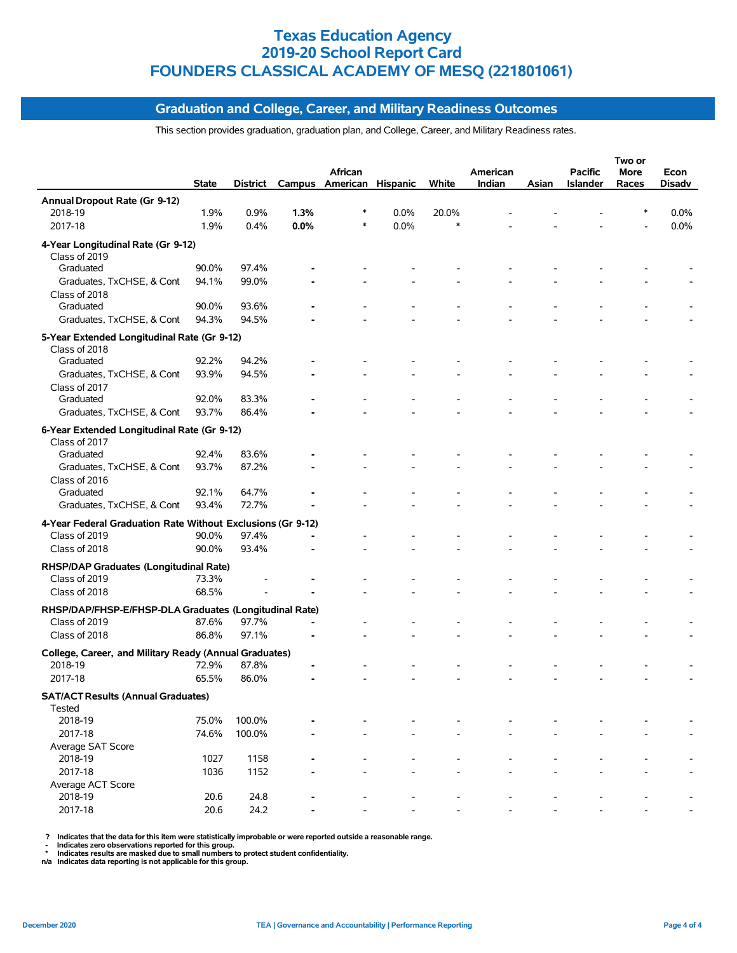### **Graduation and College, Career, and Military Readiness Outcomes**

This section provides graduation, graduation plan, and College, Career, and Military Readiness rates.

|                                                              |              |        |                |                                              |              |                 |                    |       |                                   | Two or        |                       |
|--------------------------------------------------------------|--------------|--------|----------------|----------------------------------------------|--------------|-----------------|--------------------|-------|-----------------------------------|---------------|-----------------------|
|                                                              | <b>State</b> |        |                | African<br>District Campus American Hispanic |              | White           | American<br>Indian | Asian | <b>Pacific</b><br><b>Islander</b> | More<br>Races | Econ<br><b>Disadv</b> |
|                                                              |              |        |                |                                              |              |                 |                    |       |                                   |               |                       |
| Annual Dropout Rate (Gr 9-12)                                | 1.9%         | 0.9%   | 1.3%           | $\ast$                                       |              |                 |                    |       |                                   |               |                       |
| 2018-19<br>2017-18                                           | 1.9%         | 0.4%   | 0.0%           | $\ast$                                       | 0.0%<br>0.0% | 20.0%<br>$\ast$ |                    |       |                                   |               | 0.0%<br>0.0%          |
|                                                              |              |        |                |                                              |              |                 |                    |       |                                   |               |                       |
| 4-Year Longitudinal Rate (Gr 9-12)                           |              |        |                |                                              |              |                 |                    |       |                                   |               |                       |
| Class of 2019                                                |              |        |                |                                              |              |                 |                    |       |                                   |               |                       |
| Graduated                                                    | 90.0%        | 97.4%  |                |                                              |              |                 |                    |       |                                   |               |                       |
| Graduates, TxCHSE, & Cont                                    | 94.1%        | 99.0%  |                |                                              |              |                 |                    |       |                                   |               |                       |
| Class of 2018<br>Graduated                                   | 90.0%        | 93.6%  |                |                                              |              |                 |                    |       |                                   |               |                       |
| Graduates, TxCHSE, & Cont                                    | 94.3%        | 94.5%  |                |                                              |              |                 |                    |       |                                   |               |                       |
|                                                              |              |        |                |                                              |              |                 |                    |       |                                   |               |                       |
| 5-Year Extended Longitudinal Rate (Gr 9-12)                  |              |        |                |                                              |              |                 |                    |       |                                   |               |                       |
| Class of 2018<br>Graduated                                   | 92.2%        | 94.2%  |                |                                              |              |                 |                    |       |                                   |               |                       |
| Graduates, TxCHSE, & Cont                                    | 93.9%        | 94.5%  |                |                                              |              |                 |                    |       |                                   |               |                       |
| Class of 2017                                                |              |        |                |                                              |              |                 |                    |       |                                   |               |                       |
| Graduated                                                    | 92.0%        | 83.3%  |                |                                              |              |                 |                    |       |                                   |               |                       |
| Graduates, TxCHSE, & Cont                                    | 93.7%        | 86.4%  |                |                                              |              |                 |                    |       |                                   |               |                       |
|                                                              |              |        |                |                                              |              |                 |                    |       |                                   |               |                       |
| 6-Year Extended Longitudinal Rate (Gr 9-12)<br>Class of 2017 |              |        |                |                                              |              |                 |                    |       |                                   |               |                       |
| Graduated                                                    | 92.4%        | 83.6%  |                |                                              |              |                 |                    |       |                                   |               |                       |
| Graduates, TxCHSE, & Cont                                    | 93.7%        | 87.2%  |                |                                              |              |                 |                    |       |                                   |               |                       |
| Class of 2016                                                |              |        |                |                                              |              |                 |                    |       |                                   |               |                       |
| Graduated                                                    | 92.1%        | 64.7%  |                |                                              |              |                 |                    |       |                                   |               |                       |
| Graduates, TxCHSE, & Cont                                    | 93.4%        | 72.7%  |                |                                              |              |                 |                    |       |                                   |               |                       |
| 4-Year Federal Graduation Rate Without Exclusions (Gr 9-12)  |              |        |                |                                              |              |                 |                    |       |                                   |               |                       |
| Class of 2019                                                | 90.0%        | 97.4%  |                |                                              |              |                 |                    |       |                                   |               |                       |
| Class of 2018                                                | 90.0%        | 93.4%  |                |                                              |              |                 |                    |       |                                   |               |                       |
|                                                              |              |        |                |                                              |              |                 |                    |       |                                   |               |                       |
| RHSP/DAP Graduates (Longitudinal Rate)<br>Class of 2019      | 73.3%        |        |                |                                              |              |                 |                    |       |                                   |               |                       |
| Class of 2018                                                | 68.5%        |        |                |                                              |              |                 |                    |       |                                   |               |                       |
|                                                              |              |        |                |                                              |              |                 |                    |       |                                   |               |                       |
| RHSP/DAP/FHSP-E/FHSP-DLA Graduates (Longitudinal Rate)       |              |        |                |                                              |              |                 |                    |       |                                   |               |                       |
| Class of 2019                                                | 87.6%        | 97.7%  | $\blacksquare$ |                                              |              |                 |                    |       |                                   |               |                       |
| Class of 2018                                                | 86.8%        | 97.1%  |                |                                              |              |                 |                    |       |                                   |               |                       |
| College, Career, and Military Ready (Annual Graduates)       |              |        |                |                                              |              |                 |                    |       |                                   |               |                       |
| 2018-19                                                      | 72.9%        | 87.8%  |                |                                              |              |                 |                    |       |                                   |               |                       |
| 2017-18                                                      | 65.5%        | 86.0%  |                |                                              |              |                 |                    |       |                                   |               |                       |
| <b>SAT/ACT Results (Annual Graduates)</b>                    |              |        |                |                                              |              |                 |                    |       |                                   |               |                       |
| Tested                                                       |              |        |                |                                              |              |                 |                    |       |                                   |               |                       |
| 2018-19                                                      | 75.0%        | 100.0% |                |                                              |              |                 |                    |       |                                   |               |                       |
| 2017-18                                                      | 74.6%        | 100.0% |                |                                              |              |                 |                    |       |                                   |               |                       |
| Average SAT Score                                            |              |        |                |                                              |              |                 |                    |       |                                   |               |                       |
| 2018-19                                                      | 1027         | 1158   |                |                                              |              |                 |                    |       |                                   |               |                       |
| 2017-18                                                      | 1036         | 1152   |                |                                              |              |                 |                    |       |                                   |               |                       |
| Average ACT Score<br>2018-19                                 | 20.6         | 24.8   |                |                                              |              |                 |                    |       |                                   |               |                       |
| 2017-18                                                      | 20.6         | 24.2   |                |                                              |              |                 |                    |       |                                   |               |                       |
|                                                              |              |        |                |                                              |              |                 |                    |       |                                   |               |                       |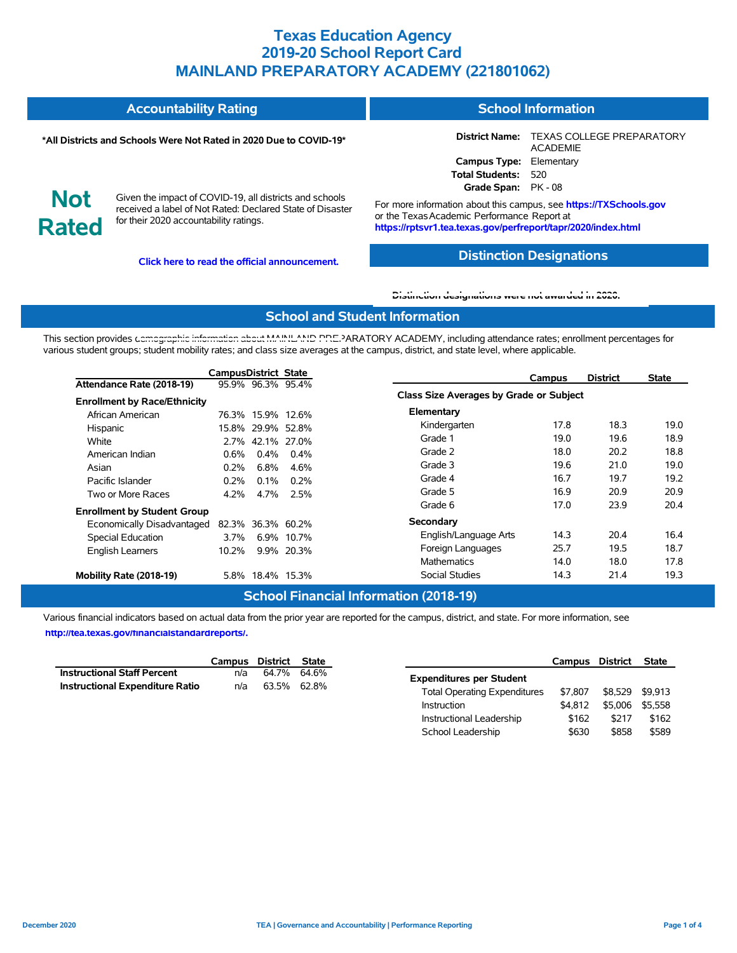|                            | <b>Accountability Rating</b>                                                                                                                                   | <b>School Information</b>                                                                                                                                                         |                                                     |  |  |  |
|----------------------------|----------------------------------------------------------------------------------------------------------------------------------------------------------------|-----------------------------------------------------------------------------------------------------------------------------------------------------------------------------------|-----------------------------------------------------|--|--|--|
|                            | *All Districts and Schools Were Not Rated in 2020 Due to COVID-19*                                                                                             | <b>District Name:</b>                                                                                                                                                             | <b>TEXAS COLLEGE PREPARATORY</b><br><b>ACADEMIE</b> |  |  |  |
|                            |                                                                                                                                                                | <b>Campus Type:</b>                                                                                                                                                               | Elementary                                          |  |  |  |
|                            |                                                                                                                                                                | <b>Total Students: 520</b>                                                                                                                                                        |                                                     |  |  |  |
|                            |                                                                                                                                                                | Grade Span: PK - 08                                                                                                                                                               |                                                     |  |  |  |
| <b>Not</b><br><b>Rated</b> | Given the impact of COVID-19, all districts and schools<br>received a label of Not Rated: Declared State of Disaster<br>for their 2020 accountability ratings. | For more information about this campus, see https://TXSchools.gov<br>or the Texas Academic Performance Report at<br>https://rptsvr1.tea.texas.gov/perfreport/tapr/2020/index.html |                                                     |  |  |  |

**Click here to read the official announcement.**

### **Distinction Designations**

School Leadership  $$630$  \$858 \$589

#### **[Distinction designations were not awarded in 2020.](https://rptsvr1.tea.texas.gov/perfreport/tapr/2020/index.html)**

#### **School and Student Information**

This section provides [demographic information about MAINLAND PREP](https://tea.texas.gov/about-tea/news-and-multimedia/correspondence/taa-letters/every-student-succeeds-act-essa-waiver-approval-2020-state-academic-accountability)ARATORY ACADEMY, including attendance rates; enrollment percentages for various student groups; student mobility rates; and class size averages at the campus, district, and state level, where applicable.

|                                     | <b>CampusDistrict State</b> |             |                                         | Campus | <b>District</b> | <b>State</b> |
|-------------------------------------|-----------------------------|-------------|-----------------------------------------|--------|-----------------|--------------|
| Attendance Rate (2018-19)           | 95.9% 96.3% 95.4%           |             |                                         |        |                 |              |
| <b>Enrollment by Race/Ethnicity</b> |                             |             | Class Size Averages by Grade or Subject |        |                 |              |
| African American                    | 76.3% 15.9% 12.6%           |             | Elementary                              |        |                 |              |
| Hispanic                            | 15.8% 29.9% 52.8%           |             | Kindergarten                            | 17.8   | 18.3            | 19.0         |
| White                               | 2.7%                        | 42.1% 27.0% | Grade 1                                 | 19.0   | 19.6            | 18.9         |
| American Indian                     | $0.6\%$<br>$0.4\%$          | $0.4\%$     | Grade 2                                 | 18.0   | 20.2            | 18.8         |
| Asian                               | 0.2%<br>6.8%                | 4.6%        | Grade 3                                 | 19.6   | 21.0            | 19.0         |
| Pacific Islander                    | 0.2%<br>$0.1\%$             | $0.2\%$     | Grade 4                                 | 16.7   | 19.7            | 19.2         |
| Two or More Races                   | 4.2%<br>4.7%                | 2.5%        | Grade 5                                 | 16.9   | 20.9            | 20.9         |
| <b>Enrollment by Student Group</b>  |                             |             | Grade 6                                 | 17.0   | 23.9            | 20.4         |
| Economically Disadvantaged          | 82.3%                       | 36.3% 60.2% | Secondary                               |        |                 |              |
| Special Education                   | $3.7\%$                     | 6.9% 10.7%  | English/Language Arts                   | 14.3   | 20.4            | 16.4         |
| <b>English Learners</b>             | 10.2%                       | 9.9% 20.3%  | Foreign Languages                       | 25.7   | 19.5            | 18.7         |
|                                     |                             |             | Mathematics                             | 14.0   | 18.0            | 17.8         |
| Mobility Rate (2018-19)             | 5.8%                        | 18.4% 15.3% | Social Studies                          | 14.3   | 21.4            | 19.3         |
|                                     |                             | ____        |                                         |        |                 |              |

#### **School Financial Information (2018-19)**

Various financial indicators based on actual data from the prior year are reported for the campus, district, and state. For more information, see

**[http://tea.texas.gov/financialstandardreports/.](http://tea.texas.gov/financialstandardreports/)**

|                                 | Campus | District    | State |                                     | Campus  | District        | <b>State</b> |
|---------------------------------|--------|-------------|-------|-------------------------------------|---------|-----------------|--------------|
| Instructional Staff Percent     | n/a    | 64.7% 64.6% |       | <b>Expenditures per Student</b>     |         |                 |              |
| Instructional Expenditure Ratio | n/a    | 63.5%       | 62.8% | <b>Total Operating Expenditures</b> | \$7.807 | \$8,529         | \$9.913      |
|                                 |        |             |       | Instruction                         | \$4.812 | \$5.006 \$5.558 |              |
|                                 |        |             |       | Instructional Leadership            | \$162   | \$217           | \$162        |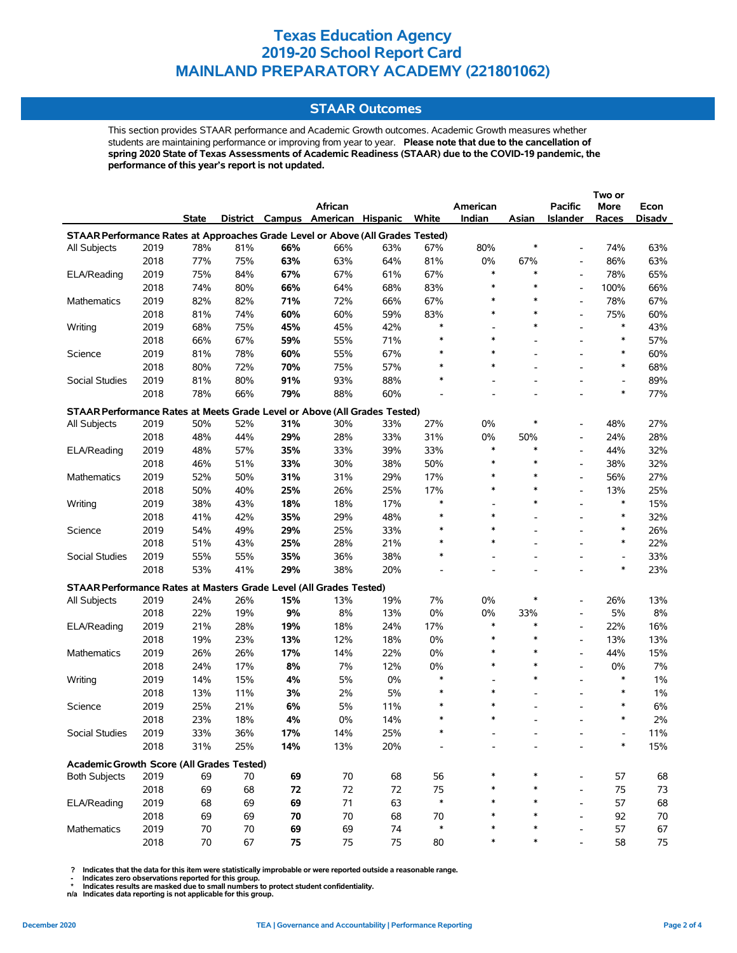#### **STAAR Outcomes**

This section provides STAAR performance and Academic Growth outcomes. Academic Growth measures whether students are maintaining performance or improving from year to year. **Please note that due to the cancellation of spring 2020 State of Texas Assessments of Academic Readiness (STAAR) due to the COVID-19 pandemic, the performance of this year's report is not updated.**

|                                                                                |      |        |     |     |                                   |     |         |                                    |        |                          | Two or                   |        |
|--------------------------------------------------------------------------------|------|--------|-----|-----|-----------------------------------|-----|---------|------------------------------------|--------|--------------------------|--------------------------|--------|
|                                                                                |      |        |     |     | African                           |     |         | American                           |        | <b>Pacific</b>           | More                     | Econ   |
|                                                                                |      | State  |     |     | District Campus American Hispanic |     | White   | Indian                             | Asian  | <b>Islander</b>          | Races                    | Disadv |
| STAAR Performance Rates at Approaches Grade Level or Above (All Grades Tested) |      |        |     |     |                                   |     |         |                                    |        |                          |                          |        |
| All Subjects                                                                   | 2019 | 78%    | 81% | 66% | 66%                               | 63% | 67%     | 80%                                | *      | $\overline{a}$           | 74%                      | 63%    |
|                                                                                | 2018 | 77%    | 75% | 63% | 63%                               | 64% | 81%     | $0\%$                              | 67%    | $\overline{\phantom{a}}$ | 86%                      | 63%    |
| ELA/Reading                                                                    | 2019 | 75%    | 84% | 67% | 67%                               | 61% | 67%     | $\ast$                             | $\ast$ | $\overline{a}$           | 78%                      | 65%    |
|                                                                                | 2018 | 74%    | 80% | 66% | 64%                               | 68% | 83%     | $\ast$                             | $\ast$ | $\overline{\phantom{0}}$ | 100%                     | 66%    |
| Mathematics                                                                    | 2019 | 82%    | 82% | 71% | 72%                               | 66% | 67%     | $\ast$                             | $\ast$ | $\overline{\phantom{0}}$ | 78%                      | 67%    |
|                                                                                | 2018 | 81%    | 74% | 60% | 60%                               | 59% | 83%     | $\ast$                             | $\ast$ | $\overline{a}$           | 75%                      | 60%    |
| Writing                                                                        | 2019 | 68%    | 75% | 45% | 45%                               | 42% | $\ast$  |                                    | $\ast$ | $\overline{\phantom{0}}$ | $\ast$                   | 43%    |
|                                                                                | 2018 | 66%    | 67% | 59% | 55%                               | 71% | $\ast$  | $\ast$                             |        |                          | $\ast$                   | 57%    |
| Science                                                                        | 2019 | 81%    | 78% | 60% | 55%                               | 67% | $\ast$  | $\ast$                             |        | $\overline{a}$           | $\ast$                   | 60%    |
|                                                                                | 2018 | 80%    | 72% | 70% | 75%                               | 57% | $\ast$  | $\ast$                             |        |                          | $\ast$                   | 68%    |
| Social Studies                                                                 | 2019 | 81%    | 80% | 91% | 93%                               | 88% |         |                                    |        |                          | $\overline{\phantom{a}}$ | 89%    |
|                                                                                | 2018 | 78%    | 66% | 79% | 88%                               | 60% |         |                                    |        | $\overline{\phantom{0}}$ | $\ast$                   | 77%    |
| STAAR Performance Rates at Meets Grade Level or Above (All Grades Tested)      |      |        |     |     |                                   |     |         |                                    |        |                          |                          |        |
| All Subjects                                                                   | 2019 | 50%    | 52% | 31% | 30%                               | 33% | 27%     | 0%                                 | *      | $\overline{a}$           | 48%                      | 27%    |
|                                                                                | 2018 | 48%    | 44% | 29% | 28%                               | 33% | 31%     | 0%                                 | 50%    | $\overline{\phantom{a}}$ | 24%                      | 28%    |
| ELA/Reading                                                                    | 2019 | 48%    | 57% | 35% | 33%                               | 39% | 33%     | $\ast$                             | $\ast$ | $\overline{\phantom{a}}$ | 44%                      | 32%    |
|                                                                                | 2018 | 46%    | 51% | 33% | 30%                               | 38% | 50%     | $\ast$                             | $\ast$ | $\overline{a}$           | 38%                      | 32%    |
| Mathematics                                                                    | 2019 | 52%    | 50% | 31% | 31%                               | 29% | 17%     | $\ast$                             | $\ast$ | $\overline{\phantom{a}}$ | 56%                      | 27%    |
|                                                                                | 2018 | 50%    | 40% | 25% | 26%                               | 25% | 17%     | $\ast$                             | $\ast$ | $\overline{a}$           | 13%                      | 25%    |
| Writing                                                                        | 2019 | 38%    | 43% | 18% | 18%                               | 17% | $\ast$  |                                    | $\ast$ | $\overline{a}$           | $\ast$                   | 15%    |
|                                                                                | 2018 | 41%    | 42% | 35% | 29%                               | 48% | *       | $\ast$                             |        | $\overline{\phantom{a}}$ | $\ast$                   | 32%    |
| Science                                                                        | 2019 | 54%    | 49% | 29% | 25%                               | 33% |         | $\ast$                             |        | $\overline{a}$           | $\ast$                   | 26%    |
|                                                                                | 2018 | 51%    | 43% | 25% | 28%                               | 21% | $\ast$  | $\ast$                             |        |                          | $\ast$                   | 22%    |
| Social Studies                                                                 | 2019 | 55%    | 55% | 35% | 36%                               | 38% | $\ast$  |                                    |        | $\overline{a}$           | $\overline{\phantom{a}}$ | 33%    |
|                                                                                | 2018 | 53%    | 41% | 29% | 38%                               | 20% |         |                                    |        |                          | $\ast$                   | 23%    |
|                                                                                |      |        |     |     |                                   |     |         |                                    |        |                          |                          |        |
| STAAR Performance Rates at Masters Grade Level (All Grades Tested)             | 2019 | 24%    | 26% | 15% | 13%                               | 19% | 7%      | 0%                                 | ∗      | $\overline{a}$           | 26%                      | 13%    |
| All Subjects                                                                   | 2018 | 22%    | 19% | 9%  | 8%                                | 13% | 0%      | 0%                                 | 33%    | $\overline{a}$           | 5%                       | 8%     |
| ELA/Reading                                                                    | 2019 | 21%    | 28% | 19% | 18%                               | 24% | 17%     | $\ast$                             | $\ast$ | $\overline{a}$           | 22%                      | 16%    |
|                                                                                | 2018 |        |     |     |                                   |     |         | $\ast$                             | $\ast$ |                          |                          | 13%    |
|                                                                                | 2019 | 19%    | 23% | 13% | 12%                               | 18% | 0%      | $\ast$                             | $\ast$ | $\overline{\phantom{0}}$ | 13%                      |        |
| <b>Mathematics</b>                                                             |      | 26%    | 26% | 17% | 14%                               | 22% | 0%      | $\ast$                             | $\ast$ | $\overline{\phantom{0}}$ | 44%                      | 15%    |
|                                                                                | 2018 | 24%    | 17% | 8%  | 7%                                | 12% | 0%<br>∗ |                                    | $\ast$ | $\overline{\phantom{a}}$ | 0%<br>$\ast$             | 7%     |
| Writing                                                                        | 2019 | 14%    | 15% | 4%  | 5%                                | 0%  | $\ast$  | $\overline{\phantom{a}}$<br>$\ast$ |        | $\overline{a}$           | $\ast$                   | 1%     |
|                                                                                | 2018 | 13%    | 11% | 3%  | 2%                                | 5%  | $\ast$  | $\ast$                             |        | $\overline{a}$           | $\ast$                   | $1\%$  |
| Science                                                                        | 2019 | 25%    | 21% | 6%  | 5%                                | 11% | $\ast$  | $\ast$                             |        | $\overline{\phantom{0}}$ |                          | 6%     |
|                                                                                | 2018 | 23%    | 18% | 4%  | 0%                                | 14% |         |                                    |        |                          | $\ast$                   | 2%     |
| Social Studies                                                                 | 2019 | 33%    | 36% | 17% | 14%                               | 25% |         |                                    |        |                          |                          | 11%    |
|                                                                                | 2018 | 31%    | 25% | 14% | 13%                               | 20% |         |                                    |        |                          |                          | 15%    |
| Academic Growth Score (All Grades Tested)                                      |      |        |     |     |                                   |     |         |                                    |        |                          |                          |        |
| <b>Both Subjects</b>                                                           | 2019 | 69     | 70  | 69  | 70                                | 68  | 56      |                                    |        | $\overline{a}$           | 57                       | 68     |
|                                                                                | 2018 | 69     | 68  | 72  | 72                                | 72  | 75      |                                    |        | $\overline{a}$           | 75                       | 73     |
| ELA/Reading                                                                    | 2019 | 68     | 69  | 69  | 71                                | 63  | $\ast$  |                                    |        |                          | 57                       | 68     |
|                                                                                | 2018 | 69     | 69  | 70  | $70\,$                            | 68  | 70      |                                    |        | $\overline{a}$           | 92                       | 70     |
| Mathematics                                                                    | 2019 | 70     | 70  | 69  | 69                                | 74  | ∗       |                                    |        |                          | 57                       | 67     |
|                                                                                | 2018 | $70\,$ | 67  | 75  | 75                                | 75  | 80      | ∗                                  | ∗      |                          | 58                       | 75     |

 **? Indicates that the data for this item were statistically improbable or were reported outside a reasonable range.**

 **- Indicates zero observations reported for this group. \* Indicates results are masked due to small numbers to protect student confidentiality.**

**n/a Indicates data reporting is not applicable for this group.**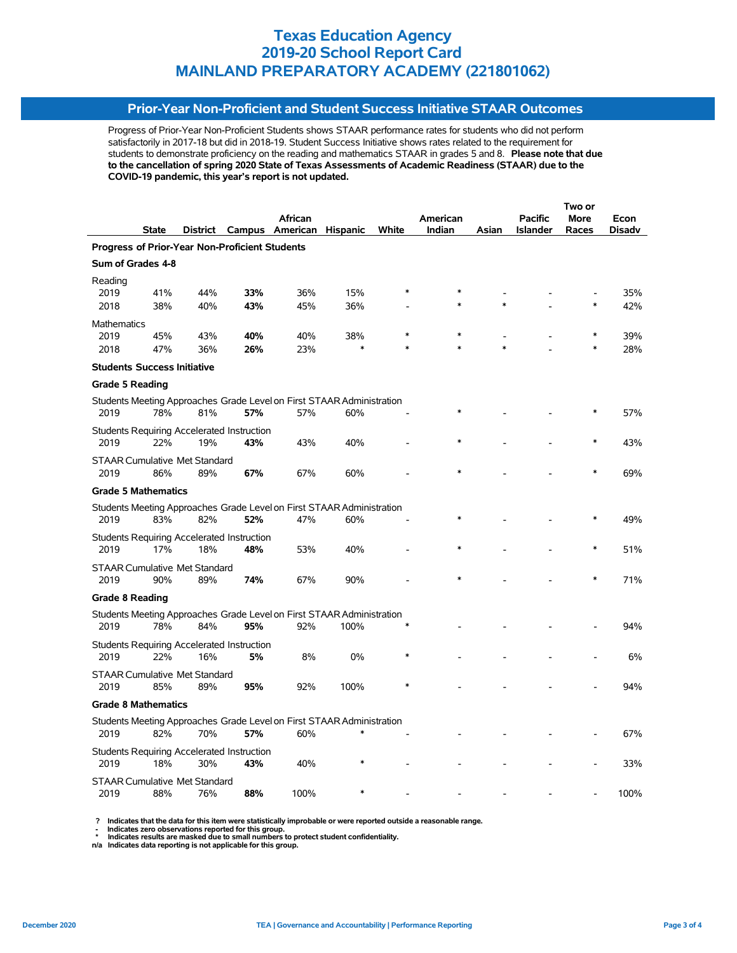# **Prior-Year Non-Proficient and Student Success Initiative STAAR Outcomes**

Progress of Prior-Year Non-Proficient Students shows STAAR performance rates for students who did not perform satisfactorily in 2017-18 but did in 2018-19. Student Success Initiative shows rates related to the requirement for students to demonstrate proficiency on the reading and mathematics STAAR in grades 5 and 8. **Please note that due to the cancellation of spring 2020 State of Texas Assessments of Academic Readiness (STAAR) due to the COVID-19 pandemic, this year's report is not updated.**

|                                      |              |          |                                                   |                                                                       |                 |       |          |         |                 | Two or  |        |
|--------------------------------------|--------------|----------|---------------------------------------------------|-----------------------------------------------------------------------|-----------------|-------|----------|---------|-----------------|---------|--------|
|                                      |              |          |                                                   | African                                                               |                 |       | American |         | <b>Pacific</b>  | More    | Econ   |
|                                      | <b>State</b> | District |                                                   | Campus American                                                       | <b>Hispanic</b> | White | Indian   | Asian   | <b>Islander</b> | Races   | Disadv |
|                                      |              |          | Progress of Prior-Year Non-Proficient Students    |                                                                       |                 |       |          |         |                 |         |        |
| Sum of Grades 4-8                    |              |          |                                                   |                                                                       |                 |       |          |         |                 |         |        |
| Reading                              |              |          |                                                   |                                                                       |                 |       |          |         |                 |         |        |
| 2019                                 | 41%          | 44%      | 33%                                               | 36%                                                                   | 15%             |       |          |         |                 |         | 35%    |
| 2018                                 | 38%          | 40%      | 43%                                               | 45%                                                                   | 36%             |       |          | $\star$ |                 |         | 42%    |
| <b>Mathematics</b>                   |              |          |                                                   |                                                                       |                 |       |          |         |                 |         |        |
| 2019                                 | 45%          | 43%      | 40%                                               | 40%                                                                   | 38%             |       | $\ast$   |         |                 | $\ast$  | 39%    |
| 2018                                 | 47%          | 36%      | 26%                                               | 23%                                                                   |                 |       |          |         |                 | $\star$ | 28%    |
| <b>Students Success Initiative</b>   |              |          |                                                   |                                                                       |                 |       |          |         |                 |         |        |
| <b>Grade 5 Reading</b>               |              |          |                                                   |                                                                       |                 |       |          |         |                 |         |        |
|                                      |              |          |                                                   | Students Meeting Approaches Grade Level on First STAAR Administration |                 |       |          |         |                 |         |        |
| 2019                                 | 78%          | 81%      | 57%                                               | 57%                                                                   | 60%             |       |          |         |                 |         | 57%    |
|                                      |              |          |                                                   |                                                                       |                 |       |          |         |                 |         |        |
| 2019                                 | 22%          | 19%      | Students Requiring Accelerated Instruction<br>43% | 43%                                                                   | 40%             |       |          |         |                 |         | 43%    |
|                                      |              |          |                                                   |                                                                       |                 |       |          |         |                 |         |        |
| <b>STAAR Cumulative Met Standard</b> |              |          |                                                   |                                                                       |                 |       |          |         |                 |         |        |
| 2019                                 | 86%          | 89%      | 67%                                               | 67%                                                                   | 60%             |       |          |         |                 |         | 69%    |
| <b>Grade 5 Mathematics</b>           |              |          |                                                   |                                                                       |                 |       |          |         |                 |         |        |
|                                      |              |          |                                                   | Students Meeting Approaches Grade Level on First STAAR Administration |                 |       |          |         |                 |         |        |
| 2019                                 | 83%          | 82%      | 52%                                               | 47%                                                                   | 60%             |       |          |         |                 |         | 49%    |
|                                      |              |          | Students Requiring Accelerated Instruction        |                                                                       |                 |       |          |         |                 |         |        |
| 2019                                 | 17%          | 18%      | 48%                                               | 53%                                                                   | 40%             |       |          |         |                 | $\ast$  | 51%    |
| <b>STAAR Cumulative Met Standard</b> |              |          |                                                   |                                                                       |                 |       |          |         |                 |         |        |
| 2019                                 | 90%          | 89%      | 74%                                               | 67%                                                                   | 90%             |       |          |         |                 |         | 71%    |
|                                      |              |          |                                                   |                                                                       |                 |       |          |         |                 |         |        |
| Grade 8 Reading                      |              |          |                                                   |                                                                       |                 |       |          |         |                 |         |        |
|                                      |              |          |                                                   | Students Meeting Approaches Grade Level on First STAAR Administration |                 |       |          |         |                 |         |        |
| 2019                                 | 78%          | 84%      | 95%                                               | 92%                                                                   | 100%            |       |          |         |                 |         | 94%    |
|                                      |              |          | Students Requiring Accelerated Instruction        |                                                                       |                 |       |          |         |                 |         |        |
| 2019                                 | 22%          | 16%      | 5%                                                | 8%                                                                    | 0%              |       |          |         |                 |         | 6%     |
| <b>STAAR Cumulative Met Standard</b> |              |          |                                                   |                                                                       |                 |       |          |         |                 |         |        |
| 2019                                 | 85%          | 89%      | 95%                                               | 92%                                                                   | 100%            |       |          |         |                 |         | 94%    |
| <b>Grade 8 Mathematics</b>           |              |          |                                                   |                                                                       |                 |       |          |         |                 |         |        |
|                                      |              |          |                                                   | Students Meeting Approaches Grade Level on First STAAR Administration |                 |       |          |         |                 |         |        |
| 2019                                 | 82%          | 70%      | 57%                                               | 60%                                                                   |                 |       |          |         |                 |         | 67%    |
|                                      |              |          |                                                   |                                                                       |                 |       |          |         |                 |         |        |
| 2019                                 | 18%          | 30%      | Students Requiring Accelerated Instruction<br>43% | 40%                                                                   |                 |       |          |         |                 |         | 33%    |
|                                      |              |          |                                                   |                                                                       |                 |       |          |         |                 |         |        |
| <b>STAAR Cumulative Met Standard</b> | 88%          | 76%      | 88%                                               | 100%                                                                  |                 |       |          |         |                 |         |        |
| 2019                                 |              |          |                                                   |                                                                       |                 |       |          |         |                 |         | 100%   |

 **? Indicates that the data for this item were statistically improbable or were reported outside a reasonable range.**

 **- Indicates zero observations reported for this group.**

 **\* Indicates results are masked due to small numbers to protect student confidentiality. n/a Indicates data reporting is not applicable for this group.**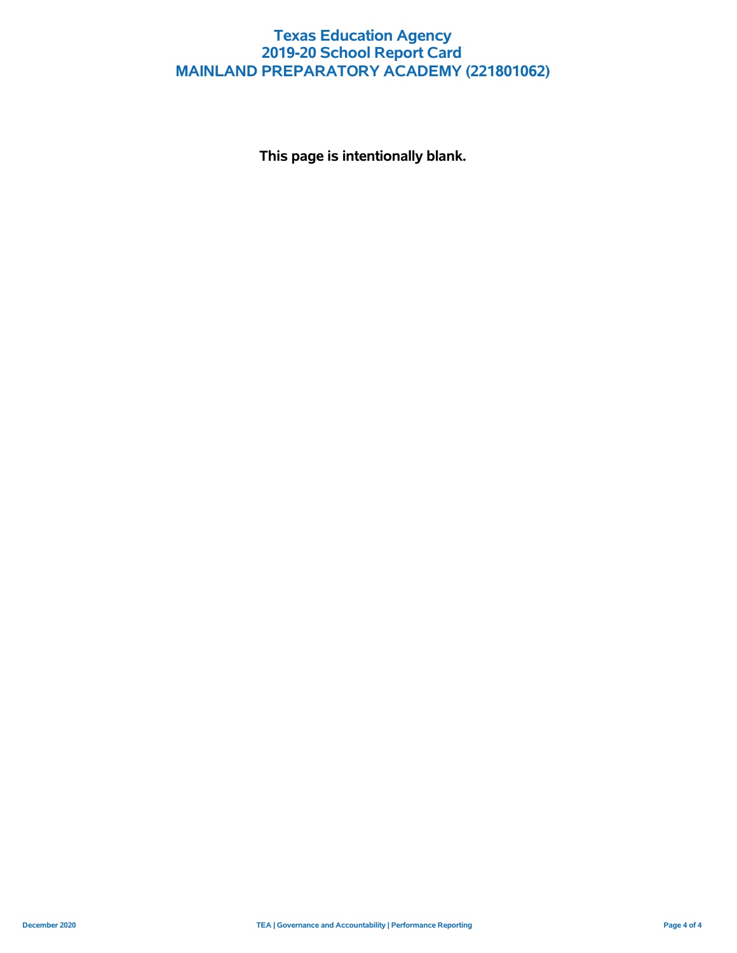**This page is intentionally blank.**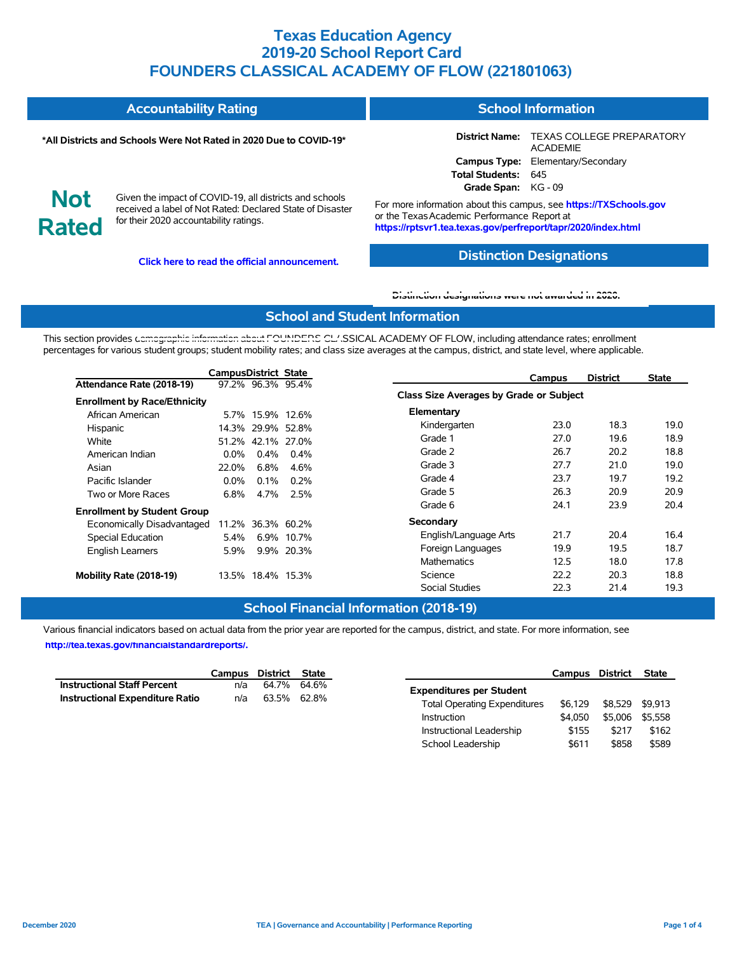|                            | <b>Accountability Rating</b>                                                                                                                                   | <b>School Information</b>                                                                                                                                                         |                                                     |  |  |  |
|----------------------------|----------------------------------------------------------------------------------------------------------------------------------------------------------------|-----------------------------------------------------------------------------------------------------------------------------------------------------------------------------------|-----------------------------------------------------|--|--|--|
|                            | *All Districts and Schools Were Not Rated in 2020 Due to COVID-19*                                                                                             | <b>District Name:</b>                                                                                                                                                             | <b>TEXAS COLLEGE PREPARATORY</b><br><b>ACADEMIE</b> |  |  |  |
|                            |                                                                                                                                                                |                                                                                                                                                                                   | Campus Type: Elementary/Secondary                   |  |  |  |
|                            |                                                                                                                                                                | <b>Total Students: 645</b>                                                                                                                                                        |                                                     |  |  |  |
|                            |                                                                                                                                                                | Grade Span: KG - 09                                                                                                                                                               |                                                     |  |  |  |
| <b>Not</b><br><b>Rated</b> | Given the impact of COVID-19, all districts and schools<br>received a label of Not Rated: Declared State of Disaster<br>for their 2020 accountability ratings. | For more information about this campus, see https://TXSchools.gov<br>or the Texas Academic Performance Report at<br>https://rptsvr1.tea.texas.gov/perfreport/tapr/2020/index.html |                                                     |  |  |  |

**Click here to read the official announcement.**

#### **Distinction Designations**

Instructional Leadership  $$155$  \$217 \$162 School Leadership  $$611$  \$858 \$589

**[Distinction designations were not awarded in 2020.](https://rptsvr1.tea.texas.gov/perfreport/tapr/2020/index.html)**

#### **School and Student Information**

This section provides [demographic information about FOUNDERS CLA](https://tea.texas.gov/about-tea/news-and-multimedia/correspondence/taa-letters/every-student-succeeds-act-essa-waiver-approval-2020-state-academic-accountability)SSICAL ACADEMY OF FLOW, including attendance rates; enrollment percentages for various student groups; student mobility rates; and class size averages at the campus, district, and state level, where applicable.

|                                     | <b>CampusDistrict State</b> |         |             |                                         | Campus | <b>District</b> | <b>State</b> |
|-------------------------------------|-----------------------------|---------|-------------|-----------------------------------------|--------|-----------------|--------------|
| Attendance Rate (2018-19)           | 97.2% 96.3% 95.4%           |         |             |                                         |        |                 |              |
| <b>Enrollment by Race/Ethnicity</b> |                             |         |             | Class Size Averages by Grade or Subject |        |                 |              |
| African American                    | 5.7% 15.9% 12.6%            |         |             | Elementary                              |        |                 |              |
| Hispanic                            | 14.3% 29.9% 52.8%           |         |             | Kindergarten                            | 23.0   | 18.3            | 19.0         |
| White                               | 51.2%                       | 42.1%   | 27.0%       | Grade 1                                 | 27.0   | 19.6            | 18.9         |
| American Indian                     | $0.0\%$                     | 0.4%    | $0.4\%$     | Grade 2                                 | 26.7   | 20.2            | 18.8         |
| Asian                               | 22.0%                       | 6.8%    | 4.6%        | Grade 3                                 | 27.7   | 21.0            | 19.0         |
| Pacific Islander                    | $0.0\%$                     | $0.1\%$ | 0.2%        | Grade 4                                 | 23.7   | 19.7            | 19.2         |
| Two or More Races                   | 6.8%                        | 4.7%    | 2.5%        | Grade 5                                 | 26.3   | 20.9            | 20.9         |
| <b>Enrollment by Student Group</b>  |                             |         |             | Grade 6                                 | 24.1   | 23.9            | 20.4         |
| Economically Disadvantaged          | 11.2%                       |         | 36.3% 60.2% | Secondary                               |        |                 |              |
| Special Education                   | 5.4%                        |         | 6.9% 10.7%  | English/Language Arts                   | 21.7   | 20.4            | 16.4         |
| <b>English Learners</b>             | 5.9%                        |         | 9.9% 20.3%  | Foreign Languages                       | 19.9   | 19.5            | 18.7         |
|                                     |                             |         |             | <b>Mathematics</b>                      | 12.5   | 18.0            | 17.8         |
| Mobility Rate (2018-19)             | 13.5% 18.4% 15.3%           |         |             | Science                                 | 22.2   | 20.3            | 18.8         |
|                                     |                             |         |             | Social Studies                          | 22.3   | 21.4            | 19.3         |

### **School Financial Information (2018-19)**

Various financial indicators based on actual data from the prior year are reported for the campus, district, and state. For more information, see

**[http://tea.texas.gov/financialstandardreports/.](http://tea.texas.gov/financialstandardreports/)**

|                                        | Campus | District    | State |
|----------------------------------------|--------|-------------|-------|
| <b>Instructional Staff Percent</b>     | n/a    | 64.7% 64.6% |       |
| <b>Instructional Expenditure Ratio</b> | n/a    | 63.5%       | 62.8% |
|                                        |        |             |       |

Ē,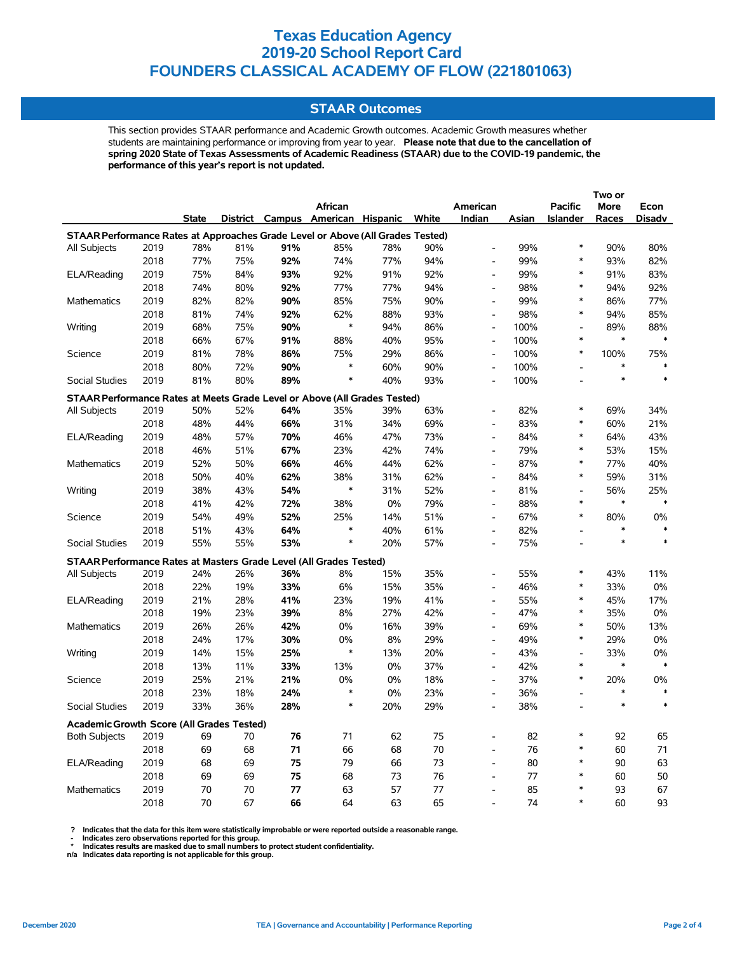### **STAAR Outcomes**

This section provides STAAR performance and Academic Growth outcomes. Academic Growth measures whether students are maintaining performance or improving from year to year. **Please note that due to the cancellation of spring 2020 State of Texas Assessments of Academic Readiness (STAAR) due to the COVID-19 pandemic, the performance of this year's report is not updated.**

|                                                                                |      |              |     |     |                                   |     |       | Two or                   |       |                 |        |               |
|--------------------------------------------------------------------------------|------|--------------|-----|-----|-----------------------------------|-----|-------|--------------------------|-------|-----------------|--------|---------------|
|                                                                                |      |              |     |     | African                           |     |       | American                 |       | <b>Pacific</b>  | More   | Econ          |
|                                                                                |      | <b>State</b> |     |     | District Campus American Hispanic |     | White | Indian                   | Asian | <b>Islander</b> | Races  | <b>Disadv</b> |
| STAAR Performance Rates at Approaches Grade Level or Above (All Grades Tested) |      |              |     |     |                                   |     |       |                          |       |                 |        |               |
| All Subjects                                                                   | 2019 | 78%          | 81% | 91% | 85%                               | 78% | 90%   | $\overline{a}$           | 99%   | $\ast$          | 90%    | 80%           |
|                                                                                | 2018 | 77%          | 75% | 92% | 74%                               | 77% | 94%   | $\overline{a}$           | 99%   | $\ast$          | 93%    | 82%           |
| ELA/Reading                                                                    | 2019 | 75%          | 84% | 93% | 92%                               | 91% | 92%   | $\overline{\phantom{a}}$ | 99%   | $\ast$          | 91%    | 83%           |
|                                                                                | 2018 | 74%          | 80% | 92% | 77%                               | 77% | 94%   | $\overline{\phantom{a}}$ | 98%   | $\ast$          | 94%    | 92%           |
| <b>Mathematics</b>                                                             | 2019 | 82%          | 82% | 90% | 85%                               | 75% | 90%   | $\overline{\phantom{a}}$ | 99%   | $\ast$          | 86%    | 77%           |
|                                                                                | 2018 | 81%          | 74% | 92% | 62%                               | 88% | 93%   | $\overline{a}$           | 98%   | $\ast$          | 94%    | 85%           |
| Writing                                                                        | 2019 | 68%          | 75% | 90% | $\ast$                            | 94% | 86%   | $\overline{a}$           | 100%  | $\overline{a}$  | 89%    | 88%           |
|                                                                                | 2018 | 66%          | 67% | 91% | 88%                               | 40% | 95%   | $\overline{\phantom{a}}$ | 100%  | $\ast$          | $\ast$ |               |
| Science                                                                        | 2019 | 81%          | 78% | 86% | 75%                               | 29% | 86%   | $\overline{\phantom{a}}$ | 100%  | $\ast$          | 100%   | 75%           |
|                                                                                | 2018 | 80%          | 72% | 90% | $\ast$                            | 60% | 90%   | $\overline{\phantom{a}}$ | 100%  | $\overline{a}$  | $\ast$ |               |
| Social Studies                                                                 | 2019 | 81%          | 80% | 89% | $\ast$                            | 40% | 93%   | $\overline{a}$           | 100%  |                 | $\ast$ | $\ast$        |
| STAAR Performance Rates at Meets Grade Level or Above (All Grades Tested)      |      |              |     |     |                                   |     |       |                          |       |                 |        |               |
| All Subjects                                                                   | 2019 | 50%          | 52% | 64% | 35%                               | 39% | 63%   | Ĭ.                       | 82%   | $\ast$          | 69%    | 34%           |
|                                                                                | 2018 | 48%          | 44% | 66% | 31%                               | 34% | 69%   | $\overline{\phantom{a}}$ | 83%   | $\ast$          | 60%    | 21%           |
| ELA/Reading                                                                    | 2019 | 48%          | 57% | 70% | 46%                               | 47% | 73%   | $\blacksquare$           | 84%   | $\ast$          | 64%    | 43%           |
|                                                                                | 2018 | 46%          | 51% | 67% | 23%                               | 42% | 74%   | $\overline{\phantom{a}}$ | 79%   | $\ast$          | 53%    | 15%           |
| Mathematics                                                                    | 2019 | 52%          | 50% | 66% | 46%                               | 44% | 62%   | $\overline{a}$           | 87%   | $\ast$          | 77%    | 40%           |
|                                                                                | 2018 | 50%          | 40% | 62% | 38%                               | 31% | 62%   | $\blacksquare$           | 84%   | $\ast$          | 59%    | 31%           |
| Writing                                                                        | 2019 | 38%          | 43% | 54% | *                                 | 31% | 52%   | $\overline{\phantom{a}}$ | 81%   | $\overline{a}$  | 56%    | 25%           |
|                                                                                | 2018 | 41%          | 42% | 72% | 38%                               | 0%  | 79%   | $\blacksquare$           | 88%   | *               | $\ast$ | $\ast$        |
| Science                                                                        | 2019 | 54%          | 49% | 52% | 25%                               | 14% | 51%   | $\overline{\phantom{a}}$ | 67%   | $\ast$          | 80%    | 0%            |
|                                                                                | 2018 | 51%          | 43% | 64% | ∗                                 | 40% | 61%   | $\overline{a}$           | 82%   | $\overline{a}$  | $\ast$ | $\ast$        |
| Social Studies                                                                 | 2019 | 55%          | 55% | 53% | $\ast$                            | 20% | 57%   | $\overline{a}$           | 75%   | $\overline{a}$  | $\ast$ | $\ast$        |
|                                                                                |      |              |     |     |                                   |     |       |                          |       |                 |        |               |
| STAAR Performance Rates at Masters Grade Level (All Grades Tested)             |      |              |     |     |                                   |     |       |                          |       | $\ast$          |        |               |
| All Subjects                                                                   | 2019 | 24%          | 26% | 36% | 8%                                | 15% | 35%   | $\overline{a}$           | 55%   | *               | 43%    | 11%           |
|                                                                                | 2018 | 22%          | 19% | 33% | 6%                                | 15% | 35%   | $\overline{a}$           | 46%   | $\ast$          | 33%    | 0%            |
| ELA/Reading                                                                    | 2019 | 21%          | 28% | 41% | 23%                               | 19% | 41%   | $\overline{a}$           | 55%   |                 | 45%    | 17%           |
|                                                                                | 2018 | 19%          | 23% | 39% | 8%                                | 27% | 42%   | $\overline{a}$           | 47%   | *<br>$\ast$     | 35%    | 0%            |
| <b>Mathematics</b>                                                             | 2019 | 26%          | 26% | 42% | 0%                                | 16% | 39%   | $\overline{a}$           | 69%   |                 | 50%    | 13%           |
|                                                                                | 2018 | 24%          | 17% | 30% | 0%                                | 8%  | 29%   | $\overline{\phantom{a}}$ | 49%   | $\ast$          | 29%    | 0%            |
| Writing                                                                        | 2019 | 14%          | 15% | 25% | $\ast$                            | 13% | 20%   | $\overline{a}$           | 43%   | $\overline{a}$  | 33%    | 0%            |
|                                                                                | 2018 | 13%          | 11% | 33% | 13%                               | 0%  | 37%   | $\overline{a}$           | 42%   | $\ast$          | $\ast$ | $\ast$        |
| Science                                                                        | 2019 | 25%          | 21% | 21% | 0%                                | 0%  | 18%   | $\overline{a}$           | 37%   | $\ast$          | 20%    | 0%            |
|                                                                                | 2018 | 23%          | 18% | 24% | $\ast$                            | 0%  | 23%   | $\blacksquare$           | 36%   | $\overline{a}$  | $\ast$ |               |
| <b>Social Studies</b>                                                          | 2019 | 33%          | 36% | 28% | $\ast$                            | 20% | 29%   | $\overline{a}$           | 38%   | $\overline{a}$  | $\ast$ | $\ast$        |
| Academic Growth Score (All Grades Tested)                                      |      |              |     |     |                                   |     |       |                          |       |                 |        |               |
| <b>Both Subjects</b>                                                           | 2019 | 69           | 70  | 76  | 71                                | 62  | 75    | $\overline{a}$           | 82    | $\ast$          | 92     | 65            |
|                                                                                | 2018 | 69           | 68  | 71  | 66                                | 68  | 70    | $\overline{a}$           | 76    | $\ast$          | 60     | 71            |
| ELA/Reading                                                                    | 2019 | 68           | 69  | 75  | 79                                | 66  | 73    | $\blacksquare$           | 80    | *               | 90     | 63            |
|                                                                                | 2018 | 69           | 69  | 75  | 68                                | 73  | 76    |                          | 77    | $\ast$          | 60     | 50            |
| <b>Mathematics</b>                                                             | 2019 | 70           | 70  | 77  | 63                                | 57  | 77    | $\overline{a}$           | 85    | $\ast$          | 93     | 67            |
|                                                                                | 2018 | 70           | 67  | 66  | 64                                | 63  | 65    |                          | 74    | $\ast$          | 60     | 93            |

 **? Indicates that the data for this item were statistically improbable or were reported outside a reasonable range.**

- Indicates zero observations reported for this group.<br>\* Indicates results are masked due to small numbers to protect student confidentiality.<br>n/a Indicates data reporting is not applicable for this group.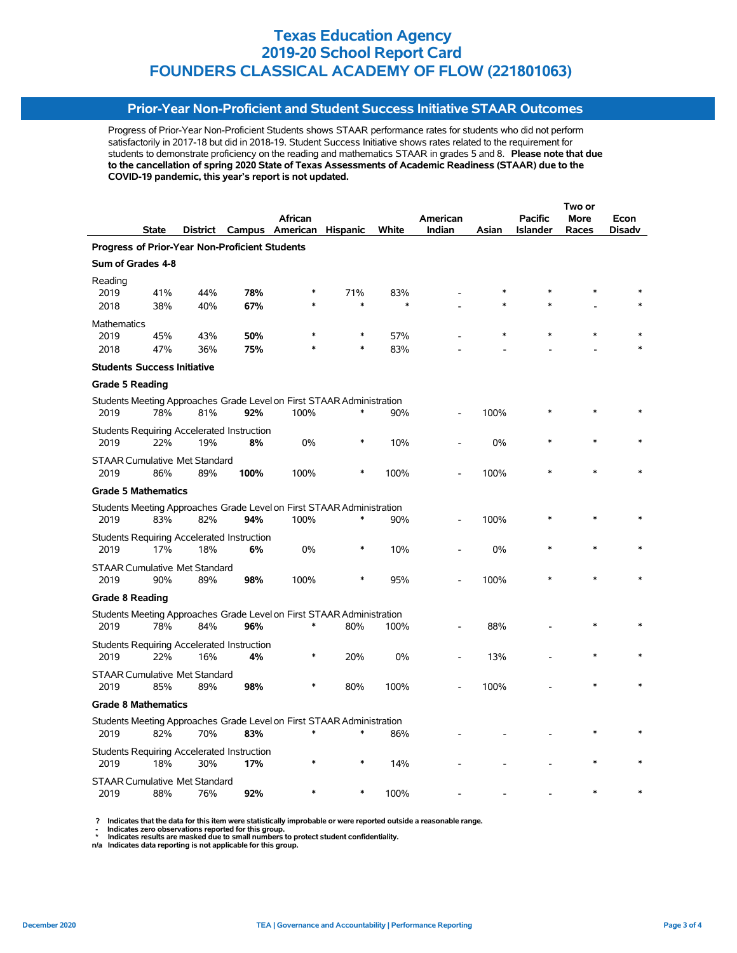# **Prior-Year Non-Proficient and Student Success Initiative STAAR Outcomes**

Progress of Prior-Year Non-Proficient Students shows STAAR performance rates for students who did not perform satisfactorily in 2017-18 but did in 2018-19. Student Success Initiative shows rates related to the requirement for students to demonstrate proficiency on the reading and mathematics STAAR in grades 5 and 8. **Please note that due to the cancellation of spring 2020 State of Texas Assessments of Academic Readiness (STAAR) due to the COVID-19 pandemic, this year's report is not updated.**

|                        |                                             |          |                                                   |                                                                       |                 |        |          |        |                | Two or      |        |
|------------------------|---------------------------------------------|----------|---------------------------------------------------|-----------------------------------------------------------------------|-----------------|--------|----------|--------|----------------|-------------|--------|
|                        |                                             |          |                                                   | African                                                               |                 |        | American |        | <b>Pacific</b> | <b>More</b> | Econ   |
|                        | <b>State</b>                                | District |                                                   | Campus American                                                       | <b>Hispanic</b> | White  | Indian   | Asian  | Islander       | Races       | Disadv |
|                        |                                             |          | Progress of Prior-Year Non-Proficient Students    |                                                                       |                 |        |          |        |                |             |        |
| Sum of Grades 4-8      |                                             |          |                                                   |                                                                       |                 |        |          |        |                |             |        |
| Reading                |                                             |          |                                                   |                                                                       |                 |        |          |        |                |             |        |
| 2019                   | 41%                                         | 44%      | 78%                                               |                                                                       | 71%             | 83%    |          |        |                |             |        |
| 2018                   | 38%                                         | 40%      | 67%                                               |                                                                       | *               | $\ast$ |          |        |                |             |        |
| <b>Mathematics</b>     |                                             |          |                                                   |                                                                       |                 |        |          |        |                |             |        |
| 2019                   | 45%                                         | 43%      | 50%                                               |                                                                       | $\ast$          | 57%    |          | $\ast$ |                |             |        |
| 2018                   | 47%                                         | 36%      | 75%                                               |                                                                       | $\ast$          | 83%    |          |        |                |             |        |
|                        | <b>Students Success Initiative</b>          |          |                                                   |                                                                       |                 |        |          |        |                |             |        |
| <b>Grade 5 Reading</b> |                                             |          |                                                   |                                                                       |                 |        |          |        |                |             |        |
|                        |                                             |          |                                                   | Students Meeting Approaches Grade Level on First STAAR Administration |                 |        |          |        |                |             |        |
| 2019                   | 78%                                         | 81%      | 92%                                               | 100%                                                                  | *               | 90%    |          | 100%   |                |             |        |
|                        |                                             |          | <b>Students Requiring Accelerated Instruction</b> |                                                                       |                 |        |          |        |                |             |        |
| 2019                   | 22%                                         | 19%      | 8%                                                | 0%                                                                    | *               | 10%    |          | 0%     |                |             |        |
|                        | <b>STAAR Cumulative Met Standard</b>        |          |                                                   |                                                                       |                 |        |          |        |                |             |        |
| 2019                   | 86%                                         | 89%      | 100%                                              | 100%                                                                  | $\ast$          | 100%   |          | 100%   |                |             |        |
|                        | <b>Grade 5 Mathematics</b>                  |          |                                                   |                                                                       |                 |        |          |        |                |             |        |
|                        |                                             |          |                                                   | Students Meeting Approaches Grade Level on First STAAR Administration |                 |        |          |        |                |             |        |
| 2019                   | 83%                                         | 82%      | 94%                                               | 100%                                                                  | $\ast$          | 90%    |          | 100%   |                |             |        |
|                        |                                             |          | <b>Students Requiring Accelerated Instruction</b> |                                                                       |                 |        |          |        |                |             |        |
| 2019                   | 17%                                         | 18%      | 6%                                                | 0%                                                                    | *               | 10%    |          | 0%     | $\ast$         | $\ast$      |        |
|                        |                                             |          |                                                   |                                                                       |                 |        |          |        |                |             |        |
| 2019                   | <b>STAAR Cumulative Met Standard</b><br>90% | 89%      | 98%                                               | 100%                                                                  |                 | 95%    |          | 100%   |                |             |        |
|                        |                                             |          |                                                   |                                                                       |                 |        |          |        |                |             |        |
| <b>Grade 8 Reading</b> |                                             |          |                                                   |                                                                       |                 |        |          |        |                |             |        |
|                        |                                             |          |                                                   | Students Meeting Approaches Grade Level on First STAAR Administration |                 |        |          |        |                |             |        |
| 2019                   | 78%                                         | 84%      | 96%                                               |                                                                       | 80%             | 100%   |          | 88%    |                |             |        |
|                        |                                             |          | Students Requiring Accelerated Instruction        |                                                                       |                 |        |          |        |                |             |        |
| 2019                   | 22%                                         | 16%      | 4%                                                | $\ast$                                                                | 20%             | 0%     |          | 13%    |                |             |        |
|                        | <b>STAAR Cumulative Met Standard</b>        |          |                                                   |                                                                       |                 |        |          |        |                |             |        |
| 2019                   | 85%                                         | 89%      | 98%                                               |                                                                       | 80%             | 100%   |          | 100%   |                |             |        |
|                        | <b>Grade 8 Mathematics</b>                  |          |                                                   |                                                                       |                 |        |          |        |                |             |        |
|                        |                                             |          |                                                   | Students Meeting Approaches Grade Level on First STAAR Administration |                 |        |          |        |                |             |        |
| 2019                   | 82%                                         | 70%      | 83%                                               |                                                                       | $\ast$          | 86%    |          |        |                |             |        |
|                        |                                             |          | <b>Students Requiring Accelerated Instruction</b> |                                                                       |                 |        |          |        |                |             |        |
| 2019                   | 18%                                         | 30%      | 17%                                               |                                                                       |                 | 14%    |          |        |                |             |        |
|                        | <b>STAAR Cumulative Met Standard</b>        |          |                                                   |                                                                       |                 |        |          |        |                |             |        |
| 2019                   | 88%                                         | 76%      | 92%                                               |                                                                       | $\ast$          | 100%   |          |        |                |             |        |

 **? Indicates that the data for this item were statistically improbable or were reported outside a reasonable range.**

 **- Indicates zero observations reported for this group.**

 **\* Indicates results are masked due to small numbers to protect student confidentiality. n/a Indicates data reporting is not applicable for this group.**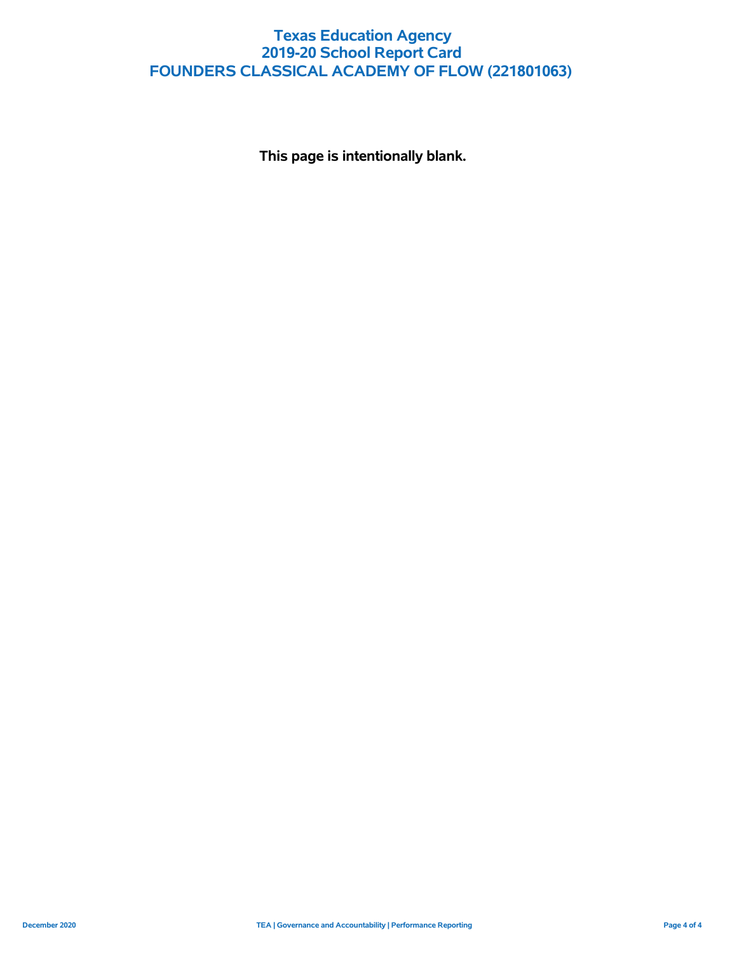**This page is intentionally blank.**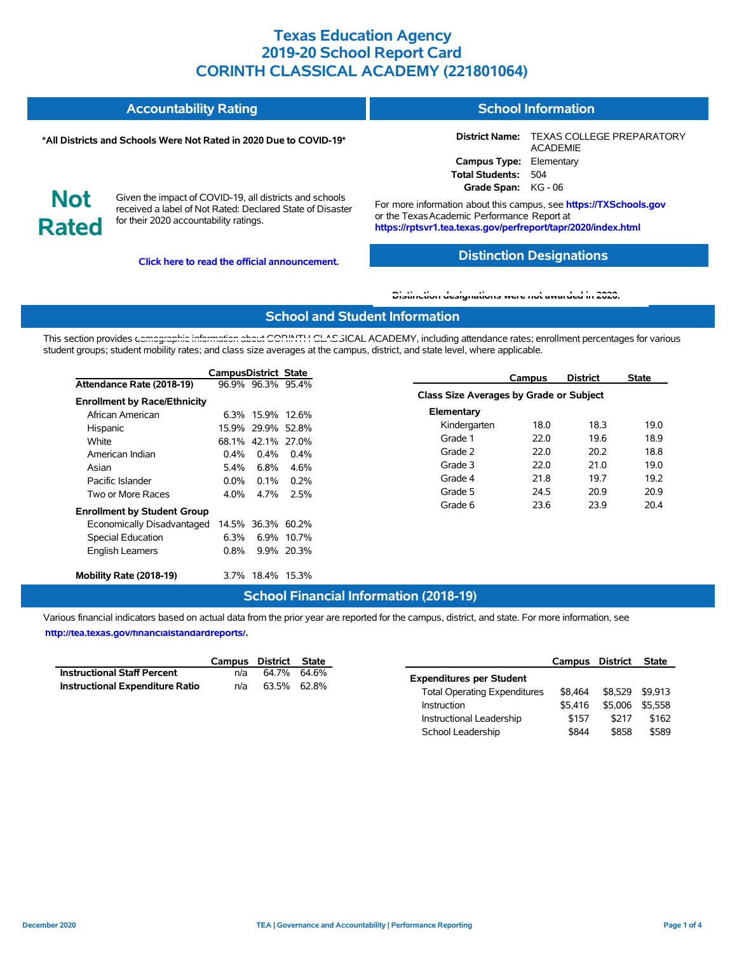|                            | <b>Accountability Rating</b>                                                                                                                                   | <b>School Information</b>                                                                                                                                                         |                                                     |  |  |  |
|----------------------------|----------------------------------------------------------------------------------------------------------------------------------------------------------------|-----------------------------------------------------------------------------------------------------------------------------------------------------------------------------------|-----------------------------------------------------|--|--|--|
|                            | *All Districts and Schools Were Not Rated in 2020 Due to COVID-19*                                                                                             | <b>District Name:</b>                                                                                                                                                             | <b>TEXAS COLLEGE PREPARATORY</b><br><b>ACADEMIE</b> |  |  |  |
|                            |                                                                                                                                                                | <b>Campus Type:</b> Elementary                                                                                                                                                    |                                                     |  |  |  |
|                            |                                                                                                                                                                | <b>Total Students: 504</b>                                                                                                                                                        |                                                     |  |  |  |
|                            |                                                                                                                                                                | Grade Span: KG - 06                                                                                                                                                               |                                                     |  |  |  |
| <b>Not</b><br><b>Rated</b> | Given the impact of COVID-19, all districts and schools<br>received a label of Not Rated: Declared State of Disaster<br>for their 2020 accountability ratings. | For more information about this campus, see https://TXSchools.gov<br>or the Texas Academic Performance Report at<br>https://rptsvr1.tea.texas.gov/perfreport/tapr/2020/index.html |                                                     |  |  |  |

**Click here to read the official announcement.**

### **Distinction Designations**

#### **[Distinction designations were not awarded in 2020.](https://rptsvr1.tea.texas.gov/perfreport/tapr/2020/index.html)**

#### **School and Student Information**

This section provides [demographic information about CORINTH CLASS](https://tea.texas.gov/about-tea/news-and-multimedia/correspondence/taa-letters/every-student-succeeds-act-essa-waiver-approval-2020-state-academic-accountability)ICAL ACADEMY, including attendance rates; enrollment percentages for various student groups; student mobility rates; and class size averages at the campus, district, and state level, where applicable.

L.

|                                     | <b>CampusDistrict State</b> |                   |            |
|-------------------------------------|-----------------------------|-------------------|------------|
| Attendance Rate (2018-19)           |                             | 96.9% 96.3% 95.4% |            |
| <b>Enrollment by Race/Ethnicity</b> |                             |                   |            |
| African American                    | 6.3%                        | 15.9%             | 12 6%      |
| Hispanic                            | 15.9%                       | 29.9%             | 52.8%      |
| White                               |                             | 68.1% 42.1%       | 27.0%      |
| American Indian                     | $0.4\%$                     | $0.4\%$           | $0.4\%$    |
| Asian                               | 5.4%                        | 6.8%              | 4.6%       |
| Pacific Islander                    | 0.0%                        | 0 1%              | 0.2%       |
| Two or More Races                   | 4.0%                        | 4 7%              | 2.5%       |
| <b>Enrollment by Student Group</b>  |                             |                   |            |
| Economically Disadvantaged          |                             | 14.5% 36.3%       | 60.2%      |
| Special Education                   | 6.3%                        |                   | 6.9% 10.7% |
| <b>English Learners</b>             | $0.8\%$                     |                   | 9.9% 20.3% |
| Mobility Rate (2018-19)             | 3.7%                        | 18.4% 15.3%       |            |

|                                                | Campus | <b>District</b> | <b>State</b> |
|------------------------------------------------|--------|-----------------|--------------|
| <b>Class Size Averages by Grade or Subject</b> |        |                 |              |
| Elementary                                     |        |                 |              |
| Kindergarten                                   | 18.0   | 18.3            | 19.0         |
| Grade 1                                        | 22.0   | 19.6            | 18.9         |
| Grade 2                                        | 22.0   | 20.2            | 18.8         |
| Grade 3                                        | 22.0   | 21.0            | 19.0         |
| Grade 4                                        | 21.8   | 19.7            | 19.2         |
| Grade 5                                        | 24.5   | 20.9            | 20.9         |
| Grade 6                                        | 23.6   | 23.9            | 20.4         |
|                                                |        |                 |              |

School Leadership  $$844$  \$858 \$589

### **School Financial Information (2018-19)**

Various financial indicators based on actual data from the prior year are reported for the campus, district, and state. For more information, see

**[http://tea.texas.gov/financialstandardreports/.](http://tea.texas.gov/financialstandardreports/)**

|                                 | Campus | District | State       |                                     | <b>Campus</b> | <b>District</b> | <b>State</b> |
|---------------------------------|--------|----------|-------------|-------------------------------------|---------------|-----------------|--------------|
| Instructional Staff Percent     | n/a    |          | 64.7% 64.6% | <b>Expenditures per Student</b>     |               |                 |              |
| Instructional Expenditure Ratio | n/a    | 63.5%    | 62.8%       | <b>Total Operating Expenditures</b> | \$8.464       | \$8,529 \$9,913 |              |
|                                 |        |          |             | Instruction                         | \$5.416       | \$5.006 \$5.558 |              |
|                                 |        |          |             | Instructional Leadership            | \$157         | \$217           | \$162        |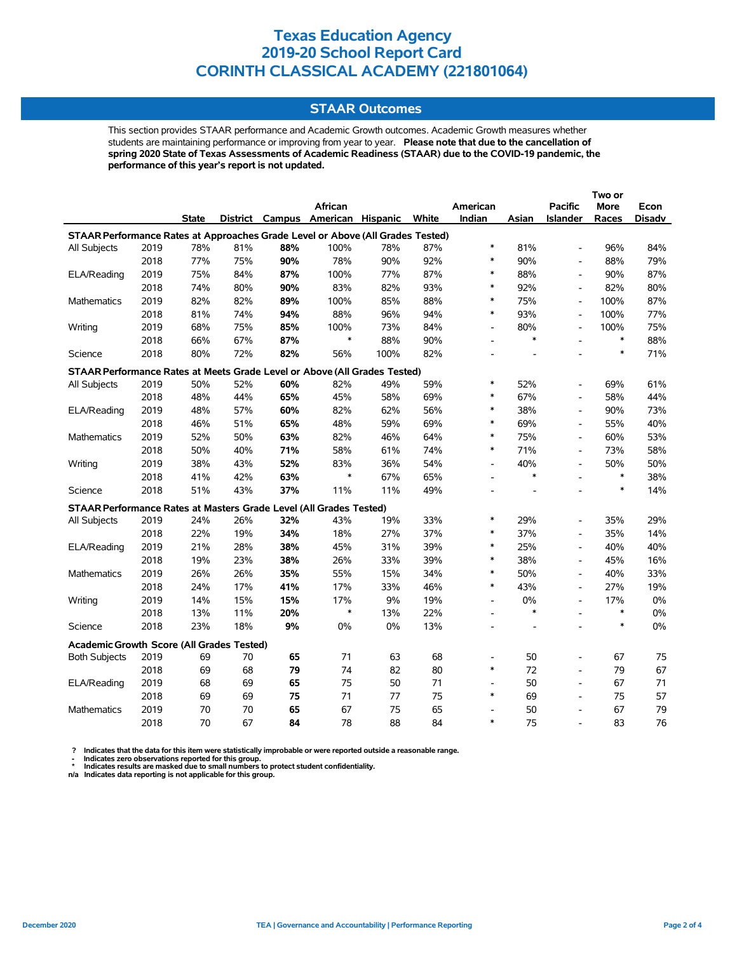#### **STAAR Outcomes**

This section provides STAAR performance and Academic Growth outcomes. Academic Growth measures whether students are maintaining performance or improving from year to year. **Please note that due to the cancellation of spring 2020 State of Texas Assessments of Academic Readiness (STAAR) due to the COVID-19 pandemic, the performance of this year's report is not updated.**

|                                                                                |      |              |          |     |                          |      |       |                          |        |                          | Two or      |               |
|--------------------------------------------------------------------------------|------|--------------|----------|-----|--------------------------|------|-------|--------------------------|--------|--------------------------|-------------|---------------|
|                                                                                |      |              |          |     | African                  |      |       | American                 |        | <b>Pacific</b>           | <b>More</b> | Econ          |
|                                                                                |      | <b>State</b> | District |     | Campus American Hispanic |      | White | Indian                   | Asian  | Islander                 | Races       | <b>Disadv</b> |
| STAAR Performance Rates at Approaches Grade Level or Above (All Grades Tested) |      |              |          |     |                          |      |       |                          |        |                          |             |               |
| All Subjects                                                                   | 2019 | 78%          | 81%      | 88% | 100%                     | 78%  | 87%   | $\ast$                   | 81%    | $\overline{a}$           | 96%         | 84%           |
|                                                                                | 2018 | 77%          | 75%      | 90% | 78%                      | 90%  | 92%   | $\ast$                   | 90%    | $\overline{a}$           | 88%         | 79%           |
| ELA/Reading                                                                    | 2019 | 75%          | 84%      | 87% | 100%                     | 77%  | 87%   | $\ast$                   | 88%    | $\overline{a}$           | 90%         | 87%           |
|                                                                                | 2018 | 74%          | 80%      | 90% | 83%                      | 82%  | 93%   | $\ast$                   | 92%    | $\overline{a}$           | 82%         | 80%           |
| Mathematics                                                                    | 2019 | 82%          | 82%      | 89% | 100%                     | 85%  | 88%   | $\ast$                   | 75%    | $\overline{a}$           | 100%        | 87%           |
|                                                                                | 2018 | 81%          | 74%      | 94% | 88%                      | 96%  | 94%   | $\ast$                   | 93%    | $\overline{a}$           | 100%        | 77%           |
| Writing                                                                        | 2019 | 68%          | 75%      | 85% | 100%                     | 73%  | 84%   | $\overline{\phantom{a}}$ | 80%    | $\overline{a}$           | 100%        | 75%           |
|                                                                                | 2018 | 66%          | 67%      | 87% | $\ast$                   | 88%  | 90%   | $\overline{\phantom{a}}$ | $\ast$ |                          | $\ast$      | 88%           |
| Science                                                                        | 2018 | 80%          | 72%      | 82% | 56%                      | 100% | 82%   |                          |        |                          | $\ast$      | 71%           |
| STAAR Performance Rates at Meets Grade Level or Above (All Grades Tested)      |      |              |          |     |                          |      |       |                          |        |                          |             |               |
| All Subjects                                                                   | 2019 | 50%          | 52%      | 60% | 82%                      | 49%  | 59%   | $\ast$                   | 52%    | $\blacksquare$           | 69%         | 61%           |
|                                                                                | 2018 | 48%          | 44%      | 65% | 45%                      | 58%  | 69%   | $\ast$                   | 67%    | $\overline{a}$           | 58%         | 44%           |
| ELA/Reading                                                                    | 2019 | 48%          | 57%      | 60% | 82%                      | 62%  | 56%   | $\ast$                   | 38%    | $\overline{a}$           | 90%         | 73%           |
|                                                                                | 2018 | 46%          | 51%      | 65% | 48%                      | 59%  | 69%   | $\ast$                   | 69%    | $\overline{a}$           | 55%         | 40%           |
| Mathematics                                                                    | 2019 | 52%          | 50%      | 63% | 82%                      | 46%  | 64%   | $\ast$                   | 75%    | $\overline{\phantom{a}}$ | 60%         | 53%           |
|                                                                                | 2018 | 50%          | 40%      | 71% | 58%                      | 61%  | 74%   | $\ast$                   | 71%    | $\overline{a}$           | 73%         | 58%           |
| Writing                                                                        | 2019 | 38%          | 43%      | 52% | 83%                      | 36%  | 54%   | $\overline{\phantom{a}}$ | 40%    | $\overline{a}$           | 50%         | 50%           |
|                                                                                | 2018 | 41%          | 42%      | 63% | $\ast$                   | 67%  | 65%   | $\overline{a}$           | $\ast$ | $\overline{a}$           | $\ast$      | 38%           |
| Science                                                                        | 2018 | 51%          | 43%      | 37% | 11%                      | 11%  | 49%   | $\overline{a}$           |        | $\overline{a}$           | $\ast$      | 14%           |
| STAAR Performance Rates at Masters Grade Level (All Grades Tested)             |      |              |          |     |                          |      |       |                          |        |                          |             |               |
| All Subjects                                                                   | 2019 | 24%          | 26%      | 32% | 43%                      | 19%  | 33%   | $\ast$                   | 29%    |                          | 35%         | 29%           |
|                                                                                | 2018 | 22%          | 19%      | 34% | 18%                      | 27%  | 37%   | $\ast$                   | 37%    | $\overline{a}$           | 35%         | 14%           |
| ELA/Reading                                                                    | 2019 | 21%          | 28%      | 38% | 45%                      | 31%  | 39%   | $\ast$                   | 25%    | $\overline{a}$           | 40%         | 40%           |
|                                                                                | 2018 | 19%          | 23%      | 38% | 26%                      | 33%  | 39%   | $\ast$                   | 38%    | $\overline{a}$           | 45%         | 16%           |
| Mathematics                                                                    | 2019 | 26%          | 26%      | 35% | 55%                      | 15%  | 34%   | $\ast$                   | 50%    | $\overline{\phantom{a}}$ | 40%         | 33%           |
|                                                                                | 2018 | 24%          | 17%      | 41% | 17%                      | 33%  | 46%   | $\ast$                   | 43%    | $\blacksquare$           | 27%         | 19%           |
| Writing                                                                        | 2019 | 14%          | 15%      | 15% | 17%                      | 9%   | 19%   | $\overline{a}$           | 0%     | $\overline{a}$           | 17%         | $0\%$         |
|                                                                                | 2018 | 13%          | 11%      | 20% | $\ast$                   | 13%  | 22%   | $\overline{a}$           | $\ast$ | $\overline{a}$           | $\ast$      | 0%            |
| Science                                                                        | 2018 | 23%          | 18%      | 9%  | 0%                       | 0%   | 13%   | $\overline{a}$           |        | $\overline{a}$           | $\ast$      | $0\%$         |
| Academic Growth Score (All Grades Tested)                                      |      |              |          |     |                          |      |       |                          |        |                          |             |               |
| <b>Both Subjects</b>                                                           | 2019 | 69           | 70       | 65  | 71                       | 63   | 68    | $\overline{\phantom{a}}$ | 50     | $\overline{a}$           | 67          | 75            |
|                                                                                | 2018 | 69           | 68       | 79  | 74                       | 82   | 80    | $\ast$                   | 72     | $\overline{a}$           | 79          | 67            |
| ELA/Reading                                                                    | 2019 | 68           | 69       | 65  | 75                       | 50   | 71    | $\overline{\phantom{a}}$ | 50     | $\overline{a}$           | 67          | 71            |
|                                                                                | 2018 | 69           | 69       | 75  | 71                       | 77   | 75    | $\ast$                   | 69     | $\overline{a}$           | 75          | 57            |
| <b>Mathematics</b>                                                             | 2019 | 70           | 70       | 65  | 67                       | 75   | 65    |                          | 50     | $\overline{a}$           | 67          | 79            |
|                                                                                | 2018 | 70           | 67       | 84  | 78                       | 88   | 84    | $\ast$                   | 75     |                          | 83          | 76            |

 **? Indicates that the data for this item were statistically improbable or were reported outside a reasonable range.**

 **- Indicates zero observations reported for this group. \* Indicates results are masked due to small numbers to protect student confidentiality.**

**n/a Indicates data reporting is not applicable for this group.**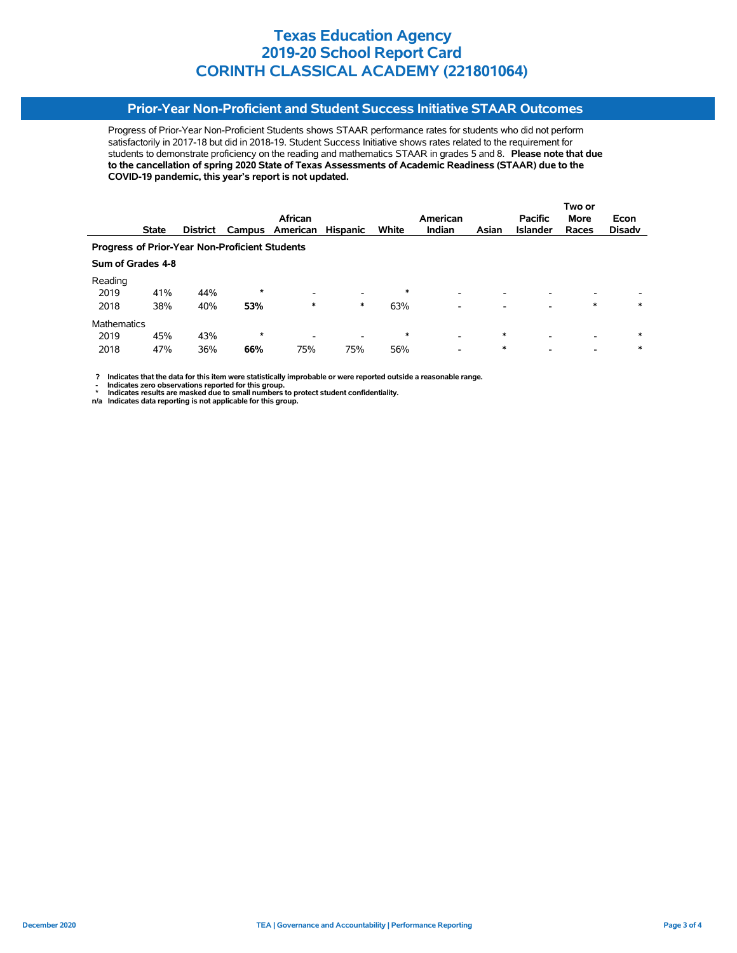# **Prior-Year Non-Proficient and Student Success Initiative STAAR Outcomes**

Progress of Prior-Year Non-Proficient Students shows STAAR performance rates for students who did not perform satisfactorily in 2017-18 but did in 2018-19. Student Success Initiative shows rates related to the requirement for students to demonstrate proficiency on the reading and mathematics STAAR in grades 5 and 8. **Please note that due to the cancellation of spring 2020 State of Texas Assessments of Academic Readiness (STAAR) due to the COVID-19 pandemic, this year's report is not updated.**

|                    |                   |                 |                                                | African         |                          |        | American                 |        | <b>Pacific</b>           | Two or<br>More           | Econ          |
|--------------------|-------------------|-----------------|------------------------------------------------|-----------------|--------------------------|--------|--------------------------|--------|--------------------------|--------------------------|---------------|
|                    | <b>State</b>      | <b>District</b> |                                                | Campus American | <b>Hispanic</b>          | White  | Indian                   | Asian  | <b>Islander</b>          | Races                    | <b>Disadv</b> |
|                    |                   |                 | Progress of Prior-Year Non-Proficient Students |                 |                          |        |                          |        |                          |                          |               |
|                    | Sum of Grades 4-8 |                 |                                                |                 |                          |        |                          |        |                          |                          |               |
| Reading            |                   |                 |                                                |                 |                          |        |                          |        |                          |                          |               |
| 2019               | 41%               | 44%             | $\star$                                        | -               | $\overline{\phantom{a}}$ | $\ast$ | $\overline{\phantom{0}}$ | -      |                          |                          |               |
| 2018               | 38%               | 40%             | 53%                                            | $\ast$          | $\ast$                   | 63%    | $\overline{\phantom{0}}$ | -      | -                        | $\ast$                   | $\ast$        |
| <b>Mathematics</b> |                   |                 |                                                |                 |                          |        |                          |        |                          |                          |               |
| 2019               | 45%               | 43%             | $\star$                                        |                 | $\overline{\phantom{a}}$ | $\ast$ | $\overline{\phantom{0}}$ | $\ast$ | $\overline{\phantom{a}}$ | $\overline{\phantom{a}}$ | ∗             |
| 2018               | 47%               | 36%             | 66%                                            | 75%             | 75%                      | 56%    | $\overline{\phantom{0}}$ | $\ast$ |                          | -                        | $\ast$        |

 **? Indicates that the data for this item were statistically improbable or were reported outside a reasonable range.**

**1.** Indicates zero observations reported for this group.<br> **1.** Indicates zero the sex mealed for this group.

 **\* Indicates results are masked due to small numbers to protect student confidentiality. n/a Indicates data reporting is not applicable for this group.**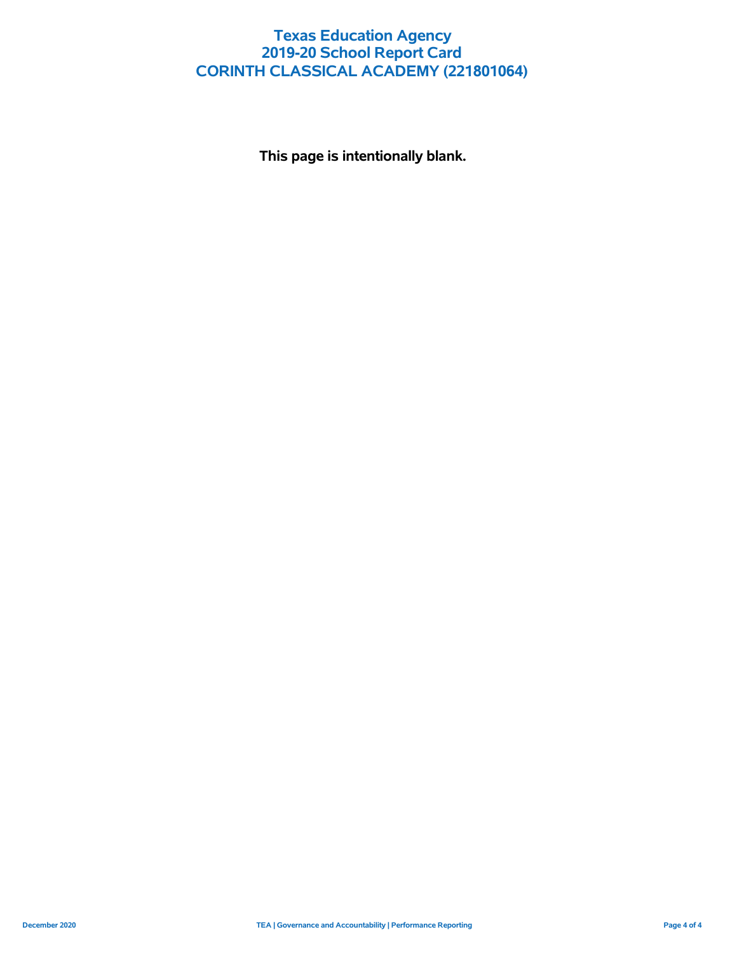**This page is intentionally blank.**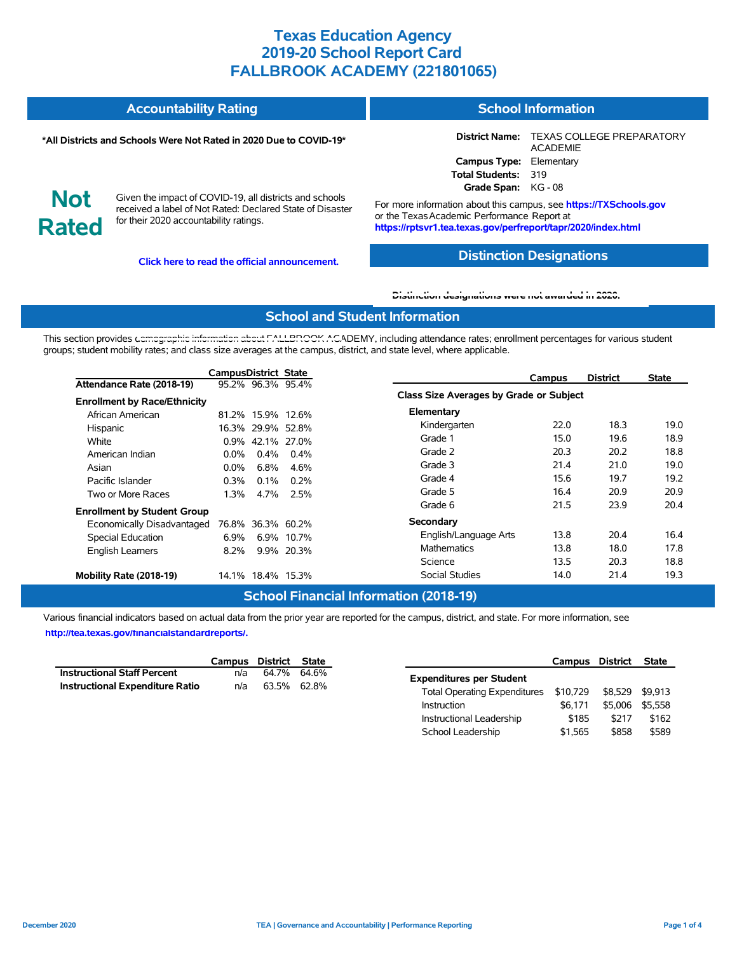| <b>Accountability Rating</b>                                                                                                                                                                 | <b>School Information</b>                                                                                                                                                         |  |
|----------------------------------------------------------------------------------------------------------------------------------------------------------------------------------------------|-----------------------------------------------------------------------------------------------------------------------------------------------------------------------------------|--|
| *All Districts and Schools Were Not Rated in 2020 Due to COVID-19*                                                                                                                           | <b>District Name:</b><br><b>TEXAS COLLEGE PREPARATORY</b><br><b>ACADEMIE</b>                                                                                                      |  |
|                                                                                                                                                                                              | Campus Type: Elementary                                                                                                                                                           |  |
|                                                                                                                                                                                              | <b>Total Students: 319</b>                                                                                                                                                        |  |
|                                                                                                                                                                                              | <b>Grade Span:</b> KG - 08                                                                                                                                                        |  |
| <b>Not</b><br>Given the impact of COVID-19, all districts and schools<br>received a label of Not Rated: Declared State of Disaster<br>for their 2020 accountability ratings.<br><b>Rated</b> | For more information about this campus, see https://TXSchools.gov<br>or the Texas Academic Performance Report at<br>https://rptsvr1.tea.texas.gov/perfreport/tapr/2020/index.html |  |

**Click here to read the official announcement.**

### **Distinction Designations**

School Leadership  $$1,565$  \$858 \$589

#### **[Distinction designations were not awarded in 2020.](https://rptsvr1.tea.texas.gov/perfreport/tapr/2020/index.html)**

#### **School and Student Information**

This section provides [demographic information about FALLBROOK ACA](https://tea.texas.gov/about-tea/news-and-multimedia/correspondence/taa-letters/every-student-succeeds-act-essa-waiver-approval-2020-state-academic-accountability)DEMY, including attendance rates; enrollment percentages for various student groups; student mobility rates; and class size averages at the campus, district, and state level, where applicable.

|         |                                                                                                         |                                                                                                                                                                                                              |      |        | <b>State</b>                                               |
|---------|---------------------------------------------------------------------------------------------------------|--------------------------------------------------------------------------------------------------------------------------------------------------------------------------------------------------------------|------|--------|------------------------------------------------------------|
|         |                                                                                                         |                                                                                                                                                                                                              |      |        |                                                            |
|         |                                                                                                         |                                                                                                                                                                                                              |      |        |                                                            |
|         |                                                                                                         | Elementary                                                                                                                                                                                                   |      |        |                                                            |
|         |                                                                                                         | Kindergarten                                                                                                                                                                                                 | 22.0 | 18.3   | 19.0                                                       |
| 0.9%    |                                                                                                         | Grade 1                                                                                                                                                                                                      | 15.0 | 19.6   | 18.9                                                       |
| $0.0\%$ | $0.4\%$                                                                                                 | Grade 2                                                                                                                                                                                                      | 20.3 | 20.2   | 18.8                                                       |
| $0.0\%$ | 4.6%                                                                                                    | Grade 3                                                                                                                                                                                                      | 21.4 | 21.0   | 19.0                                                       |
| 0.3%    | 0.2%                                                                                                    | Grade 4                                                                                                                                                                                                      | 15.6 | 19.7   | 19.2                                                       |
| 1.3%    | 2.5%                                                                                                    | Grade 5                                                                                                                                                                                                      | 16.4 | 20.9   | 20.9                                                       |
|         |                                                                                                         | Grade 6                                                                                                                                                                                                      | 21.5 | 23.9   | 20.4                                                       |
| 76.8%   |                                                                                                         | Secondary                                                                                                                                                                                                    |      |        |                                                            |
| 6.9%    |                                                                                                         | English/Language Arts                                                                                                                                                                                        | 13.8 | 20.4   | 16.4                                                       |
| 8.2%    |                                                                                                         | <b>Mathematics</b>                                                                                                                                                                                           | 13.8 | 18.0   | 17.8                                                       |
|         |                                                                                                         | Science                                                                                                                                                                                                      | 13.5 | 20.3   | 18.8                                                       |
|         |                                                                                                         | Social Studies                                                                                                                                                                                               | 14.0 | 21.4   | 19.3                                                       |
|         | <b>Enrollment by Race/Ethnicity</b><br><b>Enrollment by Student Group</b><br>Economically Disadvantaged | <b>CampusDistrict State</b><br>95.2% 96.3% 95.4%<br>81.2% 15.9% 12.6%<br>16.3% 29.9% 52.8%<br>42.1% 27.0%<br>$0.4\%$<br>6.8%<br>0.1%<br>4.7%<br>36.3% 60.2%<br>6.9% 10.7%<br>9.9% 20.3%<br>14.1% 18.4% 15.3% |      | Campus | <b>District</b><br>Class Size Averages by Grade or Subject |

#### **School Financial Information (2018-19)**

Various financial indicators based on actual data from the prior year are reported for the campus, district, and state. For more information, see

**[http://tea.texas.gov/financialstandardreports/.](http://tea.texas.gov/financialstandardreports/)**

|                                 | Campus | District State |       |                                     | Campus   | District        | <b>State</b> |
|---------------------------------|--------|----------------|-------|-------------------------------------|----------|-----------------|--------------|
| Instructional Staff Percent     | n/a    | 64.7% 64.6%    |       | <b>Expenditures per Student</b>     |          |                 |              |
| Instructional Expenditure Ratio | n/a    | 63.5%          | 62.8% | <b>Total Operating Expenditures</b> | \$10.729 | \$8,529 \$9,913 |              |
|                                 |        |                |       | Instruction                         | \$6.171  | \$5,006 \$5,558 |              |
|                                 |        |                |       | Instructional Leadership            | \$185    | \$217           | \$162        |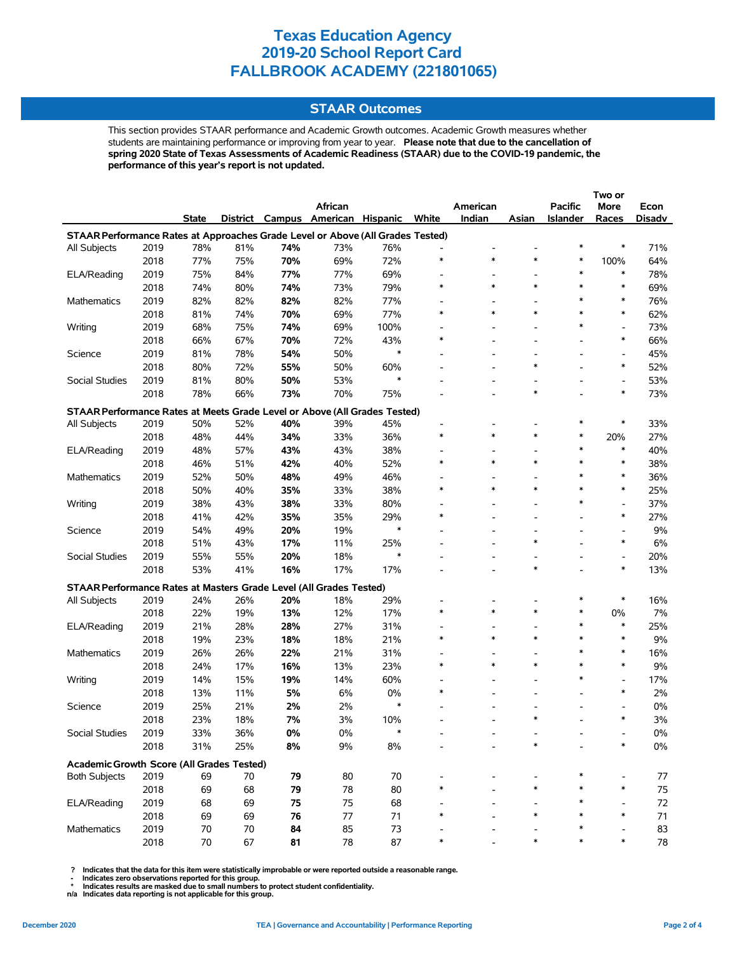### **STAAR Outcomes**

This section provides STAAR performance and Academic Growth outcomes. Academic Growth measures whether students are maintaining performance or improving from year to year. **Please note that due to the cancellation of spring 2020 State of Texas Assessments of Academic Readiness (STAAR) due to the COVID-19 pandemic, the performance of this year's report is not updated.**

|                                                                                    |      |              |                 |     |                          |        |        |          |                          |                          | Two or                   |        |
|------------------------------------------------------------------------------------|------|--------------|-----------------|-----|--------------------------|--------|--------|----------|--------------------------|--------------------------|--------------------------|--------|
|                                                                                    |      |              |                 |     | African                  |        |        | American |                          | <b>Pacific</b>           | More                     | Econ   |
|                                                                                    |      | <b>State</b> | <b>District</b> |     | Campus American Hispanic |        | White  | Indian   | Asian                    | Islander                 | Races                    | Disadv |
| STAAR Performance Rates at Approaches Grade Level or Above (All Grades Tested)     |      |              |                 |     |                          |        |        |          |                          |                          |                          |        |
| All Subjects                                                                       | 2019 | 78%          | 81%             | 74% | 73%                      | 76%    |        |          |                          | $\ast$                   | ∗                        | 71%    |
|                                                                                    | 2018 | 77%          | 75%             | 70% | 69%                      | 72%    | *      | $\ast$   | $\ast$                   | $\ast$                   | 100%                     | 64%    |
| ELA/Reading                                                                        | 2019 | 75%          | 84%             | 77% | 77%                      | 69%    |        |          |                          | $\ast$                   | $\ast$                   | 78%    |
|                                                                                    | 2018 | 74%          | 80%             | 74% | 73%                      | 79%    | $\ast$ | $\ast$   | $\ast$                   | $\ast$                   | $\ast$                   | 69%    |
| Mathematics                                                                        | 2019 | 82%          | 82%             | 82% | 82%                      | 77%    |        |          |                          | $\ast$                   | $\ast$                   | 76%    |
|                                                                                    | 2018 | 81%          | 74%             | 70% | 69%                      | 77%    | $\ast$ | $\ast$   | $\ast$                   | *                        | $\ast$                   | 62%    |
| Writing                                                                            | 2019 | 68%          | 75%             | 74% | 69%                      | 100%   |        |          |                          | *                        | $\overline{a}$           | 73%    |
|                                                                                    | 2018 | 66%          | 67%             | 70% | 72%                      | 43%    |        |          |                          |                          | $\ast$                   | 66%    |
| Science                                                                            | 2019 | 81%          | 78%             | 54% | 50%                      | $\ast$ |        |          |                          | $\overline{\phantom{0}}$ | $\overline{\phantom{a}}$ | 45%    |
|                                                                                    | 2018 | 80%          | 72%             | 55% | 50%                      | 60%    |        |          | $\ast$                   |                          | $\ast$                   | 52%    |
| Social Studies                                                                     | 2019 | 81%          | 80%             | 50% | 53%                      | $\ast$ |        |          |                          | $\overline{a}$           | Ĭ.                       | 53%    |
|                                                                                    | 2018 | 78%          | 66%             | 73% | 70%                      | 75%    |        |          | $\ast$                   |                          | $\ast$                   | 73%    |
| STAAR Performance Rates at Meets Grade Level or Above (All Grades Tested)          |      |              |                 |     |                          |        |        |          |                          |                          |                          |        |
| All Subjects                                                                       | 2019 | 50%          | 52%             | 40% | 39%                      | 45%    |        |          |                          | $\ast$                   | ∗                        | 33%    |
|                                                                                    | 2018 | 48%          | 44%             | 34% | 33%                      | 36%    | *      | $\ast$   | $\ast$                   | $\ast$                   | 20%                      | 27%    |
| ELA/Reading                                                                        | 2019 | 48%          | 57%             | 43% | 43%                      | 38%    |        |          |                          | *                        | $\ast$                   | 40%    |
|                                                                                    | 2018 | 46%          | 51%             | 42% | 40%                      | 52%    | $\ast$ | $\ast$   | $\ast$                   | $\ast$                   | $\ast$                   | 38%    |
| Mathematics                                                                        | 2019 | 52%          | 50%             | 48% | 49%                      | 46%    |        |          | $\overline{\phantom{a}}$ | $\ast$                   | $\ast$                   | 36%    |
|                                                                                    | 2018 | 50%          | 40%             | 35% | 33%                      | 38%    | $\ast$ | $\ast$   | $\ast$                   | $\ast$                   | $\ast$                   | 25%    |
| Writing                                                                            | 2019 | 38%          | 43%             | 38% | 33%                      | 80%    |        |          |                          | $\ast$                   | $\overline{a}$           | 37%    |
|                                                                                    | 2018 | 41%          | 42%             | 35% | 35%                      | 29%    | ∗      |          | $\overline{\phantom{a}}$ | $\overline{\phantom{0}}$ | $\ast$                   | 27%    |
| Science                                                                            | 2019 | 54%          | 49%             | 20% | 19%                      | $\ast$ |        |          |                          |                          | $\overline{a}$           | 9%     |
|                                                                                    | 2018 | 51%          | 43%             | 17% | 11%                      | 25%    |        |          | $\ast$                   |                          | $\ast$                   | 6%     |
| Social Studies                                                                     | 2019 | 55%          | 55%             | 20% | 18%                      | $\ast$ |        |          |                          |                          | $\overline{\phantom{a}}$ | 20%    |
|                                                                                    | 2018 | 53%          | 41%             | 16% | 17%                      | 17%    |        |          | $\ast$                   |                          | $\ast$                   | 13%    |
|                                                                                    |      |              |                 |     |                          |        |        |          |                          |                          |                          |        |
| STAAR Performance Rates at Masters Grade Level (All Grades Tested)<br>All Subjects | 2019 | 24%          | 26%             | 20% | 18%                      | 29%    |        |          |                          | *                        | $\ast$                   | 16%    |
|                                                                                    | 2018 | 22%          | 19%             | 13% | 12%                      | 17%    |        | $\ast$   | *                        | *                        | 0%                       | 7%     |
| ELA/Reading                                                                        | 2019 | 21%          | 28%             | 28% | 27%                      | 31%    |        |          |                          | $\ast$                   | $\ast$                   | 25%    |
|                                                                                    | 2018 | 19%          | 23%             | 18% | 18%                      | 21%    | $\ast$ | $\ast$   | $\ast$                   | $\ast$                   | $\ast$                   | 9%     |
| Mathematics                                                                        | 2019 | 26%          | 26%             | 22% | 21%                      | 31%    |        |          |                          | *                        | $\ast$                   | 16%    |
|                                                                                    | 2018 | 24%          | 17%             | 16% | 13%                      | 23%    | $\ast$ | $\ast$   | $\ast$                   | $\ast$                   | $\ast$                   | 9%     |
| Writing                                                                            | 2019 | 14%          | 15%             | 19% | 14%                      | 60%    |        |          |                          | *                        | $\overline{\phantom{a}}$ | 17%    |
|                                                                                    | 2018 | 13%          | 11%             | 5%  | 6%                       | 0%     | $\ast$ |          |                          |                          | $\ast$                   | 2%     |
| Science                                                                            | 2019 | 25%          | 21%             | 2%  | 2%                       | $\ast$ |        |          |                          |                          |                          | 0%     |
|                                                                                    | 2018 | 23%          | 18%             | 7%  | 3%                       | 10%    |        |          | $\ast$                   |                          | $\ast$                   | 3%     |
| Social Studies                                                                     | 2019 | 33%          | 36%             | 0%  | $0\%$                    |        |        |          |                          |                          |                          | $0\%$  |
|                                                                                    | 2018 | 31%          | 25%             | 8%  | 9%                       |        |        |          |                          |                          |                          | $0\%$  |
|                                                                                    |      |              |                 |     |                          | 8%     |        |          |                          |                          |                          |        |
| Academic Growth Score (All Grades Tested)                                          |      |              |                 |     |                          |        |        |          |                          |                          |                          |        |
| <b>Both Subjects</b>                                                               | 2019 | 69           | 70              | 79  | 80                       | 70     |        |          |                          |                          |                          | 77     |
|                                                                                    | 2018 | 69           | 68              | 79  | 78                       | 80     |        |          |                          |                          |                          | 75     |
| ELA/Reading                                                                        | 2019 | 68           | 69              | 75  | 75                       | 68     |        |          | $\ast$                   |                          | $\ast$                   | 72     |
|                                                                                    | 2018 | 69           | 69              | 76  | 77                       | 71     |        |          |                          |                          |                          | 71     |
| Mathematics                                                                        | 2019 | 70           | 70              | 84  | 85                       | 73     |        |          | *                        |                          | $\ast$                   | 83     |
|                                                                                    | 2018 | 70           | 67              | 81  | 78                       | 87     |        |          |                          |                          |                          | 78     |

 **? Indicates that the data for this item were statistically improbable or were reported outside a reasonable range.**

 **- Indicates zero observations reported for this group. \* Indicates results are masked due to small numbers to protect student confidentiality.**

**n/a Indicates data reporting is not applicable for this group.**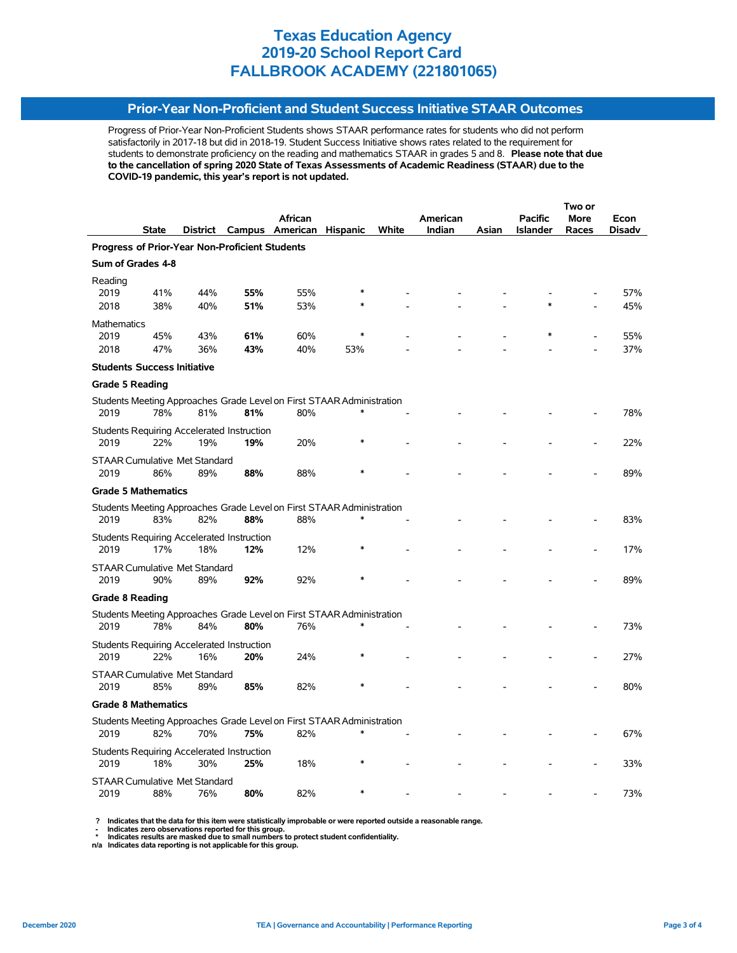### **Prior-Year Non-Proficient and Student Success Initiative STAAR Outcomes**

Progress of Prior-Year Non-Proficient Students shows STAAR performance rates for students who did not perform satisfactorily in 2017-18 but did in 2018-19. Student Success Initiative shows rates related to the requirement for students to demonstrate proficiency on the reading and mathematics STAAR in grades 5 and 8. **Please note that due to the cancellation of spring 2020 State of Texas Assessments of Academic Readiness (STAAR) due to the COVID-19 pandemic, this year's report is not updated.**

|                                              |              |     |                                                          |                          |                                                                                 |       |          |       |                 | Two or |        |
|----------------------------------------------|--------------|-----|----------------------------------------------------------|--------------------------|---------------------------------------------------------------------------------|-------|----------|-------|-----------------|--------|--------|
|                                              |              |     |                                                          | African                  |                                                                                 |       | American |       | <b>Pacific</b>  | More   | Econ   |
|                                              | <b>State</b> |     |                                                          | District Campus American | <b>Hispanic</b>                                                                 | White | Indian   | Asian | <b>Islander</b> | Races  | Disadv |
|                                              |              |     | Progress of Prior-Year Non-Proficient Students           |                          |                                                                                 |       |          |       |                 |        |        |
| Sum of Grades 4-8                            |              |     |                                                          |                          |                                                                                 |       |          |       |                 |        |        |
| Reading<br>2019                              | 41%          | 44% | 55%                                                      | 55%                      |                                                                                 |       |          |       |                 |        | 57%    |
| 2018                                         | 38%          | 40% | 51%                                                      | 53%                      |                                                                                 |       |          |       |                 |        | 45%    |
| <b>Mathematics</b>                           |              |     |                                                          |                          |                                                                                 |       |          |       |                 |        |        |
| 2019                                         | 45%          | 43% | 61%                                                      | 60%                      | $\ast$                                                                          |       |          |       |                 |        | 55%    |
| 2018                                         | 47%          | 36% | 43%                                                      | 40%                      | 53%                                                                             |       |          |       |                 |        | 37%    |
| <b>Students Success Initiative</b>           |              |     |                                                          |                          |                                                                                 |       |          |       |                 |        |        |
| <b>Grade 5 Reading</b>                       |              |     |                                                          |                          |                                                                                 |       |          |       |                 |        |        |
|                                              |              |     |                                                          |                          | Students Meeting Approaches Grade Level on First STAAR Administration           |       |          |       |                 |        |        |
| 2019                                         | 78%          | 81% | 81%                                                      | 80%                      | $\ast$                                                                          |       |          |       |                 |        | 78%    |
|                                              |              |     | Students Requiring Accelerated Instruction               |                          |                                                                                 |       |          |       |                 |        |        |
| 2019                                         | 22%          | 19% | 19%                                                      | 20%                      |                                                                                 |       |          |       |                 |        | 22%    |
| <b>STAAR Cumulative Met Standard</b>         |              |     |                                                          |                          |                                                                                 |       |          |       |                 |        |        |
| 2019                                         | 86%          | 89% | 88%                                                      | 88%                      |                                                                                 |       |          |       |                 |        | 89%    |
| <b>Grade 5 Mathematics</b>                   |              |     |                                                          |                          |                                                                                 |       |          |       |                 |        |        |
|                                              |              |     |                                                          |                          | Students Meeting Approaches Grade Level on First STAAR Administration<br>$\ast$ |       |          |       |                 |        |        |
| 2019                                         | 83%          | 82% | 88%                                                      | 88%                      |                                                                                 |       |          |       |                 |        | 83%    |
| 2019                                         | 17%          | 18% | <b>Students Requiring Accelerated Instruction</b><br>12% | 12%                      |                                                                                 |       |          |       |                 |        | 17%    |
|                                              |              |     |                                                          |                          |                                                                                 |       |          |       |                 |        |        |
| <b>STAAR Cumulative Met Standard</b><br>2019 | 90%          | 89% | 92%                                                      | 92%                      |                                                                                 |       |          |       |                 |        | 89%    |
| <b>Grade 8 Reading</b>                       |              |     |                                                          |                          |                                                                                 |       |          |       |                 |        |        |
|                                              |              |     |                                                          |                          | Students Meeting Approaches Grade Level on First STAAR Administration           |       |          |       |                 |        |        |
| 2019                                         | 78%          | 84% | 80%                                                      | 76%                      |                                                                                 |       |          |       |                 |        | 73%    |
|                                              |              |     | Students Requiring Accelerated Instruction               |                          |                                                                                 |       |          |       |                 |        |        |
| 2019                                         | 22%          | 16% | 20%                                                      | 24%                      |                                                                                 |       |          |       |                 |        | 27%    |
| <b>STAAR Cumulative Met Standard</b>         |              |     |                                                          |                          |                                                                                 |       |          |       |                 |        |        |
| 2019                                         | 85%          | 89% | 85%                                                      | 82%                      |                                                                                 |       |          |       |                 |        | 80%    |
| <b>Grade 8 Mathematics</b>                   |              |     |                                                          |                          |                                                                                 |       |          |       |                 |        |        |
|                                              |              |     |                                                          |                          | Students Meeting Approaches Grade Level on First STAAR Administration           |       |          |       |                 |        |        |
| 2019                                         | 82%          | 70% | 75%                                                      | 82%                      |                                                                                 |       |          |       |                 |        | 67%    |
|                                              |              |     | Students Requiring Accelerated Instruction               |                          |                                                                                 |       |          |       |                 |        |        |
| 2019                                         | 18%          | 30% | 25%                                                      | 18%                      |                                                                                 |       |          |       |                 |        | 33%    |
| <b>STAAR Cumulative Met Standard</b>         |              |     |                                                          |                          |                                                                                 |       |          |       |                 |        |        |
| 2019                                         | 88%          | 76% | 80%                                                      | 82%                      |                                                                                 |       |          |       |                 |        | 73%    |

 **? Indicates that the data for this item were statistically improbable or were reported outside a reasonable range.**

 **- Indicates zero observations reported for this group.**

 **\* Indicates results are masked due to small numbers to protect student confidentiality. n/a Indicates data reporting is not applicable for this group.**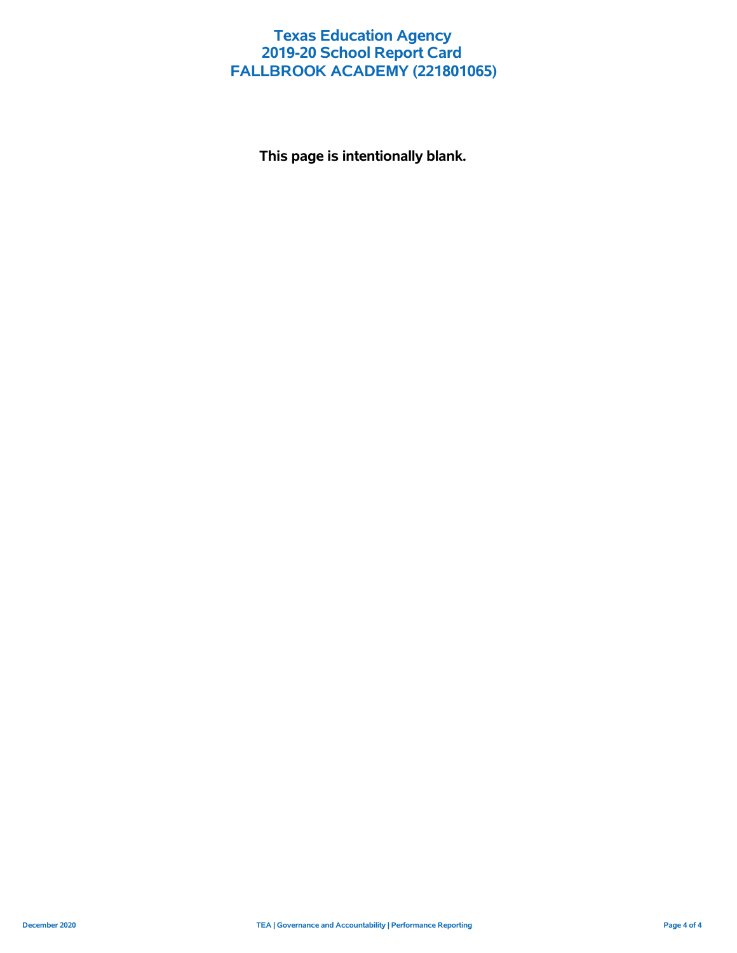**This page is intentionally blank.**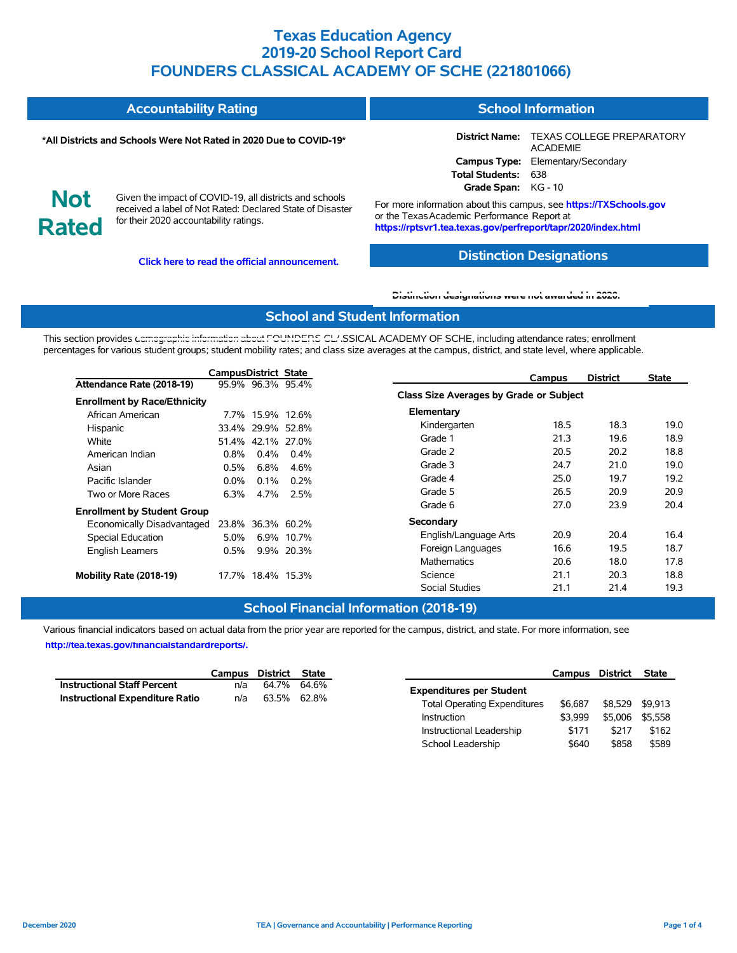|                            | <b>Accountability Rating</b>                                                                                                                                   |                                                                                                                                                                                   | <b>School Information</b>                           |
|----------------------------|----------------------------------------------------------------------------------------------------------------------------------------------------------------|-----------------------------------------------------------------------------------------------------------------------------------------------------------------------------------|-----------------------------------------------------|
|                            | *All Districts and Schools Were Not Rated in 2020 Due to COVID-19*                                                                                             | <b>District Name:</b>                                                                                                                                                             | <b>TEXAS COLLEGE PREPARATORY</b><br><b>ACADEMIE</b> |
|                            |                                                                                                                                                                |                                                                                                                                                                                   | Campus Type: Elementary/Secondary                   |
|                            |                                                                                                                                                                | <b>Total Students: 638</b>                                                                                                                                                        |                                                     |
|                            |                                                                                                                                                                | Grade Span: KG - 10                                                                                                                                                               |                                                     |
| <b>Not</b><br><b>Rated</b> | Given the impact of COVID-19, all districts and schools<br>received a label of Not Rated: Declared State of Disaster<br>for their 2020 accountability ratings. | For more information about this campus, see https://TXSchools.gov<br>or the Texas Academic Performance Report at<br>https://rptsvr1.tea.texas.gov/perfreport/tapr/2020/index.html |                                                     |

**Click here to read the official announcement.**

### **Distinction Designations**

Instructional Leadership  $$171$  \$217 \$162 School Leadership  $$640$  \$858 \$589

**[Distinction designations were not awarded in 2020.](https://rptsvr1.tea.texas.gov/perfreport/tapr/2020/index.html)**

#### **School and Student Information**

This section provides [demographic information about FOUNDERS CLA](https://tea.texas.gov/about-tea/news-and-multimedia/correspondence/taa-letters/every-student-succeeds-act-essa-waiver-approval-2020-state-academic-accountability)SSICAL ACADEMY OF SCHE, including attendance rates; enrollment percentages for various student groups; student mobility rates; and class size averages at the campus, district, and state level, where applicable.

|                                     | <b>CampusDistrict State</b> |         |                   |                                         | Campus | <b>District</b> | <b>State</b> |
|-------------------------------------|-----------------------------|---------|-------------------|-----------------------------------------|--------|-----------------|--------------|
| Attendance Rate (2018-19)           | 95.9% 96.3% 95.4%           |         |                   |                                         |        |                 |              |
| <b>Enrollment by Race/Ethnicity</b> |                             |         |                   | Class Size Averages by Grade or Subject |        |                 |              |
| African American                    |                             |         | 7.7% 15.9% 12.6%  | Elementary                              |        |                 |              |
| Hispanic                            |                             |         | 33.4% 29.9% 52.8% | Kindergarten                            | 18.5   | 18.3            | 19.0         |
| White                               | 51.4%                       | 42.1%   | 27.0%             | Grade 1                                 | 21.3   | 19.6            | 18.9         |
| American Indian                     | 0.8%                        | $0.4\%$ | 0.4%              | Grade 2                                 | 20.5   | 20.2            | 18.8         |
| Asian                               | 0.5%                        | 6.8%    | 4.6%              | Grade 3                                 | 24.7   | 21.0            | 19.0         |
| Pacific Islander                    | $0.0\%$                     | $0.1\%$ | 0.2%              | Grade 4                                 | 25.0   | 19.7            | 19.2         |
| Two or More Races                   | 6.3%                        | 4.7%    | 2.5%              | Grade 5                                 | 26.5   | 20.9            | 20.9         |
| <b>Enrollment by Student Group</b>  |                             |         |                   | Grade 6                                 | 27.0   | 23.9            | 20.4         |
| Economically Disadvantaged          | 23.8%                       |         | 36.3% 60.2%       | Secondary                               |        |                 |              |
| Special Education                   | $5.0\%$                     |         | 6.9% 10.7%        | English/Language Arts                   | 20.9   | 20.4            | 16.4         |
| <b>English Learners</b>             | 0.5%                        |         | 9.9% 20.3%        | Foreign Languages                       | 16.6   | 19.5            | 18.7         |
|                                     |                             |         |                   | <b>Mathematics</b>                      | 20.6   | 18.0            | 17.8         |
| Mobility Rate (2018-19)             | 17.7%                       |         | 18.4% 15.3%       | Science                                 | 21.1   | 20.3            | 18.8         |
|                                     |                             |         |                   | Social Studies                          | 21.1   | 21.4            | 19.3         |

### **School Financial Information (2018-19)**

Various financial indicators based on actual data from the prior year are reported for the campus, district, and state. For more information, see

**[http://tea.texas.gov/financialstandardreports/.](http://tea.texas.gov/financialstandardreports/)**

| 64.7% 64.6%<br>n/a<br><b>Expenditures per Student</b><br>Instructional Expenditure Ratio | 63.5% 62.8%<br>n/a<br>\$6.687<br><b>Total Operating Expenditures</b> |                                    | Campus District State |  | Campus District |  |
|------------------------------------------------------------------------------------------|----------------------------------------------------------------------|------------------------------------|-----------------------|--|-----------------|--|
|                                                                                          |                                                                      | <b>Instructional Staff Percent</b> |                       |  |                 |  |
|                                                                                          | \$8,529 \$9,913                                                      |                                    |                       |  |                 |  |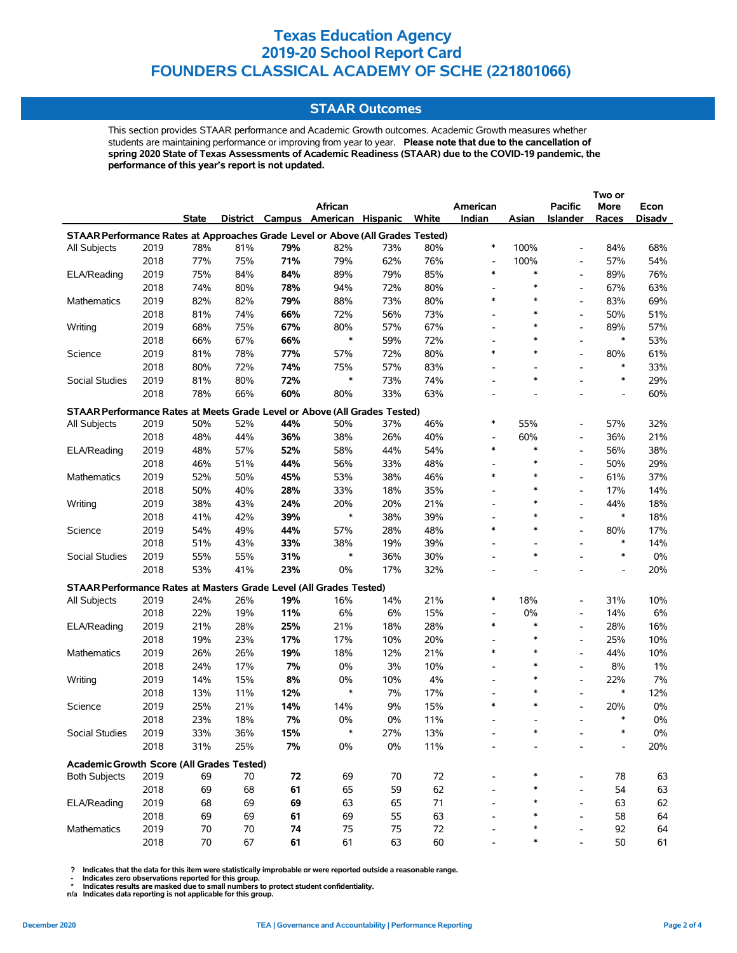### **STAAR Outcomes**

This section provides STAAR performance and Academic Growth outcomes. Academic Growth measures whether students are maintaining performance or improving from year to year. **Please note that due to the cancellation of spring 2020 State of Texas Assessments of Academic Readiness (STAAR) due to the COVID-19 pandemic, the performance of this year's report is not updated.**

|                                                                                |      |       |     |     |                                   |       |       |                          |        |                          | Two or                   |        |
|--------------------------------------------------------------------------------|------|-------|-----|-----|-----------------------------------|-------|-------|--------------------------|--------|--------------------------|--------------------------|--------|
|                                                                                |      |       |     |     | African                           |       |       | American                 |        | <b>Pacific</b>           | More                     | Econ   |
|                                                                                |      | State |     |     | District Campus American Hispanic |       | White | Indian                   | Asian  | <b>Islander</b>          | Races                    | Disadv |
| STAAR Performance Rates at Approaches Grade Level or Above (All Grades Tested) |      |       |     |     |                                   |       |       |                          |        |                          |                          |        |
| All Subjects                                                                   | 2019 | 78%   | 81% | 79% | 82%                               | 73%   | 80%   | $\ast$                   | 100%   | $\overline{a}$           | 84%                      | 68%    |
|                                                                                | 2018 | 77%   | 75% | 71% | 79%                               | 62%   | 76%   | $\overline{\phantom{a}}$ | 100%   | $\overline{\phantom{a}}$ | 57%                      | 54%    |
| ELA/Reading                                                                    | 2019 | 75%   | 84% | 84% | 89%                               | 79%   | 85%   | $\ast$                   | $\ast$ | $\overline{\phantom{0}}$ | 89%                      | 76%    |
|                                                                                | 2018 | 74%   | 80% | 78% | 94%                               | 72%   | 80%   |                          | $\ast$ | $\overline{\phantom{0}}$ | 67%                      | 63%    |
| Mathematics                                                                    | 2019 | 82%   | 82% | 79% | 88%                               | 73%   | 80%   | $\ast$                   | $\ast$ | $\overline{\phantom{0}}$ | 83%                      | 69%    |
|                                                                                | 2018 | 81%   | 74% | 66% | 72%                               | 56%   | 73%   | $\overline{\phantom{a}}$ | $\ast$ | $\overline{\phantom{0}}$ | 50%                      | 51%    |
| Writing                                                                        | 2019 | 68%   | 75% | 67% | 80%                               | 57%   | 67%   | $\overline{\phantom{a}}$ | $\ast$ | $\overline{\phantom{a}}$ | 89%                      | 57%    |
|                                                                                | 2018 | 66%   | 67% | 66% | $\ast$                            | 59%   | 72%   | Ē,                       | *      | $\overline{a}$           | $\ast$                   | 53%    |
| Science                                                                        | 2019 | 81%   | 78% | 77% | 57%                               | 72%   | 80%   | $\ast$                   | $\ast$ | $\overline{a}$           | 80%                      | 61%    |
|                                                                                | 2018 | 80%   | 72% | 74% | 75%                               | 57%   | 83%   |                          |        | $\overline{a}$           | $\ast$                   | 33%    |
| Social Studies                                                                 | 2019 | 81%   | 80% | 72% | $\ast$                            | 73%   | 74%   |                          | $\ast$ |                          | $\ast$                   | 29%    |
|                                                                                | 2018 | 78%   | 66% | 60% | 80%                               | 33%   | 63%   | $\overline{\phantom{a}}$ |        | $\overline{a}$           | $\overline{\phantom{a}}$ | 60%    |
| STAAR Performance Rates at Meets Grade Level or Above (All Grades Tested)      |      |       |     |     |                                   |       |       |                          |        |                          |                          |        |
| All Subjects                                                                   | 2019 | 50%   | 52% | 44% | 50%                               | 37%   | 46%   | $\ast$                   | 55%    | $\overline{a}$           | 57%                      | 32%    |
|                                                                                | 2018 | 48%   | 44% | 36% | 38%                               | 26%   | 40%   | $\overline{\phantom{a}}$ | 60%    | $\overline{\phantom{a}}$ | 36%                      | 21%    |
| ELA/Reading                                                                    | 2019 | 48%   | 57% | 52% | 58%                               | 44%   | 54%   | $\ast$                   | $\ast$ | $\overline{\phantom{a}}$ | 56%                      | 38%    |
|                                                                                | 2018 | 46%   | 51% | 44% | 56%                               | 33%   | 48%   | $\overline{\phantom{a}}$ | $\ast$ | $\overline{a}$           | 50%                      | 29%    |
| <b>Mathematics</b>                                                             | 2019 | 52%   | 50% | 45% | 53%                               | 38%   | 46%   | $\ast$                   | $\ast$ | $\overline{\phantom{a}}$ | 61%                      | 37%    |
|                                                                                | 2018 | 50%   | 40% | 28% | 33%                               | 18%   | 35%   | $\overline{a}$           | $\ast$ | $\overline{\phantom{0}}$ | 17%                      | 14%    |
| Writing                                                                        | 2019 | 38%   | 43% | 24% | 20%                               | 20%   | 21%   | L,                       | $\ast$ | $\overline{a}$           | 44%                      | 18%    |
|                                                                                | 2018 | 41%   | 42% | 39% | $\ast$                            | 38%   | 39%   | $\overline{\phantom{a}}$ | ∗      | $\overline{\phantom{0}}$ | $\ast$                   | 18%    |
| Science                                                                        | 2019 | 54%   | 49% | 44% | 57%                               | 28%   | 48%   | $\ast$                   | $\ast$ | $\overline{a}$           | 80%                      | 17%    |
|                                                                                | 2018 | 51%   | 43% | 33% | 38%                               | 19%   | 39%   |                          |        | $\overline{a}$           | $\ast$                   | 14%    |
| Social Studies                                                                 | 2019 | 55%   | 55% | 31% | $\ast$                            | 36%   | 30%   | $\overline{\phantom{a}}$ | $\ast$ |                          | $\ast$                   | 0%     |
|                                                                                | 2018 | 53%   | 41% | 23% | 0%                                | 17%   | 32%   |                          |        |                          |                          | 20%    |
| STAAR Performance Rates at Masters Grade Level (All Grades Tested)             |      |       |     |     |                                   |       |       |                          |        |                          |                          |        |
| All Subjects                                                                   | 2019 | 24%   | 26% | 19% | 16%                               | 14%   | 21%   | $\ast$                   | 18%    | $\overline{a}$           | 31%                      | 10%    |
|                                                                                | 2018 | 22%   | 19% | 11% | 6%                                | 6%    | 15%   | $\overline{\phantom{a}}$ | 0%     | $\overline{a}$           | 14%                      | 6%     |
| ELA/Reading                                                                    | 2019 | 21%   | 28% | 25% | 21%                               | 18%   | 28%   | $\ast$                   | $\ast$ | $\overline{\phantom{0}}$ | 28%                      | 16%    |
|                                                                                | 2018 | 19%   | 23% | 17% | 17%                               | 10%   | 20%   | $\overline{\phantom{a}}$ | ∗      | $\overline{\phantom{0}}$ | 25%                      | 10%    |
| <b>Mathematics</b>                                                             | 2019 | 26%   | 26% | 19% | 18%                               | 12%   | 21%   | $\ast$                   | $\ast$ | $\overline{\phantom{0}}$ | 44%                      | 10%    |
|                                                                                | 2018 | 24%   | 17% | 7%  | 0%                                | 3%    | 10%   | $\overline{\phantom{a}}$ | *      | $\overline{\phantom{a}}$ | 8%                       | $1\%$  |
| Writing                                                                        | 2019 | 14%   | 15% | 8%  | 0%                                | 10%   | 4%    | $\overline{\phantom{a}}$ | $\ast$ | $\overline{\phantom{0}}$ | 22%                      | 7%     |
|                                                                                | 2018 | 13%   | 11% | 12% | $\ast$                            | 7%    | 17%   | $\overline{a}$           | $\ast$ | $\overline{a}$           | $\ast$                   | 12%    |
| Science                                                                        | 2019 | 25%   | 21% | 14% | 14%                               | 9%    | 15%   | $\ast$                   | $\ast$ | $\overline{a}$           | 20%                      | 0%     |
|                                                                                | 2018 | 23%   | 18% | 7%  | 0%                                | 0%    | 11%   |                          |        | $\overline{a}$           | $\ast$                   | 0%     |
| Social Studies                                                                 | 2019 | 33%   | 36% | 15% | $\ast$                            | 27%   | 13%   |                          |        |                          |                          | $0\%$  |
|                                                                                | 2018 | 31%   | 25% | 7%  | $0\%$                             | $0\%$ | 11%   |                          |        |                          |                          | 20%    |
| Academic Growth Score (All Grades Tested)                                      |      |       |     |     |                                   |       |       |                          |        |                          |                          |        |
| <b>Both Subjects</b>                                                           | 2019 | 69    | 70  | 72  | 69                                | 70    | 72    |                          |        | $\overline{\phantom{0}}$ | 78                       | 63     |
|                                                                                | 2018 | 69    | 68  | 61  | 65                                | 59    | 62    |                          |        |                          | 54                       | 63     |
| ELA/Reading                                                                    | 2019 | 68    | 69  | 69  | 63                                | 65    | 71    |                          |        |                          | 63                       | 62     |
|                                                                                | 2018 | 69    | 69  | 61  | 69                                | 55    | 63    |                          |        | $\overline{a}$           | 58                       | 64     |
| Mathematics                                                                    | 2019 | 70    | 70  | 74  | 75                                | 75    | 72    |                          |        |                          | 92                       | 64     |
|                                                                                | 2018 | 70    | 67  | 61  | 61                                | 63    | 60    |                          | ∗      |                          | 50                       | 61     |
|                                                                                |      |       |     |     |                                   |       |       |                          |        |                          |                          |        |

 **? Indicates that the data for this item were statistically improbable or were reported outside a reasonable range.**

 **- Indicates zero observations reported for this group. \* Indicates results are masked due to small numbers to protect student confidentiality.**

**n/a Indicates data reporting is not applicable for this group.**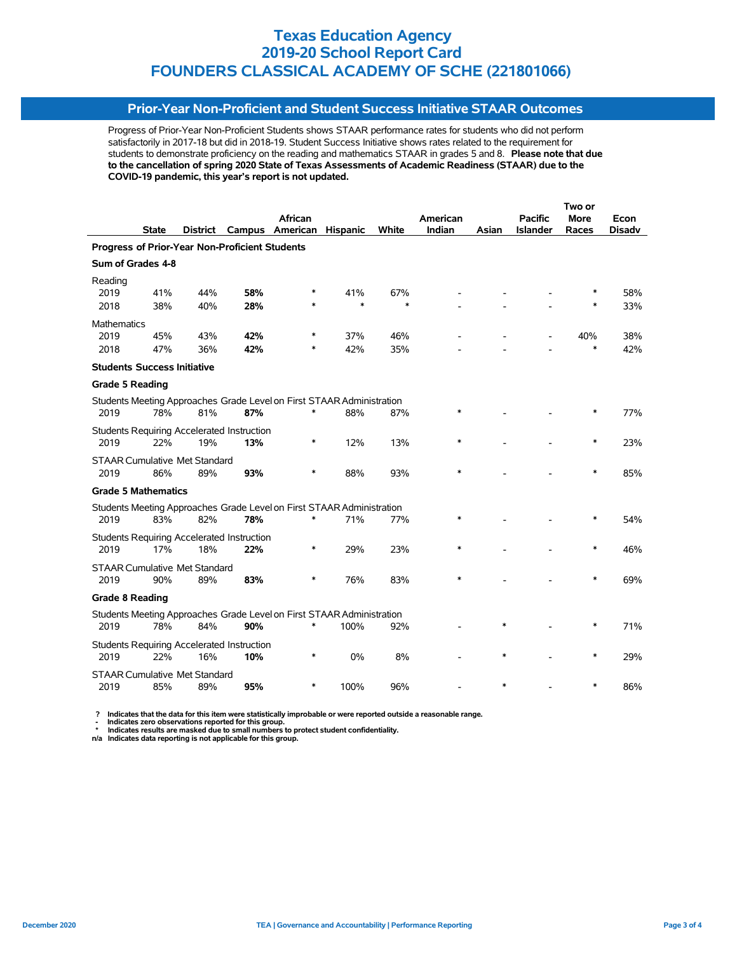#### **Prior-Year Non-Proficient and Student Success Initiative STAAR Outcomes**

Progress of Prior-Year Non-Proficient Students shows STAAR performance rates for students who did not perform satisfactorily in 2017-18 but did in 2018-19. Student Success Initiative shows rates related to the requirement for students to demonstrate proficiency on the reading and mathematics STAAR in grades 5 and 8. **Please note that due to the cancellation of spring 2020 State of Texas Assessments of Academic Readiness (STAAR) due to the COVID-19 pandemic, this year's report is not updated.**

|                                      |              |          |                                                       |                                                                       |                 |        |          |        |                 | Two or      |               |
|--------------------------------------|--------------|----------|-------------------------------------------------------|-----------------------------------------------------------------------|-----------------|--------|----------|--------|-----------------|-------------|---------------|
|                                      |              |          |                                                       | African                                                               |                 |        | American |        | <b>Pacific</b>  | <b>More</b> | Econ          |
|                                      | <b>State</b> | District |                                                       | Campus American                                                       | <b>Hispanic</b> | White  | Indian   | Asian  | <b>Islander</b> | Races       | <b>Disadv</b> |
|                                      |              |          | <b>Progress of Prior-Year Non-Proficient Students</b> |                                                                       |                 |        |          |        |                 |             |               |
| Sum of Grades 4-8                    |              |          |                                                       |                                                                       |                 |        |          |        |                 |             |               |
| Reading                              |              |          |                                                       |                                                                       |                 |        |          |        |                 |             |               |
| 2019                                 | 41%          | 44%      | 58%                                                   | $\ast$                                                                | 41%             | 67%    |          |        |                 |             | 58%           |
| 2018                                 | 38%          | 40%      | 28%                                                   | ×                                                                     | $\ast$          | $\ast$ |          |        |                 | $\ast$      | 33%           |
| Mathematics                          |              |          |                                                       |                                                                       |                 |        |          |        |                 |             |               |
| 2019                                 | 45%          | 43%      | 42%                                                   |                                                                       | 37%             | 46%    |          |        |                 | 40%         | 38%           |
| 2018                                 | 47%          | 36%      | 42%                                                   |                                                                       | 42%             | 35%    |          |        |                 | *           | 42%           |
| <b>Students Success Initiative</b>   |              |          |                                                       |                                                                       |                 |        |          |        |                 |             |               |
| <b>Grade 5 Reading</b>               |              |          |                                                       |                                                                       |                 |        |          |        |                 |             |               |
|                                      |              |          |                                                       | Students Meeting Approaches Grade Level on First STAAR Administration |                 |        |          |        |                 |             |               |
| 2019                                 | 78%          | 81%      | 87%                                                   | *                                                                     | 88%             | 87%    |          |        |                 | *           | 77%           |
|                                      |              |          | <b>Students Requiring Accelerated Instruction</b>     |                                                                       |                 |        |          |        |                 |             |               |
| 2019                                 | 22%          | 19%      | 13%                                                   | *                                                                     | 12%             | 13%    | *        |        |                 | *           | 23%           |
| <b>STAAR Cumulative Met Standard</b> |              |          |                                                       |                                                                       |                 |        |          |        |                 |             |               |
| 2019                                 | 86%          | 89%      | 93%                                                   | *                                                                     | 88%             | 93%    | *        |        |                 | *           | 85%           |
| <b>Grade 5 Mathematics</b>           |              |          |                                                       |                                                                       |                 |        |          |        |                 |             |               |
|                                      |              |          |                                                       | Students Meeting Approaches Grade Level on First STAAR Administration |                 |        |          |        |                 |             |               |
| 2019                                 | 83%          | 82%      | 78%                                                   | *                                                                     | 71%             | 77%    |          |        |                 |             | 54%           |
|                                      |              |          | <b>Students Requiring Accelerated Instruction</b>     |                                                                       |                 |        |          |        |                 |             |               |
| 2019                                 | 17%          | 18%      | 22%                                                   | *                                                                     | 29%             | 23%    | $\ast$   |        |                 | *           | 46%           |
| <b>STAAR Cumulative Met Standard</b> |              |          |                                                       |                                                                       |                 |        |          |        |                 |             |               |
| 2019                                 | 90%          | 89%      | 83%                                                   |                                                                       | 76%             | 83%    | *        |        |                 | ∗           | 69%           |
| <b>Grade 8 Reading</b>               |              |          |                                                       |                                                                       |                 |        |          |        |                 |             |               |
|                                      |              |          |                                                       | Students Meeting Approaches Grade Level on First STAAR Administration |                 |        |          |        |                 |             |               |
| 2019                                 | 78%          | 84%      | 90%                                                   | *                                                                     | 100%            | 92%    |          |        |                 |             | 71%           |
|                                      |              |          | <b>Students Requiring Accelerated Instruction</b>     |                                                                       |                 |        |          |        |                 |             |               |
| 2019                                 | 22%          | 16%      | 10%                                                   | *                                                                     | 0%              | 8%     |          | $\ast$ |                 | ∗           | 29%           |
| <b>STAAR Cumulative Met Standard</b> |              |          |                                                       |                                                                       |                 |        |          |        |                 |             |               |
| 2019                                 | 85%          | 89%      | 95%                                                   |                                                                       | 100%            | 96%    |          | $\ast$ |                 | *           | 86%           |

? Indicates that the data for this item were statistically improbable or were reported outside a reasonable range.<br>- Indicates zero observations reported for this group.<br>\* Indicates results are masked due to small numbers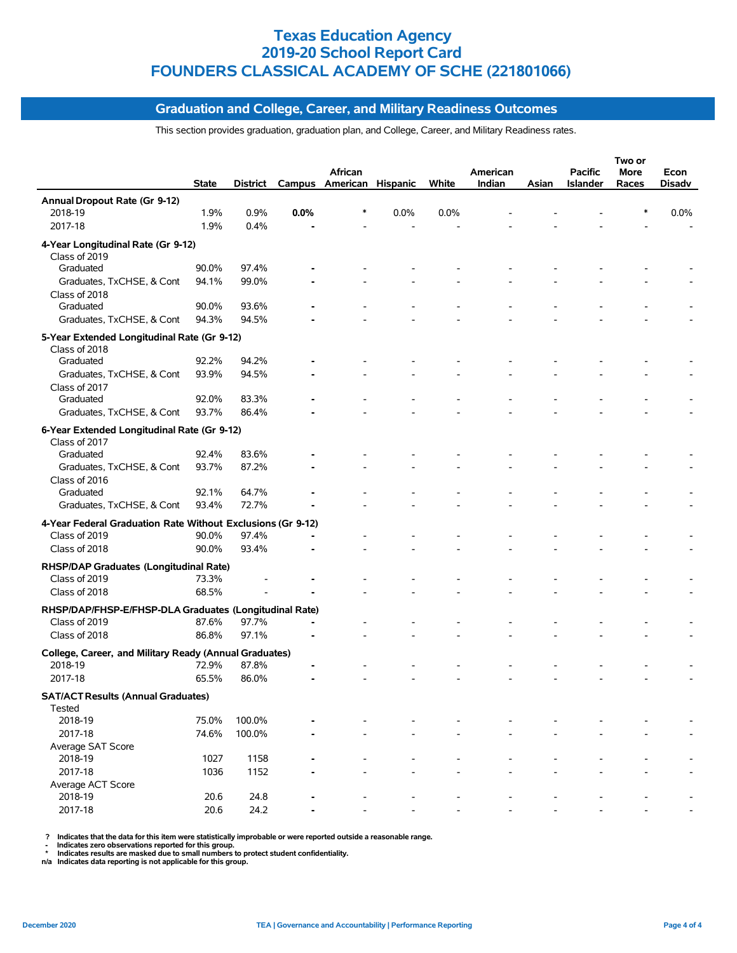# **Graduation and College, Career, and Military Readiness Outcomes**

This section provides graduation, graduation plan, and College, Career, and Military Readiness rates.

|                                                                   |       |          |        |                   |      |       |          |       |                | Two or |               |
|-------------------------------------------------------------------|-------|----------|--------|-------------------|------|-------|----------|-------|----------------|--------|---------------|
|                                                                   |       |          |        | African           |      |       | American |       | <b>Pacific</b> | More   | Econ          |
|                                                                   | State | District | Campus | American Hispanic |      | White | Indian   | Asian | Islander       | Races  | <b>Disadv</b> |
| Annual Dropout Rate (Gr 9-12)                                     |       |          |        |                   |      |       |          |       |                |        |               |
| 2018-19                                                           | 1.9%  | 0.9%     | 0.0%   |                   | 0.0% | 0.0%  |          |       |                |        | 0.0%          |
| 2017-18                                                           | 1.9%  | 0.4%     |        |                   |      |       |          |       |                |        |               |
| 4-Year Longitudinal Rate (Gr 9-12)<br>Class of 2019               |       |          |        |                   |      |       |          |       |                |        |               |
| Graduated                                                         | 90.0% | 97.4%    |        |                   |      |       |          |       |                |        |               |
| Graduates, TxCHSE, & Cont                                         | 94.1% | 99.0%    |        |                   |      |       |          |       |                |        |               |
| Class of 2018                                                     |       |          |        |                   |      |       |          |       |                |        |               |
| Graduated                                                         | 90.0% | 93.6%    |        |                   |      |       |          |       |                |        |               |
| Graduates, TxCHSE, & Cont                                         | 94.3% | 94.5%    |        |                   |      |       |          |       |                |        |               |
| 5-Year Extended Longitudinal Rate (Gr 9-12)<br>Class of 2018      |       |          |        |                   |      |       |          |       |                |        |               |
| Graduated                                                         | 92.2% | 94.2%    |        |                   |      |       |          |       |                |        |               |
| Graduates, TxCHSE, & Cont                                         | 93.9% | 94.5%    |        |                   |      |       |          |       |                |        |               |
| Class of 2017                                                     |       |          |        |                   |      |       |          |       |                |        |               |
| Graduated                                                         | 92.0% | 83.3%    |        |                   |      |       |          |       |                |        |               |
| Graduates, TxCHSE, & Cont                                         | 93.7% | 86.4%    |        |                   |      |       |          |       |                |        |               |
| 6-Year Extended Longitudinal Rate (Gr 9-12)<br>Class of 2017      |       |          |        |                   |      |       |          |       |                |        |               |
| Graduated                                                         | 92.4% | 83.6%    |        |                   |      |       |          |       |                |        |               |
| Graduates, TxCHSE, & Cont                                         | 93.7% | 87.2%    |        |                   |      |       |          |       |                |        |               |
| Class of 2016                                                     |       |          |        |                   |      |       |          |       |                |        |               |
| Graduated                                                         | 92.1% | 64.7%    |        |                   |      |       |          |       |                |        |               |
| Graduates, TxCHSE, & Cont                                         | 93.4% | 72.7%    |        |                   |      |       |          |       |                |        |               |
| 4-Year Federal Graduation Rate Without Exclusions (Gr 9-12)       |       |          |        |                   |      |       |          |       |                |        |               |
| Class of 2019                                                     | 90.0% | 97.4%    |        |                   |      |       |          |       |                |        |               |
| Class of 2018                                                     | 90.0% | 93.4%    |        |                   |      |       |          |       |                |        |               |
|                                                                   |       |          |        |                   |      |       |          |       |                |        |               |
| RHSP/DAP Graduates (Longitudinal Rate)<br>Class of 2019           | 73.3% |          |        |                   |      |       |          |       |                |        |               |
| Class of 2018                                                     | 68.5% |          |        |                   |      |       |          |       |                |        |               |
|                                                                   |       |          |        |                   |      |       |          |       |                |        |               |
| RHSP/DAP/FHSP-E/FHSP-DLA Graduates (Longitudinal Rate)            |       |          |        |                   |      |       |          |       |                |        |               |
| Class of 2019                                                     | 87.6% | 97.7%    |        |                   |      |       |          |       |                |        |               |
| Class of 2018                                                     | 86.8% | 97.1%    |        |                   |      |       |          |       |                |        |               |
| College, Career, and Military Ready (Annual Graduates)<br>2018-19 | 72.9% | 87.8%    |        |                   |      |       |          |       |                |        |               |
| 2017-18                                                           | 65.5% | 86.0%    |        |                   |      |       |          |       |                |        |               |
| <b>SAT/ACT Results (Annual Graduates)</b>                         |       |          |        |                   |      |       |          |       |                |        |               |
| Tested                                                            |       |          |        |                   |      |       |          |       |                |        |               |
| 2018-19                                                           | 75.0% | 100.0%   |        |                   |      |       |          |       |                |        |               |
| 2017-18                                                           | 74.6% | 100.0%   |        |                   |      |       |          |       |                |        |               |
| Average SAT Score<br>2018-19                                      | 1027  | 1158     |        |                   |      |       |          |       |                |        |               |
| 2017-18                                                           | 1036  | 1152     |        |                   |      |       |          |       |                |        |               |
| Average ACT Score                                                 |       |          |        |                   |      |       |          |       |                |        |               |
| 2018-19                                                           | 20.6  | 24.8     |        |                   |      |       |          |       |                |        |               |
| 2017-18                                                           | 20.6  | 24.2     |        |                   |      |       |          |       |                |        |               |

? Indicates that the data for this item were statistically improbable or were reported outside a reasonable range.<br>- Indicates zero observations reported for this group.<br>\* Indicates results are masked due to small numbers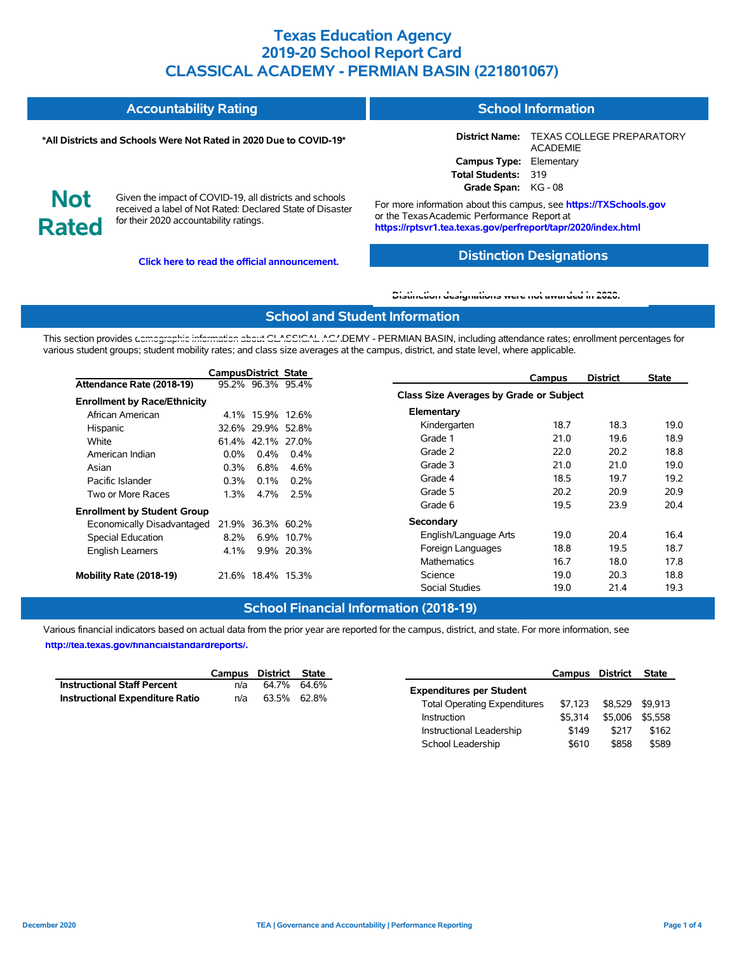|                            | <b>Accountability Rating</b>                                                                                                                                   |                                                                                                                                                                                   | <b>School Information</b>                    |
|----------------------------|----------------------------------------------------------------------------------------------------------------------------------------------------------------|-----------------------------------------------------------------------------------------------------------------------------------------------------------------------------------|----------------------------------------------|
|                            | *All Districts and Schools Were Not Rated in 2020 Due to COVID-19*                                                                                             | <b>District Name:</b>                                                                                                                                                             | TEXAS COLLEGE PREPARATORY<br><b>ACADEMIE</b> |
|                            |                                                                                                                                                                | Campus Type: Elementary                                                                                                                                                           |                                              |
|                            |                                                                                                                                                                | <b>Total Students: 319</b>                                                                                                                                                        |                                              |
|                            |                                                                                                                                                                | <b>Grade Span: KG-08</b>                                                                                                                                                          |                                              |
| <b>Not</b><br><b>Rated</b> | Given the impact of COVID-19, all districts and schools<br>received a label of Not Rated: Declared State of Disaster<br>for their 2020 accountability ratings. | For more information about this campus, see https://TXSchools.gov<br>or the Texas Academic Performance Report at<br>https://rptsvr1.tea.texas.gov/perfreport/tapr/2020/index.html |                                              |

**Click here to read the official announcement.**

### **Distinction Designations**

Instructional Leadership  $$149$  \$217 \$162 School Leadership  $$610$  \$858 \$589

#### **[Distinction designations were not awarded in 2020.](https://rptsvr1.tea.texas.gov/perfreport/tapr/2020/index.html)**

#### **School and Student Information**

This section provides [demographic information about CLASSICAL ACA](https://tea.texas.gov/about-tea/news-and-multimedia/correspondence/taa-letters/every-student-succeeds-act-essa-waiver-approval-2020-state-academic-accountability)DEMY - PERMIAN BASIN, including attendance rates; enrollment percentages for various student groups; student mobility rates; and class size averages at the campus, district, and state level, where applicable.

|                                     | <b>CampusDistrict State</b> |         |                   |                                         | Campus | <b>District</b> | <b>State</b> |
|-------------------------------------|-----------------------------|---------|-------------------|-----------------------------------------|--------|-----------------|--------------|
| Attendance Rate (2018-19)           |                             |         | 95.2% 96.3% 95.4% |                                         |        |                 |              |
| <b>Enrollment by Race/Ethnicity</b> |                             |         |                   | Class Size Averages by Grade or Subject |        |                 |              |
| African American                    |                             |         | 4.1% 15.9% 12.6%  | Elementary                              |        |                 |              |
| Hispanic                            |                             |         | 32.6% 29.9% 52.8% | Kindergarten                            | 18.7   | 18.3            | 19.0         |
| White                               | 61.4%                       |         | 42.1% 27.0%       | Grade 1                                 | 21.0   | 19.6            | 18.9         |
| American Indian                     | $0.0\%$                     | $0.4\%$ | 0.4%              | Grade 2                                 | 22.0   | 20.2            | 18.8         |
| Asian                               | 0.3%                        | 6.8%    | 4.6%              | Grade 3                                 | 21.0   | 21.0            | 19.0         |
| Pacific Islander                    | 0.3%                        | $0.1\%$ | 0.2%              | Grade 4                                 | 18.5   | 19.7            | 19.2         |
| Two or More Races                   | 1.3%                        | 4.7%    | 2.5%              | Grade 5                                 | 20.2   | 20.9            | 20.9         |
| <b>Enrollment by Student Group</b>  |                             |         |                   | Grade 6                                 | 19.5   | 23.9            | 20.4         |
| Economically Disadvantaged          | 21.9%                       |         | 36.3% 60.2%       | Secondary                               |        |                 |              |
| Special Education                   | 8.2%                        |         | 6.9% 10.7%        | English/Language Arts                   | 19.0   | 20.4            | 16.4         |
| <b>English Learners</b>             | 4.1%                        |         | 9.9% 20.3%        | Foreign Languages                       | 18.8   | 19.5            | 18.7         |
|                                     |                             |         |                   | Mathematics                             | 16.7   | 18.0            | 17.8         |
| Mobility Rate (2018-19)             | 21.6%                       |         | 18.4% 15.3%       | Science                                 | 19.0   | 20.3            | 18.8         |
|                                     |                             |         |                   | <b>Social Studies</b>                   | 19.0   | 21.4            | 19.3         |

### **School Financial Information (2018-19)**

Various financial indicators based on actual data from the prior year are reported for the campus, district, and state. For more information, see

**[http://tea.texas.gov/financialstandardreports/.](http://tea.texas.gov/financialstandardreports/)**

|                                        | Campus | District State |       | Campus District State |                                     |
|----------------------------------------|--------|----------------|-------|-----------------------|-------------------------------------|
| <b>Instructional Staff Percent</b>     | n/a    | 64.7% 64.6%    |       |                       |                                     |
| <b>Instructional Expenditure Ratio</b> | n/a    | 63.5%          | 62.8% |                       | <b>Expenditures per Student</b>     |
|                                        |        |                |       | \$7,123               | <b>Total Operating Expenditures</b> |
|                                        |        |                |       | \$5.314               | Instruction                         |

Ē,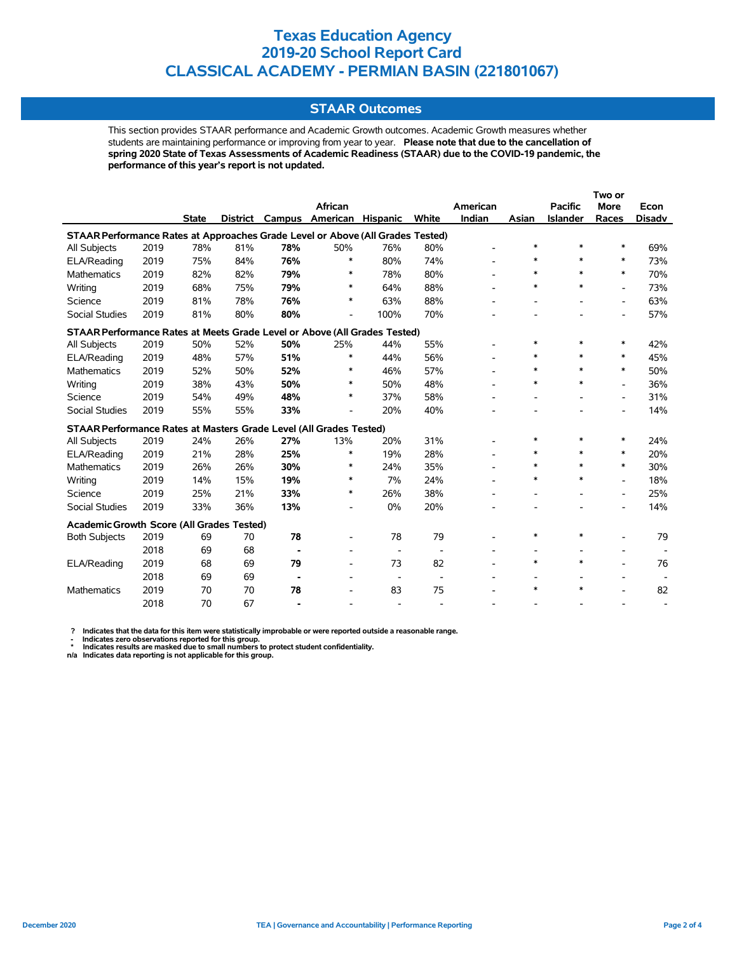### **STAAR Outcomes**

This section provides STAAR performance and Academic Growth outcomes. Academic Growth measures whether students are maintaining performance or improving from year to year. **Please note that due to the cancellation of spring 2020 State of Texas Assessments of Academic Readiness (STAAR) due to the COVID-19 pandemic, the performance of this year's report is not updated.**

|                                                                                |      |              |     |     |                          |                          |       |          |        |                 | Two or                   |               |
|--------------------------------------------------------------------------------|------|--------------|-----|-----|--------------------------|--------------------------|-------|----------|--------|-----------------|--------------------------|---------------|
|                                                                                |      |              |     |     | African                  |                          |       | American |        | <b>Pacific</b>  | <b>More</b>              | Econ          |
|                                                                                |      | <b>State</b> |     |     | District Campus American | <b>Hispanic</b>          | White | Indian   | Asian  | <b>Islander</b> | Races                    | <b>Disadv</b> |
| STAAR Performance Rates at Approaches Grade Level or Above (All Grades Tested) |      |              |     |     |                          |                          |       |          |        |                 |                          |               |
| All Subjects                                                                   | 2019 | 78%          | 81% | 78% | 50%                      | 76%                      | 80%   |          | *      | $\ast$          | *                        | 69%           |
| ELA/Reading                                                                    | 2019 | 75%          | 84% | 76% | $\ast$                   | 80%                      | 74%   |          | *      | $\ast$          | *                        | 73%           |
| <b>Mathematics</b>                                                             | 2019 | 82%          | 82% | 79% | ∗                        | 78%                      | 80%   |          | *      | $\ast$          | $\ast$                   | 70%           |
| Writing                                                                        | 2019 | 68%          | 75% | 79% | ∗                        | 64%                      | 88%   |          | *      | $\ast$          |                          | 73%           |
| Science                                                                        | 2019 | 81%          | 78% | 76% | $\ast$                   | 63%                      | 88%   |          |        |                 |                          | 63%           |
| <b>Social Studies</b>                                                          | 2019 | 81%          | 80% | 80% | $\overline{\phantom{a}}$ | 100%                     | 70%   |          |        |                 | $\overline{\phantom{a}}$ | 57%           |
| STAAR Performance Rates at Meets Grade Level or Above (All Grades Tested)      |      |              |     |     |                          |                          |       |          |        |                 |                          |               |
| All Subjects                                                                   | 2019 | 50%          | 52% | 50% | 25%                      | 44%                      | 55%   |          | *      | $\ast$          | *                        | 42%           |
| ELA/Reading                                                                    | 2019 | 48%          | 57% | 51% | $\ast$                   | 44%                      | 56%   |          | $\ast$ | $\ast$          | $\ast$                   | 45%           |
| <b>Mathematics</b>                                                             | 2019 | 52%          | 50% | 52% | ∗                        | 46%                      | 57%   |          | *      | $\ast$          | *                        | 50%           |
| Writing                                                                        | 2019 | 38%          | 43% | 50% | $\ast$                   | 50%                      | 48%   |          | *      | $\ast$          |                          | 36%           |
| Science                                                                        | 2019 | 54%          | 49% | 48% | $\ast$                   | 37%                      | 58%   |          |        |                 | $\overline{\phantom{a}}$ | 31%           |
| <b>Social Studies</b>                                                          | 2019 | 55%          | 55% | 33% |                          | 20%                      | 40%   |          |        |                 |                          | 14%           |
| STAAR Performance Rates at Masters Grade Level (All Grades Tested)             |      |              |     |     |                          |                          |       |          |        |                 |                          |               |
| All Subjects                                                                   | 2019 | 24%          | 26% | 27% | 13%                      | 20%                      | 31%   |          | *      | $\ast$          | $\ast$                   | 24%           |
| ELA/Reading                                                                    | 2019 | 21%          | 28% | 25% | $\ast$                   | 19%                      | 28%   |          | *      | $\ast$          | $\ast$                   | 20%           |
| <b>Mathematics</b>                                                             | 2019 | 26%          | 26% | 30% | ∗                        | 24%                      | 35%   |          | $\ast$ | $\ast$          | *                        | 30%           |
| Writing                                                                        | 2019 | 14%          | 15% | 19% | $\ast$                   | 7%                       | 24%   |          | *      | $\ast$          |                          | 18%           |
| Science                                                                        | 2019 | 25%          | 21% | 33% | ∗                        | 26%                      | 38%   |          |        |                 | $\overline{\phantom{a}}$ | 25%           |
| <b>Social Studies</b>                                                          | 2019 | 33%          | 36% | 13% |                          | 0%                       | 20%   |          |        |                 |                          | 14%           |
| Academic Growth Score (All Grades Tested)                                      |      |              |     |     |                          |                          |       |          |        |                 |                          |               |
| <b>Both Subjects</b>                                                           | 2019 | 69           | 70  | 78  |                          | 78                       | 79    |          | *      | $\ast$          |                          | 79            |
|                                                                                | 2018 | 69           | 68  |     |                          | $\overline{\phantom{a}}$ |       |          |        |                 |                          |               |
| ELA/Reading                                                                    | 2019 | 68           | 69  | 79  | $\overline{\phantom{a}}$ | 73                       | 82    |          | *      | $\ast$          |                          | 76            |
|                                                                                | 2018 | 69           | 69  |     |                          | $\overline{\phantom{a}}$ |       |          |        |                 |                          |               |
| <b>Mathematics</b>                                                             | 2019 | 70           | 70  | 78  |                          | 83                       | 75    |          | *      | $\ast$          |                          | 82            |
|                                                                                | 2018 | 70           | 67  |     |                          |                          |       |          |        |                 |                          |               |

? Indicates that the data for this item were statistically improbable or were reported outside a reasonable range.<br>- Indicates zero observations reported for this group.

 **\* Indicates results are masked due to small numbers to protect student confidentiality. n/a Indicates data reporting is not applicable for this group.**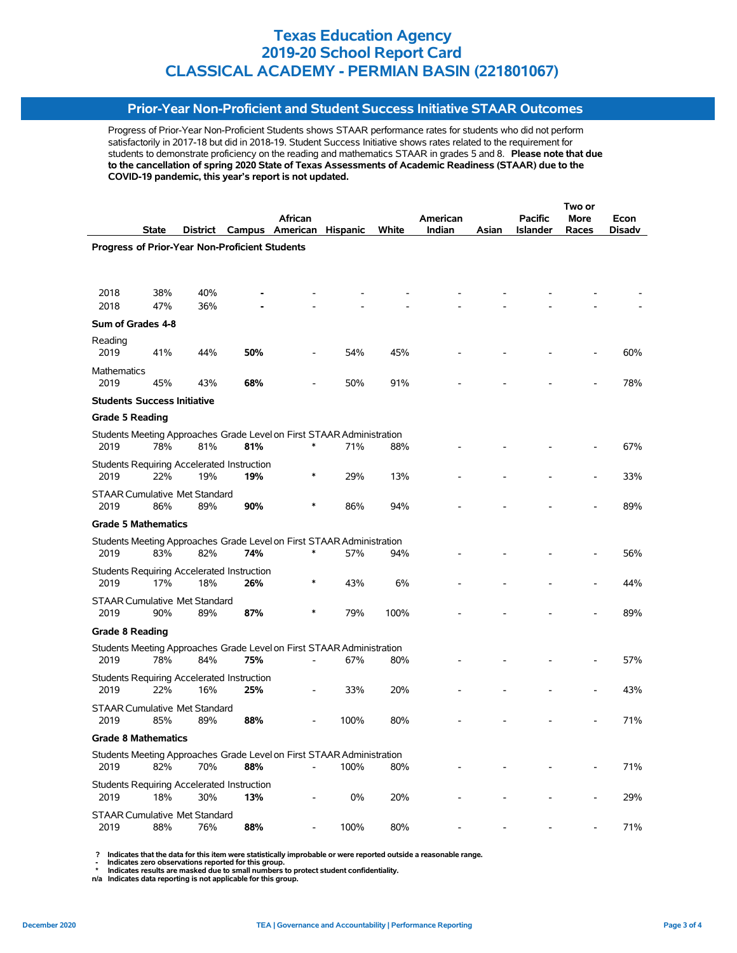### **Prior-Year Non-Proficient and Student Success Initiative STAAR Outcomes**

Progress of Prior-Year Non-Proficient Students shows STAAR performance rates for students who did not perform satisfactorily in 2017-18 but did in 2018-19. Student Success Initiative shows rates related to the requirement for students to demonstrate proficiency on the reading and mathematics STAAR in grades 5 and 8. **Please note that due to the cancellation of spring 2020 State of Texas Assessments of Academic Readiness (STAAR) due to the COVID-19 pandemic, this year's report is not updated.**

|                                      |              |          |                                                                       |         |      |       |          |       |                | Two or |        |
|--------------------------------------|--------------|----------|-----------------------------------------------------------------------|---------|------|-------|----------|-------|----------------|--------|--------|
|                                      |              |          |                                                                       | African |      |       | American |       | <b>Pacific</b> | More   | Econ   |
|                                      | <b>State</b> | District | Campus American Hispanic                                              |         |      | White | Indian   | Asian | Islander       | Races  | Disadv |
|                                      |              |          | <b>Progress of Prior-Year Non-Proficient Students</b>                 |         |      |       |          |       |                |        |        |
|                                      |              |          |                                                                       |         |      |       |          |       |                |        |        |
|                                      |              |          |                                                                       |         |      |       |          |       |                |        |        |
| 2018                                 | 38%          | 40%      |                                                                       |         |      |       |          |       |                |        |        |
| 2018                                 | 47%          | 36%      |                                                                       |         |      |       |          |       |                |        |        |
| Sum of Grades 4-8                    |              |          |                                                                       |         |      |       |          |       |                |        |        |
| Reading                              |              |          |                                                                       |         |      |       |          |       |                |        |        |
| 2019                                 | 41%          | 44%      | 50%                                                                   |         | 54%  | 45%   |          |       |                |        | 60%    |
| Mathematics                          |              |          |                                                                       |         |      |       |          |       |                |        |        |
| 2019                                 | 45%          | 43%      | 68%                                                                   |         | 50%  | 91%   |          |       |                |        | 78%    |
| <b>Students Success Initiative</b>   |              |          |                                                                       |         |      |       |          |       |                |        |        |
| <b>Grade 5 Reading</b>               |              |          |                                                                       |         |      |       |          |       |                |        |        |
|                                      |              |          | Students Meeting Approaches Grade Level on First STAAR Administration |         |      |       |          |       |                |        |        |
| 2019                                 | 78%          | 81%      | 81%                                                                   |         | 71%  | 88%   |          |       |                |        | 67%    |
|                                      |              |          | Students Requiring Accelerated Instruction                            |         |      |       |          |       |                |        |        |
| 2019                                 | 22%          | 19%      | 19%                                                                   | *       | 29%  | 13%   |          |       |                |        | 33%    |
| <b>STAAR Cumulative Met Standard</b> |              |          |                                                                       |         |      |       |          |       |                |        |        |
| 2019                                 | 86%          | 89%      | 90%                                                                   | *       | 86%  | 94%   |          |       |                |        | 89%    |
| <b>Grade 5 Mathematics</b>           |              |          |                                                                       |         |      |       |          |       |                |        |        |
|                                      |              |          | Students Meeting Approaches Grade Level on First STAAR Administration |         |      |       |          |       |                |        |        |
| 2019                                 | 83%          | 82%      | 74%                                                                   | ∗       | 57%  | 94%   |          |       |                |        | 56%    |
|                                      |              |          | <b>Students Requiring Accelerated Instruction</b>                     |         |      |       |          |       |                |        |        |
| 2019                                 | 17%          | 18%      | 26%                                                                   | $\ast$  | 43%  | 6%    |          |       |                |        | 44%    |
| <b>STAAR Cumulative Met Standard</b> |              |          |                                                                       |         |      |       |          |       |                |        |        |
| 2019                                 | 90%          | 89%      | 87%                                                                   |         | 79%  | 100%  |          |       |                |        | 89%    |
| <b>Grade 8 Reading</b>               |              |          |                                                                       |         |      |       |          |       |                |        |        |
|                                      |              |          | Students Meeting Approaches Grade Level on First STAAR Administration |         |      |       |          |       |                |        |        |
| 2019                                 | 78%          | 84%      | 75%                                                                   |         | 67%  | 80%   |          |       |                |        | 57%    |
|                                      |              |          | <b>Students Requiring Accelerated Instruction</b>                     |         |      |       |          |       |                |        |        |
| 2019                                 | 22%          | 16%      | 25%                                                                   |         | 33%  | 20%   |          |       |                |        | 43%    |
| <b>STAAR Cumulative Met Standard</b> |              |          |                                                                       |         |      |       |          |       |                |        |        |
| 2019                                 | 85%          | 89%      | 88%                                                                   |         | 100% | 80%   |          |       |                |        | 71%    |
| <b>Grade 8 Mathematics</b>           |              |          |                                                                       |         |      |       |          |       |                |        |        |
|                                      |              |          | Students Meeting Approaches Grade Level on First STAAR Administration |         |      |       |          |       |                |        |        |
| 2019                                 | 82%          | 70%      | 88%                                                                   |         | 100% | 80%   |          |       |                |        | 71%    |
|                                      |              |          | <b>Students Requiring Accelerated Instruction</b>                     |         |      |       |          |       |                |        |        |
| 2019                                 | 18%          | 30%      | 13%                                                                   |         | 0%   | 20%   |          |       |                |        | 29%    |
| STAAR Cumulative Met Standard        |              |          |                                                                       |         |      |       |          |       |                |        |        |
| 2019                                 | 88%          | 76%      | 88%                                                                   |         | 100% | 80%   |          |       |                |        | 71%    |

 **? Indicates that the data for this item were statistically improbable or were reported outside a reasonable range.**

 **- Indicates zero observations reported for this group. \* Indicates results are masked due to small numbers to protect student confidentiality.**

**n/a Indicates data reporting is not applicable for this group.**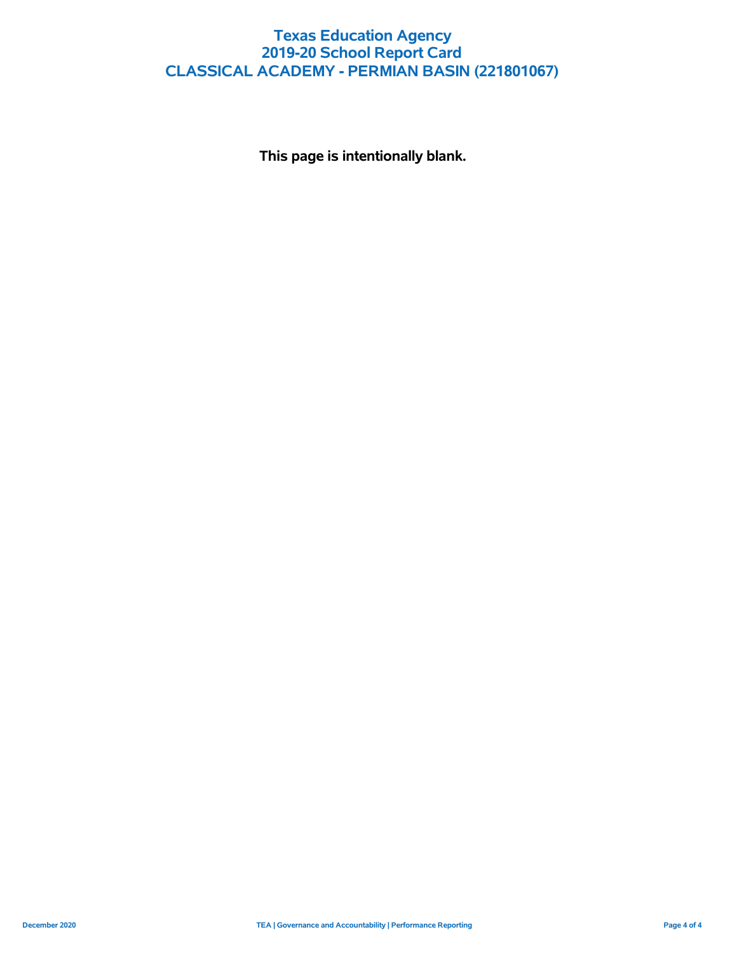**This page is intentionally blank.**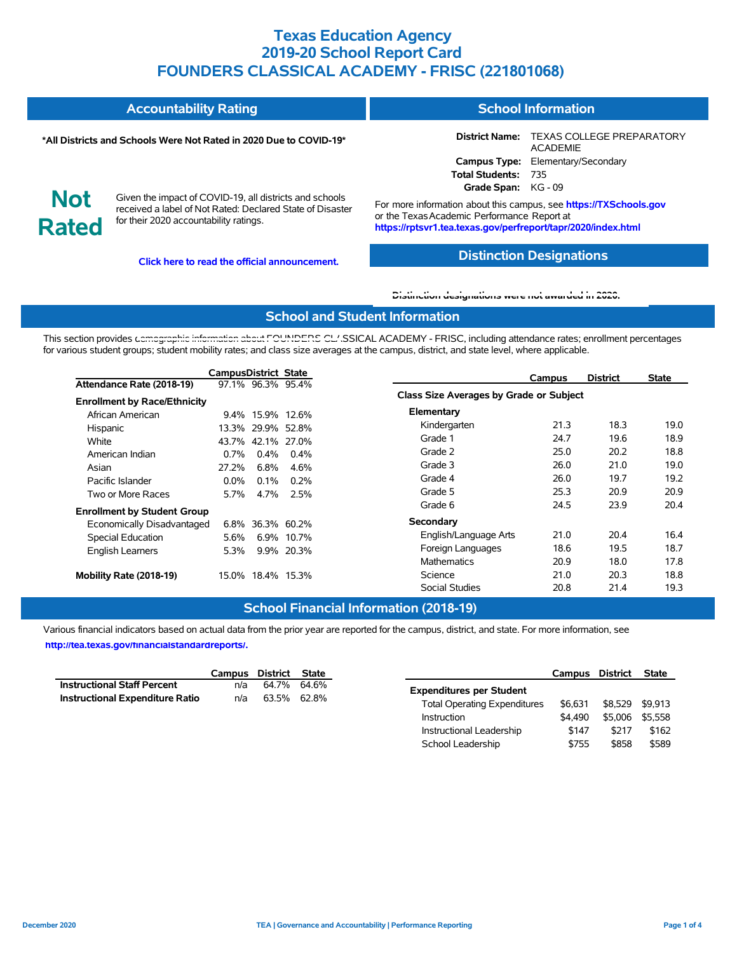|                            | <b>Accountability Rating</b>                                                                                                                                   |                                                                                                                                                                                   | <b>School Information</b>                           |
|----------------------------|----------------------------------------------------------------------------------------------------------------------------------------------------------------|-----------------------------------------------------------------------------------------------------------------------------------------------------------------------------------|-----------------------------------------------------|
|                            | *All Districts and Schools Were Not Rated in 2020 Due to COVID-19*                                                                                             | <b>District Name:</b>                                                                                                                                                             | <b>TEXAS COLLEGE PREPARATORY</b><br><b>ACADEMIE</b> |
|                            |                                                                                                                                                                |                                                                                                                                                                                   | Campus Type: Elementary/Secondary                   |
|                            |                                                                                                                                                                | <b>Total Students: 735</b>                                                                                                                                                        |                                                     |
|                            |                                                                                                                                                                | Grade Span: KG - 09                                                                                                                                                               |                                                     |
| <b>Not</b><br><b>Rated</b> | Given the impact of COVID-19, all districts and schools<br>received a label of Not Rated: Declared State of Disaster<br>for their 2020 accountability ratings. | For more information about this campus, see https://TXSchools.gov<br>or the Texas Academic Performance Report at<br>https://rptsvr1.tea.texas.gov/perfreport/tapr/2020/index.html |                                                     |

**Click here to read the official announcement.**

#### **Distinction Designations**

Instructional Leadership  $$147$  \$217 \$162 School Leadership  $$755$  \$858 \$589

#### **[Distinction designations were not awarded in 2020.](https://rptsvr1.tea.texas.gov/perfreport/tapr/2020/index.html)**

#### **School and Student Information**

This section provides [demographic information about FOUNDERS CLA](https://tea.texas.gov/about-tea/news-and-multimedia/correspondence/taa-letters/every-student-succeeds-act-essa-waiver-approval-2020-state-academic-accountability)SSICAL ACADEMY - FRISC, including attendance rates; enrollment percentages for various student groups; student mobility rates; and class size averages at the campus, district, and state level, where applicable.

|                                     | <b>CampusDistrict State</b> |         |                   |                                         | Campus | <b>District</b> | <b>State</b> |
|-------------------------------------|-----------------------------|---------|-------------------|-----------------------------------------|--------|-----------------|--------------|
| Attendance Rate (2018-19)           |                             |         | 97.1% 96.3% 95.4% |                                         |        |                 |              |
| <b>Enrollment by Race/Ethnicity</b> |                             |         |                   | Class Size Averages by Grade or Subject |        |                 |              |
| African American                    | $9.4\%$                     |         | 15.9% 12.6%       | Elementary                              |        |                 |              |
| Hispanic                            |                             |         | 13.3% 29.9% 52.8% | Kindergarten                            | 21.3   | 18.3            | 19.0         |
| White                               |                             |         | 43.7% 42.1% 27.0% | Grade 1                                 | 24.7   | 19.6            | 18.9         |
| American Indian                     | $0.7\%$                     | $0.4\%$ | 0.4%              | Grade 2                                 | 25.0   | 20.2            | 18.8         |
| Asian                               | 27.2%                       | 6.8%    | 4.6%              | Grade 3                                 | 26.0   | 21.0            | 19.0         |
| Pacific Islander                    | $0.0\%$                     | $0.1\%$ | 0.2%              | Grade 4                                 | 26.0   | 19.7            | 19.2         |
| Two or More Races                   | 5.7%                        | 4.7%    | 2.5%              | Grade 5                                 | 25.3   | 20.9            | 20.9         |
| <b>Enrollment by Student Group</b>  |                             |         |                   | Grade 6                                 | 24.5   | 23.9            | 20.4         |
| Economically Disadvantaged          | 6.8%                        |         | 36.3% 60.2%       | Secondary                               |        |                 |              |
| Special Education                   | 5.6%                        |         | 6.9% 10.7%        | English/Language Arts                   | 21.0   | 20.4            | 16.4         |
| <b>English Learners</b>             | 5.3%                        |         | 9.9% 20.3%        | Foreign Languages                       | 18.6   | 19.5            | 18.7         |
|                                     |                             |         |                   | <b>Mathematics</b>                      | 20.9   | 18.0            | 17.8         |
| Mobility Rate (2018-19)             | 15.0%                       |         | 18.4% 15.3%       | Science                                 | 21.0   | 20.3            | 18.8         |
|                                     |                             |         |                   | <b>Social Studies</b>                   | 20.8   | 21.4            | 19.3         |

#### **School Financial Information (2018-19)**

Various financial indicators based on actual data from the prior year are reported for the campus, district, and state. For more information, see

**[http://tea.texas.gov/financialstandardreports/.](http://tea.texas.gov/financialstandardreports/)**

|                                        | Campus | District | State       |                                     | Campus District |                 |  |
|----------------------------------------|--------|----------|-------------|-------------------------------------|-----------------|-----------------|--|
| <b>Instructional Staff Percent</b>     | n/a    |          | 64.7% 64.6% | <b>Expenditures per Student</b>     |                 |                 |  |
| <b>Instructional Expenditure Ratio</b> | n/a    |          | 63.5% 62.8% | <b>Total Operating Expenditures</b> | \$6.631         | \$8.529 \$9.913 |  |
|                                        |        |          |             | Instruction                         | \$4.490         | \$5.006 \$5.558 |  |

Ē,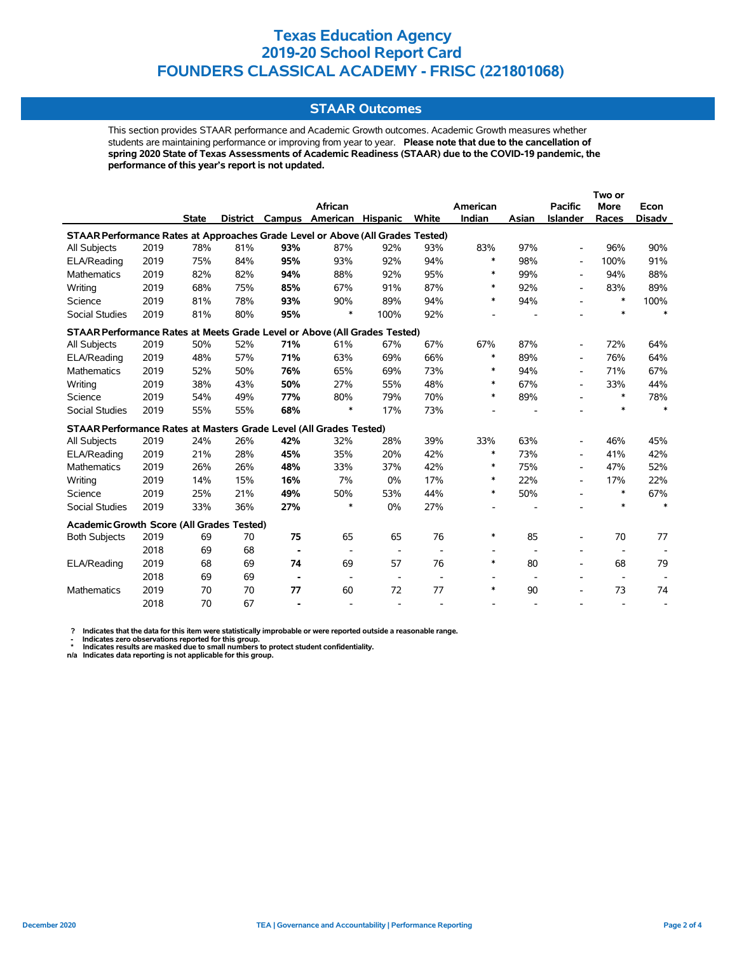### **STAAR Outcomes**

This section provides STAAR performance and Academic Growth outcomes. Academic Growth measures whether students are maintaining performance or improving from year to year. **Please note that due to the cancellation of spring 2020 State of Texas Assessments of Academic Readiness (STAAR) due to the COVID-19 pandemic, the performance of this year's report is not updated.**

|                                                                                |      |              |     |                |                                   |                          |       |          |                          |                          | Two or                   |        |
|--------------------------------------------------------------------------------|------|--------------|-----|----------------|-----------------------------------|--------------------------|-------|----------|--------------------------|--------------------------|--------------------------|--------|
|                                                                                |      |              |     |                | African                           |                          |       | American |                          | <b>Pacific</b>           | <b>More</b>              | Econ   |
|                                                                                |      | <b>State</b> |     |                | District Campus American Hispanic |                          | White | Indian   | Asian                    | <b>Islander</b>          | Races                    | Disadv |
| STAAR Performance Rates at Approaches Grade Level or Above (All Grades Tested) |      |              |     |                |                                   |                          |       |          |                          |                          |                          |        |
| All Subjects                                                                   | 2019 | 78%          | 81% | 93%            | 87%                               | 92%                      | 93%   | 83%      | 97%                      |                          | 96%                      | 90%    |
| ELA/Reading                                                                    | 2019 | 75%          | 84% | 95%            | 93%                               | 92%                      | 94%   | *        | 98%                      | $\overline{\phantom{a}}$ | 100%                     | 91%    |
| <b>Mathematics</b>                                                             | 2019 | 82%          | 82% | 94%            | 88%                               | 92%                      | 95%   | ∗        | 99%                      | $\overline{\phantom{a}}$ | 94%                      | 88%    |
| Writing                                                                        | 2019 | 68%          | 75% | 85%            | 67%                               | 91%                      | 87%   | *        | 92%                      | $\overline{\phantom{a}}$ | 83%                      | 89%    |
| Science                                                                        | 2019 | 81%          | 78% | 93%            | 90%                               | 89%                      | 94%   | $\ast$   | 94%                      |                          | $\ast$                   | 100%   |
| Social Studies                                                                 | 2019 | 81%          | 80% | 95%            | ∗                                 | 100%                     | 92%   |          |                          |                          | $\ast$                   | $\ast$ |
| STAAR Performance Rates at Meets Grade Level or Above (All Grades Tested)      |      |              |     |                |                                   |                          |       |          |                          |                          |                          |        |
| All Subjects                                                                   | 2019 | 50%          | 52% | 71%            | 61%                               | 67%                      | 67%   | 67%      | 87%                      |                          | 72%                      | 64%    |
| ELA/Reading                                                                    | 2019 | 48%          | 57% | 71%            | 63%                               | 69%                      | 66%   | $\ast$   | 89%                      | $\overline{\phantom{a}}$ | 76%                      | 64%    |
| <b>Mathematics</b>                                                             | 2019 | 52%          | 50% | 76%            | 65%                               | 69%                      | 73%   | ∗        | 94%                      | $\overline{\phantom{a}}$ | 71%                      | 67%    |
| Writing                                                                        | 2019 | 38%          | 43% | 50%            | 27%                               | 55%                      | 48%   | $\ast$   | 67%                      | $\overline{\phantom{a}}$ | 33%                      | 44%    |
| Science                                                                        | 2019 | 54%          | 49% | 77%            | 80%                               | 79%                      | 70%   | $\ast$   | 89%                      |                          | $\ast$                   | 78%    |
| Social Studies                                                                 | 2019 | 55%          | 55% | 68%            | $\ast$                            | 17%                      | 73%   |          |                          |                          | $\ast$                   | $\ast$ |
| STAAR Performance Rates at Masters Grade Level (All Grades Tested)             |      |              |     |                |                                   |                          |       |          |                          |                          |                          |        |
| All Subjects                                                                   | 2019 | 24%          | 26% | 42%            | 32%                               | 28%                      | 39%   | 33%      | 63%                      | $\overline{\phantom{a}}$ | 46%                      | 45%    |
| ELA/Reading                                                                    | 2019 | 21%          | 28% | 45%            | 35%                               | 20%                      | 42%   | $\ast$   | 73%                      | $\overline{\phantom{a}}$ | 41%                      | 42%    |
| Mathematics                                                                    | 2019 | 26%          | 26% | 48%            | 33%                               | 37%                      | 42%   | ∗        | 75%                      | $\overline{\phantom{a}}$ | 47%                      | 52%    |
| Writing                                                                        | 2019 | 14%          | 15% | 16%            | 7%                                | 0%                       | 17%   | $\ast$   | 22%                      | $\overline{\phantom{a}}$ | 17%                      | 22%    |
| Science                                                                        | 2019 | 25%          | 21% | 49%            | 50%                               | 53%                      | 44%   | ∗        | 50%                      |                          | ∗                        | 67%    |
| Social Studies                                                                 | 2019 | 33%          | 36% | 27%            | $\ast$                            | 0%                       | 27%   |          |                          |                          | $\ast$                   | $\ast$ |
| Academic Growth Score (All Grades Tested)                                      |      |              |     |                |                                   |                          |       |          |                          |                          |                          |        |
| <b>Both Subjects</b>                                                           | 2019 | 69           | 70  | 75             | 65                                | 65                       | 76    | *        | 85                       |                          | 70                       | 77     |
|                                                                                | 2018 | 69           | 68  | $\blacksquare$ | $\overline{\phantom{a}}$          | $\overline{\phantom{a}}$ |       |          | $\overline{\phantom{a}}$ |                          | $\overline{\phantom{a}}$ |        |
| ELA/Reading                                                                    | 2019 | 68           | 69  | 74             | 69                                | 57                       | 76    | $\ast$   | 80                       | $\overline{\phantom{a}}$ | 68                       | 79     |
|                                                                                | 2018 | 69           | 69  |                | $\overline{\phantom{a}}$          | $\overline{\phantom{a}}$ |       |          |                          |                          |                          |        |
| <b>Mathematics</b>                                                             | 2019 | 70           | 70  | 77             | 60                                | 72                       | 77    | $\ast$   | 90                       |                          | 73                       | 74     |
|                                                                                | 2018 | 70           | 67  |                |                                   |                          |       |          |                          |                          |                          |        |

? Indicates that the data for this item were statistically improbable or were reported outside a reasonable range.<br>- Indicates zero observations reported for this group.

 **\* Indicates results are masked due to small numbers to protect student confidentiality. n/a Indicates data reporting is not applicable for this group.**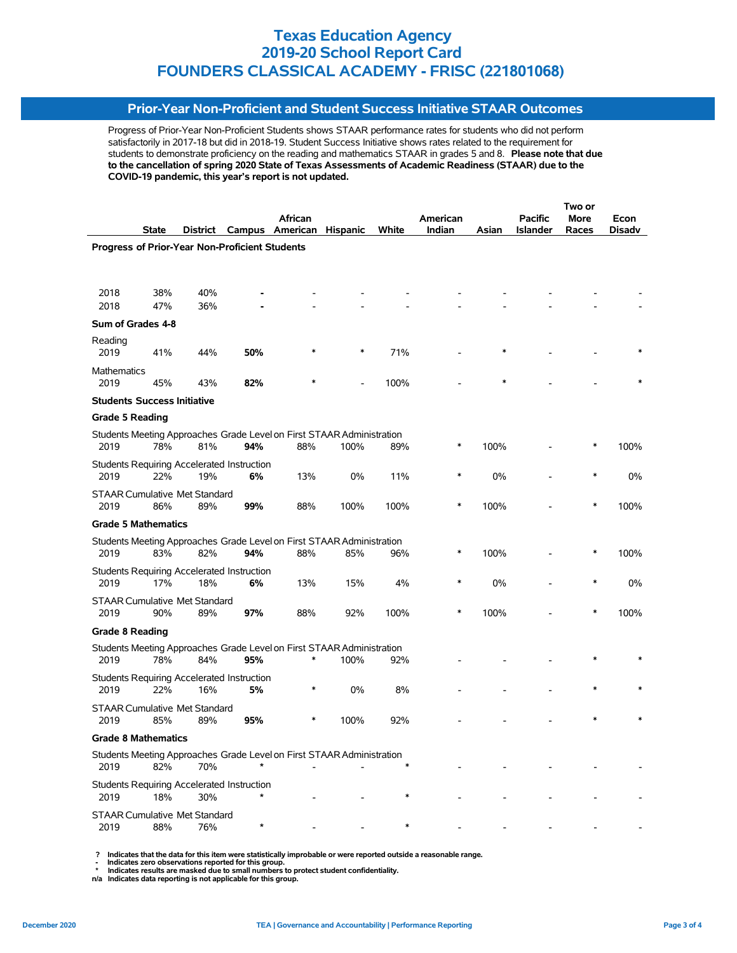# **Prior-Year Non-Proficient and Student Success Initiative STAAR Outcomes**

Progress of Prior-Year Non-Proficient Students shows STAAR performance rates for students who did not perform satisfactorily in 2017-18 but did in 2018-19. Student Success Initiative shows rates related to the requirement for students to demonstrate proficiency on the reading and mathematics STAAR in grades 5 and 8. **Please note that due to the cancellation of spring 2020 State of Texas Assessments of Academic Readiness (STAAR) due to the COVID-19 pandemic, this year's report is not updated.**

|                                      |              |          |                                                                       |         |                 |       |          |        |                 | Two or |        |
|--------------------------------------|--------------|----------|-----------------------------------------------------------------------|---------|-----------------|-------|----------|--------|-----------------|--------|--------|
|                                      |              |          |                                                                       | African |                 |       | American |        | <b>Pacific</b>  | More   | Econ   |
|                                      | <b>State</b> | District | Campus American                                                       |         | <b>Hispanic</b> | White | Indian   | Asian  | <b>Islander</b> | Races  | Disadv |
|                                      |              |          | Progress of Prior-Year Non-Proficient Students                        |         |                 |       |          |        |                 |        |        |
|                                      |              |          |                                                                       |         |                 |       |          |        |                 |        |        |
|                                      |              |          |                                                                       |         |                 |       |          |        |                 |        |        |
| 2018                                 | 38%          | 40%      |                                                                       |         |                 |       |          |        |                 |        |        |
| 2018                                 | 47%          | 36%      |                                                                       |         |                 |       |          |        |                 |        |        |
| Sum of Grades 4-8                    |              |          |                                                                       |         |                 |       |          |        |                 |        |        |
| Reading                              |              |          |                                                                       |         |                 |       |          |        |                 |        |        |
| 2019                                 | 41%          | 44%      | 50%                                                                   |         | $\ast$          | 71%   |          |        |                 |        |        |
| Mathematics                          |              |          |                                                                       |         |                 |       |          |        |                 |        |        |
| 2019                                 | 45%          | 43%      | 82%                                                                   |         |                 | 100%  |          | $\ast$ |                 |        |        |
| <b>Students Success Initiative</b>   |              |          |                                                                       |         |                 |       |          |        |                 |        |        |
| <b>Grade 5 Reading</b>               |              |          |                                                                       |         |                 |       |          |        |                 |        |        |
|                                      |              |          | Students Meeting Approaches Grade Level on First STAAR Administration |         |                 |       |          |        |                 |        |        |
| 2019                                 | 78%          | 81%      | 94%                                                                   | 88%     | 100%            | 89%   | ∗        | 100%   |                 |        | 100%   |
|                                      |              |          | Students Requiring Accelerated Instruction                            |         |                 |       |          |        |                 |        |        |
| 2019                                 | 22%          | 19%      | 6%                                                                    | 13%     | 0%              | 11%   | ∗        | 0%     |                 | ∗      | 0%     |
| <b>STAAR Cumulative Met Standard</b> |              |          |                                                                       |         |                 |       |          |        |                 |        |        |
| 2019                                 | 86%          | 89%      | 99%                                                                   | 88%     | 100%            | 100%  | ∗        | 100%   |                 |        | 100%   |
| <b>Grade 5 Mathematics</b>           |              |          |                                                                       |         |                 |       |          |        |                 |        |        |
|                                      |              |          | Students Meeting Approaches Grade Level on First STAAR Administration |         |                 |       |          |        |                 |        |        |
| 2019                                 | 83%          | 82%      | 94%                                                                   | 88%     | 85%             | 96%   | ∗        | 100%   |                 |        | 100%   |
|                                      |              |          | <b>Students Requiring Accelerated Instruction</b>                     |         |                 |       |          |        |                 |        |        |
| 2019                                 | 17%          | 18%      | 6%                                                                    | 13%     | 15%             | 4%    | $\ast$   | 0%     |                 |        | 0%     |
| <b>STAAR Cumulative Met Standard</b> |              |          |                                                                       |         |                 |       |          |        |                 |        |        |
| 2019                                 | 90%          | 89%      | 97%                                                                   | 88%     | 92%             | 100%  | ∗        | 100%   |                 |        | 100%   |
| <b>Grade 8 Reading</b>               |              |          |                                                                       |         |                 |       |          |        |                 |        |        |
|                                      |              |          | Students Meeting Approaches Grade Level on First STAAR Administration |         |                 |       |          |        |                 |        |        |
| 2019                                 | 78%          | 84%      | 95%                                                                   | ∗       | 100%            | 92%   |          |        |                 |        |        |
|                                      |              |          | Students Requiring Accelerated Instruction                            |         |                 |       |          |        |                 |        |        |
| 2019                                 | 22%          | 16%      | 5%                                                                    | *       | 0%              | 8%    |          |        |                 |        |        |
| <b>STAAR Cumulative Met Standard</b> |              |          |                                                                       |         |                 |       |          |        |                 |        |        |
| 2019                                 | 85%          | 89%      | 95%                                                                   |         | 100%            | 92%   |          |        |                 |        |        |
| <b>Grade 8 Mathematics</b>           |              |          |                                                                       |         |                 |       |          |        |                 |        |        |
|                                      |              |          | Students Meeting Approaches Grade Level on First STAAR Administration |         |                 |       |          |        |                 |        |        |
| 2019                                 | 82%          | 70%      |                                                                       |         |                 |       |          |        |                 |        |        |
|                                      |              |          | Students Requiring Accelerated Instruction                            |         |                 |       |          |        |                 |        |        |
| 2019                                 | 18%          | 30%      |                                                                       |         |                 |       |          |        |                 |        |        |
| <b>STAAR Cumulative Met Standard</b> |              |          |                                                                       |         |                 |       |          |        |                 |        |        |
| 2019                                 | 88%          | 76%      | $\star$                                                               |         |                 |       |          |        |                 |        |        |

 **? Indicates that the data for this item were statistically improbable or were reported outside a reasonable range.**

 **- Indicates zero observations reported for this group. \* Indicates results are masked due to small numbers to protect student confidentiality.**

**n/a Indicates data reporting is not applicable for this group.**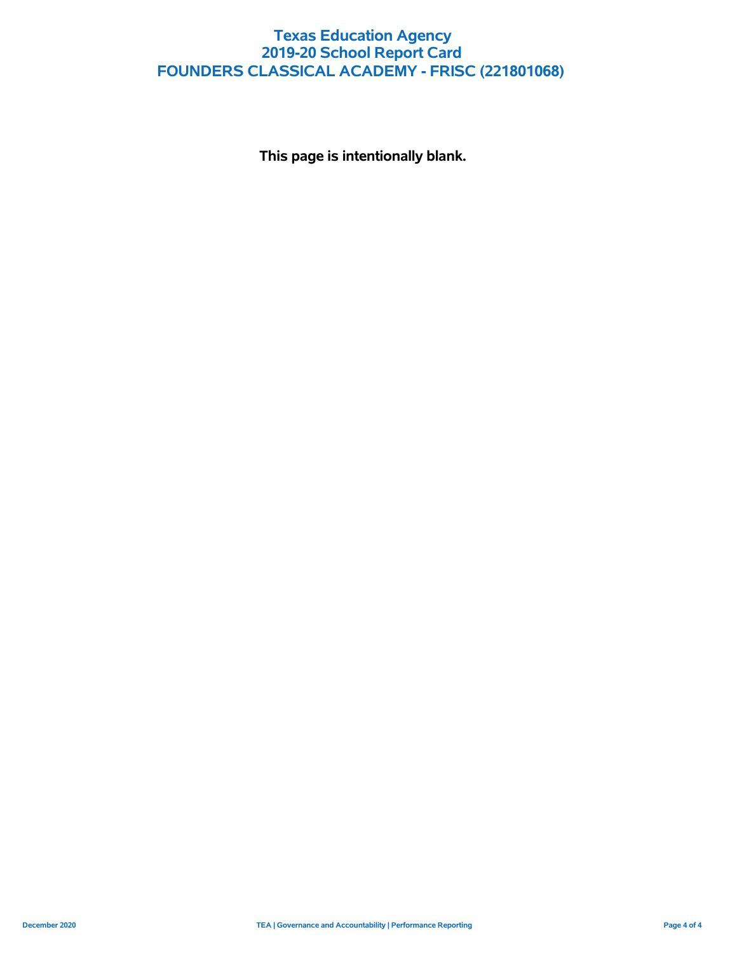**This page is intentionally blank.**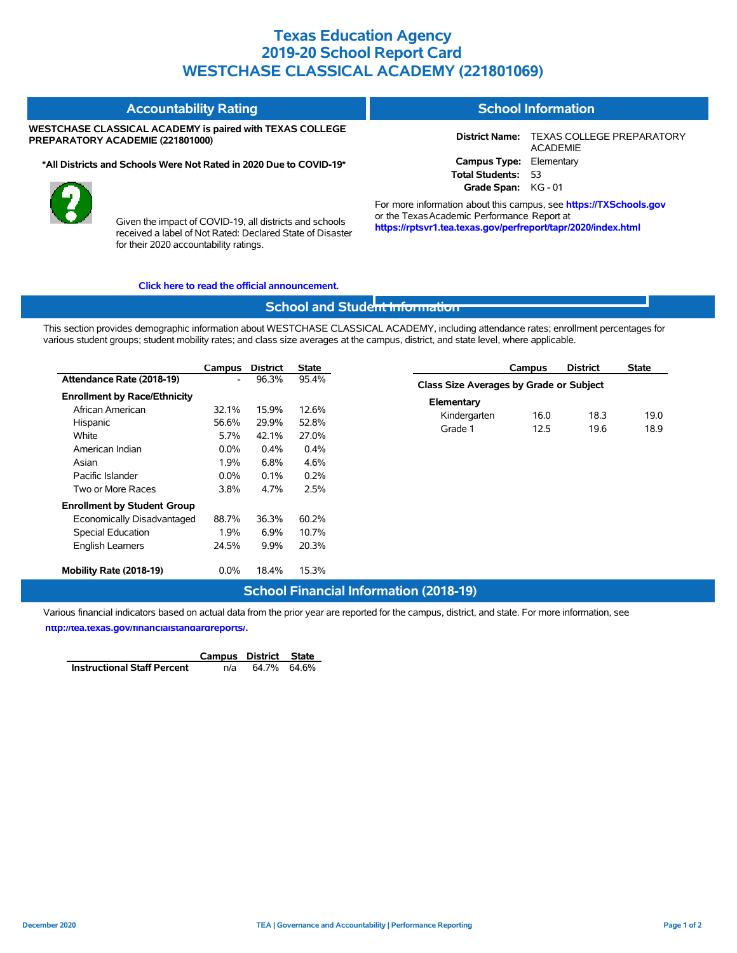**Accountability Rating WESTCHASE CLASSICAL ACADEMY is paired with TEXAS COLLEGE PREPARATORY ACADEMIE (221801000) \*All Districts and Schools Were Not Rated in 2020 Due to COVID-19\*** Given the impact of COVID-19, all districts and schools received a label of Not Rated: Declared State of Disaster **School Information District Name:** TEXAS COLLEGE PREPARATORY ACADEMIE **Campus Type:** Elementary **Total Students:** 53 **Grade Span:** KG - 01 For more information about this campus, see **https://TXSchools.gov** or the Texas Academic Performance Report at **https://rptsvr1.tea.texas.gov/perfreport/tapr/2020/index.html**

for their 2020 accountability ratings.

# **Click here to read the official announcement.**

#### **School and Stude[nt Information](https://rptsvr1.tea.texas.gov/perfreport/tapr/2020/index.html)**

This section provides demographic information about WESTCHASE CLASSICAL ACADEMY, including attendance rates; enrollment percentages for various student groups; student mobility rates; and class size averages at the campus, district, and state level, where applicable.

|                                                                                                                                                   | Campus                                                       | District                                                   | <b>State</b>                                            | <b>District</b><br><b>State</b><br>Campus                                             |
|---------------------------------------------------------------------------------------------------------------------------------------------------|--------------------------------------------------------------|------------------------------------------------------------|---------------------------------------------------------|---------------------------------------------------------------------------------------|
| Attendance Rate (2018-19)                                                                                                                         | $\overline{\phantom{0}}$                                     | 96.3%                                                      | 95.4%                                                   | Class Size Averages by Grade or Subject                                               |
| <b>Enrollment by Race/Ethnicity</b><br>African American<br>Hispanic<br>White<br>American Indian<br>Asian<br>Pacific Islander<br>Two or More Races | 32.1%<br>56.6%<br>5.7%<br>$0.0\%$<br>1.9%<br>$0.0\%$<br>3.8% | 15.9%<br>29.9%<br>42.1%<br>$0.4\%$<br>6.8%<br>0.1%<br>4.7% | 12.6%<br>52.8%<br>27.0%<br>0.4%<br>4.6%<br>0.2%<br>2.5% | Elementary<br>18.3<br>19.0<br>Kindergarten<br>16.0<br>18.9<br>Grade 1<br>19.6<br>12.5 |
| <b>Enrollment by Student Group</b><br>Economically Disadvantaged<br><b>Special Education</b><br><b>English Learners</b>                           | 88.7%<br>1.9%<br>24.5%                                       | 36.3%<br>6.9%<br>9.9%                                      | 60.2%<br>10.7%<br>20.3%                                 |                                                                                       |
| Mobility Rate (2018-19)                                                                                                                           | $0.0\%$                                                      | 18.4%                                                      | 15.3%                                                   |                                                                                       |

#### **School Financial Information (2018-19)**

Various financial indicators based on actual data from the prior year are reported for the campus, district, and state. For more information, see **[http://tea.texas.gov/financialstandardreports/.](http://tea.texas.gov/financialstandardreports/)**

|                                    | Campus District State |             |  |
|------------------------------------|-----------------------|-------------|--|
| <b>Instructional Staff Percent</b> | n/a                   | 64.7% 64.6% |  |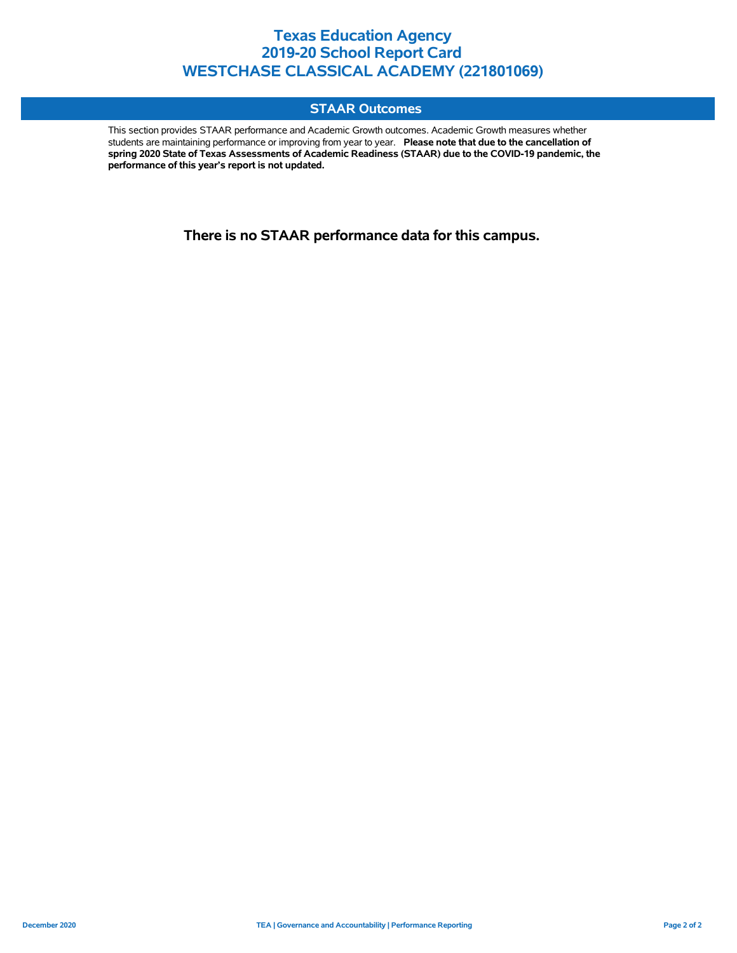# **STAAR Outcomes**

This section provides STAAR performance and Academic Growth outcomes. Academic Growth measures whether students are maintaining performance or improving from year to year. **Please note that due to the cancellation of spring 2020 State of Texas Assessments of Academic Readiness (STAAR) due to the COVID-19 pandemic, the performance of this year's report is not updated.**

**There is no STAAR performance data for this campus.**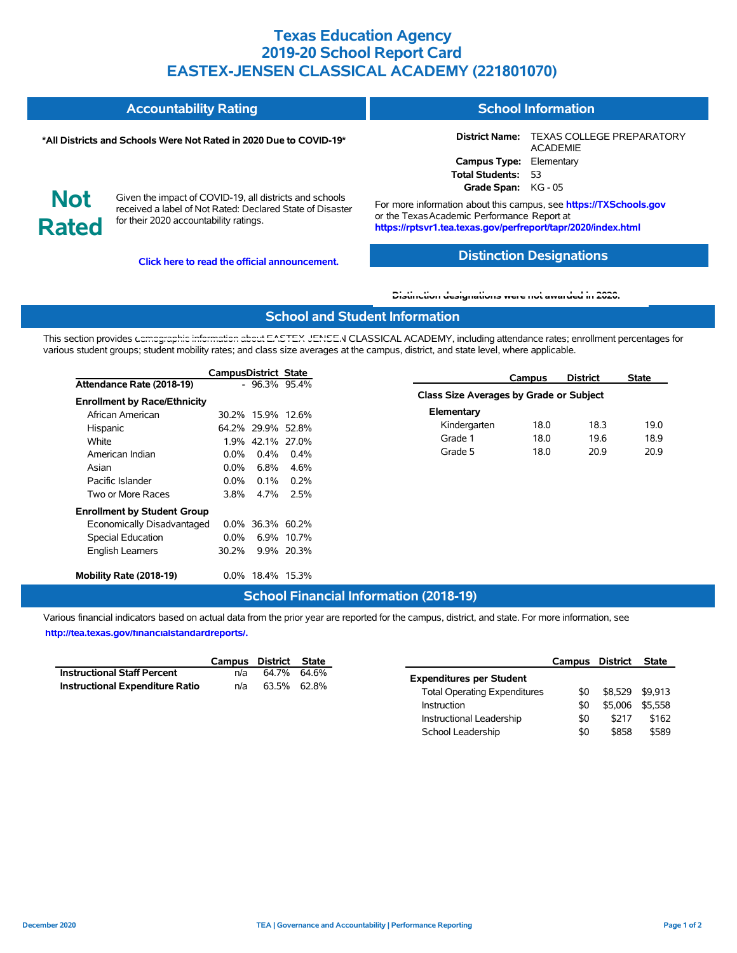# **Texas Education Agency 2019-20 School Report Card EASTEX-JENSEN CLASSICAL ACADEMY (221801070)**

|                            | <b>Accountability Rating</b>                                                                                                                                   | <b>School Information</b>                                                                                                                                                         |                                                     |  |  |  |
|----------------------------|----------------------------------------------------------------------------------------------------------------------------------------------------------------|-----------------------------------------------------------------------------------------------------------------------------------------------------------------------------------|-----------------------------------------------------|--|--|--|
|                            | *All Districts and Schools Were Not Rated in 2020 Due to COVID-19*                                                                                             | <b>District Name:</b>                                                                                                                                                             | <b>TEXAS COLLEGE PREPARATORY</b><br><b>ACADEMIE</b> |  |  |  |
|                            |                                                                                                                                                                | Campus Type:                                                                                                                                                                      | Elementary                                          |  |  |  |
|                            |                                                                                                                                                                | <b>Total Students: 53</b>                                                                                                                                                         |                                                     |  |  |  |
|                            |                                                                                                                                                                | Grade Span: KG - 05                                                                                                                                                               |                                                     |  |  |  |
| <b>Not</b><br><b>Rated</b> | Given the impact of COVID-19, all districts and schools<br>received a label of Not Rated: Declared State of Disaster<br>for their 2020 accountability ratings. | For more information about this campus, see https://TXSchools.gov<br>or the Texas Academic Performance Report at<br>https://rptsvr1.tea.texas.gov/perfreport/tapr/2020/index.html |                                                     |  |  |  |

**Click here to read the official announcement.**

#### **Distinction Designations**

#### **[Distinction designations were not awarded in 2020.](https://rptsvr1.tea.texas.gov/perfreport/tapr/2020/index.html)**

#### **School and Student Information**

This section provides [demographic information about EASTEX-JENSEN](https://tea.texas.gov/about-tea/news-and-multimedia/correspondence/taa-letters/every-student-succeeds-act-essa-waiver-approval-2020-state-academic-accountability) CLASSICAL ACADEMY, including attendance rates; enrollment percentages for various student groups; student mobility rates; and class size averages at the campus, district, and state level, where applicable.

|                                     | <b>CampusDistrict State</b> |               |            |
|-------------------------------------|-----------------------------|---------------|------------|
| Attendance Rate (2018-19)           |                             | - 96.3% 95.4% |            |
| <b>Enrollment by Race/Ethnicity</b> |                             |               |            |
| African American                    | 30.2%                       | 15 9%         | 12 6%      |
| Hispanic                            | 64.2%                       | 29.9%         | 52.8%      |
| White                               | 1.9%                        | 42.1% 27.0%   |            |
| American Indian                     | $0.0\%$                     | $0.4\%$       | $0.4\%$    |
| Asian                               | $0.0\%$                     | 6.8%          | 4.6%       |
| Pacific Islander                    | 0.0%                        | $0.1\%$       | 0.2%       |
| Two or More Races                   | 3.8%                        | 4.7%          | 2.5%       |
| <b>Enrollment by Student Group</b>  |                             |               |            |
| Economically Disadvantaged          | 0 ዐ%                        | 36.3%         | 60.2%      |
| Special Education                   | $0.0\%$                     | $6.9\%$       | 10.7%      |
| <b>English Learners</b>             | 30.2%                       |               | 9.9% 20.3% |
| Mobility Rate (2018-19)             | 0 ዐ%                        | 18.4% 15.3%   |            |

|                                         | Campus | <b>District</b> | <b>State</b> |
|-----------------------------------------|--------|-----------------|--------------|
| Class Size Averages by Grade or Subject |        |                 |              |
| Elementary                              |        |                 |              |
| Kindergarten                            | 18.0   | 18.3            | 19.0         |
| Grade 1                                 | 18.0   | 19.6            | 189          |
| Grade 5                                 | 18.0   | 20.9            | 20.9         |

School Leadership  $$0$  \$858 \$589

### **School Financial Information (2018-19)**

Various financial indicators based on actual data from the prior year are reported for the campus, district, and state. For more information, see

#### **[http://tea.texas.gov/financialstandardreports/.](http://tea.texas.gov/financialstandardreports/)**

|                                 | Campus | District | State       |  |                                                                                                                                                                  |                 | <b>State</b> |
|---------------------------------|--------|----------|-------------|--|------------------------------------------------------------------------------------------------------------------------------------------------------------------|-----------------|--------------|
| Instructional Staff Percent     | n/a    |          | 64.7% 64.6% |  | <b>Campus District</b><br><b>Expenditures per Student</b><br><b>Total Operating Expenditures</b><br>\$0<br>Instruction<br>\$0<br>Instructional Leadership<br>\$0 |                 |              |
| Instructional Expenditure Ratio | n/a    | 63.5%    | 62.8%       |  |                                                                                                                                                                  | \$8.529 \$9.913 |              |
|                                 |        |          |             |  |                                                                                                                                                                  | \$5.006         | \$5.558      |
|                                 |        |          |             |  |                                                                                                                                                                  | \$217           | \$162        |